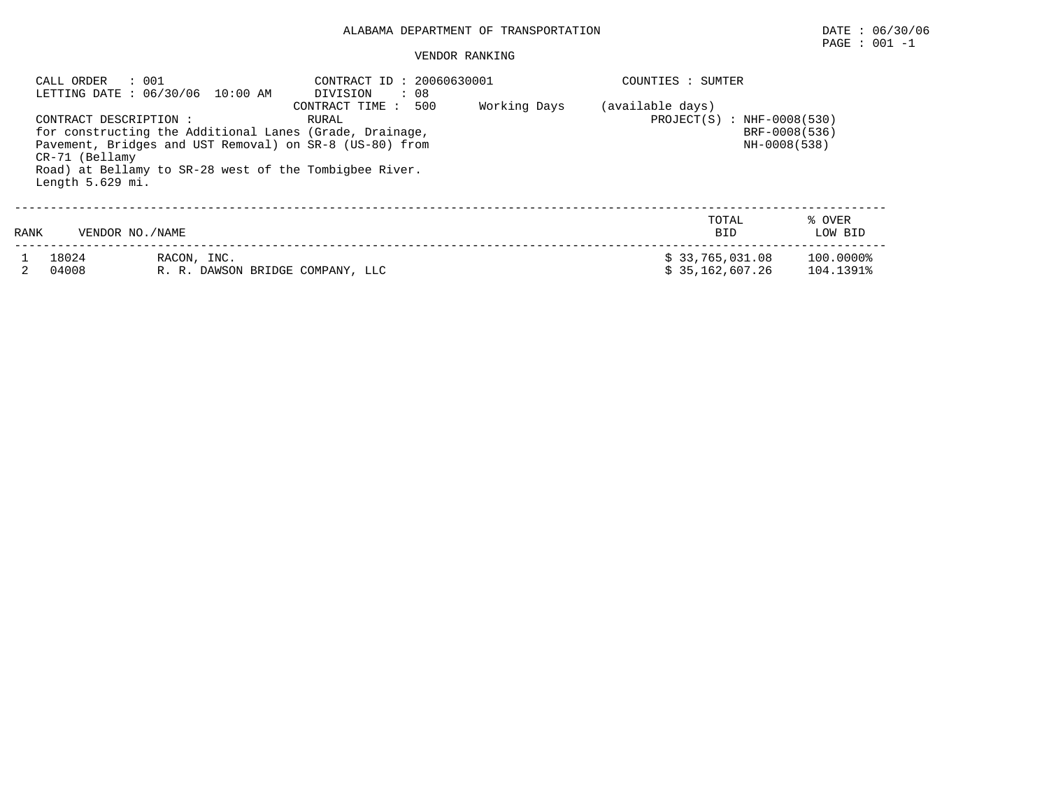## ALABAMA DEPARTMENT OF TRANSPORTATION DATE : 06/30/06

# $\texttt{PAGE}$  : 001 -1

#### VENDOR RANKING

|      | : 001<br>CALL ORDER                                          | LETTING DATE: 06/30/06 10:00 AM                                                                                                                                              | CONTRACT ID: 20060630001<br>$\cdot$ 08<br>DIVISION<br>500<br>CONTRACT TIME : | Working Days | COUNTIES : SUMTER<br>(available days) |  |                        |  |
|------|--------------------------------------------------------------|------------------------------------------------------------------------------------------------------------------------------------------------------------------------------|------------------------------------------------------------------------------|--------------|---------------------------------------|--|------------------------|--|
|      | CONTRACT DESCRIPTION :<br>CR-71 (Bellamy<br>Length 5.629 mi. | for constructing the Additional Lanes (Grade, Drainage,<br>Pavement, Bridges and UST Removal) on SR-8 (US-80) from<br>Road) at Bellamy to SR-28 west of the Tombigbee River. | $PROJECT(S)$ : NHF-0008(530)<br>BRF-0008(536)<br>NH-0008(538)                |              |                                       |  |                        |  |
| RANK | VENDOR NO. / NAME                                            |                                                                                                                                                                              |                                                                              |              | TOTAL<br>BID                          |  | % OVER<br>LOW BID      |  |
|      | 18024<br>04008                                               | RACON, INC.<br>R. R. DAWSON BRIDGE COMPANY, LLC                                                                                                                              |                                                                              |              | \$33,765,031.08<br>\$35.162.607.26    |  | 100.0000%<br>104.1391% |  |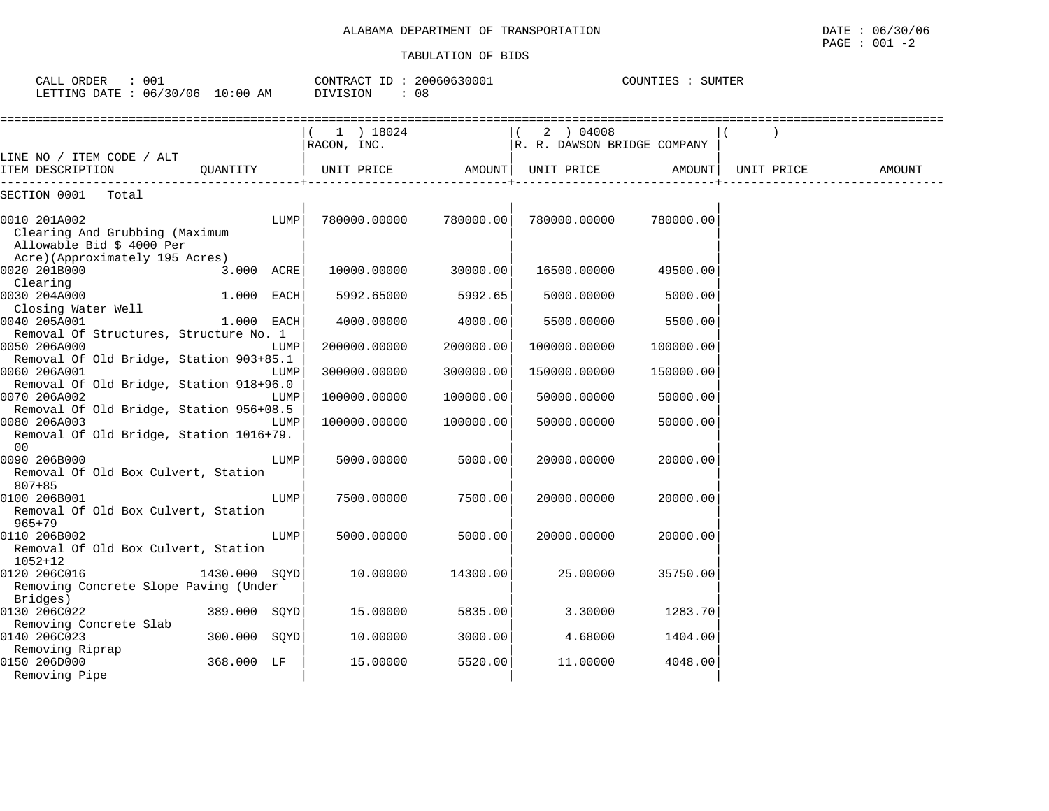| CALL ORDER<br>$\therefore$ 001<br>LETTING DATE : 06/30/06 10:00 AM                                            |               | CONTRACT ID: 20060630001<br>DIVISION<br>: 08 |                          | COUNTIES : SUMTER |                                          |           |            |        |
|---------------------------------------------------------------------------------------------------------------|---------------|----------------------------------------------|--------------------------|-------------------|------------------------------------------|-----------|------------|--------|
|                                                                                                               |               |                                              | 1 ) 18024<br>RACON, INC. |                   | 2 ) 04008<br>R. R. DAWSON BRIDGE COMPANY |           |            |        |
| LINE NO / ITEM CODE / ALT<br>ITEM DESCRIPTION                                                                 | OUANTITY      |                                              | UNIT PRICE               |                   | AMOUNT  UNIT PRICE                       | AMOUNT    | UNIT PRICE | AMOUNT |
| SECTION 0001 Total                                                                                            |               |                                              |                          |                   |                                          |           |            |        |
| 0010 201A002<br>Clearing And Grubbing (Maximum<br>Allowable Bid \$ 4000 Per<br>Acre)(Approximately 195 Acres) |               | LUMP                                         | 780000.00000             | 780000.00         | 780000.00000                             | 780000.00 |            |        |
| 0020 201B000                                                                                                  | 3.000 ACRE    |                                              | 10000.00000              | 30000.00          | 16500.00000                              | 49500.00  |            |        |
| Clearing<br>0030 204A000                                                                                      | 1.000 EACH    |                                              | 5992.65000               | 5992.65           | 5000.00000                               | 5000.00   |            |        |
| Closing Water Well<br>0040 205A001<br>Removal Of Structures, Structure No. 1                                  | 1.000 EACH    |                                              | 4000.00000               | 4000.00           | 5500.00000                               | 5500.00   |            |        |
| 0050 206A000<br>Removal Of Old Bridge, Station 903+85.1                                                       |               | LUMP                                         | 200000.00000             | 200000.00         | 100000.00000                             | 100000.00 |            |        |
| 0060 206A001<br>Removal Of Old Bridge, Station 918+96.0                                                       |               | LUMP                                         | 300000.00000             | 300000.00         | 150000.00000                             | 150000.00 |            |        |
| 0070 206A002                                                                                                  |               | LUMP                                         | 100000.00000             | 100000.00         | 50000.00000                              | 50000.00  |            |        |
| Removal Of Old Bridge, Station 956+08.5<br>0080 206A003<br>Removal Of Old Bridge, Station 1016+79.<br>00      |               | LUMP                                         | 100000.00000             | 100000.00         | 50000.00000                              | 50000.00  |            |        |
| 0090 206B000<br>Removal Of Old Box Culvert, Station<br>$807 + 85$                                             |               | LUMP                                         | 5000.00000               | 5000.00           | 20000.00000                              | 20000.00  |            |        |
| 0100 206B001<br>Removal Of Old Box Culvert, Station<br>$965 + 79$                                             |               | LUMP                                         | 7500.00000               | 7500.00           | 20000.00000                              | 20000.00  |            |        |
| 0110 206B002<br>Removal Of Old Box Culvert, Station<br>$1052 + 12$                                            |               | LUMP                                         | 5000.00000               | 5000.00           | 20000.00000                              | 20000.00  |            |        |
| 0120 206C016<br>Removing Concrete Slope Paving (Under<br>Bridges)                                             | 1430.000 SOYD |                                              | 10.00000                 | 14300.00          | 25.00000                                 | 35750.00  |            |        |
| 0130 206C022<br>Removing Concrete Slab                                                                        | 389.000 SOYD  |                                              | 15.00000                 | 5835.00           | 3.30000                                  | 1283.70   |            |        |
| 0140 206C023<br>Removing Riprap                                                                               | 300.000       | SOYD                                         | 10.00000                 | 3000.00           | 4.68000                                  | 1404.00   |            |        |
| 0150 206D000<br>Removing Pipe                                                                                 | 368.000 LF    |                                              | 15.00000                 | 5520.00           | 11.00000                                 | 4048.00   |            |        |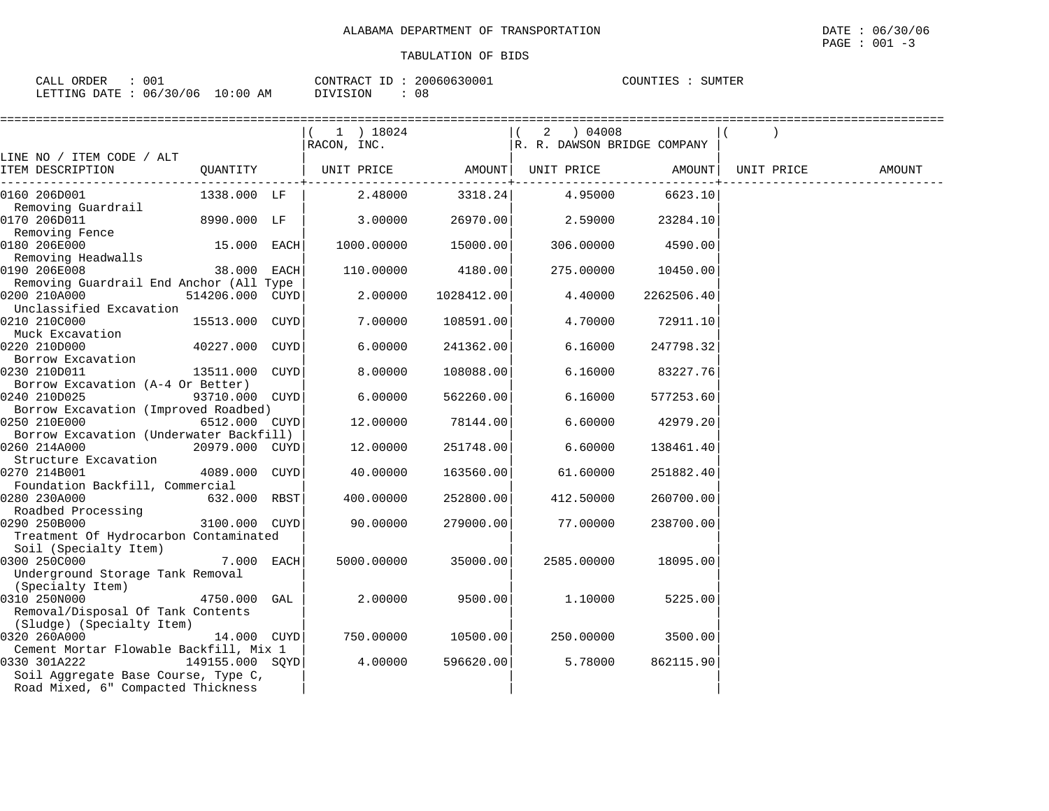| CALL<br><b>ORDER</b> | ∪∪⊥    |      | ™∩NTR<br>، ۱۷ س | 20060630001 | . וידוחזורי<br>ΈK |
|----------------------|--------|------|-----------------|-------------|-------------------|
|                      |        | AΜ   |                 | n,          |                   |
| LETTING DATE         | '06    | 0:00 | $\lambda$       | ັບປ         |                   |
|                      | 06/30/ |      |                 |             |                   |

|                                                         |                 | 1 ) 18024   |            | 2 ) 04008                   |            |            |        |
|---------------------------------------------------------|-----------------|-------------|------------|-----------------------------|------------|------------|--------|
|                                                         |                 | RACON, INC. |            | R. R. DAWSON BRIDGE COMPANY |            |            |        |
| LINE NO / ITEM CODE / ALT                               |                 |             |            |                             |            |            |        |
| ITEM DESCRIPTION                                        | QUANTITY        | UNIT PRICE  | AMOUNT     | UNIT PRICE                  | AMOUNT     | UNIT PRICE | AMOUNT |
| 0160 206D001                                            | 1338.000 LF     | 2.48000     | 3318.24    | 4.95000                     | 6623.10    |            |        |
| Removing Guardrail                                      |                 |             |            |                             |            |            |        |
| 0170 206D011                                            | 8990.000 LF     | 3.00000     | 26970.00   | 2.59000                     | 23284.10   |            |        |
| Removing Fence                                          |                 |             |            |                             |            |            |        |
| 0180 206E000                                            | 15.000 EACH     | 1000.00000  | 15000.00   | 306.00000                   | 4590.00    |            |        |
| Removing Headwalls                                      |                 |             |            |                             |            |            |        |
| 0190 206E008                                            | 38.000 EACH     | 110.00000   | 4180.00    | 275.00000                   | 10450.00   |            |        |
| Removing Guardrail End Anchor (All Type<br>0200 210A000 |                 |             |            |                             |            |            |        |
| Unclassified Excavation                                 | 514206.000 CUYD | 2.00000     | 1028412.00 | 4.40000                     | 2262506.40 |            |        |
| 0210 210C000                                            | 15513.000 CUYD  | 7.00000     | 108591.00  | 4.70000                     | 72911.10   |            |        |
| Muck Excavation                                         |                 |             |            |                             |            |            |        |
| 0220 210D000                                            | 40227.000 CUYD  | 6.00000     | 241362.00  | 6.16000                     | 247798.32  |            |        |
| Borrow Excavation                                       |                 |             |            |                             |            |            |        |
| 0230 210D011                                            | 13511.000 CUYD  | 8,00000     | 108088.00  | 6.16000                     | 83227.76   |            |        |
| Borrow Excavation (A-4 Or Better)                       |                 |             |            |                             |            |            |        |
| 0240 210D025                                            | 93710.000 CUYD  | 6.00000     | 562260.00  | 6.16000                     | 577253.60  |            |        |
| Borrow Excavation (Improved Roadbed)                    |                 |             |            |                             |            |            |        |
| 0250 210E000                                            | 6512.000 CUYD   | 12.00000    | 78144.00   | 6.60000                     | 42979.20   |            |        |
| Borrow Excavation (Underwater Backfill)                 |                 |             |            |                             |            |            |        |
| 0260 214A000                                            | 20979.000 CUYD  | 12.00000    | 251748.00  | 6.60000                     | 138461.40  |            |        |
| Structure Excavation                                    |                 |             |            |                             |            |            |        |
| 0270 214B001                                            | 4089.000 CUYD   | 40.00000    | 163560.00  | 61.60000                    | 251882.40  |            |        |
| Foundation Backfill, Commercial                         |                 |             |            |                             |            |            |        |
| 0280 230A000                                            | 632.000 RBST    | 400.00000   | 252800.00  | 412.50000                   | 260700.00  |            |        |
| Roadbed Processing                                      |                 |             |            |                             |            |            |        |
| 0290 250B000                                            | 3100.000 CUYD   | 90.00000    | 279000.00  | 77.00000                    | 238700.00  |            |        |
| Treatment Of Hydrocarbon Contaminated                   |                 |             |            |                             |            |            |        |
| Soil (Specialty Item)                                   |                 |             |            |                             |            |            |        |
| 0300 250C000                                            | 7.000 EACH      | 5000.00000  | 35000.00   | 2585.00000                  | 18095.00   |            |        |
| Underground Storage Tank Removal                        |                 |             |            |                             |            |            |        |
| (Specialty Item)<br>0310 250N000                        | 4750.000 GAL    | 2,00000     | 9500.00    | 1,10000                     | 5225.00    |            |        |
| Removal/Disposal Of Tank Contents                       |                 |             |            |                             |            |            |        |
| (Sludge) (Specialty Item)                               |                 |             |            |                             |            |            |        |
| 0320 260A000                                            | 14.000 CUYD     | 750.00000   | 10500.00   | 250.00000                   | 3500.00    |            |        |
| Cement Mortar Flowable Backfill, Mix 1                  |                 |             |            |                             |            |            |        |
| 0330 301A222                                            | 149155.000 SOYD | 4.00000     | 596620.00  | 5.78000                     | 862115.90  |            |        |
| Soil Aggregate Base Course, Type C,                     |                 |             |            |                             |            |            |        |
| Road Mixed, 6" Compacted Thickness                      |                 |             |            |                             |            |            |        |
|                                                         |                 |             |            |                             |            |            |        |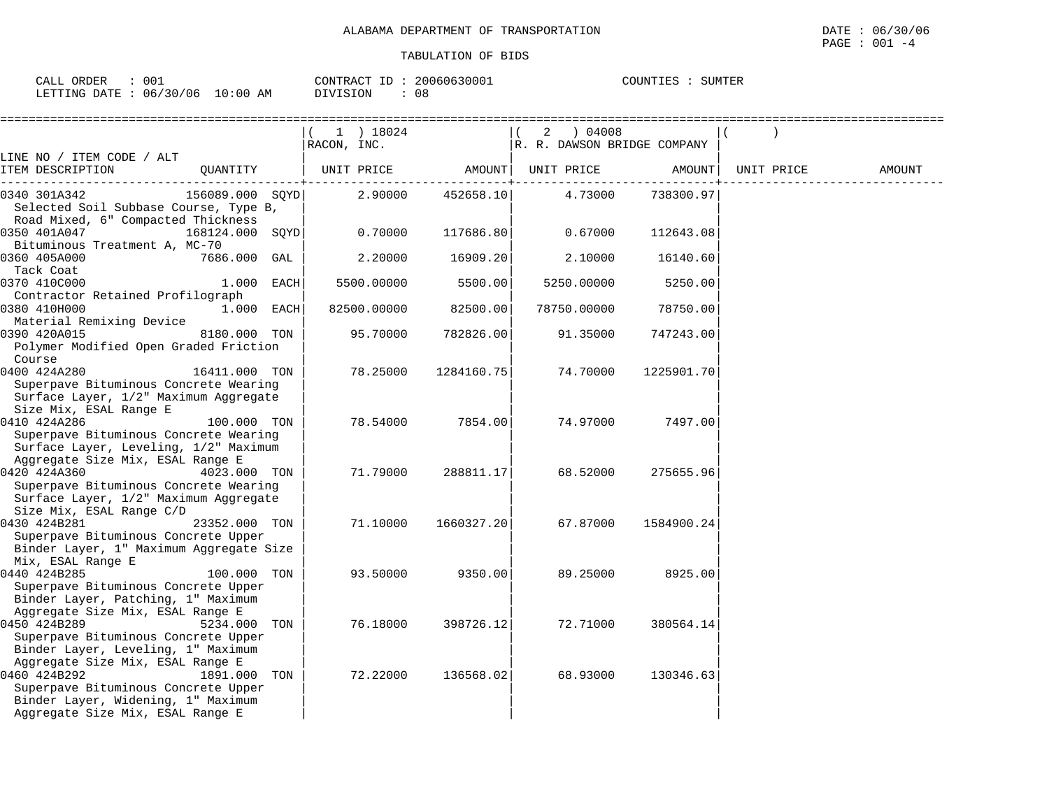| CALL ORDER<br>: 001              | CONTRACT ID: 20060630001 | COUNTIES : SUMTER |  |
|----------------------------------|--------------------------|-------------------|--|
| LETTING DATE : 06/30/06 10:00 AM | DIVISION<br>- 08         |                   |  |

|                                                                                |                 |     | 1 ) 18024   |            | 04008 (<br>2                |            |            |        |
|--------------------------------------------------------------------------------|-----------------|-----|-------------|------------|-----------------------------|------------|------------|--------|
|                                                                                |                 |     | RACON, INC. |            | R. R. DAWSON BRIDGE COMPANY |            |            |        |
| LINE NO / ITEM CODE / ALT                                                      |                 |     |             |            |                             |            |            |        |
| ITEM DESCRIPTION                                                               | OUANTITY        |     | UNIT PRICE  | AMOUNT     | UNIT PRICE                  | AMOUNT     | UNIT PRICE | AMOUNT |
| 0340 301A342<br>Selected Soil Subbase Course, Type B,                          | 156089.000 SQYD |     | 2.90000     | 452658.10  | 4.73000                     | 738300.97  |            |        |
| Road Mixed, 6" Compacted Thickness                                             |                 |     |             |            |                             |            |            |        |
| 0350 401A047                                                                   | 168124.000 SQYD |     | 0.70000     | 117686.80  | 0.67000                     | 112643.08  |            |        |
| Bituminous Treatment A, MC-70                                                  |                 |     |             |            |                             |            |            |        |
| 0360 405A000                                                                   | 7686.000 GAL    |     | 2.20000     | 16909.20   | 2.10000                     | 16140.60   |            |        |
| Tack Coat                                                                      |                 |     |             |            |                             |            |            |        |
| 0370 410C000                                                                   | 1.000 EACH      |     | 5500.00000  | 5500.00    | 5250.00000                  | 5250.00    |            |        |
| Contractor Retained Profilograph                                               |                 |     |             |            |                             |            |            |        |
| 0380 410H000                                                                   | 1.000 EACH      |     | 82500.00000 | 82500.00   | 78750.00000                 | 78750.00   |            |        |
| Material Remixing Device                                                       |                 |     |             |            |                             |            |            |        |
| 0390 420A015                                                                   | 8180.000 TON    |     | 95.70000    | 782826.00  | 91.35000                    | 747243.00  |            |        |
| Polymer Modified Open Graded Friction                                          |                 |     |             |            |                             |            |            |        |
| Course                                                                         |                 |     |             |            |                             |            |            |        |
| 0400 424A280                                                                   | 16411.000 TON   |     | 78.25000    | 1284160.75 | 74.70000                    | 1225901.70 |            |        |
| Superpave Bituminous Concrete Wearing<br>Surface Layer, 1/2" Maximum Aggregate |                 |     |             |            |                             |            |            |        |
| Size Mix, ESAL Range E                                                         |                 |     |             |            |                             |            |            |        |
| 0410 424A286                                                                   | 100.000 TON     |     | 78.54000    | 7854.00    | 74.97000                    | 7497.00    |            |        |
| Superpave Bituminous Concrete Wearing                                          |                 |     |             |            |                             |            |            |        |
| Surface Layer, Leveling, 1/2" Maximum                                          |                 |     |             |            |                             |            |            |        |
| Aggregate Size Mix, ESAL Range E                                               |                 |     |             |            |                             |            |            |        |
| 0420 424A360                                                                   | 4023.000 TON    |     | 71.79000    | 288811.17  | 68.52000                    | 275655.96  |            |        |
| Superpave Bituminous Concrete Wearing                                          |                 |     |             |            |                             |            |            |        |
| Surface Layer, 1/2" Maximum Aggregate                                          |                 |     |             |            |                             |            |            |        |
| Size Mix, ESAL Range C/D                                                       |                 |     |             |            |                             |            |            |        |
| 0430 424B281                                                                   | 23352.000 TON   |     | 71.10000    | 1660327.20 | 67.87000                    | 1584900.24 |            |        |
| Superpave Bituminous Concrete Upper                                            |                 |     |             |            |                             |            |            |        |
| Binder Layer, 1" Maximum Aggregate Size<br>Mix, ESAL Range E                   |                 |     |             |            |                             |            |            |        |
| 0440 424B285                                                                   | 100.000 TON     |     | 93.50000    | 9350.00    | 89.25000                    | 8925.00    |            |        |
| Superpave Bituminous Concrete Upper                                            |                 |     |             |            |                             |            |            |        |
| Binder Layer, Patching, 1" Maximum                                             |                 |     |             |            |                             |            |            |        |
| Aggregate Size Mix, ESAL Range E                                               |                 |     |             |            |                             |            |            |        |
| 0450 424B289                                                                   | 5234.000        | TON | 76.18000    | 398726.12  | 72.71000                    | 380564.14  |            |        |
| Superpave Bituminous Concrete Upper                                            |                 |     |             |            |                             |            |            |        |
| Binder Layer, Leveling, 1" Maximum                                             |                 |     |             |            |                             |            |            |        |
| Aggregate Size Mix, ESAL Range E                                               |                 |     |             |            |                             |            |            |        |
| 0460 424B292                                                                   | 1891.000        | TON | 72.22000    | 136568.02  | 68.93000                    | 130346.63  |            |        |
| Superpave Bituminous Concrete Upper                                            |                 |     |             |            |                             |            |            |        |
| Binder Layer, Widening, 1" Maximum                                             |                 |     |             |            |                             |            |            |        |
| Aggregate Size Mix, ESAL Range E                                               |                 |     |             |            |                             |            |            |        |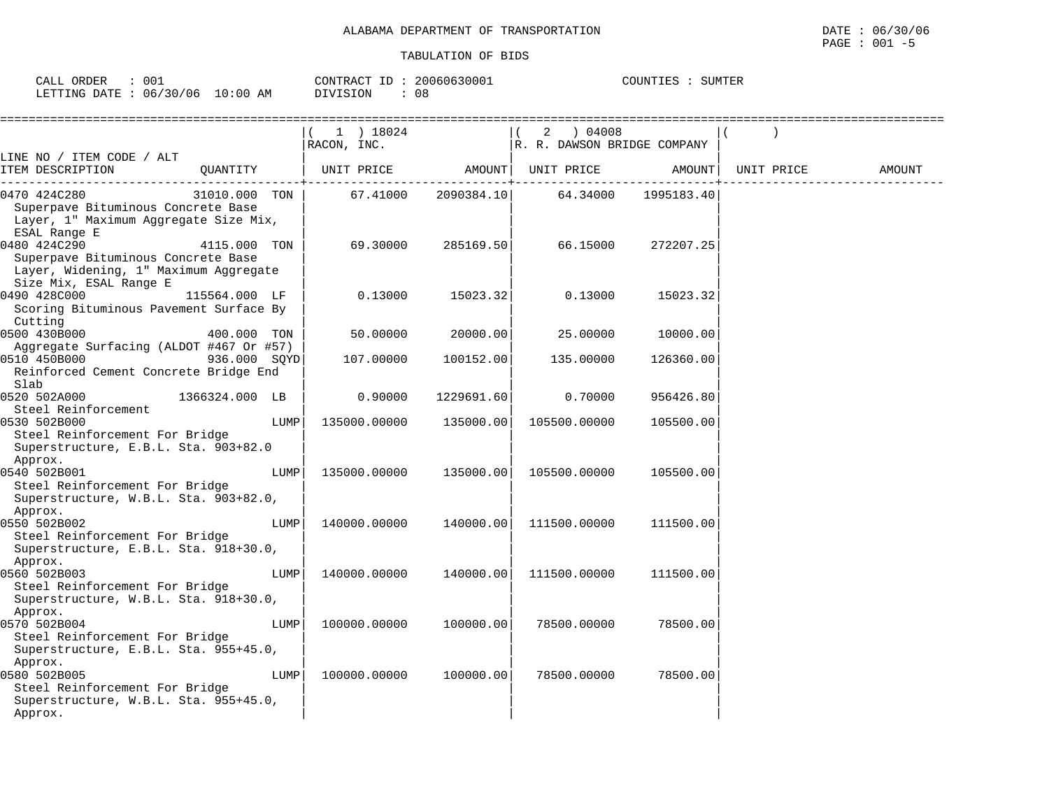| CALL<br>ORDER                   | 001 | CONTRACT ID | 20060630001 | COUNTIES : | SUMTER |
|---------------------------------|-----|-------------|-------------|------------|--------|
| LETTING DATE: 06/30/06 10:00 AM |     | DIVISION    | 08          |            |        |

|                                                                                                                       |                |      | 1 ) 18024<br>RACON, INC. |            | 2<br>04008<br>R. R. DAWSON BRIDGE COMPANY |            |            |        |
|-----------------------------------------------------------------------------------------------------------------------|----------------|------|--------------------------|------------|-------------------------------------------|------------|------------|--------|
| LINE NO / ITEM CODE / ALT<br>ITEM DESCRIPTION                                                                         | QUANTITY       |      | UNIT PRICE               | AMOUNT     | UNIT PRICE                                | AMOUNT     | UNIT PRICE | AMOUNT |
| 0470 424C280<br>Superpave Bituminous Concrete Base<br>Layer, 1" Maximum Aggregate Size Mix,<br>ESAL Range E           | 31010.000 TON  |      | 67.41000                 | 2090384.10 | 64.34000                                  | 1995183.40 |            |        |
| 0480 424C290<br>Superpave Bituminous Concrete Base<br>Layer, Widening, 1" Maximum Aggregate<br>Size Mix, ESAL Range E | 4115.000 TON   |      | 69.30000                 | 285169.50  | 66.15000                                  | 272207.25  |            |        |
| 0490 428C000<br>Scoring Bituminous Pavement Surface By<br>Cutting                                                     | 115564.000 LF  |      | 0.13000                  | 15023.32   | 0.13000                                   | 15023.32   |            |        |
| 0500 430B000<br>Aggregate Surfacing (ALDOT #467 Or #57)                                                               | 400.000 TON    |      | 50.00000                 | 20000.00   | 25.00000                                  | 10000.00   |            |        |
| 0510 450B000<br>Reinforced Cement Concrete Bridge End<br>Slab                                                         | 936.000 SOYD   |      | 107.00000                | 100152.00  | 135.00000                                 | 126360.00  |            |        |
| 0520 502A000<br>Steel Reinforcement                                                                                   | 1366324.000 LB |      | 0.90000                  | 1229691.60 | 0.70000                                   | 956426.80  |            |        |
| 0530 502B000<br>Steel Reinforcement For Bridge<br>Superstructure, E.B.L. Sta. 903+82.0                                |                | LUMP | 135000.00000             | 135000.00  | 105500.00000                              | 105500.00  |            |        |
| Approx.<br>0540 502B001<br>Steel Reinforcement For Bridge<br>Superstructure, W.B.L. Sta. 903+82.0,<br>Approx.         |                | LUMP | 135000.00000             | 135000.00  | 105500.00000                              | 105500.00  |            |        |
| 0550 502B002<br>Steel Reinforcement For Bridge<br>Superstructure, E.B.L. Sta. 918+30.0,<br>Approx.                    |                | LUMP | 140000.00000             | 140000.00  | 111500.00000                              | 111500.00  |            |        |
| 0560 502B003<br>Steel Reinforcement For Bridge<br>Superstructure, W.B.L. Sta. 918+30.0,<br>Approx.                    |                | LUMP | 140000.00000             | 140000.00  | 111500.00000                              | 111500.00  |            |        |
| 0570 502B004<br>Steel Reinforcement For Bridge<br>Superstructure, E.B.L. Sta. 955+45.0,<br>Approx.                    |                | LUMP | 100000.00000             | 100000.00  | 78500.00000                               | 78500.00   |            |        |
| 0580 502B005<br>Steel Reinforcement For Bridge<br>Superstructure, W.B.L. Sta. 955+45.0,<br>Approx.                    |                | LUMP | 100000.00000             | 100000.00  | 78500.00000                               | 78500.00   |            |        |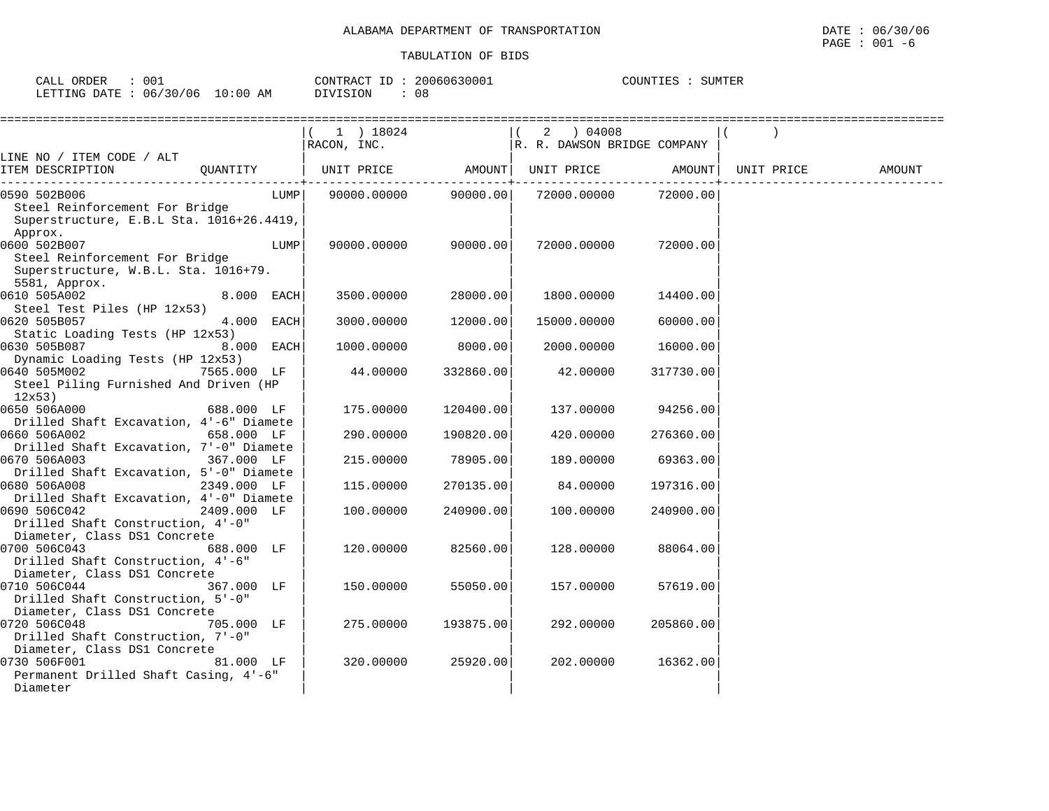| 001<br>ORDER<br>CALL |       | 20060630001<br>CONTRACT<br>$T_{\rm T}$<br>ᆂ | COUNTIES<br>SUMTER |
|----------------------|-------|---------------------------------------------|--------------------|
| : 06/30/06           | 10:00 | 08                                          |                    |
| LETTING DATE         | AM    | DIVISION                                    |                    |

|                                                                                                                 | ==========================<br>$(1)$ 18024 |                             | :==============<br>2 04008  |            |            |        |
|-----------------------------------------------------------------------------------------------------------------|-------------------------------------------|-----------------------------|-----------------------------|------------|------------|--------|
|                                                                                                                 | RACON, INC.                               |                             | R. R. DAWSON BRIDGE COMPANY |            |            |        |
| LINE NO / ITEM CODE / ALT<br>ITEM DESCRIPTION<br>QUANTITY                                                       | UNIT PRICE                                | AMOUNT  <br>--------------- | UNIT PRICE AMOUNT           | ---------- | UNIT PRICE | AMOUNT |
| 0590 502B006<br>LUMP<br>Steel Reinforcement For Bridge<br>Superstructure, E.B.L Sta. 1016+26.4419,<br>Approx.   | 90000.00000                               | 90000.00                    | 72000.00000                 | 72000.00   |            |        |
| 0600 502B007<br>LUMP<br>Steel Reinforcement For Bridge<br>Superstructure, W.B.L. Sta. 1016+79.<br>5581, Approx. | 90000.00000                               | 90000.00                    | 72000.00000                 | 72000.00   |            |        |
| 8.000 EACH<br>0610 505A002<br>Steel Test Piles (HP 12x53)                                                       | 3500.00000                                | 28000.00                    | 1800.00000                  | 14400.00   |            |        |
| 4.000 EACH<br>0620 505B057<br>Static Loading Tests (HP 12x53)                                                   | 3000.00000                                | 12000.00                    | 15000.00000                 | 60000.00   |            |        |
| 0630 505B087<br>8.000 EACH<br>Dynamic Loading Tests (HP 12x53)                                                  | 1000.00000                                | 8000.00                     | 2000.00000                  | 16000.00   |            |        |
| 0640 505M002<br>7565.000 LF<br>Steel Piling Furnished And Driven (HP<br>12x53)                                  | 44.00000                                  | 332860.00                   | 42.00000                    | 317730.00  |            |        |
| 0650 506A000<br>688.000 LF<br>Drilled Shaft Excavation, 4'-6" Diamete                                           | 175.00000                                 | 120400.00                   | 137.00000                   | 94256.00   |            |        |
| 0660 506A002<br>658.000 LF<br>Drilled Shaft Excavation, 7'-0" Diamete                                           | 290.00000                                 | 190820.00                   | 420.00000                   | 276360.00  |            |        |
| 0670 506A003<br>367.000 LF<br>Drilled Shaft Excavation, 5'-0" Diamete                                           | 215.00000                                 | 78905.00                    | 189.00000                   | 69363.00   |            |        |
| 0680 506A008<br>2349.000 LF<br>Drilled Shaft Excavation, 4'-0" Diamete                                          | 115.00000                                 | 270135.00                   | 84.00000                    | 197316.00  |            |        |
| 0690 506C042<br>2409.000 LF<br>Drilled Shaft Construction, 4'-0"<br>Diameter, Class DS1 Concrete                | 100.00000                                 | 240900.00                   | 100.00000                   | 240900.00  |            |        |
| 0700 506C043<br>688.000 LF<br>Drilled Shaft Construction, 4'-6"<br>Diameter, Class DS1 Concrete                 | 120.00000                                 | 82560.00                    | 128.00000                   | 88064.00   |            |        |
| 0710 506C044<br>367.000 LF<br>Drilled Shaft Construction, 5'-0"<br>Diameter, Class DS1 Concrete                 | 150.00000                                 | 55050.00                    | 157.00000                   | 57619.00   |            |        |
| 0720 506C048<br>705.000 LF<br>Drilled Shaft Construction, 7'-0"<br>Diameter, Class DS1 Concrete                 | 275.00000                                 | 193875.00                   | 292.00000                   | 205860.00  |            |        |
| 0730 506F001<br>81.000 LF<br>Permanent Drilled Shaft Casing, 4'-6"<br>Diameter                                  | 320.00000                                 | 25920.00                    | 202.00000                   | 16362.00   |            |        |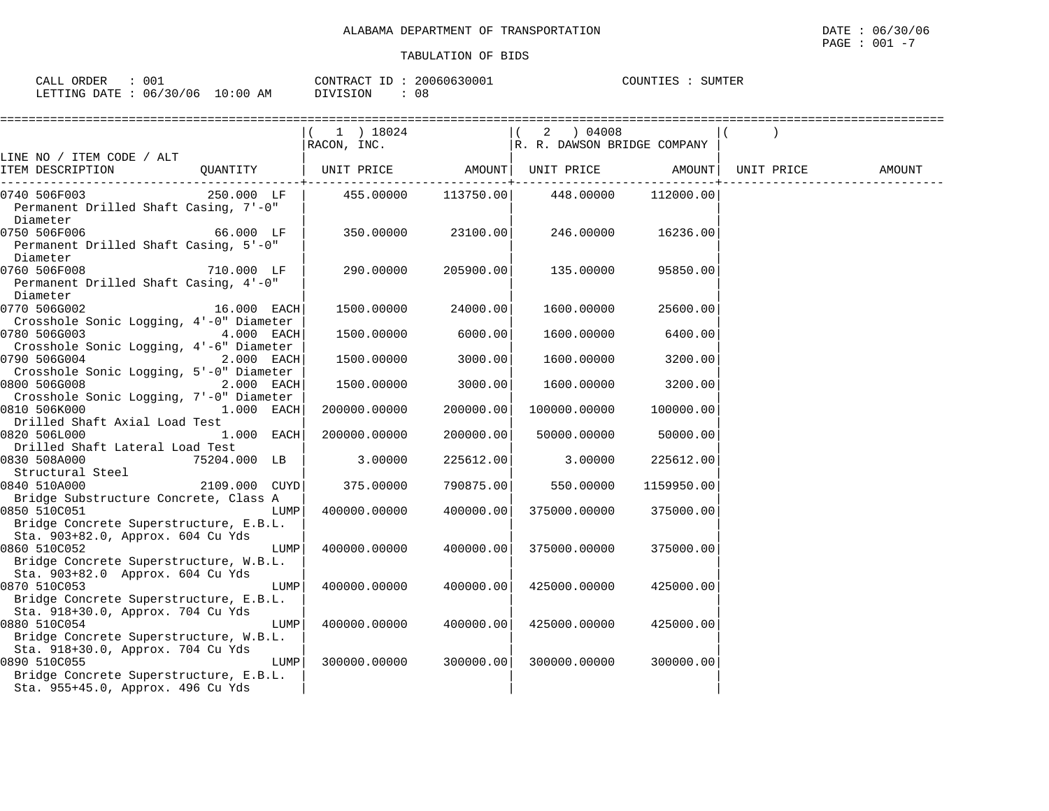| ORDER<br>$\sim$ $ -$<br>CALL | 001           |                  | CONTRACT | 20060630001 | COUNTIES | SUMTER |
|------------------------------|---------------|------------------|----------|-------------|----------|--------|
| LETTING DATE                 | /30/06<br>06/ | :00<br>1 O<br>AΜ | DIVISION | 08          |          |        |

|                                                        |               |      | ============================                   |                    |                             |                     |  |
|--------------------------------------------------------|---------------|------|------------------------------------------------|--------------------|-----------------------------|---------------------|--|
|                                                        |               |      | $(1)$ 18024<br>$\overrightarrow{RACON}$ , INC. |                    | R. R. DAWSON BRIDGE COMPANY |                     |  |
| LINE NO / ITEM CODE / ALT                              |               |      |                                                |                    |                             |                     |  |
|                                                        |               |      |                                                |                    |                             |                     |  |
| 0740 506F003 250.000 LF                                |               |      | 455.00000 113750.00                            |                    |                             | 448.00000 112000.00 |  |
| Permanent Drilled Shaft Casing, 7'-0"                  |               |      |                                                |                    |                             |                     |  |
| Diameter                                               |               |      |                                                |                    |                             |                     |  |
| 0750 506F006                                           | 66.000 LF     |      |                                                | 350.00000 23100.00 | 246.00000                   | 16236.00            |  |
| Permanent Drilled Shaft Casing, 5'-0"                  |               |      |                                                |                    |                             |                     |  |
| Diameter                                               |               |      |                                                |                    |                             |                     |  |
| 0760 506F008                                           | 710.000 LF    |      | 290.00000                                      | 205900.00          | 135.00000                   | 95850.00            |  |
| Permanent Drilled Shaft Casing, 4'-0"                  |               |      |                                                |                    |                             |                     |  |
| Diameter<br>0770 506G002                               | $16.000$ EACH |      | 1500.00000                                     | 24000.00           | 1600.00000                  | 25600.00            |  |
| Crosshole Sonic Logging, 4'-0" Diameter                |               |      |                                                |                    |                             |                     |  |
| 0780 506G003                                           | 4.000 EACH    |      | 1500.00000                                     | 6000.00            | 1600.00000                  | 6400.00             |  |
| Crosshole Sonic Logging, 4'-6" Diameter                |               |      |                                                |                    |                             |                     |  |
| 0790 506G004                                           | $2.000$ EACH  |      | 1500.00000                                     | 3000.00            | 1600.00000                  | 3200.00             |  |
| Crosshole Sonic Logging, 5'-0" Diameter                |               |      |                                                |                    |                             |                     |  |
| 0800 506G008                                           | $2.000$ EACH  |      | 1500.00000                                     | 3000.00            | 1600.00000                  | 3200.00             |  |
| Crosshole Sonic Logging, 7'-0" Diameter                |               |      |                                                |                    |                             |                     |  |
| 0810 506K000 1.000 EACH                                |               |      | 200000.00000                                   | 200000.00          | 100000.00000                | 100000.00           |  |
| Drilled Shaft Axial Load Test                          |               |      |                                                |                    |                             |                     |  |
| 0820 506L000                                           | $1.000$ EACH  |      | 200000.00000                                   | 200000.00          | 50000.00000                 | 50000.00            |  |
| Drilled Shaft Lateral Load Test                        |               |      |                                                |                    |                             |                     |  |
| 0830 508A000                                           | 75204.000 LB  |      | 3.00000                                        | 225612.00          | 3.00000                     | 225612.00           |  |
| Structural Steel                                       |               |      |                                                |                    |                             |                     |  |
| 0840 510A000                                           | 2109.000 CUYD |      | 375.00000                                      | 790875.00          | 550.00000                   | 1159950.00          |  |
| Bridge Substructure Concrete, Class A                  |               |      |                                                |                    |                             |                     |  |
| 0850 510C051                                           |               | LUMP | 400000.00000                                   | 400000.00          | 375000.00000                | 375000.00           |  |
| Bridge Concrete Superstructure, E.B.L.                 |               |      |                                                |                    |                             |                     |  |
| Sta. 903+82.0, Approx. 604 Cu Yds                      |               |      |                                                |                    |                             |                     |  |
| 0860 510C052                                           |               | LUMP | 400000.00000                                   | 400000.00          | 375000.00000                | 375000.00           |  |
| Bridge Concrete Superstructure, W.B.L.                 |               |      |                                                |                    |                             |                     |  |
| Sta. 903+82.0 Approx. 604 Cu Yds                       |               |      |                                                |                    |                             |                     |  |
| 0870 510C053                                           |               | LUMP | 400000.00000                                   | 400000.00          | 425000.00000                | 425000.00           |  |
| Bridge Concrete Superstructure, E.B.L.                 |               |      |                                                |                    |                             |                     |  |
| Sta. 918+30.0, Approx. 704 Cu Yds                      |               |      |                                                |                    |                             |                     |  |
| 0880 510C054                                           |               | LUMP | 400000.00000                                   | 400000.00          | 425000.00000                | 425000.00           |  |
| Bridge Concrete Superstructure, W.B.L.                 |               |      |                                                |                    |                             |                     |  |
| Sta. 918+30.0, Approx. 704 Cu Yds                      |               |      |                                                |                    |                             |                     |  |
| 0890 510C055<br>Bridge Concrete Superstructure, E.B.L. |               | LUMP | 300000.00000                                   | 300000.00          | 300000.00000                | 300000.00           |  |
| Sta. 955+45.0, Approx. 496 Cu Yds                      |               |      |                                                |                    |                             |                     |  |
|                                                        |               |      |                                                |                    |                             |                     |  |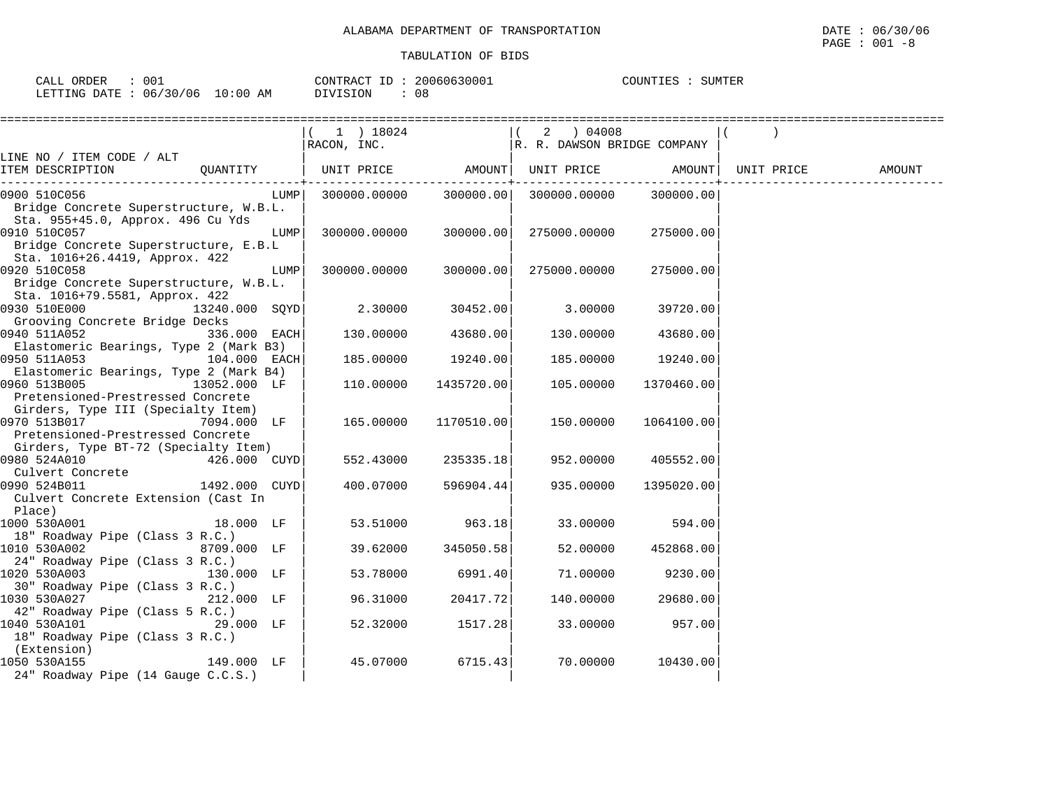| 001<br>ORDER<br>CALL     |            | CONTRACT ID     | 20060630001   | SUMTER<br>COUNTIES |
|--------------------------|------------|-----------------|---------------|--------------------|
| 06/30/06<br>LETTING DATE | $10:00$ AM | <b>NTVISTON</b> | $\cap$<br>U C |                    |

|                                                                   | 1 ) 18024<br>RACON, INC. |            | 2 ) 04008                   |            |            |        |
|-------------------------------------------------------------------|--------------------------|------------|-----------------------------|------------|------------|--------|
| LINE NO / ITEM CODE / ALT                                         |                          |            | R. R. DAWSON BRIDGE COMPANY |            |            |        |
| QUANTITY<br>ITEM DESCRIPTION                                      | UNIT PRICE AMOUNT        |            | UNIT PRICE AMOUNT           |            | UNIT PRICE | AMOUNT |
| 0900 510C056<br>LUMP                                              | 300000.00000             | 300000.00  | 300000.00000                | 300000.00  |            |        |
| Bridge Concrete Superstructure, W.B.L.                            |                          |            |                             |            |            |        |
| Sta. 955+45.0, Approx. 496 Cu Yds                                 |                          |            |                             |            |            |        |
| 0910 510C057<br>LUMP                                              | 300000.00000             | 300000.00  | 275000.00000                | 275000.00  |            |        |
| Bridge Concrete Superstructure, E.B.L                             |                          |            |                             |            |            |        |
| Sta. 1016+26.4419, Approx. 422<br>0920 510C058<br>LUMP            | 300000.00000             | 300000.00  | 275000.00000                | 275000.00  |            |        |
| Bridge Concrete Superstructure, W.B.L.                            |                          |            |                             |            |            |        |
| Sta. 1016+79.5581, Approx. 422                                    |                          |            |                             |            |            |        |
| 0930 510E000<br>13240.000 SOYD                                    | 2.30000                  | 30452.00   | 3.00000                     | 39720.00   |            |        |
| Grooving Concrete Bridge Decks                                    |                          |            |                             |            |            |        |
| 0940 511A052<br>336.000 EACH                                      | 130.00000                | 43680.00   | 130.00000                   | 43680.00   |            |        |
| Elastomeric Bearings, Type 2 (Mark B3)                            |                          |            |                             |            |            |        |
| 0950 511A053 104.000 EACH                                         | 185.00000                | 19240.00   | 185.00000                   | 19240.00   |            |        |
| Elastomeric Bearings, Type 2 (Mark B4)                            |                          |            |                             |            |            |        |
| 0960 513B005<br>13052.000 LF                                      | 110.00000                | 1435720.00 | 105.00000                   | 1370460.00 |            |        |
| Pretensioned-Prestressed Concrete                                 |                          |            |                             |            |            |        |
| Girders, Type III (Specialty Item)<br>0970 513B017<br>7094.000 LF | 165.00000                | 1170510.00 | 150.00000                   | 1064100.00 |            |        |
| Pretensioned-Prestressed Concrete                                 |                          |            |                             |            |            |        |
| Girders, Type BT-72 (Specialty Item)                              |                          |            |                             |            |            |        |
| 0980 524A010<br>426.000 CUYD                                      | 552.43000                | 235335.18  | 952.00000                   | 405552.00  |            |        |
|                                                                   |                          |            |                             |            |            |        |
| Culvert Concrete<br>000 524R011 1492.000 CUYD<br>0990 524B011     | 400.07000                | 596904.44  | 935.00000                   | 1395020.00 |            |        |
| Culvert Concrete Extension (Cast In                               |                          |            |                             |            |            |        |
| Place)                                                            |                          |            |                             |            |            |        |
| 1000 530A001<br>18.000 LF                                         | 53.51000                 | 963.18     | 33.00000                    | 594.00     |            |        |
| 18" Roadway Pipe (Class 3 R.C.)                                   |                          |            |                             |            |            |        |
| 1010 530A002<br>8709.000 LF                                       | 39.62000                 | 345050.58  | 52.00000                    | 452868.00  |            |        |
| 24" Roadway Pipe (Class 3 R.C.)<br>1020 530A003<br>130.000 LF     | 53.78000                 | 6991.40    | 71.00000                    |            |            |        |
| 30" Roadway Pipe (Class 3 R.C.)                                   |                          |            |                             | 9230.00    |            |        |
| 1030 530A027<br>212.000 LF                                        | 96.31000                 | 20417.72   | 140.00000                   | 29680.00   |            |        |
| 42" Roadway Pipe (Class 5 R.C.)                                   |                          |            |                             |            |            |        |
| 1040 530A101<br>29.000 LF                                         | 52.32000                 | 1517.28    | 33.00000                    | 957.00     |            |        |
| 18" Roadway Pipe (Class 3 R.C.)                                   |                          |            |                             |            |            |        |
| (Extension)                                                       |                          |            |                             |            |            |        |
| 149.000 LF<br>1050 530A155                                        | 45.07000                 | 6715.43    | 70.00000                    | 10430.00   |            |        |
| 24" Roadway Pipe (14 Gauge C.C.S.)                                |                          |            |                             |            |            |        |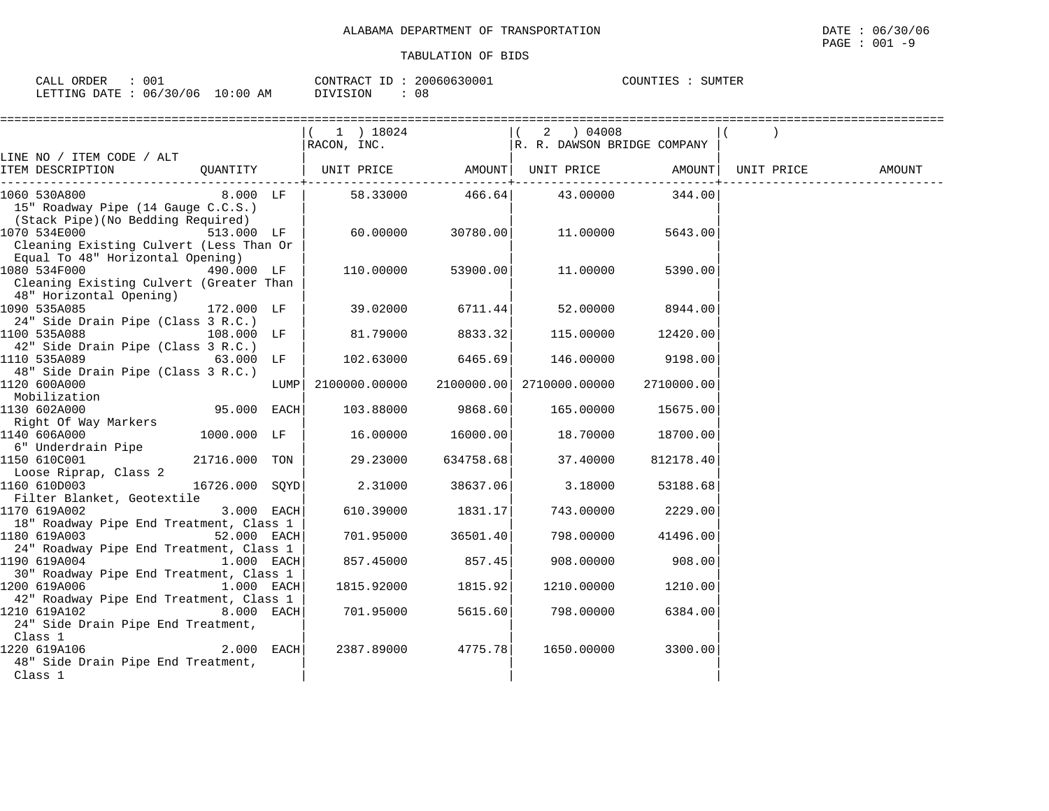| ORDER<br>$\sim$ $\sim$ $\sim$<br>CALL | 001                      |                 | $-$<br>CONTRA<br>$\sqrt{2}$<br>'TRAC' | 20060630001 | COUNTIES | SUMTER |  |
|---------------------------------------|--------------------------|-----------------|---------------------------------------|-------------|----------|--------|--|
| LETTING<br>DATE                       | 06.<br>$\sqrt{2}$<br>706 | . 0 : 0 0<br>AΜ | DIVISION                              | 08          |          |        |  |

|                                                                                              |                |      | $(1)$ 18024<br>RACON, INC.                              |           | $\vert$ (<br>R. R. DAWSON BRIDGE COMPANY |            |            |        |
|----------------------------------------------------------------------------------------------|----------------|------|---------------------------------------------------------|-----------|------------------------------------------|------------|------------|--------|
| LINE NO / ITEM CODE / ALT                                                                    |                |      |                                                         |           |                                          |            |            |        |
| ITEM DESCRIPTION                                                                             |                |      | QUANTITY   UNIT PRICE     AMOUNT  UNIT PRICE     AMOUNT |           |                                          |            | UNIT PRICE | AMOUNT |
| 1060 530A800<br>15" Roadway Pipe (14 Gauge C.C.S.)                                           | $8.000$ LF     |      |                                                         |           | 58.33000 466.64 43.00000                 | 344.00     |            |        |
| (Stack Pipe)(No Bedding Required)<br>1070 534E000<br>Cleaning Existing Culvert (Less Than Or | 513.000 LF     |      | 60.00000                                                | 30780.00  | 11.00000                                 | 5643.00    |            |        |
| Equal To 48" Horizontal Opening)<br>Cleaning Existing Culvert (Greater Than                  | 490.000 LF     |      | 110.00000                                               | 53900.00  | 11.00000                                 | 5390.00    |            |        |
| 48" Horizontal Opening)<br>1090 535A085                                                      | 172.000 LF     |      | 39.02000                                                | 6711.44   | 52.00000                                 | 8944.00    |            |        |
| 24" Side Drain Pipe (Class 3 R.C.)<br>1100 535A088<br>42" Side Drain Pipe (Class 3 R.C.)     | 108.000 LF     |      | 81.79000                                                | 8833.32   | 115.00000                                | 12420.00   |            |        |
| 1110 535A089<br>$63.000$ LF<br>48" Side Drain Pipe (Class 3 R.C.)                            |                |      | 102.63000                                               | 6465.69   | 146.00000                                | 9198.00    |            |        |
| 1120 600A000<br>Mobilization                                                                 |                | LUMP | 2100000.00000                                           |           | 2100000.00 2710000.00000                 | 2710000.00 |            |        |
| 1130 602A000<br>Right Of Way Markers                                                         | 95.000 EACH    |      | 103.88000                                               | 9868.60   | 165.00000                                | 15675.00   |            |        |
| 1140 606A000<br>6" Underdrain Pipe                                                           | 1000.000 LF    |      | 16.00000                                                | 16000.00  | 18.70000                                 | 18700.00   |            |        |
| 1150 610C001<br>Loose Riprap, Class 2                                                        | 21716.000 TON  |      | 29.23000                                                | 634758.68 | 37.40000                                 | 812178.40  |            |        |
| 1160 610D003<br>Filter Blanket, Geotextile                                                   | 16726.000 SQYD |      | 2.31000                                                 | 38637.06  | 3.18000                                  | 53188.68   |            |        |
| 3.000 EACH<br>1170 619A002<br>18" Roadway Pipe End Treatment, Class 1                        |                |      | 610.39000                                               | 1831.17   | 743.00000                                | 2229.00    |            |        |
| 1180 619A003<br>24" Roadway Pipe End Treatment, Class 1                                      | 52.000 EACH    |      | 701.95000                                               | 36501.40  | 798.00000                                | 41496.00   |            |        |
| 1190 619A004<br>30" Roadway Pipe End Treatment, Class 1                                      | 1.000 EACH     |      | 857.45000                                               | 857.45    | 908.00000                                | 908.00     |            |        |
| 1200 619A006<br>42" Roadway Pipe End Treatment, Class 1                                      | 1.000 EACH     |      | 1815.92000                                              | 1815.92   | 1210.00000                               | 1210.00    |            |        |
| 1210 619A102<br>24" Side Drain Pipe End Treatment,<br>Class 1                                | 8.000 EACH     |      | 701.95000                                               | 5615.60   | 798.00000                                | 6384.00    |            |        |
| 1220 619A106<br>48" Side Drain Pipe End Treatment,<br>Class 1                                | $2.000$ EACH   |      | 2387.89000                                              | 4775.78   | 1650.00000                               | 3300.00    |            |        |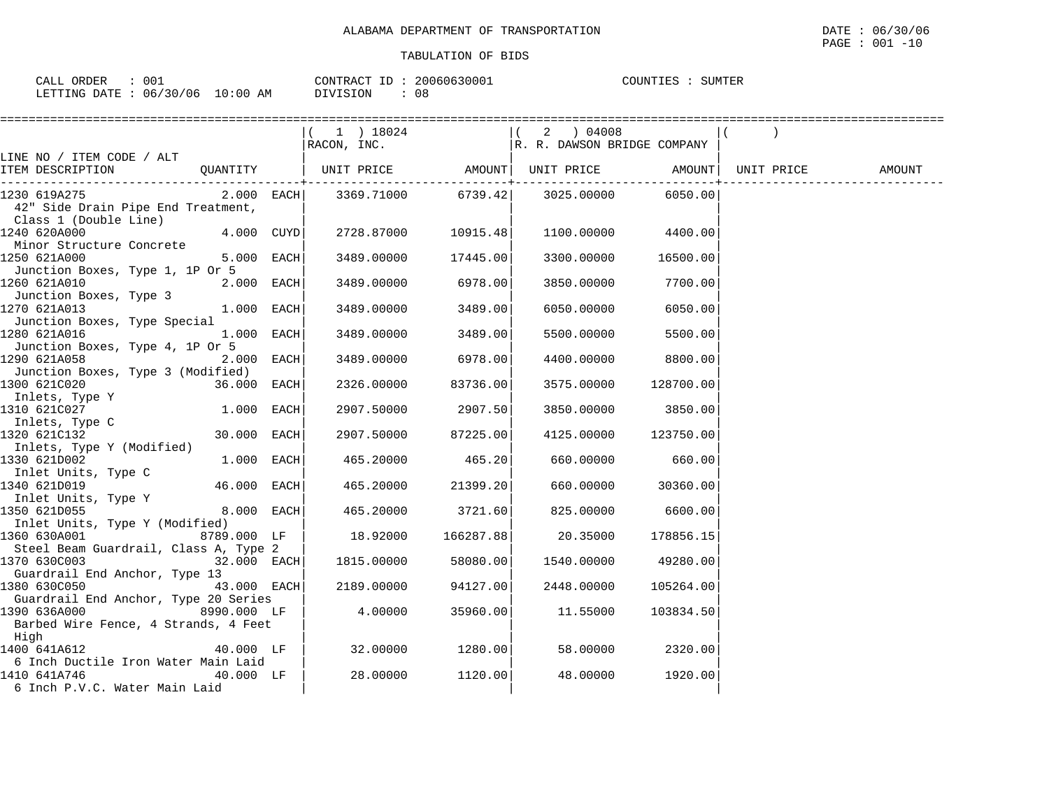| <b>ORDER</b><br>CALL | 001      |             | T <sub>D</sub><br>CONTRACT | 20060630001 | COUNTIES | SUMTER |  |
|----------------------|----------|-------------|----------------------------|-------------|----------|--------|--|
| LETTING DATE         | 06/30/06 | 10:00<br>AM | OIVISION                   | n c<br>U۲   |          |        |  |

|                                                                                                             |              |                                                                                                                                                                                     |          |            | ==================================== |            |        |
|-------------------------------------------------------------------------------------------------------------|--------------|-------------------------------------------------------------------------------------------------------------------------------------------------------------------------------------|----------|------------|--------------------------------------|------------|--------|
|                                                                                                             |              | $\begin{array}{ l l l l } \hline (1)&18024&\quad&\quad&\quad (2)&04008 \\ \hline \texttt{RACON, INC.} &\quad&\quad&\quad \texttt{R. R. DANSON BRIDGE COMPANY}\\ \hline \end{array}$ |          |            |                                      |            |        |
| LINE NO / ITEM CODE / ALT                                                                                   |              |                                                                                                                                                                                     |          |            |                                      |            |        |
| ITEM DESCRIPTION                                                                                            |              | QUANTITY   UNIT PRICE AMOUNT  UNIT PRICE AMOUNT                                                                                                                                     |          |            | . _ _ _ _ _ _ _ _ _ _ _ _ _ _ _ _    | UNIT PRICE | AMOUNT |
| 1230 619A275<br>42" Side Drain Pipe End Treatment,<br>Class 1 (Double Line)                                 | $2.000$ EACH | 3369.71000 6739.42 3025.00000                                                                                                                                                       |          |            | 6050.00                              |            |        |
| 1240 620A000<br>Minor Structure Concrete                                                                    | $4.000$ CUYD | 2728.87000 10915.48                                                                                                                                                                 |          |            | 1100.00000 4400.00                   |            |        |
| 1250 621A000<br>Junction Boxes, Type 1, 1P Or 5                                                             | $5.000$ EACH | 3489.00000                                                                                                                                                                          | 17445.00 | 3300.00000 | 16500.00                             |            |        |
| 1260 621A010<br>Junction Boxes, Type 3                                                                      | $2.000$ EACH | 3489.00000                                                                                                                                                                          | 6978.00  | 3850.00000 | 7700.00                              |            |        |
| 1270 621A013<br>Junction Boxes, Type Special                                                                | 1.000 EACH   | 3489.00000                                                                                                                                                                          | 3489.00  | 6050.00000 | 6050.00                              |            |        |
| 1280 621A016<br>Junction Boxes, Type 4, 1P Or 5                                                             | 1.000 EACH   | 3489.00000                                                                                                                                                                          | 3489.00  | 5500.00000 | 5500.00                              |            |        |
| 1290 621A058<br>Junction Boxes, Type 3 (Modified)                                                           | 2.000 EACH   | 3489.00000                                                                                                                                                                          | 6978.00  | 4400.00000 | 8800.00                              |            |        |
| 1300 621C020<br>Inlets, Type Y                                                                              | 36.000 EACH  | 2326.00000                                                                                                                                                                          | 83736.00 |            | 3575.00000 128700.00                 |            |        |
| 1310 621C027<br>Inlets, Type C                                                                              | $1.000$ EACH | 2907.50000                                                                                                                                                                          | 2907.50  | 3850.00000 | 3850.00                              |            |        |
| 1320 621C132<br>Inlets, Type Y (Modified)                                                                   | 30.000 EACH  | 2907.50000                                                                                                                                                                          | 87225.00 |            | 4125.00000 123750.00                 |            |        |
| 1330 621D002                                                                                                | $1.000$ EACH | 465.20000                                                                                                                                                                           | 465.20   | 660.00000  | 660.00                               |            |        |
| Inlet Units, Type C<br>1340 621D019<br>Inlet Units, Type Y                                                  | 46.000 EACH  | 465.20000                                                                                                                                                                           | 21399.20 |            | 660.00000 30360.00                   |            |        |
| 1350 621D055                                                                                                | 8.000 EACH   | 465.20000                                                                                                                                                                           | 3721.60  |            | 825.00000 6600.00                    |            |        |
| Inlet Units, Type Y (Modified)<br>1360 630A001                                                              | 8789.000 LF  | 18.92000 166287.88                                                                                                                                                                  |          | 20.35000   | 178856.15                            |            |        |
| Steel Beam Guardrail, Class A, Type 2<br>1370 630C003 32.000 EACH                                           |              | 1815.00000                                                                                                                                                                          | 58080.00 |            | 1540.00000 49280.00                  |            |        |
| Guardrail End Anchor, Type 13<br>1380 630C050                                                               | 43.000 EACH  | 2189.00000                                                                                                                                                                          | 94127.00 | 2448.00000 | 105264.00                            |            |        |
| Guardrail End Anchor, Type 20 Series<br>8990.000 LF<br>1390 636A000<br>Barbed Wire Fence, 4 Strands, 4 Feet |              | 4.00000                                                                                                                                                                             | 35960.00 | 11.55000   | 103834.50                            |            |        |
| High<br>1400 641A612                                                                                        | 40.000 LF    | 32.00000                                                                                                                                                                            | 1280.00  | 58.00000   | 2320.00                              |            |        |
| 6 Inch Ductile Iron Water Main Laid<br>1410 641A746<br>6 Inch P.V.C. Water Main Laid                        | $40.000$ LF  | 28.00000                                                                                                                                                                            | 1120.00  | 48.00000   | 1920.00                              |            |        |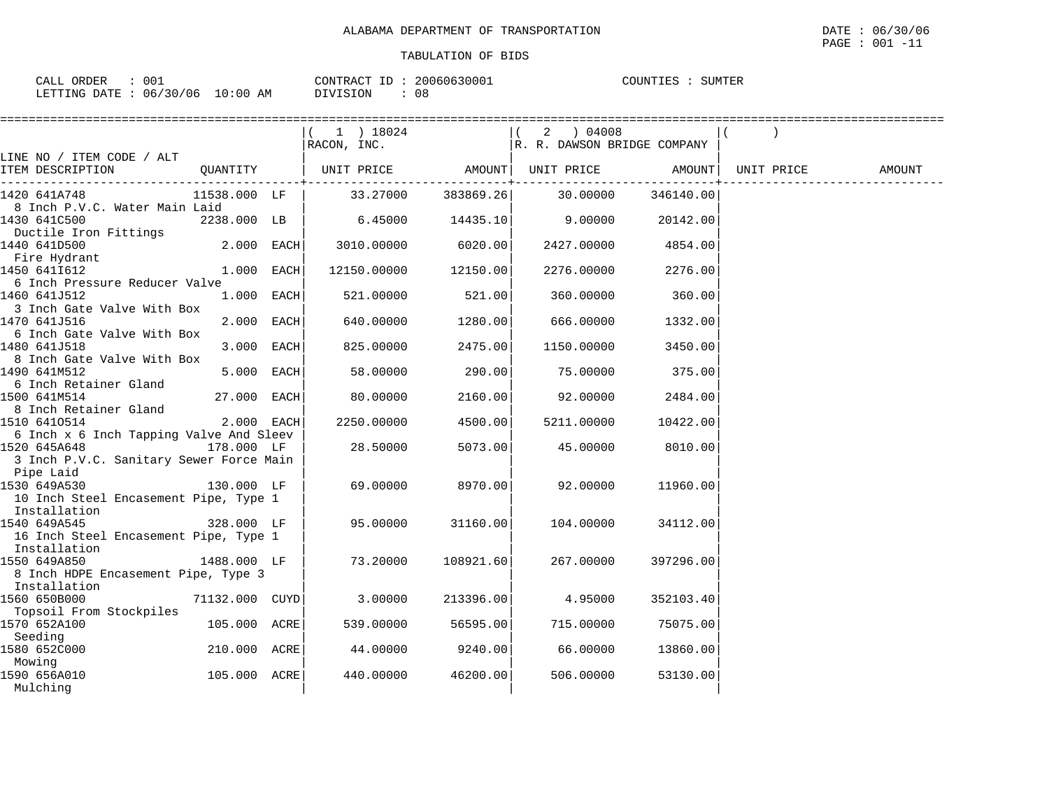| ORDER<br>CALL | 001      |                   | <b>CONTRACT</b> | 20060630001 | דידאזזרי | TUMTER |
|---------------|----------|-------------------|-----------------|-------------|----------|--------|
| LETTING DATE  | 06/30/06 | 1 ∩<br>l:00<br>AΜ | DIVISION        | U O         |          |        |

|                                                                                                    |                | $(1)$ 18024          |                    |                             |           |            |        |
|----------------------------------------------------------------------------------------------------|----------------|----------------------|--------------------|-----------------------------|-----------|------------|--------|
|                                                                                                    |                | RACON, INC.          |                    | R. R. DAWSON BRIDGE COMPANY |           |            |        |
| LINE NO / ITEM CODE / ALT<br>ITEM DESCRIPTION                                                      | QUANTITY       | UNIT PRICE           |                    | AMOUNT UNIT PRICE           | AMOUNT    | UNIT PRICE | AMOUNT |
| 1420 641A748<br>8 Inch P.V.C. Water Main Laid                                                      | 11538.000 LF   |                      | 33.27000 383869.26 | 30.00000                    | 346140.00 |            |        |
| 1430 641C500<br>Ductile Iron Fittings                                                              | 2238.000 LB    | $6.45000$ 14435.10   |                    | 9.00000                     | 20142.00  |            |        |
| 1440 641D500<br>Fire Hydrant                                                                       | $2.000$ EACH   | 3010.00000           | 6020.00            | 2427.00000                  | 4854.00   |            |        |
| 1450 6411612<br>6 Inch Pressure Reducer Valve                                                      | 1.000 EACH     | 12150.00000 12150.00 |                    | 2276.00000                  | 2276.00   |            |        |
| 1460 641J512<br>3 Inch Gate Valve With Box                                                         | $1.000$ EACH   | 521.00000            | 521.00             | 360.00000                   | 360.00    |            |        |
| 1470 641J516<br>6 Inch Gate Valve With Box                                                         | 2.000 EACH     | 640.00000            | 1280.00            | 666.00000                   | 1332.00   |            |        |
| 1480 641J518<br>8 Inch Gate Valve With Box                                                         | 3.000 EACH     | 825.00000            | 2475.00            | 1150.00000                  | 3450.00   |            |        |
| 1490 641M512<br>6 Inch Retainer Gland                                                              | 5.000 EACH     | 58.00000             | 290.001            | 75.00000                    | 375.00    |            |        |
| 1500 641M514<br>8 Inch Retainer Gland                                                              | 27.000 EACH    | 80.00000             | 2160.00            | 92.00000                    | 2484.00   |            |        |
| 1510 6410514                                                                                       | $2.000$ EACH   | 2250.00000           | 4500.00            | 5211.00000                  | 10422.00  |            |        |
| 6 Inch x 6 Inch Tapping Valve And Sleev<br>1520 645A648<br>3 Inch P.V.C. Sanitary Sewer Force Main | 178.000 LF     | 28.50000             | 5073.00            | 45.00000                    | 8010.00   |            |        |
| Pipe Laid<br>1530 649A530                                                                          | 130.000 LF     | 69.00000             | 8970.00            | 92.00000                    | 11960.00  |            |        |
| 10 Inch Steel Encasement Pipe, Type 1<br>Installation                                              |                |                      |                    |                             |           |            |        |
| 1540 649A545<br>16 Inch Steel Encasement Pipe, Type 1                                              | 328.000 LF     | 95.00000             | 31160.00           | 104.00000                   | 34112.00  |            |        |
| Installation<br>1550 649A850<br>8 Inch HDPE Encasement Pipe, Type 3                                | 1488.000 LF    | 73.20000             | 108921.60          | 267.00000                   | 397296.00 |            |        |
| Installation<br>1560 650B000                                                                       | 71132.000 CUYD | 3.00000              | 213396.00          | 4.95000                     | 352103.40 |            |        |
| Topsoil From Stockpiles<br>1570 652A100                                                            | 105.000 ACRE   | 539.00000            | 56595.00           | 715.00000                   | 75075.00  |            |        |
| Seeding<br>1580 652C000                                                                            | 210.000 ACRE   | 44.00000             | 9240.00            | 66.00000                    | 13860.00  |            |        |
| Mowing<br>1590 656A010<br>Mulching                                                                 | 105.000 ACRE   | 440.00000            | 46200.00           | 506.00000                   | 53130.00  |            |        |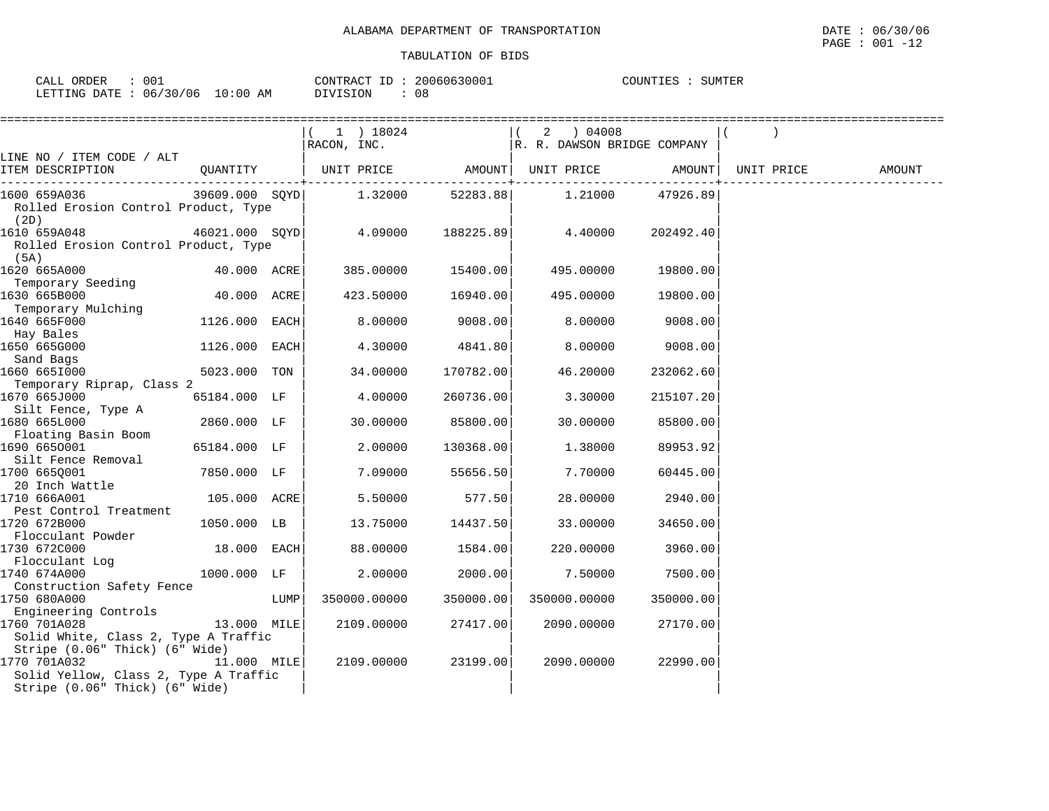| CALL<br>ORDER                   | 001 | CONTRACT ID: | 20060630001 | COUNTIES | SUMTER |
|---------------------------------|-----|--------------|-------------|----------|--------|
| LETTING DATE: 06/30/06 10:00 AM |     | DIVISION     | 08          |          |        |

|                                                                                                                           |                |      | ======================                                    |                                |                             |                     |            |        |
|---------------------------------------------------------------------------------------------------------------------------|----------------|------|-----------------------------------------------------------|--------------------------------|-----------------------------|---------------------|------------|--------|
|                                                                                                                           |                |      | $(1)$ 18024                                               |                                | 2 ) 04008                   |                     |            |        |
|                                                                                                                           |                |      | RACON, INC.                                               |                                | R. R. DAWSON BRIDGE COMPANY |                     |            |        |
| LINE NO / ITEM CODE / ALT<br>ITEM DESCRIPTION                                                                             | QUANTITY       |      | UNIT PRICE           AMOUNT   UNIT PRICE           AMOUNT |                                |                             |                     | UNIT PRICE | AMOUNT |
|                                                                                                                           |                |      |                                                           | . - - - - - - - - <del>+</del> |                             | ------------------- |            |        |
| 1600 659A036                                                                                                              | 39609.000 SQYD |      | 1.32000                                                   | 52283.88                       | 1.21000                     | 47926.89            |            |        |
| Rolled Erosion Control Product, Type<br>(2D)                                                                              |                |      |                                                           |                                |                             |                     |            |        |
| 1610 659A048<br>Rolled Erosion Control Product, Type                                                                      | 46021.000 SOYD |      | 4.09000                                                   | 188225.89                      | 4.40000                     | 202492.40           |            |        |
| (5A)<br>1620 665A000                                                                                                      | 40.000 ACRE    |      | 385.00000                                                 | 15400.00                       | 495.00000                   | 19800.00            |            |        |
| Temporary Seeding<br>1630 665B000                                                                                         | 40.000 ACRE    |      | 423.50000                                                 | 16940.00                       | 495.00000                   | 19800.00            |            |        |
| Temporary Mulching<br>1640 665F000                                                                                        | 1126.000 EACH  |      | 8.00000                                                   | 9008.00                        | 8.00000                     | 9008.00             |            |        |
| Hay Bales<br>1650 665G000                                                                                                 | 1126.000 EACH  |      | 4.30000                                                   | 4841.80                        | 8.00000                     | 9008.00             |            |        |
| Sand Bags<br>1660 6651000                                                                                                 | 5023.000 TON   |      | 34,00000                                                  | 170782.00                      | 46.20000                    | 232062.60           |            |        |
| Temporary Riprap, Class 2<br>1670 665J000<br>Silt Fence, Type A                                                           | 65184.000 LF   |      | 4.00000                                                   | 260736.00                      | 3.30000                     | 215107.20           |            |        |
| 1680 665L000<br>Floating Basin Boom                                                                                       | 2860.000 LF    |      | 30.00000                                                  | 85800.00                       | 30.00000                    | 85800.00            |            |        |
| 1690 6650001<br>Silt Fence Removal                                                                                        | 65184.000 LF   |      | 2,00000                                                   | 130368.00                      | 1.38000                     | 89953.92            |            |        |
| 1700 6650001<br>20 Inch Wattle                                                                                            | 7850.000 LF    |      | 7.09000                                                   | 55656.50                       | 7.70000                     | 60445.00            |            |        |
| 1710 666A001<br>Pest Control Treatment                                                                                    | 105.000 ACRE   |      | 5.50000                                                   | 577.50                         | 28.00000                    | 2940.00             |            |        |
| 1720 672B000<br>Flocculant Powder                                                                                         | 1050.000 LB    |      | 13.75000                                                  | 14437.50                       | 33.00000                    | 34650.00            |            |        |
| 1730 672C000<br>Flocculant Log                                                                                            | 18.000 EACH    |      | 88.00000                                                  | 1584.00                        | 220.00000                   | 3960.00             |            |        |
| 1740 674A000<br>Construction Safety Fence                                                                                 | 1000.000 LF    |      | 2.00000                                                   | 2000.00                        | 7.50000                     | 7500.00             |            |        |
| 1750 680A000<br>Engineering Controls                                                                                      |                | LUMP | 350000.00000                                              | 350000.00                      | 350000.00000                | 350000.00           |            |        |
| 1760 701A028<br>Solid White, Class 2, Type A Traffic                                                                      | 13.000 MILE    |      | 2109.00000                                                | 27417.00                       | 2090.00000                  | 27170.00            |            |        |
| Stripe (0.06" Thick) (6" Wide)<br>1770 701A032<br>Solid Yellow, Class 2, Type A Traffic<br>Stripe (0.06" Thick) (6" Wide) | 11.000 MILE    |      | 2109.00000                                                | 23199.00                       | 2090.00000                  | 22990.00            |            |        |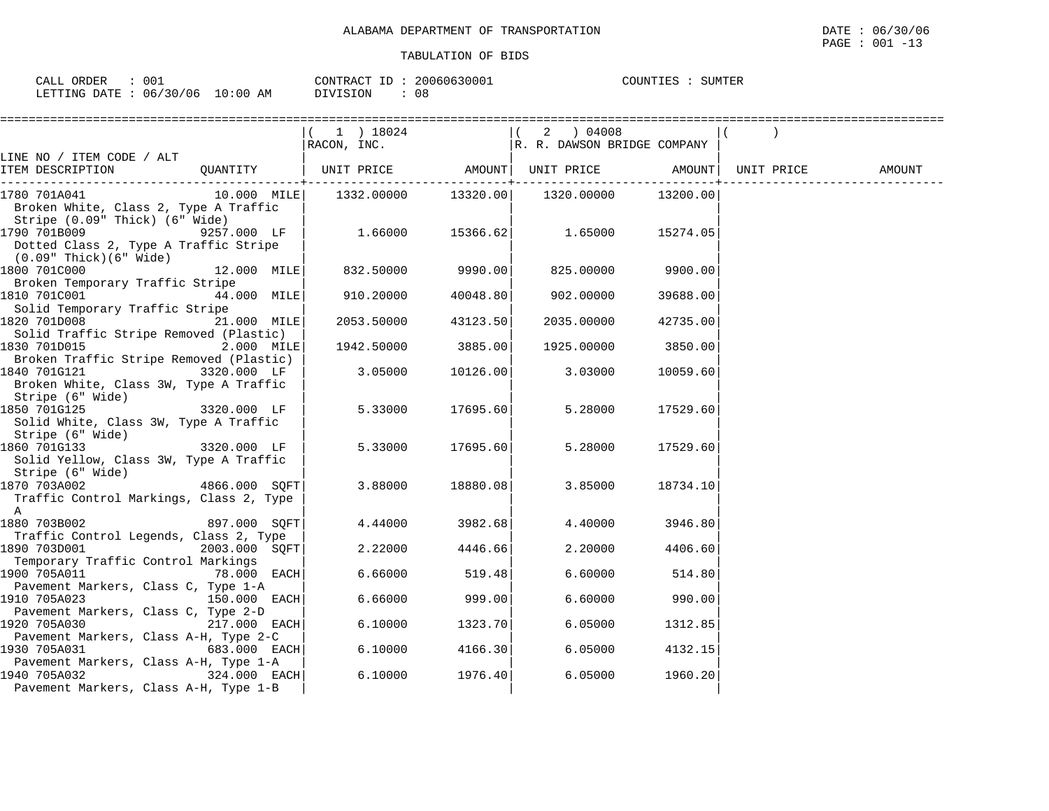| CALL ORDER                      | 001 |          | CONTRACT ID: 20060630001 | COUNTIES : | SUMTER |
|---------------------------------|-----|----------|--------------------------|------------|--------|
| LETTING DATE: 06/30/06 10:00 AM |     | DIVISION | 08                       |            |        |

|                                                            |                | $(1)$ 18024                    |                  | (2) 04008                             |                    |        |
|------------------------------------------------------------|----------------|--------------------------------|------------------|---------------------------------------|--------------------|--------|
|                                                            |                | RACON, INC.                    |                  | R. R. DAWSON BRIDGE COMPANY           |                    |        |
| LINE NO / ITEM CODE / ALT<br>ITEM DESCRIPTION              |                | QUANTITY   UNIT PRICE          |                  |                                       |                    |        |
|                                                            |                |                                |                  | AMOUNT  UNIT PRICE AMOUNT  UNIT PRICE |                    | AMOUNT |
| 1780 701A041                                               |                |                                |                  |                                       | 13200.00           |        |
| Broken White, Class 2, Type A Traffic                      |                |                                |                  |                                       |                    |        |
| Stripe (0.09" Thick) (6" Wide)                             |                |                                |                  |                                       |                    |        |
| 1790 701B009                                               | 9257.000 LF    | $1.66000$ $15366.62$ $1.65000$ |                  |                                       | 15274.05           |        |
| Dotted Class 2, Type A Traffic Stripe                      |                |                                |                  |                                       |                    |        |
| (0.09" Thick)(6" Wide)                                     |                |                                |                  |                                       |                    |        |
| 1800 701C000                                               | $12.000$ MILE  | $832.50000$ 9990.00            |                  | 825.00000                             | 9900.00            |        |
| Broken Temporary Traffic Stripe                            |                |                                |                  |                                       |                    |        |
| 1810 701C001                                               | 44.000 MILE    | 910.20000                      | 40048.80         | 902.00000                             | 39688.00           |        |
| Solid Temporary Traffic Stripe                             |                |                                |                  |                                       |                    |        |
| 1820 701D008                                               | 21.000 MILE    | 2053.50000                     | 43123.50         | 2035.00000                            | 42735.00           |        |
| Solid Traffic Stripe Removed (Plastic)                     |                |                                |                  |                                       |                    |        |
| 1830 701D015                                               | $2.000$ MILE   | 1942.50000 3885.00             |                  |                                       | 1925.00000 3850.00 |        |
| Broken Traffic Stripe Removed (Plastic)                    |                |                                |                  |                                       |                    |        |
| 1840 701G121                                               | 3320.000 LF    | 3.05000                        | 10126.00         | 3.03000                               | 10059.60           |        |
| Broken White, Class 3W, Type A Traffic                     |                |                                |                  |                                       |                    |        |
| Stripe (6" Wide)                                           |                |                                |                  |                                       |                    |        |
| 1850 701G125                                               | 3320.000 LF    |                                | 5.33000 17695.60 | 5.28000                               | 17529.60           |        |
| Solid White, Class 3W, Type A Traffic                      |                |                                |                  |                                       |                    |        |
| Stripe (6" Wide)<br>1860 701G133 3320.000 LF               |                |                                |                  |                                       |                    |        |
|                                                            |                | 5.33000                        | 17695.60         | 5.28000                               | 17529.60           |        |
| Solid Yellow, Class 3W, Type A Traffic<br>Stripe (6" Wide) |                |                                |                  |                                       |                    |        |
| 1870 703A002                                               | 4866.000 SOFT  | 3.88000                        | 18880.08         | 3.85000                               | 18734.10           |        |
| Traffic Control Markings, Class 2, Type                    |                |                                |                  |                                       |                    |        |
| A                                                          |                |                                |                  |                                       |                    |        |
| 1880 703B002  897.000 SQFT                                 |                | 4.44000                        | 3982.68          | 4.40000                               | 3946.80            |        |
| Traffic Control Legends, Class 2, Type                     |                |                                |                  |                                       |                    |        |
|                                                            | 2003.000 SOFT  | 2.22000                        | 4446.66          | 2.20000                               | 4406.60            |        |
| Temporary Traffic Control Markings                         |                |                                |                  |                                       |                    |        |
| 1900 705A011                                               | 78.000 EACH    | 6.66000                        | 519.48           | 6.60000                               | 514.80             |        |
| Pavement Markers, Class C, Type 1-A                        |                |                                |                  |                                       |                    |        |
| 1910 705A023<br>$150.000$ EACH                             |                | 6.66000                        | 999.00           | 6.60000                               | 990.00             |        |
| Pavement Markers, Class C, Type 2-D                        |                |                                |                  |                                       |                    |        |
| 1920 705A030                                               | $217.000$ EACH | 6.10000                        | 1323.70          | 6.05000                               | 1312.85            |        |
| Pavement Markers, Class A-H, Type 2-C                      |                |                                |                  |                                       |                    |        |
| 1930 705A031                                               | 683.000 EACH   | 6.10000                        | 4166.30          | 6.05000                               | 4132.15            |        |
| Pavement Markers, Class A-H, Type 1-A                      |                |                                |                  |                                       |                    |        |
| $324.000$ EACH<br>1940 705A032                             |                | 6.10000                        | 1976.40          | 6.05000                               | 1960.20            |        |
| Pavement Markers, Class A-H, Type 1-B                      |                |                                |                  |                                       |                    |        |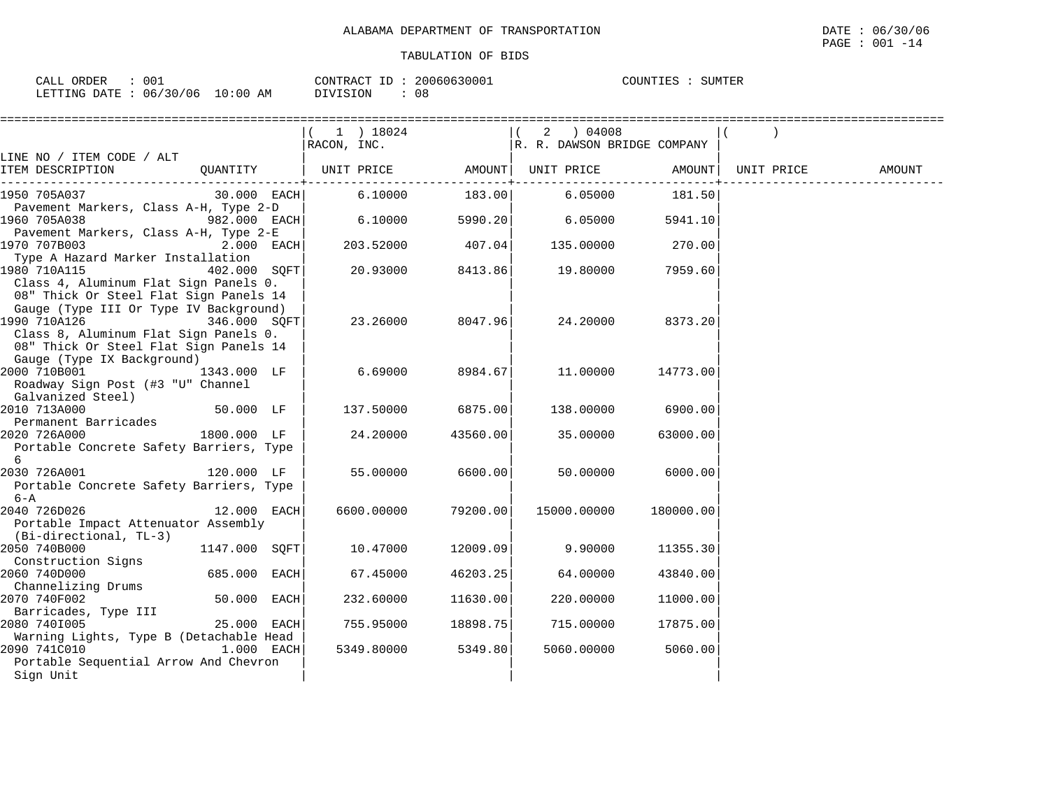| ORDER<br>TAT.T   |          |                           | CONTRACT<br>$\tau$ $\tau$ | 20060630001 | COUNTIES<br>UNIILS. | SUMTER |
|------------------|----------|---------------------------|---------------------------|-------------|---------------------|--------|
| LETTING<br>DATE. | 06/30/06 | :00<br>$\sim$<br>AΜ<br>TΩ | DIVISION                  | 08          |                     |        |

|                                                       |               |            | 1 ) 18024<br>RACON, INC.                        |          | 2 ) 04008<br>R. R. DAWSON BRIDGE COMPANY |              |            |        |
|-------------------------------------------------------|---------------|------------|-------------------------------------------------|----------|------------------------------------------|--------------|------------|--------|
| LINE NO / ITEM CODE / ALT                             |               |            |                                                 |          |                                          |              |            |        |
| ITEM DESCRIPTION                                      |               |            | QUANTITY   UNIT PRICE AMOUNT  UNIT PRICE AMOUNT |          |                                          | -----------+ | UNIT PRICE | AMOUNT |
| 1950 705A037                                          | $30.000$ EACH |            | 6.10000                                         | 183.00   | 6.05000                                  | 181.50       |            |        |
| Pavement Markers, Class A-H, Type 2-D                 |               |            |                                                 |          |                                          |              |            |        |
| 1960 705A038                                          | 982.000 EACH  |            | 6.10000                                         | 5990.20  | 6.05000                                  | 5941.10      |            |        |
| Pavement Markers, Class A-H, Type 2-E<br>1970 707B003 |               | 2.000 EACH | 203.52000                                       | 407.04   | 135.00000                                | 270.00       |            |        |
| Type A Hazard Marker Installation                     |               |            |                                                 |          |                                          |              |            |        |
| 1980 710A115                                          | 402.000 SQFT  |            | 20.93000                                        | 8413.86  | 19.80000                                 | 7959.60      |            |        |
| Class 4, Aluminum Flat Sign Panels 0.                 |               |            |                                                 |          |                                          |              |            |        |
| 08" Thick Or Steel Flat Sign Panels 14                |               |            |                                                 |          |                                          |              |            |        |
| Gauge (Type III Or Type IV Background)                |               |            |                                                 |          |                                          |              |            |        |
| 1990 710A126                                          | 346.000 SOFT  |            | 23.26000                                        | 8047.96  | 24.20000                                 | 8373.20      |            |        |
| Class 8, Aluminum Flat Sign Panels 0.                 |               |            |                                                 |          |                                          |              |            |        |
| 08" Thick Or Steel Flat Sign Panels 14                |               |            |                                                 |          |                                          |              |            |        |
| Gauge (Type IX Background)                            |               |            |                                                 |          |                                          |              |            |        |
| 2000 710B001                                          | 1343.000 LF   |            | 6.69000                                         | 8984.67  | 11.00000                                 | 14773.00     |            |        |
| Roadway Sign Post (#3 "U" Channel                     |               |            |                                                 |          |                                          |              |            |        |
| Galvanized Steel)                                     |               |            |                                                 |          |                                          |              |            |        |
| 2010 713A000                                          | 50.000 LF     |            | 137.50000                                       | 6875.00  | 138.00000                                | 6900.00      |            |        |
| Permanent Barricades                                  |               |            |                                                 |          |                                          |              |            |        |
| 2020 726A000                                          | 1800.000 LF   |            | 24.20000                                        | 43560.00 | 35.00000                                 | 63000.00     |            |        |
| Portable Concrete Safety Barriers, Type               |               |            |                                                 |          |                                          |              |            |        |
| 6                                                     |               |            |                                                 |          |                                          |              |            |        |
| 2030 726A001                                          | 120.000 LF    |            | 55.00000                                        | 6600.00  | 50.00000                                 | 6000.00      |            |        |
| Portable Concrete Safety Barriers, Type               |               |            |                                                 |          |                                          |              |            |        |
| $6 - A$                                               |               |            |                                                 |          |                                          |              |            |        |
| 2040 726D026                                          | 12.000 EACH   |            | 6600.00000                                      | 79200.00 | 15000.00000                              | 180000.00    |            |        |
| Portable Impact Attenuator Assembly                   |               |            |                                                 |          |                                          |              |            |        |
| (Bi-directional, TL-3)                                |               |            |                                                 |          |                                          |              |            |        |
| 2050 740B000                                          | 1147.000 SQFT |            | 10.47000                                        | 12009.09 | 9.90000                                  | 11355.30     |            |        |
| Construction Signs                                    |               |            |                                                 |          |                                          |              |            |        |
| 2060 740D000                                          | 685.000 EACH  |            | 67.45000                                        | 46203.25 | 64.00000                                 | 43840.00     |            |        |
| Channelizing Drums                                    |               |            |                                                 |          |                                          |              |            |        |
| 2070 740F002                                          | 50.000 EACH   |            | 232.60000                                       | 11630.00 | 220.00000                                | 11000.00     |            |        |
| Barricades, Type III                                  |               |            |                                                 |          |                                          |              |            |        |
| 2080 7401005                                          | 25.000 EACH   |            | 755.95000                                       | 18898.75 | 715,00000                                | 17875.00     |            |        |
| Warning Lights, Type B (Detachable Head               |               |            |                                                 |          |                                          |              |            |        |
| 2090 741C010<br>1.000 EACH                            |               |            | 5349.80000                                      | 5349.80  | 5060.00000                               | 5060.00      |            |        |
| Portable Sequential Arrow And Chevron                 |               |            |                                                 |          |                                          |              |            |        |
| Sign Unit                                             |               |            |                                                 |          |                                          |              |            |        |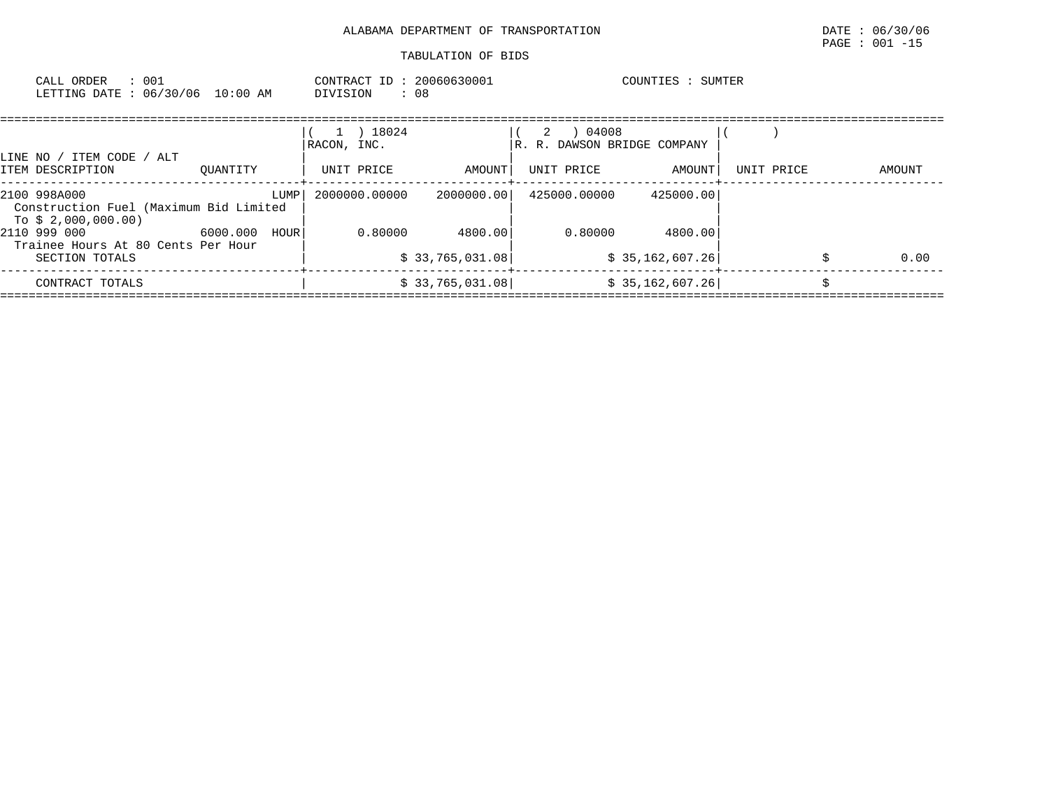| TABULATION OF BIDS |  |  |
|--------------------|--|--|
|                    |  |  |

| CALL ORDER<br>: 001<br>LETTING DATE : 06/30/06 10:00 AM                       |               | CONTRACT ID: 20060630001<br>DIVISION | : 08            |                                           | COUNTIES : SUMTER |            |        |
|-------------------------------------------------------------------------------|---------------|--------------------------------------|-----------------|-------------------------------------------|-------------------|------------|--------|
| LINE NO / ITEM CODE / ALT                                                     |               | 18024<br>RACON, INC.                 |                 | 04008<br>2<br>R. R. DAWSON BRIDGE COMPANY |                   |            |        |
| ITEM DESCRIPTION                                                              | OUANTITY      | UNIT PRICE                           | AMOUNT          | UNIT PRICE                                | AMOUNT            | UNIT PRICE | AMOUNT |
| 2100 998A000<br>Construction Fuel (Maximum Bid Limited<br>To \$ 2,000,000.00) | LUMP          | 2000000.00000                        | 2000000.001     | 425000.00000                              | 425000.00         |            |        |
| 2110 999 000<br>Trainee Hours At 80 Cents Per Hour                            | 6000.000 HOUR | 0.80000                              | 4800.00         | 0.80000                                   | 4800.00           |            |        |
| SECTION TOTALS                                                                |               |                                      | \$33,765,031.08 |                                           | \$35,162,607.26]  |            | 0.00   |
|                                                                               |               |                                      |                 |                                           |                   |            |        |

 CONTRACT TOTALS | \$ 33,765,031.08| \$ 35,162,607.26| \$ ====================================================================================================================================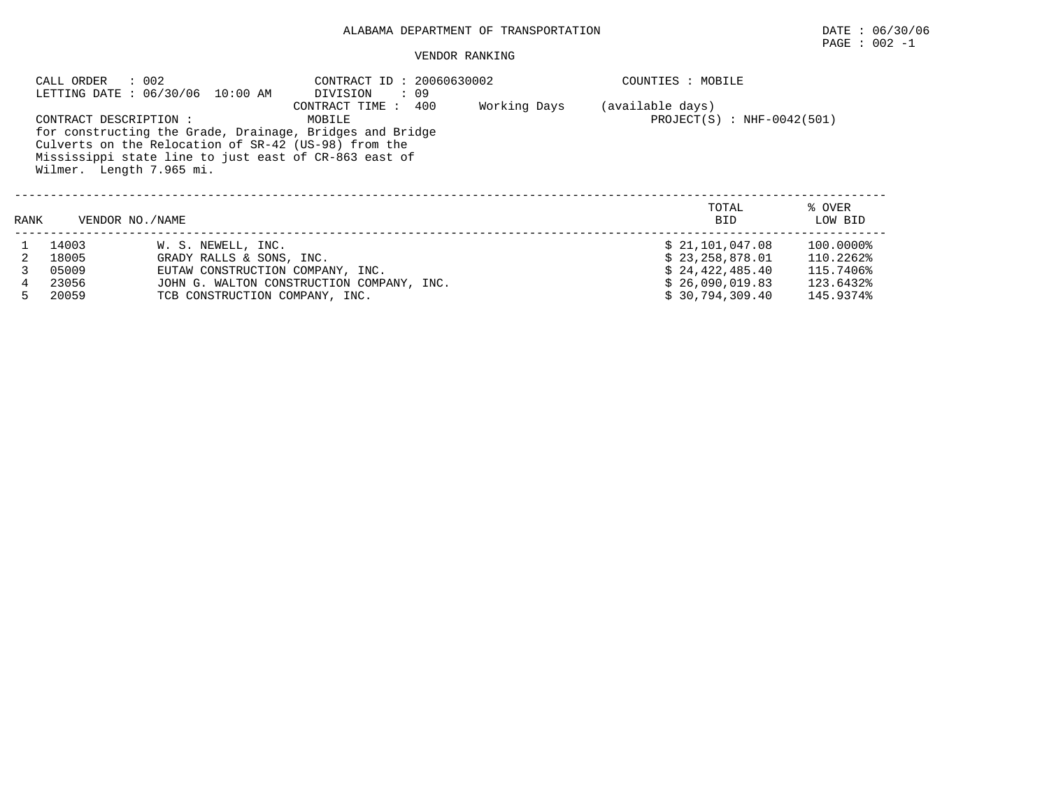## ALABAMA DEPARTMENT OF TRANSPORTATION DATE : 06/30/06

#### VENDOR RANKING

|      | CALL ORDER<br>CONTRACT DESCRIPTION: | : 002<br>LETTING DATE: 06/30/06 10:00 AM<br>for constructing the Grade, Drainage, Bridges and Bridge<br>Culverts on the Relocation of SR-42 (US-98) from the<br>Mississippi state line to just east of CR-863 east of<br>Wilmer. Length 7.965 mi. | COUNTIES : MOBILE<br>(available days)<br>$PROJECT(S)$ : NHF-0042(501) |  |                     |                   |  |  |
|------|-------------------------------------|---------------------------------------------------------------------------------------------------------------------------------------------------------------------------------------------------------------------------------------------------|-----------------------------------------------------------------------|--|---------------------|-------------------|--|--|
| RANK |                                     | VENDOR NO./NAME                                                                                                                                                                                                                                   |                                                                       |  | TOTAL<br><b>BID</b> | % OVER<br>LOW BID |  |  |
|      | 14003                               | W. S. NEWELL, INC.                                                                                                                                                                                                                                |                                                                       |  | \$21,101,047.08     | 100.0000%         |  |  |
|      | 18005                               | GRADY RALLS & SONS, INC.                                                                                                                                                                                                                          |                                                                       |  | \$23,258,878.01     | 110.2262%         |  |  |
|      | 05009                               | EUTAW CONSTRUCTION COMPANY, INC.                                                                                                                                                                                                                  |                                                                       |  | \$24,422,485.40     | 115.7406%         |  |  |
|      | 23056                               |                                                                                                                                                                                                                                                   | JOHN G. WALTON CONSTRUCTION COMPANY, INC.                             |  | \$26,090,019.83     | 123.6432%         |  |  |
|      | 20059                               | TCB CONSTRUCTION COMPANY, INC.                                                                                                                                                                                                                    |                                                                       |  | \$30,794,309.40     | 145.9374%         |  |  |

 $\texttt{PAGE}$  : 002 -1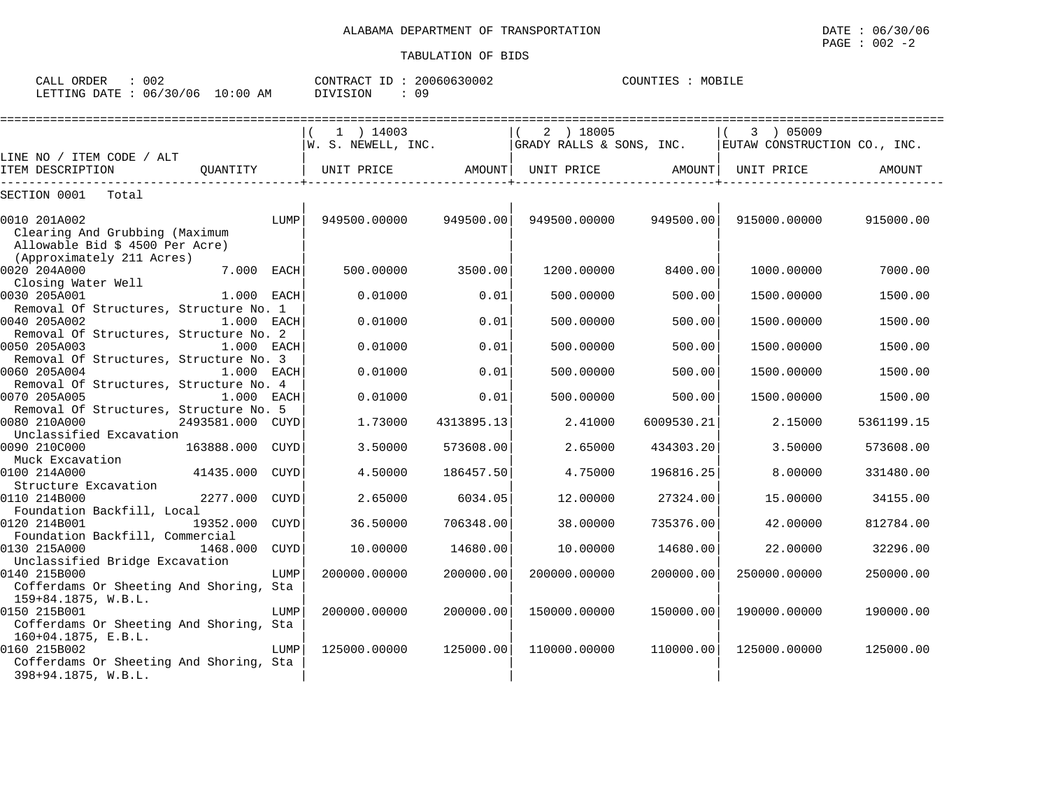| CALL<br>ORDER   | $\sim$ $\sim$ $\sim$ |                  | CONTRACT<br>TD. | 20060630002 | COUNTIES | MOBII <sup>.</sup> |
|-----------------|----------------------|------------------|-----------------|-------------|----------|--------------------|
| LETTING<br>DATE | 06/30/06             | l:00<br>10<br>AM | DIVISION        | n a         |          |                    |

|                                                                                   |                         | 1 ) 14003<br>W. S. NEWELL, INC. |            | 2 ) 18005<br>GRADY RALLS & SONS, INC. |            | 3 ) 05009<br>EUTAW CONSTRUCTION CO., INC. |            |
|-----------------------------------------------------------------------------------|-------------------------|---------------------------------|------------|---------------------------------------|------------|-------------------------------------------|------------|
| LINE NO / ITEM CODE / ALT                                                         |                         |                                 |            |                                       |            |                                           |            |
| ITEM DESCRIPTION                                                                  | OUANTITY                | UNIT PRICE                      | AMOUNT     | UNIT PRICE                            | AMOUNT     | UNIT PRICE                                | AMOUNT     |
| SECTION 0001<br>Total                                                             |                         |                                 |            |                                       |            |                                           |            |
| 0010 201A002<br>Clearing And Grubbing (Maximum<br>Allowable Bid \$ 4500 Per Acre) | LUMP                    | 949500.00000                    | 949500.00  | 949500.00000                          | 949500.00  | 915000.00000                              | 915000.00  |
| (Approximately 211 Acres)<br>0020 204A000<br>Closing Water Well                   | 7.000 EACH              | 500.00000                       | 3500.00    | 1200.00000                            | 8400.00    | 1000.00000                                | 7000.00    |
| 0030 205A001<br>Removal Of Structures, Structure No. 1                            | 1.000 EACH              | 0.01000                         | 0.01       | 500.00000                             | 500.00     | 1500.00000                                | 1500.00    |
| 0040 205A002<br>Removal Of Structures, Structure No. 2                            | 1.000 EACH              | 0.01000                         | 0.01       | 500,00000                             | 500.00     | 1500.00000                                | 1500.00    |
| 0050 205A003<br>Removal Of Structures, Structure No. 3                            | 1.000 EACH              | 0.01000                         | 0.01       | 500.00000                             | 500.00     | 1500.00000                                | 1500.00    |
| 0060 205A004<br>Removal Of Structures, Structure No. 4                            | 1.000 EACH              | 0.01000                         | 0.01       | 500.00000                             | 500.00     | 1500.00000                                | 1500.00    |
| 0070 205A005<br>Removal Of Structures, Structure No. 5                            | 1.000 EACH              | 0.01000                         | 0.01       | 500.00000                             | 500.00     | 1500.00000                                | 1500.00    |
| 0080 210A000<br>Unclassified Excavation                                           | 2493581.000 CUYD        | 1.73000                         | 4313895.13 | 2.41000                               | 6009530.21 | 2.15000                                   | 5361199.15 |
| 0090 210C000<br>Muck Excavation                                                   | 163888.000<br>CUYD      | 3.50000                         | 573608.00  | 2.65000                               | 434303.20  | 3.50000                                   | 573608.00  |
| 0100 214A000<br>Structure Excavation                                              | 41435.000<br>CUYD       | 4.50000                         | 186457.50  | 4.75000                               | 196816.25  | 8,00000                                   | 331480.00  |
| 0110 214B000<br>Foundation Backfill, Local                                        | 2277.000<br><b>CUYD</b> | 2.65000                         | 6034.05    | 12.00000                              | 27324.00   | 15.00000                                  | 34155.00   |
| 0120 214B001<br>Foundation Backfill, Commercial                                   | 19352.000 CUYD          | 36.50000                        | 706348.00  | 38.00000                              | 735376.00  | 42.00000                                  | 812784.00  |
| 0130 215A000<br>Unclassified Bridge Excavation                                    | 1468.000<br>CUYD        | 10,00000                        | 14680.00   | 10.00000                              | 14680.00   | 22,00000                                  | 32296.00   |
| 0140 215B000<br>Cofferdams Or Sheeting And Shoring, Sta<br>159+84.1875, W.B.L.    | LUMP                    | 200000.00000                    | 200000.00  | 200000.00000                          | 200000.00  | 250000.00000                              | 250000.00  |
| 0150 215B001<br>Cofferdams Or Sheeting And Shoring, Sta<br>$160+04.1875$ , E.B.L. | LUMP                    | 200000.00000                    | 200000.00  | 150000.00000                          | 150000.00  | 190000.00000                              | 190000.00  |
| 0160 215B002<br>Cofferdams Or Sheeting And Shoring, Sta<br>398+94.1875, W.B.L.    | LUMP                    | 125000.00000                    | 125000.00  | 110000.00000                          | 110000.00  | 125000.00000                              | 125000.00  |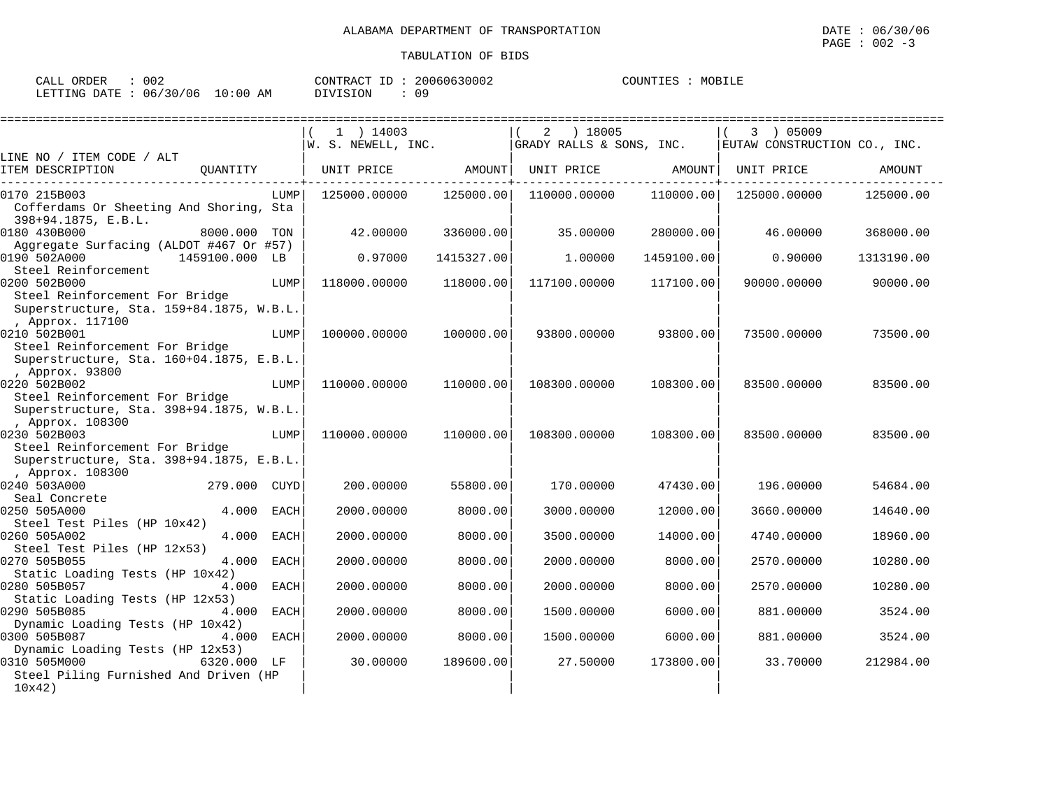| ORDER<br>CALL | $\sim$ $\sim$ $\sim$ |             | CONTRACT   | 20060630002 | COUNTIL<br>TTES. | MORTI <sub>J</sub><br>- 11 Pr |
|---------------|----------------------|-------------|------------|-------------|------------------|-------------------------------|
| LETTING DATE  | 06/30/06             | 10:00<br>AM | $\sqrt{1}$ | n c         |                  |                               |

|                                                              |                      | $1$ ) 14003                   |                       | 2<br>) 18005             |                   | 3 ) 05009                    |            |
|--------------------------------------------------------------|----------------------|-------------------------------|-----------------------|--------------------------|-------------------|------------------------------|------------|
|                                                              |                      | $\mathsf{W. S. NEWELL, INC.}$ |                       | GRADY RALLS & SONS, INC. |                   | EUTAW CONSTRUCTION CO., INC. |            |
| LINE NO / ITEM CODE / ALT                                    |                      |                               |                       |                          |                   |                              |            |
| ITEM DESCRIPTION                                             | OUANTITY             |                               | UNIT PRICE AMOUNT     |                          | UNIT PRICE AMOUNT | UNIT PRICE                   | AMOUNT     |
| 0170 215B003                                                 | LUMP                 | 125000.00000                  | 125000.00             | 110000.00000             | 110000.00         | 125000.00000                 | 125000.00  |
| Cofferdams Or Sheeting And Shoring, Sta                      |                      |                               |                       |                          |                   |                              |            |
| 398+94.1875, E.B.L.                                          |                      |                               |                       |                          |                   |                              |            |
| 0180 430B000                                                 | 8000.000 TON         | 42.00000                      | 336000.00             | 35.00000                 | 280000.00         | 46.00000                     | 368000.00  |
| Aggregate Surfacing (ALDOT #467 Or #57)                      |                      |                               |                       |                          |                   |                              |            |
| 0190 502A000                                                 | 1459100.000 LB       |                               | 0.97000<br>1415327.00 | 1,00000                  | 1459100.00        | 0.90000                      | 1313190.00 |
| Steel Reinforcement                                          |                      |                               |                       |                          |                   |                              |            |
| 0200 502B000                                                 | LUMP                 | 118000.00000                  | 118000.00             | 117100.00000             | 117100.00         | 90000.00000                  | 90000.00   |
| Steel Reinforcement For Bridge                               |                      |                               |                       |                          |                   |                              |            |
| Superstructure, Sta. 159+84.1875, W.B.L.<br>, Approx. 117100 |                      |                               |                       |                          |                   |                              |            |
| 0210 502B001                                                 | LUMP                 | 100000.00000                  | 100000.00             | 93800.00000              | 93800.00          | 73500.00000                  | 73500.00   |
| Steel Reinforcement For Bridge                               |                      |                               |                       |                          |                   |                              |            |
| Superstructure, Sta. 160+04.1875, E.B.L.                     |                      |                               |                       |                          |                   |                              |            |
| , Approx. 93800                                              |                      |                               |                       |                          |                   |                              |            |
| 0220 502B002                                                 | LUMP                 | 110000.00000                  | 110000.00             | 108300.00000             | 108300.00         | 83500.00000                  | 83500.00   |
| Steel Reinforcement For Bridge                               |                      |                               |                       |                          |                   |                              |            |
| Superstructure, Sta. 398+94.1875, W.B.L.                     |                      |                               |                       |                          |                   |                              |            |
| , Approx. 108300                                             |                      |                               |                       |                          |                   |                              |            |
| 0230 502B003                                                 | LUMP                 | 110000.00000                  | 110000.00             | 108300.00000             | 108300.00         | 83500.00000                  | 83500.00   |
| Steel Reinforcement For Bridge                               |                      |                               |                       |                          |                   |                              |            |
| Superstructure, Sta. 398+94.1875, E.B.L.                     |                      |                               |                       |                          |                   |                              |            |
| , Approx. 108300                                             |                      |                               |                       |                          |                   |                              |            |
| 0240 503A000<br>Seal Concrete                                | 279.000 CUYD         | 200.00000                     | 55800.00              | 170.00000                | 47430.00          | 196.00000                    | 54684.00   |
| 0250 505A000                                                 | 4.000<br>EACH        | 2000.00000                    | 8000.00               | 3000.00000               | 12000.00          | 3660.00000                   | 14640.00   |
| Steel Test Piles (HP 10x42)                                  |                      |                               |                       |                          |                   |                              |            |
| 0260 505A002                                                 | 4.000<br><b>EACH</b> | 2000.00000                    | 8000.00               | 3500.00000               | 14000.00          | 4740.00000                   | 18960.00   |
| Steel Test Piles (HP 12x53)                                  |                      |                               |                       |                          |                   |                              |            |
| 0270 505B055                                                 | 4.000<br><b>EACH</b> | 2000.00000                    | 8000.00               | 2000.00000               | 8000.00           | 2570.00000                   | 10280.00   |
| Static Loading Tests (HP 10x42)                              |                      |                               |                       |                          |                   |                              |            |
| 0280 505B057                                                 | 4.000 EACH           | 2000.00000                    | 8000.00               | 2000.00000               | 8000.00           | 2570.00000                   | 10280.00   |
| Static Loading Tests (HP 12x53)                              |                      |                               |                       |                          |                   |                              |            |
| 0290 505B085                                                 | 4.000<br>EACH        | 2000.00000                    | 8000.00               | 1500.00000               | 6000.00           | 881.00000                    | 3524.00    |
| Dynamic Loading Tests (HP 10x42)                             |                      |                               |                       |                          |                   |                              |            |
| 0300 505B087                                                 | 4.000 EACH           | 2000.00000                    | 8000.00               | 1500.00000               | 6000.00           | 881.00000                    | 3524.00    |
| Dynamic Loading Tests (HP 12x53)<br>0310 505M000             | 6320.000 LF          | 30.00000                      | 189600.00             | 27.50000                 | 173800.00         | 33.70000                     | 212984.00  |
| Steel Piling Furnished And Driven (HP                        |                      |                               |                       |                          |                   |                              |            |
| 10x42)                                                       |                      |                               |                       |                          |                   |                              |            |
|                                                              |                      |                               |                       |                          |                   |                              |            |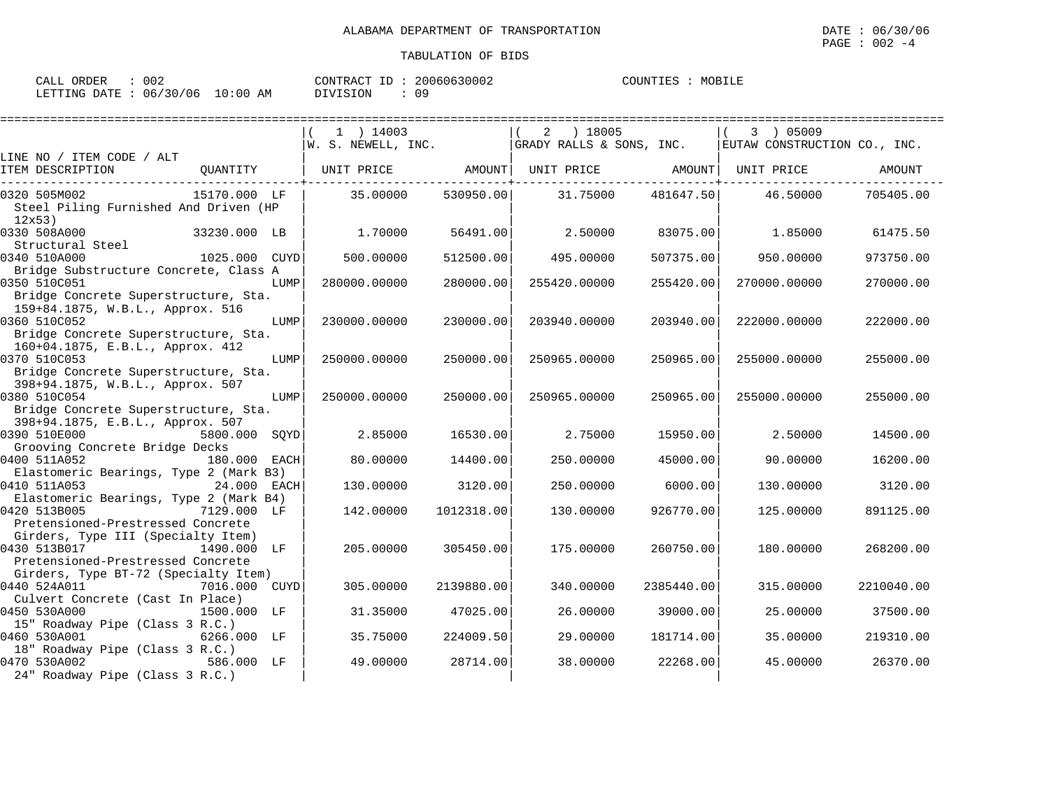| ORDER<br>CALL \                  | 002 | CONTRACT ID | 20060630002 | COUNTIES | MOBILE |
|----------------------------------|-----|-------------|-------------|----------|--------|
| LETTING DATE : 06/30/06 10:00 AM |     | DIVISION    | n q         |          |        |

|                                                                                                           | $1$ ) 14003<br>$ W. S. NEWELL, INC.$ $ $ GRADY RALLS & SONS, INC. |            | 2 ) 18005    |            | 3 ) 05009<br>EUTAW CONSTRUCTION CO., INC. |            |
|-----------------------------------------------------------------------------------------------------------|-------------------------------------------------------------------|------------|--------------|------------|-------------------------------------------|------------|
| LINE NO / ITEM CODE / ALT                                                                                 |                                                                   |            |              |            |                                           |            |
| QUANTITY   UNIT PRICE     AMOUNT  UNIT PRICE     AMOUNT  UNIT PRICE<br>ITEM DESCRIPTION                   |                                                                   |            |              |            |                                           | AMOUNT     |
| 15170.000 LF<br>0320 505M002<br>Steel Piling Furnished And Driven (HP<br>12x53)                           | 35.00000                                                          | 530950.00  | 31.75000     | 481647.50  | 46.50000                                  | 705405.00  |
| 0330 508A000<br>33230.000 LB<br>Structural Steel                                                          | 1.70000                                                           | 56491.00   | 2.50000      | 83075.00   | 1.85000                                   | 61475.50   |
| 1025.000 CUYD<br>0340 510A000<br>Bridge Substructure Concrete, Class A                                    | 500.00000                                                         | 512500.00  | 495.00000    | 507375.00  | 950.00000                                 | 973750.00  |
| 0350 510C051<br>LUMP<br>Bridge Concrete Superstructure, Sta.                                              | 280000.00000                                                      | 280000.00  | 255420.00000 | 255420.00  | 270000.00000                              | 270000.00  |
| 159+84.1875, W.B.L., Approx. 516<br>0360 510C052<br>LUMP<br>Bridge Concrete Superstructure, Sta.          | 230000.00000                                                      | 230000.00  | 203940.00000 | 203940.00  | 222000.00000                              | 222000.00  |
| 160+04.1875, E.B.L., Approx. 412<br>0370 510C053<br>LUMP<br>Bridge Concrete Superstructure, Sta.          | 250000.00000                                                      | 250000.00  | 250965.00000 | 250965.00  | 255000.00000                              | 255000.00  |
| 398+94.1875, W.B.L., Approx. 507<br>0380 510C054<br>LUMP                                                  | 250000.00000                                                      | 250000.00  | 250965.00000 | 250965.00  | 255000.00000                              | 255000.00  |
| Bridge Concrete Superstructure, Sta.<br>398+94.1875, E.B.L., Approx. 507                                  |                                                                   |            |              |            |                                           |            |
| 0390 510E000<br>5800.000 SQYD<br>Grooving Concrete Bridge Decks                                           | 2.85000                                                           | 16530.00   | 2.75000      | 15950.00   | 2.50000                                   | 14500.00   |
| 0400 511A052<br>180.000 EACH<br>Elastomeric Bearings, Type 2 (Mark B3)                                    | 80.00000                                                          | 14400.00   | 250.00000    | 45000.00   | 90.00000                                  | 16200.00   |
| 0410 511A053<br>24.000 EACH<br>Elastomeric Bearings, Type 2 (Mark B4)                                     | 130.00000                                                         | 3120.00    | 250.00000    | 6000.00    | 130.00000                                 | 3120.00    |
| 0420 513B005<br>7129.000 LF<br>Pretensioned-Prestressed Concrete<br>Girders, Type III (Specialty Item)    | 142.00000                                                         | 1012318.00 | 130.00000    | 926770.00  | 125.00000                                 | 891125.00  |
| 0430 513B017<br>1490.000 LF<br>Pretensioned-Prestressed Concrete                                          | 205.00000                                                         | 305450.00  | 175.00000    | 260750.00  | 180.00000                                 | 268200.00  |
| Girders, Type BT-72 (Specialty Item)<br>0440 524A011<br>7016.000 CUYD<br>Culvert Concrete (Cast In Place) | 305.00000                                                         | 2139880.00 | 340.00000    | 2385440.00 | 315.00000                                 | 2210040.00 |
| 0450 530A000<br>1500.000 LF<br>15" Roadway Pipe (Class 3 R.C.)                                            | 31.35000                                                          | 47025.00   | 26.00000     | 39000.00   | 25.00000                                  | 37500.00   |
| 0460 530A001<br>6266.000 LF<br>18" Roadway Pipe (Class 3 R.C.)                                            | 35.75000                                                          | 224009.50  | 29.00000     | 181714.00  | 35.00000                                  | 219310.00  |
| 0470 530A002<br>586.000 LF<br>24" Roadway Pipe (Class 3 R.C.)                                             | 49.00000                                                          | 28714.00   | 38,00000     | 22268.00   | 45.00000                                  | 26370.00   |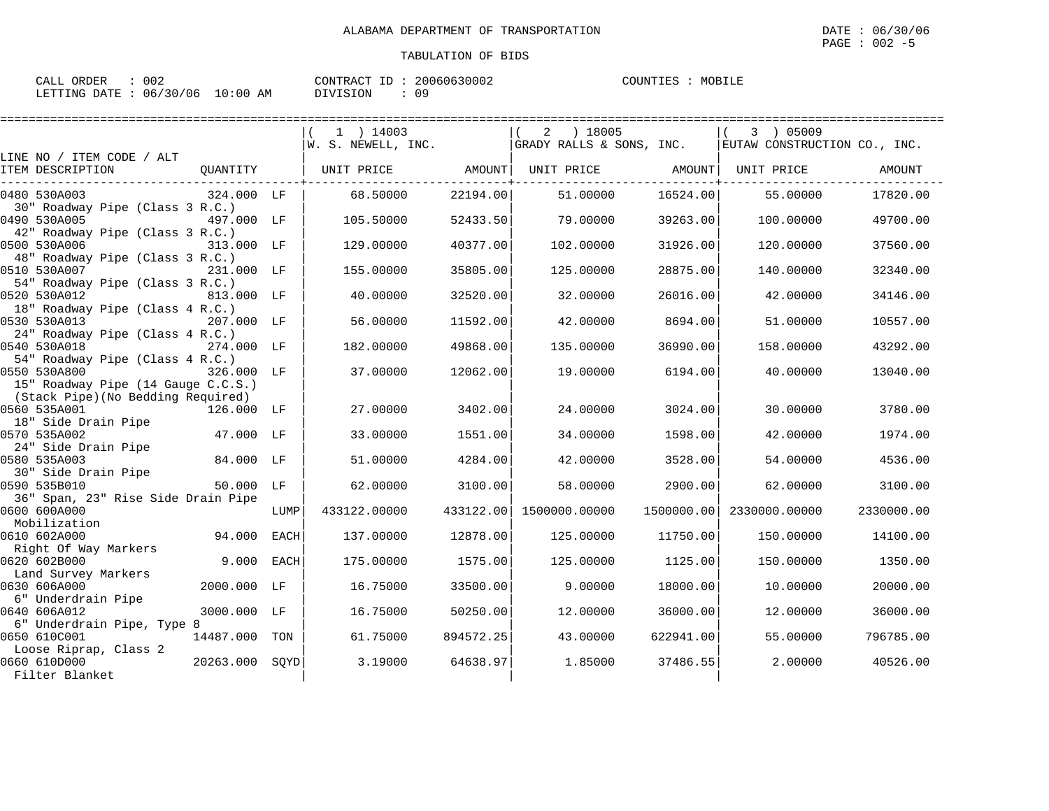| CALL ORDER : 002                |  | CONTRACT ID: 20060630002 |    | COUNTIES : MOBILE |  |
|---------------------------------|--|--------------------------|----|-------------------|--|
| LETTING DATE: 06/30/06 10:00 AM |  | DIVISION                 | 09 |                   |  |

|                                                    |                | ======================== |           |                           |            |                              |            |
|----------------------------------------------------|----------------|--------------------------|-----------|---------------------------|------------|------------------------------|------------|
|                                                    |                | $1$ ) 14003              |           | $2 \t) 18005$             |            | 3 ) 05009                    |            |
|                                                    |                | W. S. NEWELL, INC.       |           | GRADY RALLS & SONS, INC.  |            | EUTAW CONSTRUCTION CO., INC. |            |
| LINE NO / ITEM CODE / ALT                          |                |                          |           |                           |            |                              |            |
| ITEM DESCRIPTION<br>OUANTITY                       |                | UNIT PRICE AMOUNT        |           | UNIT PRICE AMOUNT         |            | UNIT PRICE                   | AMOUNT     |
| 0480 530A003                                       | 324.000 LF     | 68.50000                 | 22194.00  | 51,00000                  | 16524.00   | 55.00000                     | 17820.00   |
| 30" Roadway Pipe (Class 3 R.C.)                    |                |                          |           |                           |            |                              |            |
| 0490 530A005                                       | 497.000 LF     | 105.50000                | 52433.50  | 79.00000                  | 39263.00   | 100,00000                    | 49700.00   |
| 42" Roadway Pipe (Class 3 R.C.)                    |                |                          |           |                           |            |                              |            |
| 0500 530A006                                       | 313.000 LF     | 129,00000                | 40377.00  | 102,00000                 | 31926.00   | 120,00000                    | 37560.00   |
| 48" Roadway Pipe (Class 3 R.C.)                    |                |                          |           |                           |            |                              |            |
| 0510 530A007                                       | 231.000 LF     | 155.00000                | 35805.00  | 125.00000                 | 28875.00   | 140.00000                    | 32340.00   |
| 54" Roadway Pipe (Class 3 R.C.)                    |                |                          |           |                           |            |                              |            |
| 0520 530A012                                       | 813.000 LF     | 40.00000                 | 32520.00  | 32,00000                  | 26016.00   | 42.00000                     | 34146.00   |
| 18" Roadway Pipe (Class 4 R.C.)                    |                |                          |           |                           |            |                              |            |
| 0530 530A013                                       | 207.000 LF     | 56.00000                 | 11592.00  | 42.00000                  | 8694.00    | 51,00000                     | 10557.00   |
| 24" Roadway Pipe (Class 4 R.C.)                    |                |                          |           |                           |            |                              |            |
| 0540 530A018                                       | 274.000 LF     | 182.00000                | 49868.00  | 135.00000                 | 36990.00   | 158.00000                    | 43292.00   |
| 54" Roadway Pipe (Class 4 R.C.)                    |                |                          |           |                           |            |                              |            |
| 0550 530A800<br>15" Roadway Pipe (14 Gauge C.C.S.) | 326.000 LF     | 37.00000                 | 12062.00  | 19.00000                  | 6194.00    | 40.00000                     | 13040.00   |
| (Stack Pipe) (No Bedding Required)                 |                |                          |           |                           |            |                              |            |
| 0560 535A001<br>126.000 LF                         |                | 27,00000                 | 3402.00   | 24,00000                  | 3024.00    | 30,00000                     | 3780.00    |
| 18" Side Drain Pipe                                |                |                          |           |                           |            |                              |            |
| 0570 535A002                                       | 47.000 LF      | 33.00000                 | 1551.00   | 34.00000                  | 1598.00    | 42.00000                     | 1974.00    |
| 24" Side Drain Pipe                                |                |                          |           |                           |            |                              |            |
| 0580 535A003                                       | 84.000 LF      | 51.00000                 | 4284.00   | 42.00000                  | 3528.00    | 54.00000                     | 4536.00    |
| 30" Side Drain Pipe                                |                |                          |           |                           |            |                              |            |
| 0590 535B010                                       | 50.000 LF      | 62.00000                 | 3100.00   | 58,00000                  | 2900.00    | 62.00000                     | 3100.00    |
| 36" Span, 23" Rise Side Drain Pipe                 |                |                          |           |                           |            |                              |            |
| 0600 600A000                                       | LUMP           | 433122.00000             |           | 433122.00   1500000.00000 | 1500000.00 | 2330000.00000                | 2330000.00 |
| Mobilization                                       |                |                          |           |                           |            |                              |            |
| 0610 602A000                                       | 94.000 EACH    | 137.00000                | 12878.00  | 125.00000                 | 11750.00   | 150.00000                    | 14100.00   |
| Right Of Way Markers                               |                |                          |           |                           |            |                              |            |
| 0620 602B000                                       | 9.000 EACH     | 175.00000                | 1575.00   | 125,00000                 | 1125.00    | 150.00000                    | 1350.00    |
| Land Survey Markers<br>0630 606A000                | 2000.000 LF    | 16.75000                 | 33500.00  | 9.00000                   | 18000.00   | 10.00000                     | 20000.00   |
| 6" Underdrain Pipe                                 |                |                          |           |                           |            |                              |            |
| 0640 606A012                                       | 3000.000 LF    | 16.75000                 | 50250.00  | 12.00000                  | 36000.00   | 12.00000                     | 36000.00   |
| 6" Underdrain Pipe, Type 8                         |                |                          |           |                           |            |                              |            |
| 0650 610C001<br>14487.000 TON                      |                | 61.75000                 | 894572.25 | 43.00000                  | 622941.00  | 55.00000                     | 796785.00  |
| Loose Riprap, Class 2                              |                |                          |           |                           |            |                              |            |
| 0660 610D000                                       | 20263.000 SQYD | 3.19000                  | 64638.97  | 1.85000                   | 37486.55   | 2,00000                      | 40526.00   |
| Filter Blanket                                     |                |                          |           |                           |            |                              |            |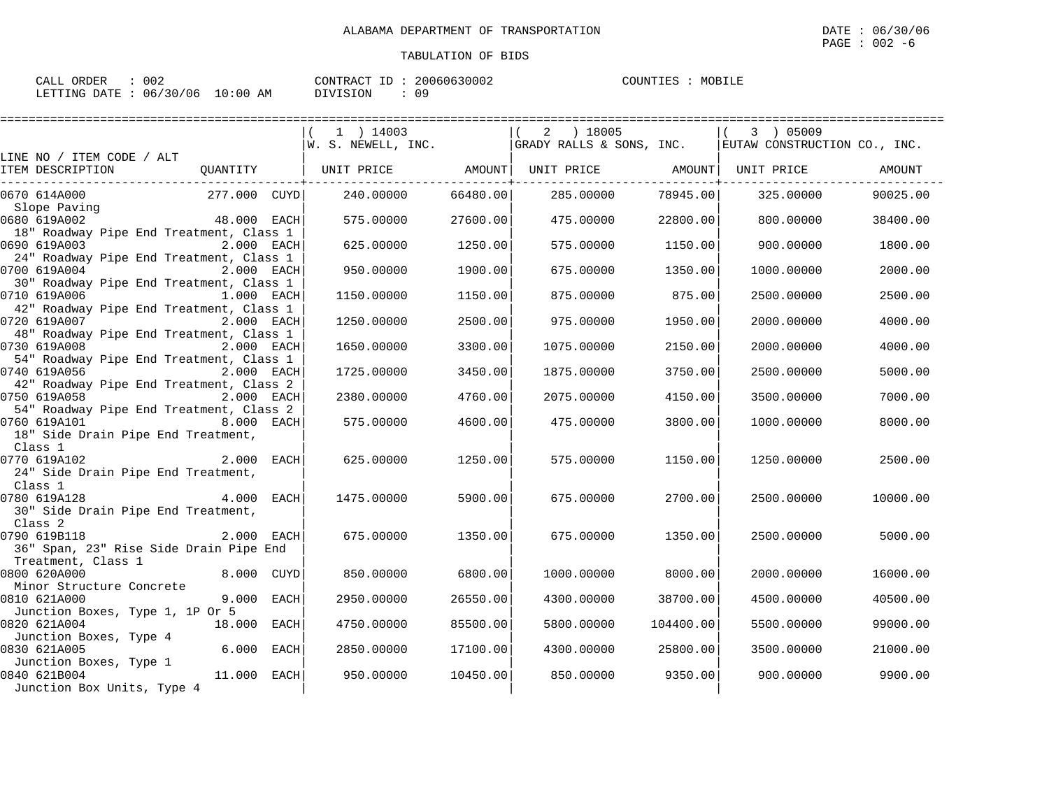| 002<br>CALL ORDER               |     | CONTRACT ID: | 20060630002 | COUNTIES | MOBILE |
|---------------------------------|-----|--------------|-------------|----------|--------|
| LETTING DATE: 06/30/06 10:00 AM | ___ | DIVISION     | 09          |          |        |

| ===================                                                          |                                                                                              |                                            |             |           |            |          |
|------------------------------------------------------------------------------|----------------------------------------------------------------------------------------------|--------------------------------------------|-------------|-----------|------------|----------|
|                                                                              | 1 ) 14003<br>$ W. S. NEWELL, INC.   GRADY RALLS & SONS, INC.   EUTAW CONSTRUCTION CO., INC.$ |                                            | $2$ ) 18005 |           | 3 ) 05009  |          |
| LINE NO / ITEM CODE / ALT                                                    |                                                                                              |                                            |             |           |            |          |
| ITEM DESCRIPTION                                                             | UNIT PRICE AMOUNT  UNIT PRICE AMOUNT  UNIT PRICE                                             | . - - - - - - - - - - - - <del>+</del> - - |             |           |            | AMOUNT   |
| 277.000 CUYD <br>0670 614A000<br>Slope Paving                                | 240.00000                                                                                    | 66480.00                                   | 285.00000   | 78945.00  | 325.00000  | 90025.00 |
| 48.000 EACH<br>0680 619A002                                                  | 575.00000                                                                                    | 27600.00                                   | 475.00000   | 22800.00  | 800.00000  | 38400.00 |
| 18" Roadway Pipe End Treatment, Class 1<br>0690 619A003<br>2.000 EACH        | 625.00000                                                                                    | 1250.00                                    | 575.00000   | 1150.00   | 900.00000  | 1800.00  |
| 24" Roadway Pipe End Treatment, Class 1<br>0700 619A004<br>2.000 EACH        | 950.00000                                                                                    | 1900.00                                    | 675.00000   | 1350.00   | 1000.00000 | 2000.00  |
| 30" Roadway Pipe End Treatment, Class 1<br>0710 619A006<br>1.000 EACH        | 1150.00000                                                                                   | 1150.00                                    | 875.00000   | 875.00    | 2500.00000 | 2500.00  |
| 42" Roadway Pipe End Treatment, Class 1<br>0720 619A007<br><b>2.000 EACH</b> | 1250.00000                                                                                   | 2500.00                                    | 975.00000   | 1950.00   | 2000.00000 | 4000.00  |
| 48" Roadway Pipe End Treatment, Class 1<br>0730 619A008<br>2.000 EACH        | 1650.00000                                                                                   | 3300.00                                    | 1075.00000  | 2150.00   | 2000.00000 | 4000.00  |
| 54" Roadway Pipe End Treatment, Class 1<br>0740 619A056<br>2.000 EACH        | 1725.00000                                                                                   | 3450.00                                    | 1875.00000  | 3750.00   | 2500.00000 | 5000.00  |
| 42" Roadway Pipe End Treatment, Class 2                                      |                                                                                              |                                            |             |           |            |          |
| 0750 619A058<br>2.000 EACH<br>54" Roadway Pipe End Treatment, Class 2        | 2380.00000                                                                                   | 4760.00                                    | 2075.00000  | 4150.00   | 3500.00000 | 7000.00  |
| 0760 619A101<br>8.000 EACH<br>18" Side Drain Pipe End Treatment,             | 575.00000                                                                                    | 4600.00                                    | 475.00000   | 3800.00   | 1000.00000 | 8000.00  |
| Class 1<br>2.000 EACH<br>0770 619A102                                        | 625,00000                                                                                    | 1250.00                                    | 575,00000   | 1150.00   | 1250.00000 | 2500.00  |
| 24" Side Drain Pipe End Treatment,<br>Class 1                                |                                                                                              |                                            |             |           |            |          |
| 4.000 EACH<br>0780 619A128                                                   | 1475.00000                                                                                   | 5900.00                                    | 675.00000   | 2700.00   | 2500.00000 | 10000.00 |
| 30" Side Drain Pipe End Treatment,<br>Class 2                                |                                                                                              |                                            |             |           |            |          |
| 0790 619B118<br>2.000 EACH<br>36" Span, 23" Rise Side Drain Pipe End         | 675.00000                                                                                    | 1350.00                                    | 675.00000   | 1350.00   | 2500.00000 | 5000.00  |
| Treatment, Class 1<br>0800 620A000<br>8.000 CUYD                             | 850.00000                                                                                    | 6800.00                                    | 1000.00000  | 8000.00   | 2000.00000 | 16000.00 |
| Minor Structure Concrete<br>0810 621A000<br>9.000 EACH                       | 2950.00000                                                                                   | 26550.00                                   | 4300.00000  | 38700.00  | 4500.00000 | 40500.00 |
| Junction Boxes, Type 1, 1P Or 5<br>0820 621A004<br>18.000 EACH               | 4750.00000                                                                                   | 85500.00                                   | 5800,00000  | 104400.00 | 5500.00000 | 99000.00 |
| Junction Boxes, Type 4<br>$6.000$ EACH<br>0830 621A005                       | 2850,00000                                                                                   | 17100.00                                   | 4300.00000  | 25800.00  | 3500.00000 | 21000.00 |
| Junction Boxes, Type 1<br>0840 621B004<br>$11.000$ EACH                      | 950.00000                                                                                    | 10450.00                                   | 850.00000   | 9350.00   | 900,00000  | 9900.00  |
| Junction Box Units, Type 4                                                   |                                                                                              |                                            |             |           |            |          |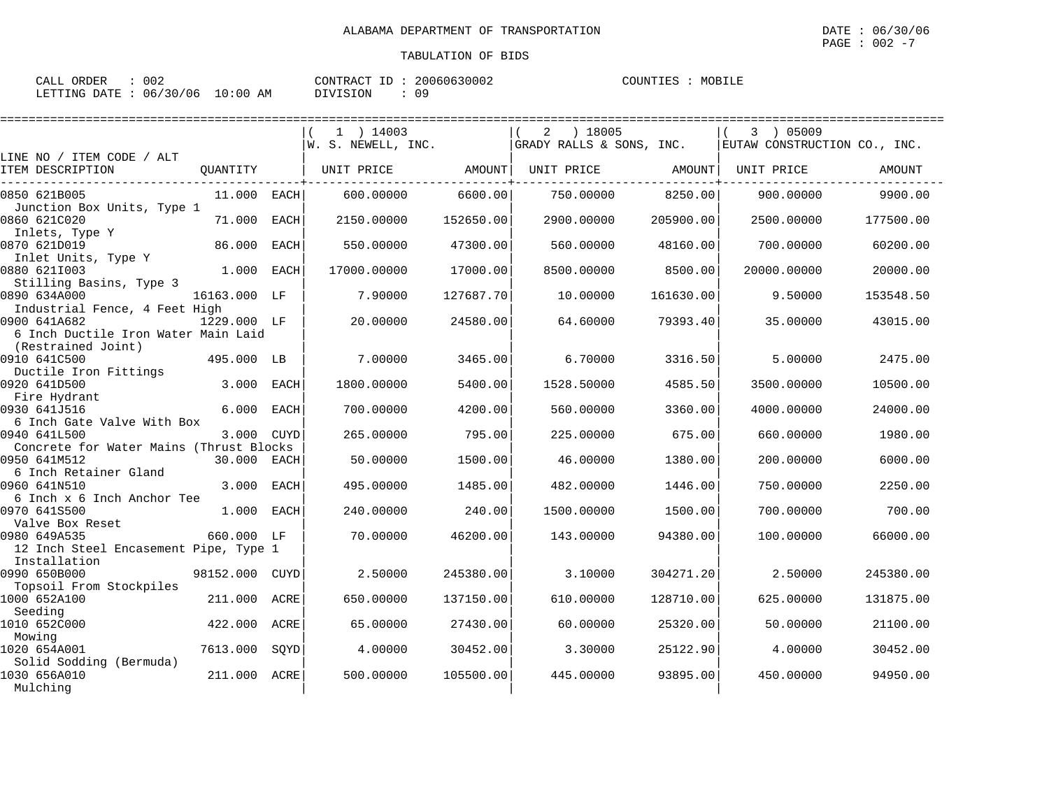| CALL ORDER : 002                |  | CONTRACT ID: 20060630002 |    | COUNTIES : MOBILE |  |
|---------------------------------|--|--------------------------|----|-------------------|--|
| LETTING DATE: 06/30/06 10:00 AM |  | DIVISION                 | 09 |                   |  |

|                                                                          |               |             | ================== |           |                          |           |                              |           |
|--------------------------------------------------------------------------|---------------|-------------|--------------------|-----------|--------------------------|-----------|------------------------------|-----------|
|                                                                          |               |             | $1$ ) 14003        |           | ) 18005<br>2             |           | 3 ) 05009                    |           |
|                                                                          |               |             | W. S. NEWELL, INC. |           | GRADY RALLS & SONS, INC. |           | EUTAW CONSTRUCTION CO., INC. |           |
| LINE NO / ITEM CODE / ALT<br>ITEM DESCRIPTION                            | QUANTITY      |             | UNIT PRICE         | AMOUNT    | UNIT PRICE               | AMOUNT    | UNIT PRICE                   | AMOUNT    |
| 0850 621B005<br>Junction Box Units, Type 1                               | $11.000$ EACH |             | 600,00000          | 6600.00   | 750.00000                | 8250.00   | 900.00000                    | 9900.00   |
| 0860 621C020<br>Inlets, Type Y                                           | 71.000        | EACH        | 2150.00000         | 152650.00 | 2900.00000               | 205900.00 | 2500.00000                   | 177500.00 |
| 0870 621D019                                                             | 86.000        | <b>EACH</b> | 550.00000          | 47300.00  | 560.00000                | 48160.00  | 700.00000                    | 60200.00  |
| Inlet Units, Type Y<br>0880 6211003                                      | 1.000         | <b>EACH</b> | 17000.00000        | 17000.00  | 8500.00000               | 8500.00   | 20000.00000                  | 20000.00  |
| Stilling Basins, Type 3<br>0890 634A000<br>Industrial Fence, 4 Feet High | 16163.000 LF  |             | 7.90000            | 127687.70 | 10.00000                 | 161630.00 | 9.50000                      | 153548.50 |
| 0900 641A682<br>6 Inch Ductile Iron Water Main Laid                      | 1229.000 LF   |             | 20,00000           | 24580.00  | 64.60000                 | 79393.40  | 35,00000                     | 43015.00  |
| (Restrained Joint)<br>0910 641C500                                       | 495.000 LB    |             | 7.00000            | 3465.00   | 6.70000                  | 3316.50   | 5.00000                      | 2475.00   |
| Ductile Iron Fittings<br>0920 641D500<br>Fire Hydrant                    | 3.000         | <b>EACH</b> | 1800.00000         | 5400.00   | 1528.50000               | 4585.50   | 3500.00000                   | 10500.00  |
| 0930 641J516<br>6 Inch Gate Valve With Box                               | 6.000         | <b>EACH</b> | 700.00000          | 4200.00   | 560.00000                | 3360.00   | 4000.00000                   | 24000.00  |
| 0940 641L500<br>Concrete for Water Mains (Thrust Blocks                  | 3.000 CUYD    |             | 265,00000          | 795.00    | 225.00000                | 675.00    | 660.00000                    | 1980.00   |
| 0950 641M512<br>6 Inch Retainer Gland                                    | 30.000        | EACH        | 50.00000           | 1500.00   | 46.00000                 | 1380.00   | 200.00000                    | 6000.00   |
| 0960 641N510<br>6 Inch x 6 Inch Anchor Tee                               | 3,000         | <b>EACH</b> | 495.00000          | 1485.00   | 482.00000                | 1446.00   | 750.00000                    | 2250.00   |
| 0970 641S500<br>Valve Box Reset                                          | 1.000         | EACH        | 240.00000          | 240.00    | 1500.00000               | 1500.00   | 700.00000                    | 700.00    |
| 0980 649A535<br>12 Inch Steel Encasement Pipe, Type 1                    | 660.000 LF    |             | 70,00000           | 46200.00  | 143.00000                | 94380.00  | 100,00000                    | 66000.00  |
| Installation<br>0990 650B000<br>Topsoil From Stockpiles                  | 98152.000     | CUYD        | 2.50000            | 245380.00 | 3.10000                  | 304271.20 | 2.50000                      | 245380.00 |
| 1000 652A100<br>Seeding                                                  | 211,000       | ACRE        | 650.00000          | 137150.00 | 610.00000                | 128710.00 | 625.00000                    | 131875.00 |
| 1010 652C000<br>Mowing                                                   | 422.000       | ACRE        | 65.00000           | 27430.00  | 60.00000                 | 25320.00  | 50.00000                     | 21100.00  |
| 1020 654A001<br>Solid Sodding (Bermuda)                                  | 7613.000      | SOYD        | 4.00000            | 30452.00  | 3.30000                  | 25122.90  | 4.00000                      | 30452.00  |
| 1030 656A010<br>Mulching                                                 | 211.000 ACRE  |             | 500,00000          | 105500.00 | 445,00000                | 93895.00  | 450.00000                    | 94950.00  |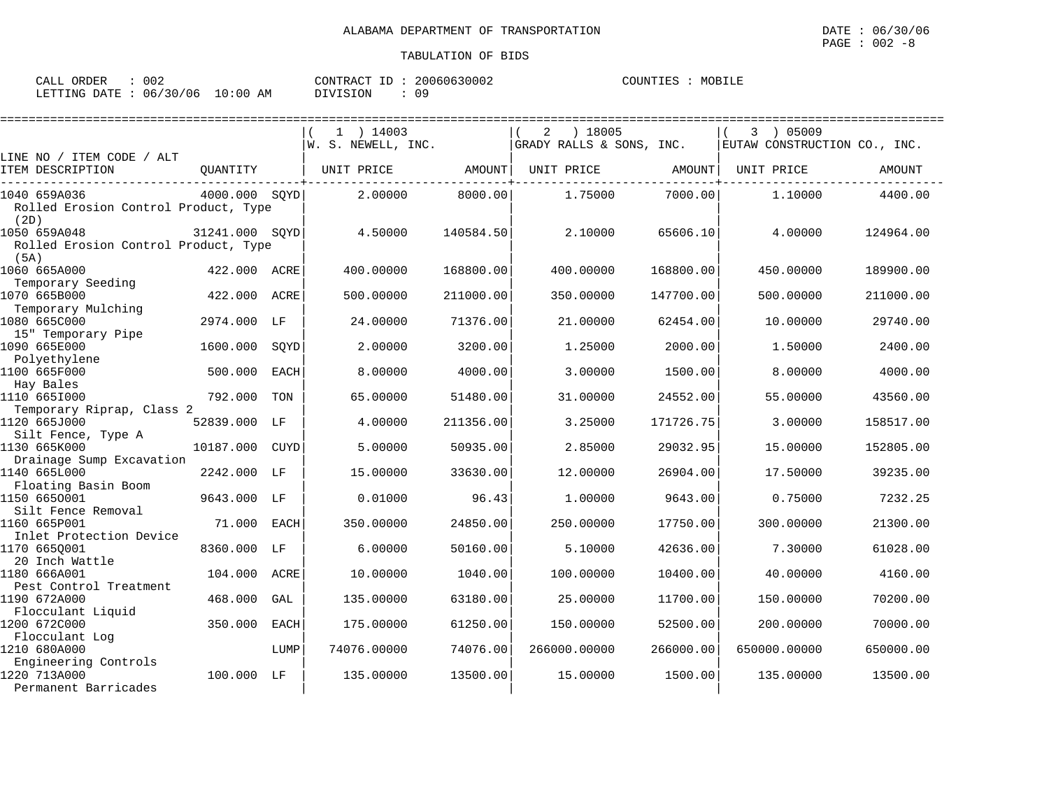| ORDER<br>CALL | 002      |             | 'ONTRACT | 0630002<br>2006 | $\cap$ מזואידי די ה | MOBILE<br>$M()R$ . |
|---------------|----------|-------------|----------|-----------------|---------------------|--------------------|
| LETTING DATE  | 06/30/06 | 10:00<br>AΜ | DIVISION |                 |                     |                    |

| ====================                         |                |             |                    |           |                          |           |                              |           |
|----------------------------------------------|----------------|-------------|--------------------|-----------|--------------------------|-----------|------------------------------|-----------|
|                                              |                |             | $1$ ) 14003        |           | ) 18005<br>2             |           | 3 ) 05009                    |           |
|                                              |                |             | W. S. NEWELL, INC. |           | GRADY RALLS & SONS, INC. |           | EUTAW CONSTRUCTION CO., INC. |           |
| LINE NO / ITEM CODE / ALT                    |                |             |                    |           |                          |           |                              |           |
| ITEM DESCRIPTION                             | OUANTITY       |             | UNIT PRICE         | AMOUNT    | UNIT PRICE               | AMOUNT    | UNIT PRICE                   | AMOUNT    |
| 1040 659A036                                 | 4000.000 SOYD  |             | 2.00000            | 8000.00   | 1.75000                  | 7000.00   | 1,10000                      | 4400.00   |
| Rolled Erosion Control Product, Type<br>(2D) |                |             |                    |           |                          |           |                              |           |
| 1050 659A048                                 | 31241.000 SOYD |             | 4.50000            | 140584.50 | 2.10000                  | 65606.10  | 4.00000                      | 124964.00 |
| Rolled Erosion Control Product, Type<br>(5A) |                |             |                    |           |                          |           |                              |           |
| 1060 665A000                                 | 422.000 ACRE   |             | 400.00000          | 168800.00 | 400.00000                | 168800.00 | 450.00000                    | 189900.00 |
| Temporary Seeding                            |                |             |                    |           |                          |           |                              |           |
| 1070 665B000                                 | 422.000        | ACRE        | 500.00000          | 211000.00 | 350.00000                | 147700.00 | 500.00000                    | 211000.00 |
| Temporary Mulching<br>1080 665C000           | 2974.000       | LF          | 24.00000           | 71376.00  | 21.00000                 | 62454.00  | 10.00000                     | 29740.00  |
| 15" Temporary Pipe                           |                |             |                    |           |                          |           |                              |           |
| 1090 665E000                                 | 1600.000       | SOYD        | 2.00000            | 3200.00   | 1.25000                  | 2000.00   | 1.50000                      | 2400.00   |
| Polyethylene                                 |                |             |                    |           |                          |           |                              |           |
| 1100 665F000                                 | 500.000        | <b>EACH</b> | 8.00000            | 4000.00   | 3.00000                  | 1500.00   | 8.00000                      | 4000.00   |
| Hay Bales                                    |                |             |                    |           |                          |           |                              |           |
| 1110 6651000                                 | 792.000        | TON         | 65.00000           | 51480.00  | 31.00000                 | 24552.00  | 55.00000                     | 43560.00  |
| Temporary Riprap, Class 2                    |                |             | 4.00000            | 211356.00 | 3.25000                  | 171726.75 | 3.00000                      | 158517.00 |
| 1120 665J000<br>Silt Fence, Type A           | 52839.000      | LF          |                    |           |                          |           |                              |           |
| 1130 665K000                                 | 10187.000      | CUYD        | 5.00000            | 50935.00  | 2.85000                  | 29032.95  | 15,00000                     | 152805.00 |
| Drainage Sump Excavation                     |                |             |                    |           |                          |           |                              |           |
| 1140 665L000                                 | 2242.000       | LF          | 15.00000           | 33630.00  | 12.00000                 | 26904.00  | 17.50000                     | 39235.00  |
| Floating Basin Boom                          |                |             |                    |           |                          |           |                              |           |
| 1150 6650001                                 | 9643.000 LF    |             | 0.01000            | 96.43     | 1,00000                  | 9643.00   | 0.75000                      | 7232.25   |
| Silt Fence Removal                           |                |             |                    |           |                          |           |                              |           |
| 1160 665P001                                 | 71.000         | <b>EACH</b> | 350.00000          | 24850.00  | 250.00000                | 17750.00  | 300.00000                    | 21300.00  |
| Inlet Protection Device<br>1170 665Q001      | 8360.000       | LF          | 6.00000            | 50160.00  | 5.10000                  | 42636.00  | 7.30000                      | 61028.00  |
| 20 Inch Wattle                               |                |             |                    |           |                          |           |                              |           |
| 1180 666A001                                 | 104.000        | ACRE        | 10.00000           | 1040.00   | 100.00000                | 10400.00  | 40.00000                     | 4160.00   |
| Pest Control Treatment                       |                |             |                    |           |                          |           |                              |           |
| 1190 672A000                                 | 468.000        | GAL         | 135.00000          | 63180.00  | 25.00000                 | 11700.00  | 150.00000                    | 70200.00  |
| Flocculant Liquid                            |                |             |                    |           |                          |           |                              |           |
| 1200 672C000                                 | 350.000        | EACH        | 175.00000          | 61250.00  | 150.00000                | 52500.00  | 200,00000                    | 70000.00  |
| Flocculant Log                               |                |             |                    |           |                          |           |                              |           |
| 1210 680A000                                 |                | LUMP        | 74076.00000        | 74076.00  | 266000.00000             | 266000.00 | 650000.00000                 | 650000.00 |
| Engineering Controls<br>1220 713A000         | 100.000 LF     |             | 135.00000          | 13500.00  | 15.00000                 | 1500.00   | 135.00000                    | 13500.00  |
| Permanent Barricades                         |                |             |                    |           |                          |           |                              |           |
|                                              |                |             |                    |           |                          |           |                              |           |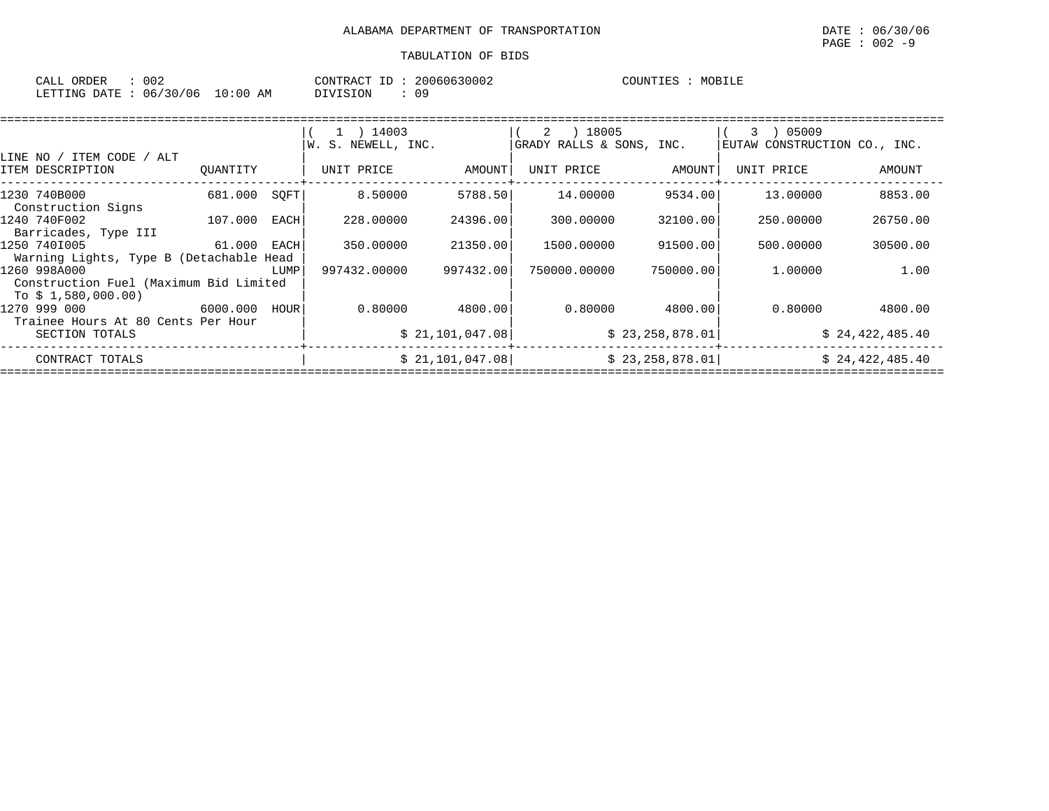| ORDER<br>CALL | $\sim$ $\sim$ $\sim$ |             | CONTRACT   | 20060630002 | COUNTIL<br>TTES. | MORTI <sub>J</sub><br>- 11 Pr |
|---------------|----------------------|-------------|------------|-------------|------------------|-------------------------------|
| LETTING DATE  | 06/30/06             | 10:00<br>AM | $\sqrt{1}$ | n c         |                  |                               |

| 1 ) 14003 | 2 ) 18005                                                                                        |                                                                                                          | 05009<br>3.                         |                                                                                                          |
|-----------|--------------------------------------------------------------------------------------------------|----------------------------------------------------------------------------------------------------------|-------------------------------------|----------------------------------------------------------------------------------------------------------|
|           |                                                                                                  |                                                                                                          |                                     |                                                                                                          |
|           |                                                                                                  |                                                                                                          | EUTAW CONSTRUCTION CO., INC.        |                                                                                                          |
|           |                                                                                                  |                                                                                                          |                                     |                                                                                                          |
|           | UNIT PRICE                                                                                       |                                                                                                          | UNIT PRICE                          | AMOUNT                                                                                                   |
|           | 14.00000                                                                                         |                                                                                                          | 13.00000                            | 8853.00                                                                                                  |
|           |                                                                                                  |                                                                                                          |                                     |                                                                                                          |
|           | 300.00000                                                                                        |                                                                                                          | 250.00000                           | 26750.00                                                                                                 |
|           |                                                                                                  |                                                                                                          |                                     |                                                                                                          |
|           | 1500.00000                                                                                       |                                                                                                          | 500.00000                           | 30500.00                                                                                                 |
|           |                                                                                                  |                                                                                                          |                                     |                                                                                                          |
|           | 750000.00000                                                                                     |                                                                                                          | 1,00000                             | 1.00                                                                                                     |
|           |                                                                                                  |                                                                                                          |                                     |                                                                                                          |
|           |                                                                                                  |                                                                                                          | 0.80000                             | 4800.00                                                                                                  |
|           |                                                                                                  |                                                                                                          |                                     |                                                                                                          |
|           |                                                                                                  |                                                                                                          |                                     | \$24,422,485.40                                                                                          |
|           |                                                                                                  |                                                                                                          |                                     | \$24,422,485.40                                                                                          |
|           | W. S. NEWELL, INC.<br>UNIT PRICE<br>8.50000<br>228,00000<br>350.00000<br>997432.00000<br>0.80000 | AMOUNT<br>5788.50<br>24396.00<br>21350.00<br>997432.00<br>4800.00<br>\$21,101,047.08<br>\$21,101,047.08] | GRADY RALLS & SONS, INC.<br>0.80000 | AMOUNT<br>9534.00<br>32100.00<br>91500.00<br>750000.00<br>4800.001<br>\$23,258,878.01<br>\$23,258,878.01 |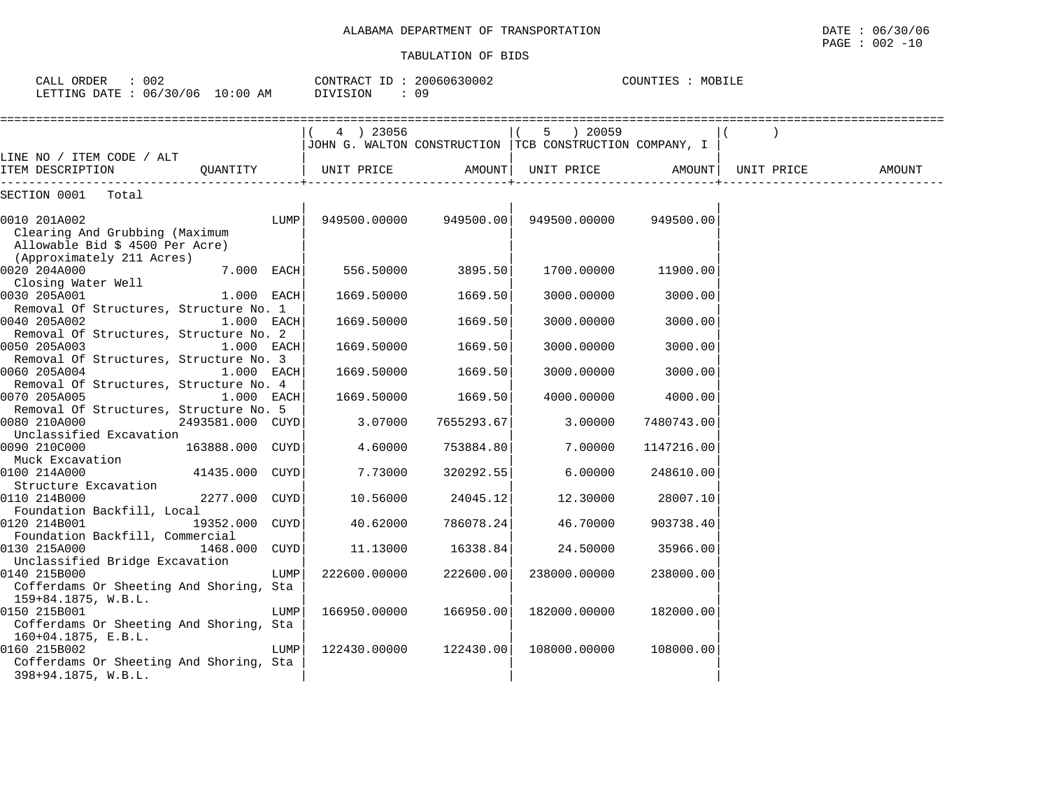|                                                                                                          |                  |      |                                      | THROTHITOM OF RIDS |                                                                    |                   |            |        |
|----------------------------------------------------------------------------------------------------------|------------------|------|--------------------------------------|--------------------|--------------------------------------------------------------------|-------------------|------------|--------|
| CALL ORDER<br>: 002<br>LETTING DATE : 06/30/06 10:00 AM                                                  |                  |      | CONTRACT ID: 20060630002<br>DIVISION | : 09               |                                                                    | COUNTIES : MOBILE |            |        |
|                                                                                                          |                  |      | 4 ) 23056                            |                    | 5 20059<br>JOHN G. WALTON CONSTRUCTION TCB CONSTRUCTION COMPANY, I |                   |            |        |
| LINE NO / ITEM CODE / ALT<br>ITEM DESCRIPTION                                                            | OUANTITY         |      | UNIT PRICE                           |                    | AMOUNT  UNIT PRICE                                                 | AMOUNT            | UNIT PRICE | AMOUNT |
| -----------------<br>SECTION 0001 Total                                                                  |                  |      |                                      |                    |                                                                    |                   |            |        |
| 0010 201A002<br>Clearing And Grubbing (Maximum<br>Allowable Bid \$ 4500 Per Acre)                        |                  | LUMP | 949500.00000                         | 949500.00          | 949500.00000                                                       | 949500.00         |            |        |
| (Approximately 211 Acres)<br>0020 204A000<br>Closing Water Well                                          | $7.000$ EACH     |      | 556.50000                            | 3895.50            | 1700.00000                                                         | 11900.00          |            |        |
| 0030 205A001<br>Removal Of Structures, Structure No. 1                                                   | 1.000 EACH       |      | 1669.50000                           | 1669.50            | 3000.00000                                                         | 3000.00           |            |        |
| 0040 205A002<br>Removal Of Structures, Structure No. 2                                                   | 1.000 EACH       |      | 1669.50000                           | 1669.50            | 3000.00000                                                         | 3000.00           |            |        |
| 0050 205A003<br>Removal Of Structures, Structure No. 3                                                   | 1.000 EACH       |      | 1669.50000                           | 1669.50            | 3000.00000                                                         | 3000.00           |            |        |
| 0060 205A004<br>Removal Of Structures, Structure No. 4                                                   | 1.000 EACH       |      | 1669.50000                           | 1669.50            | 3000.00000                                                         | 3000.00           |            |        |
| 0070 205A005                                                                                             | $1.000$ EACH     |      | 1669.50000                           | 1669.50            | 4000.00000                                                         | 4000.00           |            |        |
| Removal Of Structures, Structure No. 5<br>0080 210A000                                                   | 2493581.000 CUYD |      | 3.07000                              | 7655293.67         | 3.00000                                                            | 7480743.00        |            |        |
| Unclassified Excavation<br>0090 210C000                                                                  | 163888.000 CUYD  |      | 4.60000                              | 753884.80          | 7.00000                                                            | 1147216.00        |            |        |
| Muck Excavation<br>0100 214A000                                                                          | 41435.000 CUYD   |      | 7.73000                              | 320292.55          | 6.00000                                                            | 248610.00         |            |        |
| Structure Excavation<br>0110 214B000                                                                     | 2277.000 CUYD    |      | 10.56000                             | 24045.12           | 12.30000                                                           | 28007.10          |            |        |
| Foundation Backfill, Local<br>0120 214B001                                                               | 19352.000 CUYD   |      | 40.62000                             | 786078.24          | 46.70000                                                           | 903738.40         |            |        |
| Foundation Backfill, Commercial<br>0130 215A000                                                          | 1468.000         | CUYD | 11.13000                             | 16338.84           | 24.50000                                                           | 35966.00          |            |        |
| Unclassified Bridge Excavation<br>0140 215B000<br>Cofferdams Or Sheeting And Shoring, Sta                |                  | LUMP | 222600.00000                         | 222600.00          | 238000.00000                                                       | 238000.00         |            |        |
| 159+84.1875, W.B.L.<br>0150 215B001<br>Cofferdams Or Sheeting And Shoring, Sta<br>$160+04.1875$ , E.B.L. |                  | LUMP | 166950.00000                         | 166950.00          | 182000.00000                                                       | 182000.00         |            |        |
| 0160 215B002<br>Cofferdams Or Sheeting And Shoring, Sta<br>398+94.1875, W.B.L.                           |                  | LUMP | 122430.00000                         | 122430.00          | 108000.00000                                                       | 108000.00         |            |        |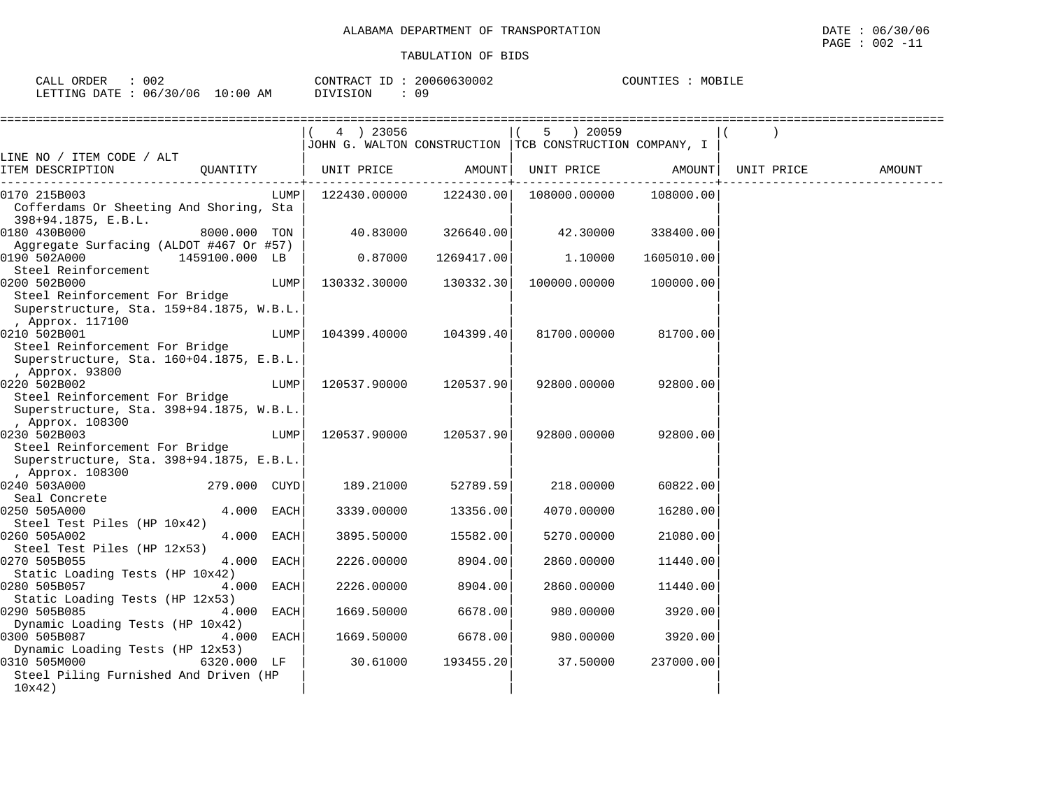| 002<br>CALL ORDER               |          | CONTRACT ID: 20060630002 | MOBILE<br>COUNTIES |
|---------------------------------|----------|--------------------------|--------------------|
| LETTING DATE: 06/30/06 10:00 AM | DIVISION | 09.                      |                    |

|                                                                            | 4 ) 23056    |            | $5 \t) 20059$                                           |            |            |        |
|----------------------------------------------------------------------------|--------------|------------|---------------------------------------------------------|------------|------------|--------|
|                                                                            |              |            | JOHN G. WALTON CONSTRUCTION TCB CONSTRUCTION COMPANY, I |            |            |        |
| LINE NO / ITEM CODE / ALT                                                  |              |            |                                                         |            |            |        |
| ITEM DESCRIPTION<br>QUANTITY                                               | UNIT PRICE   | AMOUNT     | UNIT PRICE                                              | AMOUNT     | UNIT PRICE | AMOUNT |
| 0170 215B003<br>LUMP                                                       | 122430.00000 | 122430.00  | 108000.00000                                            | 108000.00  |            |        |
| Cofferdams Or Sheeting And Shoring, Sta                                    |              |            |                                                         |            |            |        |
| 398+94.1875, E.B.L.                                                        |              |            |                                                         |            |            |        |
| 0180 430B000<br>8000.000 TON                                               | 40.83000     | 326640.00  | 42.30000                                                | 338400.00  |            |        |
| Aggregate Surfacing (ALDOT #467 Or #57)                                    |              |            |                                                         |            |            |        |
| 0190 502A000<br>1459100.000 LB                                             | 0.87000      | 1269417.00 | 1,10000                                                 | 1605010.00 |            |        |
| Steel Reinforcement                                                        |              |            |                                                         |            |            |        |
| 0200 502B000<br>LUMP                                                       | 130332.30000 | 130332.30  | 100000.00000                                            | 100000.00  |            |        |
| Steel Reinforcement For Bridge<br>Superstructure, Sta. 159+84.1875, W.B.L. |              |            |                                                         |            |            |        |
| , Approx. 117100                                                           |              |            |                                                         |            |            |        |
| 0210 502B001<br>LUMP                                                       | 104399.40000 | 104399.40  | 81700.00000                                             | 81700.00   |            |        |
| Steel Reinforcement For Bridge                                             |              |            |                                                         |            |            |        |
| Superstructure, Sta. 160+04.1875, E.B.L.                                   |              |            |                                                         |            |            |        |
| , Approx. 93800                                                            |              |            |                                                         |            |            |        |
| 0220 502B002<br>LUMP                                                       | 120537.90000 | 120537.90  | 92800.00000                                             | 92800.00   |            |        |
| Steel Reinforcement For Bridge                                             |              |            |                                                         |            |            |        |
| Superstructure, Sta. 398+94.1875, W.B.L.                                   |              |            |                                                         |            |            |        |
| , Approx. 108300                                                           |              |            |                                                         |            |            |        |
| 0230 502B003<br>LUMP                                                       | 120537.90000 | 120537.901 | 92800.00000                                             | 92800.00   |            |        |
| Steel Reinforcement For Bridge<br>Superstructure, Sta. 398+94.1875, E.B.L. |              |            |                                                         |            |            |        |
| , Approx. 108300                                                           |              |            |                                                         |            |            |        |
| 0240 503A000<br>279.000 CUYD                                               | 189.21000    | 52789.59   | 218.00000                                               | 60822.00   |            |        |
| Seal Concrete                                                              |              |            |                                                         |            |            |        |
| 0250 505A000<br>4.000 EACH                                                 | 3339.00000   | 13356.00   | 4070.00000                                              | 16280.00   |            |        |
| Steel Test Piles (HP 10x42)                                                |              |            |                                                         |            |            |        |
| 0260 505A002<br>4.000 EACH                                                 | 3895.50000   | 15582.00   | 5270.00000                                              | 21080.00   |            |        |
| Steel Test Piles (HP 12x53)                                                |              |            |                                                         |            |            |        |
| 4.000 EACH<br>0270 505B055                                                 | 2226.00000   | 8904.00    | 2860.00000                                              | 11440.00   |            |        |
| Static Loading Tests (HP 10x42)                                            |              |            |                                                         |            |            |        |
| 0280 505B057<br>4.000 EACH<br>Static Loading Tests (HP 12x53)              | 2226.00000   | 8904.00    | 2860.00000                                              | 11440.00   |            |        |
| 0290 505B085<br>4.000 EACH                                                 | 1669.50000   | 6678.00    | 980.00000                                               | 3920.00    |            |        |
| Dynamic Loading Tests (HP 10x42)                                           |              |            |                                                         |            |            |        |
| 0300 505B087<br>4.000 EACH                                                 | 1669.50000   | 6678.00    | 980.00000                                               | 3920.00    |            |        |
| Dynamic Loading Tests (HP 12x53)                                           |              |            |                                                         |            |            |        |
| 0310 505M000<br>6320.000 LF                                                | 30.61000     | 193455.20  | 37.50000                                                | 237000.00  |            |        |
| Steel Piling Furnished And Driven (HP                                      |              |            |                                                         |            |            |        |
| 10x42)                                                                     |              |            |                                                         |            |            |        |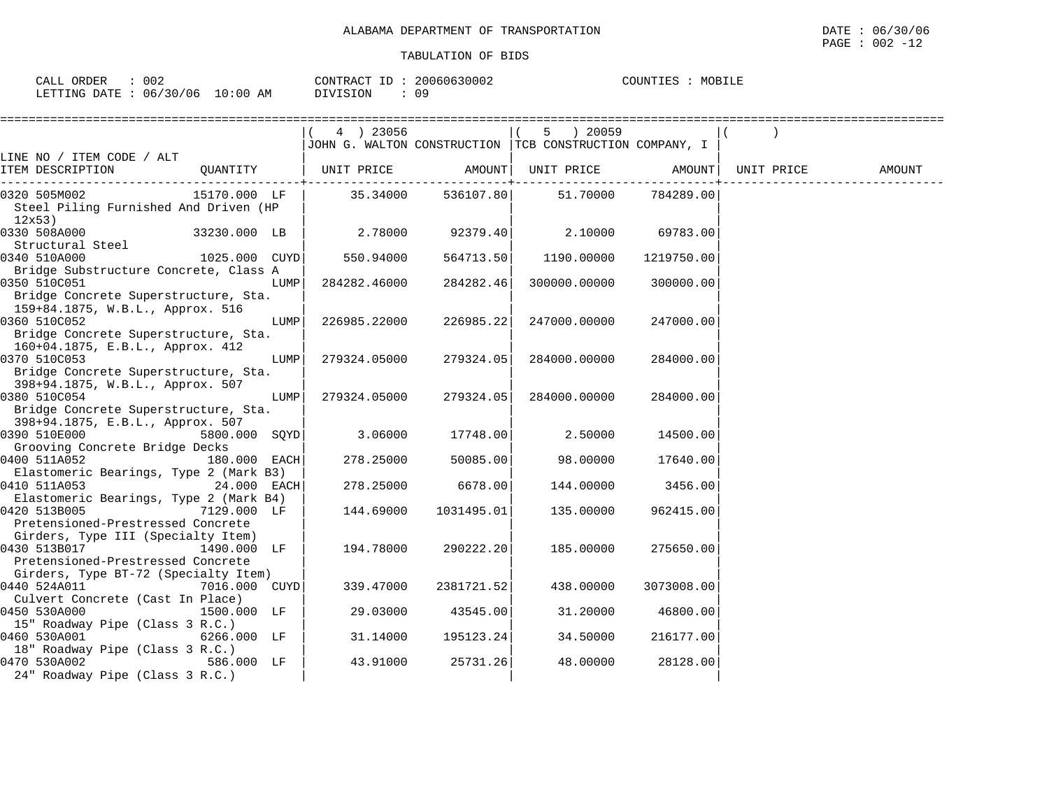| <b>ORDER</b><br>CALL ( | 002      |             | T <sub>D</sub><br>CONTRACT | 20060630002 | MOBILE<br>COUNTIES |  |
|------------------------|----------|-------------|----------------------------|-------------|--------------------|--|
| LETTING DATE           | 06/30/06 | 10:00<br>AΜ | DIVISION                   |             |                    |  |

|                                                                                                           | $(4)$ 23056  |                        | 5 ) 20059<br>JJOHN G. WALTON CONSTRUCTION   TCB CONSTRUCTION COMPANY, I |            |        |
|-----------------------------------------------------------------------------------------------------------|--------------|------------------------|-------------------------------------------------------------------------|------------|--------|
| LINE NO / ITEM CODE / ALT                                                                                 |              |                        |                                                                         |            |        |
| QUANTITY   UNIT PRICE     AMOUNT  UNIT PRICE     AMOUNT  UNIT PRICE<br>ITEM DESCRIPTION                   |              |                        |                                                                         |            | AMOUNT |
| 15170.000 LF  <br>0320 505M002<br>Steel Piling Furnished And Driven (HP<br>12x53)                         |              |                        |                                                                         |            |        |
| 0330 508A000<br>33230.000 LB<br>Structural Steel                                                          |              |                        | $2.78000$ $92379.40$ $2.10000$ $69783.00$                               |            |        |
| 1025.000 CUYD 550.94000<br>0340 510A000<br>Bridge Substructure Concrete, Class A                          |              |                        | 564713.50 1190.00000                                                    | 1219750.00 |        |
| 0350 510C051<br>LUMP<br>Bridge Concrete Superstructure, Sta.<br>159+84.1875, W.B.L., Approx. 516          | 284282.46000 | 284282.46              | 300000.00000                                                            | 300000.00  |        |
| 0360 510C052<br>LUMP<br>Bridge Concrete Superstructure, Sta.                                              |              | 226985.22000 226985.22 | 247000.00000                                                            | 247000.00  |        |
| 160+04.1875, E.B.L., Approx. 412<br>0370 510C053<br>LUMP<br>Bridge Concrete Superstructure, Sta.          | 279324.05000 | 279324.05              | 284000.00000                                                            | 284000.00  |        |
| 398+94.1875, W.B.L., Approx. 507<br>0380 510C054<br>LUMP<br>Bridge Concrete Superstructure, Sta.          |              | 279324.05000 279324.05 | 284000.00000                                                            | 284000.00  |        |
| 398+94.1875, E.B.L., Approx. 507<br>0390 510E000 00000<br>5800.000 SQYD<br>Grooving Concrete Bridge Decks |              | $3.06000$ 17748.00     | 2.50000                                                                 | 14500.00   |        |
| 0400 511A052<br>180.000 EACH<br>Elastomeric Bearings, Type 2 (Mark B3)                                    |              | 278.25000 50085.00     | 98.00000                                                                | 17640.00   |        |
| $24.000$ EACH<br>0410 511A053<br>Elastomeric Bearings, Type 2 (Mark B4)                                   | 278.25000    | 6678.00                | 144.00000                                                               | 3456.00    |        |
| 0420 513B005 7129.000 LF<br>Pretensioned-Prestressed Concrete                                             | 144.69000    | 1031495.01             | 135.00000                                                               | 962415.00  |        |
| Girders, Type III (Specialty Item)<br>0430 513B017<br>1490.000 LF<br>Pretensioned-Prestressed Concrete    | 194.78000    | 290222.20              | 185.00000                                                               | 275650.00  |        |
| Girders, Type BT-72 (Specialty Item)<br>0440 524A011 7016.000 CUYD                                        | 339.47000    | 2381721.52             | 438.00000                                                               | 3073008.00 |        |
| Culvert Concrete (Cast In Place)<br>0450 530A000<br>1500.000 LF<br>15" Roadway Pipe (Class 3 R.C.)        | 29.03000     | 43545.00               | 31.20000                                                                | 46800.00   |        |
| 0460 530A001<br>6266.000 LF<br>18" Roadway Pipe (Class 3 R.C.)                                            | 31.14000     | 195123.24              | 34.50000                                                                | 216177.00  |        |
| 0470 530A002<br>$586.000$ LF<br>24" Roadway Pipe (Class 3 R.C.)                                           | 43.91000     | 25731.26               | 48.00000                                                                | 28128.00   |        |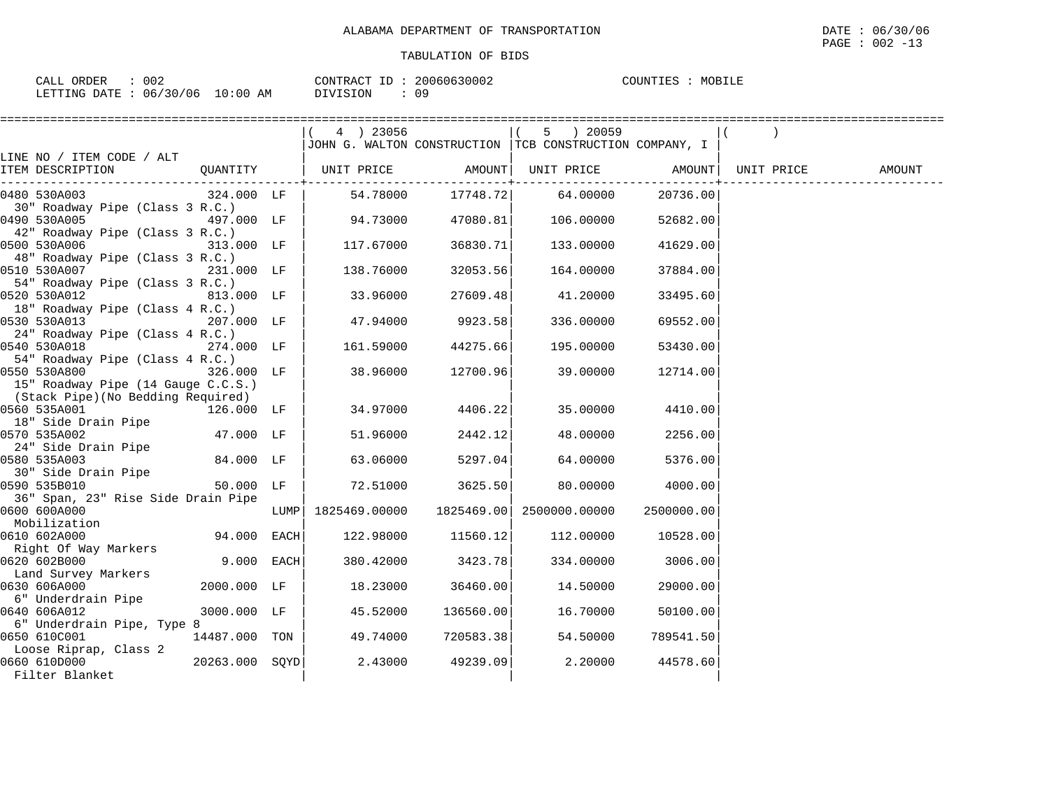| 002                       |                      | 20060630002      | COLINT' |
|---------------------------|----------------------|------------------|---------|
| ORDER                     |                      | $-$              | MOBILF  |
| CALI                      |                      | CONTRACT         | 工匠区     |
|                           |                      |                  | طلله    |
|                           |                      |                  |         |
|                           |                      |                  |         |
| 06/30<br>LETTING<br>DATE. | '06<br>10:00 L<br>AM | ON<br>$\sqrt{ }$ |         |

|                                                  |            | $(4)$ 23056          |           | 5 ) 20059                                               |            |            |        |
|--------------------------------------------------|------------|----------------------|-----------|---------------------------------------------------------|------------|------------|--------|
|                                                  |            |                      |           | JOHN G. WALTON CONSTRUCTION TCB CONSTRUCTION COMPANY, I |            |            |        |
| LINE NO / ITEM CODE / ALT                        |            |                      |           |                                                         |            |            |        |
| QUANTITY   UNIT PRICE AMOUNT<br>ITEM DESCRIPTION |            |                      |           | UNIT PRICE AMOUNT                                       |            | UNIT PRICE | AMOUNT |
| 324.000 LF<br>0480 530A003                       |            |                      |           | 54.78000 17748.72 64.00000                              | 20736.00   |            |        |
| 30" Roadway Pipe (Class 3 R.C.)                  |            |                      |           |                                                         |            |            |        |
| 0490 530A005                                     | 497.000 LF | 94.73000             | 47080.81  | 106.00000                                               | 52682.00   |            |        |
| 42" Roadway Pipe (Class 3 R.C.)                  |            |                      |           |                                                         |            |            |        |
| 0500 530A006                                     | 313.000 LF | 117.67000            | 36830.71  | 133.00000                                               | 41629.00   |            |        |
| 48" Roadway Pipe (Class 3 R.C.)                  |            |                      |           |                                                         |            |            |        |
| 0510 530A007                                     | 231.000 LF | 138.76000            | 32053.56  | 164.00000                                               | 37884.00   |            |        |
| 54" Roadway Pipe (Class 3 R.C.)                  |            |                      |           |                                                         |            |            |        |
| 0520 530A012                                     | 813.000 LF | 33.96000             | 27609.48  | 41.20000                                                | 33495.60   |            |        |
| 18" Roadway Pipe (Class 4 R.C.)                  |            |                      |           |                                                         |            |            |        |
| 0530 530A013                                     | 207.000 LF | 47.94000             | 9923.58   | 336.00000                                               | 69552.00   |            |        |
| 24" Roadway Pipe (Class 4 R.C.)                  |            |                      |           |                                                         |            |            |        |
| 0540 530A018                                     | 274.000 LF | 161.59000            | 44275.66  | 195.00000                                               | 53430.00   |            |        |
| 54" Roadway Pipe (Class 4 R.C.)                  |            |                      |           |                                                         |            |            |        |
| 0550 530A800                                     | 326.000 LF | 38.96000             | 12700.96  | 39.00000                                                | 12714.00   |            |        |
| 15" Roadway Pipe (14 Gauge C.C.S.)               |            |                      |           |                                                         |            |            |        |
| (Stack Pipe)(No Bedding Required)                |            |                      |           |                                                         |            |            |        |
| 0560 535A001<br>126.000 LF                       |            | 34.97000             | 4406.22   | 35.00000                                                | 4410.00    |            |        |
| 18" Side Drain Pipe                              |            |                      |           |                                                         |            |            |        |
| 47.000 LF<br>0570 535A002                        |            | 51.96000             | 2442.12   | 48.00000                                                | 2256.00    |            |        |
| 24" Side Drain Pipe<br>84.000 LF<br>0580 535A003 |            | 63.06000             | 5297.04   | 64.00000                                                | 5376.00    |            |        |
| 30" Side Drain Pipe                              |            |                      |           |                                                         |            |            |        |
| 0590 535B010                                     | 50.000 LF  | 72.51000             | 3625.50   | 80.00000                                                | 4000.00    |            |        |
| 36" Span, 23" Rise Side Drain Pipe               |            |                      |           |                                                         |            |            |        |
| 0600 600A000                                     |            | LUMP   1825469.00000 |           | 1825469.00 2500000.00000                                | 2500000.00 |            |        |
| Mobilization                                     |            |                      |           |                                                         |            |            |        |
| 94.000 EACH<br>0610 602A000                      |            | 122.98000            | 11560.12  | 112.00000                                               | 10528.00   |            |        |
| Right Of Way Markers                             |            |                      |           |                                                         |            |            |        |
| 0620 602B000                                     | 9.000 EACH | 380.42000            | 3423.78   | 334.00000                                               | 3006.00    |            |        |
| Land Survey Markers                              |            |                      |           |                                                         |            |            |        |
| 0630 606A000<br>2000.000 LF                      |            | 18.23000             | 36460.00  | 14.50000                                                | 29000.00   |            |        |
| 6" Underdrain Pipe                               |            |                      |           |                                                         |            |            |        |
| 3000.000 LF<br>0640 606A012                      |            | 45.52000             | 136560.00 | 16.70000                                                | 50100.00   |            |        |
| 6" Underdrain Pipe, Type 8                       |            |                      |           |                                                         |            |            |        |
| 0650 610C001<br>14487.000 TON                    |            | 49.74000             | 720583.38 | 54.50000                                                | 789541.50  |            |        |
| Loose Riprap, Class 2                            |            |                      |           |                                                         |            |            |        |
| $20263.000$ SQYD<br>0660 610D000                 |            | 2.43000              | 49239.09  | 2.20000                                                 | 44578.60   |            |        |
| Filter Blanket                                   |            |                      |           |                                                         |            |            |        |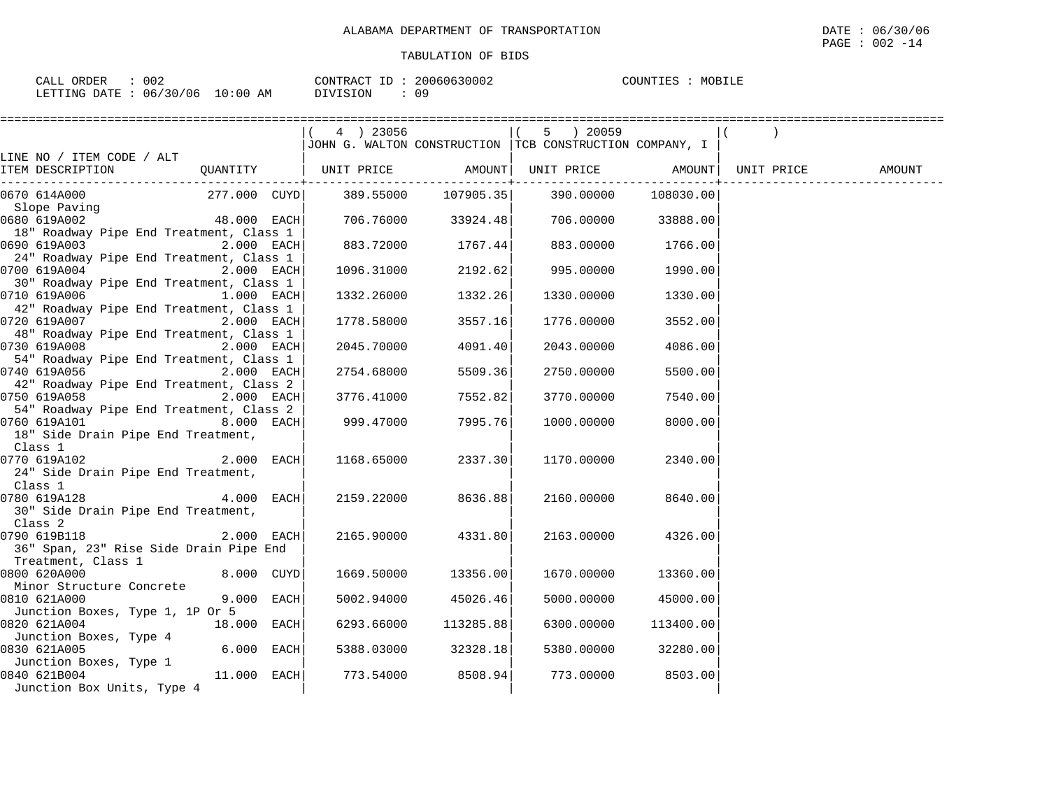| 002<br>ORDER<br>CALL   |             | 20060630002<br>CONTRACT ID | MOBILE<br>COUNTIES |
|------------------------|-------------|----------------------------|--------------------|
| LETTING DATE: 06/30/06 | 10:00<br>ΆM | DIVISION<br>09             |                    |

|                                                                                                                               | $(4)$ 23056 |                      | 5 ) 20059                                                 |           |        |
|-------------------------------------------------------------------------------------------------------------------------------|-------------|----------------------|-----------------------------------------------------------|-----------|--------|
|                                                                                                                               |             |                      | JOHN G. WALTON CONSTRUCTION   TCB CONSTRUCTION COMPANY, I |           |        |
| LINE NO / ITEM CODE / ALT                                                                                                     |             |                      |                                                           |           |        |
| ITEM DESCRIPTION<br>QUANTITY                                                                                                  |             |                      | UNIT PRICE AMOUNT  UNIT PRICE AMOUNT  UNIT PRICE          |           | AMOUNT |
|                                                                                                                               |             |                      |                                                           |           |        |
| 0670 614A000                                                                                                                  |             |                      |                                                           | 108030.00 |        |
| Slope Paving                                                                                                                  |             |                      |                                                           |           |        |
| 48.000 EACH<br>0680 619A002                                                                                                   |             | $706.76000$ 33924.48 | 706.00000                                                 | 33888.00  |        |
| 18" Roadway Pipe End Treatment, Class 1                                                                                       |             |                      |                                                           |           |        |
| 0690 619A003<br>2.000 EACH                                                                                                    |             | 883.72000 1767.44    | 883.00000                                                 | 1766.00   |        |
| 24" Roadway Pipe End Treatment, Class 1                                                                                       |             |                      |                                                           |           |        |
| 0700 619A004 and the state of the state of the state of the state of the state of the state of the state of the<br>2.000 EACH |             | 1096.31000 2192.62   | 995.00000                                                 | 1990.00   |        |
| 30" Roadway Pipe End Treatment, Class 1                                                                                       |             |                      |                                                           |           |        |
| 0710 619A006<br>1.000 EACH                                                                                                    | 1332.26000  | 1332.26              | 1330.00000                                                | 1330.00   |        |
| 42" Roadway Pipe End Treatment, Class 1                                                                                       |             |                      |                                                           |           |        |
| 0720 619A007<br>2.000 EACH                                                                                                    | 1778.58000  | 3557.16              | 1776.00000                                                | 3552.00   |        |
| 48" Roadway Pipe End Treatment, Class 1                                                                                       |             |                      |                                                           |           |        |
| 0730 619A008 and the state of the state of the state of the state of the state of the state of the state of the<br>2.000 EACH | 2045.70000  | 4091.40              | 2043.00000                                                | 4086.00   |        |
| 54" Roadway Pipe End Treatment, Class 1                                                                                       |             |                      |                                                           |           |        |
| 0740 619A056<br>2.000 EACH                                                                                                    | 2754.68000  | 5509.36              | 2750.00000                                                | 5500.00   |        |
| 42" Roadway Pipe End Treatment, Class 2                                                                                       |             |                      |                                                           |           |        |
| 0750 619A058<br>2.000 EACH                                                                                                    | 3776.41000  | 7552.82              | 3770.00000                                                | 7540.00   |        |
| 54" Roadway Pipe End Treatment, Class 2                                                                                       |             |                      |                                                           |           |        |
| 8.000 EACH<br>0760 619A101                                                                                                    | 999.47000   | 7995.76              | 1000.00000                                                | 8000.00   |        |
| 18" Side Drain Pipe End Treatment,                                                                                            |             |                      |                                                           |           |        |
| Class 1                                                                                                                       |             |                      |                                                           |           |        |
| 2.000 EACH<br>0770 619A102                                                                                                    | 1168.65000  | 2337.30              | 1170.00000                                                | 2340.00   |        |
| 24" Side Drain Pipe End Treatment,                                                                                            |             |                      |                                                           |           |        |
| Class 1<br>4.000 EACH<br>0780 619A128                                                                                         |             | 2159.22000 8636.88   | 2160.00000                                                | 8640.00   |        |
| 30" Side Drain Pipe End Treatment,                                                                                            |             |                      |                                                           |           |        |
| Class 2                                                                                                                       |             |                      |                                                           |           |        |
| 0790 619B118<br>2.000 EACH                                                                                                    | 2165.90000  | 4331.80              | 2163.00000                                                | 4326.00   |        |
| 36" Span, 23" Rise Side Drain Pipe End                                                                                        |             |                      |                                                           |           |        |
| Treatment, Class 1                                                                                                            |             |                      |                                                           |           |        |
| 8.000 CUYD<br>0800 620A000                                                                                                    |             | 1669.50000 13356.00  | 1670.00000                                                | 13360.00  |        |
| Minor Structure Concrete                                                                                                      |             |                      |                                                           |           |        |
| 0810 621A000<br>9.000 EACH                                                                                                    | 5002.94000  | 45026.46             | 5000.00000                                                | 45000.00  |        |
| Junction Boxes, Type 1, 1P Or 5                                                                                               |             |                      |                                                           |           |        |
| 18.000 EACH<br>0820 621A004                                                                                                   | 6293.66000  | 113285.88            | 6300.00000                                                | 113400.00 |        |
| Junction Boxes, Type 4                                                                                                        |             |                      |                                                           |           |        |
| $6.000$ EACH<br>0830 621A005                                                                                                  | 5388.03000  | 32328.18             | 5380.00000                                                | 32280.00  |        |
| Junction Boxes, Type 1                                                                                                        |             |                      |                                                           |           |        |
| 11.000 EACH<br>0840 621B004                                                                                                   | 773.54000   | 8508.94              | 773.00000                                                 | 8503.00   |        |
| Junction Box Units, Type 4                                                                                                    |             |                      |                                                           |           |        |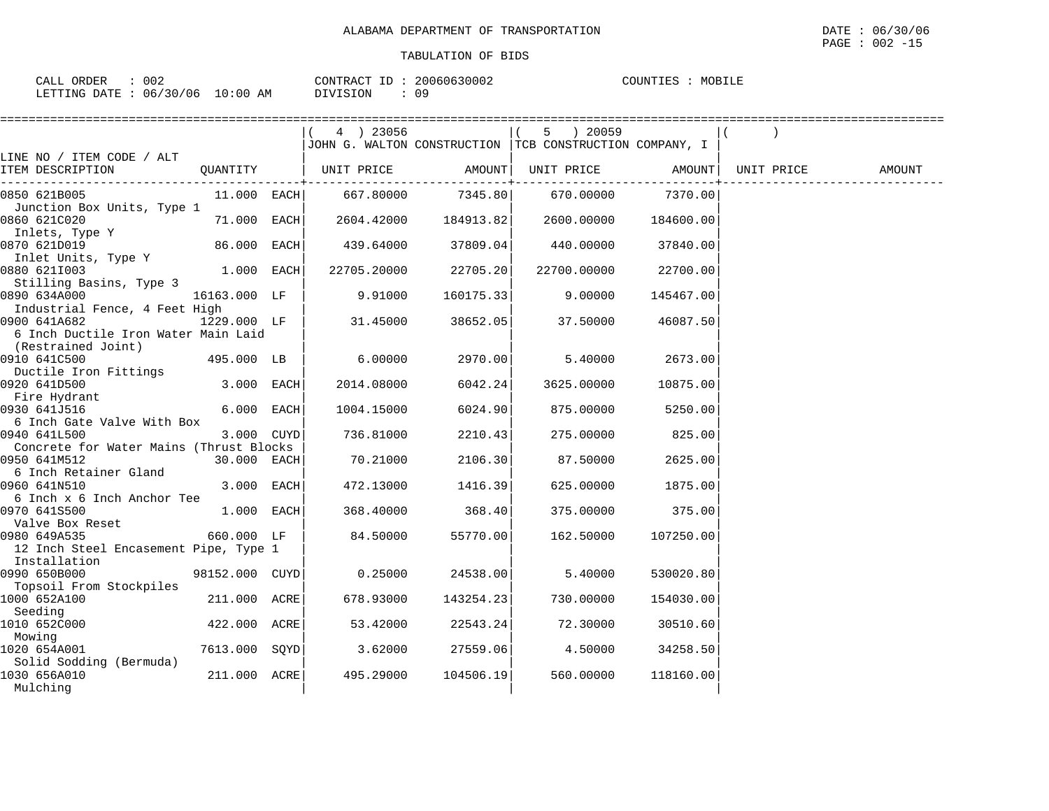| 002<br>ORDER<br>CALL     |             | 20060630002<br>CONTRACT | MOBILE<br>COUNTIES |
|--------------------------|-------------|-------------------------|--------------------|
| 06/30/06<br>LETTING DATE | 10:00<br>ΑM | 09<br>DIVISION          |                    |

|                                               |                | $(4)$ 23056           |                    | 5 ) 20059                                                |           |            |        |
|-----------------------------------------------|----------------|-----------------------|--------------------|----------------------------------------------------------|-----------|------------|--------|
|                                               |                |                       |                    | JOHN G. WALTON CONSTRUCTION  TCB CONSTRUCTION COMPANY, I |           |            |        |
| LINE NO / ITEM CODE / ALT                     |                |                       |                    |                                                          |           |            |        |
| ITEM DESCRIPTION                              |                | QUANTITY   UNIT PRICE | AMOUNT             | UNIT PRICE                                               | AMOUNT    | UNIT PRICE | AMOUNT |
| 0850 621B005                                  | $11.000$ EACH  | 667.80000             | 7345.80            | 670.00000                                                | 7370.00   |            |        |
| Junction Box Units, Type 1                    |                |                       |                    |                                                          |           |            |        |
| 0860 621C020                                  | 71.000 EACH    | 2604.42000            | 184913.82          | 2600.00000                                               | 184600.00 |            |        |
| Inlets, Type Y<br>1970 6210019                |                |                       |                    |                                                          |           |            |        |
| 0870 621D019                                  | 86.000 EACH    |                       | 439.64000 37809.04 | 440.00000                                                | 37840.00  |            |        |
| Inlet Units, Type Y                           |                |                       |                    |                                                          |           |            |        |
| 0880 6211003                                  | $1.000$ EACH   | 22705.20000           | 22705.20           | 22700.00000                                              | 22700.00  |            |        |
| Stilling Basins, Type 3                       |                |                       |                    |                                                          |           |            |        |
| 0890 634A000                                  | 16163.000 LF   | 9.91000               | 160175.33          | 9.00000                                                  | 145467.00 |            |        |
| Industrial Fence, 4 Feet High<br>0900 641A682 | 1229.000 LF    | 31.45000              | 38652.05           | 37.50000                                                 | 46087.50  |            |        |
| 6 Inch Ductile Iron Water Main Laid           |                |                       |                    |                                                          |           |            |        |
| (Restrained Joint)                            |                |                       |                    |                                                          |           |            |        |
| 0910 641C500                                  | 495.000 LB     | 6.00000               | 2970.00            | 5.40000                                                  | 2673.00   |            |        |
| Ductile Iron Fittings                         |                |                       |                    |                                                          |           |            |        |
| 0920 641D500                                  | 3.000 EACH     | 2014.08000            | 6042.24            | 3625.00000                                               | 10875.00  |            |        |
| Fire Hydrant                                  |                |                       |                    |                                                          |           |            |        |
| 0930 641J516                                  | 6.000 EACH     | 1004.15000            | 6024.90            | 875.00000                                                | 5250.00   |            |        |
| 6 Inch Gate Valve With Box                    |                |                       |                    |                                                          |           |            |        |
| 0940 641L500                                  | 3.000 CUYD     | 736.81000             | 2210.43            | 275.00000                                                | 825.00    |            |        |
| Concrete for Water Mains (Thrust Blocks       |                |                       |                    |                                                          |           |            |        |
| 0950 641M512                                  | 30.000 EACH    | 70.21000              | 2106.30            | 87.50000                                                 | 2625.00   |            |        |
| 6 Inch Retainer Gland                         |                |                       |                    |                                                          |           |            |        |
| 0960 641N510                                  | 3.000 EACH     | 472.13000             | 1416.39            | 625.00000                                                | 1875.00   |            |        |
| 6 Inch x 6 Inch Anchor Tee                    |                |                       |                    |                                                          |           |            |        |
| 0970 641S500<br>Valve Box Reset               | $1.000$ EACH   | 368.40000             | 368.40             | 375.00000                                                | 375.00    |            |        |
| 0980 649A535                                  | 660.000 LF     | 84.50000              | 55770.00           | 162.50000                                                | 107250.00 |            |        |
| 12 Inch Steel Encasement Pipe, Type 1         |                |                       |                    |                                                          |           |            |        |
| Installation                                  |                |                       |                    |                                                          |           |            |        |
| 0990 650B000                                  | 98152.000 CUYD | 0.25000               | 24538.00           | 5.40000                                                  | 530020.80 |            |        |
| Topsoil From Stockpiles                       |                |                       |                    |                                                          |           |            |        |
| 1000 652A100                                  | 211.000 ACRE   | 678.93000             | 143254.23          | 730.00000                                                | 154030.00 |            |        |
| Seeding                                       |                |                       |                    |                                                          |           |            |        |
| 1010 652C000                                  | 422.000 ACRE   | 53.42000              | 22543.24           | 72.30000                                                 | 30510.60  |            |        |
| Mowing                                        |                |                       |                    |                                                          |           |            |        |
| 1020 654A001                                  | 7613.000 SOYD  | 3.62000               | 27559.06           | 4.50000                                                  | 34258.50  |            |        |
| Solid Sodding (Bermuda)                       |                |                       |                    |                                                          |           |            |        |
| 1030 656A010                                  | 211.000 ACRE   | 495.29000             | 104506.19          | 560.00000                                                | 118160.00 |            |        |
| Mulching                                      |                |                       |                    |                                                          |           |            |        |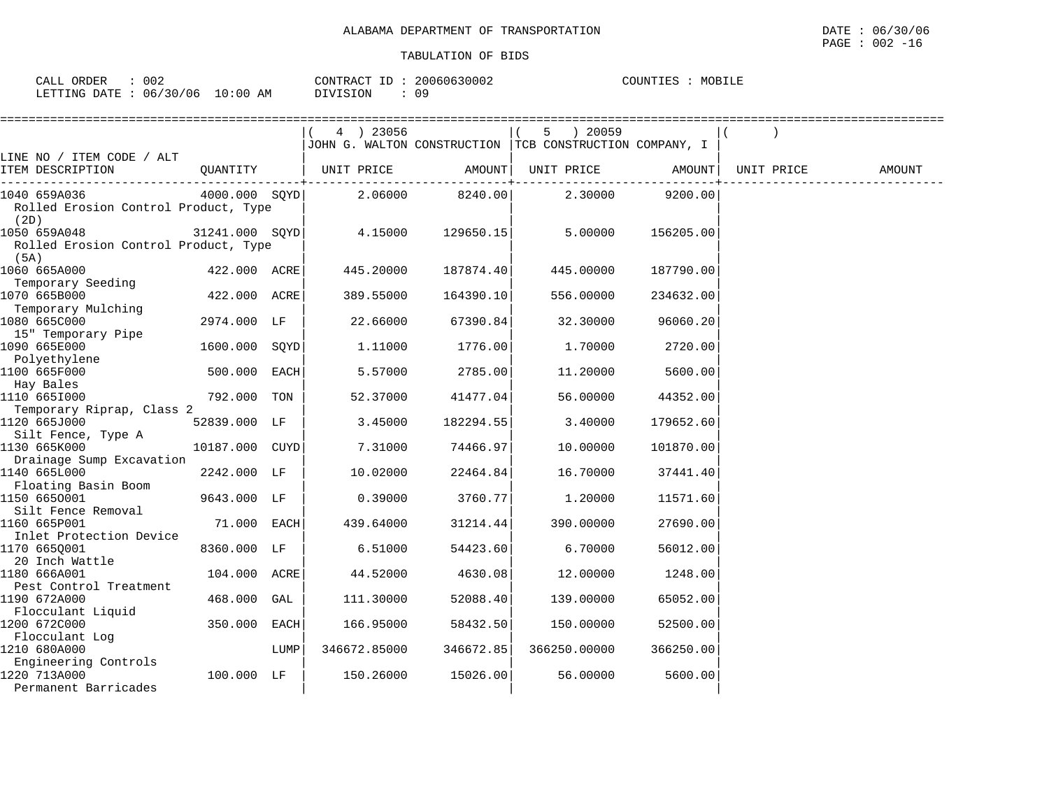| 002<br>$\sim$ $\sim$ $\sim$<br>ORDER<br>لىدىر |             | $ -$<br>CONTRACT<br>L'RAC. | 20060630002 | COUNTIES<br>MOBILE |
|-----------------------------------------------|-------------|----------------------------|-------------|--------------------|
| 06/30/06<br><b>DATE</b><br>LETTING<br>п.      | 10:00<br>ΑM | DIVISION                   | 09          |                    |

|                                               |                |      | 4 ) 23056    |           | $5 \t) 20059$                                            |           |            |        |
|-----------------------------------------------|----------------|------|--------------|-----------|----------------------------------------------------------|-----------|------------|--------|
|                                               |                |      |              |           | JOHN G. WALTON CONSTRUCTION  TCB CONSTRUCTION COMPANY, I |           |            |        |
| LINE NO / ITEM CODE / ALT<br>ITEM DESCRIPTION | QUANTITY       |      | UNIT PRICE   | AMOUNT    | UNIT PRICE                                               | AMOUNT    | UNIT PRICE |        |
|                                               |                |      |              |           | ----------+------------                                  |           |            | AMOUNT |
| 1040 659A036                                  | 4000.000 SOYD  |      | 2.06000      | 8240.00   | 2.30000                                                  | 9200.00   |            |        |
| Rolled Erosion Control Product, Type          |                |      |              |           |                                                          |           |            |        |
| (2D)                                          |                |      |              |           |                                                          |           |            |        |
| 1050 659A048                                  | 31241.000 SOYD |      | 4.15000      | 129650.15 | 5.00000                                                  | 156205.00 |            |        |
| Rolled Erosion Control Product, Type          |                |      |              |           |                                                          |           |            |        |
| (5A)                                          |                |      |              |           |                                                          |           |            |        |
| 1060 665A000                                  | 422.000 ACRE   |      | 445.20000    | 187874.40 | 445.00000                                                | 187790.00 |            |        |
| Temporary Seeding                             |                |      |              |           |                                                          |           |            |        |
| 1070 665B000                                  | 422.000 ACRE   |      | 389.55000    | 164390.10 | 556.00000                                                | 234632.00 |            |        |
| Temporary Mulching<br>1080 665C000            | 2974.000 LF    |      | 22.66000     | 67390.84  | 32.30000                                                 | 96060.20  |            |        |
| 15" Temporary Pipe                            |                |      |              |           |                                                          |           |            |        |
| 1090 665E000                                  | 1600.000 SOYD  |      | 1,11000      | 1776.00   | 1,70000                                                  | 2720.00   |            |        |
| Polyethylene                                  |                |      |              |           |                                                          |           |            |        |
| 1100 665F000                                  | 500.000 EACH   |      | 5.57000      | 2785.00   | 11,20000                                                 | 5600.00   |            |        |
| Hay Bales                                     |                |      |              |           |                                                          |           |            |        |
| 1110 6651000                                  | 792.000 TON    |      | 52.37000     | 41477.04  | 56.00000                                                 | 44352.00  |            |        |
| Temporary Riprap, Class 2                     |                |      |              |           |                                                          |           |            |        |
| 1120 665J000                                  | 52839.000 LF   |      | 3.45000      | 182294.55 | 3.40000                                                  | 179652.60 |            |        |
| Silt Fence, Type A                            |                |      |              |           |                                                          |           |            |        |
| 1130 665K000                                  | 10187.000 CUYD |      | 7.31000      | 74466.97  | 10.00000                                                 | 101870.00 |            |        |
| Drainage Sump Excavation                      |                |      |              |           |                                                          |           |            |        |
| 1140 665L000                                  | 2242.000 LF    |      | 10.02000     | 22464.84  | 16.70000                                                 | 37441.40  |            |        |
| Floating Basin Boom<br>1150 6650001           |                |      |              |           |                                                          |           |            |        |
| Silt Fence Removal                            | 9643.000 LF    |      | 0.39000      | 3760.77   | 1,20000                                                  | 11571.60  |            |        |
| 1160 665P001                                  | 71.000 EACH    |      | 439.64000    | 31214.44  | 390.00000                                                | 27690.00  |            |        |
| Inlet Protection Device                       |                |      |              |           |                                                          |           |            |        |
| 1170 6650001                                  | 8360.000 LF    |      | 6.51000      | 54423.60  | 6.70000                                                  | 56012.00  |            |        |
| 20 Inch Wattle                                |                |      |              |           |                                                          |           |            |        |
| 1180 666A001                                  | 104.000 ACRE   |      | 44.52000     | 4630.08   | 12.00000                                                 | 1248.00   |            |        |
| Pest Control Treatment                        |                |      |              |           |                                                          |           |            |        |
| 1190 672A000                                  | 468.000 GAL    |      | 111.30000    | 52088.40  | 139.00000                                                | 65052.00  |            |        |
| Flocculant Liquid                             |                |      |              |           |                                                          |           |            |        |
| 1200 672C000                                  | 350.000 EACH   |      | 166.95000    | 58432.50  | 150.00000                                                | 52500.00  |            |        |
| Flocculant Log                                |                |      |              |           |                                                          |           |            |        |
| 1210 680A000                                  |                | LUMP | 346672.85000 | 346672.85 | 366250.00000                                             | 366250.00 |            |        |
| Engineering Controls<br>1220 713A000          |                |      |              |           |                                                          |           |            |        |
| Permanent Barricades                          | 100.000 LF     |      | 150.26000    | 15026.00  | 56.00000                                                 | 5600.00   |            |        |
|                                               |                |      |              |           |                                                          |           |            |        |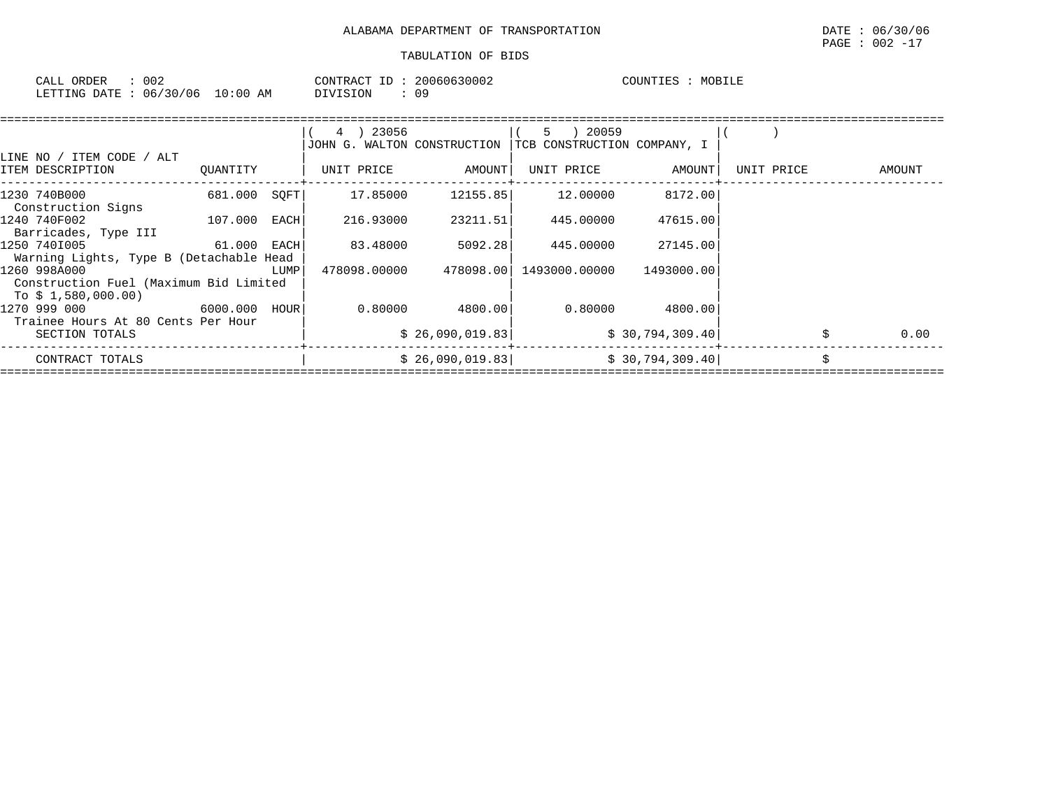| CALL<br>ORDER | $\sim$ $\sim$ $\sim$<br>◡◡▵ |             | CONTRACT ID<br>VTRAC | 20060630002 | COUNTIES | MOBILF<br>اطللات |
|---------------|-----------------------------|-------------|----------------------|-------------|----------|------------------|
| LETTING DATE  | 06/30/06                    | 10:00<br>AM | $\sqrt{1}$           | n n<br>υs   |          |                  |

|                                                                               |              |      | 4 ) 23056<br>JOHN G. WALTON CONSTRUCTION |                 | 5 ) 20059<br>TCB CONSTRUCTION COMPANY, I |                 |            |        |      |
|-------------------------------------------------------------------------------|--------------|------|------------------------------------------|-----------------|------------------------------------------|-----------------|------------|--------|------|
| / ALT<br>LINE NO / ITEM CODE<br>ITEM DESCRIPTION                              | OUANTITY     |      | UNIT PRICE                               | AMOUNT          | UNIT PRICE                               | AMOUNT          | UNIT PRICE | AMOUNT |      |
| 1230 740B000<br>Construction Signs                                            | 681.000 SQFT |      | 17.85000                                 | 12155.85        | 12.00000                                 | 8172.00         |            |        |      |
| 1240 740F002<br>Barricades, Type III                                          | 107.000      | EACH | 216.93000                                | 23211.51        | 445.00000                                | 47615.00        |            |        |      |
| 1250 7401005<br>Warning Lights, Type B (Detachable Head                       | 61.000 EACH  |      | 83.48000                                 | 5092.28         | 445.00000                                | 27145.00        |            |        |      |
| 1260 998A000<br>Construction Fuel (Maximum Bid Limited<br>To $$1,580,000.00)$ |              | LUMP | 478098.00000                             |                 | 478098.00  1493000.00000                 | 1493000.00      |            |        |      |
| 6000.000 HOUR<br>1270 999 000<br>Trainee Hours At 80 Cents Per Hour           |              |      | 0.80000                                  | 4800.001        | 0.80000                                  | 4800.00         |            |        |      |
| SECTION TOTALS                                                                |              |      |                                          | \$26,090,019.83 |                                          | \$30,794,309.40 |            |        | 0.00 |
| CONTRACT TOTALS                                                               |              |      |                                          | \$26,090,019.83 |                                          | \$30,794,309.40 |            |        |      |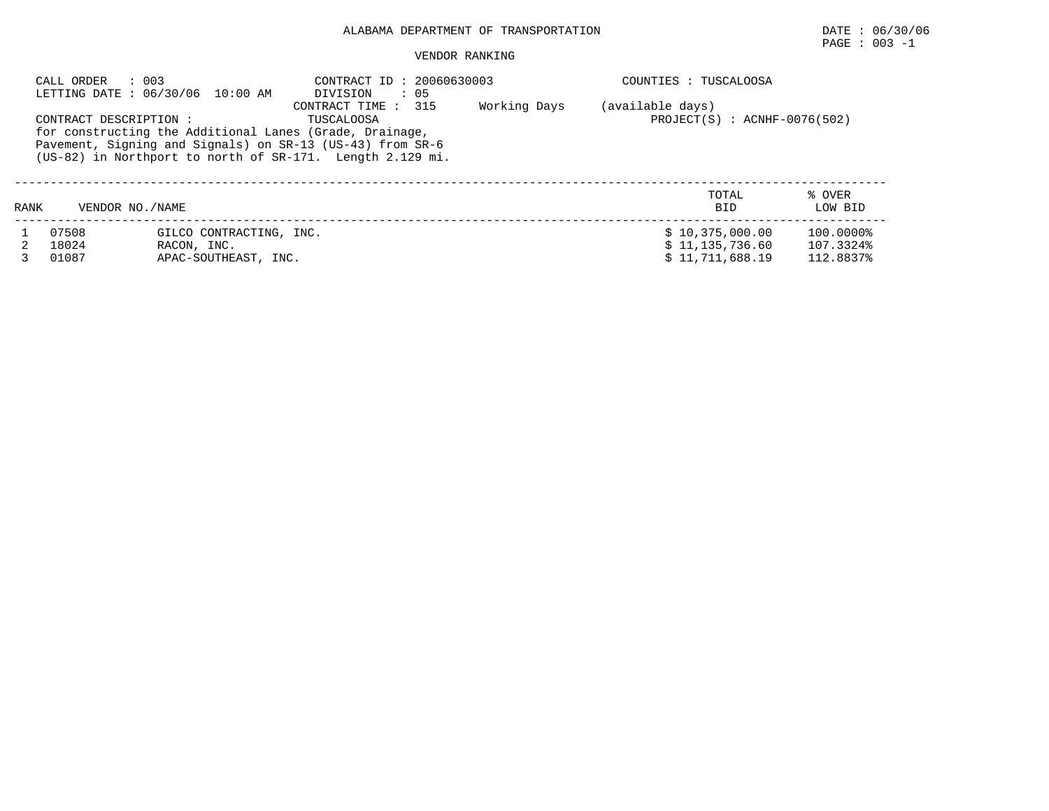## ALABAMA DEPARTMENT OF TRANSPORTATION DATE : 06/30/06

## $\texttt{PAGE}$  : 003 -1

#### VENDOR RANKING

| : 003<br>CALL ORDER<br>LETTING DATE : 06/30/06 10:00 AM |                        |                         | CONTRACT ID: 20060630003<br>: 05<br>DIVISION                                                                                                                                                                           |              | COUNTIES : TUSCALOOSA                                |                   |  |  |  |
|---------------------------------------------------------|------------------------|-------------------------|------------------------------------------------------------------------------------------------------------------------------------------------------------------------------------------------------------------------|--------------|------------------------------------------------------|-------------------|--|--|--|
|                                                         | CONTRACT DESCRIPTION : |                         | CONTRACT TIME : 315<br>TUSCALOOSA<br>for constructing the Additional Lanes (Grade, Drainage,<br>Pavement, Signing and Signals) on SR-13 (US-43) from SR-6<br>(US-82) in Northport to north of SR-171. Length 2.129 mi. | Working Days | (available days)<br>$PROJECT(S)$ : $ACNHF-0076(502)$ |                   |  |  |  |
| RANK                                                    | VENDOR NO. / NAME      |                         |                                                                                                                                                                                                                        |              | TOTAL<br><b>BID</b>                                  | % OVER<br>LOW BID |  |  |  |
|                                                         | 07508                  | GILCO CONTRACTING, INC. |                                                                                                                                                                                                                        |              | \$10,375,000.00                                      | 100.0000%         |  |  |  |
|                                                         | 18024                  | RACON, INC.             |                                                                                                                                                                                                                        |              | \$11,135,736.60                                      | 107.3324%         |  |  |  |
|                                                         | 01087                  | APAC-SOUTHEAST, INC.    |                                                                                                                                                                                                                        |              | \$11.711.688.19                                      | 112.8837%         |  |  |  |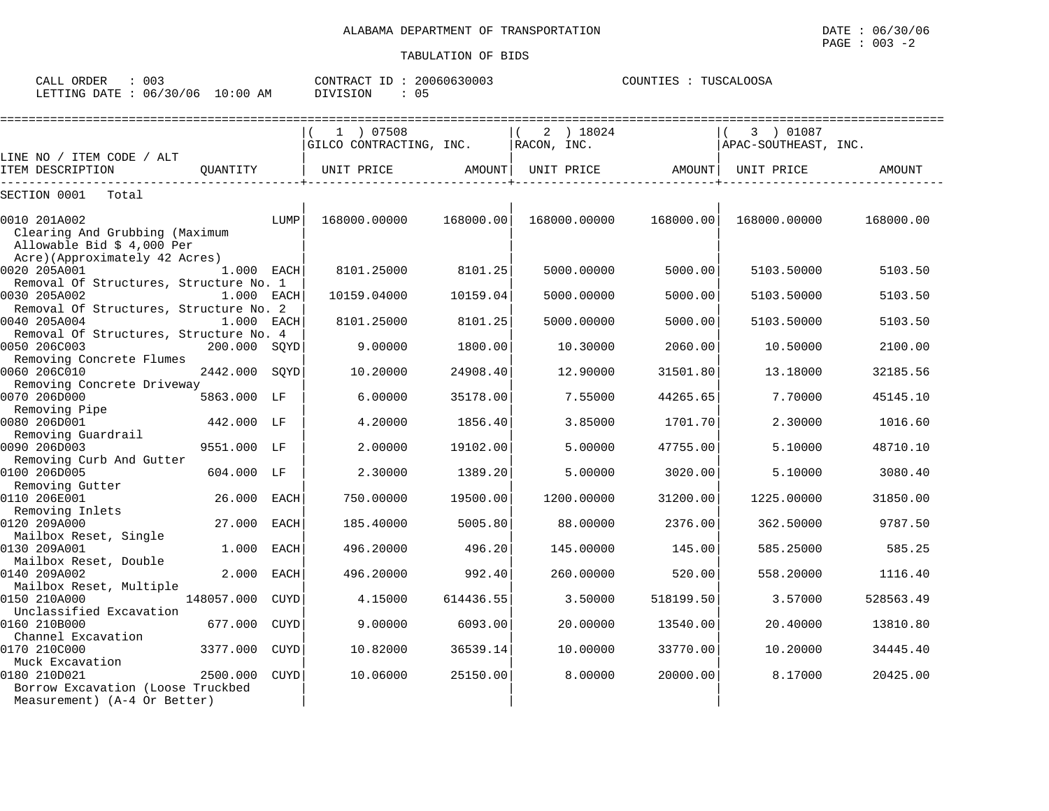CALL ORDER : 003 CONTRACT ID : 20060630003 COUNTIES : TUSCALOOSA LETTING DATE : 06/30/06 10:00 AM DIVISION : 05

|                                                        |              |             | 1 ) 07508               |           | 2 ) 18024    |           | 3 ) 01087            |           |
|--------------------------------------------------------|--------------|-------------|-------------------------|-----------|--------------|-----------|----------------------|-----------|
|                                                        |              |             | GILCO CONTRACTING, INC. |           | RACON, INC.  |           | APAC-SOUTHEAST, INC. |           |
| LINE NO / ITEM CODE / ALT<br>ITEM DESCRIPTION          | QUANTITY     |             | UNIT PRICE              | AMOUNT    | UNIT PRICE   | AMOUNT    | UNIT PRICE           | AMOUNT    |
|                                                        |              |             |                         |           |              |           |                      |           |
| SECTION 0001<br>Total                                  |              |             |                         |           |              |           |                      |           |
| 0010 201A002                                           |              | LUMP        | 168000.00000            | 168000.00 | 168000.00000 | 168000.00 | 168000.00000         | 168000.00 |
| Clearing And Grubbing (Maximum                         |              |             |                         |           |              |           |                      |           |
| Allowable Bid \$ 4,000 Per                             |              |             |                         |           |              |           |                      |           |
| Acre)(Approximately 42 Acres)                          |              |             | 8101.25000              |           | 5000.00000   | 5000.00   |                      |           |
| 0020 205A001<br>Removal Of Structures, Structure No. 1 | 1.000 EACH   |             |                         | 8101.25   |              |           | 5103.50000           | 5103.50   |
| 0030 205A002                                           | 1.000 EACH   |             | 10159.04000             | 10159.04  | 5000.00000   | 5000.00   | 5103.50000           | 5103.50   |
| Removal Of Structures, Structure No. 2                 |              |             |                         |           |              |           |                      |           |
| 0040 205A004                                           | 1.000 EACH   |             | 8101.25000              | 8101.25   | 5000.00000   | 5000.00   | 5103.50000           | 5103.50   |
| Removal Of Structures, Structure No. 4                 |              |             |                         |           |              |           |                      |           |
| 0050 206C003                                           | 200.000 SQYD |             | 9.00000                 | 1800.00   | 10.30000     | 2060.00   | 10.50000             | 2100.00   |
| Removing Concrete Flumes<br>0060 206C010               | 2442.000     | SOYD        | 10.20000                | 24908.40  | 12,90000     | 31501.80  | 13.18000             | 32185.56  |
| Removing Concrete Driveway                             |              |             |                         |           |              |           |                      |           |
| 0070 206D000                                           | 5863.000     | LF          | 6.00000                 | 35178.00  | 7.55000      | 44265.65  | 7.70000              | 45145.10  |
| Removing Pipe                                          |              |             |                         |           |              |           |                      |           |
| 0080 206D001                                           | 442.000 LF   |             | 4.20000                 | 1856.40   | 3.85000      | 1701.70   | 2.30000              | 1016.60   |
| Removing Guardrail<br>0090 206D003                     |              |             |                         |           |              |           |                      |           |
| Removing Curb And Gutter                               | 9551.000     | LF          | 2.00000                 | 19102.00  | 5.00000      | 47755.00  | 5.10000              | 48710.10  |
| 0100 206D005                                           | 604.000 LF   |             | 2.30000                 | 1389.20   | 5.00000      | 3020.00   | 5.10000              | 3080.40   |
| Removing Gutter                                        |              |             |                         |           |              |           |                      |           |
| 0110 206E001                                           | 26.000       | <b>EACH</b> | 750.00000               | 19500.00  | 1200.00000   | 31200.00  | 1225.00000           | 31850.00  |
| Removing Inlets                                        |              |             |                         |           |              |           |                      |           |
| 0120 209A000                                           | 27.000       | <b>EACH</b> | 185.40000               | 5005.80   | 88.00000     | 2376.00   | 362.50000            | 9787.50   |
| Mailbox Reset, Single<br>0130 209A001                  | 1,000        | <b>EACH</b> | 496.20000               | 496.20    | 145.00000    | 145.00    | 585.25000            | 585.25    |
| Mailbox Reset, Double                                  |              |             |                         |           |              |           |                      |           |
| 0140 209A002                                           | 2.000        | <b>EACH</b> | 496.20000               | 992.40    | 260.00000    | 520.00    | 558.20000            | 1116.40   |
| Mailbox Reset, Multiple                                |              |             |                         |           |              |           |                      |           |
| 0150 210A000                                           | 148057.000   | <b>CUYD</b> | 4.15000                 | 614436.55 | 3.50000      | 518199.50 | 3.57000              | 528563.49 |
| Unclassified Excavation<br>0160 210B000                | 677.000      | <b>CUYD</b> | 9.00000                 | 6093.00   | 20.00000     | 13540.00  | 20.40000             | 13810.80  |
| Channel Excavation                                     |              |             |                         |           |              |           |                      |           |
| 0170 210C000                                           | 3377.000     | <b>CUYD</b> | 10.82000                | 36539.14  | 10.00000     | 33770.00  | 10.20000             | 34445.40  |
| Muck Excavation                                        |              |             |                         |           |              |           |                      |           |
| 0180 210D021                                           | 2500.000     | <b>CUYD</b> | 10.06000                | 25150.00  | 8,00000      | 20000.00  | 8.17000              | 20425.00  |
| Borrow Excavation (Loose Truckbed                      |              |             |                         |           |              |           |                      |           |
| Measurement) (A-4 Or Better)                           |              |             |                         |           |              |           |                      |           |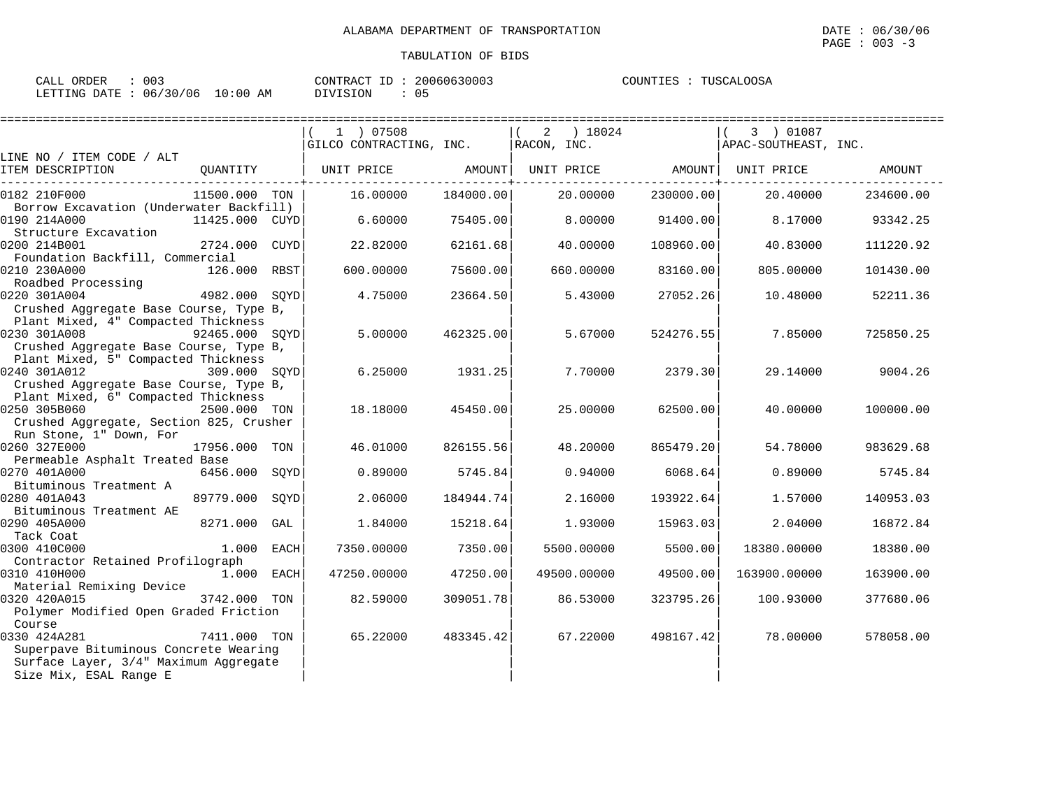$\texttt{PAGE}$  : 003 -3

| ORDER<br>CALL (                 | 003 |          | CONTRACT ID: 20060630003 |  | COUNTIES : TUSCALOOSA |
|---------------------------------|-----|----------|--------------------------|--|-----------------------|
| LETTING DATE: 06/30/06 10:00 AM |     | DIVISION | 05                       |  |                       |

|                                         |                |     | ============================ |           |                                |           | =================    |           |
|-----------------------------------------|----------------|-----|------------------------------|-----------|--------------------------------|-----------|----------------------|-----------|
|                                         |                |     | 1 ) 07508                    |           | 2 ) 18024                      |           | 3 ) 01087            |           |
|                                         |                |     | GILCO CONTRACTING, INC.      |           | RACON, INC.                    |           | APAC-SOUTHEAST, INC. |           |
| LINE NO / ITEM CODE / ALT               |                |     |                              |           |                                |           |                      |           |
| ITEM DESCRIPTION                        | QUANTITY       |     | UNIT PRICE                   | AMOUNT    | UNIT PRICE AMOUNT   UNIT PRICE |           |                      | AMOUNT    |
| 0182 210F000                            | 11500.000 TON  |     | 16.00000                     | 184000.00 | 20.00000                       | 230000.00 | 20.40000             | 234600.00 |
| Borrow Excavation (Underwater Backfill) |                |     |                              |           |                                |           |                      |           |
| 0190 214A000                            | 11425.000 CUYD |     | 6.60000                      | 75405.00  | 8.00000                        | 91400.00  | 8.17000              | 93342.25  |
| Structure Excavation                    |                |     |                              |           |                                |           |                      |           |
| 0200 214B001                            | 2724.000 CUYD  |     | 22.82000                     | 62161.68  | 40.00000                       | 108960.00 | 40.83000             | 111220.92 |
| Foundation Backfill, Commercial         |                |     |                              |           |                                |           |                      |           |
| 0210 230A000                            | 126.000 RBST   |     | 600,00000                    | 75600.00  | 660,00000                      | 83160.00  | 805,00000            | 101430.00 |
| Roadbed Processing                      |                |     |                              |           |                                |           |                      |           |
| 0220 301A004                            | 4982.000 SOYD  |     | 4.75000                      | 23664.50  | 5.43000                        | 27052.26  | 10.48000             | 52211.36  |
| Crushed Aggregate Base Course, Type B,  |                |     |                              |           |                                |           |                      |           |
| Plant Mixed, 4" Compacted Thickness     |                |     |                              |           |                                |           |                      |           |
| 0230 301A008                            | 92465.000 SOYD |     | 5.00000                      | 462325.00 | 5.67000                        | 524276.55 | 7.85000              | 725850.25 |
| Crushed Aggregate Base Course, Type B,  |                |     |                              |           |                                |           |                      |           |
| Plant Mixed, 5" Compacted Thickness     |                |     |                              |           |                                |           |                      |           |
| 0240 301A012<br>309.000 SOYD            |                |     | 6.25000                      | 1931.25   | 7.70000                        | 2379.30   | 29.14000             | 9004.26   |
| Crushed Aggregate Base Course, Type B,  |                |     |                              |           |                                |           |                      |           |
| Plant Mixed, 6" Compacted Thickness     |                |     |                              |           |                                |           |                      |           |
| 0250 305B060                            | 2500.000 TON   |     | 18.18000                     | 45450.00  | 25,00000                       | 62500.00  | 40.00000             | 100000.00 |
| Crushed Aggregate, Section 825, Crusher |                |     |                              |           |                                |           |                      |           |
| Run Stone, 1" Down, For                 |                |     |                              |           |                                |           |                      |           |
| 0260 327E000                            | 17956.000 TON  |     | 46.01000                     | 826155.56 | 48.20000                       | 865479.20 | 54.78000             | 983629.68 |
| Permeable Asphalt Treated Base          |                |     |                              |           |                                |           |                      |           |
| 0270 401A000                            | 6456.000 SQYD  |     | 0.89000                      | 5745.84   | 0.94000                        | 6068.64   | 0.89000              | 5745.84   |
| Bituminous Treatment A                  |                |     |                              |           |                                |           |                      |           |
| 0280 401A043                            | 89779.000 SOYD |     | 2.06000                      | 184944.74 | 2.16000                        | 193922.64 | 1.57000              | 140953.03 |
| Bituminous Treatment AE                 |                |     |                              |           |                                |           |                      |           |
| 0290 405A000                            | 8271.000       | GAL | 1.84000                      | 15218.64  | 1.93000                        | 15963.03  | 2.04000              | 16872.84  |
| Tack Coat                               |                |     |                              |           |                                |           |                      |           |
| 0300 410C000                            | 1.000 EACH     |     | 7350.00000                   | 7350.00   | 5500.00000                     | 5500.00   | 18380.00000          | 18380.00  |
| Contractor Retained Profilograph        |                |     |                              |           |                                |           |                      |           |
| 0310 410H000                            | 1.000 EACH     |     | 47250.00000                  | 47250.00  | 49500.00000                    | 49500.00  | 163900.00000         | 163900.00 |
| Material Remixing Device                |                |     |                              |           |                                |           |                      |           |
| 0320 420A015                            | 3742.000 TON   |     | 82.59000                     | 309051.78 | 86.53000                       | 323795.26 | 100.93000            | 377680.06 |
| Polymer Modified Open Graded Friction   |                |     |                              |           |                                |           |                      |           |
| Course                                  |                |     |                              |           |                                |           |                      |           |
| 0330 424A281                            | 7411.000 TON   |     | 65.22000                     | 483345.42 | 67.22000                       | 498167.42 | 78.00000             | 578058.00 |
| Superpave Bituminous Concrete Wearing   |                |     |                              |           |                                |           |                      |           |
| Surface Layer, 3/4" Maximum Aggregate   |                |     |                              |           |                                |           |                      |           |
| Size Mix, ESAL Range E                  |                |     |                              |           |                                |           |                      |           |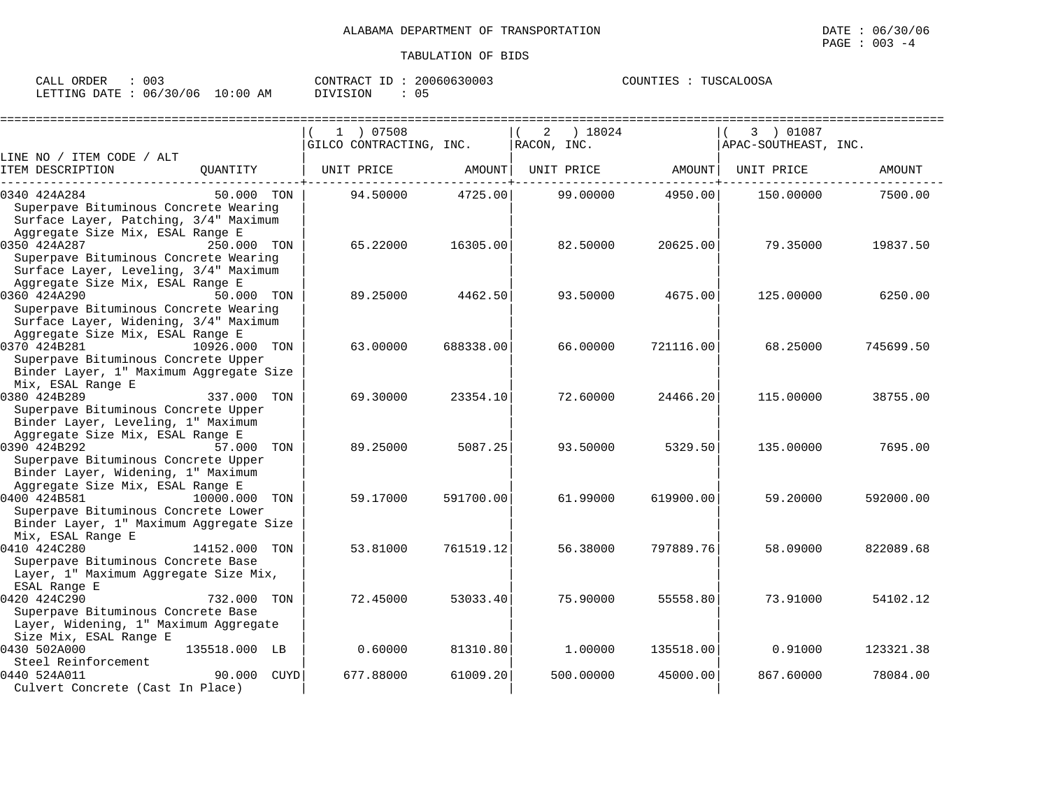| 003<br>CALL ORDER               |          | CONTRACT ID: 20060630003 | COUNTIES : TUSCALOOSA |
|---------------------------------|----------|--------------------------|-----------------------|
| LETTING DATE: 06/30/06 10:00 AM | DIVISION | 05                       |                       |

|                                                                                                                                       |               | 1 07508                 |           | 2                | ) 18024   |                                                       | 3 ) 01087            |           |
|---------------------------------------------------------------------------------------------------------------------------------------|---------------|-------------------------|-----------|------------------|-----------|-------------------------------------------------------|----------------------|-----------|
|                                                                                                                                       |               | GILCO CONTRACTING, INC. |           | $RACON$ , $INC.$ |           |                                                       | APAC-SOUTHEAST, INC. |           |
| LINE NO / ITEM CODE / ALT<br>ITEM DESCRIPTION                                                                                         | OUANTITY      | UNIT PRICE              | AMOUNT    |                  |           | UNIT PRICE AMOUNT<br>. - - - - - - - - - <del>+</del> | UNIT PRICE           | AMOUNT    |
| 0340 424A284<br>Superpave Bituminous Concrete Wearing<br>Surface Layer, Patching, 3/4" Maximum<br>Aggregate Size Mix, ESAL Range E    | 50.000 TON    | 94.50000                | 4725.00   |                  | 99.00000  | 4950.00                                               | 150.00000            | 7500.00   |
| 0350 424A287<br>Superpave Bituminous Concrete Wearing<br>Surface Layer, Leveling, 3/4" Maximum<br>Aggregate Size Mix, ESAL Range E    | 250.000 TON   | 65.22000                | 16305.00  |                  | 82.50000  | 20625.00                                              | 79.35000             | 19837.50  |
| 0360 424A290<br>Superpave Bituminous Concrete Wearing<br>Surface Layer, Widening, 3/4" Maximum<br>Aggregate Size Mix, ESAL Range E    | 50.000 TON    | 89.25000                | 4462.50   |                  | 93.50000  | 4675.00                                               | 125.00000            | 6250.00   |
| 0370 424B281<br>Superpave Bituminous Concrete Upper<br>Binder Layer, 1" Maximum Aggregate Size<br>Mix, ESAL Range E                   | 10926.000 TON | 63.00000                | 688338.00 |                  | 66.00000  | 721116.00                                             | 68.25000             | 745699.50 |
| 0380 424B289<br>Superpave Bituminous Concrete Upper<br>Binder Layer, Leveling, 1" Maximum<br>Aggregate Size Mix, ESAL Range E         | 337.000 TON   | 69.30000                | 23354.10  |                  | 72.60000  | 24466.20                                              | 115.00000            | 38755.00  |
| 0390 424B292<br>Superpave Bituminous Concrete Upper<br>Binder Layer, Widening, 1" Maximum<br>Aggregate Size Mix, ESAL Range E         | 57.000 TON    | 89.25000                | 5087.25   |                  | 93.50000  | 5329.50                                               | 135.00000            | 7695.00   |
| 0400 424B581<br>Superpave Bituminous Concrete Lower<br>Binder Layer, 1" Maximum Aggregate Size                                        | 10000,000 TON | 59.17000                | 591700.00 |                  | 61,99000  | 619900.00                                             | 59.20000             | 592000.00 |
| Mix, ESAL Range E<br>0410 424C280<br>Superpave Bituminous Concrete Base<br>Layer, 1" Maximum Aggregate Size Mix,                      | 14152.000 TON | 53.81000                | 761519.12 |                  | 56.38000  | 797889.76                                             | 58.09000             | 822089.68 |
| ESAL Range E<br>0420 424C290<br>Superpave Bituminous Concrete Base<br>Layer, Widening, 1" Maximum Aggregate<br>Size Mix, ESAL Range E | 732.000 TON   | 72.45000                | 53033.40  |                  | 75.90000  | 55558.80                                              | 73.91000             | 54102.12  |
| 0430 502A000<br>Steel Reinforcement                                                                                                   | 135518.000 LB | 0.60000                 | 81310.80  |                  | 1.00000   | 135518.00                                             | 0.91000              | 123321.38 |
| 0440 524A011<br>Culvert Concrete (Cast In Place)                                                                                      | 90.000 CUYD   | 677.88000               | 61009.20  |                  | 500.00000 | 45000.00                                              | 867.60000            | 78084.00  |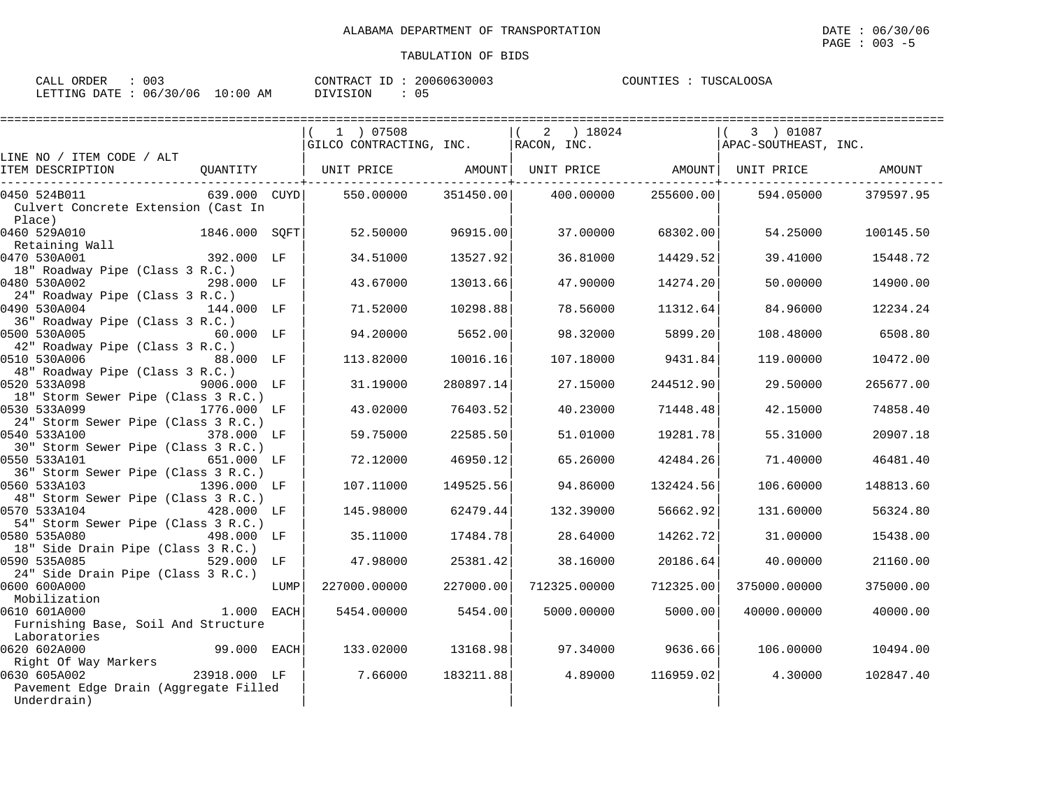| 003<br>CALL ORDER               |          | CONTRACT ID: 20060630003 | COUNTIES : TUSCALOOSA |
|---------------------------------|----------|--------------------------|-----------------------|
| LETTING DATE: 06/30/06 10:00 AM | DIVISION | 05                       |                       |

|                                                                    |      | (1) 07508<br>GILCO CONTRACTING, INC. RACON, INC.                   |           | ( 2 ) 18024  |           | 3) 01087<br>APAC-SOUTHEAST, INC. |           |
|--------------------------------------------------------------------|------|--------------------------------------------------------------------|-----------|--------------|-----------|----------------------------------|-----------|
| LINE NO / ITEM CODE / ALT                                          |      |                                                                    |           |              |           |                                  |           |
| ITEM DESCRIPTION                                                   |      | QUANTITY   UNIT PRICE AMOUNT  UNIT PRICE AMOUNT  UNIT PRICE AMOUNT |           |              |           |                                  |           |
| 0450 524B011                                                       |      | $639.000$ CUYD $\vert$ 550.00000 351450.00 400.00000               |           |              | 255600.00 | 594.05000                        | 379597.95 |
| Culvert Concrete Extension (Cast In                                |      |                                                                    |           |              |           |                                  |           |
| Place)                                                             |      |                                                                    |           |              |           |                                  |           |
| 0460 529A010<br>1846.000 SOFT                                      |      | 52.50000                                                           | 96915.00  | 37.00000     | 68302.00  | 54.25000                         | 100145.50 |
| Retaining Wall<br>0470 530A001<br>392.000 LF                       |      | 34.51000                                                           | 13527.92  | 36.81000     | 14429.52  | 39.41000                         | 15448.72  |
| 18" Roadway Pipe (Class 3 R.C.)                                    |      |                                                                    |           |              |           |                                  |           |
| 0480 530A002<br>298.000 LF                                         |      | 43.67000                                                           | 13013.66  | 47.90000     | 14274.20  | 50.00000                         | 14900.00  |
| 24" Roadway Pipe (Class 3 R.C.)                                    |      |                                                                    |           |              |           |                                  |           |
| 0490 530A004<br>144.000 LF                                         |      | 71.52000                                                           | 10298.88  | 78.56000     | 11312.64  | 84.96000                         | 12234.24  |
| 36" Roadway Pipe (Class 3 R.C.)                                    |      |                                                                    |           |              |           |                                  |           |
| 0500 530A005<br>60.000 LF                                          |      | 94.20000                                                           | 5652.00   | 98.32000     | 5899.20   | 108.48000                        | 6508.80   |
| 42" Roadway Pipe (Class 3 R.C.)                                    |      |                                                                    |           |              |           |                                  |           |
| 0510 530A006<br>88.000 LF                                          |      | 113.82000                                                          | 10016.16  | 107.18000    | 9431.84   | 119.00000                        | 10472.00  |
| 48" Roadway Pipe (Class 3 R.C.)                                    |      |                                                                    |           |              |           |                                  |           |
| 0520 533A098<br>9006.000 LF                                        |      | 31.19000                                                           | 280897.14 | 27.15000     | 244512.90 | 29.50000                         | 265677.00 |
| 18" Storm Sewer Pipe (Class 3 R.C.)<br>0530 533A099<br>1776.000 LF |      | 43.02000                                                           | 76403.52  | 40.23000     | 71448.48  | 42.15000                         | 74858.40  |
| 24" Storm Sewer Pipe (Class 3 R.C.)                                |      |                                                                    |           |              |           |                                  |           |
| 0540 533A100<br>378.000 LF                                         |      | 59.75000                                                           | 22585.50  | 51.01000     | 19281.78  | 55.31000                         | 20907.18  |
| 30" Storm Sewer Pipe (Class 3 R.C.)                                |      |                                                                    |           |              |           |                                  |           |
| 0550 533A101<br>651.000 LF                                         |      | 72.12000                                                           | 46950.12  | 65.26000     | 42484.26  | 71.40000                         | 46481.40  |
| 36" Storm Sewer Pipe (Class 3 R.C.)                                |      |                                                                    |           |              |           |                                  |           |
| 0560 533A103<br>1396.000 LF                                        |      | 107.11000                                                          | 149525.56 | 94.86000     | 132424.56 | 106.60000                        | 148813.60 |
| 48" Storm Sewer Pipe (Class 3 R.C.)                                |      |                                                                    |           |              |           |                                  |           |
| 0570 533A104                                                       |      | 145.98000                                                          | 62479.44  | 132.39000    | 56662.92  | 131.60000                        | 56324.80  |
| 54" Storm Sewer Pipe (Class 3 R.C.)                                |      |                                                                    |           |              |           |                                  |           |
| 0580 535A080<br>498.000 LF                                         |      | 35.11000                                                           | 17484.78  | 28.64000     | 14262.72  | 31.00000                         | 15438.00  |
| 18" Side Drain Pipe (Class 3 R.C.)<br>$529.000$ LF<br>0590 535A085 |      | 47.98000                                                           | 25381.42  | 38.16000     | 20186.64  | 40.00000                         | 21160.00  |
| 24" Side Drain Pipe (Class 3 R.C.)                                 |      |                                                                    |           |              |           |                                  |           |
| 0600 600A000                                                       | LUMP | 227000.00000                                                       | 227000.00 | 712325.00000 | 712325.00 | 375000.00000                     | 375000.00 |
| Mobilization                                                       |      |                                                                    |           |              |           |                                  |           |
| 1.000 EACH<br>0610 601A000                                         |      | 5454.00000                                                         | 5454.00   | 5000.00000   | 5000.00   | 40000.00000                      | 40000.00  |
| Furnishing Base, Soil And Structure                                |      |                                                                    |           |              |           |                                  |           |
| Laboratories                                                       |      |                                                                    |           |              |           |                                  |           |
| 0620 602A000<br>99.000 EACH                                        |      | 133.02000                                                          | 13168.98  | 97.34000     | 9636.66   | 106.00000                        | 10494.00  |
| Right Of Way Markers                                               |      |                                                                    |           |              |           |                                  |           |
| $23918.000$ LF<br>0630 605A002                                     |      | 7.66000                                                            | 183211.88 | 4.89000      | 116959.02 | 4.30000                          | 102847.40 |
| Pavement Edge Drain (Aggregate Filled                              |      |                                                                    |           |              |           |                                  |           |
| Underdrain)                                                        |      |                                                                    |           |              |           |                                  |           |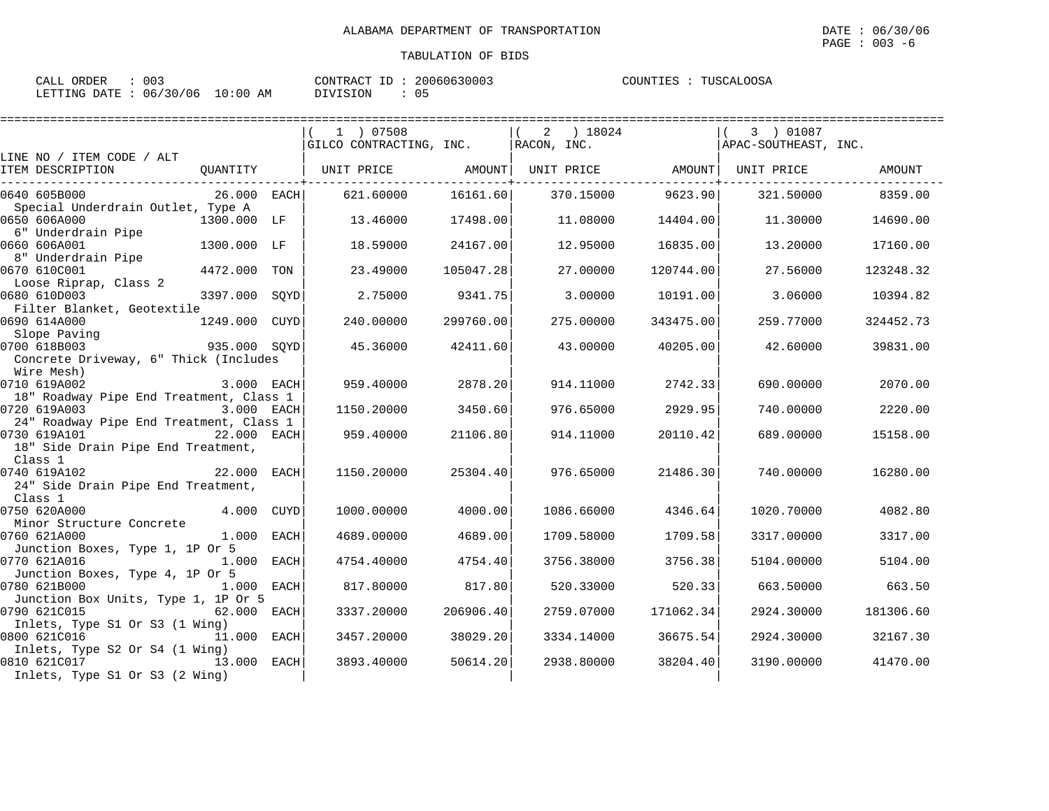| 003<br>ORDER<br>CALL (          | CONTRACT ID: $\frac{1}{2}$ | 20060630003 | TUSCALOOSA<br>COUNTIES : ' |
|---------------------------------|----------------------------|-------------|----------------------------|
| LETTING DATE: 06/30/06 10:00 AM | DIVISION                   | 05          |                            |

|                                                                                                    |               |             | 1 ) 07508               |           | 2 ) 18024         |                              | 3 ) 01087            |           |
|----------------------------------------------------------------------------------------------------|---------------|-------------|-------------------------|-----------|-------------------|------------------------------|----------------------|-----------|
|                                                                                                    |               |             | GILCO CONTRACTING, INC. |           | $RACON$ , $INC$ . |                              | APAC-SOUTHEAST, INC. |           |
| LINE NO / ITEM CODE / ALT<br>ITEM DESCRIPTION                                                      | QUANTITY      |             | UNIT PRICE              | AMOUNT    |                   | UNIT PRICE AMOUNT UNIT PRICE |                      | AMOUNT    |
| 0640 605B000                                                                                       | 26.000 EACH   |             | 621.60000               | 16161.60  | 370.15000         | 9623.90                      | 321.50000            | 8359.00   |
| Special Underdrain Outlet, Type A<br>0650 606A000<br>6" Underdrain Pipe                            | 1300.000 LF   |             | 13.46000                | 17498.00  |                   | 11.08000<br>14404.00         | 11.30000             | 14690.00  |
| 0660 606A001<br>8" Underdrain Pipe                                                                 | 1300.000 LF   |             | 18.59000                | 24167.00  |                   | 12.95000<br>16835.00         | 13.20000             | 17160.00  |
| 0670 610C001                                                                                       | 4472.000      | TON         | 23.49000                | 105047.28 |                   | 27.00000<br>120744.00        | 27.56000             | 123248.32 |
| Loose Riprap, Class 2<br>0680 610D003<br>Filter Blanket, Geotextile                                | 3397.000      | SOYD        | 2.75000                 | 9341.75   |                   | 3,00000<br>10191.00          | 3.06000              | 10394.82  |
| 0690 614A000<br>Slope Paving                                                                       | 1249.000 CUYD |             | 240.00000               | 299760.00 | 275,00000         | 343475.00                    | 259.77000            | 324452.73 |
| 935.000 SQYD<br>0700 618B003<br>Concrete Driveway, 6" Thick (Includes                              |               |             | 45.36000                | 42411.60  |                   | 43.00000<br>40205.00         | 42.60000             | 39831.00  |
| Wire Mesh)                                                                                         |               |             |                         |           |                   |                              |                      |           |
| 0710 619A002                                                                                       | 3.000 EACH    |             | 959.40000               | 2878.20   | 914.11000         | 2742.33                      | 690,00000            | 2070.00   |
| 18" Roadway Pipe End Treatment, Class 1<br>0720 619A003<br>24" Roadway Pipe End Treatment, Class 1 | 3.000 EACH    |             | 1150.20000              | 3450.60   | 976.65000         | 2929.95                      | 740.00000            | 2220.00   |
| 0730 619A101<br>$22.000$ EACH<br>18" Side Drain Pipe End Treatment,                                |               |             | 959.40000               | 21106.80  | 914.11000         | 20110.42                     | 689.00000            | 15158.00  |
| Class 1<br>0740 619A102<br>24" Side Drain Pipe End Treatment,                                      | 22.000        | EACH        | 1150.20000              | 25304.40  | 976.65000         | 21486.30                     | 740.00000            | 16280.00  |
| Class 1<br>0750 620A000                                                                            | 4.000         | CUYD        | 1000.00000              | 4000.00   | 1086.66000        | 4346.64                      | 1020.70000           | 4082.80   |
| Minor Structure Concrete                                                                           |               |             |                         |           |                   |                              |                      |           |
| 0760 621A000<br>Junction Boxes, Type 1, 1P Or 5                                                    | 1.000 EACH    |             | 4689,00000              | 4689.00   | 1709.58000        | 1709.58                      | 3317.00000           | 3317.00   |
| 0770 621A016                                                                                       | 1.000 EACH    |             | 4754.40000              | 4754.40   | 3756.38000        | 3756.38                      | 5104.00000           | 5104.00   |
| Junction Boxes, Type 4, 1P Or 5<br>0780 621B000                                                    | 1.000         | <b>EACH</b> | 817.80000               | 817.80    | 520.33000         | 520.33                       | 663.50000            | 663.50    |
| Junction Box Units, Type 1, 1P Or 5<br>0790 621C015                                                | 62.000        | EACH        | 3337.20000              | 206906.40 | 2759.07000        | 171062.34                    | 2924.30000           | 181306.60 |
| Inlets, Type S1 Or S3 (1 Wing)<br>0800 621C016                                                     | 11.000 EACH   |             | 3457.20000              | 38029.20  | 3334.14000        | 36675.54                     | 2924.30000           | 32167.30  |
| Inlets, Type S2 Or S4 (1 Wing)<br>0810 621C017<br>13.000<br>Inlets, Type S1 Or S3 (2 Wing)         |               | EACH        | 3893.40000              | 50614.20  | 2938.80000        | 38204.40                     | 3190.00000           | 41470.00  |
|                                                                                                    |               |             |                         |           |                   |                              |                      |           |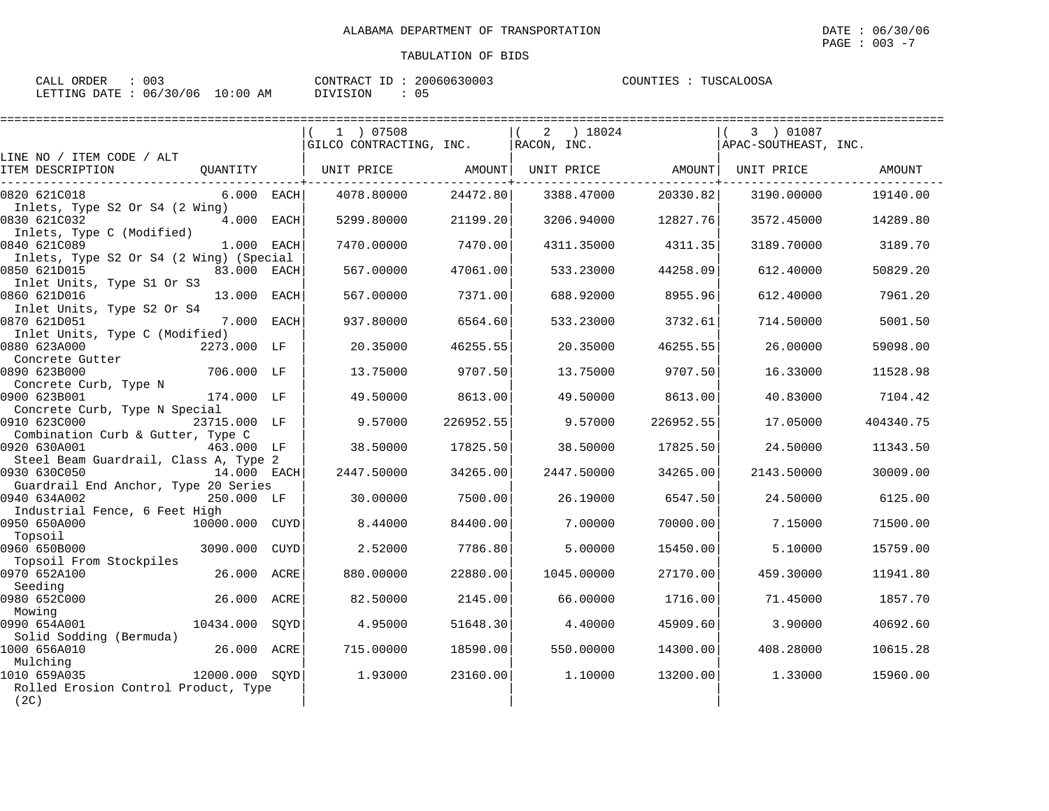$\texttt{PAGE}$  : 003 -7

| CALL ORDER                      | 003 |          | CONTRACT ID: 20060630003 | COUNTIES : TUSCALOOSA |
|---------------------------------|-----|----------|--------------------------|-----------------------|
| LETTING DATE: 06/30/06 10:00 AM |     | DIVISION | 05                       |                       |

|                                                              |                |             | 1 ) 07508               |           | ) 18024<br>2 |           | 3 ) 01087            |               |
|--------------------------------------------------------------|----------------|-------------|-------------------------|-----------|--------------|-----------|----------------------|---------------|
|                                                              |                |             | GILCO CONTRACTING, INC. |           | RACON, INC.  |           | APAC-SOUTHEAST, INC. |               |
| LINE NO / ITEM CODE / ALT<br>ITEM DESCRIPTION                | OUANTITY       |             | UNIT PRICE              | AMOUNT    | UNIT PRICE   | AMOUNT    | UNIT PRICE           | <b>AMOUNT</b> |
| 0820 621C018<br>Inlets, Type S2 Or S4 (2 Wing)               | 6.000 EACH     |             | 4078.80000              | 24472.80  | 3388.47000   | 20330.82  | 3190.00000           | 19140.00      |
| 0830 621C032<br>Inlets, Type C (Modified)                    | 4.000 EACH     |             | 5299.80000              | 21199.20  | 3206.94000   | 12827.76  | 3572.45000           | 14289.80      |
| 0840 621C089<br>Inlets, Type S2 Or S4 (2 Wing) (Special      | 1.000 EACH     |             | 7470.00000              | 7470.00   | 4311.35000   | 4311.35   | 3189.70000           | 3189.70       |
| 0850 621D015<br>Inlet Units, Type S1 Or S3                   | 83.000         | <b>EACH</b> | 567.00000               | 47061.00  | 533.23000    | 44258.09  | 612,40000            | 50829.20      |
| 0860 621D016<br>Inlet Units, Type S2 Or S4                   | 13.000         | <b>EACH</b> | 567.00000               | 7371.00   | 688.92000    | 8955.96   | 612.40000            | 7961.20       |
| 0870 621D051<br>Inlet Units, Type C (Modified)               | 7.000          | EACH        | 937.80000               | 6564.60   | 533.23000    | 3732.61   | 714.50000            | 5001.50       |
| 0880 623A000<br>Concrete Gutter                              | 2273.000 LF    |             | 20.35000                | 46255.55  | 20.35000     | 46255.55  | 26.00000             | 59098.00      |
| 0890 623B000<br>Concrete Curb, Type N                        | 706.000 LF     |             | 13.75000                | 9707.50   | 13.75000     | 9707.50   | 16.33000             | 11528.98      |
| 0900 623B001<br>Concrete Curb, Type N Special                | 174.000 LF     |             | 49.50000                | 8613.00   | 49.50000     | 8613.00   | 40.83000             | 7104.42       |
| 0910 623C000<br>Combination Curb & Gutter, Type C            | 23715.000 LF   |             | 9.57000                 | 226952.55 | 9.57000      | 226952.55 | 17.05000             | 404340.75     |
| 0920 630A001<br>Steel Beam Guardrail, Class A, Type 2        | 463.000 LF     |             | 38.50000                | 17825.50  | 38.50000     | 17825.50  | 24.50000             | 11343.50      |
| 0930 630C050<br>Guardrail End Anchor, Type 20 Series         | 14.000 EACH    |             | 2447.50000              | 34265.00  | 2447.50000   | 34265.00  | 2143.50000           | 30009.00      |
| 0940 634A002<br>Industrial Fence, 6 Feet High                | 250.000 LF     |             | 30.00000                | 7500.00   | 26.19000     | 6547.50   | 24.50000             | 6125.00       |
| 0950 650A000<br>Topsoil                                      | 10000.000 CUYD |             | 8.44000                 | 84400.00  | 7.00000      | 70000.00  | 7.15000              | 71500.00      |
| 0960 650B000<br>Topsoil From Stockpiles                      | 3090.000       | CUYD        | 2.52000                 | 7786.80   | 5.00000      | 15450.00  | 5.10000              | 15759.00      |
| 0970 652A100<br>Seeding                                      | 26,000         | ACRE        | 880,00000               | 22880.00  | 1045.00000   | 27170.00  | 459.30000            | 11941.80      |
| 0980 652C000<br>Mowing                                       | 26.000         | ACRE        | 82.50000                | 2145.00   | 66.00000     | 1716.00   | 71.45000             | 1857.70       |
| 0990 654A001<br>Solid Sodding (Bermuda)                      | 10434.000      | SOYD        | 4.95000                 | 51648.30  | 4.40000      | 45909.60  | 3.90000              | 40692.60      |
| 1000 656A010<br>Mulching                                     | 26.000         | ACRE        | 715.00000               | 18590.00  | 550.00000    | 14300.00  | 408.28000            | 10615.28      |
| 1010 659A035<br>Rolled Erosion Control Product, Type<br>(2C) | 12000.000 SQYD |             | 1.93000                 | 23160.00  | 1.10000      | 13200.00  | 1.33000              | 15960.00      |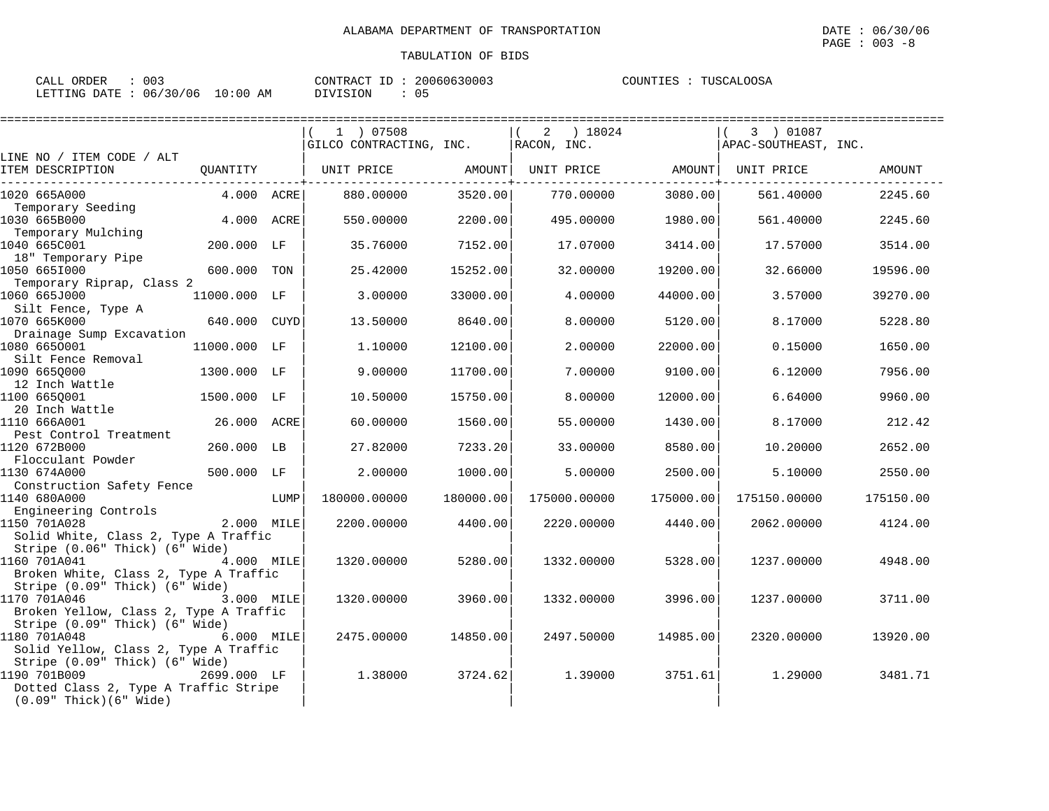| ORDER<br>CALL | 003        |          | CONTRACT ID | 20060630003 | COUNTIES : | TUSCALOOSA |
|---------------|------------|----------|-------------|-------------|------------|------------|
| LETTING DATE  | : 06/30/06 | 10:00 AM | DIVISION    | 0.5         |            |            |

|                                                                                                                                      | 1 ) 07508                                                                                                                                                                                                                                                                                                                                                                                                                                                                     |                                                               |                                                                                                                                                                               |                                                                                                                                                | 3 ) 01087                                                          | =================                                                                                                                                      |
|--------------------------------------------------------------------------------------------------------------------------------------|-------------------------------------------------------------------------------------------------------------------------------------------------------------------------------------------------------------------------------------------------------------------------------------------------------------------------------------------------------------------------------------------------------------------------------------------------------------------------------|---------------------------------------------------------------|-------------------------------------------------------------------------------------------------------------------------------------------------------------------------------|------------------------------------------------------------------------------------------------------------------------------------------------|--------------------------------------------------------------------|--------------------------------------------------------------------------------------------------------------------------------------------------------|
|                                                                                                                                      |                                                                                                                                                                                                                                                                                                                                                                                                                                                                               |                                                               |                                                                                                                                                                               |                                                                                                                                                |                                                                    |                                                                                                                                                        |
|                                                                                                                                      |                                                                                                                                                                                                                                                                                                                                                                                                                                                                               |                                                               |                                                                                                                                                                               |                                                                                                                                                | UNIT PRICE                                                         | AMOUNT                                                                                                                                                 |
|                                                                                                                                      | 880.00000                                                                                                                                                                                                                                                                                                                                                                                                                                                                     |                                                               | 770.00000                                                                                                                                                                     |                                                                                                                                                | 561.40000                                                          | 2245.60                                                                                                                                                |
|                                                                                                                                      | 550.00000                                                                                                                                                                                                                                                                                                                                                                                                                                                                     |                                                               | 495,00000                                                                                                                                                                     |                                                                                                                                                | 561.40000                                                          | 2245.60                                                                                                                                                |
|                                                                                                                                      | 35.76000                                                                                                                                                                                                                                                                                                                                                                                                                                                                      |                                                               | 17.07000                                                                                                                                                                      | 3414.00                                                                                                                                        | 17.57000                                                           | 3514.00                                                                                                                                                |
| TON                                                                                                                                  | 25.42000                                                                                                                                                                                                                                                                                                                                                                                                                                                                      |                                                               | 32.00000                                                                                                                                                                      | 19200.00                                                                                                                                       | 32.66000                                                           | 19596.00                                                                                                                                               |
|                                                                                                                                      | 3.00000                                                                                                                                                                                                                                                                                                                                                                                                                                                                       |                                                               | 4.00000                                                                                                                                                                       | 44000.00                                                                                                                                       | 3.57000                                                            | 39270.00                                                                                                                                               |
| CUYD                                                                                                                                 | 13.50000                                                                                                                                                                                                                                                                                                                                                                                                                                                                      |                                                               | 8.00000                                                                                                                                                                       | 5120.00                                                                                                                                        | 8.17000                                                            | 5228.80                                                                                                                                                |
|                                                                                                                                      | 1,10000                                                                                                                                                                                                                                                                                                                                                                                                                                                                       |                                                               | 2.00000                                                                                                                                                                       | 22000.00                                                                                                                                       | 0.15000                                                            | 1650.00                                                                                                                                                |
|                                                                                                                                      | 9.00000                                                                                                                                                                                                                                                                                                                                                                                                                                                                       |                                                               | 7.00000                                                                                                                                                                       | 9100.00                                                                                                                                        | 6.12000                                                            | 7956.00                                                                                                                                                |
|                                                                                                                                      | 10.50000                                                                                                                                                                                                                                                                                                                                                                                                                                                                      |                                                               | 8,00000                                                                                                                                                                       | 12000.00                                                                                                                                       | 6.64000                                                            | 9960.00                                                                                                                                                |
|                                                                                                                                      |                                                                                                                                                                                                                                                                                                                                                                                                                                                                               |                                                               |                                                                                                                                                                               |                                                                                                                                                |                                                                    | 212.42                                                                                                                                                 |
|                                                                                                                                      |                                                                                                                                                                                                                                                                                                                                                                                                                                                                               |                                                               |                                                                                                                                                                               |                                                                                                                                                |                                                                    | 2652.00                                                                                                                                                |
|                                                                                                                                      |                                                                                                                                                                                                                                                                                                                                                                                                                                                                               |                                                               |                                                                                                                                                                               |                                                                                                                                                |                                                                    | 2550.00                                                                                                                                                |
|                                                                                                                                      |                                                                                                                                                                                                                                                                                                                                                                                                                                                                               |                                                               |                                                                                                                                                                               |                                                                                                                                                |                                                                    | 175150.00                                                                                                                                              |
|                                                                                                                                      |                                                                                                                                                                                                                                                                                                                                                                                                                                                                               |                                                               |                                                                                                                                                                               |                                                                                                                                                |                                                                    |                                                                                                                                                        |
|                                                                                                                                      |                                                                                                                                                                                                                                                                                                                                                                                                                                                                               |                                                               |                                                                                                                                                                               |                                                                                                                                                |                                                                    | 4124.00                                                                                                                                                |
|                                                                                                                                      | 1320.00000                                                                                                                                                                                                                                                                                                                                                                                                                                                                    | 5280.00                                                       | 1332.00000                                                                                                                                                                    | 5328.00                                                                                                                                        | 1237.00000                                                         | 4948.00                                                                                                                                                |
|                                                                                                                                      | 1320.00000                                                                                                                                                                                                                                                                                                                                                                                                                                                                    |                                                               | 1332.00000                                                                                                                                                                    |                                                                                                                                                | 1237.00000                                                         | 3711.00                                                                                                                                                |
|                                                                                                                                      | 2475.00000                                                                                                                                                                                                                                                                                                                                                                                                                                                                    |                                                               | 2497.50000                                                                                                                                                                    |                                                                                                                                                | 2320.00000                                                         | 13920.00                                                                                                                                               |
|                                                                                                                                      | 1.38000                                                                                                                                                                                                                                                                                                                                                                                                                                                                       |                                                               | 1.39000                                                                                                                                                                       | 3751.61                                                                                                                                        | 1.29000                                                            | 3481.71                                                                                                                                                |
| Stripe (0.06" Thick) (6" Wide)<br>Stripe (0.09" Thick) (6" Wide)<br>Stripe (0.09" Thick) (6" Wide)<br>Stripe (0.09" Thick) (6" Wide) | QUANTITY<br>4.000 ACRE<br>4.000 ACRE<br>200.000 LF<br>600.000<br>11000.000 LF<br>640.000<br>11000.000 LF<br>1300.000 LF<br>1500.000 LF<br>26.000 ACRE<br>260.000 LB<br>500.000 LF<br>LUMP<br>2.000 MILE<br>Solid White, Class 2, Type A Traffic<br>4.000 MILE<br>Broken White, Class 2, Type A Traffic<br>3.000 MILE<br>Broken Yellow, Class 2, Type A Traffic<br>6.000 MILE<br>Solid Yellow, Class 2, Type A Traffic<br>2699.000 LF<br>Dotted Class 2, Type A Traffic Stripe | 60.00000<br>27.82000<br>2.00000<br>180000.00000<br>2200.00000 | GILCO CONTRACTING, INC.<br>7152.00<br>15252.00<br>33000.00<br>8640.00<br>12100.00<br>11700.00<br>15750.00<br>1560.00<br>1000.00<br>180000.00<br>4400.00<br>3960.00<br>3724.62 | RACON, INC.<br>UNIT PRICE AMOUNT<br>3520.00<br>2200.00<br>55.00000<br>33.00000<br>7233.20<br>5.00000<br>175000.00000<br>2220.00000<br>14850.00 | 2 ) 18024<br>1430.00<br>8580.00<br>2500.00<br>175000.00<br>4440.00 | APAC-SOUTHEAST, INC.<br>UNIT PRICE AMOUNT<br>3080.00<br>1980.00<br>8.17000<br>10.20000<br>5.10000<br>175150.00000<br>2062.00000<br>3996.00<br>14985.00 |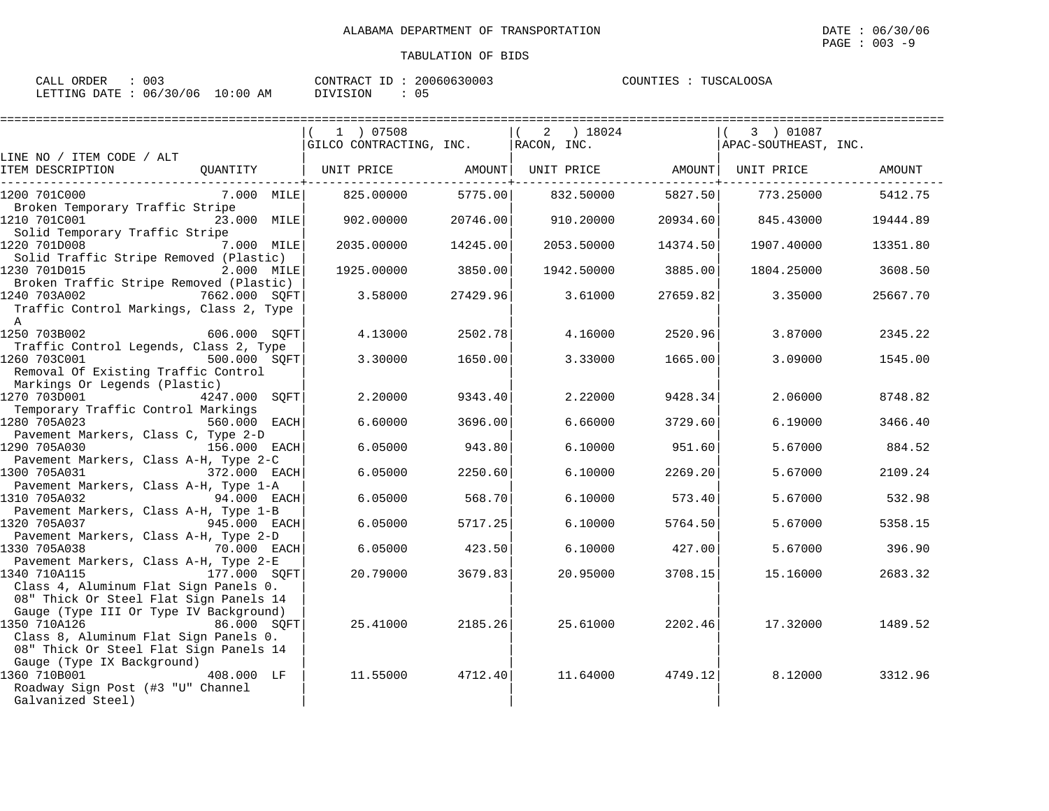| CALL ORDER                      | CONTRACT ID: 20060630003 | COUNTIES : TUSCALOOSA |
|---------------------------------|--------------------------|-----------------------|
| LETTING DATE: 06/30/06 10:00 AM | 0.5<br>DIVISION          |                       |

|                                                                                                                                                                                     |               | 1 ) 07508<br>GILCO CONTRACTING, INC. |          | 2<br>RACON, INC. | ) 18024    |          | 3 ) 01087<br>APAC-SOUTHEAST, INC. |          |
|-------------------------------------------------------------------------------------------------------------------------------------------------------------------------------------|---------------|--------------------------------------|----------|------------------|------------|----------|-----------------------------------|----------|
| LINE NO / ITEM CODE / ALT                                                                                                                                                           |               |                                      |          |                  |            |          |                                   |          |
| ITEM DESCRIPTION                                                                                                                                                                    | QUANTITY      | UNIT PRICE                           | AMOUNT   |                  | UNIT PRICE | AMOUNT   | UNIT PRICE                        | AMOUNT   |
| 1200 701C000<br>Broken Temporary Traffic Stripe                                                                                                                                     | 7.000 MILE    | 825,00000                            | 5775.00  |                  | 832.50000  | 5827.50  | 773.25000                         | 5412.75  |
| 1210 701C001                                                                                                                                                                        | 23.000 MILE   | 902.00000                            | 20746.00 |                  | 910.20000  | 20934.60 | 845.43000                         | 19444.89 |
| Solid Temporary Traffic Stripe<br>1220 701D008                                                                                                                                      | 7.000 MILE    | 2035.00000                           | 14245.00 |                  | 2053.50000 | 14374.50 | 1907.40000                        | 13351.80 |
| Solid Traffic Stripe Removed (Plastic)<br>1230 701D015                                                                                                                              | 2.000 MILE    | 1925,00000                           | 3850.00  |                  | 1942.50000 | 3885.00  | 1804.25000                        | 3608.50  |
| Broken Traffic Stripe Removed (Plastic)<br>1240 703A002<br>Traffic Control Markings, Class 2, Type<br>A                                                                             | 7662.000 SOFT | 3.58000                              | 27429.96 |                  | 3.61000    | 27659.82 | 3.35000                           | 25667.70 |
| 1250 703B002<br>Traffic Control Legends, Class 2, Type                                                                                                                              | 606.000 SOFT  | 4.13000                              | 2502.78  |                  | 4.16000    | 2520.96  | 3.87000                           | 2345.22  |
| 1260 703C001<br>Removal Of Existing Traffic Control<br>Markings Or Legends (Plastic)                                                                                                | 500.000 SOFT  | 3.30000                              | 1650.00  |                  | 3.33000    | 1665.00  | 3.09000                           | 1545.00  |
| 1270 703D001<br>Temporary Traffic Control Markings                                                                                                                                  | 4247.000 SOFT | 2.20000                              | 9343.40  |                  | 2.22000    | 9428.34  | 2.06000                           | 8748.82  |
| 1280 705A023<br>Pavement Markers, Class C, Type 2-D                                                                                                                                 | 560.000 EACH  | 6.60000                              | 3696.00  |                  | 6.66000    | 3729.60  | 6.19000                           | 3466.40  |
| 1290 705A030                                                                                                                                                                        | 156.000 EACH  | 6.05000                              | 943.80   |                  | 6.10000    | 951.60   | 5.67000                           | 884.52   |
| Pavement Markers, Class A-H, Type 2-C<br>1300 705A031                                                                                                                               | 372.000 EACH  | 6.05000                              | 2250.60  |                  | 6.10000    | 2269.20  | 5.67000                           | 2109.24  |
| Pavement Markers, Class A-H, Type 1-A<br>1310 705A032                                                                                                                               | 94.000 EACH   | 6.05000                              | 568.70   |                  | 6.10000    | 573.40   | 5.67000                           | 532.98   |
| Pavement Markers, Class A-H, Type 1-B<br>1320 705A037                                                                                                                               | 945.000 EACH  | 6.05000                              | 5717.25  |                  | 6.10000    | 5764.50  | 5.67000                           | 5358.15  |
| Pavement Markers, Class A-H, Type 2-D<br>1330 705A038                                                                                                                               | 70.000 EACH   | 6.05000                              | 423.50   |                  | 6.10000    | 427.00   | 5.67000                           | 396.90   |
| Pavement Markers, Class A-H, Type 2-E<br>1340 710A115<br>Class 4, Aluminum Flat Sign Panels 0.                                                                                      | 177.000 SOFT  | 20.79000                             | 3679.83  |                  | 20.95000   | 3708.15  | 15.16000                          | 2683.32  |
| 08" Thick Or Steel Flat Sign Panels 14<br>Gauge (Type III Or Type IV Background)<br>1350 710A126<br>Class 8, Aluminum Flat Sign Panels 0.<br>08" Thick Or Steel Flat Sign Panels 14 | 86.000 SOFT   | 25.41000                             | 2185.26  |                  | 25.61000   | 2202.46  | 17.32000                          | 1489.52  |
| Gauge (Type IX Background)<br>1360 710B001<br>Roadway Sign Post (#3 "U" Channel<br>Galvanized Steel)                                                                                | 408.000 LF    | 11.55000                             | 4712.40  |                  | 11.64000   | 4749.12  | 8.12000                           | 3312.96  |
|                                                                                                                                                                                     |               |                                      |          |                  |            |          |                                   |          |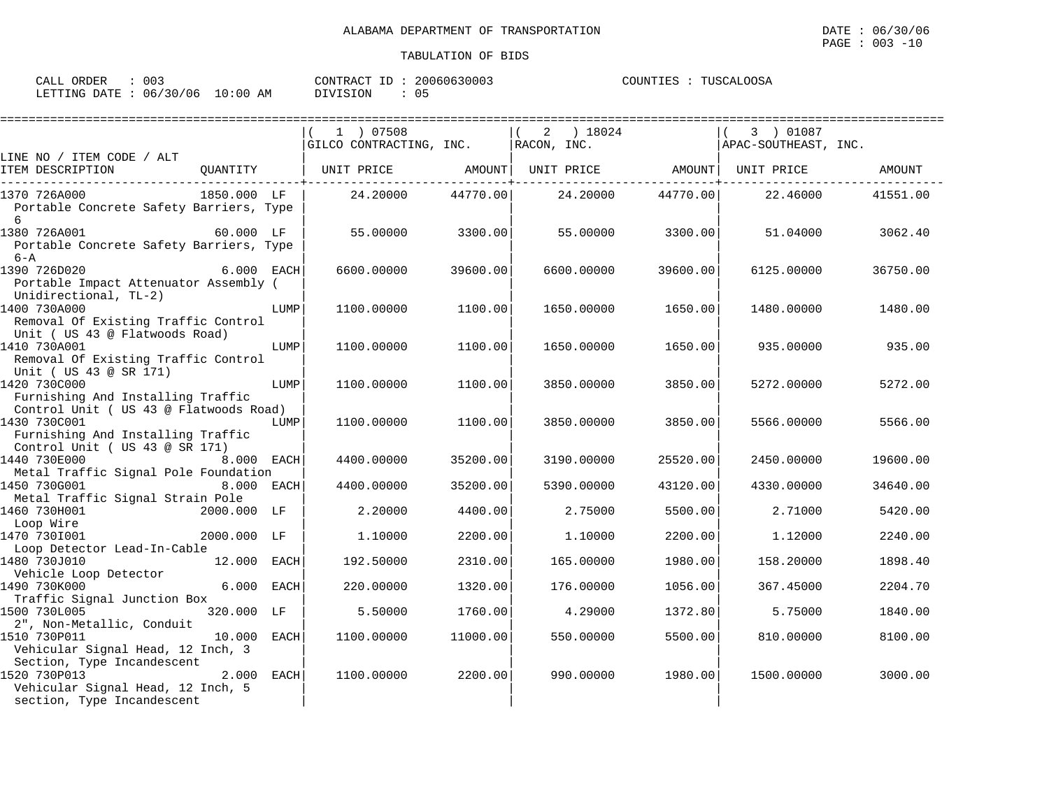| : 003<br>CALL ORDER             |          | CONTRACT ID: 20060630003 | COUNTIES : TUSCALOOSA |
|---------------------------------|----------|--------------------------|-----------------------|
| LETTING DATE: 06/30/06 10:00 AM | DIVISION | 05                       |                       |

| =====================                                                       |             |            | ============================                       |          |            |          |                                   |          |
|-----------------------------------------------------------------------------|-------------|------------|----------------------------------------------------|----------|------------|----------|-----------------------------------|----------|
|                                                                             |             |            | 1 ) 07508<br>GILCO CONTRACTING, INC.   RACON, INC. |          | 2 ) 18024  |          | 3 ) 01087<br>APAC-SOUTHEAST, INC. |          |
| LINE NO / ITEM CODE / ALT                                                   |             |            |                                                    |          |            |          |                                   |          |
| ITEM DESCRIPTION                                                            | OUANTITY    |            | UNIT PRICE AMOUNT                                  |          |            |          | UNIT PRICE AMOUNT UNIT PRICE      | AMOUNT   |
| 1370 726A000                                                                | 1850.000 LF |            | 24.20000                                           | 44770.00 | 24.20000   | 44770.00 | 22.46000                          | 41551.00 |
| Portable Concrete Safety Barriers, Type<br>6                                |             |            |                                                    |          |            |          |                                   |          |
| 1380 726A001<br>Portable Concrete Safety Barriers, Type<br>$6 - A$          | $60.000$ LF |            | 55.00000                                           | 3300.00  | 55.00000   | 3300.00  | 51.04000                          | 3062.40  |
| 1390 726D020                                                                |             | 6.000 EACH | 6600.00000                                         | 39600.00 | 6600.00000 | 39600.00 | 6125.00000                        | 36750.00 |
| Portable Impact Attenuator Assembly (<br>Unidirectional, TL-2)              |             |            |                                                    |          |            |          |                                   |          |
| 1400 730A000                                                                |             | LUMP       | 1100.00000                                         | 1100.00  | 1650.00000 | 1650.00  | 1480.00000                        | 1480.00  |
| Removal Of Existing Traffic Control<br>Unit ( US 43 @ Flatwoods Road)       |             |            |                                                    |          |            |          |                                   |          |
| 1410 730A001                                                                |             | LUMP       | 1100.00000                                         | 1100.00  | 1650.00000 | 1650.00  | 935.00000                         | 935.00   |
| Removal Of Existing Traffic Control<br>Unit ( US 43 @ SR 171)               |             |            |                                                    |          |            |          |                                   |          |
| 1420 730C000                                                                |             | LUMP       | 1100.00000                                         | 1100.00  | 3850.00000 | 3850.00  | 5272.00000                        | 5272.00  |
| Furnishing And Installing Traffic<br>Control Unit ( US 43 @ Flatwoods Road) |             |            |                                                    |          |            |          |                                   |          |
| 1430 730C001                                                                |             | LUMP       | 1100.00000                                         | 1100.00  | 3850.00000 | 3850.00  | 5566.00000                        | 5566.00  |
| Furnishing And Installing Traffic<br>Control Unit ( US 43 @ SR 171)         |             |            |                                                    |          |            |          |                                   |          |
| 1440 730E000                                                                | 8.000       | EACH       | 4400.00000                                         | 35200.00 | 3190.00000 | 25520.00 | 2450.00000                        | 19600.00 |
| Metal Traffic Signal Pole Foundation                                        |             |            |                                                    |          |            |          |                                   |          |
| 1450 730G001<br>Metal Traffic Signal Strain Pole                            |             | 8.000 EACH | 4400.00000                                         | 35200.00 | 5390.00000 | 43120.00 | 4330.00000                        | 34640.00 |
| 1460 730H001                                                                | 2000.000 LF |            | 2.20000                                            | 4400.00  | 2.75000    | 5500.00  | 2.71000                           | 5420.00  |
| Loop Wire                                                                   |             |            |                                                    |          |            |          |                                   |          |
| 1470 7301001<br>Loop Detector Lead-In-Cable                                 | 2000.000 LF |            | 1,10000                                            | 2200.00  | 1,10000    | 2200.00  | 1,12000                           | 2240.00  |
| 1480 730J010                                                                | 12.000 EACH |            | 192.50000                                          | 2310.00  | 165,00000  | 1980.00  | 158.20000                         | 1898.40  |
| Vehicle Loop Detector<br>1490 730K000                                       | 6.000       | EACH       | 220.00000                                          | 1320.00  | 176.00000  | 1056.00  | 367.45000                         | 2204.70  |
| Traffic Signal Junction Box                                                 |             |            |                                                    |          |            |          |                                   |          |
| 1500 730L005                                                                | 320.000 LF  |            | 5.50000                                            | 1760.00  | 4.29000    | 1372.80  | 5.75000                           | 1840.00  |
| 2", Non-Metallic, Conduit                                                   |             |            |                                                    |          |            |          |                                   |          |
| 1510 730P011<br>Vehicular Signal Head, 12 Inch, 3                           | 10.000 EACH |            | 1100.00000                                         | 11000.00 | 550.00000  | 5500.00  | 810.00000                         | 8100.00  |
| Section, Type Incandescent                                                  |             |            |                                                    |          |            |          |                                   |          |
| 1520 730P013                                                                | 2.000       | EACH       | 1100.00000                                         | 2200.00  | 990.00000  | 1980.00  | 1500.00000                        | 3000.00  |
| Vehicular Signal Head, 12 Inch, 5                                           |             |            |                                                    |          |            |          |                                   |          |
| section, Type Incandescent                                                  |             |            |                                                    |          |            |          |                                   |          |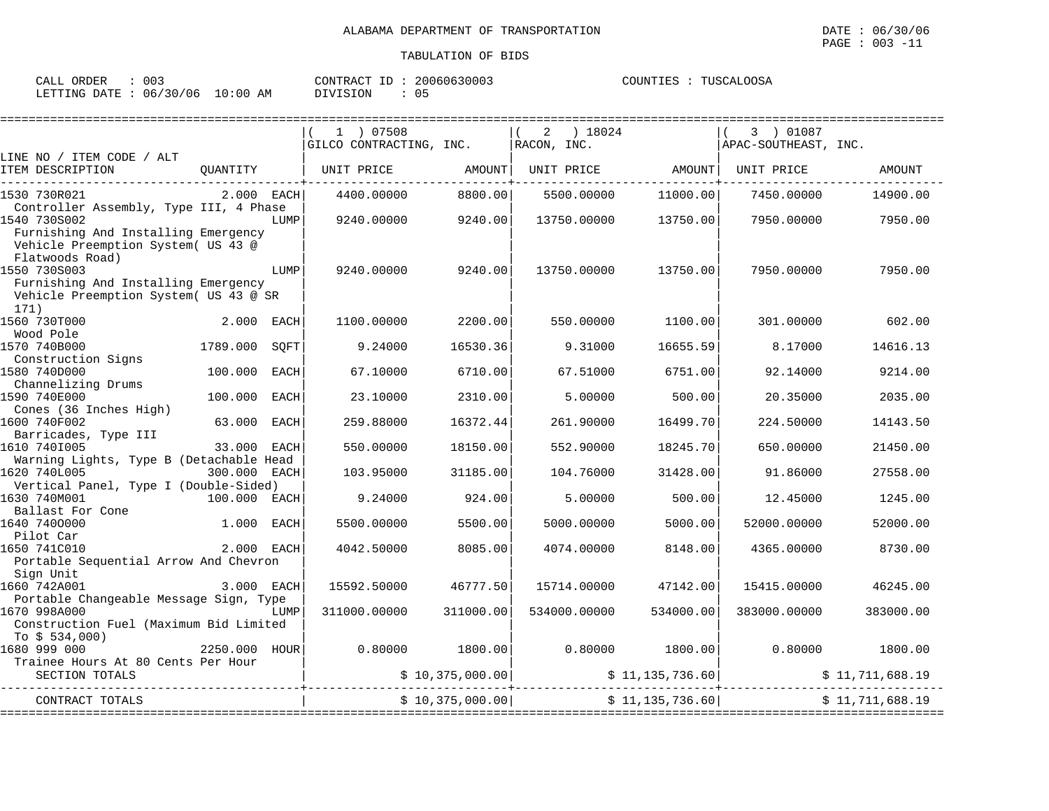| ORDER<br>CALL | 003      |            | CONTRACT ID | 20060630003 | COUNTIES | TUSCALOOSA |
|---------------|----------|------------|-------------|-------------|----------|------------|
| LETTING DATE  | 06/30/06 | $10:00$ AM | DIVISION    | 0 5         |          |            |

|                                         |              |             | 1 ) 07508               |                  | 2 ) 18024        |                   | 3 ) 01087            |                 |
|-----------------------------------------|--------------|-------------|-------------------------|------------------|------------------|-------------------|----------------------|-----------------|
|                                         |              |             | GILCO CONTRACTING, INC. |                  | $RACON$ , $INC.$ |                   | APAC-SOUTHEAST, INC. |                 |
| LINE NO / ITEM CODE / ALT               |              |             |                         |                  |                  |                   |                      |                 |
| ITEM DESCRIPTION                        | OUANTITY     |             | UNIT PRICE AMOUNT       |                  |                  | UNIT PRICE AMOUNT | UNIT PRICE           | AMOUNT          |
|                                         |              |             |                         |                  |                  |                   |                      |                 |
| 1530 730R021                            | $2.000$ EACH |             | 4400.00000              | 8800.00          | 5500.00000       | 11000.00          | 7450.00000           | 14900.00        |
| Controller Assembly, Type III, 4 Phase  |              |             |                         |                  |                  |                   |                      |                 |
| 1540 730S002                            |              | LUMP        | 9240.00000              | 9240.00          | 13750.00000      | 13750.00          | 7950.00000           | 7950.00         |
| Furnishing And Installing Emergency     |              |             |                         |                  |                  |                   |                      |                 |
| Vehicle Preemption System( US 43 @      |              |             |                         |                  |                  |                   |                      |                 |
| Flatwoods Road)                         |              |             |                         |                  |                  |                   |                      |                 |
| 1550 730S003                            |              | LUMP        | 9240.00000              | 9240.00          | 13750.00000      | 13750.00          | 7950.00000           | 7950.00         |
| Furnishing And Installing Emergency     |              |             |                         |                  |                  |                   |                      |                 |
| Vehicle Preemption System( US 43 @ SR   |              |             |                         |                  |                  |                   |                      |                 |
| 171)                                    |              |             |                         |                  |                  |                   |                      |                 |
| 1560 730T000                            | 2.000 EACH   |             | 1100.00000              | 2200.00          | 550.00000        | 1100.00           | 301.00000            | 602.00          |
| Wood Pole                               |              |             |                         |                  |                  |                   |                      |                 |
| 1570 740B000                            | 1789.000     | SOFT        | 9.24000                 | 16530.36         | 9.31000          | 16655.59          | 8.17000              | 14616.13        |
| Construction Signs                      |              |             |                         |                  |                  |                   |                      |                 |
| 1580 740D000                            | 100.000      | <b>EACH</b> | 67.10000                | 6710.00          | 67.51000         | 6751.00           | 92.14000             | 9214.00         |
| Channelizing Drums                      |              |             |                         |                  |                  |                   |                      |                 |
| 1590 740E000                            | 100.000 EACH |             | 23.10000                | 2310.00          | 5,00000          | 500.00            | 20.35000             | 2035.00         |
| Cones (36 Inches High)                  |              |             |                         |                  |                  |                   |                      |                 |
| 1600 740F002                            | 63.000       | EACH        | 259.88000               | 16372.44         | 261.90000        | 16499.70          | 224.50000            | 14143.50        |
| Barricades, Type III                    |              |             |                         |                  |                  |                   |                      |                 |
| 1610 7401005                            | 33.000 EACH  |             | 550.00000               | 18150.00         | 552.90000        | 18245.70          | 650.00000            | 21450.00        |
| Warning Lights, Type B (Detachable Head |              |             |                         |                  |                  |                   |                      |                 |
| 1620 740L005                            | 300.000 EACH |             | 103.95000               | 31185.00         | 104.76000        | 31428.00          | 91.86000             | 27558.00        |
| Vertical Panel, Type I (Double-Sided)   |              |             |                         |                  |                  |                   |                      |                 |
| 1630 740M001<br>100.000 EACH            |              |             | 9.24000                 | 924.00           | 5,00000          | 500.00            | 12.45000             | 1245.00         |
| Ballast For Cone<br>640 7400000         |              |             |                         |                  |                  |                   |                      |                 |
| 1640 7400000                            | 1.000        | EACH        | 5500.00000              | 5500.00          | 5000.00000       | 5000.00           | 52000.00000          | 52000.00        |
| Pilot Car                               |              |             |                         |                  |                  |                   |                      |                 |
| 1650 741C010                            | 2.000 EACH   |             | 4042.50000              | 8085.00          | 4074.00000       | 8148.00           | 4365.00000           | 8730.00         |
| Portable Sequential Arrow And Chevron   |              |             |                         |                  |                  |                   |                      |                 |
| Sign Unit                               |              |             |                         |                  |                  |                   |                      |                 |
| 3.000 EACH<br>1660 742A001              |              |             | 15592.50000             | 46777.50         | 15714.00000      | 47142.00          | 15415.00000          | 46245.00        |
| Portable Changeable Message Sign, Type  |              |             |                         |                  |                  |                   |                      |                 |
| 1670 998A000                            |              | LUMP        | 311000.00000            | 311000.00        | 534000.00000     | 534000.00         | 383000.00000         | 383000.00       |
| Construction Fuel (Maximum Bid Limited  |              |             |                         |                  |                  |                   |                      |                 |
| To $$534,000$ )                         |              |             |                         |                  |                  |                   |                      |                 |
| 2250.000 HOUR<br>1680 999 000           |              |             | 0.80000                 | 1800.00          |                  | $0.80000$ 1800.00 | 0.80000              | 1800.00         |
| Trainee Hours At 80 Cents Per Hour      |              |             |                         |                  |                  |                   |                      |                 |
| SECTION TOTALS                          |              |             |                         | \$10,375,000.00] |                  | \$11,135,736.60   |                      | \$11,711,688.19 |
|                                         |              |             |                         |                  |                  |                   |                      |                 |
| CONTRACT TOTALS                         |              |             |                         | \$10,375,000.00] |                  | \$11,135,736.60   |                      | \$11,711,688.19 |
|                                         |              |             |                         |                  |                  |                   |                      |                 |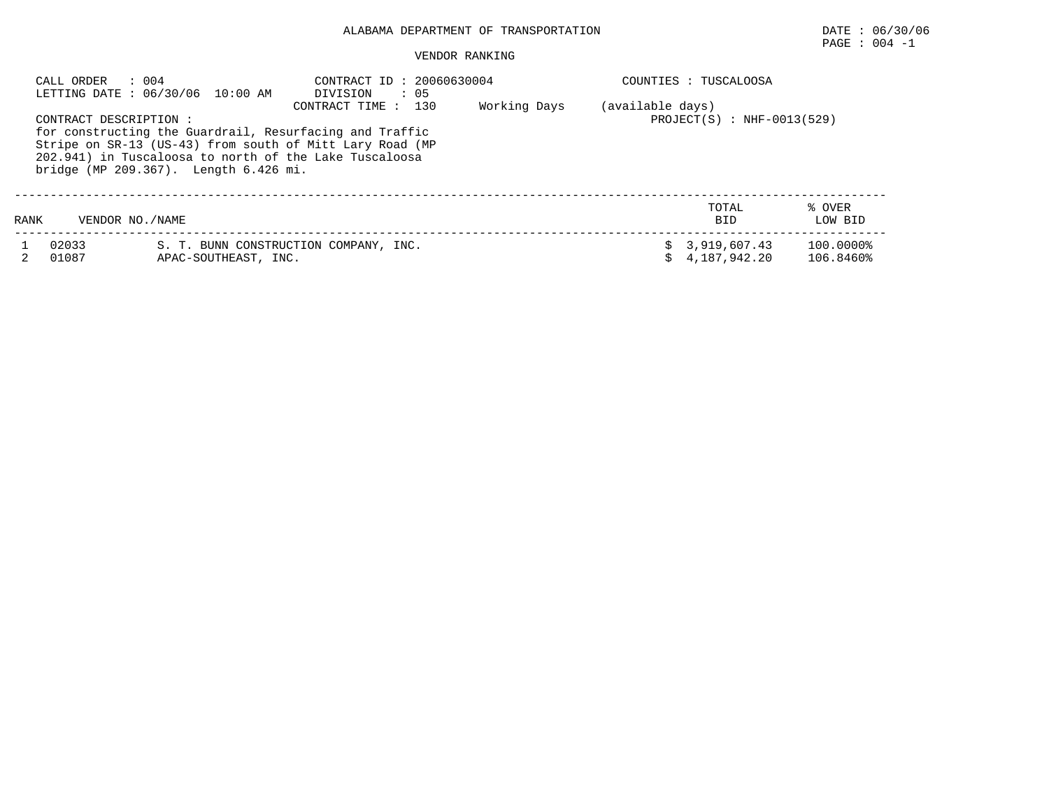# ALABAMA DEPARTMENT OF TRANSPORTATION DATE : 06/30/06

# $\texttt{PAGE}$  :  $004$  -1

### VENDOR RANKING

|      | $\therefore$ 004<br>CALL ORDER | LETTING DATE : 06/30/06 10:00 AM      | CONTRACT ID: 20060630004<br>DIVISION<br>$\therefore$ 05                                                                                                                                                 |              |                  | COUNTIES : TUSCALOOSA          |                        |
|------|--------------------------------|---------------------------------------|---------------------------------------------------------------------------------------------------------------------------------------------------------------------------------------------------------|--------------|------------------|--------------------------------|------------------------|
|      | CONTRACT DESCRIPTION :         | bridge (MP 209.367). Length 6.426 mi. | 130<br>CONTRACT TIME :<br>for constructing the Guardrail, Resurfacing and Traffic<br>Stripe on SR-13 (US-43) from south of Mitt Lary Road (MP<br>202.941) in Tuscaloosa to north of the Lake Tuscaloosa | Working Days | (available days) | $PROJECT(S)$ : NHF-0013(529)   |                        |
| RANK | VENDOR NO. / NAME              |                                       |                                                                                                                                                                                                         |              |                  | TOTAL<br><b>BID</b>            | % OVER<br>LOW BID      |
|      | 02033<br>01087                 | APAC-SOUTHEAST, INC.                  | S. T. BUNN CONSTRUCTION COMPANY, INC.                                                                                                                                                                   |              |                  | \$3,919,607.43<br>4,187,942.20 | 100.0000%<br>106.8460% |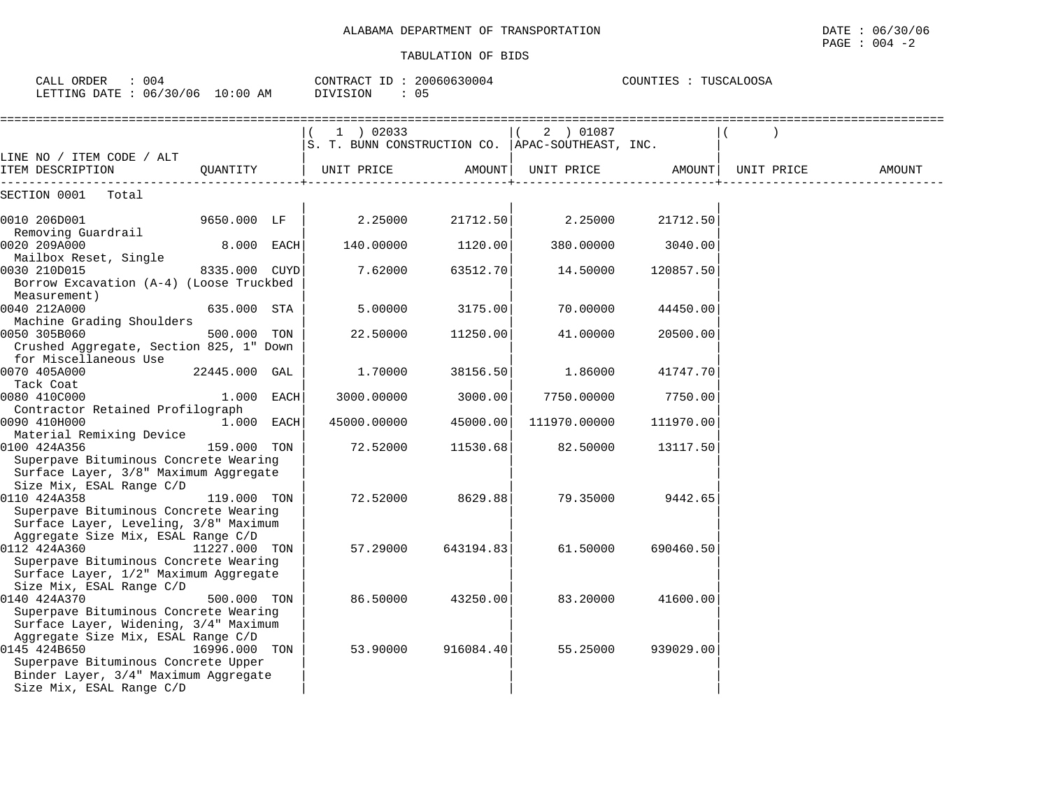| CALL ORDER<br>$\colon$ 004<br>LETTING DATE : 06/30/06 10:00 AM                                                          |               | CONTRACT ID: 20060630004<br>DIVISION<br>: 05 |                                                                   |           | COUNTIES : TUSCALOOSA  |           |            |        |
|-------------------------------------------------------------------------------------------------------------------------|---------------|----------------------------------------------|-------------------------------------------------------------------|-----------|------------------------|-----------|------------|--------|
|                                                                                                                         |               |                                              | $1$ ) 02033<br>S. T. BUNN CONSTRUCTION CO.   APAC-SOUTHEAST, INC. |           | 2 ) 01087<br>$\vert$ ( |           |            |        |
| LINE NO / ITEM CODE / ALT<br>ITEM DESCRIPTION                                                                           | OUANTITY      |                                              | UNIT PRICE                                                        |           | AMOUNT  UNIT PRICE     | AMOUNT    | UNIT PRICE | AMOUNT |
| SECTION 0001<br>Total                                                                                                   |               |                                              |                                                                   |           |                        |           |            |        |
| 0010 206D001<br>Removing Guardrail                                                                                      | 9650.000 LF   |                                              | 2.25000                                                           | 21712.50  | 2.25000                | 21712.50  |            |        |
| 0020 209A000<br>Mailbox Reset, Single                                                                                   | $8.000$ EACH  |                                              | 140.00000                                                         | 1120.00   | 380.00000              | 3040.00   |            |        |
| 0030 210D015<br>Borrow Excavation (A-4) (Loose Truckbed                                                                 | 8335.000 CUYD |                                              | 7.62000                                                           | 63512.70  | 14.50000               | 120857.50 |            |        |
| Measurement)<br>0040 212A000                                                                                            | 635.000 STA   |                                              | 5.00000                                                           | 3175.00   | 70.00000               | 44450.00  |            |        |
| Machine Grading Shoulders<br>0050 305B060<br>Crushed Aggregate, Section 825, 1" Down                                    | 500.000       | TON                                          | 22.50000                                                          | 11250.00  | 41.00000               | 20500.00  |            |        |
| for Miscellaneous Use<br>0070 405A000                                                                                   | 22445.000 GAL |                                              | 1.70000                                                           | 38156.50  | 1.86000                | 41747.70  |            |        |
| Tack Coat<br>0080 410C000                                                                                               | $1.000$ EACH  |                                              | 3000.00000                                                        | 3000.00   | 7750.00000             | 7750.00   |            |        |
| Contractor Retained Profilograph<br>0090 410H000                                                                        | $1.000$ EACH  |                                              | 45000.00000                                                       | 45000.00  | 111970.00000           | 111970.00 |            |        |
| Material Remixing Device<br>0100 424A356<br>Superpave Bituminous Concrete Wearing                                       | 159.000 TON   |                                              | 72.52000                                                          | 11530.68  | 82.50000               | 13117.50  |            |        |
| Surface Layer, 3/8" Maximum Aggregate<br>Size Mix, ESAL Range C/D                                                       |               |                                              |                                                                   |           |                        |           |            |        |
| 0110 424A358<br>Superpave Bituminous Concrete Wearing<br>Surface Layer, Leveling, 3/8" Maximum                          | 119.000 TON   |                                              | 72.52000                                                          | 8629.88   | 79.35000               | 9442.65   |            |        |
| Aggregate Size Mix, ESAL Range C/D<br>0112 424A360<br>Superpave Bituminous Concrete Wearing                             | 11227.000 TON |                                              | 57.29000                                                          | 643194.83 | 61.50000               | 690460.50 |            |        |
| Surface Layer, 1/2" Maximum Aggregate<br>Size Mix, ESAL Range C/D<br>0140 424A370                                       | 500.000 TON   |                                              | 86.50000                                                          | 43250.00  | 83.20000               | 41600.00  |            |        |
| Superpave Bituminous Concrete Wearing<br>Surface Layer, Widening, 3/4" Maximum<br>Aggregate Size Mix, ESAL Range C/D    |               |                                              |                                                                   |           |                        |           |            |        |
| 0145 424B650<br>Superpave Bituminous Concrete Upper<br>Binder Layer, 3/4" Maximum Aggregate<br>Size Mix, ESAL Range C/D | 16996.000 TON |                                              | 53.90000                                                          | 916084.40 | 55.25000               | 939029.00 |            |        |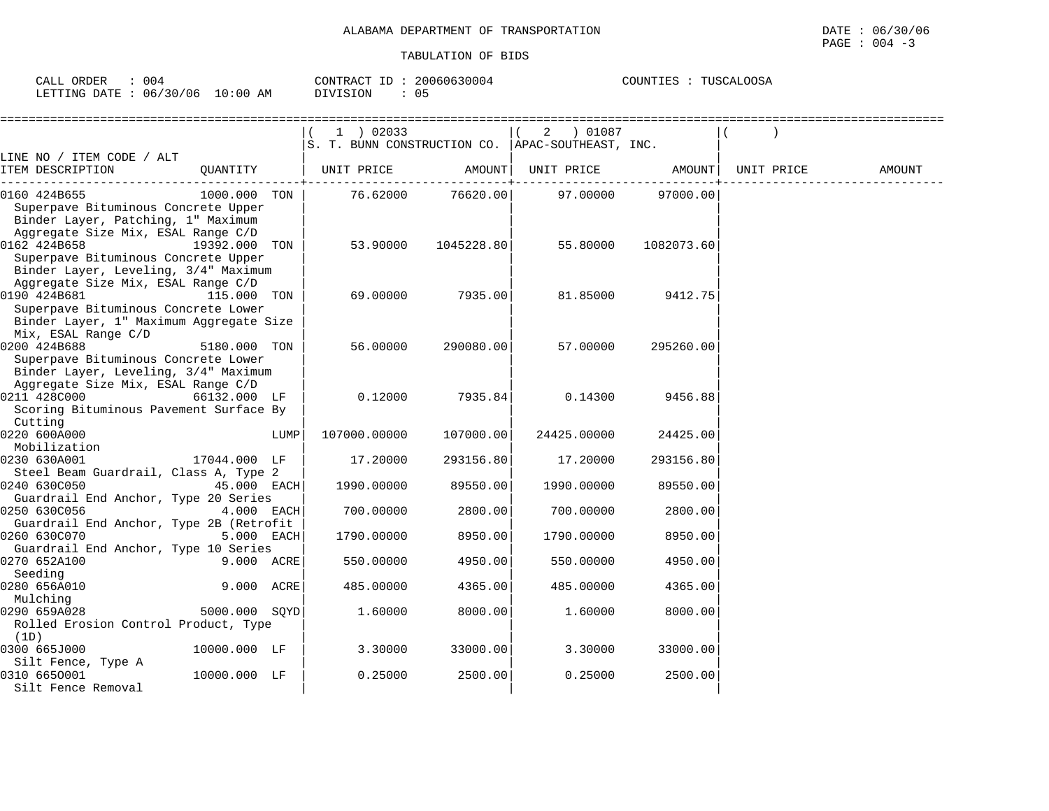| 004<br>ORDER<br>CALL                                | 20060630004<br>CONTRACT TT          | <b>OOSA</b><br>COUN.<br>USC.<br>᠊ᡴ <i>ᢈ</i><br>ح ط ہ |
|-----------------------------------------------------|-------------------------------------|------------------------------------------------------|
| 06/<br>130/06<br>$10:00$ AM<br>LETTING DATE<br>، طب | 05<br><b>STON</b><br>1 I V<br>11111 |                                                      |

|                                                                                                                                                     |      | $1$ ) 02033  |            | 2 ) 01087<br>S. T. BUNN CONSTRUCTION CO.   APAC-SOUTHEAST, INC. |            |            |        |
|-----------------------------------------------------------------------------------------------------------------------------------------------------|------|--------------|------------|-----------------------------------------------------------------|------------|------------|--------|
| LINE NO / ITEM CODE / ALT<br>ITEM DESCRIPTION<br>QUANTITY                                                                                           |      | UNIT PRICE   | AMOUNT     | UNIT PRICE                                                      | AMOUNT     | UNIT PRICE | AMOUNT |
| 1000.000 TON<br>0160 424B655<br>Superpave Bituminous Concrete Upper<br>Binder Layer, Patching, 1" Maximum                                           |      | 76.62000     | 76620.00   | 97.00000                                                        | 97000.00   |            |        |
| Aggregate Size Mix, ESAL Range C/D<br>0162 424B658<br>19392.000 TON<br>Superpave Bituminous Concrete Upper<br>Binder Layer, Leveling, 3/4" Maximum  |      | 53.90000     | 1045228.80 | 55.80000                                                        | 1082073.60 |            |        |
| Aggregate Size Mix, ESAL Range C/D<br>0190 424B681<br>115.000 TON<br>Superpave Bituminous Concrete Lower<br>Binder Layer, 1" Maximum Aggregate Size |      | 69.00000     | 7935.00    | 81.85000                                                        | 9412.75    |            |        |
| Mix, ESAL Range C/D<br>0200 424B688<br>5180.000 TON<br>Superpave Bituminous Concrete Lower<br>Binder Layer, Leveling, 3/4" Maximum                  |      | 56.00000     | 290080.00  | 57.00000                                                        | 295260.00  |            |        |
| Aggregate Size Mix, ESAL Range C/D<br>0211 428C000<br>66132.000 LF<br>Scoring Bituminous Pavement Surface By<br>Cutting                             |      | 0.12000      | 7935.84    | 0.14300                                                         | 9456.88    |            |        |
| 0220 600A000<br>Mobilization                                                                                                                        | LUMP | 107000.00000 | 107000.00  | 24425.00000                                                     | 24425.00   |            |        |
| 0230 630A001<br>17044.000 LF<br>Steel Beam Guardrail, Class A, Type 2                                                                               |      | 17.20000     | 293156.80  | 17.20000                                                        | 293156.80  |            |        |
| 0240 630C050<br>45.000 EACH<br>Guardrail End Anchor, Type 20 Series                                                                                 |      | 1990.00000   | 89550.00   | 1990.00000                                                      | 89550.00   |            |        |
| 0250 630C056<br>4.000 EACH                                                                                                                          |      | 700.00000    | 2800.00    | 700.00000                                                       | 2800.00    |            |        |
| Guardrail End Anchor, Type 2B (Retrofit<br>0260 630C070<br>5.000 EACH                                                                               |      | 1790.00000   | 8950.00    | 1790.00000                                                      | 8950.00    |            |        |
| Guardrail End Anchor, Type 10 Series<br>0270 652A100<br>9.000 ACRE                                                                                  |      | 550.00000    | 4950.00    | 550.00000                                                       | 4950.00    |            |        |
| Seeding<br>9.000 ACRE<br>0280 656A010                                                                                                               |      | 485.00000    | 4365.00    | 485.00000                                                       | 4365.00    |            |        |
| Mulching<br>0290 659A028<br>5000.000 SOYD<br>Rolled Erosion Control Product, Type                                                                   |      | 1.60000      | 8000.00    | 1.60000                                                         | 8000.00    |            |        |
| (1D)<br>0300 665J000<br>10000.000 LF                                                                                                                |      | 3.30000      | 33000.00   | 3.30000                                                         | 33000.00   |            |        |
| Silt Fence, Type A<br>10000.000 LF<br>0310 6650001<br>Silt Fence Removal                                                                            |      | 0.25000      | 2500.00    | 0.25000                                                         | 2500.00    |            |        |

 $\texttt{PAGE}$  :  $004$  -3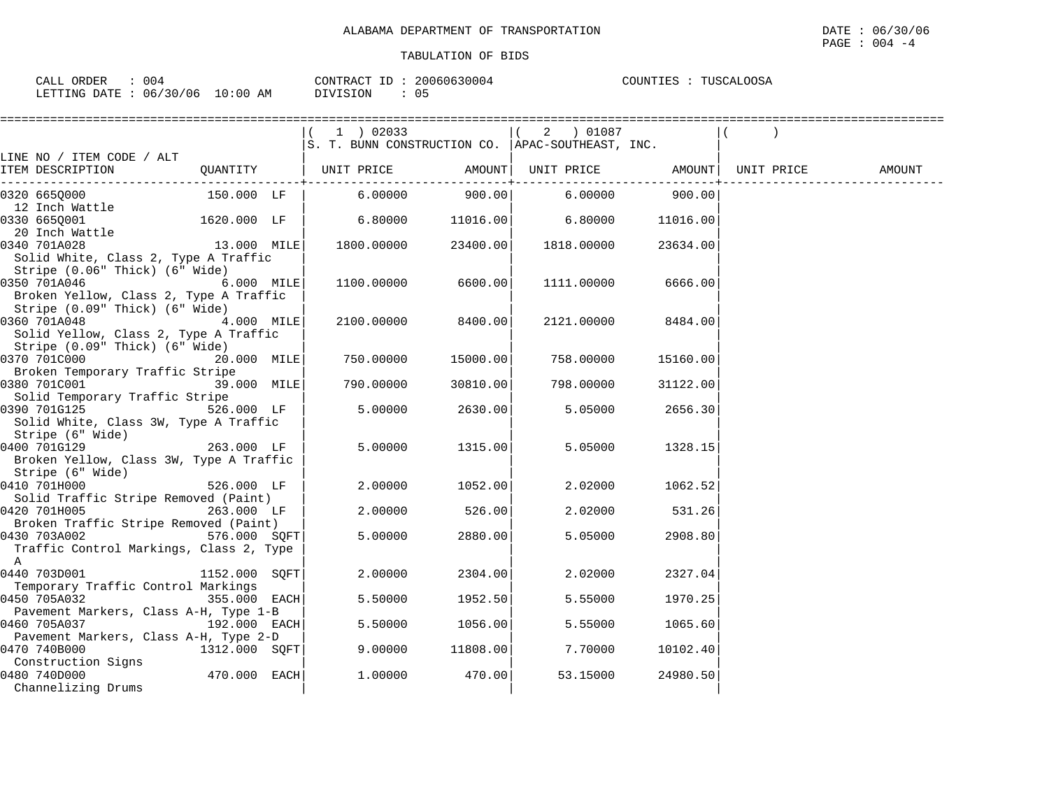|                                                       |               | 1 ) 02033                                          |          | 2 ) 01087                      |          |        |
|-------------------------------------------------------|---------------|----------------------------------------------------|----------|--------------------------------|----------|--------|
|                                                       |               | S. T. BUNN CONSTRUCTION CO.   APAC-SOUTHEAST, INC. |          |                                |          |        |
| LINE NO / ITEM CODE / ALT                             |               |                                                    |          |                                |          |        |
| ITEM DESCRIPTION                                      | QUANTITY      | UNIT PRICE AMOUNT  UNIT PRICE AMOUNT  UNIT PRICE   |          |                                |          | AMOUNT |
| 0320 6650000                                          | 150.000 LF    | 6.00000                                            | 900.00   | ------+------------<br>6.00000 | 900.00   |        |
| 12 Inch Wattle                                        |               |                                                    |          |                                |          |        |
| 0330 665Q001                                          | 1620.000 LF   | 6.80000                                            | 11016.00 | 6.80000                        | 11016.00 |        |
| 20 Inch Wattle                                        |               |                                                    |          |                                |          |        |
| 13.000 MILE<br>0340 701A028                           |               | 1800.00000                                         | 23400.00 | 1818.00000                     | 23634.00 |        |
| Solid White, Class 2, Type A Traffic                  |               |                                                    |          |                                |          |        |
| Stripe (0.06" Thick) (6" Wide)                        |               |                                                    |          |                                |          |        |
| 0350 701A046                                          | 6.000 MILE    | 1100.00000                                         | 6600.00  | 1111.00000                     | 6666.00  |        |
| Broken Yellow, Class 2, Type A Traffic                |               |                                                    |          |                                |          |        |
| Stripe (0.09" Thick) (6" Wide)                        |               |                                                    |          |                                |          |        |
| 0360 701A048<br>4.000 MILE                            |               | 2100.00000                                         | 8400.00  | 2121.00000                     | 8484.00  |        |
| Solid Yellow, Class 2, Type A Traffic                 |               |                                                    |          |                                |          |        |
| Stripe (0.09" Thick) (6" Wide)                        |               |                                                    |          |                                |          |        |
| 0370 701C000                                          | 20.000 MILE   | 750.00000                                          | 15000.00 | 758.00000                      | 15160.00 |        |
| Broken Temporary Traffic Stripe                       |               |                                                    |          |                                |          |        |
| 0380 701C001                                          | 39.000 MILE   | 790.00000                                          | 30810.00 | 798.00000                      | 31122.00 |        |
| Solid Temporary Traffic Stripe<br>0390 701G125        | 526.000 LF    | 5.00000                                            | 2630.00  | 5.05000                        | 2656.30  |        |
| Solid White, Class 3W, Type A Traffic                 |               |                                                    |          |                                |          |        |
| Stripe (6" Wide)                                      |               |                                                    |          |                                |          |        |
| $263.000$ LF<br>0400 701G129                          |               | 5.00000                                            | 1315.00  | 5.05000                        | 1328.15  |        |
| Broken Yellow, Class 3W, Type A Traffic               |               |                                                    |          |                                |          |        |
| Stripe (6" Wide)                                      |               |                                                    |          |                                |          |        |
| 0410 701H000                                          | 526.000 LF    | 2.00000                                            | 1052.00  | 2.02000                        | 1062.52  |        |
| Solid Traffic Stripe Removed (Paint)                  |               |                                                    |          |                                |          |        |
| 0420 701H005                                          | 263.000 LF    | 2.00000                                            | 526.00   | 2.02000                        | 531.26   |        |
| Broken Traffic Stripe Removed (Paint)                 |               |                                                    |          |                                |          |        |
| 576.000 SQFT<br>0430 703A002                          |               | 5.00000                                            | 2880.00  | 5.05000                        | 2908.80  |        |
| Traffic Control Markings, Class 2, Type               |               |                                                    |          |                                |          |        |
| A                                                     |               |                                                    |          |                                |          |        |
| 0440 703D001                                          | 1152.000 SOFT | 2.00000                                            | 2304.00  | 2.02000                        | 2327.04  |        |
| Temporary Traffic Control Markings                    |               |                                                    |          |                                |          |        |
| 0450 705A032                                          | 355.000 EACH  | 5.50000                                            | 1952.50  | 5.55000                        | 1970.25  |        |
| Pavement Markers, Class A-H, Type 1-B                 |               |                                                    |          |                                |          |        |
| $192.000$ EACH<br>0460 705A037                        |               | 5.50000                                            | 1056.00  | 5.55000                        | 1065.60  |        |
| Pavement Markers, Class A-H, Type 2-D<br>0470 740B000 | 1312.000 SOFT | 9.00000                                            | 11808.00 | 7.70000                        | 10102.40 |        |
| Construction Signs                                    |               |                                                    |          |                                |          |        |
| 0480 740D000                                          | 470.000 EACH  | 1,00000                                            | 470.00   | 53.15000                       | 24980.50 |        |
| Channelizing Drums                                    |               |                                                    |          |                                |          |        |
|                                                       |               |                                                    |          |                                |          |        |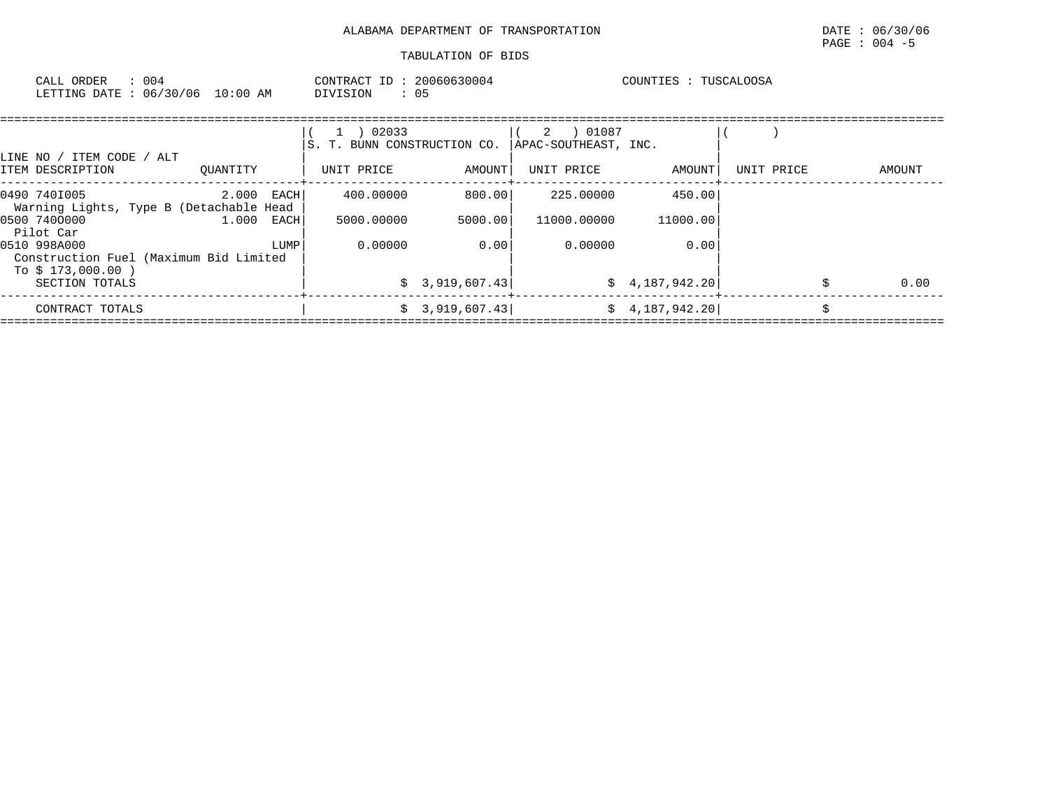| : 004<br>CALL ORDER<br>LETTING DATE: 06/30/06 10:00 AM  |               | CONTRACT ID: 20060630004<br>$\therefore$ 05<br>DIVISION |         |                               | COUNTIES : TUSCALOOSA |            |        |
|---------------------------------------------------------|---------------|---------------------------------------------------------|---------|-------------------------------|-----------------------|------------|--------|
| ITEM CODE / ALT<br>LINE NO /                            |               | 02033<br>S. T. BUNN CONSTRUCTION CO.                    |         | 01087<br>APAC-SOUTHEAST, INC. |                       |            |        |
| ITEM DESCRIPTION                                        | OUANTITY      | UNIT PRICE                                              | AMOUNT  | UNIT PRICE                    | AMOUNT                | UNIT PRICE | AMOUNT |
| 0490 7401005<br>Warning Lights, Type B (Detachable Head | $2.000$ EACH  | 400.00000                                               | 800.001 | 225,00000                     | 450.00                |            |        |
| 0500 7400000<br>$R2$ $R2$ $R2$ $R2$                     | 1,000<br>EACH | 5000.00000                                              | 5000.00 | 11000.00000                   | 11000.00              |            |        |

| Pilot Car<br>0510 998A000                                    | LUMP' | 0.00000 | 0.00            | 0.00000 | 0.00            |      |
|--------------------------------------------------------------|-------|---------|-----------------|---------|-----------------|------|
| Construction Fuel (Maximum Bid Limited<br>To \$ 173,000.00 ) |       |         |                 |         |                 |      |
| SECTION TOTALS                                               |       |         | \$3,919,607.43] |         | \$4,187,942.20] | 0.00 |
| CONTRACT TOTALS                                              |       |         | \$3,919,607.43  |         | \$4,187,942.20] |      |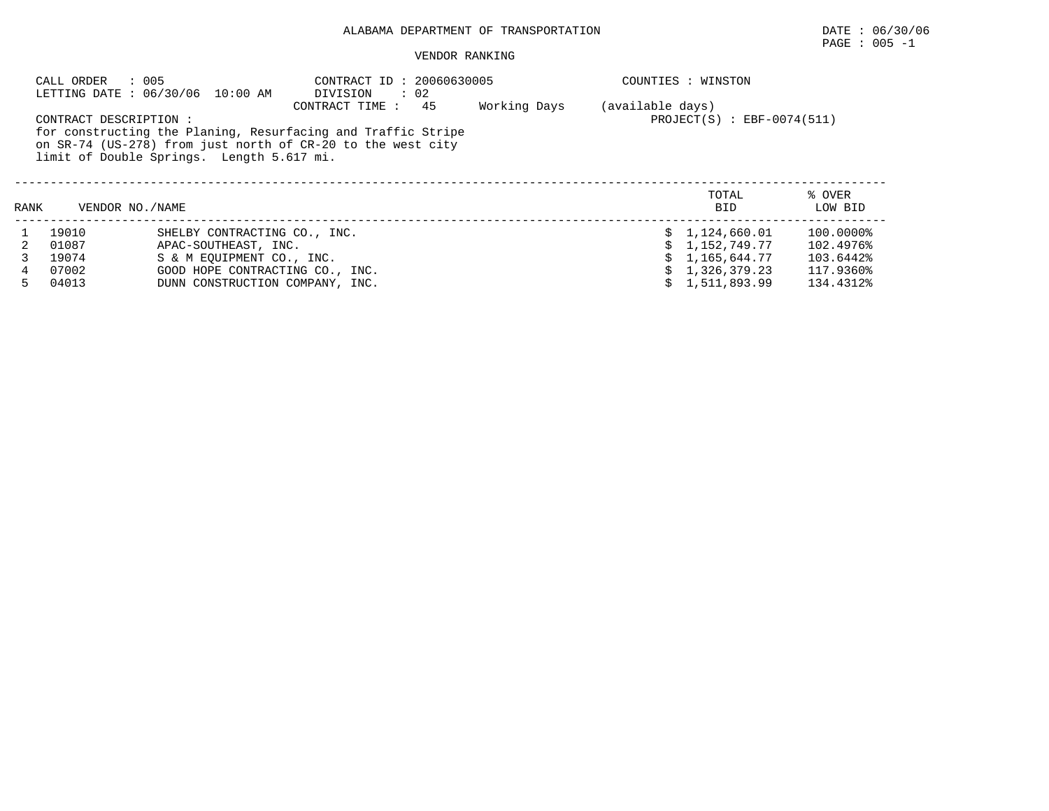# ALABAMA DEPARTMENT OF TRANSPORTATION DATE : 06/30/06

# $\texttt{PAGE}$  : 005 -1

### VENDOR RANKING

|      | CALL ORDER            | : 005<br>LETTING DATE : 06/30/06 10:00 AM | CONTRACT ID: 20060630005<br>$\cdot$ 02<br>DIVISION                                                                                                  |              |                  | COUNTIES : WINSTON           |                   |
|------|-----------------------|-------------------------------------------|-----------------------------------------------------------------------------------------------------------------------------------------------------|--------------|------------------|------------------------------|-------------------|
|      | CONTRACT DESCRIPTION: | limit of Double Springs. Length 5.617 mi. | 45<br>CONTRACT TIME:<br>for constructing the Planing, Resurfacing and Traffic Stripe<br>on SR-74 (US-278) from just north of CR-20 to the west city | Working Days | (available days) | $PROJECT(S)$ : EBF-0074(511) |                   |
| RANK |                       | VENDOR NO./NAME                           |                                                                                                                                                     |              |                  | TOTAL<br><b>BID</b>          | % OVER<br>LOW BID |
|      | 19010                 | SHELBY CONTRACTING CO., INC.              |                                                                                                                                                     |              |                  | \$1,124,660.01               | $100.0000\%$      |
|      | 01087                 | APAC-SOUTHEAST, INC.                      |                                                                                                                                                     |              |                  | \$1,152,749.77               | 102.4976%         |
|      | 19074                 | S & M EOUIPMENT CO., INC.                 |                                                                                                                                                     |              |                  | 1,165,644.77                 | 103.6442%         |
| 4    | 07002                 | GOOD HOPE CONTRACTING CO., INC.           |                                                                                                                                                     |              |                  | \$1,326,379.23               | 117.9360%         |
| 5.   | 04013                 | DUNN CONSTRUCTION COMPANY, INC.           |                                                                                                                                                     |              |                  | \$1,511,893.99               | 134.4312%         |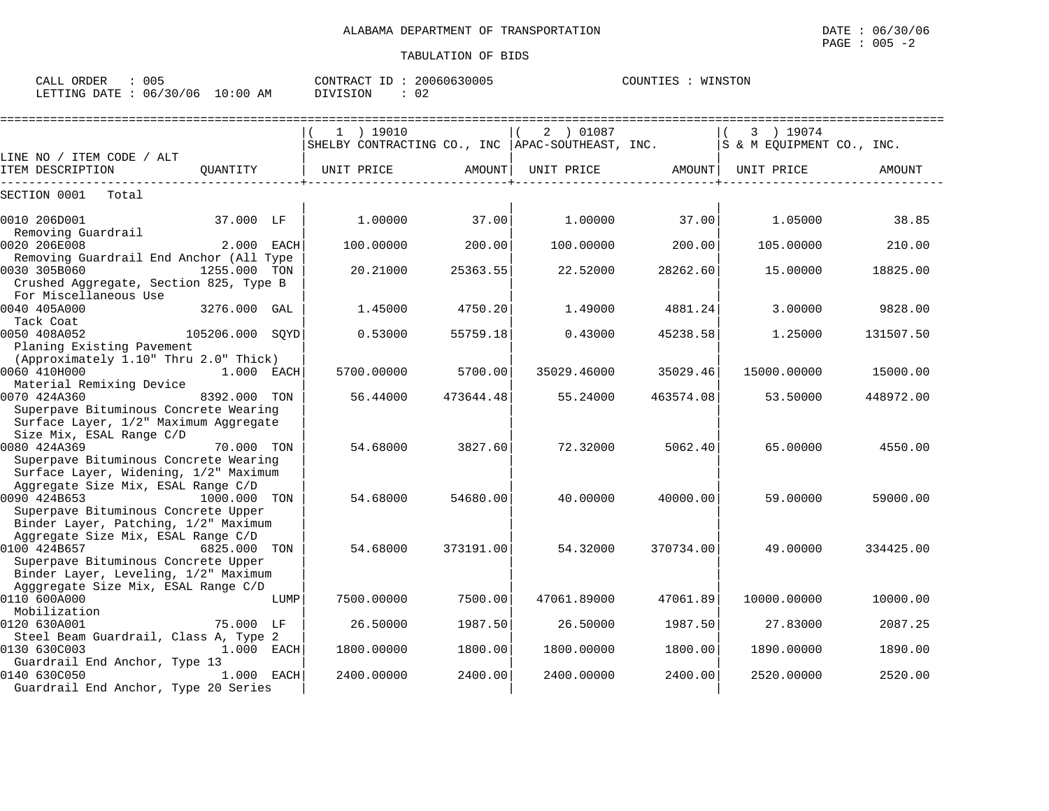| 005<br>CALL ORDER                | CONTRACT ID: | 20060630005 | COUNTIES<br>WINSTON |
|----------------------------------|--------------|-------------|---------------------|
| LETTING DATE : 06/30/06 10:00 AM | DIVISION     | 02          |                     |

|                                                                                |              |      | $1$ ) 19010<br>SHELBY CONTRACTING CO., INC   APAC-SOUTHEAST, INC. |           | 2 ) 01087   |           | 3 ) 19074<br>S & M EQUIPMENT CO., INC. |           |
|--------------------------------------------------------------------------------|--------------|------|-------------------------------------------------------------------|-----------|-------------|-----------|----------------------------------------|-----------|
| LINE NO / ITEM CODE / ALT<br>ITEM DESCRIPTION                                  | OUANTITY     |      | UNIT PRICE                                                        | AMOUNT    | UNIT PRICE  | AMOUNT    | UNIT PRICE                             | AMOUNT    |
|                                                                                |              |      |                                                                   |           |             |           |                                        |           |
| SECTION 0001<br>Total                                                          |              |      |                                                                   |           |             |           |                                        |           |
| 0010 206D001<br>Removing Guardrail                                             | 37.000 LF    |      | 1,00000                                                           | 37.00     | 1.00000     | 37.00     | 1.05000                                | 38.85     |
| 0020 206E008                                                                   | 2.000 EACH   |      | 100.00000                                                         | 200.00    | 100.00000   | 200.00    | 105.00000                              | 210.00    |
| Removing Guardrail End Anchor (All Type<br>0030 305B060                        | 1255.000 TON |      | 20.21000                                                          | 25363.55  | 22.52000    | 28262.60  | 15.00000                               | 18825.00  |
| Crushed Aggregate, Section 825, Type B<br>For Miscellaneous Use                |              |      |                                                                   |           |             |           |                                        |           |
| 0040 405A000<br>Tack Coat                                                      | 3276.000 GAL |      | 1.45000                                                           | 4750.20   | 1.49000     | 4881.24   | 3.00000                                | 9828.00   |
| 0050 408A052<br>105206.000 SOYD<br>Planing Existing Pavement                   |              |      | 0.53000                                                           | 55759.18  | 0.43000     | 45238.58  | 1.25000                                | 131507.50 |
| (Approximately 1.10" Thru 2.0" Thick)<br>0060 410H000                          | $1.000$ EACH |      | 5700.00000                                                        | 5700.00   | 35029.46000 | 35029.46  | 15000.00000                            | 15000.00  |
| Material Remixing Device                                                       |              |      |                                                                   |           |             |           |                                        |           |
| 0070 424A360<br>Superpave Bituminous Concrete Wearing                          | 8392.000 TON |      | 56.44000                                                          | 473644.48 | 55.24000    | 463574.08 | 53.50000                               | 448972.00 |
| Surface Layer, 1/2" Maximum Aggregate                                          |              |      |                                                                   |           |             |           |                                        |           |
| Size Mix, ESAL Range C/D<br>0080 424A369                                       | 70.000 TON   |      | 54.68000                                                          | 3827.60   | 72.32000    | 5062.40   | 65.00000                               | 4550.00   |
| Superpave Bituminous Concrete Wearing<br>Surface Layer, Widening, 1/2" Maximum |              |      |                                                                   |           |             |           |                                        |           |
| Aggregate Size Mix, ESAL Range C/D                                             |              |      |                                                                   |           |             |           |                                        |           |
| 0090 424B653<br>Superpave Bituminous Concrete Upper                            | 1000.000 TON |      | 54.68000                                                          | 54680.00  | 40.00000    | 40000.00  | 59.00000                               | 59000.00  |
| Binder Layer, Patching, 1/2" Maximum<br>Aggregate Size Mix, ESAL Range C/D     |              |      |                                                                   |           |             |           |                                        |           |
| 0100 424B657                                                                   | 6825.000 TON |      | 54.68000                                                          | 373191.00 | 54.32000    | 370734.00 | 49.00000                               | 334425.00 |
| Superpave Bituminous Concrete Upper<br>Binder Layer, Leveling, 1/2" Maximum    |              |      |                                                                   |           |             |           |                                        |           |
| Agggregate Size Mix, ESAL Range C/D<br>0110 600A000                            |              | LUMP | 7500.00000                                                        | 7500.00   | 47061.89000 | 47061.89  | 10000.00000                            | 10000.00  |
| Mobilization                                                                   |              |      | 26.50000                                                          | 1987.50   | 26.50000    | 1987.50   |                                        | 2087.25   |
| 0120 630A001<br>Steel Beam Guardrail, Class A, Type 2                          | 75.000 LF    |      |                                                                   |           |             |           | 27.83000                               |           |
| 0130 630C003                                                                   | 1.000 EACH   |      | 1800.00000                                                        | 1800.00   | 1800.00000  | 1800.00   | 1890.00000                             | 1890.00   |
| Guardrail End Anchor, Type 13<br>0140 630C050                                  | 1.000 EACH   |      | 2400.00000                                                        | 2400.00   | 2400.00000  | 2400.00   | 2520.00000                             | 2520.00   |
| Guardrail End Anchor, Type 20 Series                                           |              |      |                                                                   |           |             |           |                                        |           |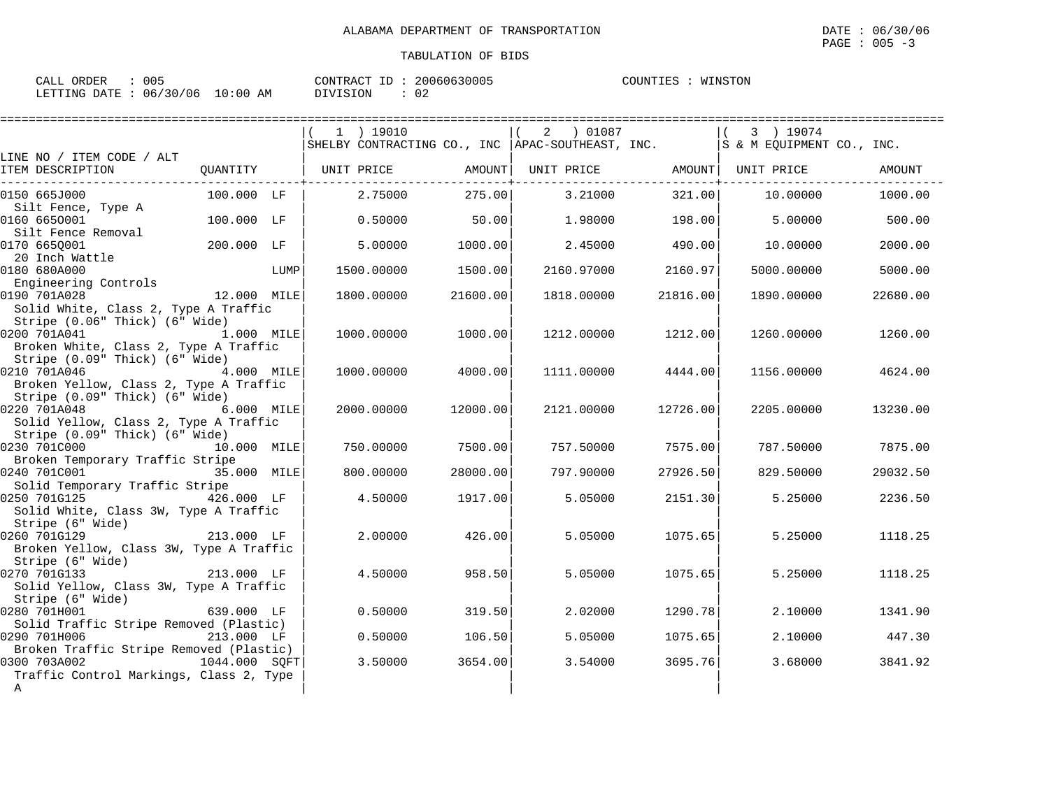| ORDER<br>$\cap$ AT.T. $\in$ | 005      |             | CONTRACT           | 20060630005 | COUNTIES | WINSTON |
|-----------------------------|----------|-------------|--------------------|-------------|----------|---------|
| LETTING DATE :              | 06/30/06 | 10:00<br>AΜ | ד פ⊤∩ז<br>$\cdots$ | ∪∠          |          |         |

|                                                                                                       |               |      | $1$ ) 19010<br>SHELBY CONTRACTING CO., INC   APAC-SOUTHEAST, INC. $ S \& M$ EQUIPMENT CO., INC. |          | 2 01087    |                              | 3 ) 19074  |          |
|-------------------------------------------------------------------------------------------------------|---------------|------|-------------------------------------------------------------------------------------------------|----------|------------|------------------------------|------------|----------|
| LINE NO / ITEM CODE / ALT                                                                             |               |      |                                                                                                 |          |            |                              |            |          |
| ITEM DESCRIPTION                                                                                      |               |      | QUANTITY   UNIT PRICE                                                                           | AMOUNT   | UNIT PRICE | AMOUNT  <br>------------+--- | UNIT PRICE | AMOUNT   |
| 0150 665J000                                                                                          | 100.000 LF    |      | 2.75000                                                                                         | 275.00   | 3.21000    | 321.00                       | 10.00000   | 1000.00  |
| Silt Fence, Type A<br>0160 6650001                                                                    | 100.000 LF    |      | 0.50000                                                                                         | 50.00    | 1.98000    | 198.00                       | 5.00000    | 500.00   |
| Silt Fence Removal<br>0170 665Q001                                                                    | 200.000 LF    |      | 5.00000                                                                                         | 1000.00  | 2.45000    | 490.00                       | 10.00000   | 2000.00  |
| 20 Inch Wattle<br>0180 680A000                                                                        |               | LUMP | 1500.00000                                                                                      | 1500.00  | 2160.97000 | 2160.97                      | 5000.00000 | 5000.00  |
| Engineering Controls<br>0190 701A028<br>Solid White, Class 2, Type A Traffic                          | 12.000 MILE   |      | 1800.00000                                                                                      | 21600.00 | 1818.00000 | 21816.00                     | 1890.00000 | 22680.00 |
| Stripe (0.06" Thick) (6" Wide)<br>0200 701A041<br>1.000 MILE<br>Broken White, Class 2, Type A Traffic |               |      | 1000.00000                                                                                      | 1000.00  | 1212.00000 | 1212.00                      | 1260.00000 | 1260.00  |
| Stripe (0.09" Thick) (6" Wide)<br>0210 701A046<br>Broken Yellow, Class 2, Type A Traffic              | 4.000 MILE    |      | 1000.00000                                                                                      | 4000.00  | 1111.00000 | 4444.00                      | 1156.00000 | 4624.00  |
| Stripe (0.09" Thick) (6" Wide)<br>0220 701A048 6.000 MILE<br>Solid Yellow, Class 2, Type A Traffic    |               |      | 2000.00000                                                                                      | 12000.00 | 2121.00000 | 12726.00                     | 2205.00000 | 13230.00 |
| Stripe (0.09" Thick) (6" Wide)<br>0230 701C000                                                        | 10.000 MILE   |      | 750.00000                                                                                       | 7500.00  | 757.50000  | 7575.00                      | 787.50000  | 7875.00  |
| Broken Temporary Traffic Stripe<br>0240 701C001<br>35.000 MILE<br>Solid Temporary Traffic Stripe      |               |      | 800,00000                                                                                       | 28000.00 | 797.90000  | 27926.50                     | 829.50000  | 29032.50 |
| 0250 701G125<br>Solid White, Class 3W, Type A Traffic<br>Stripe (6" Wide)                             | 426.000 LF    |      | 4.50000                                                                                         | 1917.00  | 5.05000    | 2151.30                      | 5.25000    | 2236.50  |
| 213.000 LF<br>0260 701G129<br>Broken Yellow, Class 3W, Type A Traffic<br>Stripe (6" Wide)             |               |      | 2.00000                                                                                         | 426.00   | 5.05000    | 1075.65                      | 5.25000    | 1118.25  |
| 0270 701G133<br>Solid Yellow, Class 3W, Type A Traffic<br>Stripe (6" Wide)                            | 213.000 LF    |      | 4.50000                                                                                         | 958.50   | 5.05000    | 1075.65                      | 5.25000    | 1118.25  |
| 0280 701H001<br>Solid Traffic Stripe Removed (Plastic)                                                | 639.000 LF    |      | 0.50000                                                                                         | 319.50   | 2.02000    | 1290.78                      | 2.10000    | 1341.90  |
| 0290 701H006<br>Broken Traffic Stripe Removed (Plastic)                                               | 213.000 LF    |      | 0.50000                                                                                         | 106.50   | 5.05000    | 1075.65                      | 2.10000    | 447.30   |
| 0300 703A002<br>Traffic Control Markings, Class 2, Type<br>$\mathbb A$                                | 1044.000 SOFT |      | 3.50000                                                                                         | 3654.00  | 3.54000    | 3695.76                      | 3.68000    | 3841.92  |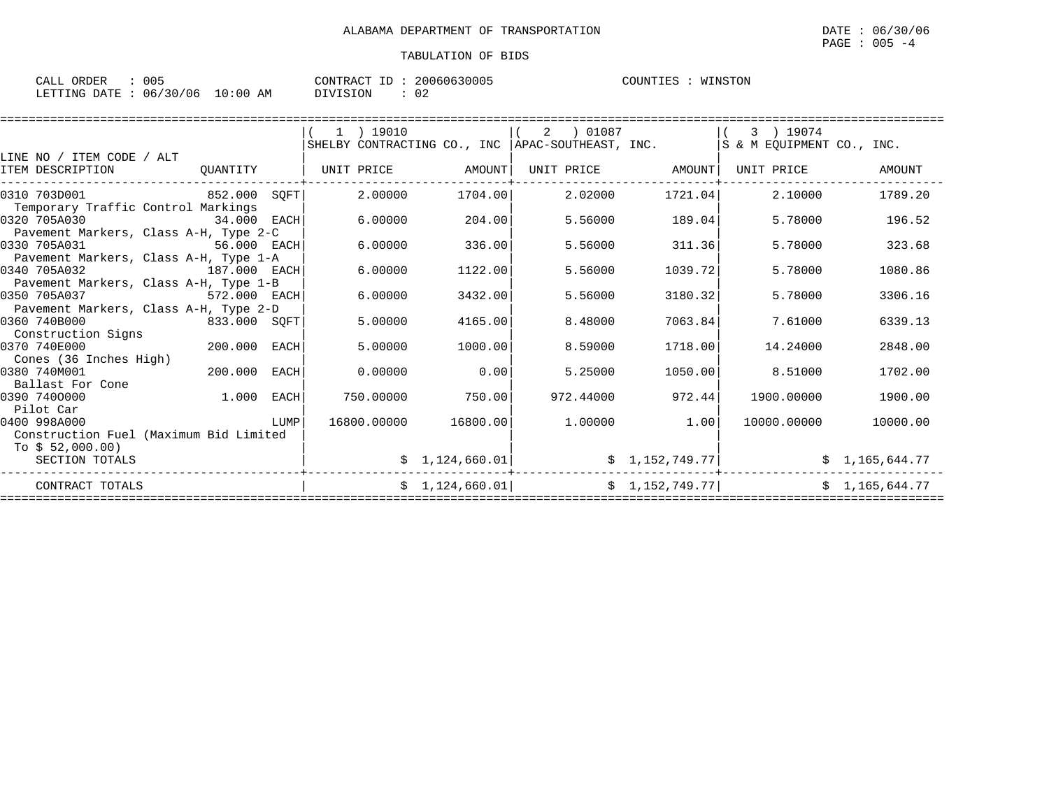| CALL ORDER                       | 005 |          | CONTRACT ID: 20060630005 | COUNTIES | : WINSTON |
|----------------------------------|-----|----------|--------------------------|----------|-----------|
| LETTING DATE : 06/30/06 10:00 AM |     | DIVISION | 02                       |          |           |

|                                                                            |              |      | 1 ) 19010   | SHELBY CONTRACTING CO., INC   APAC-SOUTHEAST, INC. | 2 ) 01087 |                   | 3 ) 19074<br>S & M EQUIPMENT CO., INC. |                |
|----------------------------------------------------------------------------|--------------|------|-------------|----------------------------------------------------|-----------|-------------------|----------------------------------------|----------------|
| LINE NO / ITEM CODE / ALT<br>ITEM DESCRIPTION                              | OUANTITY     |      |             | UNIT PRICE AMOUNT                                  |           | UNIT PRICE AMOUNT | UNIT PRICE                             | AMOUNT         |
| 0310 703D001<br>Temporary Traffic Control Markings                         | 852.000 SOFT |      | 2.00000     | 1704.00                                            | 2.02000   | 1721.04           | 2.10000                                | 1789.20        |
| 0320 705A030<br>Pavement Markers, Class A-H, Type 2-C                      | 34.000 EACH  |      | 6,00000     | 204.00                                             | 5.56000   | 189.04            | 5.78000                                | 196.52         |
| 0330 705A031<br>Pavement Markers, Class A-H, Type 1-A                      | 56.000 EACH  |      | 6.00000     | 336.00                                             | 5.56000   | 311.36            | 5.78000                                | 323.68         |
| 0340 705A032<br>Pavement Markers, Class A-H, Type 1-B                      | 187.000 EACH |      | 6.00000     | 1122.00                                            | 5.56000   | 1039.72           | 5.78000                                | 1080.86        |
| 0350 705A037<br>Pavement Markers, Class A-H, Type 2-D                      | 572.000 EACH |      | 6.00000     | 3432.00                                            | 5.56000   | 3180.32           | 5.78000                                | 3306.16        |
| 0360 740B000<br>Construction Signs                                         | 833.000 SQFT |      | 5.00000     | 4165.00                                            | 8,48000   | 7063.84           | 7.61000                                | 6339.13        |
| 0370 740E000<br>Cones (36 Inches High)                                     | 200.000      | EACH | 5.00000     | 1000.00                                            | 8.59000   | 1718.00           | 14.24000                               | 2848.00        |
| 0380 740M001<br>Ballast For Cone                                           | 200.000      | EACH | 0.00000     | 0.00                                               | 5.25000   | 1050.00           | 8.51000                                | 1702.00        |
| 0390 7400000<br>Pilot Car                                                  | 1.000        | EACH | 750.00000   | 750.00                                             | 972.44000 | 972.44            | 1900.00000                             | 1900.00        |
| 0400 998A000<br>Construction Fuel (Maximum Bid Limited<br>To $$52,000.00)$ |              | LUMP | 16800.00000 | 16800.00                                           | 1,00000   | 1.00              | 10000.00000                            | 10000.00       |
| SECTION TOTALS                                                             |              |      |             | \$1,124,660.01]                                    |           | \$1,152,749.77    |                                        | \$1,165,644.77 |
| CONTRACT TOTALS                                                            |              |      |             | \$1,124,660.01                                     |           | \$1,152,749.77    |                                        | \$1,165,644.77 |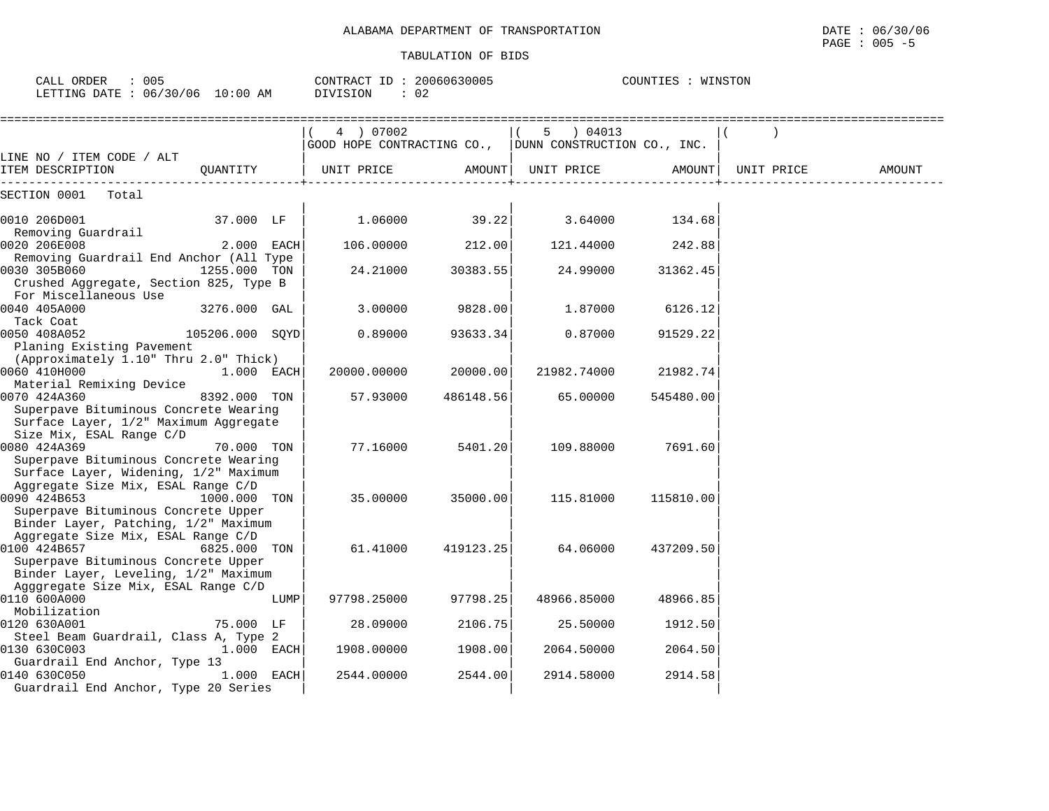| $\therefore$ 005<br>CALL ORDER<br>LETTING DATE : 06/30/06 10:00 AM                                                                |                 |      | CONTRACT ID: 20060630005<br>DIVISION<br>: 02 |           |                                                                                        | COUNTIES : WINSTON |            |        |
|-----------------------------------------------------------------------------------------------------------------------------------|-----------------|------|----------------------------------------------|-----------|----------------------------------------------------------------------------------------|--------------------|------------|--------|
|                                                                                                                                   |                 |      | 4 ) 07002                                    |           | 5 ) 04013<br>$\vert \vert$ (<br>GOOD HOPE CONTRACTING CO., DUNN CONSTRUCTION CO., INC. |                    |            |        |
| LINE NO / ITEM CODE / ALT<br>ITEM DESCRIPTION                                                                                     | OUANTITY        |      | UNIT PRICE                                   |           | AMOUNT   UNIT PRICE                                                                    | AMOUNT             | UNIT PRICE | AMOUNT |
| SECTION 0001<br>Total                                                                                                             |                 |      |                                              |           |                                                                                        |                    |            |        |
| 0010 206D001<br>Removing Guardrail                                                                                                | 37.000 LF       |      | 1.06000                                      | 39.22     | 3.64000                                                                                | 134.68             |            |        |
| 0020 206E008                                                                                                                      | 2.000 EACH      |      | 106.00000                                    | 212.00    | 121.44000                                                                              | 242.88             |            |        |
| Removing Guardrail End Anchor (All Type<br>0030 305B060<br>Crushed Aggregate, Section 825, Type B                                 | 1255.000 TON    |      | 24.21000                                     | 30383.55  | 24.99000                                                                               | 31362.45           |            |        |
| For Miscellaneous Use<br>0040 405A000                                                                                             | 3276.000 GAL    |      | 3.00000                                      | 9828.00   | 1.87000                                                                                | 6126.12            |            |        |
| Tack Coat<br>0050 408A052<br>Planing Existing Pavement                                                                            | 105206.000 SOYD |      | 0.89000                                      | 93633.34  | 0.87000                                                                                | 91529.22           |            |        |
| (Approximately 1.10" Thru 2.0" Thick)<br>0060 410H000<br>Material Remixing Device                                                 | $1.000$ EACH    |      | 20000.00000                                  | 20000.00  | 21982.74000                                                                            | 21982.74           |            |        |
| 0070 424A360<br>Superpave Bituminous Concrete Wearing<br>Surface Layer, 1/2" Maximum Aggregate                                    | 8392.000 TON    |      | 57.93000                                     | 486148.56 | 65.00000                                                                               | 545480.00          |            |        |
| Size Mix, ESAL Range C/D<br>0080 424A369<br>Superpave Bituminous Concrete Wearing<br>Surface Layer, Widening, 1/2" Maximum        | 70.000 TON      |      | 77.16000                                     | 5401.20   | 109.88000                                                                              | 7691.60            |            |        |
| Aggregate Size Mix, ESAL Range C/D<br>0090 424B653<br>Superpave Bituminous Concrete Upper<br>Binder Layer, Patching, 1/2" Maximum | 1000.000 TON    |      | 35.00000                                     | 35000.00  | 115.81000                                                                              | 115810.00          |            |        |
| Aggregate Size Mix, ESAL Range C/D<br>0100 424B657<br>Superpave Bituminous Concrete Upper<br>Binder Layer, Leveling, 1/2" Maximum | 6825.000 TON    |      | 61.41000                                     | 419123.25 | 64.06000                                                                               | 437209.50          |            |        |
| Agggregate Size Mix, ESAL Range C/D<br>0110 600A000                                                                               |                 | LUMP | 97798.25000                                  | 97798.25  | 48966.85000                                                                            | 48966.85           |            |        |
| Mobilization<br>0120 630A001                                                                                                      | 75.000 LF       |      | 28.09000                                     | 2106.75   | 25.50000                                                                               | 1912.50            |            |        |
| Steel Beam Guardrail, Class A, Type 2<br>0130 630C003<br>Guardrail End Anchor, Type 13                                            | $1.000$ EACH    |      | 1908.00000                                   | 1908.00   | 2064.50000                                                                             | 2064.50            |            |        |
| 0140 630C050<br>Guardrail End Anchor, Type 20 Series                                                                              | 1.000 EACH      |      | 2544.00000                                   | 2544.00   | 2914.58000                                                                             | 2914.58            |            |        |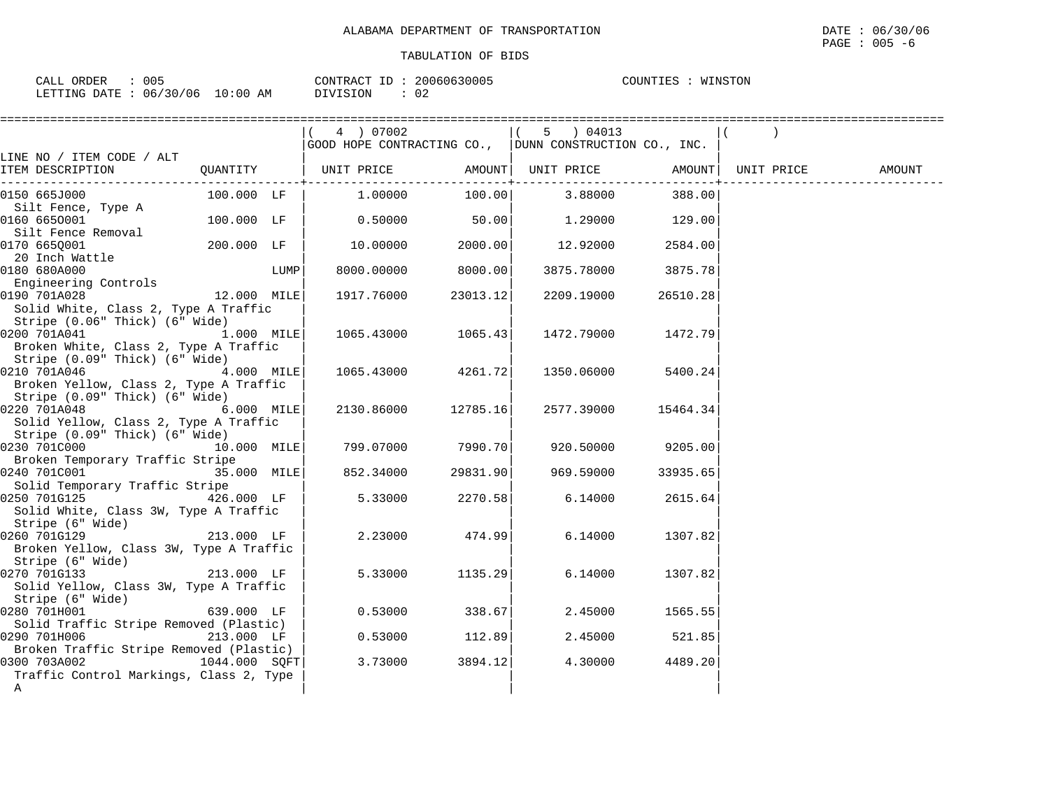| 005<br>CALL ORDER               | CONTRACT ID: 20060630005 | WINSTON<br>COUNTIES |
|---------------------------------|--------------------------|---------------------|
| LETTING DATE: 06/30/06 10:00 AM | <b>NIVISION</b>          |                     |

|                                                                                          |               |      | 4 ) 07002                                              |                         | 5 ) 04013         |          |            |        |
|------------------------------------------------------------------------------------------|---------------|------|--------------------------------------------------------|-------------------------|-------------------|----------|------------|--------|
|                                                                                          |               |      | GOOD HOPE CONTRACTING CO., DUNN CONSTRUCTION CO., INC. |                         |                   |          |            |        |
| LINE NO / ITEM CODE / ALT<br>ITEM DESCRIPTION                                            |               |      | QUANTITY   UNIT PRICE                                  | --------------+-------- | AMOUNT UNIT PRICE | AMOUNT   | UNIT PRICE | AMOUNT |
| 0150 665J000                                                                             | 100.000 LF    |      | 1.00000                                                |                         | $100.00$ 3.88000  | 388.00   |            |        |
| Silt Fence, Type A<br>0160 6650001                                                       | 100.000 LF    |      | 0.50000                                                | 50.00                   | 1.29000           | 129.00   |            |        |
| Silt Fence Removal<br>0170 665Q001                                                       | 200.000 LF    |      | 10.00000                                               | 2000.00                 | 12.92000          | 2584.00  |            |        |
| 20 Inch Wattle<br>0180 680A000                                                           |               | LUMP | 8000.00000                                             | 8000.00                 | 3875.78000        | 3875.78  |            |        |
| Engineering Controls<br>0190 701A028<br>Solid White, Class 2, Type A Traffic             | 12.000 MILE   |      | 1917.76000                                             | 23013.12                | 2209.19000        | 26510.28 |            |        |
| Stripe (0.06" Thick) (6" Wide)<br>0200 701A041<br>Broken White, Class 2, Type A Traffic  | 1.000 MILE    |      | 1065.43000                                             | 1065.43                 | 1472.79000        | 1472.79  |            |        |
| Stripe (0.09" Thick) (6" Wide)<br>0210 701A046<br>Broken Yellow, Class 2, Type A Traffic | 4.000 MILE    |      | 1065.43000                                             | 4261.72                 | 1350.06000        | 5400.24  |            |        |
| Stripe (0.09" Thick) (6" Wide)<br>0220 701A048<br>Solid Yellow, Class 2, Type A Traffic  | 6.000 MILE    |      | 2130.86000                                             | 12785.16                | 2577.39000        | 15464.34 |            |        |
| Stripe (0.09" Thick) (6" Wide)<br>0230 701C000                                           | 10.000 MILE   |      | 799.07000                                              | 7990.701                | 920.50000         | 9205.00  |            |        |
| Broken Temporary Traffic Stripe<br>0240 701C001<br>Solid Temporary Traffic Stripe        | 35.000 MILE   |      | 852.34000                                              | 29831.90                | 969.59000         | 33935.65 |            |        |
| 0250 701G125<br>Solid White, Class 3W, Type A Traffic<br>Stripe (6" Wide)                | 426.000 LF    |      | 5.33000                                                | 2270.58                 | 6.14000           | 2615.64  |            |        |
| 0260 701G129<br>Broken Yellow, Class 3W, Type A Traffic<br>Stripe (6" Wide)              | $213.000$ LF  |      | 2.23000                                                | 474.99                  | 6.14000           | 1307.82  |            |        |
| 0270 701G133<br>Solid Yellow, Class 3W, Type A Traffic<br>Stripe (6" Wide)               | 213.000 LF    |      | 5.33000                                                | 1135.29                 | 6.14000           | 1307.82  |            |        |
| 0280 701H001<br>Solid Traffic Stripe Removed (Plastic)                                   | 639.000 LF    |      | 0.53000                                                | 338.67                  | 2.45000           | 1565.55  |            |        |
| 0290 701H006<br>Broken Traffic Stripe Removed (Plastic)                                  | 213.000 LF    |      | 0.53000                                                | 112.89                  | 2.45000           | 521.85   |            |        |
| 0300 703A002<br>Traffic Control Markings, Class 2, Type<br>A                             | 1044.000 SOFT |      | 3.73000                                                | 3894.12                 | 4.30000           | 4489.20  |            |        |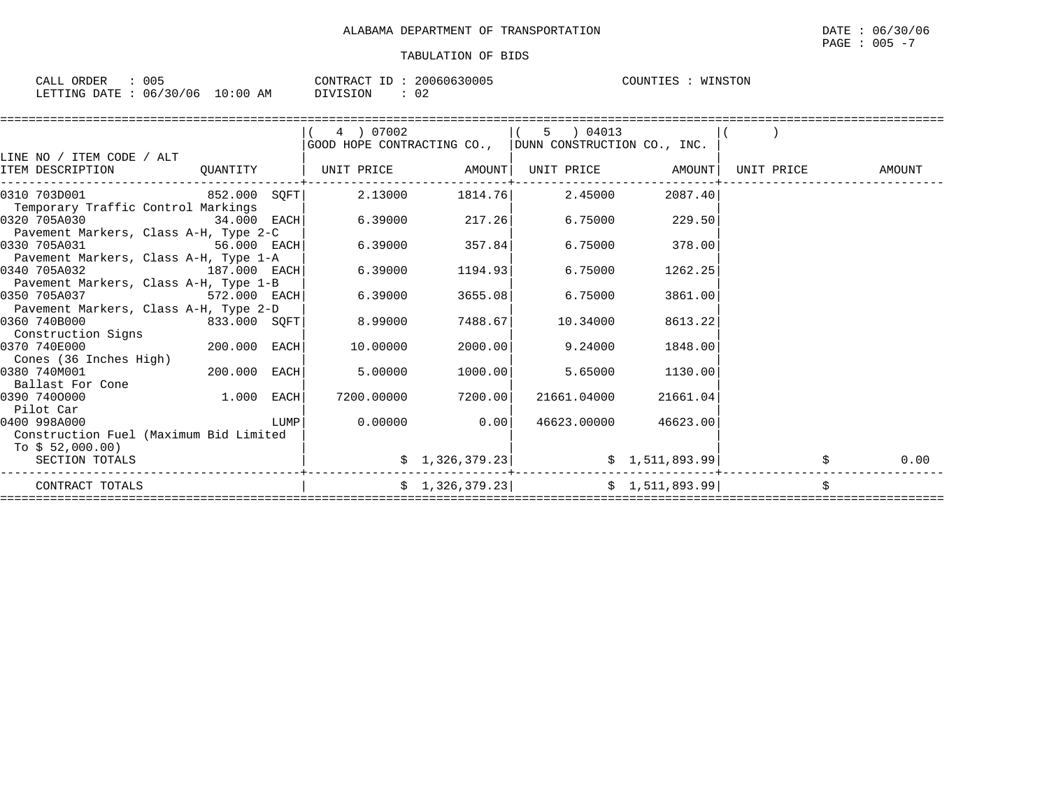| ORDER<br>$\sim$ $\sim$ $\sim$<br>- باباطات | 005                        | CONTRACT<br>ID | 20060630005         | COUNTIES<br>WINSTON |
|--------------------------------------------|----------------------------|----------------|---------------------|---------------------|
| LETTING DATE                               | 10:00 AM<br>06/30/06<br>TΩ | DIVISION       | $\sim$ $\sim$<br>◡∠ |                     |

|                                        |               |      | 4 ) 07002  |                 | 5 ) 04013                                              |                   |            |        |
|----------------------------------------|---------------|------|------------|-----------------|--------------------------------------------------------|-------------------|------------|--------|
|                                        |               |      |            |                 | GOOD HOPE CONTRACTING CO., DUNN CONSTRUCTION CO., INC. |                   |            |        |
| LINE NO / ITEM CODE / ALT              |               |      |            |                 |                                                        |                   |            |        |
| ITEM DESCRIPTION                       | QUANTITY      |      | UNIT PRICE | AMOUNT          |                                                        | UNIT PRICE AMOUNT | UNIT PRICE | AMOUNT |
| 0310 703D001 852.000 SOFT              |               |      | 2.13000    | 1814.76         | 2.45000                                                | 2087.40           |            |        |
| Temporary Traffic Control Markings     |               |      |            |                 |                                                        |                   |            |        |
| 0320 705A030                           | $34.000$ EACH |      | 6.39000    | 217.26          | 6.75000                                                | 229.50            |            |        |
| Pavement Markers, Class A-H, Type 2-C  |               |      |            |                 |                                                        |                   |            |        |
| 0330 705A031                           | $56.000$ EACH |      | 6.39000    | 357.84          | 6.75000                                                | 378.00            |            |        |
| Pavement Markers, Class A-H, Type 1-A  |               |      |            |                 |                                                        |                   |            |        |
| 0340 705A032                           | 187.000 EACH  |      | 6.39000    | 1194.93         | 6.75000                                                | 1262.25           |            |        |
| Pavement Markers, Class A-H, Type 1-B  |               |      |            |                 |                                                        |                   |            |        |
| 0350 705A037                           | 572.000 EACH  |      | 6.39000    | 3655.08         | 6.75000                                                | 3861.00           |            |        |
| Pavement Markers, Class A-H, Type 2-D  |               |      |            |                 |                                                        |                   |            |        |
| 0360 740B000                           | 833.000 SOFT  |      | 8.99000    | 7488.67         | 10.34000                                               | 8613.22           |            |        |
| Construction Signs                     |               |      |            |                 |                                                        |                   |            |        |
| 0370 740E000                           | 200.000 EACH  |      | 10.00000   | 2000.00         | 9.24000                                                | 1848.00           |            |        |
| Cones (36 Inches High)                 |               |      |            |                 |                                                        |                   |            |        |
| 0380 740M001                           | 200.000 EACH  |      | 5.00000    | 1000.00         | 5.65000                                                | 1130.00           |            |        |
| Ballast For Cone                       |               |      |            |                 |                                                        |                   |            |        |
| 0390 7400000                           | 1.000 EACH    |      | 7200.00000 | 7200.00         | 21661.04000                                            | 21661.04          |            |        |
| Pilot Car                              |               |      |            |                 |                                                        |                   |            |        |
| 0400 998A000                           |               | LUMP | 0.00000    | 0.00            | 46623.00000                                            | 46623.00          |            |        |
| Construction Fuel (Maximum Bid Limited |               |      |            |                 |                                                        |                   |            |        |
| To \$ 52,000.00)                       |               |      |            |                 |                                                        |                   |            |        |
| SECTION TOTALS                         |               |      |            | \$1,326,379.23] |                                                        | \$1,511,893.99]   |            | 0.00   |
|                                        |               |      |            |                 |                                                        |                   |            |        |
| CONTRACT TOTALS                        |               |      |            | \$1,326,379.23] |                                                        | \$1,511,893.99    |            | \$     |
|                                        |               |      |            |                 |                                                        |                   |            |        |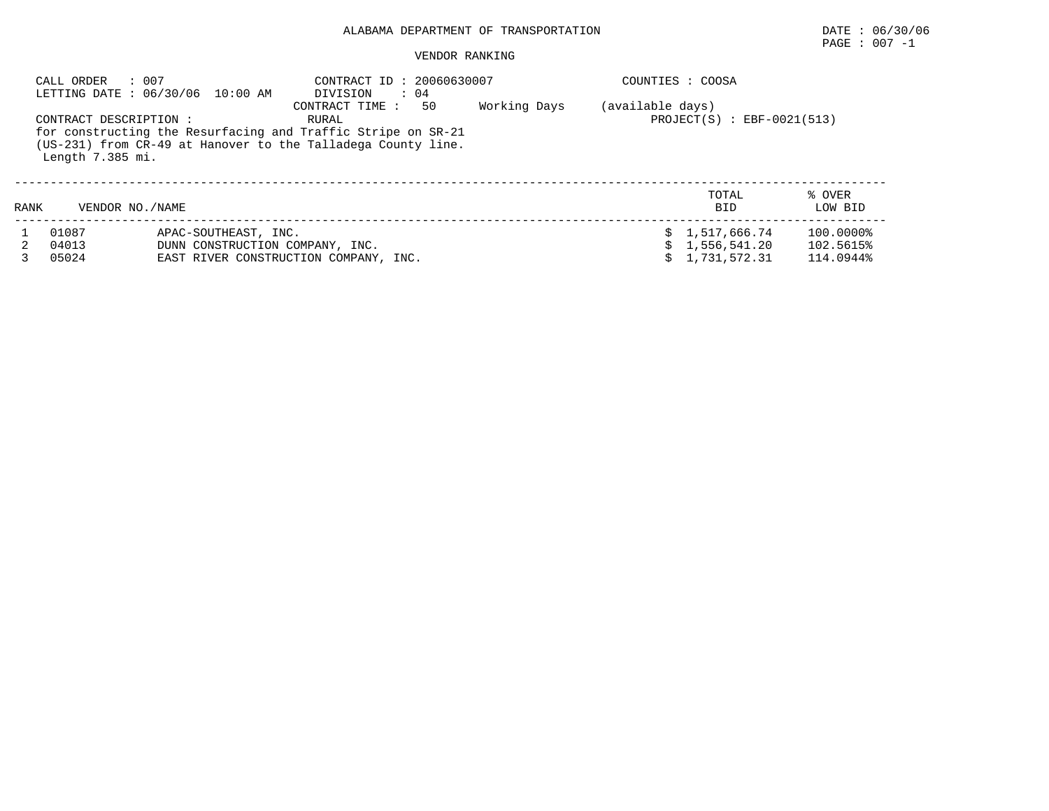# ALABAMA DEPARTMENT OF TRANSPORTATION DATE : 06/30/06

# $\texttt{PAGE}$  : 007 -1

### VENDOR RANKING

|      | : 007<br>CALL ORDER     | LETTING DATE : 06/30/06 10:00 AM                        | CONTRACT ID: 20060630007<br>DIVISION<br>$\therefore$ 04                                                                                                        |              |                  | COUNTIES : COOSA                                 |                                     |
|------|-------------------------|---------------------------------------------------------|----------------------------------------------------------------------------------------------------------------------------------------------------------------|--------------|------------------|--------------------------------------------------|-------------------------------------|
|      | CONTRACT DESCRIPTION:   |                                                         | 50<br>CONTRACT TIME :<br>RURAL<br>for constructing the Resurfacing and Traffic Stripe on SR-21<br>(US-231) from CR-49 at Hanover to the Talladega County line. | Working Days | (available days) | $PROJECT(S)$ : EBF-0021(513)                     |                                     |
|      | Length 7.385 mi.        |                                                         |                                                                                                                                                                |              |                  |                                                  |                                     |
| RANK | VENDOR NO. / NAME       |                                                         |                                                                                                                                                                |              |                  | TOTAL<br><b>BID</b>                              | % OVER<br>LOW BID                   |
|      | 01087<br>04013<br>05024 | APAC-SOUTHEAST, INC.<br>DUNN CONSTRUCTION COMPANY, INC. | EAST RIVER CONSTRUCTION COMPANY, INC.                                                                                                                          |              |                  | \$1,517,666.74<br>\$1,556,541.20<br>1,731,572.31 | 100.0000%<br>102.5615%<br>114.0944% |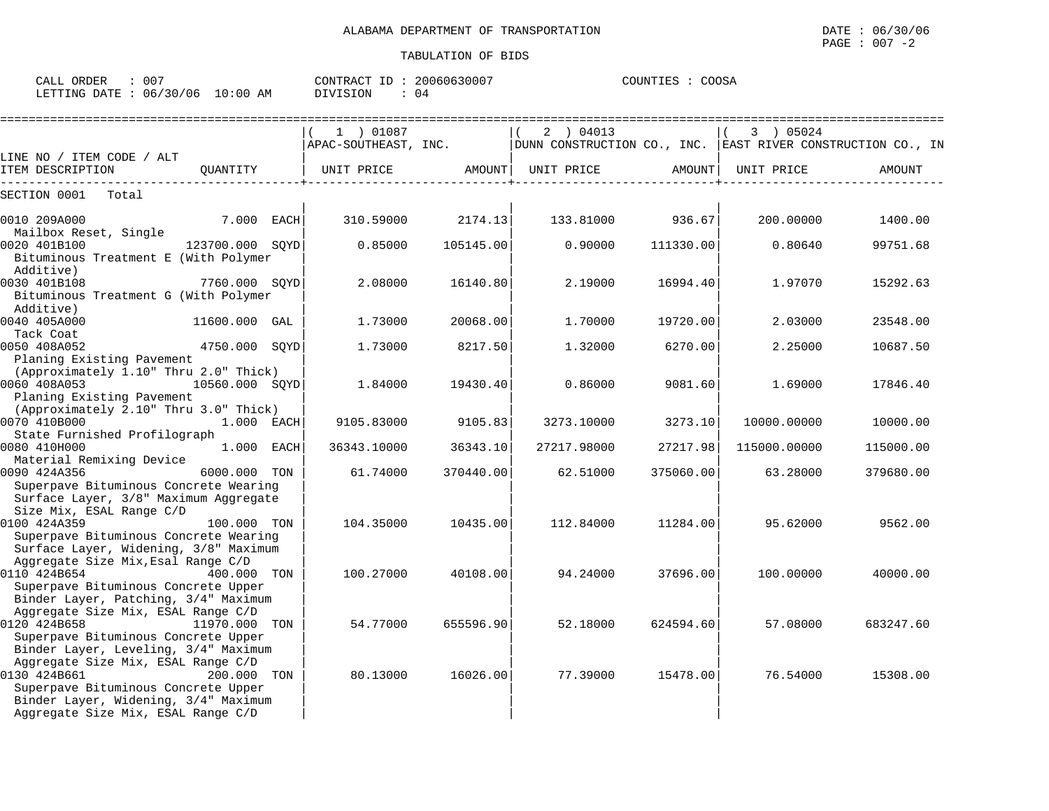| CALL ORDER                      | : 007 |          | CONTRACT ID: 20060630007 | COUNTIES : COOSA |  |
|---------------------------------|-------|----------|--------------------------|------------------|--|
| LETTING DATE: 06/30/06 10:00 AM |       | DIVISION | : 04                     |                  |  |

|                                                    |                 |     | 1 ) 01087   |           | 2 ) 04013                                                                                |           | 3 ) 05024    |           |
|----------------------------------------------------|-----------------|-----|-------------|-----------|------------------------------------------------------------------------------------------|-----------|--------------|-----------|
| LINE NO / ITEM CODE / ALT                          |                 |     |             |           | $ $ APAC-SOUTHEAST, INC. $ $ DUNN CONSTRUCTION CO., INC. EAST RIVER CONSTRUCTION CO., IN |           |              |           |
| ITEM DESCRIPTION<br>____________________           | OUANTITY        |     | UNIT PRICE  |           | AMOUNT   UNIT PRICE                                                                      | AMOUNT    | UNIT PRICE   | AMOUNT    |
| SECTION 0001<br>Total                              |                 |     |             |           |                                                                                          |           |              |           |
| 0010 209A000                                       | 7.000 EACH      |     | 310.59000   | 2174.13   | 133.81000                                                                                | 936.67    | 200,00000    | 1400.00   |
| Mailbox Reset, Single                              |                 |     |             |           |                                                                                          |           |              |           |
| 0020 401B100                                       | 123700.000 SQYD |     | 0.85000     | 105145.00 | 0.90000                                                                                  | 111330.00 | 0.80640      | 99751.68  |
| Bituminous Treatment E (With Polymer<br>Additive)  |                 |     |             |           |                                                                                          |           |              |           |
| 0030 401B108                                       | 7760.000 SOYD   |     | 2.08000     | 16140.80  | 2.19000                                                                                  | 16994.40  | 1.97070      | 15292.63  |
| Bituminous Treatment G (With Polymer               |                 |     |             |           |                                                                                          |           |              |           |
| Additive)                                          |                 |     |             |           |                                                                                          |           |              |           |
| 0040 405A000                                       | 11600.000 GAL   |     | 1.73000     | 20068.00  | 1,70000                                                                                  | 19720.00  | 2.03000      | 23548.00  |
| Tack Coat                                          |                 |     |             |           |                                                                                          |           |              |           |
| 0050 408A052                                       | 4750.000 SOYD   |     | 1.73000     | 8217.50   | 1.32000                                                                                  | 6270.00   | 2.25000      | 10687.50  |
| Planing Existing Pavement                          |                 |     |             |           |                                                                                          |           |              |           |
| (Approximately 1.10" Thru 2.0" Thick)              |                 |     |             |           |                                                                                          |           |              |           |
| 0060 408A053                                       | 10560.000 SOYD  |     | 1.84000     | 19430.40  | 0.86000                                                                                  | 9081.60   | 1.69000      | 17846.40  |
| Planing Existing Pavement                          |                 |     |             |           |                                                                                          |           |              |           |
| (Approximately 2.10" Thru 3.0" Thick)              |                 |     |             |           |                                                                                          |           |              |           |
| 0070 410B000                                       | $1.000$ EACH    |     | 9105.83000  | 9105.83   | 3273.10000                                                                               | 3273.10   | 10000.00000  | 10000.00  |
| State Furnished Profilograph<br>0080 410H000       | $1.000$ EACH    |     | 36343.10000 | 36343.10  | 27217.98000                                                                              | 27217.98  | 115000.00000 | 115000.00 |
| Material Remixing Device                           |                 |     |             |           |                                                                                          |           |              |           |
| 0090 424A356                                       | 6000.000 TON    |     | 61.74000    | 370440.00 | 62.51000                                                                                 | 375060.00 | 63.28000     | 379680.00 |
| Superpave Bituminous Concrete Wearing              |                 |     |             |           |                                                                                          |           |              |           |
| Surface Layer, 3/8" Maximum Aggregate              |                 |     |             |           |                                                                                          |           |              |           |
| Size Mix, ESAL Range C/D                           |                 |     |             |           |                                                                                          |           |              |           |
| 0100 424A359                                       | 100.000 TON     |     | 104.35000   | 10435.00  | 112.84000                                                                                | 11284.00  | 95.62000     | 9562.00   |
| Superpave Bituminous Concrete Wearing              |                 |     |             |           |                                                                                          |           |              |           |
| Surface Layer, Widening, 3/8" Maximum              |                 |     |             |           |                                                                                          |           |              |           |
| Aggregate Size Mix, Esal Range C/D                 |                 |     |             |           |                                                                                          |           |              |           |
| 0110 424B654                                       | 400.000         | TON | 100.27000   | 40108.00  | 94.24000                                                                                 | 37696.00  | 100.00000    | 40000.00  |
| Superpave Bituminous Concrete Upper                |                 |     |             |           |                                                                                          |           |              |           |
| Binder Layer, Patching, 3/4" Maximum               |                 |     |             |           |                                                                                          |           |              |           |
| Aggregate Size Mix, ESAL Range C/D<br>0120 424B658 | 11970.000       | TON | 54.77000    | 655596.90 | 52.18000                                                                                 | 624594.60 | 57.08000     | 683247.60 |
| Superpave Bituminous Concrete Upper                |                 |     |             |           |                                                                                          |           |              |           |
| Binder Layer, Leveling, 3/4" Maximum               |                 |     |             |           |                                                                                          |           |              |           |
| Aggregate Size Mix, ESAL Range C/D                 |                 |     |             |           |                                                                                          |           |              |           |
| 0130 424B661                                       | 200.000 TON     |     | 80.13000    | 16026.00  | 77.39000                                                                                 | 15478.00  | 76.54000     | 15308.00  |
| Superpave Bituminous Concrete Upper                |                 |     |             |           |                                                                                          |           |              |           |
| Binder Layer, Widening, 3/4" Maximum               |                 |     |             |           |                                                                                          |           |              |           |
| Aggregate Size Mix, ESAL Range C/D                 |                 |     |             |           |                                                                                          |           |              |           |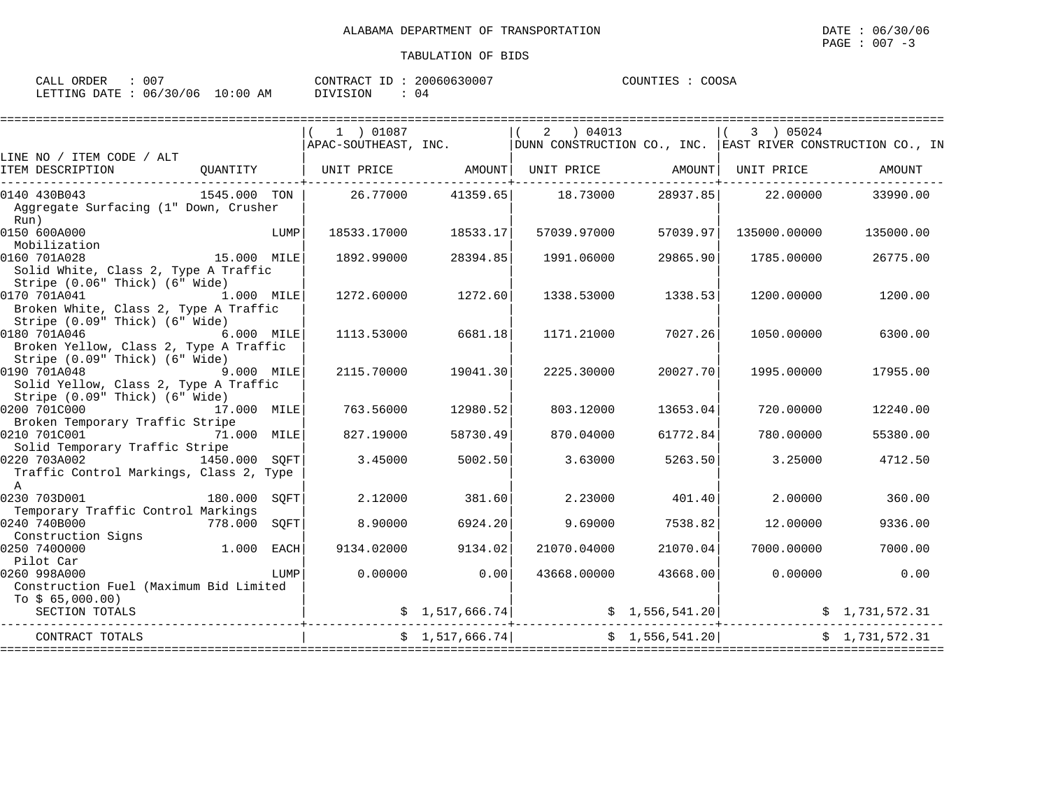| CALL ORDER                      | 00' | CONTRACT ID: | 20060630007 | COUNTIES | COOSA |
|---------------------------------|-----|--------------|-------------|----------|-------|
| LETTING DATE: 06/30/06 10:00 AM |     | DIVISION     | 04          |          |       |

|                                                                                                        |              |             | 1 ) 01087            |                 | $2 \t04013$                    |                 | 3 ) 05024                                                                                                                                                                     |                |
|--------------------------------------------------------------------------------------------------------|--------------|-------------|----------------------|-----------------|--------------------------------|-----------------|-------------------------------------------------------------------------------------------------------------------------------------------------------------------------------|----------------|
| LINE NO / ITEM CODE / ALT                                                                              |              |             | APAC-SOUTHEAST, INC. |                 |                                |                 | DUNN CONSTRUCTION CO., INC. EAST RIVER CONSTRUCTION CO., IN                                                                                                                   |                |
| ITEM DESCRIPTION                                                                                       | QUANTITY     |             | UNIT PRICE AMOUNT    |                 | UNIT PRICE AMOUNT   UNIT PRICE |                 |                                                                                                                                                                               | AMOUNT         |
| 0140 430B043<br>Aggregate Surfacing (1" Down, Crusher<br>Run)                                          | 1545.000 TON |             |                      |                 | 26.77000 41359.65 18.73000     |                 | 28937.85 22.00000                                                                                                                                                             | 33990.00       |
| 0150 600A000<br>Mobilization                                                                           |              | LUMP        | 18533.17000          | 18533.17        | 57039.97000                    | 57039.97        | 135000.00000                                                                                                                                                                  | 135000.00      |
| 0160 701A028<br>Solid White, Class 2, Type A Traffic                                                   | 15.000 MILE  |             | 1892.99000           | 28394.85        | 1991.06000                     | 29865.90        | 1785.00000                                                                                                                                                                    | 26775.00       |
| Stripe (0.06" Thick) (6" Wide)<br>0170 701A041<br>Broken White, Class 2, Type A Traffic                | 1.000 MILE   |             | 1272.60000           | 1272.60         | 1338.53000                     | 1338.53         | 1200.00000                                                                                                                                                                    | 1200.00        |
| Stripe (0.09" Thick) (6" Wide)<br>0180 701A046<br>6.000 MILE<br>Broken Yellow, Class 2, Type A Traffic |              |             | 1113.53000           | 6681.18         | 1171.21000                     | 7027.26         | 1050.00000                                                                                                                                                                    | 6300.00        |
| Stripe (0.09" Thick) (6" Wide)<br>0190 701A048<br>Solid Yellow, Class 2, Type A Traffic                | 9.000 MILE   |             | 2115.70000           | 19041.30        | 2225.30000                     | 20027.70        | 1995.00000                                                                                                                                                                    | 17955.00       |
| Stripe (0.09" Thick) (6" Wide)<br>0200 701C000<br>Broken Temporary Traffic Stripe                      | 17.000 MILE  |             | 763.56000            | 12980.52        | 803.12000                      | 13653.04        | 720.00000                                                                                                                                                                     | 12240.00       |
| 0210 701C001<br>Solid Temporary Traffic Stripe                                                         | 71.000 MILE  |             | 827.19000            | 58730.49        | 870.04000                      | 61772.84        | 780.00000                                                                                                                                                                     | 55380.00       |
| 0220 703A002 1450.000 SQFT<br>Traffic Control Markings, Class 2, Type<br>$\overline{A}$                |              |             | 3.45000              | 5002.50         | 3.63000                        | 5263.50         | 3.25000                                                                                                                                                                       | 4712.50        |
| 0230 703D001<br>Temporary Traffic Control Markings                                                     | 180.000      | SOFT        | 2.12000              | 381.60          | 2.23000                        | 401.40          | 2.00000                                                                                                                                                                       | 360.00         |
| 0240 740B000<br>Construction Signs                                                                     | 778.000      | SOFT        | 8,90000              | 6924.20         | 9.69000                        | 7538.82         | 12.00000                                                                                                                                                                      | 9336.00        |
| 1.000<br>0250 7400000<br>Pilot Car                                                                     |              | <b>EACH</b> | 9134.02000           | 9134.02         | 21070.04000                    | 21070.04        | 7000.00000                                                                                                                                                                    | 7000.00        |
| 0260 998A000<br>Construction Fuel (Maximum Bid Limited<br>To $$65,000.00)$                             |              | LUMP        | 0.00000              | 0.00            | 43668.00000                    | 43668.00        | 0.00000                                                                                                                                                                       | 0.00           |
| SECTION TOTALS                                                                                         |              |             |                      |                 | -----------                    |                 | $\begin{array}{cccc} \xi & 1,517,666.74 \end{array}$ $\begin{array}{cccc} \xi & 1,556,541.20 \end{array}$ $\begin{array}{cccc} \xi & 1,731,572.31 \end{array}$<br>----------- |                |
| CONTRACT TOTALS                                                                                        |              |             |                      | \$1,517,666.74] |                                | \$1,556,541.20] |                                                                                                                                                                               | \$1,731,572.31 |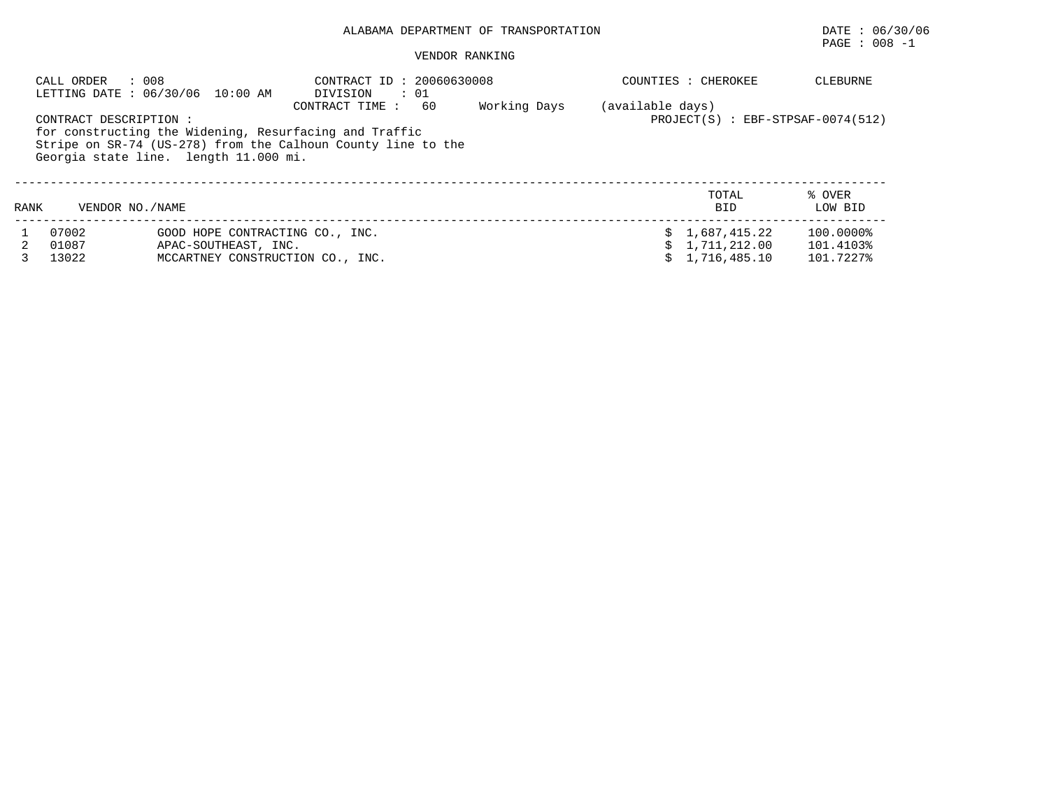# ALABAMA DEPARTMENT OF TRANSPORTATION DATE : 06/30/06

# $\texttt{PAGE}$  : 008 -1

### VENDOR RANKING

|      | : 008<br>CALL ORDER                                                                                                                                             | LETTING DATE: 06/30/06 10:00 AM                         | CONTRACT ID: 20060630008<br>DIVISION<br>$\cdots$ 01 |    |              |                  | COUNTIES : CHEROKEE                 | <b>CLEBURNE</b>        |  |  |  |
|------|-----------------------------------------------------------------------------------------------------------------------------------------------------------------|---------------------------------------------------------|-----------------------------------------------------|----|--------------|------------------|-------------------------------------|------------------------|--|--|--|
|      |                                                                                                                                                                 |                                                         | CONTRACT TIME:                                      | 60 | Working Days | (available days) |                                     |                        |  |  |  |
|      | CONTRACT DESCRIPTION:                                                                                                                                           |                                                         |                                                     |    |              |                  | $PROJECT(S)$ : EBF-STPSAF-0074(512) |                        |  |  |  |
|      | for constructing the Widening, Resurfacing and Traffic<br>Stripe on SR-74 (US-278) from the Calhoun County line to the<br>Georgia state line. length 11.000 mi. |                                                         |                                                     |    |              |                  |                                     |                        |  |  |  |
|      |                                                                                                                                                                 |                                                         |                                                     |    |              |                  | TOTAL                               | % OVER                 |  |  |  |
| RANK | VENDOR NO. / NAME                                                                                                                                               |                                                         |                                                     |    |              |                  | <b>BID</b>                          | LOW BID                |  |  |  |
|      | 07002<br>01087                                                                                                                                                  | GOOD HOPE CONTRACTING CO., INC.<br>APAC-SOUTHEAST, INC. |                                                     |    |              |                  | \$1,687,415.22<br>\$1.711.212.00    | 100.0000%<br>101.4103% |  |  |  |
|      | 13022                                                                                                                                                           |                                                         | MCCARTNEY CONSTRUCTION CO., INC.                    |    |              |                  | 1,716,485.10                        | 101.7227%              |  |  |  |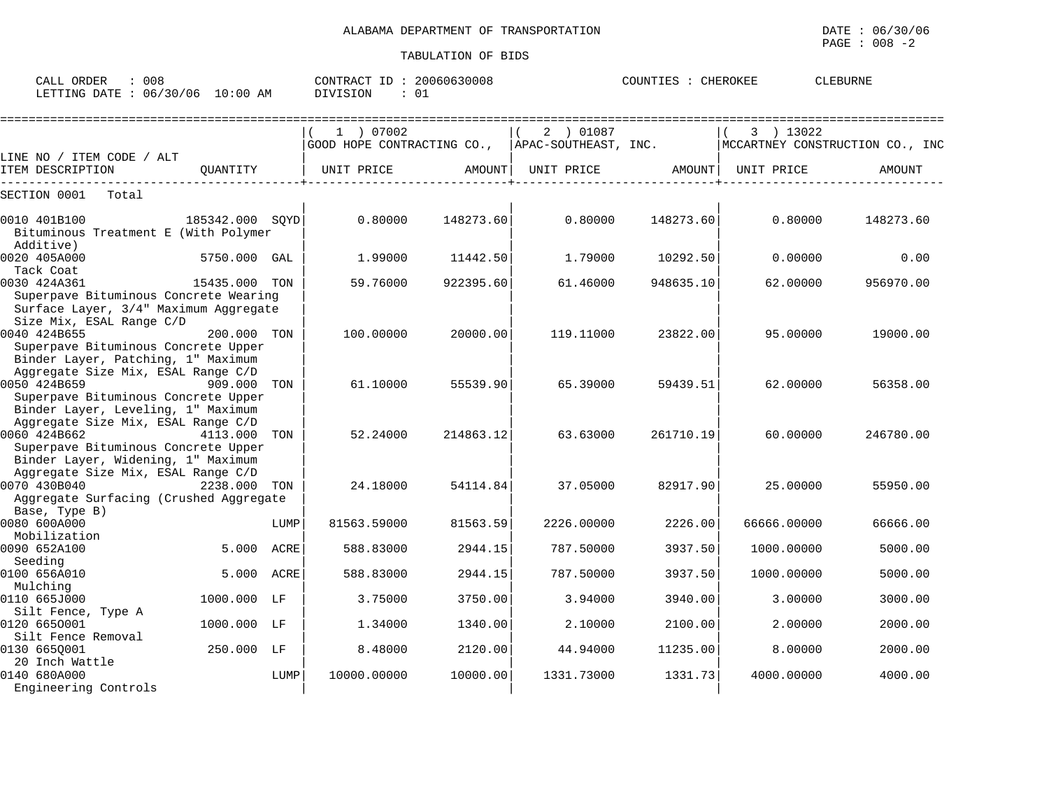| : 008<br>CALL ORDER<br>LETTING DATE : 06/30/06 10:00 AM                                                                         |                 |      | CONTRACT ID: 20060630008<br><b>DIVISION</b> | : 01      |                      | COUNTIES : CHEROKEE |             | CLEBURNE                        |
|---------------------------------------------------------------------------------------------------------------------------------|-----------------|------|---------------------------------------------|-----------|----------------------|---------------------|-------------|---------------------------------|
|                                                                                                                                 |                 |      | 1 ) 07002                                   |           | 2 ) 01087            |                     | 3 ) 13022   |                                 |
| LINE NO / ITEM CODE / ALT                                                                                                       |                 |      | GOOD HOPE CONTRACTING CO.,                  |           | APAC-SOUTHEAST, INC. |                     |             | MCCARTNEY CONSTRUCTION CO., INC |
| ITEM DESCRIPTION                                                                                                                | OUANTITY        |      | UNIT PRICE                                  | AMOUNT    | UNIT PRICE           | AMOUNT              | UNIT PRICE  | AMOUNT                          |
| SECTION 0001<br>Total                                                                                                           |                 |      |                                             |           |                      |                     |             |                                 |
| 0010 401B100<br>Bituminous Treatment E (With Polymer<br>Additive)                                                               | 185342.000 SOYD |      | 0.80000                                     | 148273.60 | 0.80000              | 148273.60           | 0.80000     | 148273.60                       |
| 0020 405A000<br>Tack Coat                                                                                                       | 5750.000 GAL    |      | 1.99000                                     | 11442.50  | 1.79000              | 10292.50            | 0.00000     | 0.00                            |
| 0030 424A361<br>Superpave Bituminous Concrete Wearing<br>Surface Layer, 3/4" Maximum Aggregate                                  | 15435.000 TON   |      | 59.76000                                    | 922395.60 | 61.46000             | 948635.10           | 62.00000    | 956970.00                       |
| Size Mix, ESAL Range C/D<br>0040 424B655<br>Superpave Bituminous Concrete Upper<br>Binder Layer, Patching, 1" Maximum           | 200.000 TON     |      | 100.00000                                   | 20000.00  | 119.11000            | 23822.00            | 95.00000    | 19000.00                        |
| Aggregate Size Mix, ESAL Range C/D<br>0050 424B659<br>Superpave Bituminous Concrete Upper<br>Binder Layer, Leveling, 1" Maximum | 909.000 TON     |      | 61.10000                                    | 55539.90  | 65.39000             | 59439.51            | 62.00000    | 56358.00                        |
| Aggregate Size Mix, ESAL Range C/D<br>0060 424B662<br>Superpave Bituminous Concrete Upper<br>Binder Layer, Widening, 1" Maximum | 4113.000 TON    |      | 52.24000                                    | 214863.12 | 63.63000             | 261710.19           | 60.00000    | 246780.00                       |
| Aggregate Size Mix, ESAL Range C/D<br>0070 430B040<br>Aggregate Surfacing (Crushed Aggregate<br>Base, Type B)                   | 2238.000        | TON  | 24.18000                                    | 54114.84  | 37.05000             | 82917.90            | 25.00000    | 55950.00                        |
| 0080 600A000                                                                                                                    |                 | LUMP | 81563.59000                                 | 81563.59  | 2226.00000           | 2226.00             | 66666.00000 | 66666.00                        |
| Mobilization<br>0090 652A100                                                                                                    | 5.000           | ACRE | 588.83000                                   | 2944.15   | 787.50000            | 3937.50             | 1000.00000  | 5000.00                         |
| Seeding<br>0100 656A010                                                                                                         | 5.000           | ACRE | 588.83000                                   | 2944.15   | 787.50000            | 3937.50             | 1000.00000  | 5000.00                         |
| Mulching<br>0110 665J000                                                                                                        | 1000.000 LF     |      | 3.75000                                     | 3750.00   | 3.94000              | 3940.00             | 3.00000     | 3000.00                         |
| Silt Fence, Type A<br>0120 6650001                                                                                              | 1000.000 LF     |      | 1.34000                                     | 1340.00   | 2.10000              | 2100.00             | 2.00000     | 2000.00                         |
| Silt Fence Removal<br>0130 6650001                                                                                              | 250.000 LF      |      | 8.48000                                     | 2120.00   | 44.94000             | 11235.00            | 8.00000     | 2000.00                         |
| 20 Inch Wattle<br>0140 680A000<br>Engineering Controls                                                                          |                 | LUMP | 10000.00000                                 | 10000.00  | 1331.73000           | 1331.73             | 4000.00000  | 4000.00                         |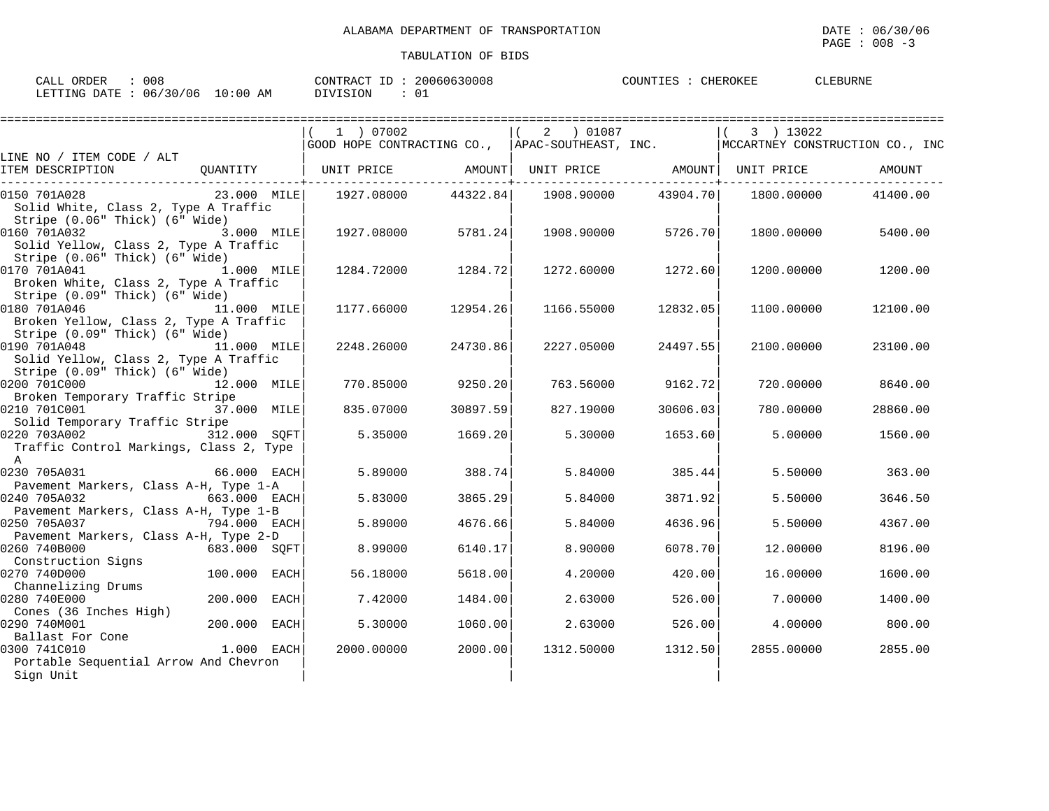| 008<br>ORDER<br>CALL                   | 20060630008<br>CONTRACT ID | CHEROKEF<br>CLEBURNE<br>COUNTIES |
|----------------------------------------|----------------------------|----------------------------------|
| 06/30/06<br>$10:00$ AM<br>LETTING DATE | DIVISION                   |                                  |

|                                                                                                       |              | 1 ) 07002<br>GOOD HOPE CONTRACTING CO., APAC-SOUTHEAST, INC.            |          | 2 ) 01087  |                    | 3 ) 13022  | ================<br>MCCARTNEY CONSTRUCTION CO., INC |
|-------------------------------------------------------------------------------------------------------|--------------|-------------------------------------------------------------------------|----------|------------|--------------------|------------|-----------------------------------------------------|
| LINE NO / ITEM CODE / ALT                                                                             |              |                                                                         |          |            |                    |            |                                                     |
| ITEM DESCRIPTION                                                                                      |              | QUANTITY   UNIT PRICE       AMOUNT  UNIT PRICE       AMOUNT  UNIT PRICE |          |            |                    |            | AMOUNT                                              |
| 23.000 MILE<br>0150 701A028<br>Solid White, Class 2, Type A Traffic<br>Stripe (0.06" Thick) (6" Wide) |              | 1927.08000                                                              | 44322.84 | 1908.90000 | 43904.70           | 1800.00000 | 41400.00                                            |
| 0160 701A032<br>Solid Yellow, Class 2, Type A Traffic<br>Stripe (0.06" Thick) (6" Wide)               | 3.000 MILE   | 1927.08000                                                              | 5781.24  |            | 1908.90000 5726.70 | 1800.00000 | 5400.00                                             |
| 0170 701A041<br>1.000 MILE<br>Broken White, Class 2, Type A Traffic<br>Stripe (0.09" Thick) (6" Wide) |              | 1284.72000                                                              | 1284.72  | 1272.60000 | 1272.60            | 1200.00000 | 1200.00                                             |
| 0180 701A046<br>Broken Yellow, Class 2, Type A Traffic<br>Stripe (0.09" Thick) (6" Wide)              | 11.000 MILE  | 1177.66000                                                              | 12954.26 | 1166.55000 | 12832.05           | 1100.00000 | 12100.00                                            |
| 0190 701A048<br>Solid Yellow, Class 2, Type A Traffic<br>Stripe (0.09" Thick) (6" Wide)               | 11.000 MILE  | 2248.26000                                                              | 24730.86 | 2227.05000 | 24497.55           | 2100.00000 | 23100.00                                            |
| 0200 701C000<br>Broken Temporary Traffic Stripe                                                       | 12.000 MILE  | 770.85000                                                               | 9250.20  | 763.56000  | 9162.72            | 720.00000  | 8640.00                                             |
| 0210 701C001<br>Solid Temporary Traffic Stripe                                                        | 37.000 MILE  | 835.07000                                                               | 30897.59 | 827.19000  | 30606.03           | 780.00000  | 28860.00                                            |
| 0220 703A002 312.000 SQFT<br>Traffic Control Markings, Class 2, Type<br>$\overline{A}$                |              | 5.35000                                                                 | 1669.20  | 5.30000    | 1653.60            | 5,00000    | 1560.00                                             |
| 0230 705A031<br>Pavement Markers, Class A-H, Type 1-A                                                 | 66.000 EACH  | 5.89000                                                                 | 388.74   | 5.84000    | 385.44             | 5.50000    | 363.00                                              |
| 0240 705A032<br>Pavement Markers, Class A-H, Type 1-B                                                 | 663.000 EACH | 5.83000                                                                 | 3865.29  | 5.84000    | 3871.92            | 5.50000    | 3646.50                                             |
| 794.000 EACH<br>0250 705A037<br>Pavement Markers, Class A-H, Type 2-D                                 |              | 5.89000                                                                 | 4676.66  | 5.84000    | 4636.96            | 5.50000    | 4367.00                                             |
| 0260 740B000<br>Construction Signs                                                                    | 683.000 SOFT | 8.99000                                                                 | 6140.17  | 8,90000    | 6078.70            | 12,00000   | 8196.00                                             |
| 0270 740D000<br>Channelizing Drums                                                                    | 100.000 EACH | 56.18000                                                                | 5618.00  | 4.20000    | 420.00             | 16.00000   | 1600.00                                             |
| 200.000<br>0280 740E000<br>Cones (36 Inches High)                                                     | EACH         | 7.42000                                                                 | 1484.00  | 2.63000    | 526.00             | 7.00000    | 1400.00                                             |
| 0290 740M001<br>Ballast For Cone                                                                      | 200.000 EACH | 5.30000                                                                 | 1060.00  | 2.63000    | 526.00             | 4.00000    | 800.00                                              |
| 1.000 EACH<br>0300 741C010<br>Portable Sequential Arrow And Chevron<br>Sign Unit                      |              | 2000.00000                                                              | 2000.00  | 1312.50000 | 1312.50            | 2855.00000 | 2855.00                                             |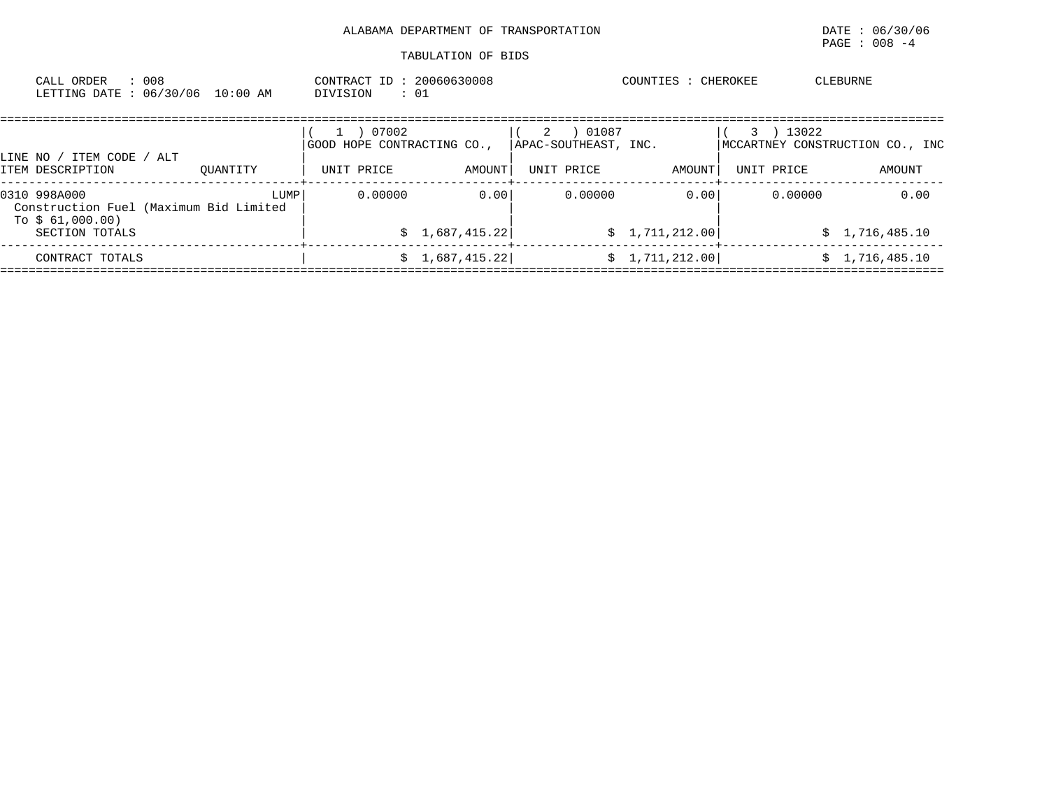# ALABAMA DEPARTMENT OF TRANSPORTATION **Example 2018** DATE : 06/30/06

| : 008<br>CALL ORDER                                | LETTING DATE: 06/30/06 10:00 AM                | CONTRACT ID: 20060630008<br>DIVISION              | : 01                   |                                                  | COUNTIES : CHEROKEE    |                                                             | CLEBURNE               |
|----------------------------------------------------|------------------------------------------------|---------------------------------------------------|------------------------|--------------------------------------------------|------------------------|-------------------------------------------------------------|------------------------|
| LINE NO / ITEM CODE / ALT<br>ITEM DESCRIPTION      | OUANTITY                                       | 07002<br>GOOD HOPE CONTRACTING CO.,<br>UNIT PRICE | AMOUNT                 | 01087<br>2<br>APAC-SOUTHEAST, INC.<br>UNIT PRICE | AMOUNT                 | 13022<br>3<br>MCCARTNEY CONSTRUCTION CO., INC<br>UNIT PRICE | AMOUNT                 |
| 0310 998A000<br>To $$61,000.00)$<br>SECTION TOTALS | LUMP<br>Construction Fuel (Maximum Bid Limited | 0.00000                                           | 0.00<br>\$1,687,415.22 | 0.00000                                          | 0.00<br>\$1,711,212.00 | 0.00000                                                     | 0.00<br>\$1,716,485.10 |
| CONTRACT TOTALS                                    |                                                |                                                   | \$1,687,415.22]        |                                                  | \$1,711,212.00         |                                                             | \$1,716,485.10         |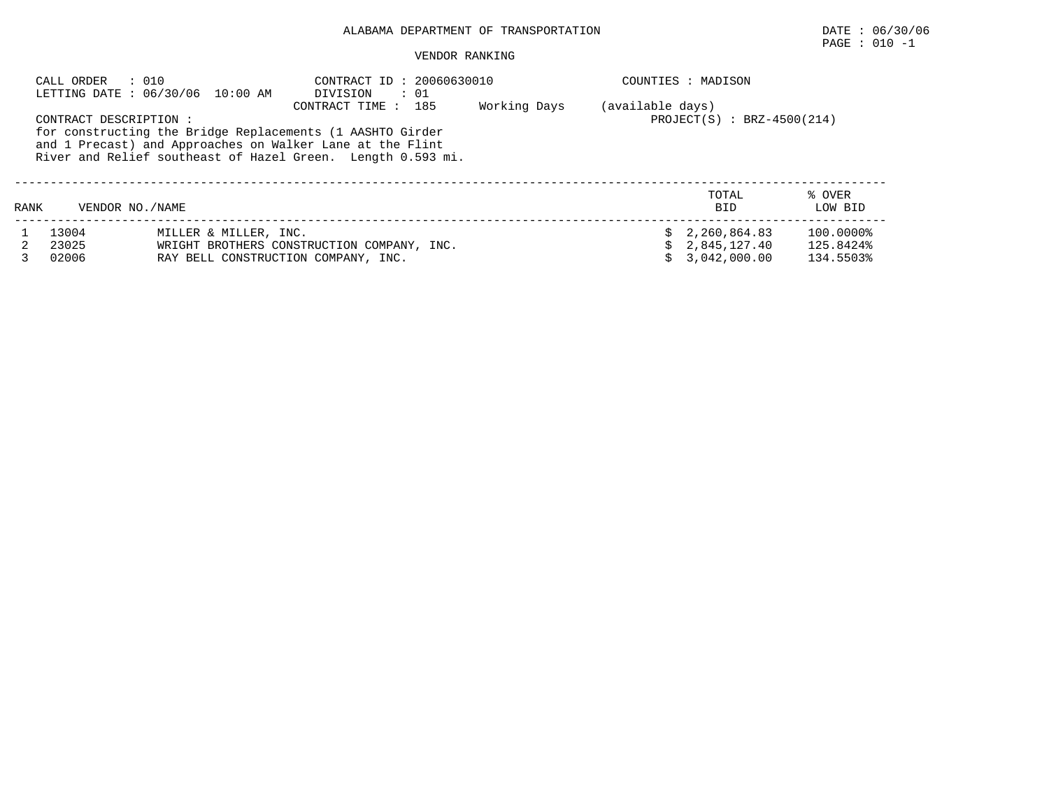# ALABAMA DEPARTMENT OF TRANSPORTATION DATE : 06/30/06

# PAGE : 010 -1

#### VENDOR RANKING

|      | CALL ORDER : 010        | LETTING DATE : 06/30/06 10:00 AM                             | CONTRACT ID: 20060630010<br>DIVISION<br>$\therefore$ 01                                                                                                                                                      |              |                  | COUNTIES : MADISON                                 |                                     |
|------|-------------------------|--------------------------------------------------------------|--------------------------------------------------------------------------------------------------------------------------------------------------------------------------------------------------------------|--------------|------------------|----------------------------------------------------|-------------------------------------|
|      | CONTRACT DESCRIPTION :  |                                                              | CONTRACT TIME : 185<br>for constructing the Bridge Replacements (1 AASHTO Girder<br>and 1 Precast) and Approaches on Walker Lane at the Flint<br>River and Relief southeast of Hazel Green. Length 0.593 mi. | Working Days | (available days) | $PROJECT(S)$ : BRZ-4500(214)                       |                                     |
| RANK | VENDOR NO. / NAME       |                                                              |                                                                                                                                                                                                              |              |                  | TOTAL<br><b>BID</b>                                | % OVER<br>LOW BID                   |
|      | 13004<br>23025<br>02006 | MILLER & MILLER, INC.<br>RAY BELL CONSTRUCTION COMPANY, INC. | WRIGHT BROTHERS CONSTRUCTION COMPANY, INC.                                                                                                                                                                   |              |                  | \$2,260,864.83<br>\$2,845,127.40<br>\$3.042.000.00 | 100.0000%<br>125.8424%<br>134.5503% |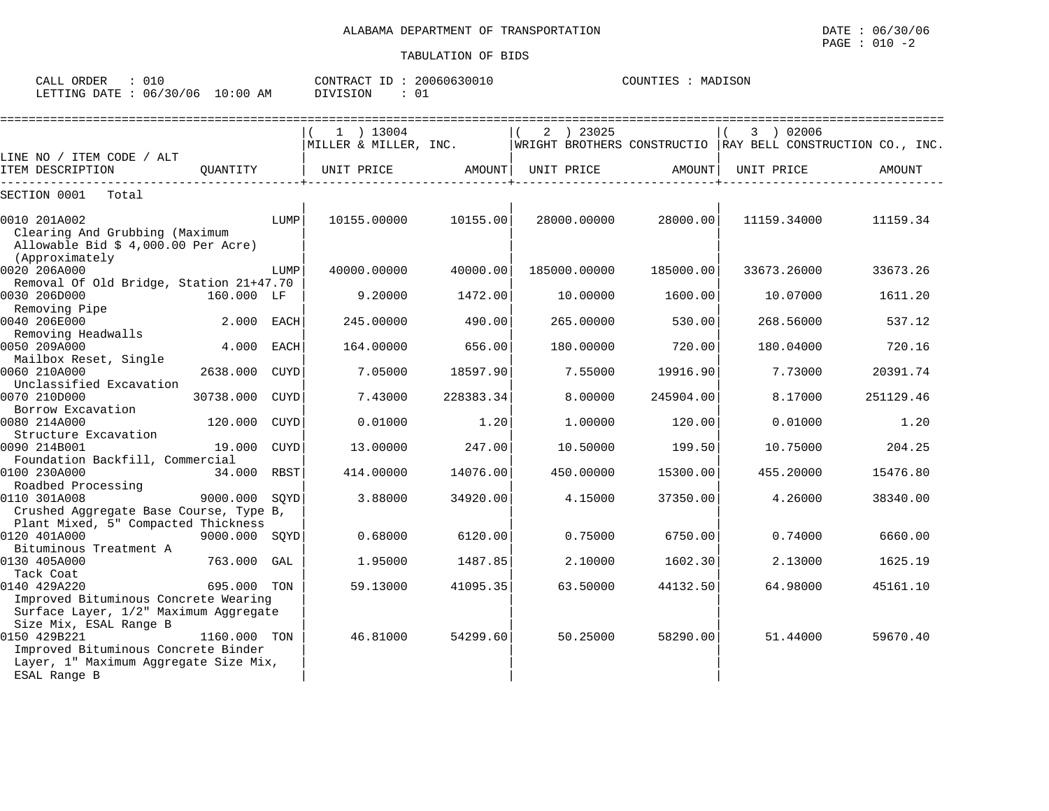| $\therefore$ 010<br>CALL ORDER  | CONTRACT ID: 20060630010 | COUNTIES : MADISON |
|---------------------------------|--------------------------|--------------------|
| LETTING DATE: 06/30/06 10:00 AM | DIVISION                 |                    |

|                                                     |               |      | $1$ ) 13004           |           | ) 23025      |           | 3 ) 02006                                                     |           |
|-----------------------------------------------------|---------------|------|-----------------------|-----------|--------------|-----------|---------------------------------------------------------------|-----------|
|                                                     |               |      | MILLER & MILLER, INC. |           |              |           | WRIGHT BROTHERS CONSTRUCTIO   RAY BELL CONSTRUCTION CO., INC. |           |
| LINE NO / ITEM CODE / ALT                           |               |      |                       |           |              |           |                                                               |           |
| ITEM DESCRIPTION                                    | OUANTITY      |      | UNIT PRICE            | AMOUNT    | UNIT PRICE   | AMOUNT    | UNIT PRICE                                                    | AMOUNT    |
| SECTION 0001<br>Total                               |               |      |                       |           |              |           |                                                               |           |
|                                                     |               |      |                       |           |              |           |                                                               |           |
| 0010 201A002<br>Clearing And Grubbing (Maximum      |               | LUMP | 10155.00000           | 10155.00  | 28000.00000  | 28000.00  | 11159.34000                                                   | 11159.34  |
| Allowable Bid $$4,000.00$ Per Acre)                 |               |      |                       |           |              |           |                                                               |           |
| (Approximately                                      |               |      |                       |           |              |           |                                                               |           |
| 0020 206A000                                        |               | LUMP | 40000.00000           | 40000.00  | 185000.00000 | 185000.00 | 33673.26000                                                   | 33673.26  |
| Removal Of Old Bridge, Station 21+47.70             |               |      |                       |           |              |           |                                                               |           |
| 0030 206D000                                        | 160.000 LF    |      | 9.20000               | 1472.00   | 10.00000     | 1600.00   | 10.07000                                                      | 1611.20   |
| Removing Pipe                                       |               |      |                       |           |              |           |                                                               |           |
| 0040 206E000                                        | 2.000 EACH    |      | 245.00000             | 490.00    | 265,00000    | 530.00    | 268.56000                                                     | 537.12    |
| Removing Headwalls                                  |               |      |                       |           |              |           |                                                               |           |
| 0050 209A000                                        | 4.000         | EACH | 164.00000             | 656.00    | 180.00000    | 720.00    | 180.04000                                                     | 720.16    |
| Mailbox Reset, Single                               |               |      |                       |           |              |           |                                                               |           |
| 0060 210A000                                        | 2638.000      | CUYD | 7.05000               | 18597.90  | 7.55000      | 19916.90  | 7.73000                                                       | 20391.74  |
| Unclassified Excavation                             |               |      |                       |           |              |           |                                                               |           |
| 0070 210D000                                        | 30738.000     | CUYD | 7.43000               | 228383.34 | 8,00000      | 245904.00 | 8.17000                                                       | 251129.46 |
| Borrow Excavation                                   |               |      |                       |           |              |           |                                                               |           |
| 0080 214A000                                        | 120.000       | CUYD | 0.01000               | 1.20      | 1,00000      | 120.00    | 0.01000                                                       | 1.20      |
| Structure Excavation                                |               |      |                       |           |              |           |                                                               |           |
| 0090 214B001                                        | 19.000 CUYD   |      | 13.00000              | 247.00    | 10.50000     | 199.50    | 10.75000                                                      | 204.25    |
| Foundation Backfill, Commercial                     |               |      |                       |           |              |           |                                                               |           |
| 0100 230A000                                        | 34.000 RBST   |      | 414.00000             | 14076.00  | 450.00000    | 15300.00  | 455.20000                                                     | 15476.80  |
| Roadbed Processing                                  |               |      |                       |           |              |           |                                                               |           |
| 0110 301A008                                        | 9000.000 SOYD |      | 3.88000               | 34920.00  | 4.15000      | 37350.00  | 4.26000                                                       | 38340.00  |
| Crushed Aggregate Base Course, Type B,              |               |      |                       |           |              |           |                                                               |           |
| Plant Mixed, 5" Compacted Thickness                 |               |      |                       |           |              |           |                                                               |           |
| 0120 401A000                                        | 9000.000 SOYD |      | 0.68000               | 6120.00   | 0.75000      | 6750.00   | 0.74000                                                       | 6660.00   |
| Bituminous Treatment A                              |               |      |                       |           |              |           |                                                               |           |
| 0130 405A000                                        | 763.000 GAL   |      | 1.95000               | 1487.85   | 2.10000      | 1602.30   | 2.13000                                                       | 1625.19   |
| Tack Coat                                           |               |      |                       |           |              |           |                                                               |           |
| 0140 429A220                                        | 695.000 TON   |      | 59.13000              | 41095.35  | 63.50000     | 44132.50  | 64.98000                                                      | 45161.10  |
| Improved Bituminous Concrete Wearing                |               |      |                       |           |              |           |                                                               |           |
| Surface Layer, 1/2" Maximum Aggregate               |               |      |                       |           |              |           |                                                               |           |
| Size Mix, ESAL Range B                              |               |      |                       |           |              |           |                                                               |           |
| 0150 429B221<br>Improved Bituminous Concrete Binder | 1160.000 TON  |      | 46.81000              | 54299.60  | 50.25000     | 58290.00  | 51.44000                                                      | 59670.40  |
| Layer, 1" Maximum Aggregate Size Mix,               |               |      |                       |           |              |           |                                                               |           |
| ESAL Range B                                        |               |      |                       |           |              |           |                                                               |           |
|                                                     |               |      |                       |           |              |           |                                                               |           |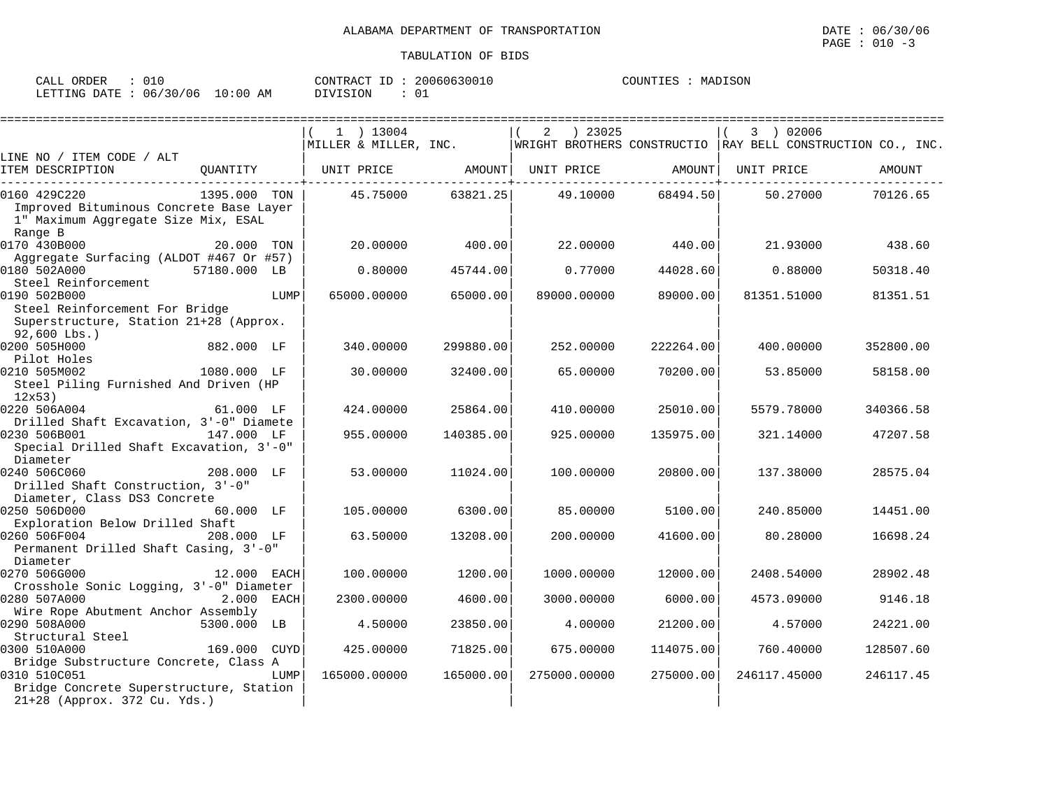| CALL ORDER                       | 010 |          | CONTRACT ID: 20060630010 | COUNTIES | MADISON |
|----------------------------------|-----|----------|--------------------------|----------|---------|
| LETTING DATE : 06/30/06 10:00 AM |     | DIVISION |                          |          |         |

|                                                                                                      |              |      | $1$ ) 13004           |           | ) 23025<br>2                                                |           | 3 ) 02006    |           |
|------------------------------------------------------------------------------------------------------|--------------|------|-----------------------|-----------|-------------------------------------------------------------|-----------|--------------|-----------|
|                                                                                                      |              |      | MILLER & MILLER, INC. |           | WRIGHT BROTHERS CONSTRUCTIO RAY BELL CONSTRUCTION CO., INC. |           |              |           |
| LINE NO / ITEM CODE / ALT<br>ITEM DESCRIPTION                                                        | QUANTITY     |      | UNIT PRICE            | AMOUNT    | UNIT PRICE                                                  | AMOUNT    | UNIT PRICE   | AMOUNT    |
| 0160 429C220                                                                                         | 1395.000 TON |      | 45.75000              | 63821.25  | 49.10000                                                    | 68494.50  | 50.27000     | 70126.65  |
| Improved Bituminous Concrete Base Layer<br>1" Maximum Aggregate Size Mix, ESAL<br>Range B            |              |      |                       |           |                                                             |           |              |           |
| 0170 430B000<br>Aggregate Surfacing (ALDOT #467 Or #57)                                              | 20.000 TON   |      | 20,00000              | 400.00    | 22,00000                                                    | 440.00    | 21,93000     | 438.60    |
| 0180 502A000<br>Steel Reinforcement                                                                  | 57180.000 LB |      | 0.80000               | 45744.00  | 0.77000                                                     | 44028.60  | 0.88000      | 50318.40  |
| 0190 502B000<br>Steel Reinforcement For Bridge<br>Superstructure, Station 21+28 (Approx.             |              | LUMP | 65000.00000           | 65000.00  | 89000.00000                                                 | 89000.00  | 81351.51000  | 81351.51  |
| $92,600$ Lbs.)                                                                                       |              |      |                       |           |                                                             |           |              |           |
| 0200 505H000<br>Pilot Holes                                                                          | 882.000 LF   |      | 340.00000             | 299880.00 | 252.00000                                                   | 222264.00 | 400.00000    | 352800.00 |
| 0210 505M002<br>Steel Piling Furnished And Driven (HP<br>12x53                                       | 1080.000 LF  |      | 30.00000              | 32400.00  | 65.00000                                                    | 70200.00  | 53.85000     | 58158.00  |
| 0220 506A004                                                                                         | 61.000 LF    |      | 424.00000             | 25864.00  | 410.00000                                                   | 25010.00  | 5579.78000   | 340366.58 |
| Drilled Shaft Excavation, 3'-0" Diamete<br>0230 506B001<br>Special Drilled Shaft Excavation, 3'-0"   | 147.000 LF   |      | 955.00000             | 140385.00 | 925.00000                                                   | 135975.00 | 321.14000    | 47207.58  |
| Diameter<br>0240 506C060<br>Drilled Shaft Construction, 3'-0"<br>Diameter, Class DS3 Concrete        | 208.000 LF   |      | 53.00000              | 11024.00  | 100.00000                                                   | 20800.00  | 137.38000    | 28575.04  |
| 0250 506D000                                                                                         | 60.000 LF    |      | 105,00000             | 6300.00   | 85.00000                                                    | 5100.00   | 240.85000    | 14451.00  |
| Exploration Below Drilled Shaft<br>0260 506F004<br>Permanent Drilled Shaft Casing, 3'-0"<br>Diameter | 208.000 LF   |      | 63.50000              | 13208.00  | 200.00000                                                   | 41600.00  | 80.28000     | 16698.24  |
| 0270 506G000<br>Crosshole Sonic Logging, 3'-0" Diameter                                              | 12.000 EACH  |      | 100.00000             | 1200.00   | 1000.00000                                                  | 12000.00  | 2408.54000   | 28902.48  |
| 0280 507A000                                                                                         | 2.000        | EACH | 2300.00000            | 4600.00   | 3000.00000                                                  | 6000.00   | 4573.09000   | 9146.18   |
| Wire Rope Abutment Anchor Assembly<br>0290 508A000<br>Structural Steel                               | 5300.000 LB  |      | 4.50000               | 23850.00  | 4.00000                                                     | 21200.00  | 4.57000      | 24221.00  |
| 0300 510A000                                                                                         | 169.000      | CUYD | 425.00000             | 71825.00  | 675.00000                                                   | 114075.00 | 760.40000    | 128507.60 |
| Bridge Substructure Concrete, Class A<br>0310 510C051<br>Bridge Concrete Superstructure, Station     |              | LUMP | 165000.00000          | 165000.00 | 275000.00000                                                | 275000.00 | 246117.45000 | 246117.45 |
| 21+28 (Approx. 372 Cu. Yds.)                                                                         |              |      |                       |           |                                                             |           |              |           |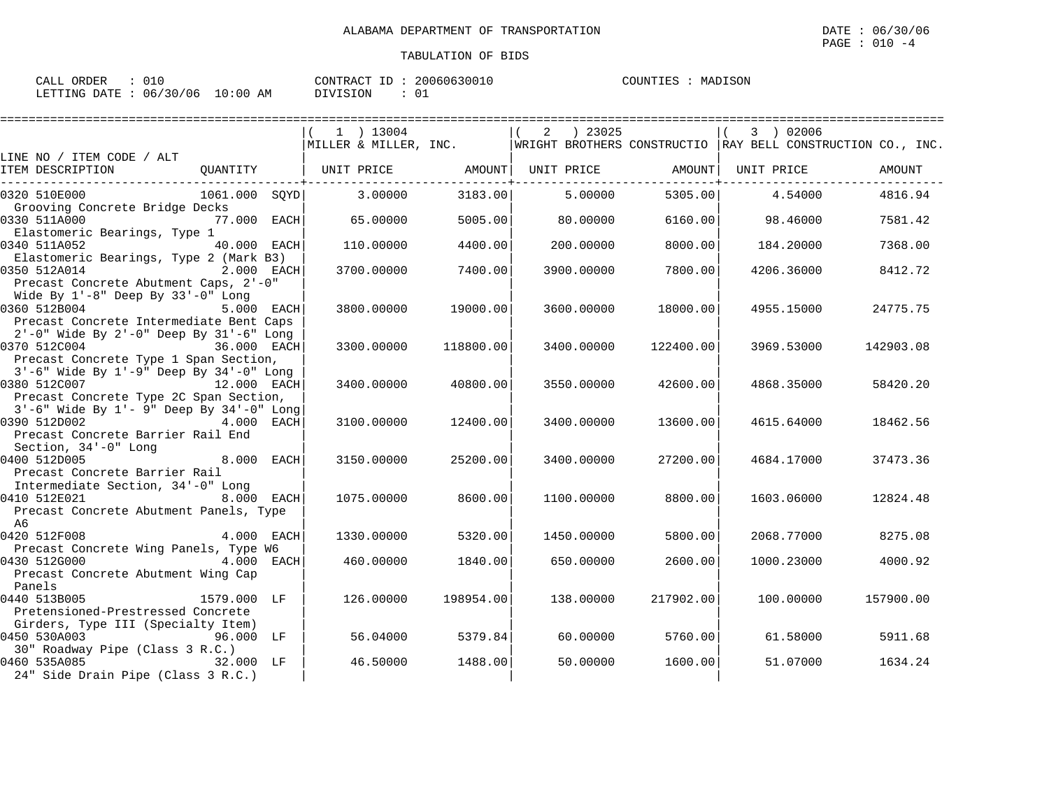| CALL ORDER                      | 010 |          | CONTRACT ID: 20060630010 | COUNTIES : MADISON |  |
|---------------------------------|-----|----------|--------------------------|--------------------|--|
| LETTING DATE: 06/30/06 10:00 AM |     | DIVISION | - 01                     |                    |  |

|                                                                                                                                                                           |             |                                                                                                  | ================= |               |           |                 |           |
|---------------------------------------------------------------------------------------------------------------------------------------------------------------------------|-------------|--------------------------------------------------------------------------------------------------|-------------------|---------------|-----------|-----------------|-----------|
|                                                                                                                                                                           |             | $1$ ) 13004<br>MILLER & MILLER, INC. WRIGHT BROTHERS CONSTRUCTIO RAY BELL CONSTRUCTION CO., INC. |                   | $2 \t) 23025$ |           | 3 ) 02006       |           |
| LINE NO / ITEM CODE / ALT                                                                                                                                                 |             |                                                                                                  |                   |               |           |                 |           |
| QUANTITY   UNIT PRICE     AMOUNT  UNIT PRICE     AMOUNT  UNIT PRICE<br>ITEM DESCRIPTION                                                                                   |             |                                                                                                  |                   |               |           |                 | AMOUNT    |
| 0320 510E000<br>1061.000 SOYD                                                                                                                                             |             | 3.00000                                                                                          | 3183.00           | 5.00000       |           | 5305.00 4.54000 | 4816.94   |
| Grooving Concrete Bridge Decks<br>0330 511A000<br>Elastomeric Bearings, Type 1                                                                                            | 77.000 EACH | 65.00000                                                                                         | 5005.00           | 80,00000      | 6160.00   | 98.46000        | 7581.42   |
| 0340 511A052<br>Elastomeric Bearings, Type 2 (Mark B3)                                                                                                                    | 40.000 EACH | 110.00000                                                                                        | 4400.00           | 200,00000     | 8000.00   | 184.20000       | 7368.00   |
| 0350 512A014<br><b>2.000 EACH</b><br>Precast Concrete Abutment Caps, 2'-0"                                                                                                |             | 3700.00000                                                                                       | 7400.00           | 3900.00000    | 7800.00   | 4206.36000      | 8412.72   |
| Wide By $1'-8$ " Deep By $33'-0$ " Long<br>0360 512B004<br>Precast Concrete Intermediate Bent Caps                                                                        | 5.000 EACH  | 3800,00000                                                                                       | 19000.00          | 3600.00000    | 18000.00  | 4955.15000      | 24775.75  |
| 2'-0" Wide By 2'-0" Deep By 31'-6" Long<br>36.000 EACH<br>0370 512C004<br>Precast Concrete Type 1 Span Section,                                                           |             | 3300.00000                                                                                       | 118800.00         | 3400.00000    | 122400.00 | 3969.53000      | 142903.08 |
| 3'-6" Wide By 1'-9" Deep By 34'-0" Long<br>0380 512C007<br>ли 12.000 EACH                                                                                                 |             | 3400.00000                                                                                       | 40800.00          | 3550.00000    | 42600.001 | 4868.35000      | 58420.20  |
| Precast Concrete Type 2C Span Section,<br>$3'-6$ " Wide By $1'-9$ " Deep By $34'-0$ " Long<br>390 512D002 4.000 EACH<br>0390 512D002<br>Precast Concrete Barrier Rail End |             | 3100.00000                                                                                       | 12400.00          | 3400.00000    | 13600.00  | 4615.64000      | 18462.56  |
| Section, 34'-0" Long<br>0400 512D005<br>Precast Concrete Barrier Rail                                                                                                     | 8.000 EACH  | 3150.00000                                                                                       | 25200.00          | 3400.00000    | 27200.00  | 4684.17000      | 37473.36  |
| Intermediate Section, 34'-0" Long<br>0410 512E021<br>Precast Concrete Abutment Panels, Type                                                                               | 8.000 EACH  | 1075,00000                                                                                       | 8600.00           | 1100.00000    | 8800.00   | 1603.06000      | 12824.48  |
| A6<br>0420 512F008                                                                                                                                                        | 4.000 EACH  | 1330.00000                                                                                       | 5320.00           | 1450.00000    | 5800.00   | 2068.77000      | 8275.08   |
| Precast Concrete Wing Panels, Type W6<br>0430 512G000<br>Precast Concrete Abutment Wing Cap                                                                               | 4.000 EACH  | 460.00000                                                                                        | 1840.00           | 650.00000     | 2600.00   | 1000.23000      | 4000.92   |
| Panels<br>0440 513B005<br>1579.000 LF                                                                                                                                     |             | 126.00000                                                                                        | 198954.00         | 138.00000     | 217902.00 | 100.00000       | 157900.00 |
| Pretensioned-Prestressed Concrete<br>Girders, Type III (Specialty Item)<br>0450 530A003<br>96.000 LF                                                                      |             | 56.04000                                                                                         | 5379.84           | 60.00000      | 5760.00   | 61.58000        | 5911.68   |
| 30" Roadway Pipe (Class 3 R.C.)<br>0460 535A085<br>32.000 LF<br>24" Side Drain Pipe (Class 3 R.C.)                                                                        |             | 46.50000                                                                                         | 1488.00           | 50.00000      | 1600.00   | 51.07000        | 1634.24   |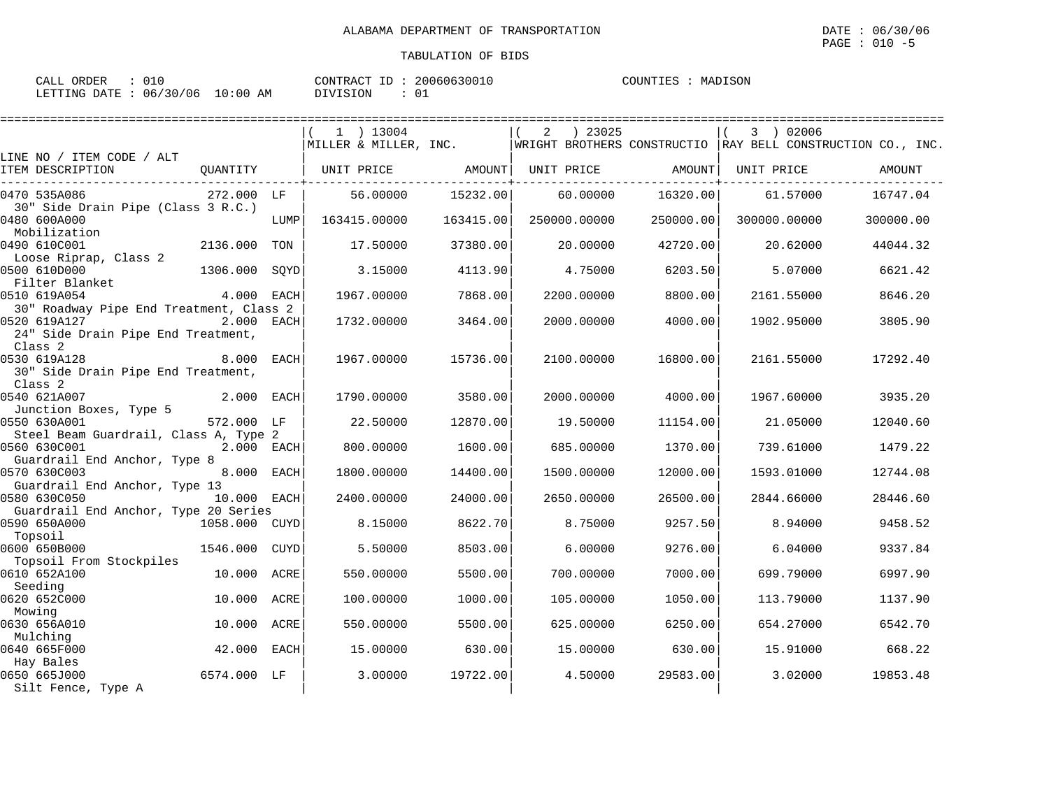| ORDER<br>'ΑΙ<br>ىلىمى | ∪⊥∪      |                 | CONTRACT          | 20060630010 | COUNTIES<br>. TR2 | MADISON |
|-----------------------|----------|-----------------|-------------------|-------------|-------------------|---------|
| LETTING DATE          | 06/30/06 | 0:00<br>ΑM<br>. | STON<br>$\lambda$ |             |                   |         |

|                                                               |               |      | $1$ ) 13004           |           | ) 23025<br>2                                                   |           | 3 ) 02006    |           |
|---------------------------------------------------------------|---------------|------|-----------------------|-----------|----------------------------------------------------------------|-----------|--------------|-----------|
|                                                               |               |      | MILLER & MILLER, INC. |           | WRIGHT BROTHERS CONSTRUCTIO $ RAY$ BELL CONSTRUCTION CO., INC. |           |              |           |
| LINE NO / ITEM CODE / ALT<br>ITEM DESCRIPTION                 | QUANTITY      |      | UNIT PRICE AMOUNT     |           | UNIT PRICE                                                     | AMOUNT    | UNIT PRICE   | AMOUNT    |
| 0470 535A086<br>30" Side Drain Pipe (Class 3 R.C.)            | 272.000 LF    |      | 56.00000              | 15232.00  | 60.00000                                                       | 16320.00  | 61.57000     | 16747.04  |
| 0480 600A000<br>Mobilization                                  |               | LUMP | 163415.00000          | 163415.00 | 250000.00000                                                   | 250000.00 | 300000.00000 | 300000.00 |
| 0490 610C001<br>Loose Riprap, Class 2                         | 2136.000      | TON  | 17.50000              | 37380.00  | 20,00000                                                       | 42720.00  | 20.62000     | 44044.32  |
| 0500 610D000<br>Filter Blanket                                | 1306.000      | SOYD | 3.15000               | 4113.90   | 4.75000                                                        | 6203.50   | 5.07000      | 6621.42   |
| 0510 619A054<br>30" Roadway Pipe End Treatment, Class 2       | 4.000 EACH    |      | 1967.00000            | 7868.00   | 2200.00000                                                     | 8800.00   | 2161.55000   | 8646.20   |
| 0520 619A127<br>24" Side Drain Pipe End Treatment,<br>Class 2 | 2.000 EACH    |      | 1732.00000            | 3464.00   | 2000.00000                                                     | 4000.00   | 1902.95000   | 3805.90   |
| 0530 619A128<br>30" Side Drain Pipe End Treatment,<br>Class 2 | 8.000 EACH    |      | 1967.00000            | 15736.00  | 2100.00000                                                     | 16800.00  | 2161.55000   | 17292.40  |
| 0540 621A007<br>Junction Boxes, Type 5                        | 2.000 EACH    |      | 1790.00000            | 3580.00   | 2000.00000                                                     | 4000.00   | 1967.60000   | 3935.20   |
| 0550 630A001<br>Steel Beam Guardrail, Class A, Type 2         | 572.000 LF    |      | 22.50000              | 12870.00  | 19.50000                                                       | 11154.00  | 21.05000     | 12040.60  |
| 0560 630C001<br>Guardrail End Anchor, Type 8                  | 2.000 EACH    |      | 800,00000             | 1600.00   | 685,00000                                                      | 1370.00   | 739.61000    | 1479.22   |
| 0570 630C003<br>Guardrail End Anchor, Type 13                 | 8.000 EACH    |      | 1800.00000            | 14400.00  | 1500.00000                                                     | 12000.00  | 1593.01000   | 12744.08  |
| 0580 630C050<br>Guardrail End Anchor, Type 20 Series          | 10.000 EACH   |      | 2400.00000            | 24000.00  | 2650.00000                                                     | 26500.00  | 2844.66000   | 28446.60  |
| 0590 650A000<br>Topsoil                                       | 1058.000 CUYD |      | 8.15000               | 8622.70   | 8.75000                                                        | 9257.50   | 8.94000      | 9458.52   |
| 0600 650B000<br>Topsoil From Stockpiles                       | 1546.000 CUYD |      | 5.50000               | 8503.00   | 6.00000                                                        | 9276.00   | 6.04000      | 9337.84   |
| 0610 652A100<br>Seeding                                       | 10.000 ACRE   |      | 550.00000             | 5500.00   | 700.00000                                                      | 7000.00   | 699.79000    | 6997.90   |
| 0620 652C000<br>Mowing                                        | 10.000 ACRE   |      | 100.00000             | 1000.00   | 105,00000                                                      | 1050.00   | 113.79000    | 1137.90   |
| 0630 656A010                                                  | 10.000        | ACRE | 550.00000             | 5500.00   | 625.00000                                                      | 6250.00   | 654.27000    | 6542.70   |
| Mulching<br>0640 665F000                                      | 42.000        | EACH | 15,00000              | 630.00    | 15,00000                                                       | 630.00    | 15.91000     | 668.22    |
| Hay Bales<br>0650 665J000<br>Silt Fence, Type A               | 6574.000 LF   |      | 3.00000               | 19722.00  | 4.50000                                                        | 29583.00  | 3.02000      | 19853.48  |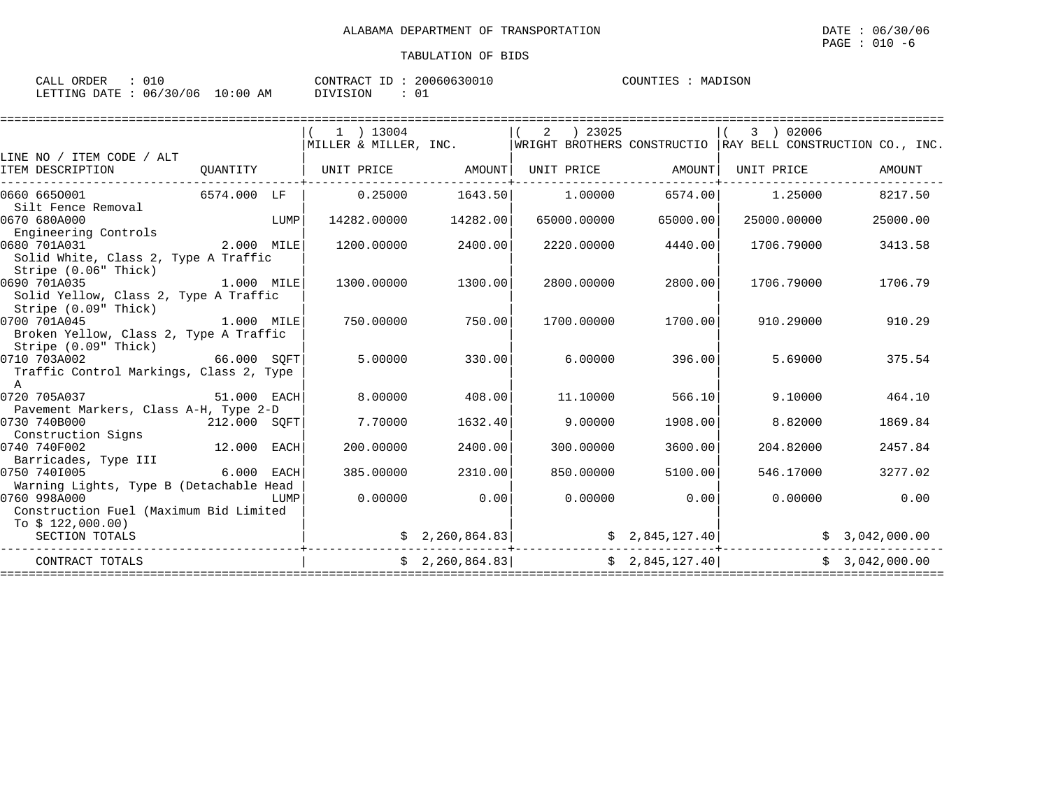| CALL ORDER                      | 20060630010<br>CONTRACT ID: | MADISON<br>COUNTIES : |
|---------------------------------|-----------------------------|-----------------------|
| LETTING DATE: 06/30/06 10:00 AM | DIVISION                    |                       |

|                                                                                        |              |      | 1 ) 13004             |                 | 2<br>) 23025 |                   | 3 ) 02006<br> MILLER & MILLER, INC. $\vert$ WRIGHT BROTHERS CONSTRUCTIO  RAY BELL CONSTRUCTION CO., INC. |                |
|----------------------------------------------------------------------------------------|--------------|------|-----------------------|-----------------|--------------|-------------------|----------------------------------------------------------------------------------------------------------|----------------|
| LINE NO / ITEM CODE / ALT<br>ITEM DESCRIPTION                                          |              |      | QUANTITY   UNIT PRICE | AMOUNT          |              | UNIT PRICE AMOUNT | UNIT PRICE                                                                                               | AMOUNT         |
| 0660 6650001<br>Silt Fence Removal                                                     | 6574.000 LF  |      | 0.25000               | 1643.50         | 1,00000      | 6574.00           | 1.25000                                                                                                  | 8217.50        |
| 0670 680A000<br>Engineering Controls                                                   | LUMP         |      | 14282.00000           | 14282.00        | 65000.00000  | 65000.00          | 25000.00000                                                                                              | 25000.00       |
| 0680 701A031<br>Solid White, Class 2, Type A Traffic<br>Stripe (0.06" Thick)           | 2.000 MILE   |      | 1200.00000            | 2400.00         | 2220.00000   | 4440.00           | 1706.79000                                                                                               | 3413.58        |
| 0690 701A035<br>Solid Yellow, Class 2, Type A Traffic<br>Stripe (0.09" Thick)          | 1.000 MILE   |      | 1300.00000            | 1300.00         | 2800.00000   | 2800.00           | 1706.79000                                                                                               | 1706.79        |
| 0700 701A045<br>Broken Yellow, Class 2, Type A Traffic<br>Stripe (0.09" Thick)         | $1.000$ MILE |      | 750.00000             | 750.00          | 1700.00000   | 1700.00           | 910.29000                                                                                                | 910.29         |
| 66.000 SQFT<br>0710 703A002<br>Traffic Control Markings, Class 2, Type<br>$\mathbb{A}$ |              |      | 5.00000               | 330.00          |              | 6.00000<br>396.00 | 5.69000                                                                                                  | 375.54         |
| 0720 705A037<br>Pavement Markers, Class A-H, Type 2-D                                  | 51.000 EACH  |      | 8,00000               | 408.00          | 11,10000     | 566.10            | 9.10000                                                                                                  | 464.10         |
| 0730 740B000<br>212.000 SOFT<br>Construction Signs                                     |              |      | 7.70000               | 1632.40         | 9.00000      | 1908.00           | 8.82000                                                                                                  | 1869.84        |
| 0740 740F002<br>Barricades, Type III                                                   | 12.000 EACH  |      | 200,00000             | 2400.00         | 300,00000    | 3600.00           | 204.82000                                                                                                | 2457.84        |
| 0750 7401005<br>Warning Lights, Type B (Detachable Head                                | 6.000 EACH   |      | 385,00000             | 2310.00         | 850.00000    | 5100.00           | 546.17000                                                                                                | 3277.02        |
| 0760 998A000<br>Construction Fuel (Maximum Bid Limited<br>To $$122,000.00)$            |              | LUMP | 0.00000               | 0.00            |              | 0.00000<br>0.00   | 0.00000                                                                                                  | 0.00           |
| SECTION TOTALS                                                                         |              |      |                       | \$2,260,864.83] |              | \$2,845,127.40    |                                                                                                          | \$3,042,000.00 |
| CONTRACT TOTALS                                                                        |              |      |                       | \$2,260,864.83] |              | \$2,845,127.40]   |                                                                                                          | \$3,042,000.00 |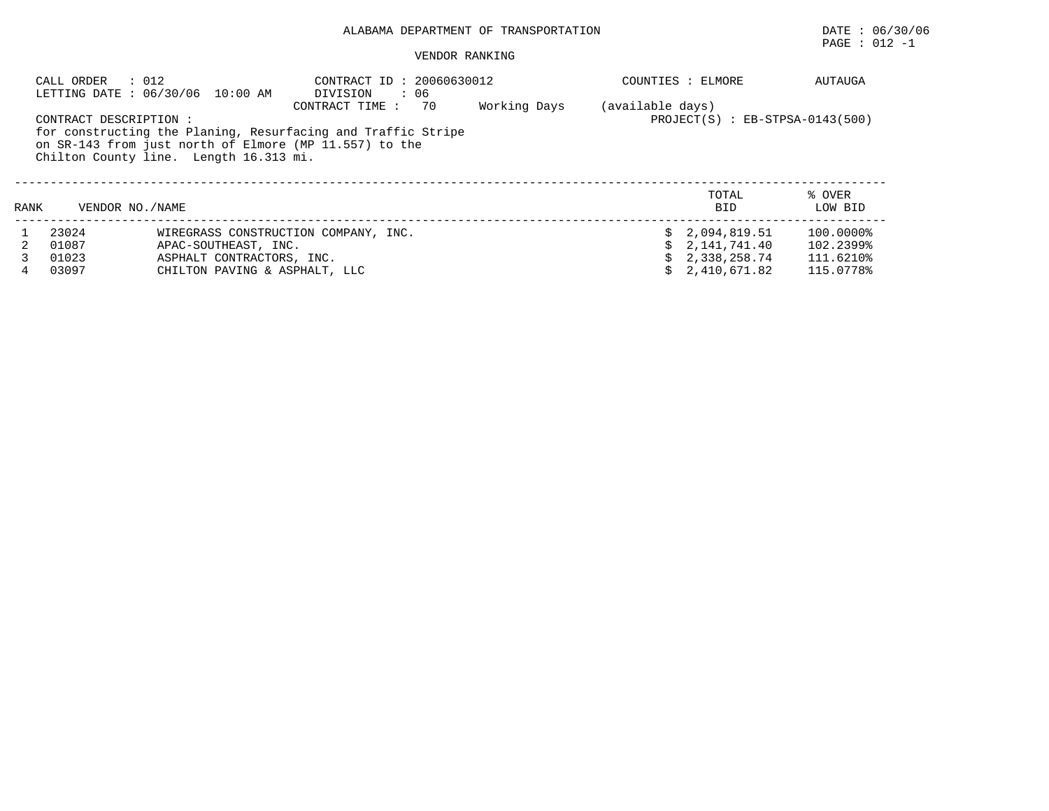# ALABAMA DEPARTMENT OF TRANSPORTATION DATE : 06/30/06

# $\texttt{PAGE}$  : 012 -1

### VENDOR RANKING

|      | : 012<br>CALL ORDER    | LETTING DATE : 06/30/06 10:00 AM       | CONTRACT ID: 20060630012<br>DIVISION<br>: 06                                                                           |              |                  | COUNTIES : ELMORE                   | AUTAUGA           |
|------|------------------------|----------------------------------------|------------------------------------------------------------------------------------------------------------------------|--------------|------------------|-------------------------------------|-------------------|
|      |                        |                                        | 70<br>CONTRACT TIME :                                                                                                  | Working Days | (available days) |                                     |                   |
|      | CONTRACT DESCRIPTION : | Chilton County line. Length 16.313 mi. | for constructing the Planing, Resurfacing and Traffic Stripe<br>on SR-143 from just north of Elmore (MP 11.557) to the |              |                  | $PROJECT(S)$ : $EB-STPSA-0143(500)$ |                   |
| RANK | VENDOR NO. / NAME      |                                        |                                                                                                                        |              |                  | TOTAL<br><b>BID</b>                 | % OVER<br>LOW BID |
|      |                        |                                        |                                                                                                                        |              |                  |                                     |                   |
|      | 23024                  |                                        | WIREGRASS CONSTRUCTION COMPANY, INC.                                                                                   |              |                  | \$2,094,819.51                      | 100.0000%         |
|      | 01087                  | APAC-SOUTHEAST, INC.                   |                                                                                                                        |              |                  | \$2,141,741.40                      | 102.2399%         |
|      | 01023                  | ASPHALT CONTRACTORS, INC.              |                                                                                                                        |              |                  | \$2.338.258.74                      | 111.6210%         |
|      | 03097                  | CHILTON PAVING & ASPHALT, LLC          |                                                                                                                        |              |                  | 2,410,671.82                        | 115.0778%         |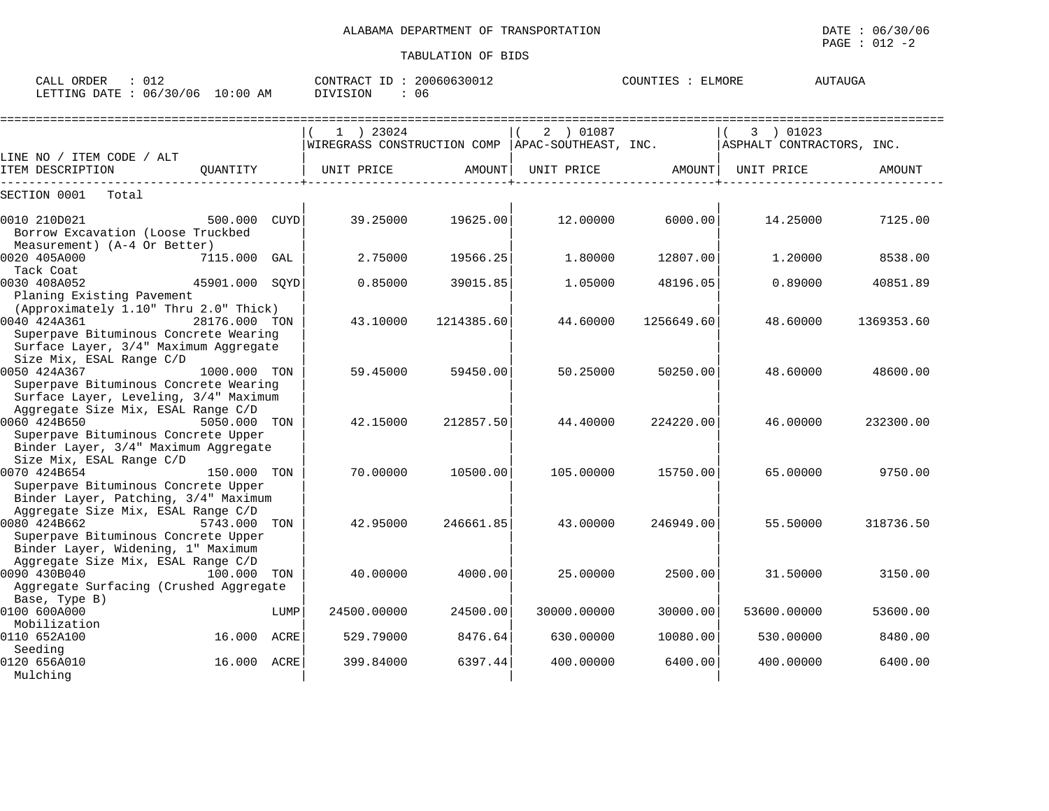| $\therefore$ 012<br>CALL ORDER<br>LETTING DATE : 06/30/06 10:00 AM                                                                                       |              |      | CONTRACT ID: 20060630012<br>DIVISION<br>: 06                                                   |            |             | COUNTIES : ELMORE              |             | AUTAUGA    |
|----------------------------------------------------------------------------------------------------------------------------------------------------------|--------------|------|------------------------------------------------------------------------------------------------|------------|-------------|--------------------------------|-------------|------------|
|                                                                                                                                                          |              |      | $(1)$ 23024<br> WIREGRASS CONSTRUCTION COMP   APAC-SOUTHEAST, INC.   ASPHALT CONTRACTORS, INC. |            | 2 ) 01087   |                                | 3 ) 01023   |            |
| LINE NO / ITEM CODE / ALT                                                                                                                                |              |      | UNIT PRICE                                                                                     |            |             | UNIT PRICE AMOUNT   UNIT PRICE |             | AMOUNT     |
| SECTION 0001 Total                                                                                                                                       |              |      |                                                                                                |            |             |                                |             |            |
| 500.000 CUYD<br>0010 210D021<br>Borrow Excavation (Loose Truckbed<br>Measurement) (A-4 Or Better)                                                        |              |      | 39.25000                                                                                       | 19625.00   | 12.00000    | 6000.00                        | 14.25000    | 7125.00    |
| 0020 405A000<br>Tack Coat                                                                                                                                | 7115.000 GAL |      | 2.75000                                                                                        | 19566.25   | 1,80000     | 12807.00                       | 1,20000     | 8538.00    |
| 0030 408A052<br>45901.000 SQYD<br>Planing Existing Pavement                                                                                              |              |      | 0.85000                                                                                        | 39015.85   | 1.05000     | 48196.05                       | 0.89000     | 40851.89   |
| (Approximately 1.10" Thru 2.0" Thick)<br>28176.000 TON<br>0040 424A361<br>Superpave Bituminous Concrete Wearing<br>Surface Layer, 3/4" Maximum Aggregate |              |      | 43.10000                                                                                       | 1214385.60 | 44.60000    | 1256649.60                     | 48.60000    | 1369353.60 |
| Size Mix, ESAL Range C/D<br>0050 424A367<br>Superpave Bituminous Concrete Wearing                                                                        | 1000.000 TON |      | 59.45000                                                                                       | 59450.00   | 50.25000    | 50250.00                       | 48.60000    | 48600.00   |
| Surface Layer, Leveling, 3/4" Maximum<br>Aggregate Size Mix, ESAL Range C/D<br>0060 424B650<br>Superpave Bituminous Concrete Upper                       | 5050.000 TON |      | 42.15000                                                                                       | 212857.50  | 44.40000    | 224220.00                      | 46.00000    | 232300.00  |
| Binder Layer, 3/4" Maximum Aggregate<br>Size Mix, ESAL Range C/D<br>0070 424B654<br>Superpave Bituminous Concrete Upper                                  | 150.000 TON  |      | 70.00000                                                                                       | 10500.00   | 105.00000   | 15750.00                       | 65.00000    | 9750.00    |
| Binder Layer, Patching, 3/4" Maximum<br>Aggregate Size Mix, ESAL Range C/D<br>0080 424B662<br>Superpave Bituminous Concrete Upper                        | 5743.000 TON |      | 42.95000                                                                                       | 246661.85  | 43.00000    | 246949.00                      | 55.50000    | 318736.50  |
| Binder Layer, Widening, 1" Maximum<br>Aggregate Size Mix, ESAL Range C/D<br>0090 430B040<br>$100.000$ TON<br>Aggregate Surfacing (Crushed Aggregate      |              |      | 40.00000                                                                                       | 4000.00    | 25.00000    | 2500.00                        | 31.50000    | 3150.00    |
| Base, Type B)<br>0100 600A000                                                                                                                            |              | LUMP | 24500.00000                                                                                    | 24500.00   | 30000.00000 | 30000.00                       | 53600.00000 | 53600.00   |
| Mobilization<br>0110 652A100                                                                                                                             | 16.000 ACRE  |      | 529.79000                                                                                      | 8476.64    | 630.00000   | 10080.00                       | 530.00000   | 8480.00    |
| Seeding<br>0120 656A010<br>Mulching                                                                                                                      | 16.000 ACRE  |      | 399.84000                                                                                      | 6397.44    | 400.00000   | 6400.00                        | 400.00000   | 6400.00    |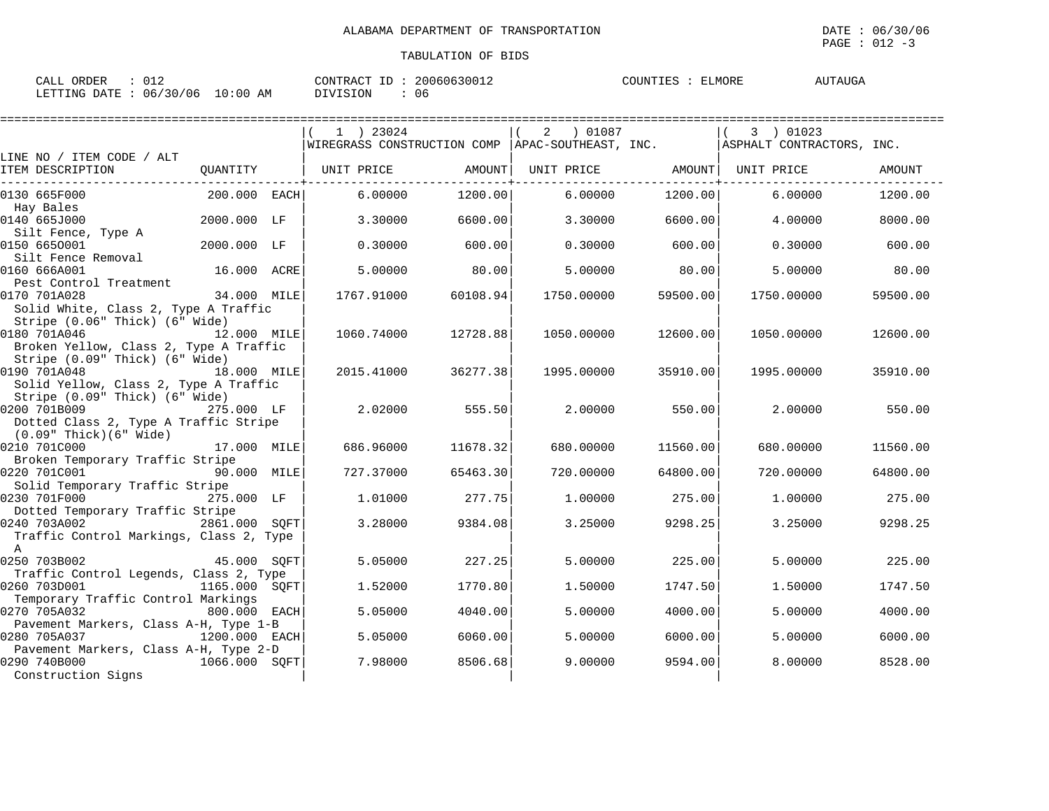$\texttt{PAGE}$  : 012 -3

| ORDER<br>ግ እነ<br>للسائح<br>◡⊥∠                                     | 200606300<br>$\pi$ $\sim$<br>CONTR.<br>RA(<br>`3UU⊥∠ | <b>ELMORE</b><br>1 TTM 7 TTM 7<br>COUNTIES<br>$\Delta$ 1<br>100a | ' !\ ~ ← |
|--------------------------------------------------------------------|------------------------------------------------------|------------------------------------------------------------------|----------|
| 06/2<br><b>FTTING</b><br>ΆM<br><b>DATE</b><br>′ 0 6<br>$\cup$<br>. | SION<br>06<br>,,,,                                   |                                                                  |          |

|                                                |               | $1$ ) 23024                                        |          | 2 ) 01087         |          | 3 ) 01023                 |               |
|------------------------------------------------|---------------|----------------------------------------------------|----------|-------------------|----------|---------------------------|---------------|
| LINE NO / ITEM CODE / ALT                      |               | WIREGRASS CONSTRUCTION COMP   APAC-SOUTHEAST, INC. |          |                   |          | ASPHALT CONTRACTORS, INC. |               |
| ITEM DESCRIPTION                               | OUANTITY      | UNIT PRICE                                         | AMOUNT   | UNIT PRICE AMOUNT |          | UNIT PRICE                | <b>AMOUNT</b> |
| 0130 665F000                                   | 200.000 EACH  | 6.00000                                            | 1200.00  | 6.00000           | 1200.00  | 6,00000                   | 1200.00       |
| Hay Bales                                      |               |                                                    |          |                   |          |                           |               |
| 0140 665J000                                   | 2000.000 LF   | 3.30000                                            | 6600.00  | 3.30000           | 6600.00  | 4.00000                   | 8000.00       |
| Silt Fence, Type A                             |               |                                                    |          |                   |          |                           |               |
| 0150 6650001                                   | 2000.000 LF   | 0.30000                                            | 600.00   | 0.30000           | 600.00   | 0.30000                   | 600.00        |
| Silt Fence Removal<br>0160 666A001             | 16.000 ACRE   | 5.00000                                            | 80.00    | 5.00000           | 80.00    | 5.00000                   | 80.00         |
| Pest Control Treatment                         |               |                                                    |          |                   |          |                           |               |
| 0170 701A028                                   | 34.000 MILE   | 1767.91000                                         | 60108.94 | 1750.00000        | 59500.00 | 1750.00000                | 59500.00      |
| Solid White, Class 2, Type A Traffic           |               |                                                    |          |                   |          |                           |               |
| Stripe (0.06" Thick) (6" Wide)                 |               |                                                    |          |                   |          |                           |               |
| 0180 701A046                                   | 12.000 MILE   | 1060.74000                                         | 12728.88 | 1050.00000        | 12600.00 | 1050.00000                | 12600.00      |
| Broken Yellow, Class 2, Type A Traffic         |               |                                                    |          |                   |          |                           |               |
| Stripe (0.09" Thick) (6" Wide)                 |               |                                                    |          |                   |          |                           |               |
| 0190 701A048                                   | 18.000 MILE   | 2015.41000                                         | 36277.38 | 1995.00000        | 35910.00 | 1995.00000                | 35910.00      |
| Solid Yellow, Class 2, Type A Traffic          |               |                                                    |          |                   |          |                           |               |
| Stripe (0.09" Thick) (6" Wide)                 |               |                                                    |          |                   |          |                           |               |
| 0200 701B009                                   | 275.000 LF    | 2.02000                                            | 555.50   | 2.00000           | 550.00   | 2.00000                   | 550.00        |
| Dotted Class 2, Type A Traffic Stripe          |               |                                                    |          |                   |          |                           |               |
| (0.09" Thick)(6" Wide)                         |               |                                                    |          |                   |          |                           |               |
| 0210 701C000                                   | 17.000 MILE   | 686.96000                                          | 11678.32 | 680,00000         | 11560.00 | 680,00000                 | 11560.00      |
| Broken Temporary Traffic Stripe                |               |                                                    |          |                   |          |                           |               |
| 0220 701C001<br>Solid Temporary Traffic Stripe | 90.000 MILE   | 727.37000                                          | 65463.30 | 720.00000         | 64800.00 | 720.00000                 | 64800.00      |
| 0230 701F000                                   | 275.000 LF    | 1,01000                                            | 277.75   | 1,00000           | 275.00   | 1,00000                   | 275.00        |
| Dotted Temporary Traffic Stripe                |               |                                                    |          |                   |          |                           |               |
| 0240 703A002 2861.000 SOFT                     |               | 3.28000                                            | 9384.08  | 3.25000           | 9298.25  | 3.25000                   | 9298.25       |
| Traffic Control Markings, Class 2, Type        |               |                                                    |          |                   |          |                           |               |
| $\mathbb{A}$                                   |               |                                                    |          |                   |          |                           |               |
| 0250 703B002                                   | 45.000 SOFT   | 5.05000                                            | 227.25   | 5.00000           | 225.00   | 5.00000                   | 225.00        |
| Traffic Control Legends, Class 2, Type         |               |                                                    |          |                   |          |                           |               |
| 0260 703D001<br>1165.000 SOFT                  |               | 1.52000                                            | 1770.80  | 1.50000           | 1747.50  | 1.50000                   | 1747.50       |
| Temporary Traffic Control Markings             |               |                                                    |          |                   |          |                           |               |
| 0270 705A032                                   | 800.000 EACH  | 5.05000                                            | 4040.00  | 5.00000           | 4000.00  | 5,00000                   | 4000.00       |
| Pavement Markers, Class A-H, Type 1-B          |               |                                                    |          |                   |          |                           |               |
| 0280 705A037                                   | 1200.000 EACH | 5.05000                                            | 6060.00  | 5.00000           | 6000.00  | 5.00000                   | 6000.00       |
| Pavement Markers, Class A-H, Type 2-D          |               |                                                    |          |                   |          |                           |               |
| 0290 740B000                                   | 1066.000 SQFT | 7.98000                                            | 8506.68  | 9.00000           | 9594.00  | 8,00000                   | 8528.00       |
| Construction Signs                             |               |                                                    |          |                   |          |                           |               |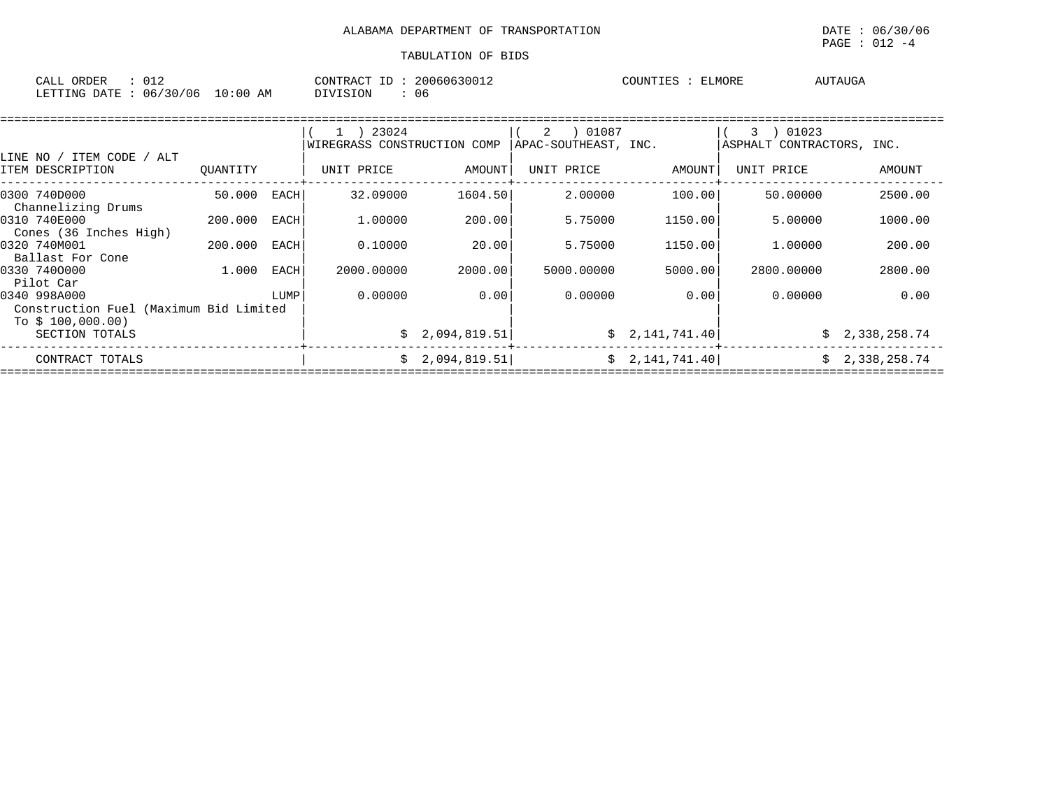| ORDER<br>CALL<br>— ∪⊥⊷                                        | 2006.<br>CONTRAC'<br>$ -$<br>$\sim$ $\sim$<br>$^{\sim}$ 300 $^{\prime}$<br>. | ELMORE<br>COUNTIE | <b>TAUG</b><br>. |
|---------------------------------------------------------------|------------------------------------------------------------------------------|-------------------|------------------|
| ' 0 6<br>10:00<br>'30'<br>DATE<br><b>LETTING</b><br>AΜ<br>06. | SION<br>-06                                                                  |                   |                  |

|                                                                             |          |      | 1 ) 23024                   |                | 01087<br>2           |                 | 01023<br>3.               |                |
|-----------------------------------------------------------------------------|----------|------|-----------------------------|----------------|----------------------|-----------------|---------------------------|----------------|
| LINE NO / ITEM CODE<br>ALT                                                  |          |      | WIREGRASS CONSTRUCTION COMP |                | APAC-SOUTHEAST, INC. |                 | ASPHALT CONTRACTORS, INC. |                |
| ITEM DESCRIPTION                                                            | OUANTITY |      | UNIT PRICE                  | AMOUNT         | UNIT PRICE           | AMOUNT          | UNIT PRICE                | AMOUNT         |
| 0300 740D000<br>Channelizing Drums                                          | 50.000   | EACH | 32.09000                    | 1604.50        | 2,00000              | 100.00          | 50.00000                  | 2500.00        |
| 0310 740E000<br>Cones (36 Inches High)                                      | 200,000  | EACH | 1,00000                     | 200.00         | 5.75000              | 1150.00         | 5.00000                   | 1000.00        |
| 0320 740M001<br>Ballast For Cone                                            | 200.000  | EACH | 0.10000                     | 20.00          | 5.75000              | 1150.00         | 1,00000                   | 200.00         |
| 0330 7400000<br>Pilot Car                                                   | 1.000    | EACH | 2000.00000                  | 2000.00        | 5000.00000           | 5000.00         | 2800.00000                | 2800.00        |
| 0340 998A000<br>Construction Fuel (Maximum Bid Limited<br>To $$100,000.00)$ |          | LUMP | 0.00000                     | 0.00           | 0.00000              | 0.001           | 0.00000                   | 0.00           |
| SECTION TOTALS                                                              |          |      |                             | \$2,094,819.51 |                      | \$2,141,741.40  |                           | \$2,338,258.74 |
| CONTRACT TOTALS                                                             |          |      |                             | \$2,094,819.51 |                      | \$2,141,741.40] | Ŝ.                        | 2,338,258.74   |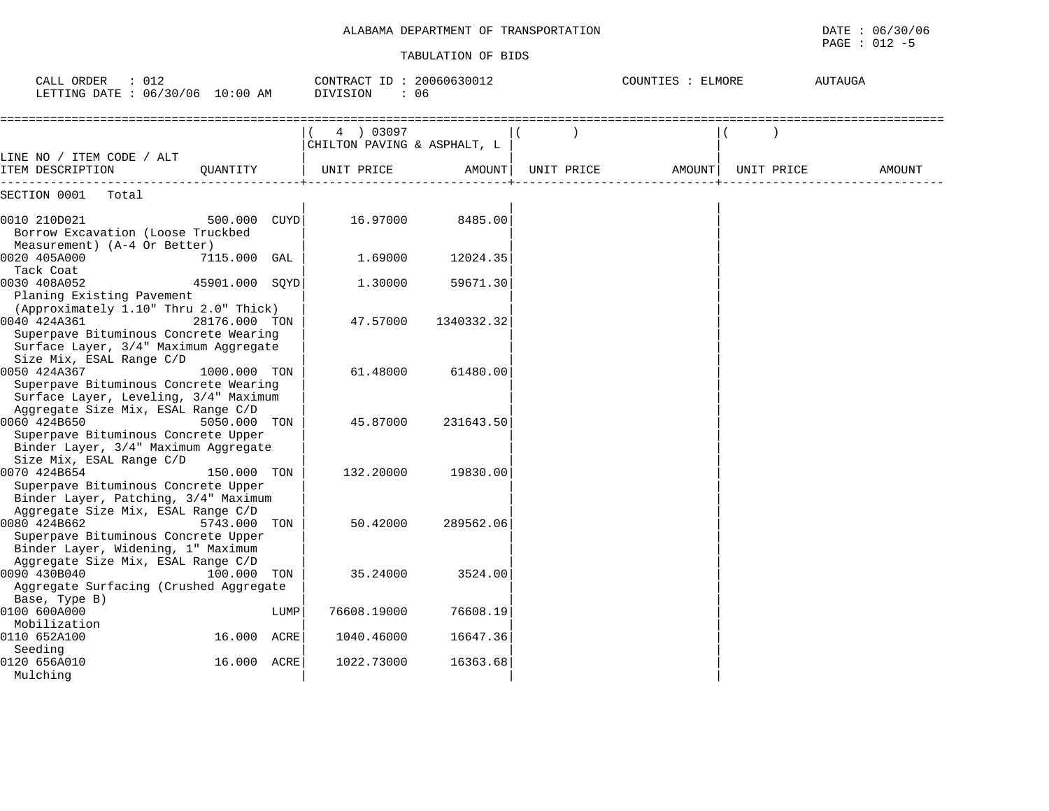$\texttt{PAGE}$  : 012 -5

| CALL ORDER<br>$\therefore$ 012<br>LETTING DATE : 06/30/06 10:00 AM                                                                   |                |      | CONTRACT ID: 20060630012<br>DIVISION<br>: 06 |            |            |        | COUNTIES : ELMORE<br>AUTAUGA |            |        |
|--------------------------------------------------------------------------------------------------------------------------------------|----------------|------|----------------------------------------------|------------|------------|--------|------------------------------|------------|--------|
|                                                                                                                                      |                |      | 4 ) 03097<br>CHILTON PAVING & ASPHALT, L     |            |            |        |                              |            |        |
| LINE NO / ITEM CODE / ALT<br>ITEM DESCRIPTION                                                                                        | OUANTITY       |      | UNIT PRICE                                   | AMOUNT     | UNIT PRICE | AMOUNT |                              | UNIT PRICE | AMOUNT |
| SECTION 0001<br>Total                                                                                                                |                |      |                                              |            |            |        |                              |            |        |
| 0010 210D021<br>Borrow Excavation (Loose Truckbed<br>Measurement) (A-4 Or Better)                                                    | 500.000        | CUYD | 16.97000                                     | 8485.00    |            |        |                              |            |        |
| 0020 405A000<br>Tack Coat                                                                                                            | 7115.000 GAL   |      | 1.69000                                      | 12024.35   |            |        |                              |            |        |
| 0030 408A052<br>Planing Existing Pavement<br>(Approximately 1.10" Thru 2.0" Thick)                                                   | 45901.000 SQYD |      | 1.30000                                      | 59671.30   |            |        |                              |            |        |
| 0040 424A361<br>Superpave Bituminous Concrete Wearing<br>Surface Layer, 3/4" Maximum Aggregate<br>Size Mix, ESAL Range C/D           | 28176.000 TON  |      | 47.57000                                     | 1340332.32 |            |        |                              |            |        |
| 0050 424A367<br>Superpave Bituminous Concrete Wearing<br>Surface Layer, Leveling, 3/4" Maximum<br>Aggregate Size Mix, ESAL Range C/D | 1000.000 TON   |      | 61.48000                                     | 61480.00   |            |        |                              |            |        |
| 0060 424B650<br>Superpave Bituminous Concrete Upper<br>Binder Layer, 3/4" Maximum Aggregate<br>Size Mix, ESAL Range C/D              | 5050.000 TON   |      | 45.87000                                     | 231643.50  |            |        |                              |            |        |
| 0070 424B654<br>Superpave Bituminous Concrete Upper<br>Binder Layer, Patching, 3/4" Maximum<br>Aggregate Size Mix, ESAL Range C/D    | 150.000 TON    |      | 132.20000                                    | 19830.00   |            |        |                              |            |        |
| 0080 424B662<br>Superpave Bituminous Concrete Upper<br>Binder Layer, Widening, 1" Maximum<br>Aggregate Size Mix, ESAL Range C/D      | 5743.000       | TON  | 50.42000                                     | 289562.06  |            |        |                              |            |        |
| 0090 430B040<br>Aggregate Surfacing (Crushed Aggregate<br>Base, Type B)                                                              | 100.000 TON    |      | 35.24000                                     | 3524.00    |            |        |                              |            |        |
| 0100 600A000<br>Mobilization                                                                                                         |                | LUMP | 76608.19000                                  | 76608.19   |            |        |                              |            |        |
| 0110 652A100<br>Seeding                                                                                                              | 16.000         | ACRE | 1040.46000                                   | 16647.36   |            |        |                              |            |        |
| 0120 656A010<br>Mulching                                                                                                             | 16.000         | ACRE | 1022.73000                                   | 16363.68   |            |        |                              |            |        |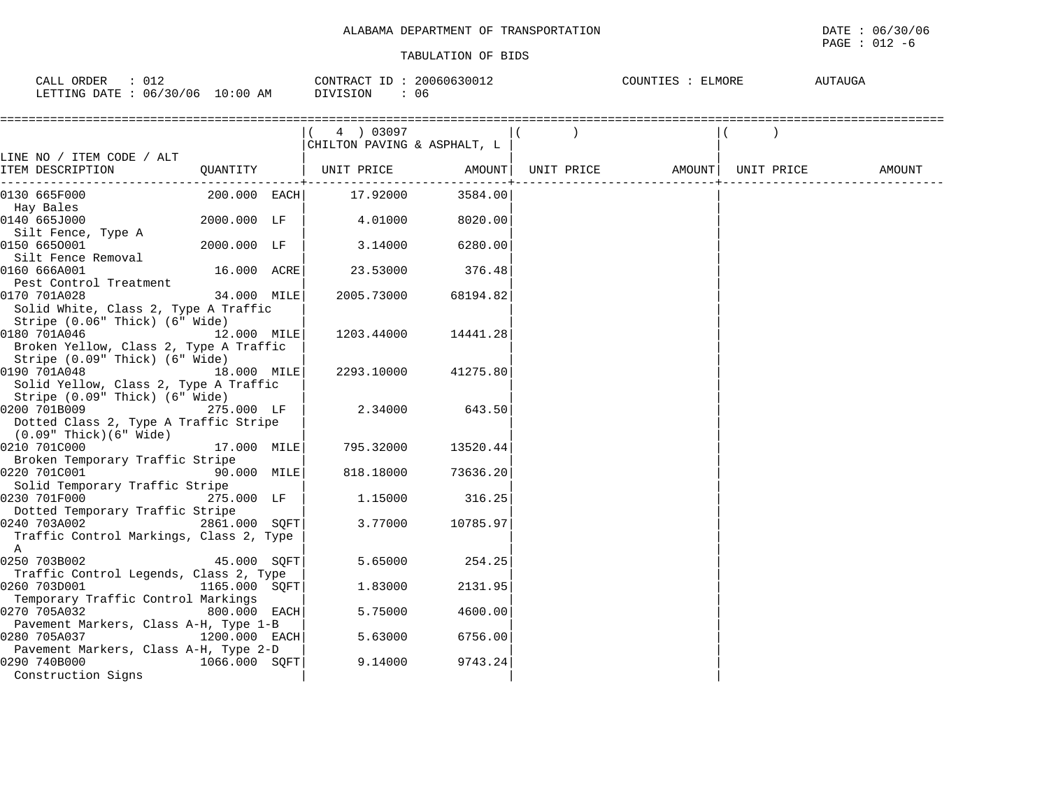## $\texttt{PAGE}$  : 012 -6

| ORDER<br>CALL<br>ັ∪⊥⊾                                                                                                                                      | 20060630012<br>CONTRACT ID | COUNTIES<br><b>ELMORE</b> | AUTAUGA |
|------------------------------------------------------------------------------------------------------------------------------------------------------------|----------------------------|---------------------------|---------|
| 06/30/06<br>10:00<br>LETTING DATE<br>AM<br>the contract of the contract of the contract of the contract of the contract of the contract of the contract of | DIVISION<br>U6             |                           |         |

|                                         |               | 4 03097                     |          |            |        |            |        |
|-----------------------------------------|---------------|-----------------------------|----------|------------|--------|------------|--------|
|                                         |               | CHILTON PAVING & ASPHALT, L |          |            |        |            |        |
| LINE NO / ITEM CODE / ALT               |               |                             |          |            |        |            |        |
| ITEM DESCRIPTION                        | QUANTITY      | UNIT PRICE                  | AMOUNT   | UNIT PRICE | AMOUNT | UNIT PRICE | AMOUNT |
| 0130 665F000                            | 200.000 EACH  | 17.92000                    | 3584.00  |            |        |            |        |
| Hay Bales                               |               |                             |          |            |        |            |        |
| 0140 665J000                            | 2000.000 LF   | 4.01000                     | 8020.00  |            |        |            |        |
| Silt Fence, Type A                      |               |                             |          |            |        |            |        |
| 0150 6650001                            | 2000.000 LF   | 3.14000                     | 6280.00  |            |        |            |        |
| Silt Fence Removal                      |               |                             |          |            |        |            |        |
| 0160 666A001                            | 16.000 ACRE   | 23.53000                    | 376.48   |            |        |            |        |
| Pest Control Treatment                  |               |                             |          |            |        |            |        |
| 0170 701A028                            | 34.000 MILE   | 2005.73000                  | 68194.82 |            |        |            |        |
| Solid White, Class 2, Type A Traffic    |               |                             |          |            |        |            |        |
| Stripe (0.06" Thick) (6" Wide)          |               |                             |          |            |        |            |        |
| 0180 701A046                            | 12.000 MILE   | 1203.44000                  | 14441.28 |            |        |            |        |
| Broken Yellow, Class 2, Type A Traffic  |               |                             |          |            |        |            |        |
| Stripe (0.09" Thick) (6" Wide)          |               |                             |          |            |        |            |        |
| 0190 701A048                            | 18.000 MILE   | 2293.10000                  | 41275.80 |            |        |            |        |
| Solid Yellow, Class 2, Type A Traffic   |               |                             |          |            |        |            |        |
| Stripe (0.09" Thick) (6" Wide)          |               |                             |          |            |        |            |        |
| 0200 701B009                            | 275.000 LF    | 2.34000                     | 643.50   |            |        |            |        |
| Dotted Class 2, Type A Traffic Stripe   |               |                             |          |            |        |            |        |
| $(0.09"$ Thick $)(6"$ Wide              |               |                             |          |            |        |            |        |
| 0210 701C000                            | 17.000 MILE   | 795.32000                   | 13520.44 |            |        |            |        |
| Broken Temporary Traffic Stripe         |               |                             |          |            |        |            |        |
| 0220 701C001                            | 90.000 MILE   | 818.18000                   | 73636.20 |            |        |            |        |
| Solid Temporary Traffic Stripe          |               |                             |          |            |        |            |        |
| 0230 701F000                            | 275.000 LF    | 1,15000                     | 316.25   |            |        |            |        |
| Dotted Temporary Traffic Stripe         |               |                             |          |            |        |            |        |
| 0240 703A002                            | 2861.000 SOFT | 3.77000                     | 10785.97 |            |        |            |        |
| Traffic Control Markings, Class 2, Type |               |                             |          |            |        |            |        |
| $\mathbb{A}$                            |               |                             |          |            |        |            |        |
| 0250 703B002                            | 45.000 SOFT   | 5.65000                     | 254.25   |            |        |            |        |
| Traffic Control Legends, Class 2, Type  |               |                             |          |            |        |            |        |
| 0260 703D001                            | 1165.000 SOFT | 1.83000                     | 2131.95  |            |        |            |        |
| Temporary Traffic Control Markings      |               |                             |          |            |        |            |        |
| 0270 705A032                            | 800.000 EACH  | 5.75000                     | 4600.00  |            |        |            |        |
| Pavement Markers, Class A-H, Type 1-B   |               |                             |          |            |        |            |        |
| 0280 705A037                            | 1200.000 EACH | 5.63000                     | 6756.00  |            |        |            |        |
| Pavement Markers, Class A-H, Type 2-D   |               |                             |          |            |        |            |        |
| 0290 740B000                            | 1066.000 SQFT | 9.14000                     | 9743.24  |            |        |            |        |
| Construction Signs                      |               |                             |          |            |        |            |        |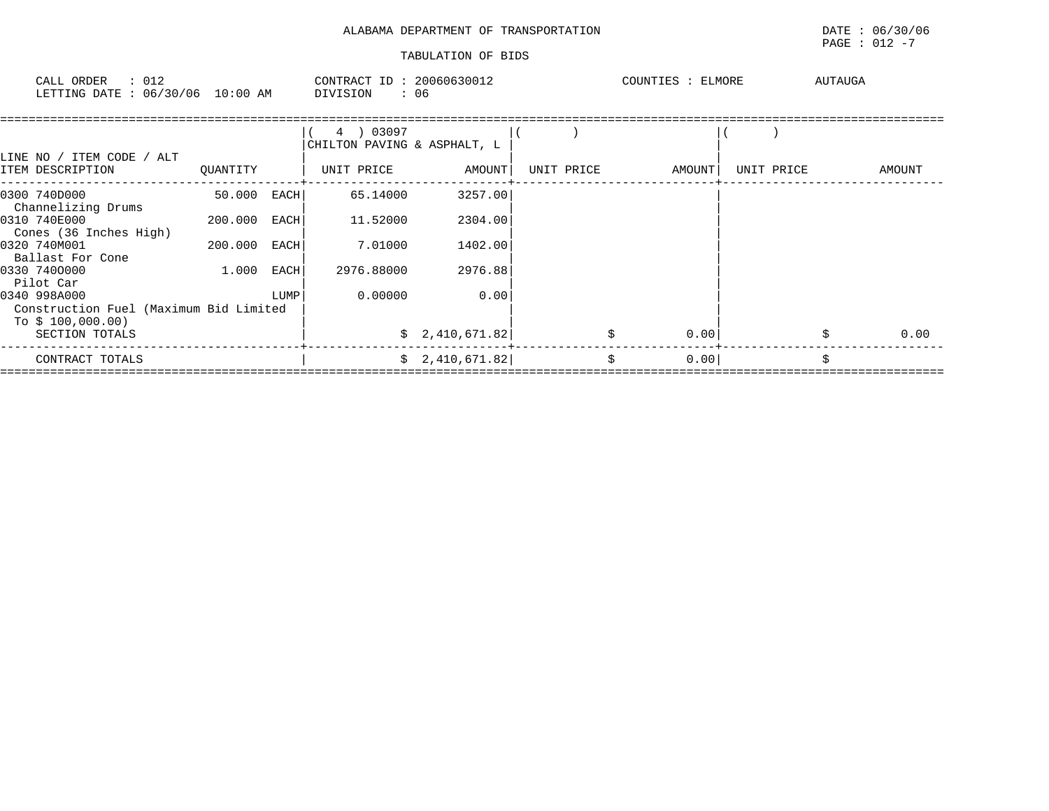| ALABAMA DEPARTMENT OF TRANSPORTATION |  |  |
|--------------------------------------|--|--|
|--------------------------------------|--|--|

| ORDER<br>CALL<br><b>ETTING</b> | . החברה | 012<br>06/30/06 | $10:00$ AM | CONTRACT<br><b>DIVISION</b> | 2006063001<br>06 | COTINT | ELMORE | AUTAUGA |  |
|--------------------------------|---------|-----------------|------------|-----------------------------|------------------|--------|--------|---------|--|
|                                |         |                 |            |                             |                  |        |        |         |  |

|                                                                             |          |      | 03097<br>CHILTON PAVING & ASPHALT, L |                 |            |        |            |        |
|-----------------------------------------------------------------------------|----------|------|--------------------------------------|-----------------|------------|--------|------------|--------|
| LINE NO / ITEM CODE<br>/ ALT<br>ITEM DESCRIPTION                            | OUANTITY |      | UNIT PRICE                           | AMOUNT          | UNIT PRICE | AMOUNT | UNIT PRICE | AMOUNT |
| 0300 740D000<br>Channelizing Drums                                          | 50.000   | EACH | 65.14000                             | 3257.00         |            |        |            |        |
| 0310 740E000<br>Cones (36 Inches High)                                      | 200.000  | EACH | 11.52000                             | 2304.00         |            |        |            |        |
| 0320 740M001<br>Ballast For Cone                                            | 200.000  | EACH | 7.01000                              | 1402.00         |            |        |            |        |
| 0330 7400000<br>Pilot Car                                                   | 1,000    | EACH | 2976.88000                           | 2976.88         |            |        |            |        |
| 0340 998A000<br>Construction Fuel (Maximum Bid Limited<br>To $$100,000.00)$ |          | LUMP | 0.00000                              | 0.00            |            |        |            |        |
| SECTION TOTALS                                                              |          |      |                                      | \$2,410,671.82  |            | 0.00   |            | 0.00   |
| CONTRACT TOTALS                                                             |          |      |                                      | \$2,410,671.82] | \$         | 0.00   |            | Ŝ.     |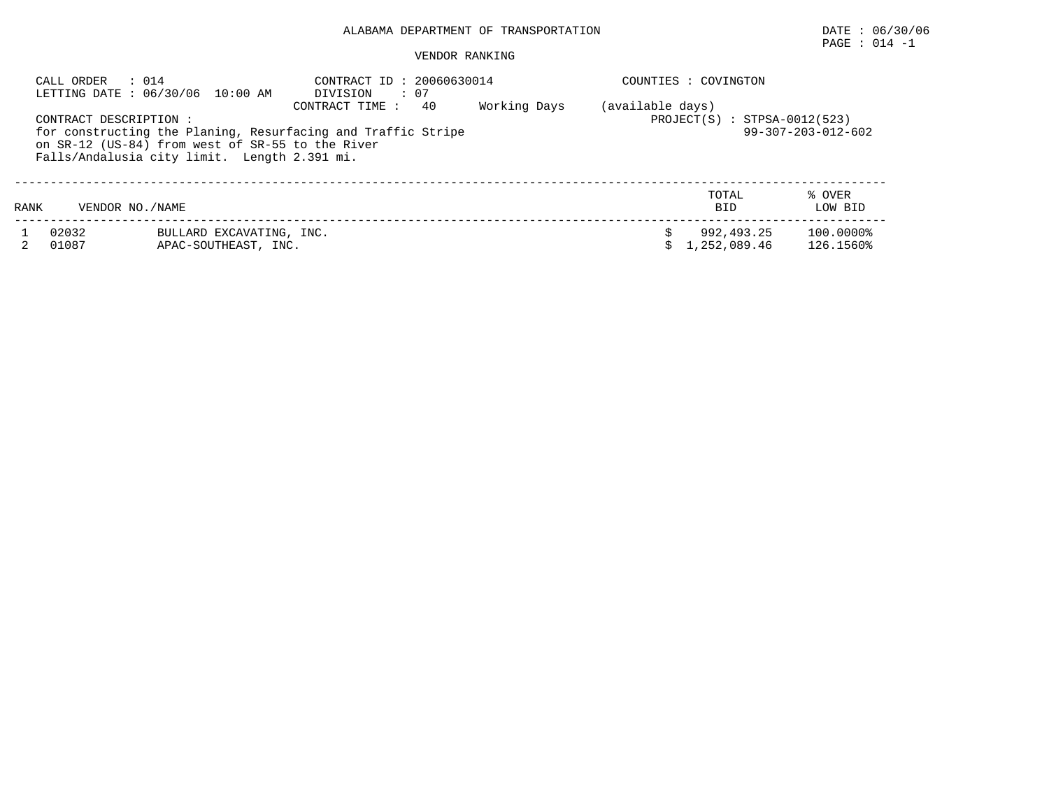# PAGE : 014 -1

|      | CALL ORDER<br>: 014   | LETTING DATE : 06/30/06 10:00 AM                                                                 | CONTRACT ID: 20060630014<br>: 07<br>DIVISION                                          |              | COUNTIES : COVINGTON                               |                            |                              |
|------|-----------------------|--------------------------------------------------------------------------------------------------|---------------------------------------------------------------------------------------|--------------|----------------------------------------------------|----------------------------|------------------------------|
|      | CONTRACT DESCRIPTION: | on SR-12 (US-84) from west of SR-55 to the River<br>Falls/Andalusia city limit. Length 2.391 mi. | CONTRACT TIME :<br>40<br>for constructing the Planing, Resurfacing and Traffic Stripe | Working Days | (available days)<br>$PROJECT(S) : STPSA-0012(523)$ |                            | $99 - 307 - 203 - 012 - 602$ |
| RANK | VENDOR NO./NAME       |                                                                                                  |                                                                                       |              |                                                    | TOTAL<br><b>BID</b>        | % OVER<br>LOW BID            |
|      | 02032<br>01087        | BULLARD EXCAVATING, INC.<br>APAC-SOUTHEAST, INC.                                                 |                                                                                       |              |                                                    | 992,493.25<br>1,252,089.46 | 100.0000%<br>126.1560%       |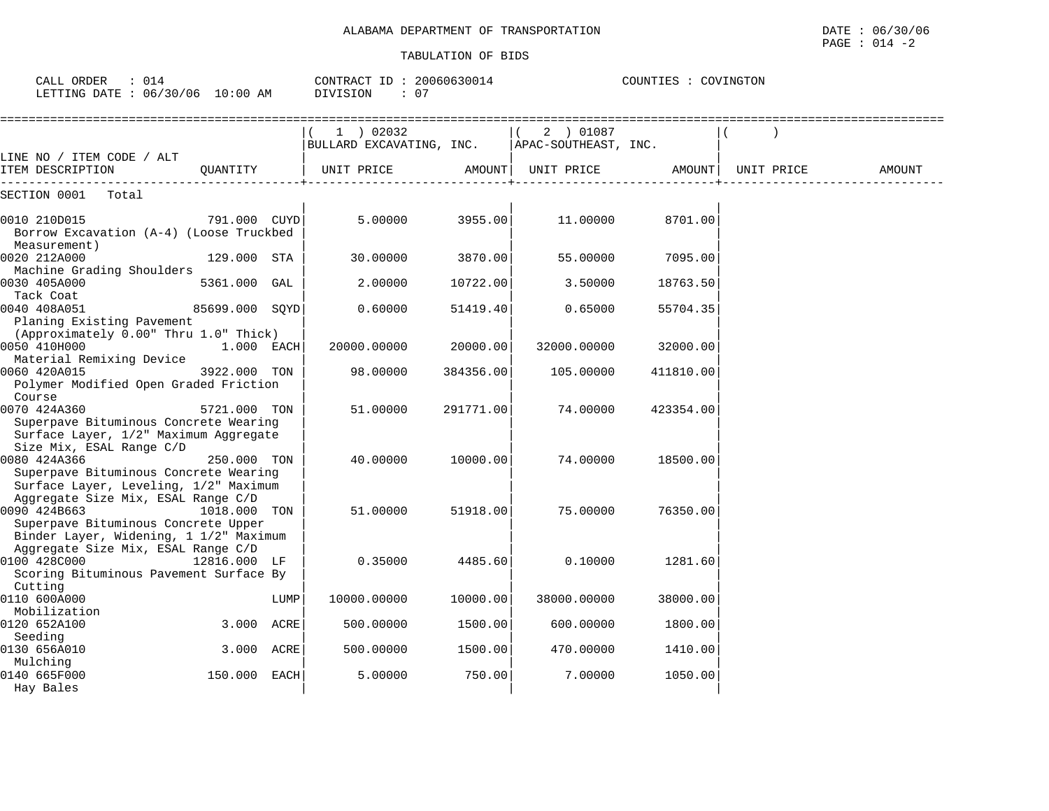| CALL ORDER<br>: 014<br>LETTING DATE : 06/30/06 10:00 AM                                                                             |                |      | CONTRACT ID: 20060630014<br>DIVISION<br>: 07 |           |                                                  | COUNTIES : COVINGTON |            |        |  |
|-------------------------------------------------------------------------------------------------------------------------------------|----------------|------|----------------------------------------------|-----------|--------------------------------------------------|----------------------|------------|--------|--|
| LINE NO / ITEM CODE / ALT                                                                                                           |                |      | $1$ ) 02032<br>BULLARD EXCAVATING, INC.      |           | 2 ) 01087<br>$\vert$ (<br>  APAC-SOUTHEAST, INC. |                      |            |        |  |
| ITEM DESCRIPTION                                                                                                                    | OUANTITY       |      | UNIT PRICE                                   |           | AMOUNT  UNIT PRICE                               | AMOUNT               | UNIT PRICE | AMOUNT |  |
| SECTION 0001 Total                                                                                                                  |                |      |                                              |           |                                                  |                      |            |        |  |
| 0010 210D015<br>Borrow Excavation (A-4) (Loose Truckbed<br>Measurement)                                                             | 791.000 CUYD   |      | 5.00000                                      | 3955.00   | 11.00000                                         | 8701.00              |            |        |  |
| 0020 212A000                                                                                                                        | 129.000 STA    |      | 30.00000                                     | 3870.00   | 55.00000                                         | 7095.00              |            |        |  |
| Machine Grading Shoulders<br>0030 405A000<br>Tack Coat                                                                              | 5361.000 GAL   |      | 2,00000                                      | 10722.00  | 3.50000                                          | 18763.50             |            |        |  |
| 0040 408A051<br>Planing Existing Pavement                                                                                           | 85699.000 SQYD |      | 0.60000                                      | 51419.40  | 0.65000                                          | 55704.35             |            |        |  |
| (Approximately 0.00" Thru 1.0" Thick)<br>0050 410H000<br>Material Remixing Device                                                   | 1.000 EACH     |      | 20000.00000                                  | 20000.00  | 32000.00000                                      | 32000.00             |            |        |  |
| 0060 420A015<br>Polymer Modified Open Graded Friction                                                                               | 3922.000 TON   |      | 98.00000                                     | 384356.00 | 105.00000                                        | 411810.00            |            |        |  |
| Course<br>0070 424A360<br>Superpave Bituminous Concrete Wearing<br>Surface Layer, 1/2" Maximum Aggregate                            | 5721.000 TON   |      | 51.00000                                     | 291771.00 | 74.00000                                         | 423354.00            |            |        |  |
| Size Mix, ESAL Range C/D<br>0080 424A366<br>Superpave Bituminous Concrete Wearing<br>Surface Layer, Leveling, 1/2" Maximum          | 250.000 TON    |      | 40.00000                                     | 10000.00  | 74.00000                                         | 18500.00             |            |        |  |
| Aggregate Size Mix, ESAL Range C/D<br>0090 424B663<br>Superpave Bituminous Concrete Upper<br>Binder Layer, Widening, 1 1/2" Maximum | 1018.000       | TON  | 51.00000                                     | 51918.00  | 75.00000                                         | 76350.00             |            |        |  |
| Aggregate Size Mix, ESAL Range C/D<br>0100 428C000<br>Scoring Bituminous Pavement Surface By<br>Cutting                             | 12816.000 LF   |      | 0.35000                                      | 4485.60   | 0.10000                                          | 1281.60              |            |        |  |
| 0110 600A000                                                                                                                        |                | LUMP | 10000.00000                                  | 10000.00  | 38000.00000                                      | 38000.00             |            |        |  |
| Mobilization<br>0120 652A100                                                                                                        | 3.000 ACRE     |      | 500.00000                                    | 1500.00   | 600.00000                                        | 1800.00              |            |        |  |
| Seeding<br>0130 656A010                                                                                                             | 3.000 ACRE     |      | 500.00000                                    | 1500.00   | 470.00000                                        | 1410.00              |            |        |  |
| Mulching<br>0140 665F000<br>Hay Bales                                                                                               | 150.000 EACH   |      | 5.00000                                      | 750.00    | 7.00000                                          | 1050.00              |            |        |  |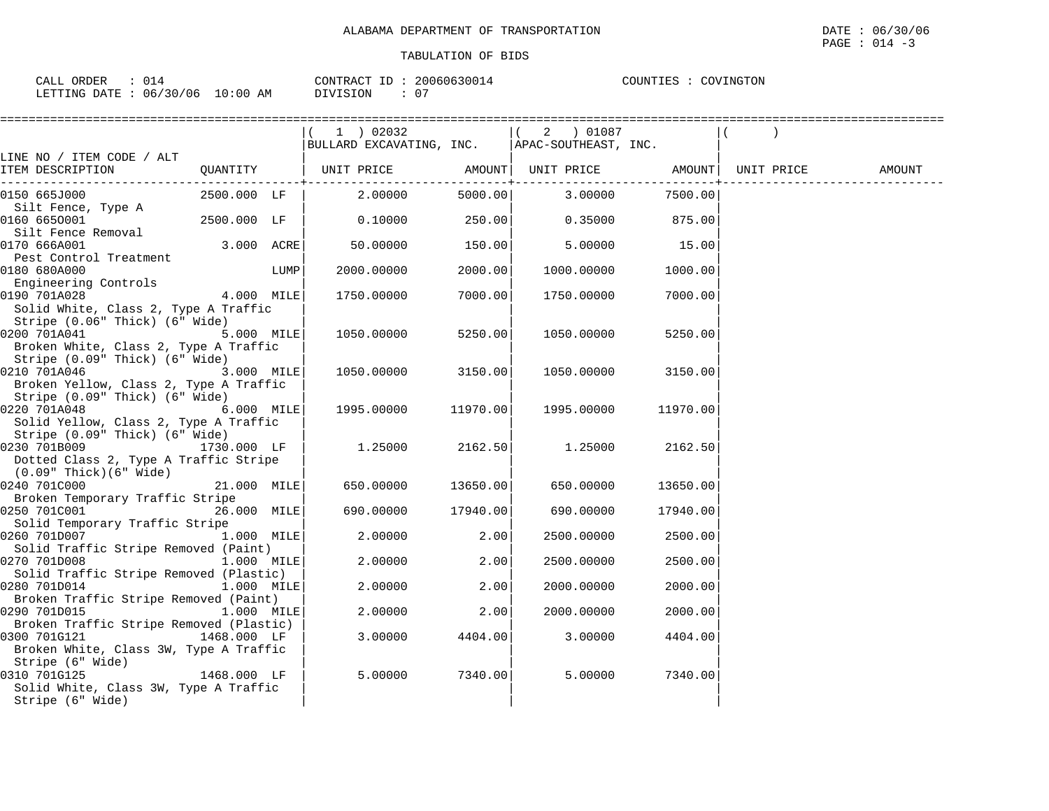$\texttt{PAGE}$  : 014 -3

| 014<br>ORDER<br>$\sim$ $\sim$ $\sim$ $\sim$                                                                                                                      |             | ו ב סידיזר∩י | 2006061 | COUNTIES<br>WINGTON<br>$11111 +$ |
|------------------------------------------------------------------------------------------------------------------------------------------------------------------|-------------|--------------|---------|----------------------------------|
| 106<br>DATF<br>LETTING<br>06<br>-20<br>$\cup$<br>the contract of the contract of the contract of the contract of the contract of the contract of the contract of | 10:00<br>AМ | `IVISION     | . .     |                                  |

|                                                                                              |             |      | 1 ) 02032                                                  |          | $(2)$ 01087 |                 |        |
|----------------------------------------------------------------------------------------------|-------------|------|------------------------------------------------------------|----------|-------------|-----------------|--------|
|                                                                                              |             |      | BULLARD EXCAVATING, INC.   APAC-SOUTHEAST, INC.            |          |             |                 |        |
| LINE NO / ITEM CODE / ALT<br>ITEM DESCRIPTION                                                | QUANTITY    |      | UNIT PRICE       AMOUNT  UNIT PRICE     AMOUNT  UNIT PRICE |          |             | .               | AMOUNT |
| 0150 665J000<br>Silt Fence, Type A                                                           | 2500.000 LF |      | 2.00000                                                    | 5000.00  |             | 3.00000 7500.00 |        |
| 0160 6650001<br>Silt Fence Removal                                                           | 2500.000 LF |      | 0.10000                                                    | 250.00   | 0.35000     | 875.00          |        |
| 0170 666A001                                                                                 | 3.000 ACRE  |      | 50.00000                                                   | 150.00   | 5.00000     | 15.00           |        |
| Pest Control Treatment<br>0180 680A000                                                       |             | LUMP | 2000.00000                                                 | 2000.00  | 1000.00000  | 1000.00         |        |
| Engineering Controls<br>4.000 MILE<br>0190 701A028<br>Solid White, Class 2, Type A Traffic   |             |      | 1750.00000                                                 | 7000.00  | 1750.00000  | 7000.00         |        |
| Stripe (0.06" Thick) (6" Wide)<br>0200 701A041                                               | 5.000 MILE  |      | 1050.00000                                                 | 5250.00  | 1050.00000  | 5250.00         |        |
| Broken White, Class 2, Type A Traffic<br>Stripe (0.09" Thick) (6" Wide)                      |             |      |                                                            |          |             |                 |        |
| 3.000 MILE<br>0210 701A046<br>Broken Yellow, Class 2, Type A Traffic                         |             |      | 1050.00000                                                 | 3150.00  | 1050.00000  | 3150.00         |        |
| Stripe (0.09" Thick) (6" Wide)<br>0220 701A048                                               | 6.000 MILE  |      | 1995.00000                                                 | 11970.00 | 1995.00000  | 11970.00        |        |
| Solid Yellow, Class 2, Type A Traffic<br>Stripe (0.09" Thick) (6" Wide)                      |             |      |                                                            |          |             |                 |        |
| 0230 701B009<br>Dotted Class 2, Type A Traffic Stripe                                        | 1730.000 LF |      | 1.25000                                                    | 2162.50  | 1.25000     | 2162.50         |        |
| (0.09" Thick)(6" Wide)<br>0240 701C000                                                       | 21.000 MILE |      | 650.00000                                                  | 13650.00 | 650.00000   | 13650.00        |        |
| Broken Temporary Traffic Stripe<br>0250 701C001                                              | 26.000 MILE |      | 690.00000                                                  | 17940.00 | 690.00000   | 17940.00        |        |
| Solid Temporary Traffic Stripe<br>0260 701D007                                               | 1.000 MILE  |      | 2,00000                                                    | 2.00     | 2500.00000  | 2500.00         |        |
| Solid Traffic Stripe Removed (Paint)<br>0270 701D008                                         | 1.000 MILE  |      | 2.00000                                                    | 2.00     | 2500.00000  | 2500.00         |        |
| Solid Traffic Stripe Removed (Plastic)<br>0280 701D014                                       | 1.000 MILE  |      | 2.00000                                                    | 2.00     | 2000.00000  | 2000.00         |        |
| Broken Traffic Stripe Removed (Paint)<br>0290 701D015                                        | 1.000 MILE  |      | 2.00000                                                    | 2.00     |             |                 |        |
| Broken Traffic Stripe Removed (Plastic)                                                      |             |      |                                                            |          | 2000.00000  | 2000.00         |        |
| 1468.000 LF<br>0300 701G121<br>Broken White, Class 3W, Type A Traffic<br>Stripe (6" Wide)    |             |      | 3.00000                                                    | 4404.00  | 3.00000     | 4404.00         |        |
| - / 1468.000 LF<br>0310 701G125<br>Solid White, Class 3W, Type A Traffic<br>Stripe (6" Wide) |             |      | 5,00000                                                    | 7340.00  | 5.00000     | 7340.00         |        |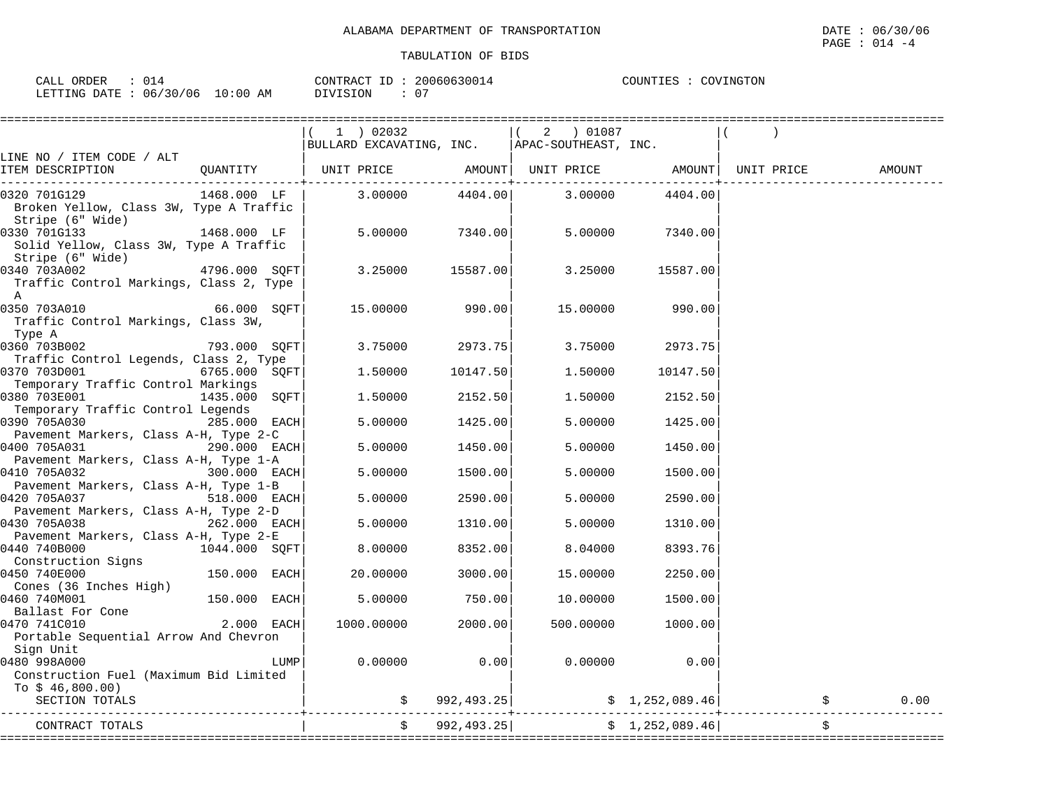| ORDER<br>$\sim$ $\sim$ $\sim$ $\sim$<br>ـىدىك | 200606300<br>ID<br>CONTRACT                  | COUNTIES<br>∩wi<br>'NGT<br>. UIV |
|-----------------------------------------------|----------------------------------------------|----------------------------------|
| 06/30/06<br>LETTING<br>DATE<br>AΜ<br>:00      | $\sim$ $-$<br><b>TT CTONT</b><br>υ.<br>11111 |                                  |

|                                                                                            |                                 | (1) 02032<br>BULLARD EXCAVATING, INC.   APAC-SOUTHEAST, INC. |               | $(2)$ 01087        |                 |                    |        |
|--------------------------------------------------------------------------------------------|---------------------------------|--------------------------------------------------------------|---------------|--------------------|-----------------|--------------------|--------|
| LINE NO / ITEM CODE / ALT                                                                  |                                 |                                                              |               |                    |                 |                    |        |
| ITEM DESCRIPTION                                                                           | QUANTITY                        | UNIT PRICE                                                   | ------------+ | AMOUNT  UNIT PRICE |                 | AMOUNT  UNIT PRICE | AMOUNT |
| 0320 701G129<br>Broken Yellow, Class 3W, Type A Traffic<br>Stripe (6" Wide)                | 1468.000 LF                     | 3.00000                                                      | 4404.00       | 3.00000            | 4404.00         |                    |        |
| 0330 701G133<br>Solid Yellow, Class 3W, Type A Traffic                                     | 1468.000 LF                     | 5.00000                                                      | 7340.00       | 5.00000            | 7340.00         |                    |        |
| Stripe (6" Wide)<br>0340 703A002<br>Traffic Control Markings, Class 2, Type<br>$\mathbb A$ | $4796.000$ SQFT                 | 3.25000                                                      | 15587.00      | 3.25000            | 15587.00        |                    |        |
| 0350 703A010<br>Traffic Control Markings, Class 3W,<br>Type A                              | 66.000 SOFT                     | 15.00000                                                     | 990.00        | 15.00000           | 990.00          |                    |        |
| 0360 703B002<br>Traffic Control Legends, Class 2, Type                                     | 793.000 SOFT                    | 3.75000                                                      | 2973.75       | 3.75000            | 2973.75         |                    |        |
| 0370 703D001<br>Temporary Traffic Control Markings                                         | 6765.000 SOFT                   | 1,50000                                                      | 10147.50      | 1,50000            | 10147.50        |                    |        |
| 0380 703E001<br>Temporary Traffic Control Legends                                          | 1435.000 SOFT                   | 1.50000                                                      | 2152.50       | 1,50000            | 2152.50         |                    |        |
| 0390 705A030<br>Pavement Markers, Class A-H, Type 2-C                                      | 285.000 EACH                    | 5.00000                                                      | 1425.00       | 5.00000            | 1425.00         |                    |        |
| 0400 705A031<br>Pavement Markers, Class A-H, Type 1-A                                      | 290.000 EACH                    | 5.00000                                                      | 1450.00       | 5.00000            | 1450.00         |                    |        |
| 0410 705A032<br>Pavement Markers, Class A-H, Type 1-B                                      | 300.000 EACH                    | 5.00000                                                      | 1500.00       | 5.00000            | 1500.00         |                    |        |
| 0420 705A037<br>Pavement Markers, Class A-H, Type 2-D                                      | 518.000 EACH                    | 5.00000                                                      | 2590.00       | 5.00000            | 2590.00         |                    |        |
| 0430 705A038<br>Pavement Markers, Class A-H, Type 2-E                                      | 262.000 EACH                    | 5,00000                                                      | 1310.00       | 5.00000            | 1310.00         |                    |        |
| 0440 740B000<br>Construction Signs                                                         | 1044.000 SQFT                   | 8,00000                                                      | 8352.00       | 8.04000            | 8393.76         |                    |        |
| 0450 740E000<br>Cones (36 Inches High)                                                     | 150.000 EACH                    | 20,00000                                                     | 3000.00       | 15.00000           | 2250.00         |                    |        |
| 0460 740M001<br>Ballast For Cone                                                           | 150.000 EACH                    | 5.00000                                                      | 750.00        | 10.00000           | 1500.00         |                    |        |
| 0470 741C010<br>Portable Sequential Arrow And Chevron<br>Sign Unit                         | $2.000$ EACH                    | 1000.00000                                                   | 2000.00       | 500.00000          | 1000.00         |                    |        |
| 0480 998A000<br>Construction Fuel (Maximum Bid Limited<br>To $$46,800.00)$                 | LUMP                            | 0.00000                                                      | 0.00          | 0.00000            | 0.00            |                    |        |
| SECTION TOTALS                                                                             |                                 |                                                              | \$992,493.25] |                    | \$1,252,089.46] |                    | 0.00   |
| CONTRACT TOTALS                                                                            | .============================== |                                                              | 992,493.25    |                    | \$1,252,089.46] |                    |        |
|                                                                                            |                                 |                                                              |               |                    |                 |                    |        |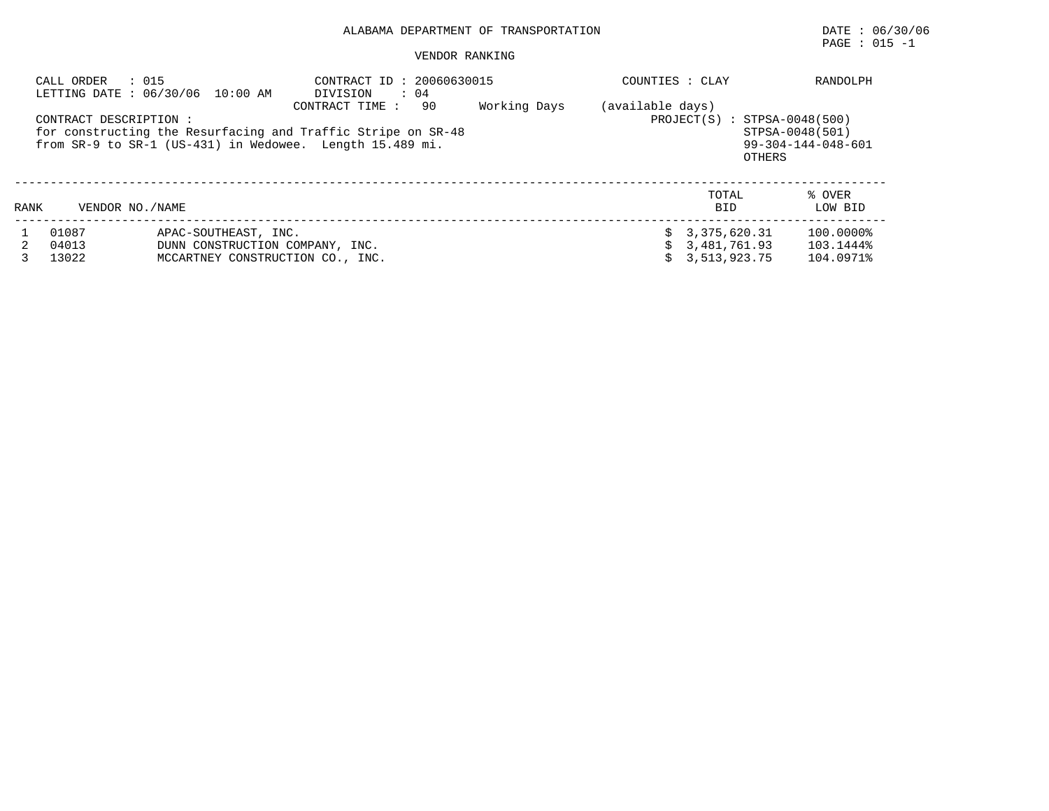# $\texttt{PAGE}$  : 015 -1

|      | : 015<br>CALL ORDER    | LETTING DATE : 06/30/06 10:00 AM | CONTRACT ID: 20060630015<br>$\therefore$ 04<br>DIVISION                                                                                          |              | COUNTIES : CLAY  |                                          | RANDOLPH                                        |
|------|------------------------|----------------------------------|--------------------------------------------------------------------------------------------------------------------------------------------------|--------------|------------------|------------------------------------------|-------------------------------------------------|
|      | CONTRACT DESCRIPTION : |                                  | 90<br>CONTRACT TIME:<br>for constructing the Resurfacing and Traffic Stripe on SR-48<br>from SR-9 to SR-1 (US-431) in Wedowee. Length 15.489 mi. | Working Days | (available days) | $PROJECT(S) : STPSA-0048(500)$<br>OTHERS | STPSA-0048(501)<br>$99 - 304 - 144 - 048 - 601$ |
| RANK | VENDOR NO. / NAME      |                                  |                                                                                                                                                  |              |                  | TOTAL<br><b>BID</b>                      | % OVER<br>LOW BID                               |
|      | 01087                  | APAC-SOUTHEAST, INC.             |                                                                                                                                                  |              |                  | $\text{S}$ 3, 375, 620.31                | 100.0000%                                       |
|      | 04013                  | DUNN CONSTRUCTION COMPANY, INC.  |                                                                                                                                                  |              |                  | 3,481,761.93                             | 103.1444%                                       |
|      | 13022                  | MCCARTNEY CONSTRUCTION CO., INC. |                                                                                                                                                  |              |                  | 3,513,923.75                             | 104.0971%                                       |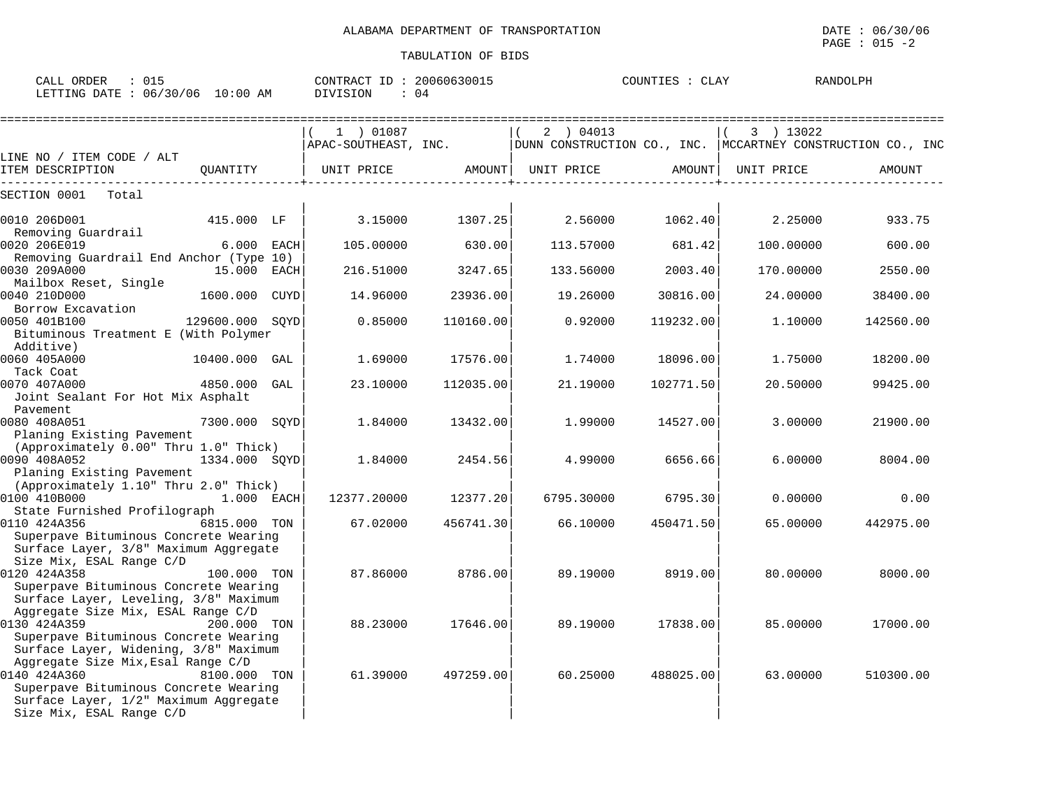| CALL ORDER : 015<br>LETTING DATE : 06/30/06 10:00 AM | CONTRACT ID: 20060630015<br>DIVISION : 04 | COUNTIES : CLAY | RANDOLPH                                                                     |
|------------------------------------------------------|-------------------------------------------|-----------------|------------------------------------------------------------------------------|
|                                                      | 1 ) 01087<br>APAC-SOUTHEAST, INC.         | 2 ) 04013       | $(3)$ 13022<br>DUNN CONSTRUCTION CO., INC.   MCCARTNEY CONSTRUCTION CO., INC |

| LINE NO / ITEM CODE / ALT                                                                                                                                        |                 |             |           |            |               |            |           |
|------------------------------------------------------------------------------------------------------------------------------------------------------------------|-----------------|-------------|-----------|------------|---------------|------------|-----------|
| ITEM DESCRIPTION                                                                                                                                                 | QUANTITY        | UNIT PRICE  | AMOUNT    | UNIT PRICE | <b>AMOUNT</b> | UNIT PRICE | AMOUNT    |
| Total<br>SECTION 0001                                                                                                                                            |                 |             |           |            |               |            |           |
| 0010 206D001                                                                                                                                                     | 415.000 LF      | 3.15000     | 1307.25   | 2.56000    | 1062.40       | 2.25000    | 933.75    |
| Removing Guardrail<br>0020 206E019                                                                                                                               | 6.000 EACH      | 105.00000   | 630.00    | 113.57000  | 681.42        | 100.00000  | 600.00    |
| Removing Guardrail End Anchor (Type 10)<br>0030 209A000                                                                                                          | 15.000 EACH     | 216.51000   | 3247.65   | 133.56000  | 2003.40       | 170.00000  | 2550.00   |
| Mailbox Reset, Single<br>0040 210D000<br>Borrow Excavation                                                                                                       | 1600.000 CUYD   | 14.96000    | 23936.00  | 19.26000   | 30816.00      | 24.00000   | 38400.00  |
| 0050 401B100<br>Bituminous Treatment E (With Polymer<br>Additive)                                                                                                | 129600.000 SQYD | 0.85000     | 110160.00 | 0.92000    | 119232.00     | 1,10000    | 142560.00 |
| 0060 405A000                                                                                                                                                     | 10400.000 GAL   | 1.69000     | 17576.00  | 1.74000    | 18096.00      | 1.75000    | 18200.00  |
| Tack Coat<br>0070 407A000<br>Joint Sealant For Hot Mix Asphalt                                                                                                   | 4850.000 GAL    | 23.10000    | 112035.00 | 21.19000   | 102771.50     | 20.50000   | 99425.00  |
| Pavement<br>0080 408A051<br>Planing Existing Pavement                                                                                                            | 7300.000 SOYD   | 1.84000     | 13432.00  | 1,99000    | 14527.00      | 3.00000    | 21900.00  |
| (Approximately 0.00" Thru 1.0" Thick)<br>0090 408A052<br>Planing Existing Pavement                                                                               | 1334.000 SQYD   | 1.84000     | 2454.56   | 4.99000    | 6656.66       | 6.00000    | 8004.00   |
| (Approximately 1.10" Thru 2.0" Thick)<br>0100 410B000<br>State Furnished Profilograph                                                                            | 1.000 EACH      | 12377.20000 | 12377.20  | 6795.30000 | 6795.30       | 0.00000    | 0.00      |
| 0110 424A356<br>Superpave Bituminous Concrete Wearing<br>Surface Layer, 3/8" Maximum Aggregate<br>Size Mix, ESAL Range C/D                                       | 6815.000 TON    | 67.02000    | 456741.30 | 66.10000   | 450471.50     | 65.00000   | 442975.00 |
| 0120 424A358<br>Superpave Bituminous Concrete Wearing<br>Surface Layer, Leveling, 3/8" Maximum                                                                   | 100.000 TON     | 87.86000    | 8786.00   | 89.19000   | 8919.00       | 80.00000   | 8000.00   |
| Aggregate Size Mix, ESAL Range C/D<br>0130 424A359<br>Superpave Bituminous Concrete Wearing<br>Surface Layer, Widening, 3/8" Maximum                             | 200.000 TON     | 88.23000    | 17646.00  | 89.19000   | 17838.00      | 85,00000   | 17000.00  |
| Aggregate Size Mix, Esal Range C/D<br>0140 424A360<br>Superpave Bituminous Concrete Wearing<br>Surface Layer, 1/2" Maximum Aggregate<br>Size Mix, ESAL Range C/D | 8100.000 TON    | 61.39000    | 497259.00 | 60.25000   | 488025.00     | 63.00000   | 510300.00 |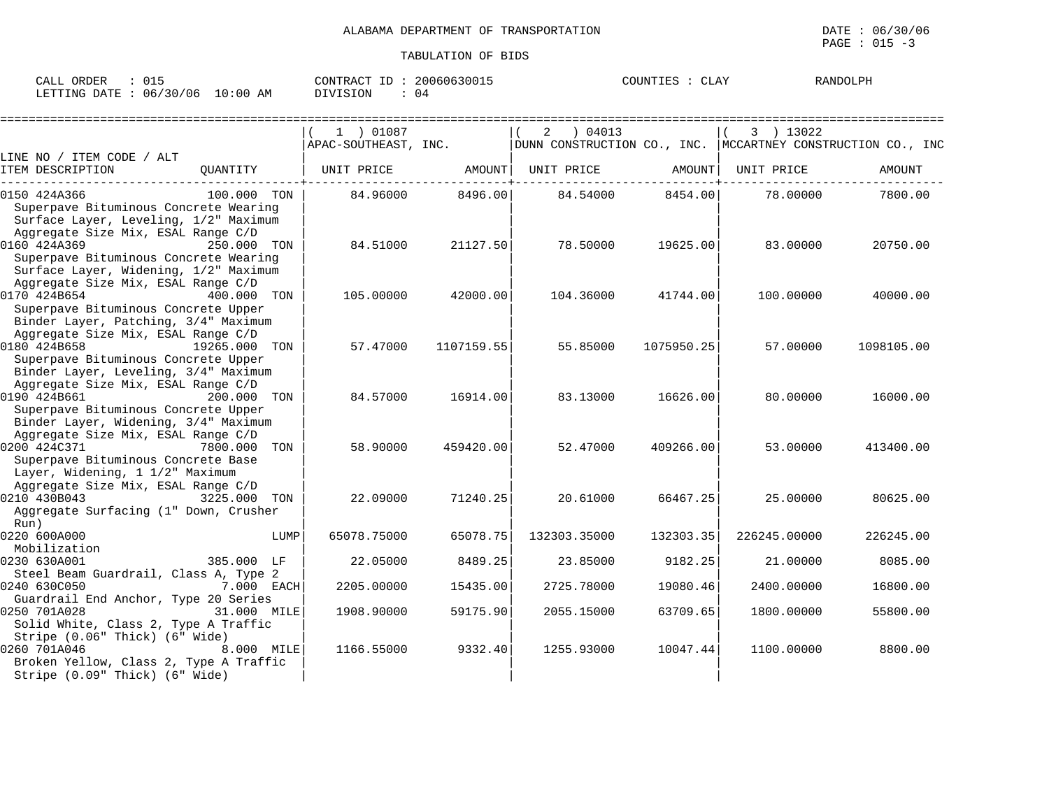| $\bigcap$ $\bigcap$ $\bigcap$<br>ORDER<br>CALL<br>∪⊥J    | 20060630015<br>CONTRACT<br>$ -$ | T T T T T<br>COUNTIES<br>لتطبرنا | RANDOLPH |
|----------------------------------------------------------|---------------------------------|----------------------------------|----------|
| .00 ن<br>LETTING DATE<br>06/30/06<br>ΑM<br><sup>()</sup> | DIVISION<br>() q                |                                  |          |

|                                                                                                                                                                            |               |             |                  |                                                                                                    |                  |              | ============================== |
|----------------------------------------------------------------------------------------------------------------------------------------------------------------------------|---------------|-------------|------------------|----------------------------------------------------------------------------------------------------|------------------|--------------|--------------------------------|
|                                                                                                                                                                            |               | 1 ) 01087   |                  | 2<br>04013<br>APAC-SOUTHEAST, INC.   DUNN CONSTRUCTION CO., INC.   MCCARTNEY CONSTRUCTION CO., INC |                  | 3 ) 13022    |                                |
| LINE NO / ITEM CODE / ALT                                                                                                                                                  |               |             |                  |                                                                                                    |                  |              |                                |
| ITEM DESCRIPTION                                                                                                                                                           |               |             |                  | QUANTITY   UNIT PRICE AMOUNT  UNIT PRICE AMOUNT                                                    | -----------+-    | UNIT PRICE   | AMOUNT                         |
| 0150 424A366<br>Superpave Bituminous Concrete Wearing<br>Surface Layer, Leveling, 1/2" Maximum                                                                             | 100.000 TON   |             | 84.96000 8496.00 |                                                                                                    | 84.54000 8454.00 | 78.00000     | 7800.00                        |
| Aggregate Size Mix, ESAL Range C/D<br>0160 424A369<br>Superpave Bituminous Concrete Wearing<br>Surface Layer, Widening, 1/2" Maximum<br>Aggregate Size Mix, ESAL Range C/D | 250.000 TON   | 84.51000    | 21127.50         | 78.50000                                                                                           | 19625.00         | 83.00000     | 20750.00                       |
| 0170 424B654<br>Superpave Bituminous Concrete Upper<br>Binder Layer, Patching, 3/4" Maximum<br>Aggregate Size Mix, ESAL Range C/D                                          | 400.000 TON   | 105.00000   | 42000.00         | 104.36000                                                                                          | 41744.00         | 100.00000    | 40000.00                       |
| 0180 424B658<br>Superpave Bituminous Concrete Upper<br>Binder Layer, Leveling, 3/4" Maximum<br>Aggregate Size Mix, ESAL Range C/D                                          | 19265.000 TON | 57.47000    | 1107159.55       | 55.85000                                                                                           | 1075950.25       | 57.00000     | 1098105.00                     |
| 0190 424B661<br>Superpave Bituminous Concrete Upper<br>Binder Layer, Widening, 3/4" Maximum                                                                                | 200.000 TON   | 84.57000    | 16914.00         | 83.13000                                                                                           | 16626.00         | 80,00000     | 16000.00                       |
| Aggregate Size Mix, ESAL Range C/D<br>0200 424C371<br>Superpave Bituminous Concrete Base<br>Layer, Widening, 1 1/2" Maximum                                                | 7800.000 TON  | 58.90000    | 459420.00        | 52.47000                                                                                           | 409266.00        | 53.00000     | 413400.00                      |
| Aggregate Size Mix, ESAL Range C/D<br>0210 430B043<br>3225.000<br>Aggregate Surfacing (1" Down, Crusher<br>Run)                                                            | TON           | 22.09000    | 71240.25         | 20.61000                                                                                           | 66467.25         | 25.00000     | 80625.00                       |
| 0220 600A000<br>Mobilization                                                                                                                                               | LUMP          | 65078.75000 | 65078.75         | 132303.35000                                                                                       | 132303.35        | 226245.00000 | 226245.00                      |
| 0230 630A001<br>Steel Beam Guardrail, Class A, Type 2                                                                                                                      | 385.000 LF    | 22.05000    | 8489.25          | 23.85000                                                                                           | 9182.25          | 21,00000     | 8085.00                        |
| 0240 630C050                                                                                                                                                               | 7.000 EACH    | 2205.00000  | 15435.00         | 2725.78000                                                                                         | 19080.46         | 2400.00000   | 16800.00                       |
| Guardrail End Anchor, Type 20 Series<br>0250 701A028<br>Solid White, Class 2, Type A Traffic<br>Stripe (0.06" Thick) (6" Wide)                                             | 31.000 MILE   | 1908.90000  | 59175.90         | 2055.15000                                                                                         | 63709.65         | 1800.00000   | 55800.00                       |
| 0260 701A046<br>Broken Yellow, Class 2, Type A Traffic<br>Stripe (0.09" Thick) (6" Wide)                                                                                   | 8.000 MILE    | 1166.55000  | 9332.40          | 1255.93000                                                                                         | 10047.44         | 1100.00000   | 8800.00                        |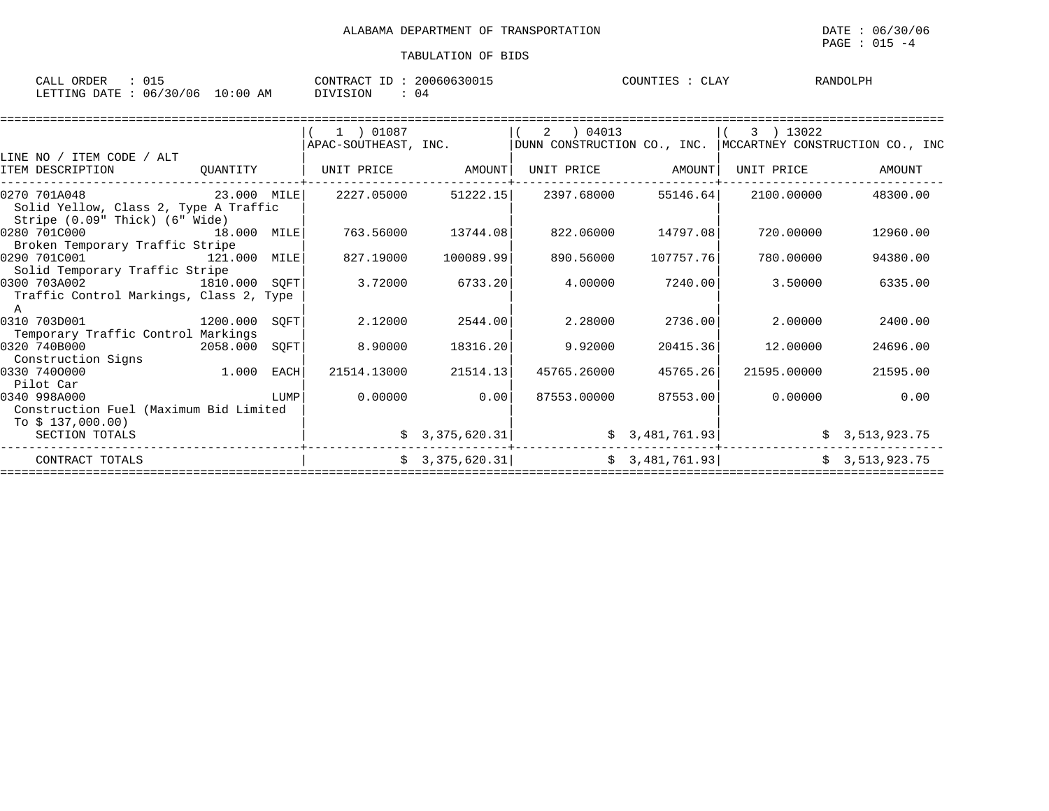| ORDER<br>CALL                          | 20060630015<br>CONTRACT ID | COUNTIES<br>لاطلانا | <b>RANDOLPH</b> |
|----------------------------------------|----------------------------|---------------------|-----------------|
| : 06/30/06<br>10:00 AM<br>LETTING DATE | U4                         |                     |                 |

|                                                                                                                                                                                                     |               | $(1)$ 01087          |                              | 2   04013             |           | 3 ) 13022                                                     |                |
|-----------------------------------------------------------------------------------------------------------------------------------------------------------------------------------------------------|---------------|----------------------|------------------------------|-----------------------|-----------|---------------------------------------------------------------|----------------|
|                                                                                                                                                                                                     |               | APAC-SOUTHEAST, INC. |                              |                       |           | DUNN CONSTRUCTION CO., INC.   MCCARTNEY CONSTRUCTION CO., INC |                |
| LINE NO / ITEM CODE / ALT                                                                                                                                                                           |               |                      |                              |                       |           |                                                               |                |
| ITEM DESCRIPTION                                                                                                                                                                                    | QUANTITY      | UNIT PRICE AMOUNT    |                              | UNIT PRICE AMOUNT     |           | UNIT PRICE                                                    | AMOUNT         |
| 23.000 MILE<br>0270 701A048<br>Solid Yellow, Class 2, Type A Traffic<br>Stripe (0.09" Thick) (6" Wide)                                                                                              |               | 2227.05000           |                              | $51222.15$ 2397.68000 |           | 55146.64 2100.00000                                           | 48300.00       |
| 0280 701C000 18.000 MILE<br>Broken Temporary Traffic Stripe                                                                                                                                         |               | 763.56000            | 13744.08                     | 822.06000             | 14797.08  | 720.00000                                                     | 12960.00       |
| 0290 701C001<br>121.000 MILE<br>Solid Temporary Traffic Stripe                                                                                                                                      |               | 827.19000            | 100089.99                    | 890.56000             | 107757.76 | 780.00000                                                     | 94380.00       |
| 1810.000 SQFT<br>0300 703A002<br>Traffic Control Markings, Class 2, Type<br>A                                                                                                                       |               | 3.72000              | 6733.20                      | 4.00000               | 7240.00   | 3.50000                                                       | 6335.00        |
| 0310 703D001<br>1200.000 SOFT<br>Temporary Traffic Control Markings                                                                                                                                 |               | 2.12000              | 2544.00                      | 2.28000               | 2736.00   | 2.00000                                                       | 2400.00        |
| 0320 740B000<br>Construction Signs                                                                                                                                                                  | 2058.000 SQFT | 8.90000              | 18316.20                     | 9.92000               | 20415.36  | 12.00000                                                      | 24696.00       |
| $1.000$ EACH<br>0330 7400000<br>Pilot Car                                                                                                                                                           |               | 21514.13000          | 21514.13                     | 45765.26000           | 45765.26  | 21595.00000                                                   | 21595.00       |
| <b>EXECUTE IN THE EXECUTIVE IN THE EXECUTIVE IN THE EXECUTIVE IN THE EXECUTIVE IN THE EXECUTIVE IN THE EXECUTIVE</b><br>0340 998A000<br>Construction Fuel (Maximum Bid Limited<br>To $$137,000.00)$ |               | 0.00000              | 0.00                         | 87553.00000           | 87553.00  | 0.00000                                                       | 0.00           |
| SECTION TOTALS                                                                                                                                                                                      |               |                      | $\frac{1}{2}$ 3, 375, 620.31 |                       |           | $\sharp$ 3,481,761.93                                         | \$3,513,923.75 |
| CONTRACT TOTALS                                                                                                                                                                                     |               |                      | \$3,375,620.31               |                       |           | \$3,481,761.93]                                               | \$3,513,923.75 |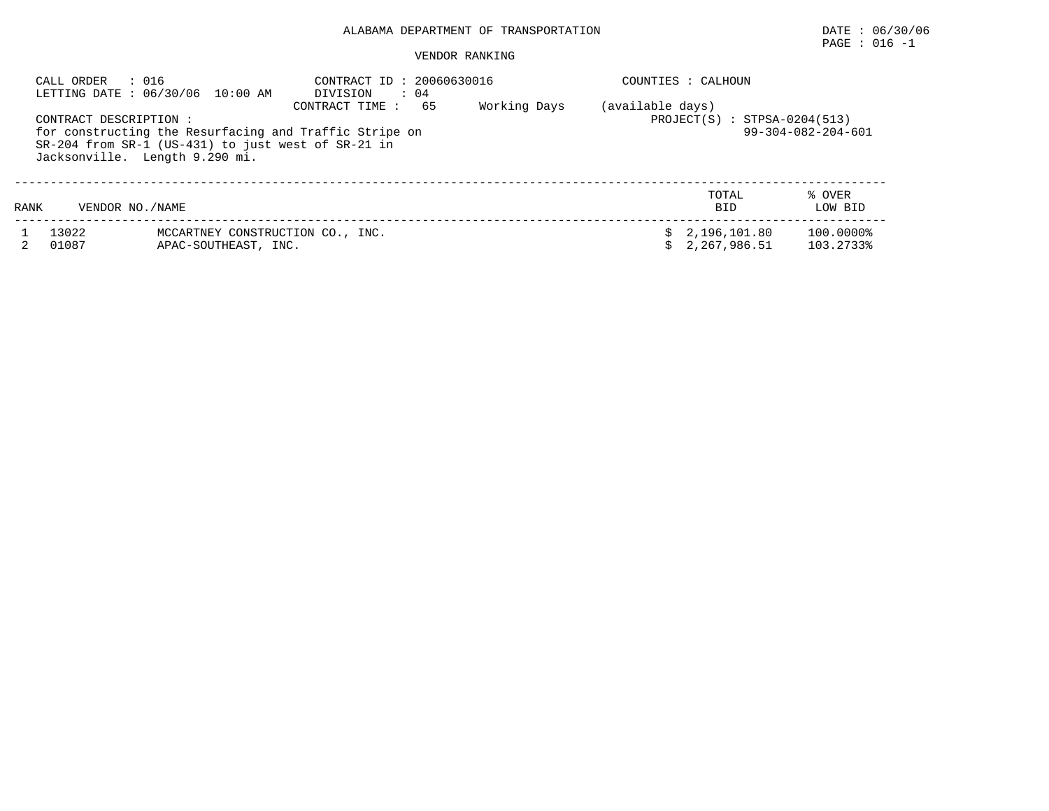# $\texttt{PAGE}$  : 016 -1

|      | CALL ORDER<br>: 016<br>CONTRACT DESCRIPTION : | LETTING DATE : 06/30/06 10:00 AM<br>for constructing the Resurfacing and Traffic Stripe on<br>$SR-204$ from $SR-1$ (US-431) to just west of $SR-21$ in | CONTRACT ID: 20060630016<br>DIVISION<br>$\therefore$ 04<br>CONTRACT TIME: | 65<br>Working Days | (available days) | COUNTIES : CALHOUN<br>$PROJECT(S) : STPSA-0204(513)$ | $99 - 304 - 082 - 204 - 601$ |
|------|-----------------------------------------------|--------------------------------------------------------------------------------------------------------------------------------------------------------|---------------------------------------------------------------------------|--------------------|------------------|------------------------------------------------------|------------------------------|
| RANK | VENDOR NO./NAME                               | Jacksonville. Length 9.290 mi.                                                                                                                         |                                                                           |                    |                  | TOTAL<br><b>BID</b>                                  | % OVER<br>LOW BID            |
|      | 13022<br>01087                                | MCCARTNEY CONSTRUCTION CO., INC.<br>APAC-SOUTHEAST, INC.                                                                                               |                                                                           |                    |                  | \$2,196,101.80<br>2,267,986.51                       | 100.0000%<br>103.2733%       |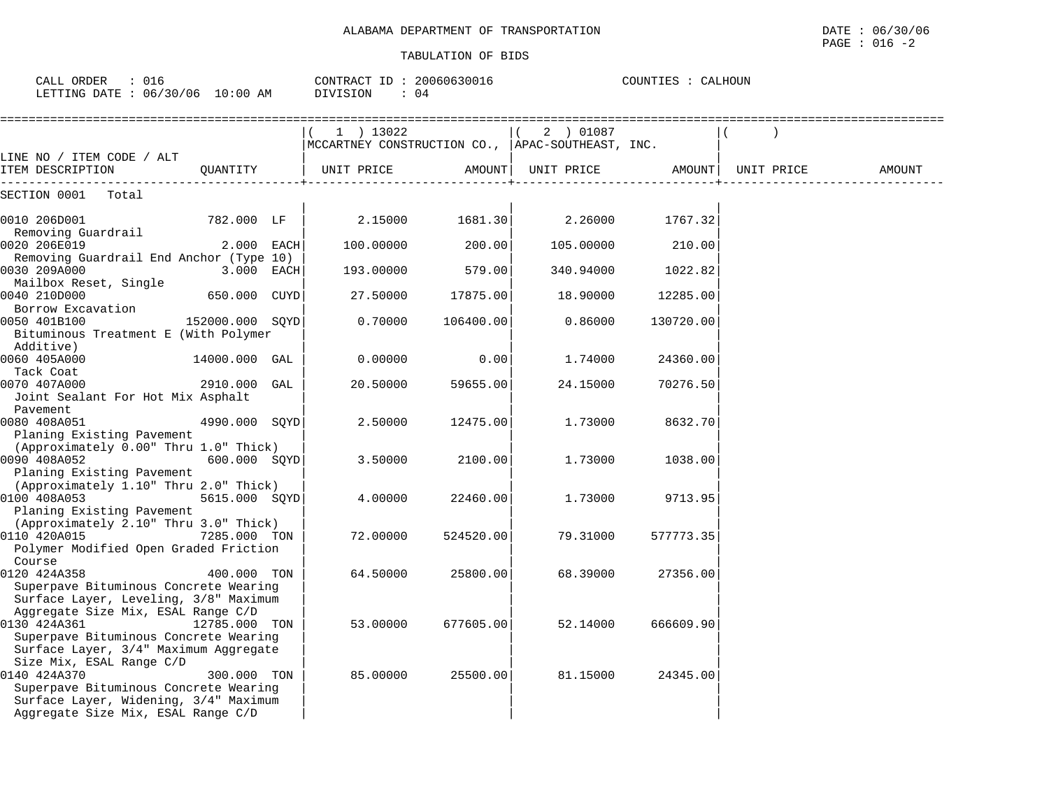| CALL ORDER<br>: 016<br>LETTING DATE : 06/30/06 10:00 AM                          |                 |      | CONTRACT ID: 20060630016<br>DIVISION<br>: 04                    |           |            | COUNTIES : CALHOUN |            |        |
|----------------------------------------------------------------------------------|-----------------|------|-----------------------------------------------------------------|-----------|------------|--------------------|------------|--------|
|                                                                                  |                 |      | $1$ ) 13022<br>MCCARTNEY CONSTRUCTION CO., APAC-SOUTHEAST, INC. |           | 2 ) 01087  |                    |            |        |
| LINE NO / ITEM CODE / ALT<br>ITEM DESCRIPTION                                    | OUANTITY        |      | UNIT PRICE                                                      | AMOUNT    | UNIT PRICE | AMOUNT             | UNIT PRICE | AMOUNT |
| SECTION 0001<br>Total                                                            |                 |      |                                                                 |           |            |                    |            |        |
| 0010 206D001<br>Removing Guardrail                                               | 782.000 LF      |      | 2.15000                                                         | 1681.30   | 2.26000    | 1767.32            |            |        |
| 0020 206E019                                                                     | 2.000 EACH      |      | 100,00000                                                       | 200.00    | 105,00000  | 210.00             |            |        |
| Removing Guardrail End Anchor (Type 10)<br>0030 209A000<br>Mailbox Reset, Single | 3.000           | EACH | 193.00000                                                       | 579.00    | 340.94000  | 1022.82            |            |        |
| 0040 210D000                                                                     | 650.000         | CUYD | 27.50000                                                        | 17875.00  | 18,90000   | 12285.00           |            |        |
| Borrow Excavation<br>0050 401B100<br>Bituminous Treatment E (With Polymer        | 152000.000 SOYD |      | 0.70000                                                         | 106400.00 | 0.86000    | 130720.00          |            |        |
| Additive)<br>0060 405A000                                                        | 14000.000 GAL   |      | 0.00000                                                         | 0.00      | 1.74000    | 24360.00           |            |        |
| Tack Coat<br>0070 407A000<br>Joint Sealant For Hot Mix Asphalt                   | 2910.000 GAL    |      | 20.50000                                                        | 59655.00  | 24.15000   | 70276.50           |            |        |
| Pavement<br>0080 408A051<br>Planing Existing Pavement                            | 4990.000 SOYD   |      | 2.50000                                                         | 12475.00  | 1.73000    | 8632.70            |            |        |
| (Approximately 0.00" Thru 1.0" Thick)<br>0090 408A052                            | 600.000 SOYD    |      | 3.50000                                                         | 2100.00   | 1.73000    | 1038.00            |            |        |
| Planing Existing Pavement<br>(Approximately 1.10" Thru 2.0" Thick)               |                 |      |                                                                 |           |            |                    |            |        |

 $0100$   $408A053$   $5615.000$   $SQYD$   $4.00000$   $22460.00$   $1.73000$   $9713.95$ 

0110 420A015 7285.000 TON | 72.00000 524520.00| 79.31000 577773.35

Course **in the course of the course of the course**  $\vert$  is a set of the course of the course of the course of the course of the course of the course of the course of the course of the course of the course of the course of 0120 424A358 400.000 TON | 64.50000 25800.00| 68.39000 27356.00|

0130 424A361 12785.000 TON | 53.00000 677605.00| 52.14000 666609.90

0140 424A370 300.000 TON | 85.00000 25500.00| 81.15000 24345.00|

Planing Existing Pavement

Size Mix, ESAL Range C/D

(Approximately 2.10" Thru 3.0" Thick)

Polymer Modified Open Graded Friction

Superpave Bituminous Concrete Wearing Surface Layer, Leveling, 3/8" Maximum Aggregate Size Mix, ESAL Range C/D | | |

Superpave Bituminous Concrete Wearing Surface Layer, 3/4" Maximum Aggregate

Superpave Bituminous Concrete Wearing Surface Layer, Widening, 3/4" Maximum Aggregate Size Mix, ESAL Range C/D | | |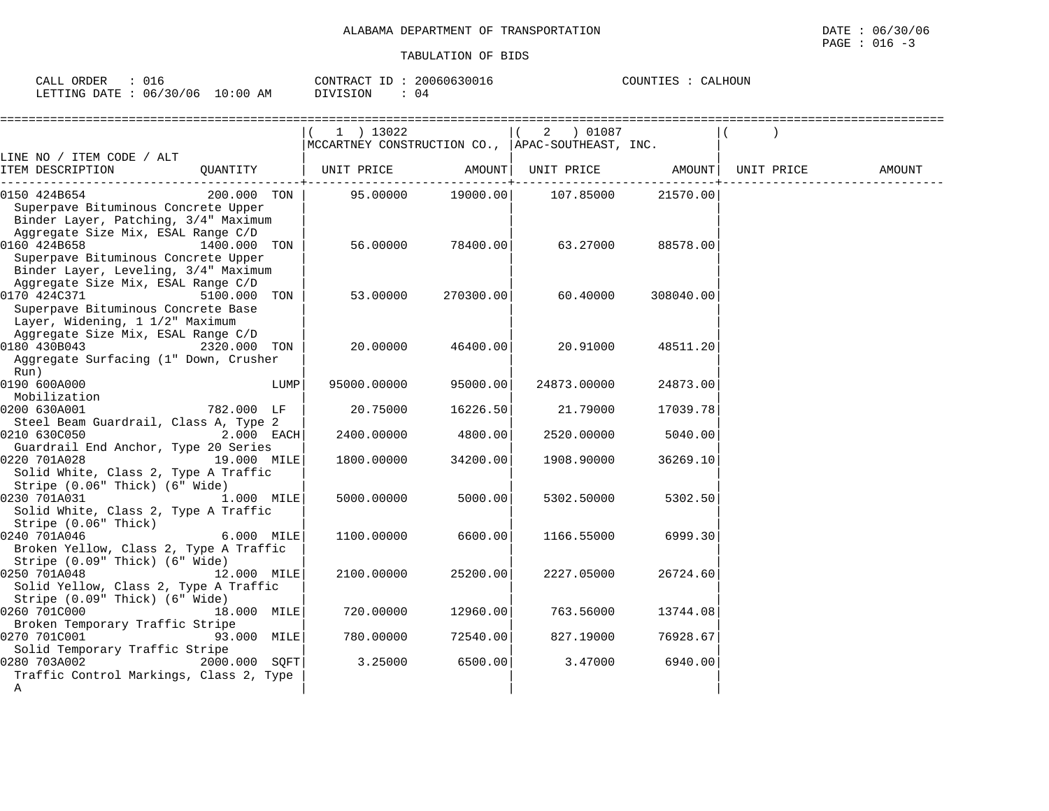CALL ORDER : 016 CONTRACT ID : 20060630016

LETTING DATE : 06/30/06 10:00 AM DIVISION : 04

| COUNTIES | : CALHOUN |
|----------|-----------|
|          |           |

|                                                                                                                                                                  |      | 1 ) 13022<br>MCCARTNEY CONSTRUCTION CO., APAC-SOUTHEAST, INC. |                   | 2 ) 01087                  |           |            |        |
|------------------------------------------------------------------------------------------------------------------------------------------------------------------|------|---------------------------------------------------------------|-------------------|----------------------------|-----------|------------|--------|
| LINE NO / ITEM CODE / ALT                                                                                                                                        |      |                                                               |                   |                            |           |            |        |
| QUANTITY   UNIT PRICE<br>ITEM DESCRIPTION                                                                                                                        |      |                                                               |                   | AMOUNT   UNIT PRICE AMOUNT |           | UNIT PRICE | AMOUNT |
| 200.000 TON<br>0150 424B654<br>Superpave Bituminous Concrete Upper<br>Binder Layer, Patching, 3/4" Maximum<br>Aggregate Size Mix, ESAL Range C/D                 |      |                                                               | 95.00000 19000.00 | 107.85000                  | 21570.00  |            |        |
| 0160 424B658<br>1400.000 TON<br>Superpave Bituminous Concrete Upper<br>Binder Layer, Leveling, 3/4" Maximum<br>Aggregate Size Mix, ESAL Range C/D                |      | 56.00000                                                      | 78400.00          | 63.27000                   | 88578.00  |            |        |
| 0170 424C371<br>5100.000 TON<br>Superpave Bituminous Concrete Base<br>Layer, Widening, 1 1/2" Maximum<br>Aggregate Size Mix, ESAL Range C/D                      |      | 53.00000                                                      | 270300.00         | 60.40000                   | 308040.00 |            |        |
| 0180 430B043<br>2320.000 TON<br>Aggregate Surfacing (1" Down, Crusher<br>Run)                                                                                    |      | 20.00000                                                      | 46400.00          | 20.91000                   | 48511.20  |            |        |
| 0190 600A000<br>Mobilization                                                                                                                                     | LUMP | 95000.00000                                                   | 95000.00          | 24873.00000                | 24873.00  |            |        |
| 0200 630A001<br>782.000 LF<br>Steel Beam Guardrail, Class A, Type 2                                                                                              |      | 20.75000                                                      | 16226.50          | 21.79000                   | 17039.78  |            |        |
| 0210 630C050<br>2.000 EACH<br>Guardrail End Anchor, Type 20 Series                                                                                               |      | 2400.00000                                                    | 4800.00           | 2520.00000                 | 5040.00   |            |        |
| 0220 701A028<br>19.000 MILE<br>Solid White, Class 2, Type A Traffic<br>Stripe (0.06" Thick) (6" Wide)                                                            |      | 1800.00000                                                    | 34200.00          | 1908.90000                 | 36269.10  |            |        |
| 0230 701A031<br>1.000 MILE<br>Solid White, Class 2, Type A Traffic<br>Stripe (0.06" Thick)                                                                       |      | 5000.00000                                                    | 5000.00           | 5302.50000                 | 5302.50   |            |        |
| 6.000 MILE<br>0240 701A046<br>Broken Yellow, Class 2, Type A Traffic<br>Stripe (0.09" Thick) (6" Wide)                                                           |      | 1100.00000                                                    | 6600.00           | 1166.55000                 | 6999.30   |            |        |
| 0250 701A048<br>12.000 MILE<br>Solid Yellow, Class 2, Type A Traffic<br>Stripe (0.09" Thick) (6" Wide)                                                           |      | 2100.00000                                                    | 25200.00          | 2227.05000                 | 26724.60  |            |        |
| 0260 701C000 and the control of the control of the control of the control of the control of the control of the<br>18.000 MILE<br>Broken Temporary Traffic Stripe |      | 720.00000                                                     | 12960.00          | 763.56000                  | 13744.08  |            |        |
| 0270 701C001<br>93.000 MILE<br>Solid Temporary Traffic Stripe                                                                                                    |      | 780.00000                                                     | 72540.00          | 827.19000                  | 76928.67  |            |        |
| 2000.000 SQFT<br>0280 703A002<br>Traffic Control Markings, Class 2, Type<br>A                                                                                    |      | 3.25000                                                       | 6500.00           | 3.47000                    | 6940.00   |            |        |
|                                                                                                                                                                  |      |                                                               |                   |                            |           |            |        |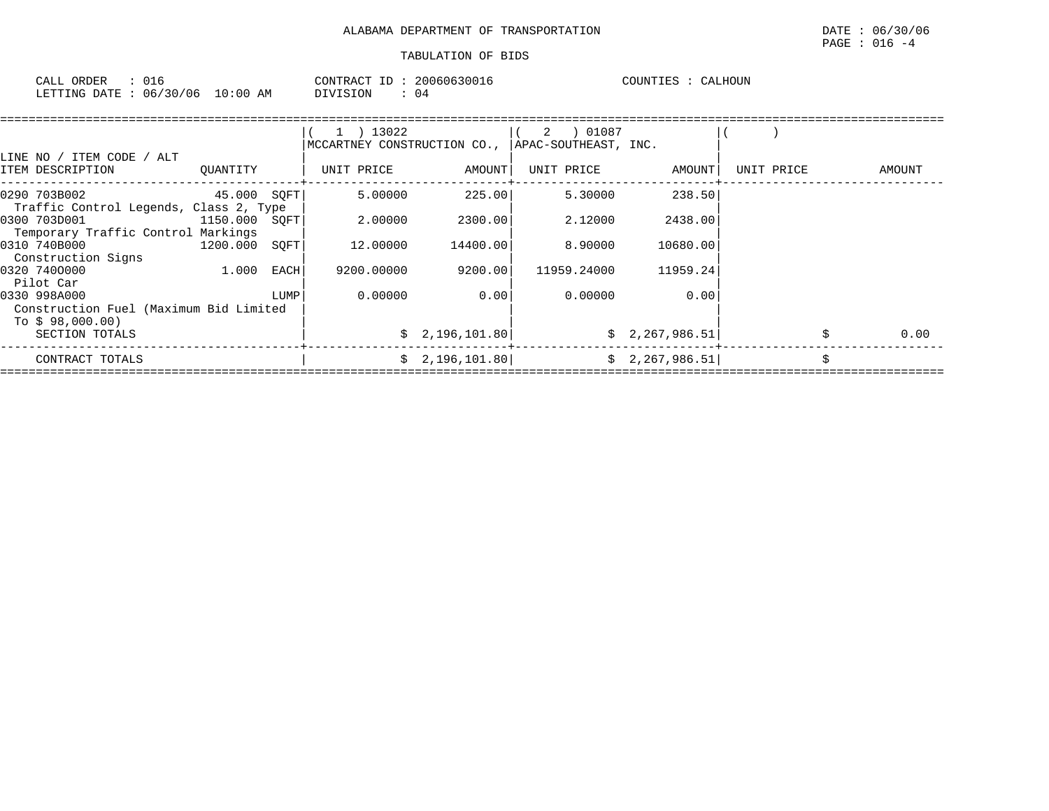| CALL<br>ORDER |       | 20060630016<br>$ -$<br>CONTRACT | CALHOUN<br>COUNTIES |
|---------------|-------|---------------------------------|---------------------|
| 06/30/06      | 10:00 | DIVISION                        |                     |
| LETTING DATE  | AM    | (14)                            |                     |

|                                        |               |      | 1 ) 13022<br>MCCARTNEY CONSTRUCTION CO., |                | APAC-SOUTHEAST, INC. |                 |            |        |      |
|----------------------------------------|---------------|------|------------------------------------------|----------------|----------------------|-----------------|------------|--------|------|
| LINE NO / ITEM CODE / ALT              |               |      |                                          |                |                      |                 |            |        |      |
| ITEM DESCRIPTION                       | OUANTITY      |      | UNIT PRICE                               | AMOUNT         | UNIT PRICE           | AMOUNT          | UNIT PRICE | AMOUNT |      |
| 0290 703B002                           | 45.000 SQFT   |      | 5.00000                                  | 225.00         | 5.30000              | 238.50          |            |        |      |
| Traffic Control Legends, Class 2, Type |               |      |                                          |                |                      |                 |            |        |      |
| 0300 703D001                           | 1150.000 SOFT |      | 2.00000                                  | 2300.00        | 2.12000              | 2438.00         |            |        |      |
| Temporary Traffic Control Markings     |               |      |                                          |                |                      |                 |            |        |      |
| 0310 740B000                           | 1200.000 SOFT |      | 12.00000                                 | 14400.00       | 8,90000              | 10680.00        |            |        |      |
| Construction Signs                     |               |      |                                          |                |                      |                 |            |        |      |
| 0320 7400000                           | 1.000         | EACH | 9200.00000                               | 9200.00        | 11959.24000          | 11959.24        |            |        |      |
| Pilot Car                              |               |      |                                          |                |                      |                 |            |        |      |
| 0330 998A000                           |               | LUMP | 0.00000                                  | 0.001          | 0.00000              | 0.00            |            |        |      |
| Construction Fuel (Maximum Bid Limited |               |      |                                          |                |                      |                 |            |        |      |
| To \$98,000.00)                        |               |      |                                          |                |                      |                 |            |        |      |
| SECTION TOTALS                         |               |      |                                          | \$2,196,101.80 |                      | \$2,267,986.51] |            |        | 0.00 |
| CONTRACT TOTALS                        |               |      |                                          | \$2,196,101.80 |                      | \$2,267,986.51] |            | Ś      |      |
|                                        |               |      |                                          |                |                      |                 |            |        |      |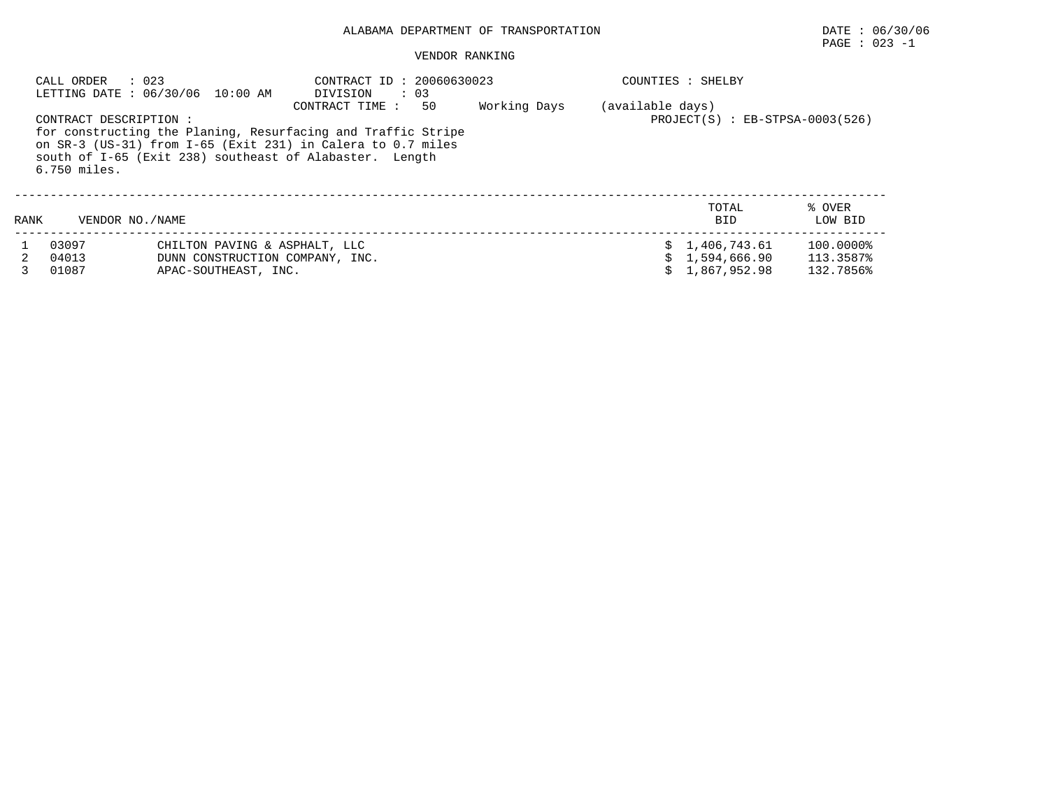## PAGE : 023 -1

|      | : 023<br>CALL ORDER                   | LETTING DATE : 06/30/06 10:00 AM                                                         | CONTRACT ID: 20060630023<br>$\therefore$ 03<br>DIVISION                                                                                                                                                         |              |                  | COUNTIES : SHELBY                                |                                     |
|------|---------------------------------------|------------------------------------------------------------------------------------------|-----------------------------------------------------------------------------------------------------------------------------------------------------------------------------------------------------------------|--------------|------------------|--------------------------------------------------|-------------------------------------|
|      | CONTRACT DESCRIPTION:<br>6.750 miles. |                                                                                          | 50<br>CONTRACT TIME :<br>for constructing the Planing, Resurfacing and Traffic Stripe<br>on SR-3 (US-31) from I-65 (Exit 231) in Calera to 0.7 miles<br>south of I-65 (Exit 238) southeast of Alabaster. Length | Working Days | (available days) | $PROJECT(S) : EB-STPSA-0003(526)$                |                                     |
| RANK | VENDOR NO. / NAME                     |                                                                                          |                                                                                                                                                                                                                 |              |                  | TOTAL<br><b>BID</b>                              | % OVER<br>LOW BID                   |
|      | 03097<br>04013<br>01087               | CHILTON PAVING & ASPHALT, LLC<br>DUNN CONSTRUCTION COMPANY, INC.<br>APAC-SOUTHEAST, INC. |                                                                                                                                                                                                                 |              |                  | \$1,406,743.61<br>\$1,594,666.90<br>1,867,952.98 | 100.0000%<br>113.3587%<br>132.7856% |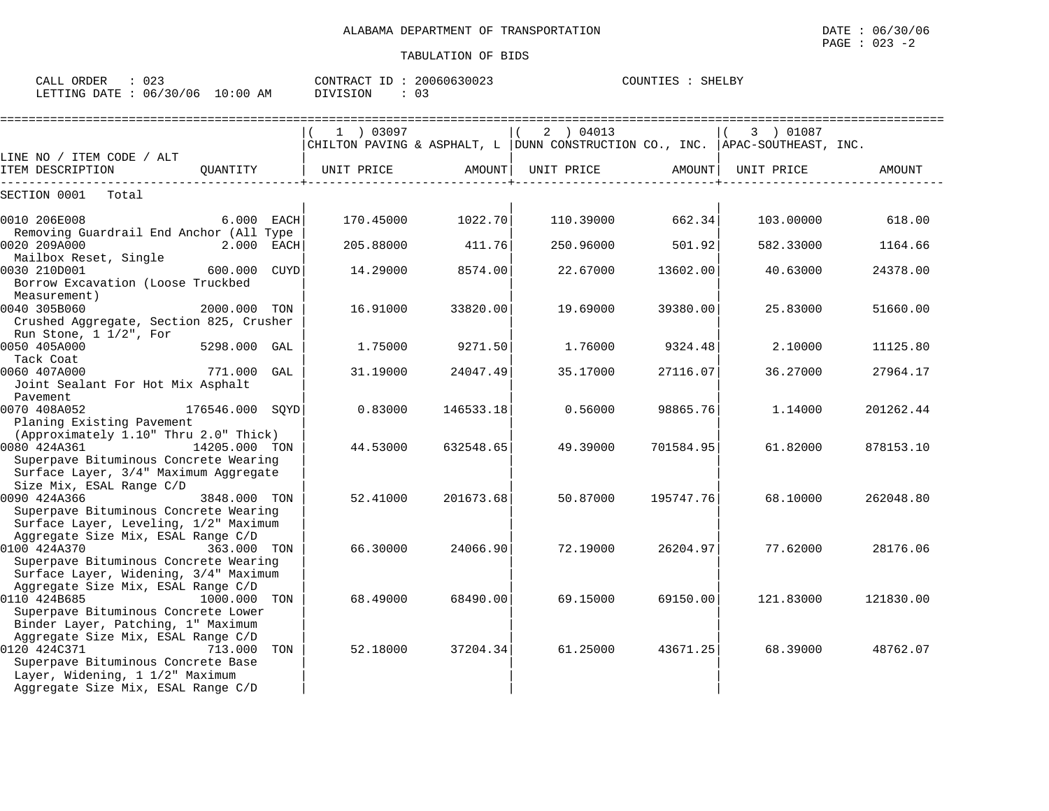| ORDER<br>CALL  | 023                     | 20060630023<br>CONTRACT ID | COUNTIES<br>SHELBY |
|----------------|-------------------------|----------------------------|--------------------|
| LETTING DATE : | 06/30/06<br>10:00<br>AΜ | DIVISION<br>ັບ -           |                    |

|                                                                                                                                                                          |                 |     | $1$ ) 03097           |           | 2 ) 04013<br>CHILTON PAVING & ASPHALT, L   DUNN CONSTRUCTION CO., INC.   APAC-SOUTHEAST, INC. |           | 3 ) 01087  |           |
|--------------------------------------------------------------------------------------------------------------------------------------------------------------------------|-----------------|-----|-----------------------|-----------|-----------------------------------------------------------------------------------------------|-----------|------------|-----------|
| LINE NO / ITEM CODE / ALT<br>ITEM DESCRIPTION                                                                                                                            |                 |     | OUANTITY   UNIT PRICE | AMOUNT    | UNIT PRICE                                                                                    | AMOUNT    | UNIT PRICE | AMOUNT    |
| SECTION 0001<br>Total                                                                                                                                                    |                 |     |                       |           |                                                                                               |           |            |           |
| 0010 206E008                                                                                                                                                             | $6.000$ EACH    |     | 170.45000             | 1022.70   | 110.39000                                                                                     | 662.34    | 103.00000  | 618.00    |
| Removing Guardrail End Anchor (All Type<br>0020 209A000                                                                                                                  | 2.000 EACH      |     | 205.88000             | 411.76    | 250.96000                                                                                     | 501.92    | 582.33000  | 1164.66   |
| Mailbox Reset, Single<br>0030 210D001<br>600.000 CUYD<br>Borrow Excavation (Loose Truckbed                                                                               |                 |     | 14.29000              | 8574.00   | 22.67000                                                                                      | 13602.00  | 40.63000   | 24378.00  |
| Measurement)<br>0040 305B060<br>Crushed Aggregate, Section 825, Crusher                                                                                                  | 2000.000 TON    |     | 16.91000              | 33820.00  | 19.69000                                                                                      | 39380.00  | 25.83000   | 51660.00  |
| Run Stone, $1 \frac{1}{2}$ , For<br>0050 405A000<br>Tack Coat                                                                                                            | 5298.000 GAL    |     | 1.75000               | 9271.50   | 1.76000                                                                                       | 9324.48   | 2.10000    | 11125.80  |
| 0060 407A000<br>Joint Sealant For Hot Mix Asphalt                                                                                                                        | 771.000 GAL     |     | 31.19000              | 24047.49  | 35.17000                                                                                      | 27116.07  | 36.27000   | 27964.17  |
| Pavement<br>0070 408A052<br>Planing Existing Pavement                                                                                                                    | 176546.000 SOYD |     | 0.83000               | 146533.18 | 0.56000                                                                                       | 98865.76  | 1.14000    | 201262.44 |
| (Approximately 1.10" Thru 2.0" Thick)<br>0080 424A361<br>Superpave Bituminous Concrete Wearing<br>Surface Layer, 3/4" Maximum Aggregate                                  | 14205.000 TON   |     | 44.53000              | 632548.65 | 49.39000                                                                                      | 701584.95 | 61.82000   | 878153.10 |
| Size Mix, ESAL Range C/D<br>0090 424A366<br>Superpave Bituminous Concrete Wearing<br>Surface Layer, Leveling, 1/2" Maximum                                               | 3848.000 TON    |     | 52.41000              | 201673.68 | 50.87000                                                                                      | 195747.76 | 68.10000   | 262048.80 |
| Aggregate Size Mix, ESAL Range C/D<br>0100 424A370<br>363.000 TON<br>Superpave Bituminous Concrete Wearing                                                               |                 |     | 66.30000              | 24066.90  | 72.19000                                                                                      | 26204.97  | 77.62000   | 28176.06  |
| Surface Layer, Widening, 3/4" Maximum<br>Aggregate Size Mix, ESAL Range C/D<br>0110 424B685<br>Superpave Bituminous Concrete Lower<br>Binder Layer, Patching, 1" Maximum | 1000.000        | TON | 68.49000              | 68490.00  | 69.15000                                                                                      | 69150.00  | 121.83000  | 121830.00 |
| Aggregate Size Mix, ESAL Range C/D<br>0120 424C371<br>Superpave Bituminous Concrete Base<br>Layer, Widening, 1 1/2" Maximum                                              | 713.000         | TON | 52.18000              | 37204.34  | 61.25000                                                                                      | 43671.25  | 68.39000   | 48762.07  |
| Aggregate Size Mix, ESAL Range C/D                                                                                                                                       |                 |     |                       |           |                                                                                               |           |            |           |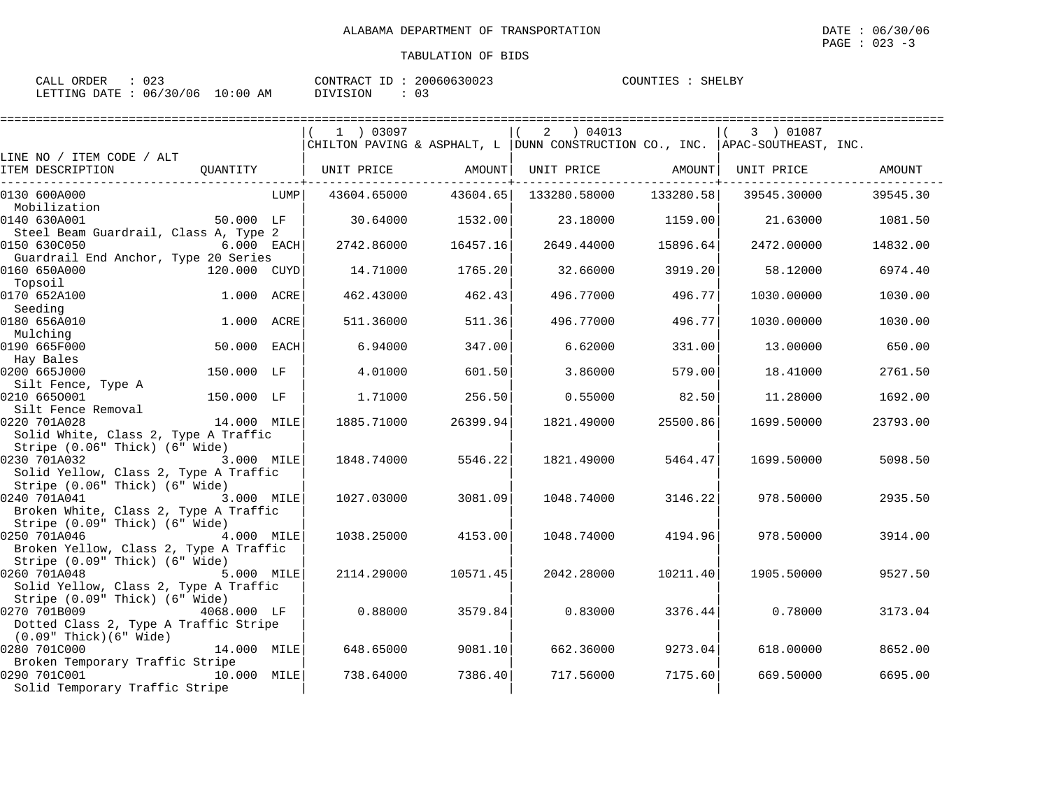| CALL ORDER                      | $\therefore$ 023 |          | CONTRACT ID: 20060630023 | COUNTIES : SHELBY |  |
|---------------------------------|------------------|----------|--------------------------|-------------------|--|
| LETTING DATE: 06/30/06 10:00 AM |                  | DIVISION |                          |                   |  |

|                                                                         |              |      |                              | .========== |                                                                              |           |                   |                  |
|-------------------------------------------------------------------------|--------------|------|------------------------------|-------------|------------------------------------------------------------------------------|-----------|-------------------|------------------|
|                                                                         |              |      | 1 ) 03097                    |             | 2 ) 04013                                                                    |           | 3 ) 01087         |                  |
|                                                                         |              |      |                              |             | CHILTON PAVING & ASPHALT, L DUNN CONSTRUCTION CO., INC. APAC-SOUTHEAST, INC. |           |                   |                  |
| LINE NO / ITEM CODE / ALT                                               |              |      |                              |             |                                                                              |           |                   |                  |
| ITEM DESCRIPTION                                                        |              |      | QUANTITY   UNIT PRICE AMOUNT |             | UNIT PRICE AMOUNT                                                            |           | UNIT PRICE AMOUNT |                  |
| 0130 600A000                                                            |              | LUMP | 43604.65000                  | 43604.65    | 133280.58000                                                                 | 133280.58 | 39545.30000       | 39545.30         |
| Mobilization                                                            |              |      |                              |             |                                                                              |           |                   |                  |
| 0140 630A001                                                            | 50.000 LF    |      | 30.64000                     | 1532.00     | 23.18000                                                                     | 1159.00   |                   | 21.63000 1081.50 |
| Steel Beam Guardrail, Class A, Type 2                                   |              |      |                              |             |                                                                              |           |                   |                  |
| 0150 630C050                                                            | $6.000$ EACH |      | 2742.86000                   | 16457.16    | 2649.44000                                                                   | 15896.64  | 2472.00000        | 14832.00         |
| Guardrail End Anchor, Type 20 Series                                    |              |      |                              |             |                                                                              |           |                   |                  |
| 0160 650A000                                                            | 120.000 CUYD |      | 14.71000                     | 1765.20     | 32.66000                                                                     | 3919.20   | 58.12000          | 6974.40          |
| Topsoil<br>0170 652A100                                                 |              |      |                              |             |                                                                              |           |                   |                  |
| Seeding                                                                 | 1.000 ACRE   |      | 462.43000                    | 462.43      | 496.77000                                                                    | 496.77    | 1030.00000        | 1030.00          |
| 0180 656A010                                                            | 1.000 ACRE   |      | 511,36000                    | 511.36      | 496.77000                                                                    | 496.77    | 1030.00000        | 1030.00          |
| Mulching                                                                |              |      |                              |             |                                                                              |           |                   |                  |
| 0190 665F000                                                            |              |      | 6.94000                      | 347.00      | 6.62000                                                                      | 331.00    | 13.00000          | 650.00           |
| Hay Bales                                                               |              |      |                              |             |                                                                              |           |                   |                  |
| 0200 665J000                                                            | 150.000 LF   |      | 4.01000                      | 601.50      | 3.86000                                                                      | 579.00    | 18.41000          | 2761.50          |
| Silt Fence, Type A                                                      |              |      |                              |             |                                                                              |           |                   |                  |
| 0210 6650001                                                            | 150.000 LF   |      | 1,71000                      | 256.50      | 0.55000                                                                      | 82.50     | 11.28000          | 1692.00          |
| Silt Fence Removal                                                      |              |      |                              |             |                                                                              |           |                   |                  |
| 0220 701A028                                                            | 14.000 MILE  |      | 1885.71000                   | 26399.94    | 1821.49000                                                                   | 25500.86  | 1699.50000        | 23793.00         |
| Solid White, Class 2, Type A Traffic                                    |              |      |                              |             |                                                                              |           |                   |                  |
| Stripe (0.06" Thick) (6" Wide)<br>0230 701A032                          | 3.000 MILE   |      | 1848.74000                   | 5546.22     | 1821.49000                                                                   | 5464.47   | 1699.50000        | 5098.50          |
| Solid Yellow, Class 2, Type A Traffic                                   |              |      |                              |             |                                                                              |           |                   |                  |
| Stripe (0.06" Thick) (6" Wide)                                          |              |      |                              |             |                                                                              |           |                   |                  |
| 0240 701A041                                                            | 3.000 MILE   |      | 1027.03000                   | 3081.09     | 1048.74000                                                                   | 3146.22   | 978.50000         | 2935.50          |
| Broken White, Class 2, Type A Traffic                                   |              |      |                              |             |                                                                              |           |                   |                  |
| Stripe (0.09" Thick) (6" Wide)                                          |              |      |                              |             |                                                                              |           |                   |                  |
| 0250 701A046                                                            | 4.000 MILE   |      | 1038.25000                   | 4153.00     | 1048.74000                                                                   | 4194.96   | 978.50000         | 3914.00          |
| Broken Yellow, Class 2, Type A Traffic                                  |              |      |                              |             |                                                                              |           |                   |                  |
| Stripe (0.09" Thick) (6" Wide)                                          |              |      |                              |             |                                                                              |           |                   |                  |
| 0260 701A048                                                            | 5.000 MILE   |      | 2114.29000                   | 10571.45    | 2042.28000                                                                   | 10211.40  | 1905.50000        | 9527.50          |
| Solid Yellow, Class 2, Type A Traffic<br>Stripe (0.09" Thick) (6" Wide) |              |      |                              |             |                                                                              |           |                   |                  |
| 0270 701B009                                                            | 4068.000 LF  |      | 0.88000                      | 3579.84     | 0.83000                                                                      | 3376.44   | 0.78000           | 3173.04          |
| Dotted Class 2, Type A Traffic Stripe                                   |              |      |                              |             |                                                                              |           |                   |                  |
| (0.09" Thick)(6" Wide)                                                  |              |      |                              |             |                                                                              |           |                   |                  |
| 0280 701C000                                                            | 14.000 MILE  |      | 648.65000                    | 9081.10     | 662.36000                                                                    | 9273.04   | 618,00000         | 8652.00          |
| Broken Temporary Traffic Stripe                                         |              |      |                              |             |                                                                              |           |                   |                  |
| 0290 701C001                                                            | 10.000 MILE  |      | 738.64000                    | 7386.40     | 717.56000                                                                    | 7175.60   | 669.50000         | 6695.00          |
| Solid Temporary Traffic Stripe                                          |              |      |                              |             |                                                                              |           |                   |                  |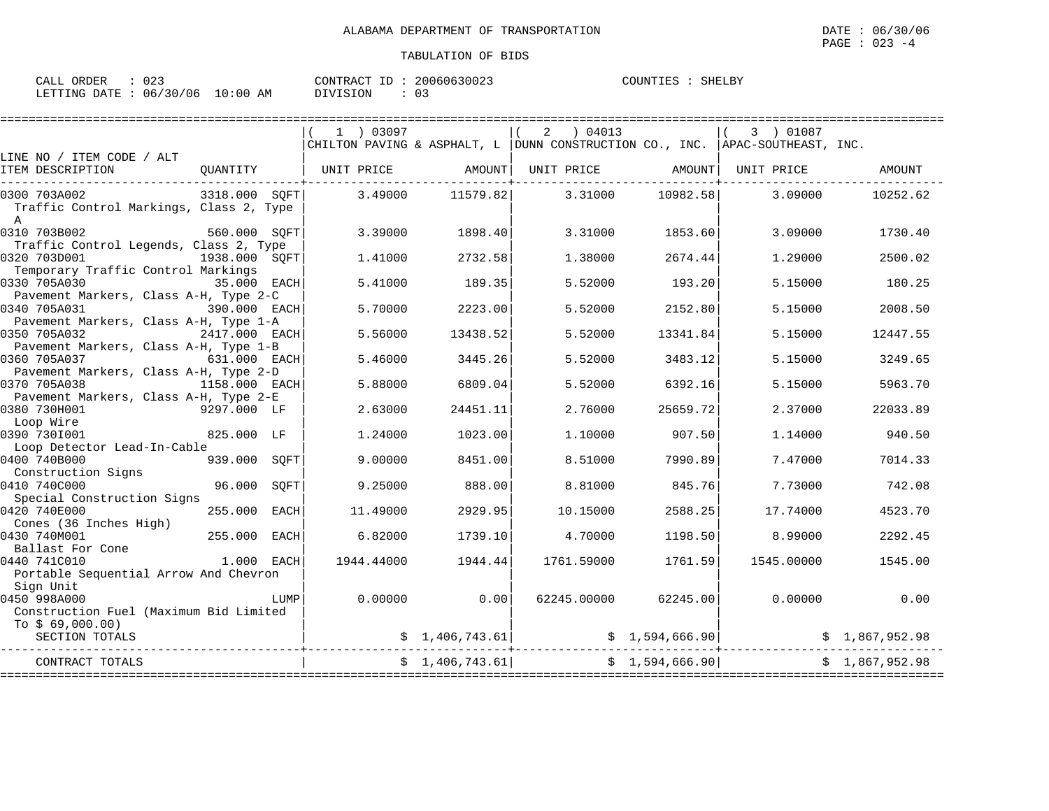| $\therefore$ 023<br>CALL ORDER |                                 | CONTRACT ID: 20060630023 | COUNTIES : SHELBY |
|--------------------------------|---------------------------------|--------------------------|-------------------|
|                                | LETTING DATE: 06/30/06 10:00 AM | DIVISION                 |                   |

|                                                                         |                |            |                  | 2<br>04013                                                                                                                                                     |                 | 3 ) 01087  |                |
|-------------------------------------------------------------------------|----------------|------------|------------------|----------------------------------------------------------------------------------------------------------------------------------------------------------------|-----------------|------------|----------------|
| LINE NO / ITEM CODE / ALT                                               |                |            |                  | CHILTON PAVING & ASPHALT, L DUNN CONSTRUCTION CO., INC. $ $ APAC-SOUTHEAST, INC.                                                                               |                 |            |                |
| ITEM DESCRIPTION<br>QUANTITY                                            |                | UNIT PRICE | AMOUNT           | UNIT PRICE                                                                                                                                                     | AMOUNT          | UNIT PRICE | AMOUNT         |
| 0300 703A002<br>Traffic Control Markings, Class 2, Type<br>$\mathbb{A}$ | 3318.000 SOFT  |            | 3.49000 11579.82 | 3.31000                                                                                                                                                        | 10982.58        | 3,09000    | 10252.62       |
| 0310 703B002<br>Traffic Control Legends, Class 2, Type                  | 560.000 SOFT   | 3.39000    | 1898.40          | 3.31000                                                                                                                                                        | 1853.60         | 3.09000    | 1730.40        |
| 0320 703D001<br>Temporary Traffic Control Markings                      | 1938.000 SOFT  | 1,41000    | 2732.58          | 1.38000                                                                                                                                                        | 2674.44         | 1,29000    | 2500.02        |
| 0330 705A030<br>Pavement Markers, Class A-H, Type 2-C                   | 35.000 EACH    | 5.41000    | 189.35           | 5.52000                                                                                                                                                        | 193.20          | 5.15000    | 180.25         |
| 0340 705A031<br>Pavement Markers, Class A-H, Type 1-A                   | 390.000 EACH   | 5.70000    | 2223.00          | 5.52000                                                                                                                                                        | 2152.80         | 5.15000    | 2008.50        |
| 0350 705A032<br>Pavement Markers, Class A-H, Type 1-B                   | 2417.000 EACH  | 5.56000    | 13438.52         | 5.52000                                                                                                                                                        | 13341.84        | 5.15000    | 12447.55       |
| 0360 705A037<br>631.000 EACH<br>Pavement Markers, Class A-H, Type 2-D   |                | 5.46000    | 3445.26          | 5.52000                                                                                                                                                        | 3483.12         | 5.15000    | 3249.65        |
| 0370 705A038<br>Pavement Markers, Class A-H, Type 2-E                   | 1158.000 EACH  | 5.88000    | 6809.04          | 5.52000                                                                                                                                                        | 6392.16         | 5.15000    | 5963.70        |
| 0380 730H001<br>Loop Wire                                               | 9297.000 LF    | 2.63000    | 24451.11         | 2.76000                                                                                                                                                        | 25659.72        | 2.37000    | 22033.89       |
| 0390 7301001<br>Loop Detector Lead-In-Cable                             | 825.000 LF     | 1.24000    | 1023.00          | 1,10000                                                                                                                                                        | 907.50          | 1,14000    | 940.50         |
| 0400 740B000<br>939.000<br>Construction Signs                           | SOFT           | 9.00000    | 8451.00          | 8.51000                                                                                                                                                        | 7990.89         | 7.47000    | 7014.33        |
| 0410 740C000<br>Special Construction Signs                              | 96.000<br>SOFT | 9.25000    | 888.00           | 8.81000                                                                                                                                                        | 845.76          | 7.73000    | 742.08         |
| 0420 740E000<br>Cones (36 Inches High)                                  | 255.000 EACH   | 11,49000   | 2929.95          | 10.15000                                                                                                                                                       | 2588.25         | 17.74000   | 4523.70        |
| 255.000<br>0430 740M001<br>Ballast For Cone                             | EACH           | 6.82000    | 1739.10          | 4.70000                                                                                                                                                        | 1198.50         | 8,99000    | 2292.45        |
| 0440 741C010<br>Portable Sequential Arrow And Chevron                   | 1.000 EACH     | 1944.44000 | 1944.44          | 1761.59000                                                                                                                                                     | 1761.59         | 1545.00000 | 1545.00        |
| Sian Unit<br>0450 998A000<br>Construction Fuel (Maximum Bid Limited     | LUMP           | 0.00000    | 0.00             | 62245.00000                                                                                                                                                    | 62245.00        | 0.00000    | 0.00           |
| To $$69,000.00)$<br>SECTION TOTALS                                      |                |            |                  | $\begin{array}{cccc} \xi & 1,406,743.61 \end{array}$ $\begin{array}{cccc} \xi & 1,594,666.90 \end{array}$ $\begin{array}{cccc} \xi & 1,867,952.98 \end{array}$ |                 |            |                |
| CONTRACT TOTALS<br>==============================                       |                |            | \$1,406,743.61   |                                                                                                                                                                | \$1,594,666.90] |            | \$1,867,952.98 |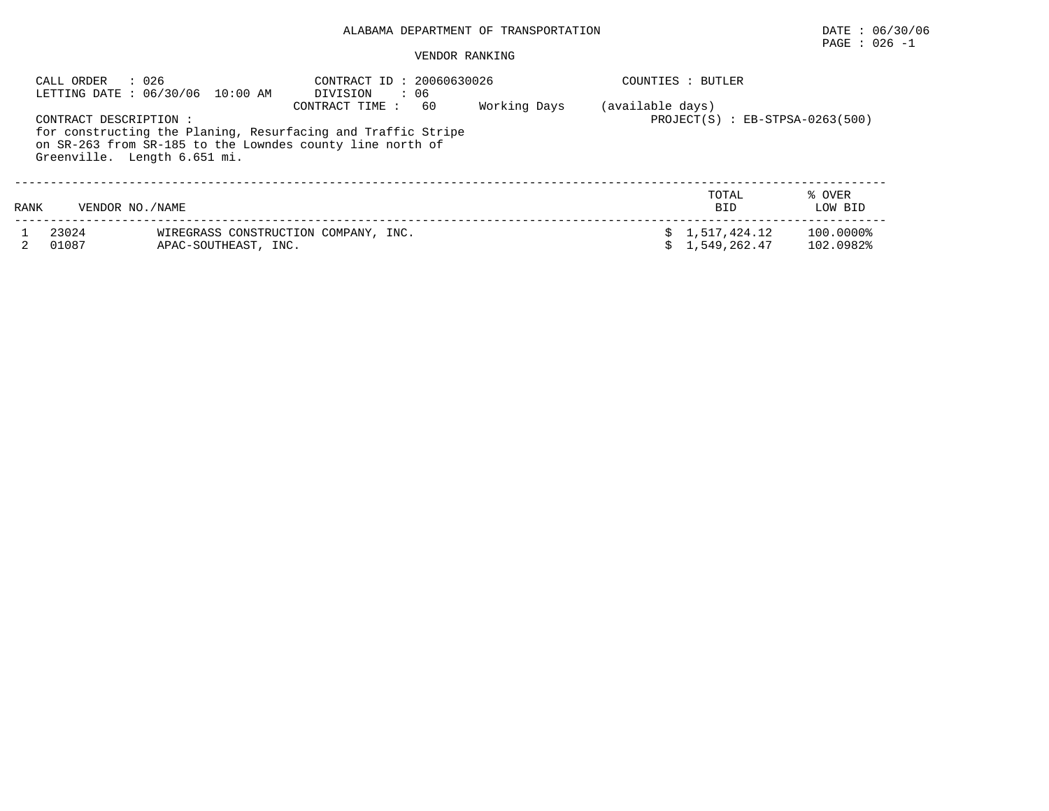# PAGE : 026 -1

| CALL ORDER     | : 026<br>LETTING DATE: 06/30/06 10:00 AM                                                                           | CONTRACT ID: 20060630026<br>DIVISION<br>: 06                                         |              | COUNTIES : BUTLER                                     |                        |  |  |  |
|----------------|--------------------------------------------------------------------------------------------------------------------|--------------------------------------------------------------------------------------|--------------|-------------------------------------------------------|------------------------|--|--|--|
|                | CONTRACT DESCRIPTION:<br>on SR-263 from SR-185 to the Lowndes county line north of<br>Greenville. Length 6.651 mi. | CONTRACT TIME:<br>60<br>for constructing the Planing, Resurfacing and Traffic Stripe | Working Days | (available days)<br>$PROJECT(S) : EB-STPSA-0263(500)$ |                        |  |  |  |
| RANK           | VENDOR NO. / NAME                                                                                                  |                                                                                      |              | TOTAL<br><b>BID</b>                                   | % OVER<br>LOW BID      |  |  |  |
| 23024<br>01087 | APAC-SOUTHEAST, INC.                                                                                               | WIREGRASS CONSTRUCTION COMPANY, INC.                                                 |              | 1,517,424.12<br>1,549,262.47                          | 100.0000%<br>102.0982% |  |  |  |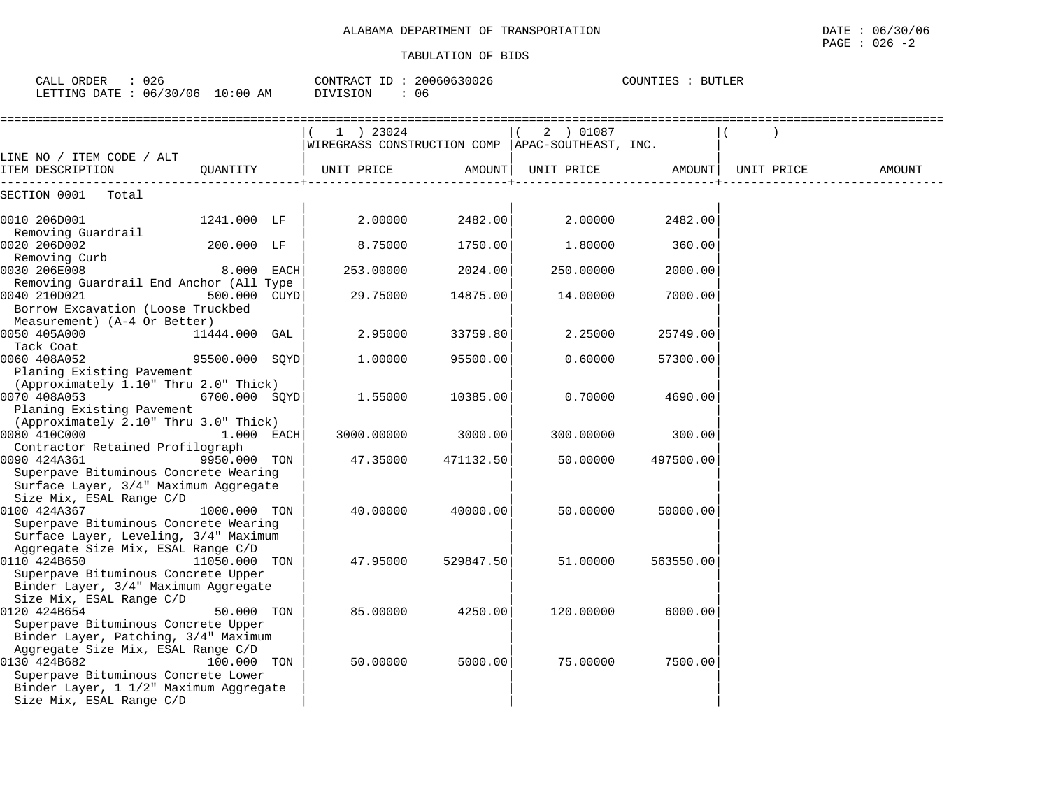| CALL ORDER<br>: 026<br>LETTING DATE : 06/30/06 10:00 AM                 | CONTRACT ID: 20060630026<br>DIVISION | : 06      | COUNTIES : BUTLER                                  |           |            |        |  |
|-------------------------------------------------------------------------|--------------------------------------|-----------|----------------------------------------------------|-----------|------------|--------|--|
|                                                                         | 1 ) 23024                            |           | 2 ) 01087<br>$\sqrt{2}$                            |           |            |        |  |
|                                                                         |                                      |           | WIREGRASS CONSTRUCTION COMP   APAC-SOUTHEAST, INC. |           |            |        |  |
| LINE NO / ITEM CODE / ALT<br>OUANTITY<br>ITEM DESCRIPTION               | UNIT PRICE                           |           | AMOUNT   UNIT PRICE                                | AMOUNT    | UNIT PRICE | AMOUNT |  |
| SECTION 0001 Total                                                      |                                      |           |                                                    |           |            |        |  |
| 0010 206D001<br>1241.000 LF                                             | 2.00000                              | 2482.00   | 2.00000                                            | 2482.00   |            |        |  |
| Removing Guardrail<br>200.000 LF<br>0020 206D002                        | 8.75000                              | 1750.00   | 1.80000                                            | 360.00    |            |        |  |
| Removing Curb                                                           |                                      |           |                                                    |           |            |        |  |
| 0030 206E008<br>8.000 EACH                                              | 253.00000                            | 2024.00   | 250.00000                                          | 2000.00   |            |        |  |
| Removing Guardrail End Anchor (All Type<br>0040 210D021<br>500.000 CUYD | 29.75000                             | 14875.00  | 14.00000                                           | 7000.00   |            |        |  |
| Borrow Excavation (Loose Truckbed                                       |                                      |           |                                                    |           |            |        |  |
| Measurement) (A-4 Or Better)                                            |                                      |           |                                                    |           |            |        |  |
| 0050 405A000<br>11444.000 GAL                                           | 2.95000                              | 33759.80  | 2.25000                                            | 25749.00  |            |        |  |
| Tack Coat                                                               |                                      |           |                                                    |           |            |        |  |
| 95500.000 SQYD<br>0060 408A052                                          | 1,00000                              | 95500.00  | 0.60000                                            | 57300.00  |            |        |  |
| Planing Existing Pavement<br>(Approximately 1.10" Thru 2.0" Thick)      |                                      |           |                                                    |           |            |        |  |
| 0070 408A053<br>6700.000 SQYD                                           | 1.55000                              | 10385.00  | 0.70000                                            | 4690.00   |            |        |  |
| Planing Existing Pavement                                               |                                      |           |                                                    |           |            |        |  |
| (Approximately 2.10" Thru 3.0" Thick)                                   |                                      |           |                                                    |           |            |        |  |
| 0080 410C000<br>1.000 EACH                                              | 3000.00000                           | 3000.00   | 300.00000                                          | 300.00    |            |        |  |
| Contractor Retained Profilograph                                        |                                      |           |                                                    |           |            |        |  |
| 0090 424A361<br>9950.000 TON                                            | 47.35000                             | 471132.50 | 50.00000                                           | 497500.00 |            |        |  |
| Superpave Bituminous Concrete Wearing                                   |                                      |           |                                                    |           |            |        |  |
| Surface Layer, 3/4" Maximum Aggregate                                   |                                      |           |                                                    |           |            |        |  |
| Size Mix, ESAL Range C/D                                                |                                      |           |                                                    |           |            |        |  |
| 0100 424A367<br>1000.000 TON                                            | 40.00000                             | 40000.00  | 50.00000                                           | 50000.00  |            |        |  |
| Superpave Bituminous Concrete Wearing                                   |                                      |           |                                                    |           |            |        |  |
| Surface Layer, Leveling, 3/4" Maximum                                   |                                      |           |                                                    |           |            |        |  |
| Aggregate Size Mix, ESAL Range C/D<br>0110 424B650<br>11050.000 TON     | 47.95000                             | 529847.50 | 51.00000                                           | 563550.00 |            |        |  |
| Superpave Bituminous Concrete Upper                                     |                                      |           |                                                    |           |            |        |  |
| Binder Layer, 3/4" Maximum Aggregate                                    |                                      |           |                                                    |           |            |        |  |
| Size Mix, ESAL Range C/D                                                |                                      |           |                                                    |           |            |        |  |
| 0120 424B654<br>50.000 TON                                              | 85.00000                             | 4250.00   | 120.00000                                          | 6000.00   |            |        |  |
| Superpave Bituminous Concrete Upper                                     |                                      |           |                                                    |           |            |        |  |
| Binder Layer, Patching, 3/4" Maximum                                    |                                      |           |                                                    |           |            |        |  |
| Aggregate Size Mix, ESAL Range C/D                                      |                                      |           |                                                    |           |            |        |  |
| 0130 424B682<br>100.000 TON                                             | 50.00000                             | 5000.00   | 75.00000                                           | 7500.00   |            |        |  |
| Superpave Bituminous Concrete Lower                                     |                                      |           |                                                    |           |            |        |  |
| Binder Layer, 1 1/2" Maximum Aggregate                                  |                                      |           |                                                    |           |            |        |  |
| Size Mix, ESAL Range C/D                                                |                                      |           |                                                    |           |            |        |  |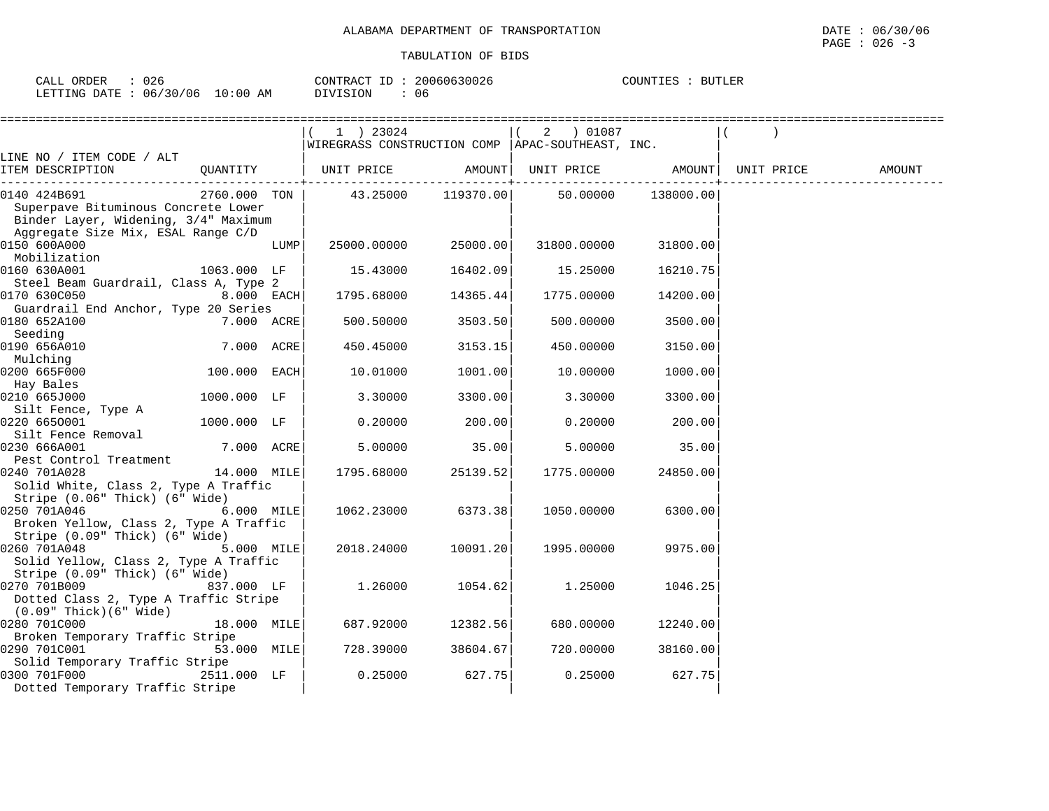| ORDER<br>----<br>ו בז<br>لللدر | $\cap$<br>∪∠6                                                 |                 | ገባNTR Ar<br>$\tau$<br>$\sim$ | 20060630026<br>ろけり | BUTLER<br>COUNT<br>. <del>.</del> |
|--------------------------------|---------------------------------------------------------------|-----------------|------------------------------|--------------------|-----------------------------------|
| T FTTING .<br>⊤י⊓∆ת -          | 706<br>:00<br>$\cap$<br>$\pm 0^{\circ}$<br>06<br>$\epsilon$ 1 | ΑM<br>$\lambda$ | ISION                        | 06                 |                                   |

|                                                                                                                                   |                   |      | 1 ) 23024                                                        |                    | 2 ) 01087          |          |        |
|-----------------------------------------------------------------------------------------------------------------------------------|-------------------|------|------------------------------------------------------------------|--------------------|--------------------|----------|--------|
| LINE NO / ITEM CODE / ALT                                                                                                         |                   |      | WIREGRASS CONSTRUCTION COMP   APAC-SOUTHEAST, INC.               |                    |                    |          |        |
| ITEM DESCRIPTION                                                                                                                  | QUANTITY          |      | UNIT PRICE         AMOUNT  UNIT PRICE         AMOUNT  UNIT PRICE |                    |                    |          | AMOUNT |
| 0140 424B691<br>Superpave Bituminous Concrete Lower<br>Binder Layer, Widening, 3/4" Maximum<br>Aggregate Size Mix, ESAL Range C/D | 2760.000 TON      |      |                                                                  | 43.25000 119370.00 | 50.00000 138000.00 |          |        |
| 0150 600A000<br>Mobilization                                                                                                      |                   | LUMP | 25000.00000                                                      | 25000.00           | 31800.00000        | 31800.00 |        |
| 0160 630A001<br>Steel Beam Guardrail, Class A, Type 2                                                                             | 1063.000 LF       |      | 15.43000                                                         | 16402.09           | 15.25000           | 16210.75 |        |
| 0170 630C050<br>Guardrail End Anchor, Type 20 Series                                                                              | $8.000$ EACH      |      | 1795.68000                                                       | 14365.44           | 1775.00000         | 14200.00 |        |
| 0180 652A100<br>Seeding                                                                                                           | <b>7.000 ACRE</b> |      | 500.50000                                                        | 3503.50            | 500.00000          | 3500.00  |        |
| 0190 656A010<br>Mulching                                                                                                          | 7.000 ACRE        |      | 450.45000                                                        | 3153.15            | 450.00000          | 3150.00  |        |
| 0200 665F000<br>Hay Bales                                                                                                         | $100.000$ EACH    |      | 10.01000                                                         | 1001.00            | 10.00000           | 1000.00  |        |
| 0210 665J000<br>Silt Fence, Type A                                                                                                | 1000.000 LF       |      | 3.30000                                                          | 3300.00            | 3.30000            | 3300.00  |        |
| 0220 6650001<br>Silt Fence Removal                                                                                                | 1000.000 LF       |      | 0.20000                                                          | 200.00             | 0.20000            | 200.00   |        |
| 0230 666A001<br>Pest Control Treatment                                                                                            | $7.000$ ACRE      |      | 5.00000                                                          | 35.00              | 5.00000            | 35.00    |        |
| 0240 701A028<br>Solid White, Class 2, Type A Traffic<br>Stripe (0.06" Thick) (6" Wide)                                            | 14.000 MILE       |      | 1795.68000                                                       | 25139.52           | 1775.00000         | 24850.00 |        |
| 0250 701A046<br>Broken Yellow, Class 2, Type A Traffic<br>Stripe (0.09" Thick) (6" Wide)                                          | $6.000$ MILE      |      | 1062.23000                                                       | 6373.38            | 1050.00000         | 6300.00  |        |
| 0260 701A048<br>Solid Yellow, Class 2, Type A Traffic                                                                             | $5.000$ MILE      |      | 2018.24000                                                       | 10091.20           | 1995.00000         | 9975.00  |        |
| Stripe (0.09" Thick) (6" Wide)<br>0270 701B009<br>Dotted Class 2, Type A Traffic Stripe                                           | 837.000 LF        |      | 1.26000                                                          | 1054.62            | 1,25000            | 1046.25  |        |
| $(0.09"$ Thick $)(6"$ Wide $)$<br>0280 701C000                                                                                    | $18.000$ MILE     |      | 687.92000                                                        | 12382.56           | 680.00000          | 12240.00 |        |
| Broken Temporary Traffic Stripe<br>0290 701C001                                                                                   | 53.000 MILE       |      | 728.39000                                                        | 38604.67           | 720.00000          | 38160.00 |        |
| Solid Temporary Traffic Stripe<br>0300 701F000<br>Dotted Temporary Traffic Stripe                                                 | 2511.000 LF       |      | 0.25000                                                          | 627.75             | 0.25000            | 627.75   |        |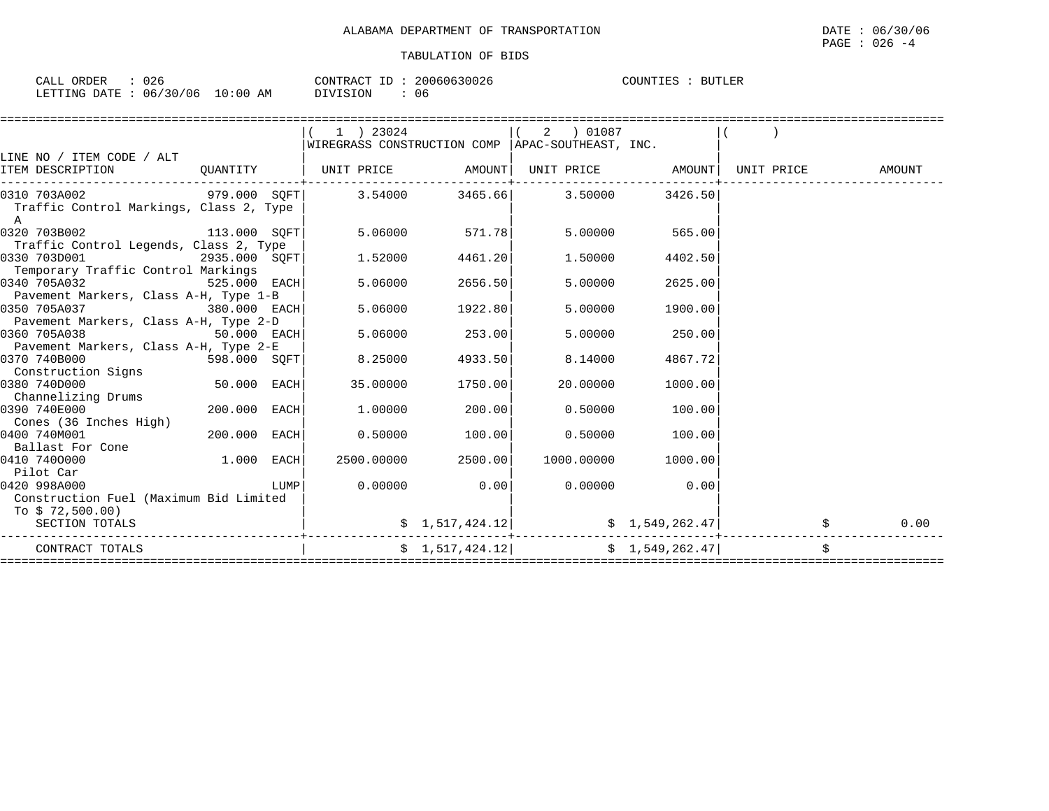| : 026<br>CALL ORDER |                                 | CONTRACT ID: 20060630026 |      | COUNTIES : BUTLER |
|---------------------|---------------------------------|--------------------------|------|-------------------|
|                     | LETTING DATE: 06/30/06 10:00 AM | DIVISION                 | - 06 |                   |

|                                                       |                |      | 1 ) 23024                                          |                 | 2<br>01087                                            |                 |                                     |      |
|-------------------------------------------------------|----------------|------|----------------------------------------------------|-----------------|-------------------------------------------------------|-----------------|-------------------------------------|------|
|                                                       |                |      | WIREGRASS CONSTRUCTION COMP   APAC-SOUTHEAST, INC. |                 |                                                       |                 |                                     |      |
| LINE NO / ITEM CODE / ALT                             |                |      |                                                    |                 |                                                       |                 |                                     |      |
| ITEM DESCRIPTION                                      |                |      | QUANTITY   UNIT PRICE AMOUNT                       |                 |                                                       |                 | UNIT PRICE AMOUNT UNIT PRICE AMOUNT |      |
| 0310 703A002 979.000 SOFT 3.54000                     |                |      |                                                    |                 | 3465.66 3.50000                                       | 3426.50         |                                     |      |
| Traffic Control Markings, Class 2, Type<br>A          |                |      |                                                    |                 |                                                       |                 |                                     |      |
| 0320 703B002                                          | 113.000 SQFT   |      |                                                    | 5.06000 571.78  | 5.00000                                               | 565.00          |                                     |      |
| Traffic Control Legends, Class 2, Type                |                |      |                                                    |                 |                                                       |                 |                                     |      |
| 0330 703D001                                          | 2935.000 SQFT  |      | 1.52000                                            | 4461.20         | 1.50000                                               | 4402.50         |                                     |      |
| Temporary Traffic Control Markings                    |                |      |                                                    |                 |                                                       |                 |                                     |      |
| 0340 705A032                                          | $525.000$ EACH |      | 5.06000                                            | 2656.50         | 5.00000                                               | 2625.00         |                                     |      |
| Pavement Markers, Class A-H, Type 1-B<br>0350 705A037 | $380.000$ EACH |      | 5.06000                                            | 1922.80         | 5.00000                                               | 1900.00         |                                     |      |
| Pavement Markers, Class A-H, Type 2-D                 |                |      |                                                    |                 |                                                       |                 |                                     |      |
| 0360 705A038                                          |                |      | 5.06000                                            | 253.00          | 5.00000                                               | 250.00          |                                     |      |
| Pavement Markers, Class A-H, Type 2-E                 |                |      |                                                    |                 |                                                       |                 |                                     |      |
| 0370 740B000                                          | 598.000 SQFT   |      | 8.25000                                            | 4933.50         | 8.14000                                               | 4867.72         |                                     |      |
| Construction Signs                                    |                |      |                                                    |                 |                                                       |                 |                                     |      |
| 0380 740D000                                          | 50.000 EACH    |      | 35,00000                                           | 1750.00         | 20,00000                                              | 1000.00         |                                     |      |
| Channelizing Drums                                    |                |      |                                                    |                 |                                                       |                 |                                     |      |
| 0390 740E000<br>Cones (36 Inches High)                | 200.000 EACH   |      | 1,00000                                            | 200.00          | 0.50000                                               | 100.00          |                                     |      |
| 0400 740M001                                          | 200.000 EACH   |      | 0.50000                                            | 100.00          | 0.50000                                               | 100.00          |                                     |      |
| Ballast For Cone                                      |                |      |                                                    |                 |                                                       |                 |                                     |      |
| 0410 7400000                                          | 1.000          | EACH | 2500.00000                                         | 2500.00         | 1000.00000                                            | 1000.00         |                                     |      |
| Pilot Car                                             |                |      |                                                    |                 |                                                       |                 |                                     |      |
| 0420 998A000                                          |                | LUMP | 0.00000                                            | 0.00            | 0.00000                                               | 0.00            |                                     |      |
| Construction Fuel (Maximum Bid Limited                |                |      |                                                    |                 |                                                       |                 |                                     |      |
| To \$72,500.00)                                       |                |      |                                                    |                 |                                                       |                 |                                     |      |
| SECTION TOTALS                                        |                |      |                                                    | \$1,517,424.12] |                                                       | \$1,549,262.47] |                                     | 0.00 |
| CONTRACT TOTALS                                       |                |      |                                                    |                 | $\frac{1}{5}$ 1,517,424.12 $\frac{1}{5}$ 1,549,262.47 |                 |                                     |      |
|                                                       |                |      |                                                    |                 |                                                       |                 |                                     |      |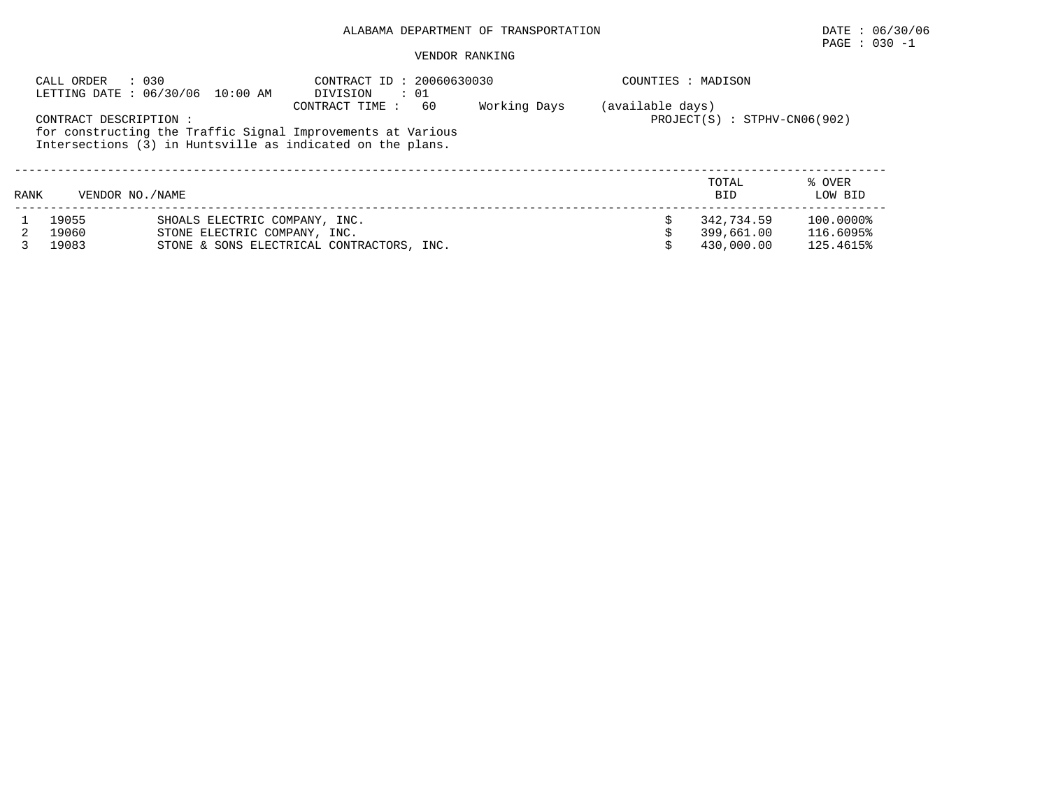PAGE : 030 -1

## VENDOR RANKING

| : 030<br>CALL ORDER<br>LETTING DATE: 06/30/06 10:00 AM |                        |                                                               | DIVISION<br>$\cdot$ 01                                                                                                                            | CONTRACT ID: 20060630030 |                  |                                | COUNTIES : MADISON     |  |  |  |  |
|--------------------------------------------------------|------------------------|---------------------------------------------------------------|---------------------------------------------------------------------------------------------------------------------------------------------------|--------------------------|------------------|--------------------------------|------------------------|--|--|--|--|
|                                                        | CONTRACT DESCRIPTION : |                                                               | 60<br>CONTRACT TIME:<br>for constructing the Traffic Signal Improvements at Various<br>Intersections (3) in Huntsville as indicated on the plans. | Working Days             | (available days) | $PROJECT(S) : STPHV-CN06(902)$ |                        |  |  |  |  |
| RANK                                                   | VENDOR NO./NAME        |                                                               |                                                                                                                                                   |                          |                  | TOTAL<br><b>BID</b>            | % OVER<br>LOW BID      |  |  |  |  |
|                                                        | 19055<br>19060         | SHOALS ELECTRIC COMPANY, INC.<br>STONE ELECTRIC COMPANY, INC. |                                                                                                                                                   |                          |                  | 342,734.59<br>399,661.00       | 100.0000%<br>116.6095% |  |  |  |  |

3 19083 STONE & SONS ELECTRICAL CONTRACTORS, INC. \$ 430,000.00 125.4615%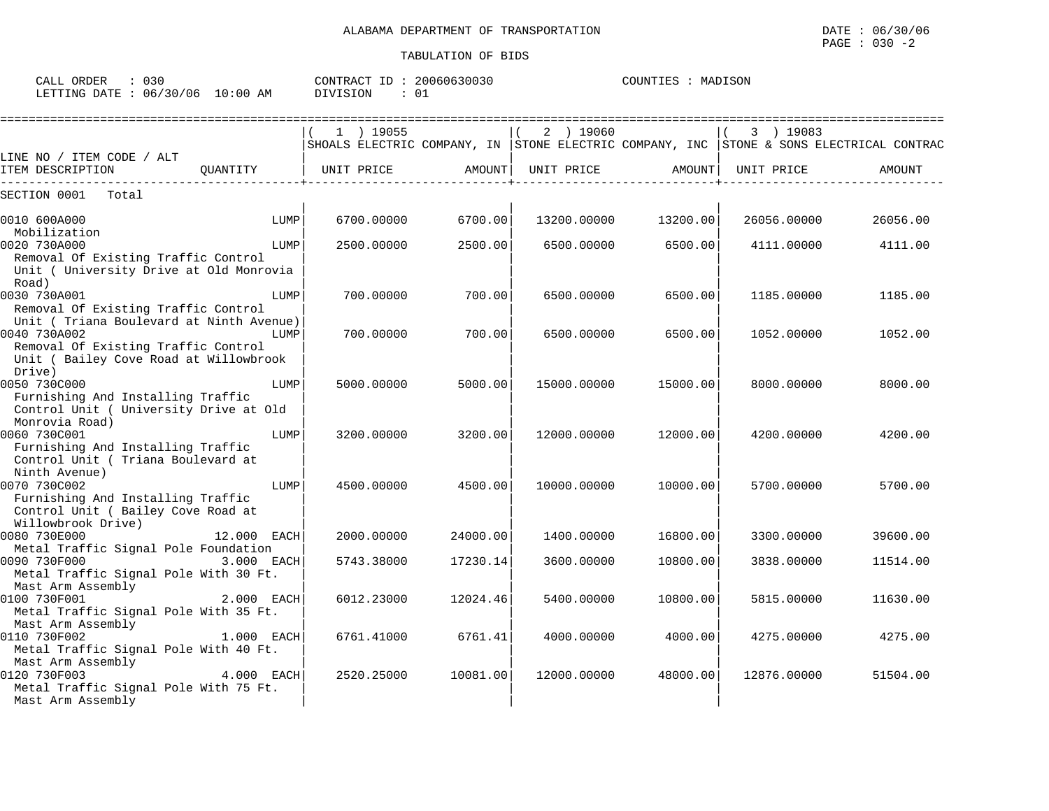CALL ORDER : 030 CONTRACT ID : 20060630030 COUNTIES : MADISON

Drive)  $|$ 

Monrovia Road) | | |

Ninth Avenue) | | |

Mast Arm Assembly | | |

Mast Arm Assembly | | |

Removal Of Existing Traffic Control Unit ( Bailey Cove Road at Willowbrook<br>Drive)

Furnishing And Installing Traffic Control Unit ( University Drive at Old

Furnishing And Installing Traffic Control Unit ( Triana Boulevard at

Furnishing And Installing Traffic Control Unit ( Bailey Cove Road at

Metal Traffic Signal Pole Foundation

Metal Traffic Signal Pole With 30 Ft.

Metal Traffic Signal Pole With 35 Ft.

Metal Traffic Signal Pole With 40 Ft.

Metal Traffic Signal Pole With 75 Ft.

Willowbrook Drive)

Mast Arm Assembly | | |

Mast Arm Assembly

| LETTING DATE: 06/30/06 10:00 AM                     |          | : 01<br>DIVISION                     |         |             |          |             |                                                              |
|-----------------------------------------------------|----------|--------------------------------------|---------|-------------|----------|-------------|--------------------------------------------------------------|
|                                                     |          | 19055<br>SHOALS ELECTRIC COMPANY, IN |         | 2 ) 19060   |          | 19083       | STONE ELECTRIC COMPANY, INC  STONE & SONS ELECTRICAL CONTRAC |
| LINE NO / ITEM CODE / ALT<br>ITEM DESCRIPTION       | OUANTITY | UNIT PRICE                           | AMOUNT  | UNIT PRICE  | AMOUNT   | UNIT PRICE  | AMOUNT                                                       |
| SECTION 0001<br>Total                               |          |                                      |         |             |          |             |                                                              |
| 0010 600A000<br>Mobilization                        | LUMP     | 6700.00000                           | 6700.00 | 13200.00000 | 13200.00 | 26056.00000 | 26056.00                                                     |
| 0020 730A000<br>Removal Of Existing Traffic Control | LUMP     | 2500.00000                           | 2500.00 | 6500.00000  | 6500.00  | 4111.00000  | 4111.00                                                      |
| Unit ( University Drive at Old Monrovia<br>Road)    |          |                                      |         |             |          |             |                                                              |
| 0030 730A001<br>Removal Of Existing Traffic Control | LUMP     | 700.00000                            | 700.00  | 6500,00000  | 6500.00  | 1185.00000  | 1185.00                                                      |
| Unit ( Triana Boulevard at Ninth Avenue)            |          |                                      |         |             |          |             |                                                              |
| 0040 730A002                                        | LUMP     | 700.00000                            | 700.00  | 6500.00000  | 6500.00  | 1052.00000  | 1052.00                                                      |

0050 730C000 LUMP| 5000.00000 5000.00| 15000.00000 15000.00| 8000.00000 8000.00

0060 730C001 LUMP| 3200.00000 3200.00| 12000.00000 12000.00| 4200.00000 4200.00

0070 730C002 LUMP| 4500.00000 4500.00| 10000.00000 10000.00| 5700.000000 5700.00

0080 730E000 12.000 EACH| 2000.00000 24000.00| 1400.00000 16800.00| 3300.00000 39600.00

0090 730F000 3.000 EACH| 5743.38000 17230.14| 3600.00000 10800.00| 3838.00000 11514.00

0100 730F001 2.000 EACH| 6012.23000 12024.46| 5400.00000 10800.00| 5815.00000 11630.00

0110 730F002 1.000 EACH| 6761.41000 6761.41| 4000.00000 4000.00| 4275.00000 4275.00

0120 730F003 4.000 EACH| 2520.25000 10081.00| 12000.00000 48000.00| 12876.00000 51504.00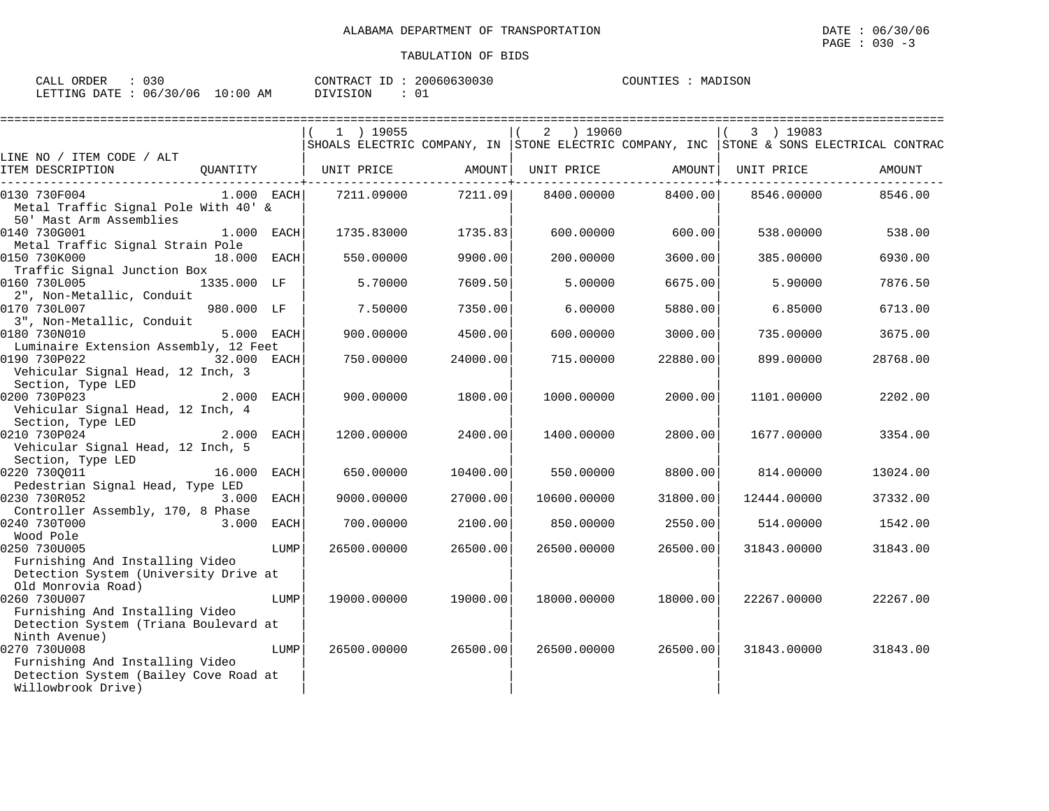| ORDER<br>CALL<br>030       |             | 20060630030<br>CONTRACT<br>TD. | MADISON<br>COUNTIES |
|----------------------------|-------------|--------------------------------|---------------------|
| 06/30/06<br>LETTING DATE : | 10:00<br>AM | ⌒<br>DIVISION                  |                     |

|                                                                                                 |      | ------------------------------------- |                                                   |              |                                             |             | =======================                                                                 |
|-------------------------------------------------------------------------------------------------|------|---------------------------------------|---------------------------------------------------|--------------|---------------------------------------------|-------------|-----------------------------------------------------------------------------------------|
|                                                                                                 |      | $1$ ) 19055                           |                                                   | ) 19060<br>2 |                                             | 3 ) 19083   |                                                                                         |
| LINE NO / ITEM CODE / ALT                                                                       |      |                                       |                                                   |              |                                             |             | SHOALS ELECTRIC COMPANY, IN STONE ELECTRIC COMPANY, INC STONE & SONS ELECTRICAL CONTRAC |
| ITEM DESCRIPTION                                                                                |      | QUANTITY   UNIT PRICE AMOUNT          | . _ _ _ _ _ _ _ _ _ _ _ _ _ _ _ _ _ _ + _ _ _ _ _ |              | UNIT PRICE AMOUNT<br>---------------+------ | UNIT PRICE  | AMOUNT                                                                                  |
| 0130 730F004<br>$1.000$ EACH<br>Metal Traffic Signal Pole With 40' &<br>50' Mast Arm Assemblies |      | 7211.09000                            | 7211.09                                           | 8400.00000   | 8400.00                                     | 8546.00000  | 8546.00                                                                                 |
| 0140 730G001<br>1.000 EACH<br>Metal Traffic Signal Strain Pole                                  |      | 1735.83000                            | 1735.83                                           | 600.00000    | 600.00                                      | 538.00000   | 538.00                                                                                  |
| 0150 730K000<br>18.000 EACH<br>Traffic Signal Junction Box                                      |      | 550.00000                             | 9900.00                                           | 200.00000    | 3600.00                                     | 385.00000   | 6930.00                                                                                 |
| 0160 730L005<br>1335.000 LF<br>2", Non-Metallic, Conduit                                        |      | 5.70000                               | 7609.50                                           | 5.00000      | 6675.00                                     | 5.90000     | 7876.50                                                                                 |
| 0170 730L007<br>980.000 LF<br>3", Non-Metallic, Conduit                                         |      | 7.50000                               | 7350.00                                           | 6.00000      | 5880.00                                     | 6.85000     | 6713.00                                                                                 |
| 0180 730N010<br>5.000 EACH<br>Luminaire Extension Assembly, 12 Feet                             |      | 900.00000                             | 4500.00                                           | 600.00000    | 3000.00                                     | 735.00000   | 3675.00                                                                                 |
| 0190 730P022<br>32.000 EACH<br>Vehicular Signal Head, 12 Inch, 3<br>Section, Type LED           |      | 750.00000                             | 24000.00                                          | 715.00000    | 22880.00                                    | 899,00000   | 28768.00                                                                                |
| 2.000 EACH<br>0200 730P023<br>Vehicular Signal Head, 12 Inch, 4<br>Section, Type LED            |      | 900.00000                             | 1800.00                                           | 1000.00000   | 2000.00                                     | 1101.00000  | 2202.00                                                                                 |
| 0210 730P024<br>2.000 EACH<br>Vehicular Signal Head, 12 Inch, 5<br>Section, Type LED            |      | 1200.00000                            | 2400.00                                           | 1400.00000   | 2800.00                                     | 1677.00000  | 3354.00                                                                                 |
| 16.000 EACH<br>0220 7300011<br>Pedestrian Signal Head, Type LED                                 |      | 650.00000                             | 10400.00                                          | 550.00000    | 8800.00                                     | 814.00000   | 13024.00                                                                                |
| 3.000 EACH<br>0230 730R052<br>Controller Assembly, 170, 8 Phase                                 |      | 9000.00000                            | 27000.00                                          | 10600.00000  | 31800.00                                    | 12444.00000 | 37332.00                                                                                |
| 0240 730T000<br>3.000 EACH<br>Wood Pole                                                         |      | 700.00000                             | 2100.00                                           | 850.00000    | 2550.00                                     | 514.00000   | 1542.00                                                                                 |
| 0250 730U005<br>Furnishing And Installing Video                                                 | LUMP | 26500.00000                           | 26500.00                                          | 26500.00000  | 26500.00                                    | 31843.00000 | 31843.00                                                                                |
| Detection System (University Drive at<br>Old Monrovia Road)<br>0260 730U007                     | LUMP | 19000.00000                           | 19000.00                                          | 18000.00000  | 18000.00                                    | 22267.00000 | 22267.00                                                                                |
| Furnishing And Installing Video<br>Detection System (Triana Boulevard at<br>Ninth Avenue)       |      |                                       |                                                   |              |                                             |             |                                                                                         |
| 0270 730U008<br>Furnishing And Installing Video<br>Detection System (Bailey Cove Road at        | LUMP | 26500.00000                           | 26500.00                                          | 26500.00000  | 26500.00                                    | 31843.00000 | 31843.00                                                                                |
| Willowbrook Drive)                                                                              |      |                                       |                                                   |              |                                             |             |                                                                                         |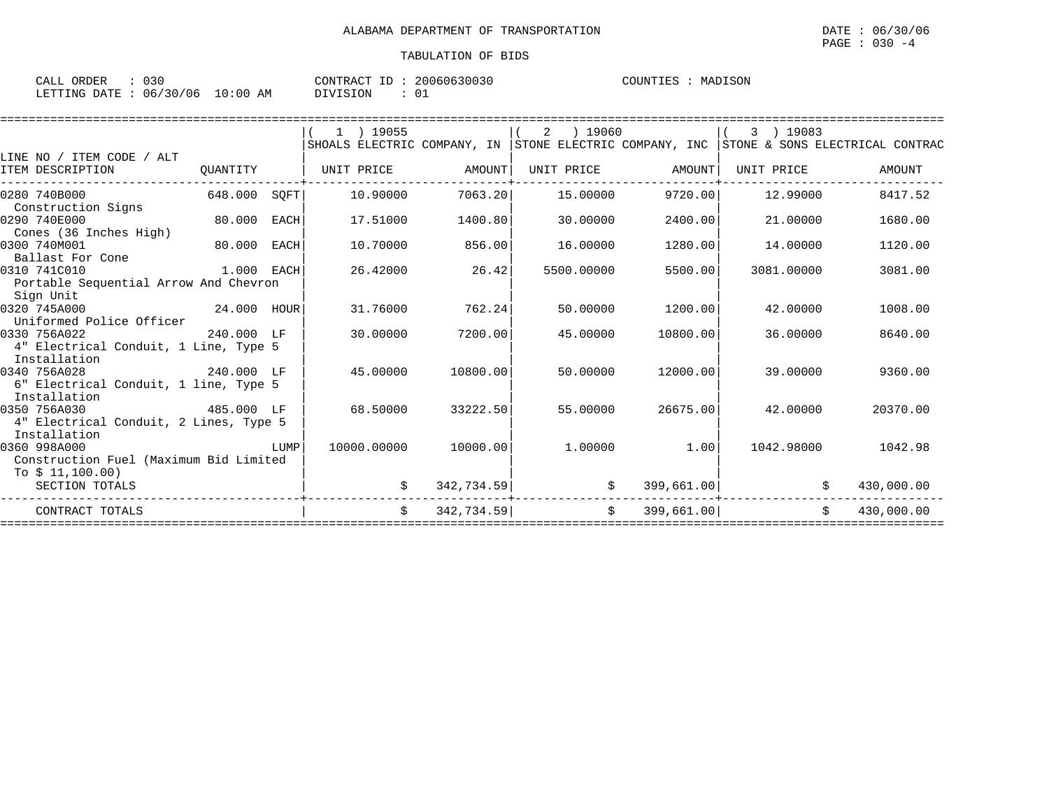| $\sim$ $\sim$ $\sim$<br>ORDER<br>ـ ىلىلىك | $\sim$ $\sim$ $\sim$<br>U 3 U | 20060630030<br>T <sub>D</sub><br>CONTRACT<br>⊥ | COUNTIES<br>MADISON |
|-------------------------------------------|-------------------------------|------------------------------------------------|---------------------|
| LETTING DATE                              | 06/30/06<br>10:00<br>AM       | DIVISION<br>ັັັ                                |                     |

|                                                         |              |             | $1$ ) 19055   |            | ) 19060<br>2    |            | 3 ) 19083    |                                                                                         |
|---------------------------------------------------------|--------------|-------------|---------------|------------|-----------------|------------|--------------|-----------------------------------------------------------------------------------------|
|                                                         |              |             |               |            |                 |            |              | SHOALS ELECTRIC COMPANY, IN STONE ELECTRIC COMPANY, INC STONE & SONS ELECTRICAL CONTRAC |
| LINE NO / ITEM CODE / ALT<br>ITEM DESCRIPTION           | OUANTITY     |             | UNIT PRICE    | AMOUNT     | UNIT PRICE      | AMOUNT     | UNIT PRICE   | AMOUNT                                                                                  |
| 0280 740B000                                            | 648.000 SOFT |             | 10.90000      | 7063.20    | 15.00000        | 9720.00    | 12.99000     | 8417.52                                                                                 |
| Construction Signs<br>0290 740E000                      | 80.000       | EACH        | 17.51000      | 1400.80    | 30.00000        | 2400.00    | 21.00000     | 1680.00                                                                                 |
| Cones (36 Inches High)<br>0300 740M001                  | 80.000       | <b>EACH</b> | 10.70000      | 856.00     | 16.00000        | 1280.00    | 14.00000     | 1120.00                                                                                 |
| Ballast For Cone<br>0310 741C010<br>1.000 EACH          |              |             | 26.42000      | 26.42      | 5500.00000      | 5500.00    | 3081,00000   | 3081.00                                                                                 |
| Portable Sequential Arrow And Chevron<br>Sign Unit      |              |             |               |            |                 |            |              |                                                                                         |
| 24.000 HOUR<br>0320 745A000<br>Uniformed Police Officer |              |             | 31.76000      | 762.24     | 50.00000        | 1200.00    | 42.00000     | 1008.00                                                                                 |
| 0330 756A022<br>4" Electrical Conduit, 1 Line, Type 5   | 240.000 LF   |             | 30.00000      | 7200.00    | 45.00000        | 10800.00   | 36,00000     | 8640.00                                                                                 |
| Installation                                            |              |             |               |            |                 |            |              |                                                                                         |
| 0340 756A028<br>6" Electrical Conduit, 1 line, Type 5   | 240.000 LF   |             | 45.00000      | 10800.00   | 50.00000        | 12000.00   | 39,00000     | 9360.00                                                                                 |
| Installation<br>485.000 LF<br>0350 756A030              |              |             | 68.50000      | 33222.50   | 55.00000        | 26675.00   | 42.00000     | 20370.00                                                                                |
| 4" Electrical Conduit, 2 Lines, Type 5<br>Installation  |              |             |               |            |                 |            |              |                                                                                         |
| 0360 998A000<br>Construction Fuel (Maximum Bid Limited  |              | LUMP        | 10000.00000   | 10000.00   | 1,00000         | 1.00       | 1042.98000   | 1042.98                                                                                 |
| To $$11,100.00)$<br>SECTION TOTALS                      |              |             |               | 342,734.59 | \$              | 399,661.00 | \$           | 430,000.00                                                                              |
| CONTRACT TOTALS                                         |              |             | $\mathcal{S}$ | 342,734.59 | .<br>$\ddot{s}$ | 399,661.00 | $\mathsf{S}$ | 430,000.00                                                                              |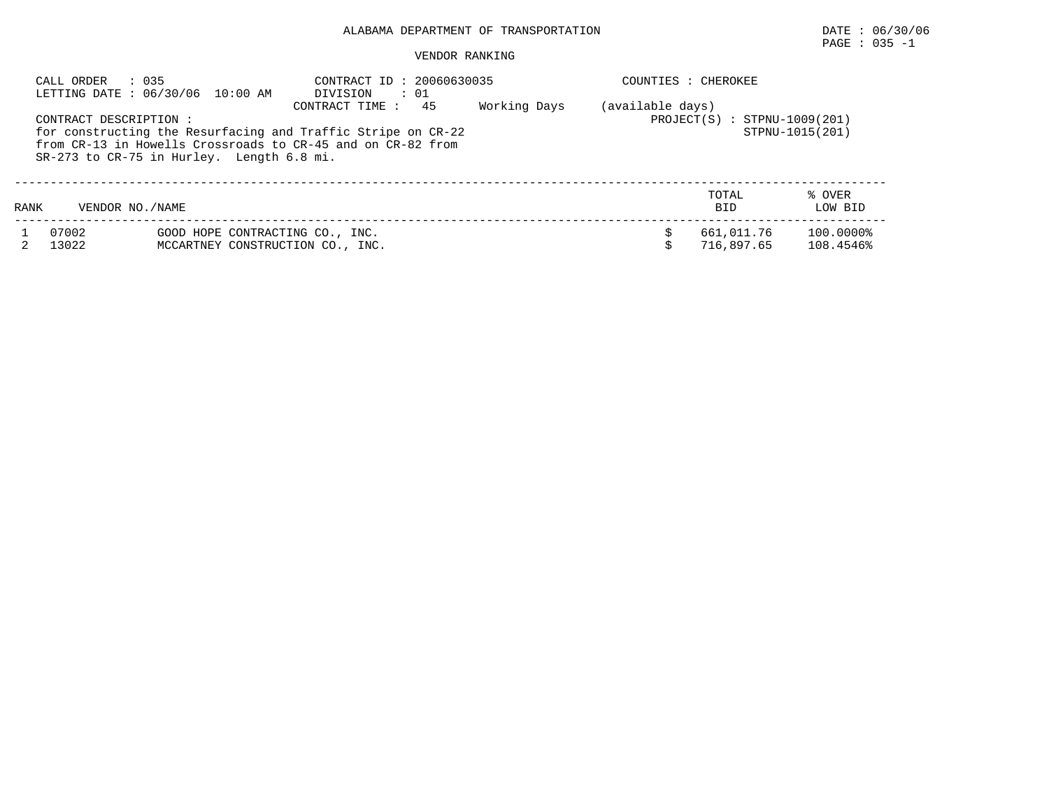# $\texttt{PAGE}$  : 035 -1

|      | : 035<br>CALL ORDER   | LETTING DATE : 06/30/06 10:00 AM                                    | CONTRACT ID: 20060630035<br>DIVISION<br>: 01                                                                                                              | COUNTIES : CHEROKEE |                  |                                |                        |
|------|-----------------------|---------------------------------------------------------------------|-----------------------------------------------------------------------------------------------------------------------------------------------------------|---------------------|------------------|--------------------------------|------------------------|
|      | CONTRACT DESCRIPTION: | $SR-273$ to $CR-75$ in Hurley. Length 6.8 mi.                       | 45<br>CONTRACT TIME:<br>for constructing the Resurfacing and Traffic Stripe on CR-22<br>from $CR-13$ in Howells Crossroads to $CR-45$ and on $CR-82$ from | Working Days        | (available days) | $PROJECT(S) : STPNU-1009(201)$ | STPNU-1015(201)        |
| RANK | VENDOR NO./NAME       |                                                                     |                                                                                                                                                           |                     |                  | TOTAL<br><b>BID</b>            | % OVER<br>LOW BID      |
|      | 07002<br>13022        | GOOD HOPE CONTRACTING CO., INC.<br>MCCARTNEY CONSTRUCTION CO., INC. |                                                                                                                                                           |                     |                  | 661,011.76<br>716.897.65       | 100.0000%<br>108.4546% |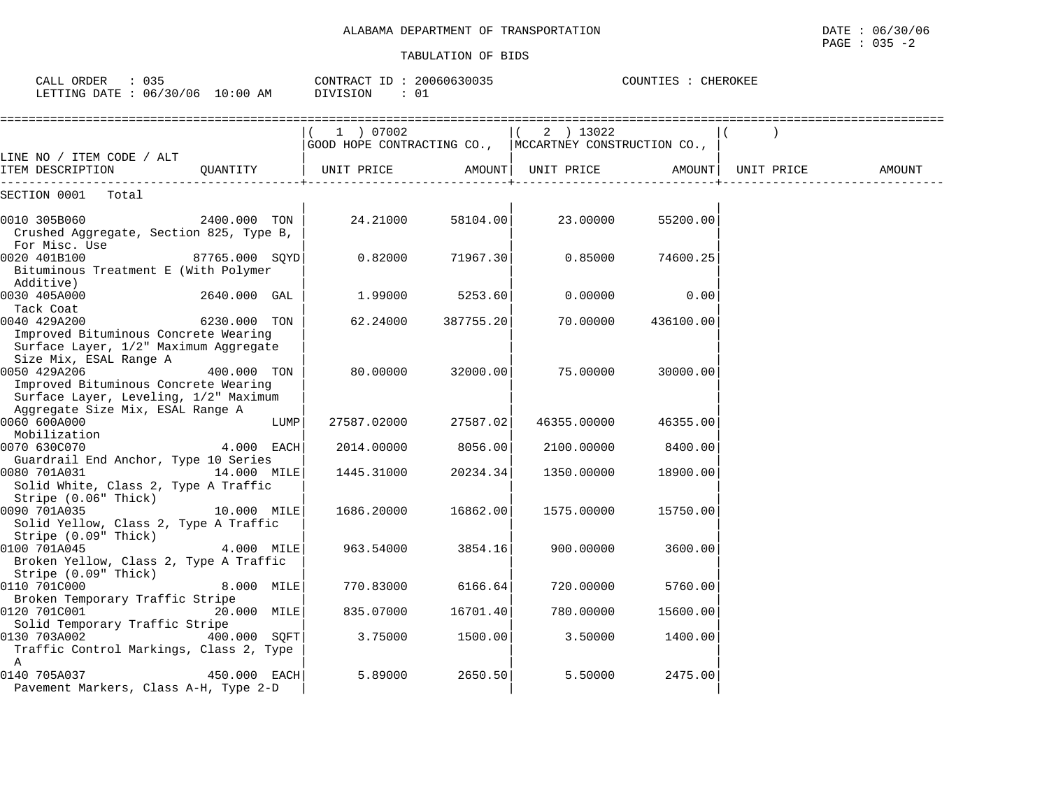| CALL ORDER : 035<br>LETTING DATE : 06/30/06 10:00 AM                                                                                   | CONTRACT ID: 20060630035<br>DIVISION<br>: 01                         |           | COUNTIES : CHEROKEE |                    |  |        |  |
|----------------------------------------------------------------------------------------------------------------------------------------|----------------------------------------------------------------------|-----------|---------------------|--------------------|--|--------|--|
|                                                                                                                                        | 1 ) 07002<br>GOOD HOPE CONTRACTING CO.,  MCCARTNEY CONSTRUCTION CO., |           |                     | 2 ) 13022          |  |        |  |
| LINE NO / ITEM CODE / ALT<br>QUANTITY<br>ITEM DESCRIPTION                                                                              | UNIT PRICE                                                           |           | AMOUNT  UNIT PRICE  | AMOUNT  UNIT PRICE |  | AMOUNT |  |
| SECTION 0001 Total                                                                                                                     |                                                                      |           |                     |                    |  |        |  |
| 0010 305B060<br>2400.000 TON<br>Crushed Aggregate, Section 825, Type B,<br>For Misc. Use                                               | 24.21000                                                             | 58104.00  | 23.00000            | 55200.00           |  |        |  |
| 0020 401B100<br>87765.000 SQYD<br>Bituminous Treatment E (With Polymer<br>Additive)                                                    | 0.82000                                                              | 71967.30  | 0.85000             | 74600.25           |  |        |  |
| 0030 405A000<br>2640.000 GAL<br>Tack Coat                                                                                              | 1.99000                                                              | 5253.60   | 0.00000             | 0.00               |  |        |  |
| 0040 429A200<br>6230.000 TON<br>Improved Bituminous Concrete Wearing<br>Surface Layer, 1/2" Maximum Aggregate                          | 62.24000                                                             | 387755.20 | 70.00000            | 436100.00          |  |        |  |
| Size Mix, ESAL Range A<br>0050 429A206<br>400.000 TON<br>Improved Bituminous Concrete Wearing<br>Surface Layer, Leveling, 1/2" Maximum | 80.00000                                                             | 32000.00  | 75.00000            | 30000.00           |  |        |  |
| Aggregate Size Mix, ESAL Range A<br>0060 600A000<br>LUMP                                                                               | 27587.02000                                                          | 27587.02  | 46355.00000         | 46355.00           |  |        |  |
| Mobilization<br>0070 630C070<br>4.000 EACH                                                                                             | 2014.00000                                                           | 8056.00   | 2100.00000          | 8400.00            |  |        |  |
| Guardrail End Anchor, Type 10 Series<br>0080 701A031<br>14.000 MILE<br>Solid White, Class 2, Type A Traffic<br>Stripe (0.06" Thick)    | 1445.31000                                                           | 20234.34  | 1350.00000          | 18900.00           |  |        |  |
| 0090 701A035<br>10.000 MILE<br>Solid Yellow, Class 2, Type A Traffic<br>Stripe (0.09" Thick)                                           | 1686.20000                                                           | 16862.00  | 1575.00000          | 15750.00           |  |        |  |
| 0100 701A045<br>4.000 MILE<br>Broken Yellow, Class 2, Type A Traffic<br>Stripe (0.09" Thick)                                           | 963.54000                                                            | 3854.16   | 900.00000           | 3600.00            |  |        |  |
| 0110 701C000<br>8.000 MILE<br>Broken Temporary Traffic Stripe                                                                          | 770.83000                                                            | 6166.64   | 720.00000           | 5760.00            |  |        |  |
| 0120 701C001<br>20.000 MILE<br>Solid Temporary Traffic Stripe                                                                          | 835.07000                                                            | 16701.40  | 780.00000           | 15600.00           |  |        |  |
| 0130 703A002<br>400.000 SOFT<br>Traffic Control Markings, Class 2, Type<br>A                                                           | 3.75000                                                              | 1500.00   | 3.50000             | 1400.00            |  |        |  |
| 0140 705A037<br>450.000 EACH<br>Pavement Markers, Class A-H, Type 2-D                                                                  | 5.89000                                                              | 2650.50   | 5.50000             | 2475.00            |  |        |  |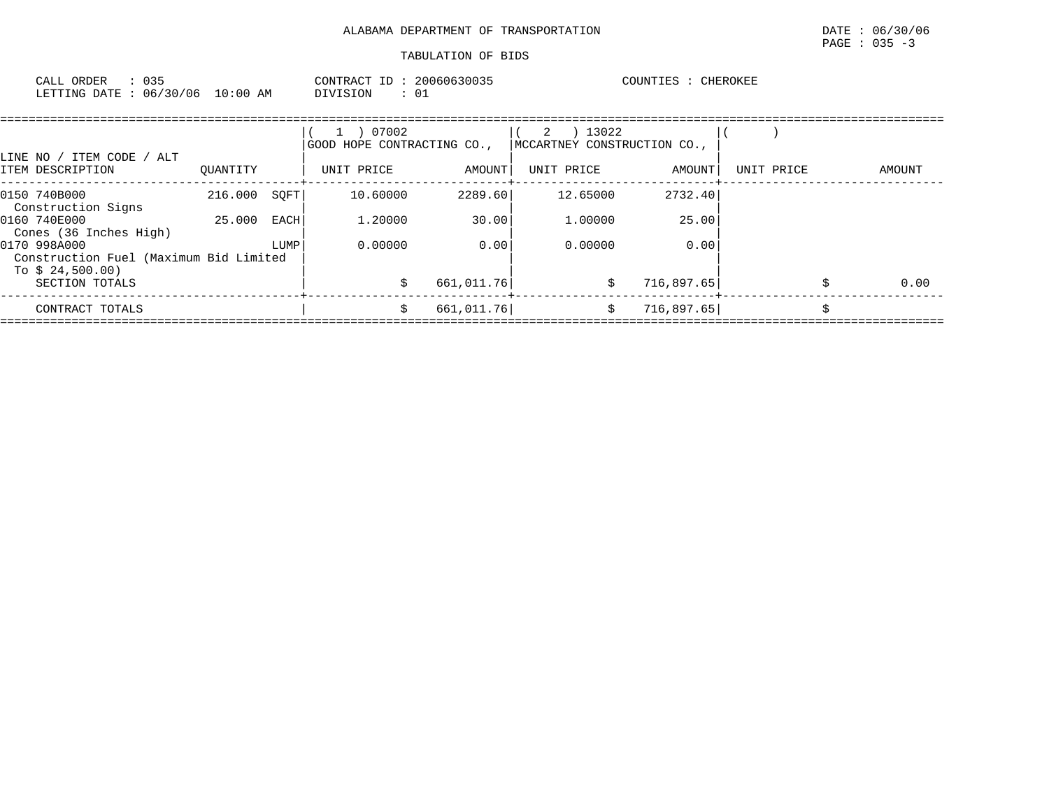| 035<br>CALL ORDER                | CONTRACT ID: | 20060630035 | COUNTIES<br>CHEROKEE |
|----------------------------------|--------------|-------------|----------------------|
| LETTING DATE : 06/30/06 10:00 AM | DIVISION     | ⊥0          |                      |

|                                                        |          |      | 07002<br>GOOD HOPE CONTRACTING CO., |            | 13022<br>2<br>MCCARTNEY CONSTRUCTION CO., |            |            |  |        |  |  |
|--------------------------------------------------------|----------|------|-------------------------------------|------------|-------------------------------------------|------------|------------|--|--------|--|--|
| LINE NO / ITEM CODE / ALT<br>ITEM DESCRIPTION          | OUANTITY |      | UNIT PRICE                          | AMOUNT     | UNIT PRICE                                | AMOUNT     | UNIT PRICE |  | AMOUNT |  |  |
| 0150 740B000<br>Construction Signs                     | 216.000  | SOFT | 10.60000                            | 2289.60    | 12.65000                                  | 2732.40    |            |  |        |  |  |
| 0160 740E000<br>Cones (36 Inches High)                 | 25.000   | EACH | 1,20000                             | 30.00      | 1,00000                                   | 25.00      |            |  |        |  |  |
| 0170 998A000<br>Construction Fuel (Maximum Bid Limited |          | LUMP | 0.00000                             | 0.00       | 0.00000                                   | 0.00       |            |  |        |  |  |
| To $$24,500.00)$<br>SECTION TOTALS                     |          |      |                                     | 661,011.76 | \$                                        | 716,897.65 |            |  | 0.00   |  |  |
| CONTRACT TOTALS                                        |          |      | Ŝ.                                  | 661,011.76 | \$                                        | 716,897.65 |            |  |        |  |  |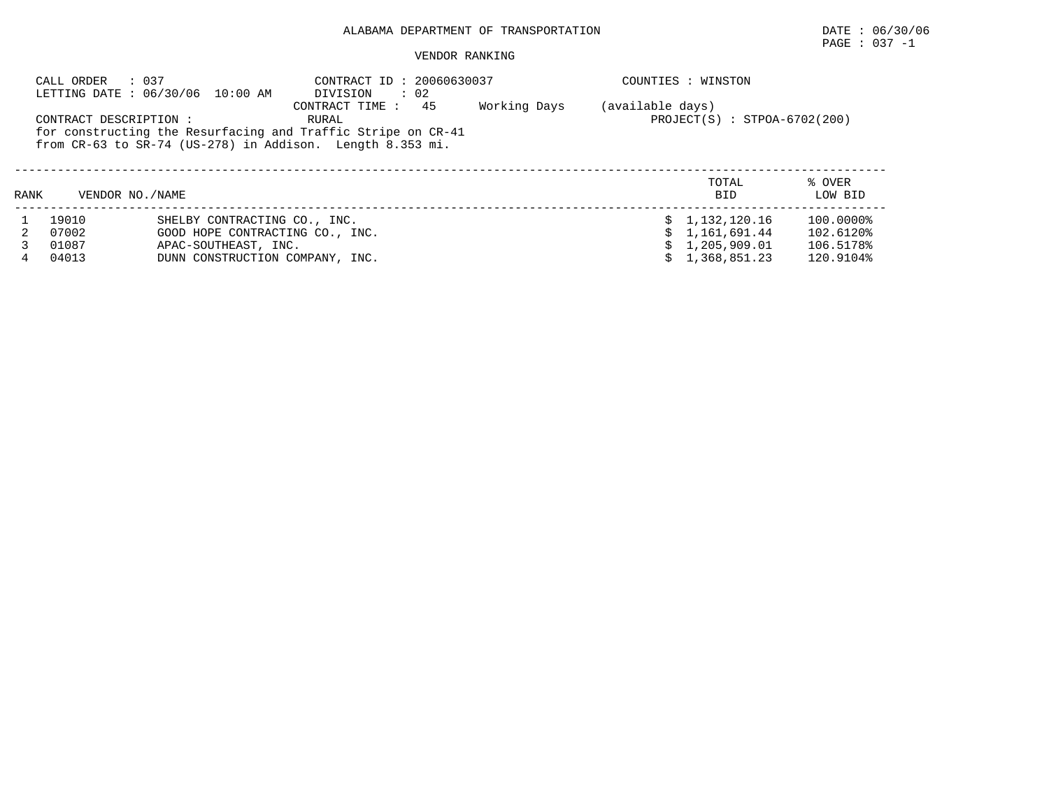# PAGE : 037 -1

|      | CALL ORDER             | : 037<br>LETTING DATE: 06/30/06 10:00 AM                     | CONTRACT ID: 20060630037<br>DIVISION<br>$\therefore$ 02         |              |                  | COUNTIES : WINSTON             |           |
|------|------------------------|--------------------------------------------------------------|-----------------------------------------------------------------|--------------|------------------|--------------------------------|-----------|
|      |                        |                                                              | CONTRACT TIME: 45                                               | Working Days | (available days) |                                |           |
|      | CONTRACT DESCRIPTION : |                                                              | RURAL                                                           |              |                  | $PROJECT(S) : STPOA-6702(200)$ |           |
|      |                        | for constructing the Resurfacing and Traffic Stripe on CR-41 |                                                                 |              |                  |                                |           |
|      |                        |                                                              | from $CR-63$ to $SR-74$ (US-278) in Addison. Length $8.353$ mi. |              |                  |                                |           |
|      |                        |                                                              |                                                                 |              |                  |                                |           |
|      |                        |                                                              |                                                                 |              |                  | TOTAL                          | % OVER    |
| RANK | VENDOR NO. / NAME      |                                                              |                                                                 |              |                  | <b>BID</b>                     | LOW BID   |
|      | 19010                  | SHELBY CONTRACTING CO., INC.                                 |                                                                 |              |                  | \$1,132,120.16                 | 100.0000% |
|      | 07002                  | GOOD HOPE CONTRACTING CO., INC.                              |                                                                 |              |                  | \$1.161.691.44                 | 102.6120% |
|      | 01087                  | APAC-SOUTHEAST, INC.                                         |                                                                 |              |                  | \$1,205,909.01                 | 106.5178% |
| 4    | 04013                  | DUNN CONSTRUCTION COMPANY, INC.                              |                                                                 |              |                  | \$1,368,851.23                 | 120.9104% |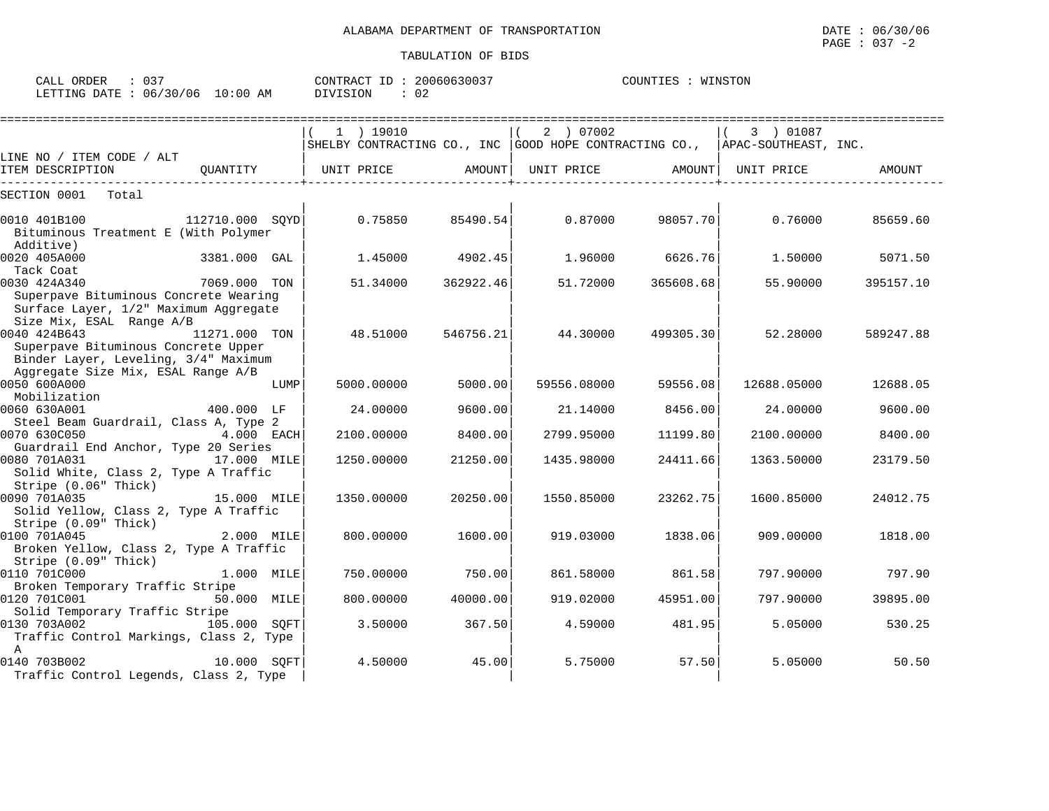COUNTIES : WINSTON

CALL ORDER : 037 CONTRACT ID : 20060630037 COUNTIES : WINSTON

LETTING DATE : 06/30/06 10:00 AM DIVISION : 02

 $\begin{array}{ccc} \texttt{0140} & \texttt{703B002} & \texttt{10.000} & \texttt{SQFT} & \texttt{4.50000} & \texttt{45.00} \ \texttt{Traffic Control~Legends, Class~2, Type} & & & \end{array}$ 

|                                                                                |                 |      | $1$ ) 19010                                                                 |           | 2 ) 07002   |           | 3 ) 01087   |               |
|--------------------------------------------------------------------------------|-----------------|------|-----------------------------------------------------------------------------|-----------|-------------|-----------|-------------|---------------|
|                                                                                |                 |      | SHELBY CONTRACTING CO., INC GOOD HOPE CONTRACTING CO., APAC-SOUTHEAST, INC. |           |             |           |             |               |
| LINE NO / ITEM CODE / ALT<br>ITEM DESCRIPTION                                  | OUANTITY        |      | UNIT PRICE                                                                  | AMOUNT    | UNIT PRICE  | AMOUNT    | UNIT PRICE  | <b>AMOUNT</b> |
| SECTION 0001<br>Total                                                          |                 |      |                                                                             |           |             |           |             |               |
| 0010 401B100                                                                   | 112710.000 SOYD |      | 0.75850                                                                     | 85490.54  | 0.87000     | 98057.70  | 0.76000     | 85659.60      |
| Bituminous Treatment E (With Polymer<br>Additive)                              |                 |      |                                                                             |           |             |           |             |               |
| 0020 405A000<br>Tack Coat                                                      | 3381.000 GAL    |      | 1.45000                                                                     | 4902.45   | 1.96000     | 6626.76   | 1,50000     | 5071.50       |
| 0030 424A340                                                                   | 7069.000 TON    |      | 51.34000                                                                    | 362922.46 | 51.72000    | 365608.68 | 55.90000    | 395157.10     |
| Superpave Bituminous Concrete Wearing<br>Surface Layer, 1/2" Maximum Aggregate |                 |      |                                                                             |           |             |           |             |               |
| Size Mix, ESAL Range A/B                                                       |                 |      |                                                                             |           |             |           |             |               |
| 0040 424B643<br>Superpave Bituminous Concrete Upper                            | 11271.000 TON   |      | 48.51000                                                                    | 546756.21 | 44.30000    | 499305.30 | 52.28000    | 589247.88     |
| Binder Layer, Leveling, 3/4" Maximum                                           |                 |      |                                                                             |           |             |           |             |               |
| Aggregate Size Mix, ESAL Range A/B<br>0050 600A000                             |                 | LUMP | 5000.00000                                                                  | 5000.00   | 59556.08000 | 59556.08  | 12688.05000 | 12688.05      |
| Mobilization                                                                   |                 |      |                                                                             |           |             |           |             |               |
| 0060 630A001                                                                   | 400.000 LF      |      | 24.00000                                                                    | 9600.00   | 21.14000    | 8456.00   | 24.00000    | 9600.00       |
| Steel Beam Guardrail, Class A, Type 2<br>0070 630C050                          | 4.000 EACH      |      | 2100.00000                                                                  | 8400.00   | 2799.95000  | 11199.80  | 2100.00000  | 8400.00       |
| Guardrail End Anchor, Type 20 Series                                           |                 |      |                                                                             |           |             |           |             |               |
| 0080 701A031                                                                   | 17.000 MILE     |      | 1250.00000                                                                  | 21250.00  | 1435.98000  | 24411.66  | 1363.50000  | 23179.50      |
| Solid White, Class 2, Type A Traffic<br>Stripe (0.06" Thick)                   |                 |      |                                                                             |           |             |           |             |               |
| 0090 701A035                                                                   | 15.000 MILE     |      | 1350.00000                                                                  | 20250.00  | 1550.85000  | 23262.75  | 1600.85000  | 24012.75      |
| Solid Yellow, Class 2, Type A Traffic                                          |                 |      |                                                                             |           |             |           |             |               |
| Stripe (0.09" Thick)<br>0100 701A045                                           | 2.000 MILE      |      | 800,00000                                                                   | 1600.00   | 919.03000   | 1838.06   | 909,00000   | 1818.00       |
| Broken Yellow, Class 2, Type A Traffic                                         |                 |      |                                                                             |           |             |           |             |               |
| Stripe (0.09" Thick)                                                           |                 |      |                                                                             |           |             |           |             |               |
| 0110 701C000<br>Broken Temporary Traffic Stripe                                | 1.000 MILE      |      | 750.00000                                                                   | 750.00    | 861.58000   | 861.58    | 797.90000   | 797.90        |
| 0120 701C001                                                                   | 50.000 MILE     |      | 800.00000                                                                   | 40000.00  | 919.02000   | 45951.00  | 797.90000   | 39895.00      |
| Solid Temporary Traffic Stripe<br>0130 703A002                                 |                 |      | 3.50000                                                                     | 367.50    | 4.59000     | 481.95    | 5.05000     | 530.25        |
| Traffic Control Markings, Class 2, Type                                        | 105.000 SOFT    |      |                                                                             |           |             |           |             |               |
| A                                                                              |                 |      |                                                                             |           |             |           |             |               |

0140 703B002 10.000 SQFT| 4.50000 45.00| 5.75000 57.50| 5.05000 50.50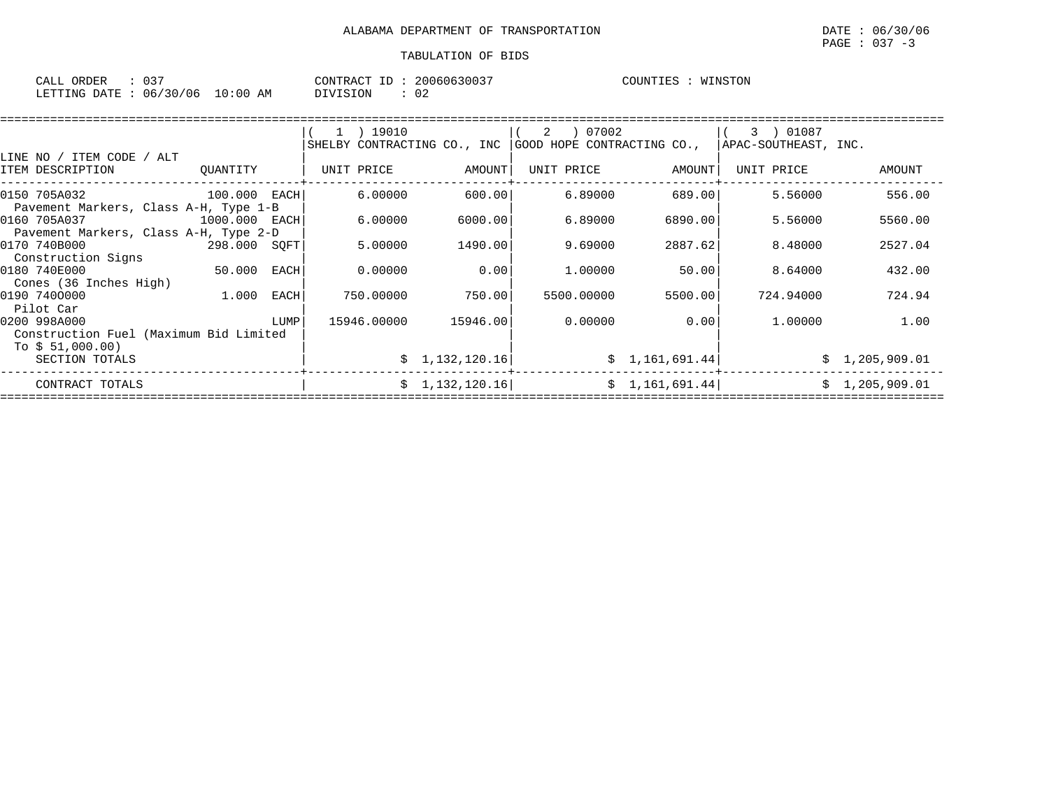| ORDER<br>CALL (                  |  | CONTRACT ID : | 20060630037 | COUNTIES | WINSTON |
|----------------------------------|--|---------------|-------------|----------|---------|
| LETTING DATE : 06/30/06 10:00 AM |  | DIVISION      | ∪∠          |          |         |

|                                                                     |               |      | 1 ) 19010   |                | ) 07002<br>2<br>SHELBY CONTRACTING CO., INC GOOD HOPE CONTRACTING CO., |                 | 3 ) 01087<br>APAC-SOUTHEAST, INC. |                |
|---------------------------------------------------------------------|---------------|------|-------------|----------------|------------------------------------------------------------------------|-----------------|-----------------------------------|----------------|
| LINE NO / ITEM CODE / ALT                                           |               |      |             |                |                                                                        |                 |                                   |                |
| ITEM DESCRIPTION                                                    | OUANTITY      |      | UNIT PRICE  | AMOUNT         | UNIT PRICE                                                             | AMOUNT          | UNIT PRICE                        | AMOUNT         |
| 0150 705A032<br>Pavement Markers, Class A-H, Type 1-B               | 100.000 EACH  |      | 6.00000     | 600.00         | 6.89000                                                                | 689.00          | 5.56000                           | 556.00         |
| 0160 705A037<br>Pavement Markers, Class A-H, Type 2-D               | 1000.000 EACH |      | 6.00000     | 6000.00        | 6.89000                                                                | 6890.00         | 5.56000                           | 5560.00        |
| 0170 740B000                                                        | 298.000 SOFT  |      | 5.00000     | 1490.00        | 9.69000                                                                | 2887.62         | 8.48000                           | 2527.04        |
| Construction Signs<br>0180 740E000                                  | 50.000 EACH   |      | 0.00000     | 0.00           | 1.00000                                                                | 50.00           | 8.64000                           | 432.00         |
| Cones (36 Inches High)<br>0190 7400000                              | 1.000 EACH    |      | 750.00000   | 750.00         | 5500.00000                                                             | 5500.00         | 724.94000                         | 724.94         |
| Pilot Car<br>0200 998A000<br>Construction Fuel (Maximum Bid Limited |               | LUMP | 15946.00000 | 15946.00       | 0.00000                                                                | 0.00            | 1,00000                           | 1.00           |
| To $$51,000.00)$<br>SECTION TOTALS                                  |               |      |             | \$1,132,120.16 |                                                                        | \$1,161,691.44] |                                   | \$1,205,909.01 |
| CONTRACT TOTALS                                                     |               |      |             | \$1,132,120.16 |                                                                        | \$1,161,691.44] |                                   | \$1,205,909.01 |
|                                                                     |               |      |             |                |                                                                        |                 |                                   |                |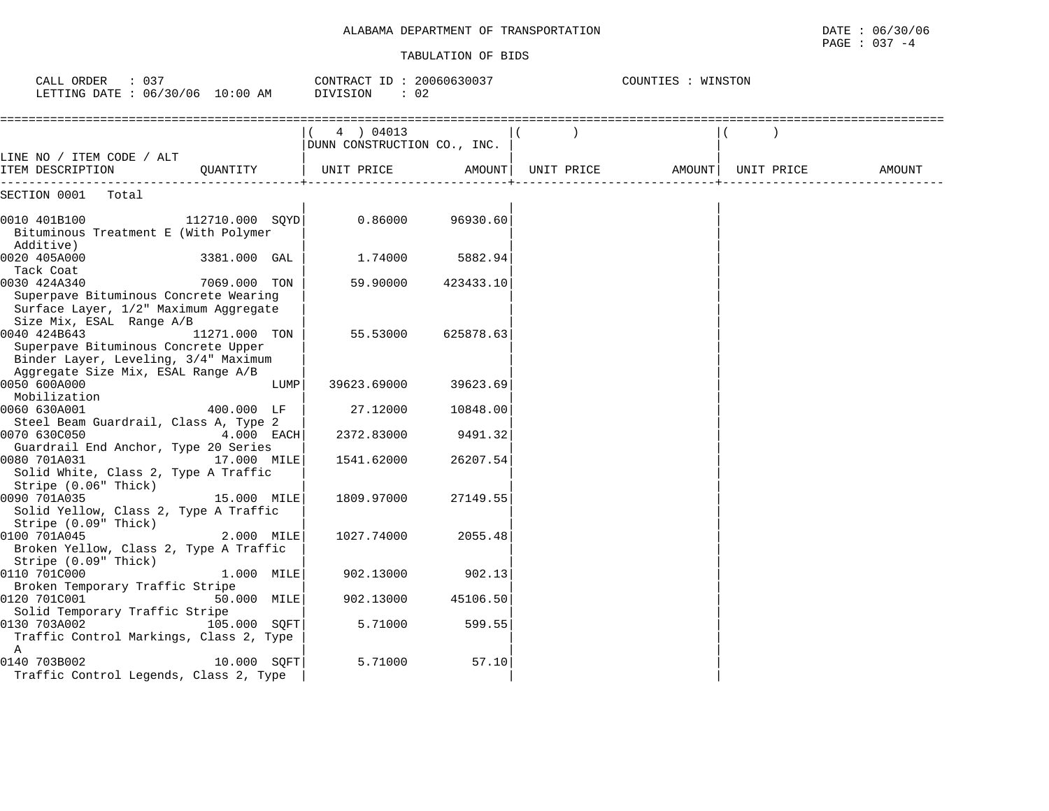| ALABAMA DEPARTMENT OF TRANSPORTATION | DATE<br>067.<br>30/06 |
|--------------------------------------|-----------------------|
|                                      | 037<br>PAGE<br>- 4    |

| CALL ORDER : 037<br>LETTING DATE: 06/30/06 10:00 AM                                                                               |                 |      | CONTRACT ID: $20060630037$<br>DIVISION<br>$\therefore$ 02 |           | COUNTIES : WINSTON |        |            |        |  |
|-----------------------------------------------------------------------------------------------------------------------------------|-----------------|------|-----------------------------------------------------------|-----------|--------------------|--------|------------|--------|--|
|                                                                                                                                   |                 |      | 4 ) 04013<br>DUNN CONSTRUCTION CO., INC.                  |           |                    |        |            |        |  |
| LINE NO / ITEM CODE / ALT<br>ITEM DESCRIPTION                                                                                     | OUANTITY        |      | UNIT PRICE                                                | AMOUNT    | UNIT PRICE         | AMOUNT | UNIT PRICE | AMOUNT |  |
| SECTION 0001<br>Total                                                                                                             |                 |      |                                                           |           |                    |        |            |        |  |
| 0010 401B100<br>Bituminous Treatment E (With Polymer<br>Additive)                                                                 | 112710.000 SQYD |      | 0.86000                                                   | 96930.60  |                    |        |            |        |  |
| 0020 405A000<br>Tack Coat                                                                                                         | 3381.000 GAL    |      | 1.74000                                                   | 5882.94   |                    |        |            |        |  |
| 0030 424A340<br>Superpave Bituminous Concrete Wearing<br>Surface Layer, 1/2" Maximum Aggregate<br>Size Mix, ESAL Range A/B        | 7069.000 TON    |      | 59.90000                                                  | 423433.10 |                    |        |            |        |  |
| 0040 424B643<br>Superpave Bituminous Concrete Upper<br>Binder Layer, Leveling, 3/4" Maximum<br>Aggregate Size Mix, ESAL Range A/B | 11271.000 TON   |      | 55.53000                                                  | 625878.63 |                    |        |            |        |  |
| 0050 600A000<br>Mobilization                                                                                                      |                 | LUMP | 39623.69000                                               | 39623.69  |                    |        |            |        |  |
| 0060 630A001<br>Steel Beam Guardrail, Class A, Type 2                                                                             | 400.000 LF      |      | 27.12000                                                  | 10848.00  |                    |        |            |        |  |
| 0070 630C050<br>Guardrail End Anchor, Type 20 Series                                                                              | 4.000 EACH      |      | 2372.83000                                                | 9491.32   |                    |        |            |        |  |
| 0080 701A031<br>Solid White, Class 2, Type A Traffic<br>Stripe (0.06" Thick)                                                      | 17.000 MILE     |      | 1541.62000                                                | 26207.54  |                    |        |            |        |  |
| 0090 701A035<br>Solid Yellow, Class 2, Type A Traffic<br>Stripe (0.09" Thick)                                                     | 15.000 MILE     |      | 1809.97000                                                | 27149.55  |                    |        |            |        |  |
| 0100 701A045<br>Broken Yellow, Class 2, Type A Traffic<br>Stripe (0.09" Thick)                                                    | 2.000 MILE      |      | 1027.74000                                                | 2055.48   |                    |        |            |        |  |
| 0110 701C000<br>Broken Temporary Traffic Stripe                                                                                   | 1.000 MILE      |      | 902.13000                                                 | 902.13    |                    |        |            |        |  |
| 0120 701C001<br>Solid Temporary Traffic Stripe                                                                                    | 50.000 MILE     |      | 902.13000                                                 | 45106.50  |                    |        |            |        |  |
| 0130 703A002<br>Traffic Control Markings, Class 2, Type<br>A                                                                      | 105.000 SQFT    |      | 5.71000                                                   | 599.55    |                    |        |            |        |  |
| 0140 703B002<br>Traffic Control Legends, Class 2, Type                                                                            | 10.000 SOFT     |      | 5.71000                                                   | 57.10     |                    |        |            |        |  |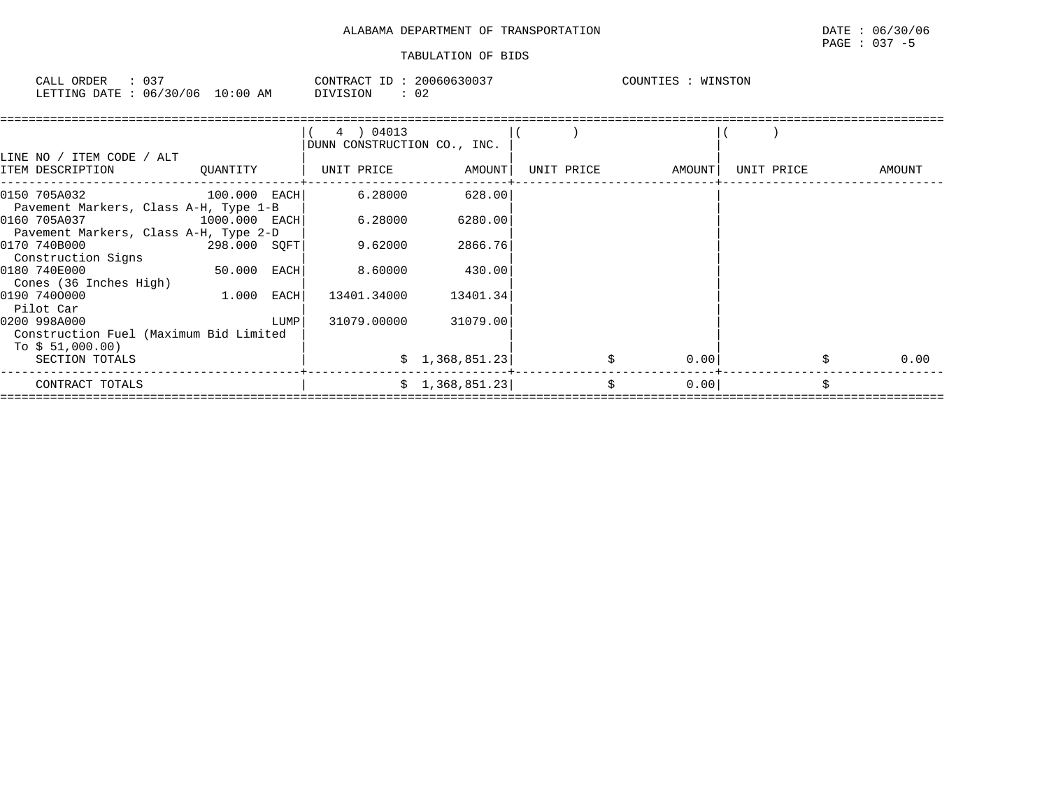# PAGE : 037 -5

| 037<br>CALL ORDER               |          | CONTRACT ID: 20060630037 | WINSTON<br>COUNTIES : |
|---------------------------------|----------|--------------------------|-----------------------|
| LETTING DATE: 06/30/06 10:00 AM | DIVISION | 02                       |                       |

| LINE NO / ITEM CODE / ALT                              |                 |      | 4 ) 04013<br>DUNN CONSTRUCTION CO., INC. |                 |            |        |            |        |
|--------------------------------------------------------|-----------------|------|------------------------------------------|-----------------|------------|--------|------------|--------|
| ITEM DESCRIPTION                                       | OUANTITY        |      | UNIT PRICE                               | AMOUNT          | UNIT PRICE | AMOUNT | UNIT PRICE | AMOUNT |
| 0150 705A032<br>Pavement Markers, Class A-H, Type 1-B  | $100.000$ EACH  |      | 6.28000                                  | 628.00          |            |        |            |        |
| 0160 705A037<br>Pavement Markers, Class A-H, Type 2-D  | $1000.000$ EACH |      | 6.28000                                  | 6280.00         |            |        |            |        |
| 0170 740B000<br>Construction Signs                     | 298.000 SOFT    |      | 9.62000                                  | 2866.76         |            |        |            |        |
| 0180 740E000<br>Cones (36 Inches High)                 | 50.000 EACH     |      | 8.60000                                  | 430.00          |            |        |            |        |
| 0190 7400000<br>Pilot Car                              | 1.000           | EACH | 13401.34000                              | 13401.34        |            |        |            |        |
| 0200 998A000<br>Construction Fuel (Maximum Bid Limited |                 | LUMP | 31079.00000                              | 31079.00        |            |        |            |        |
| To $$51,000.00)$<br>SECTION TOTALS                     |                 |      |                                          | \$1,368,851.23] |            | 0.001  |            | 0.00   |
| CONTRACT TOTALS                                        |                 |      |                                          | \$1,368,851.23] | \$         | 0.00   |            |        |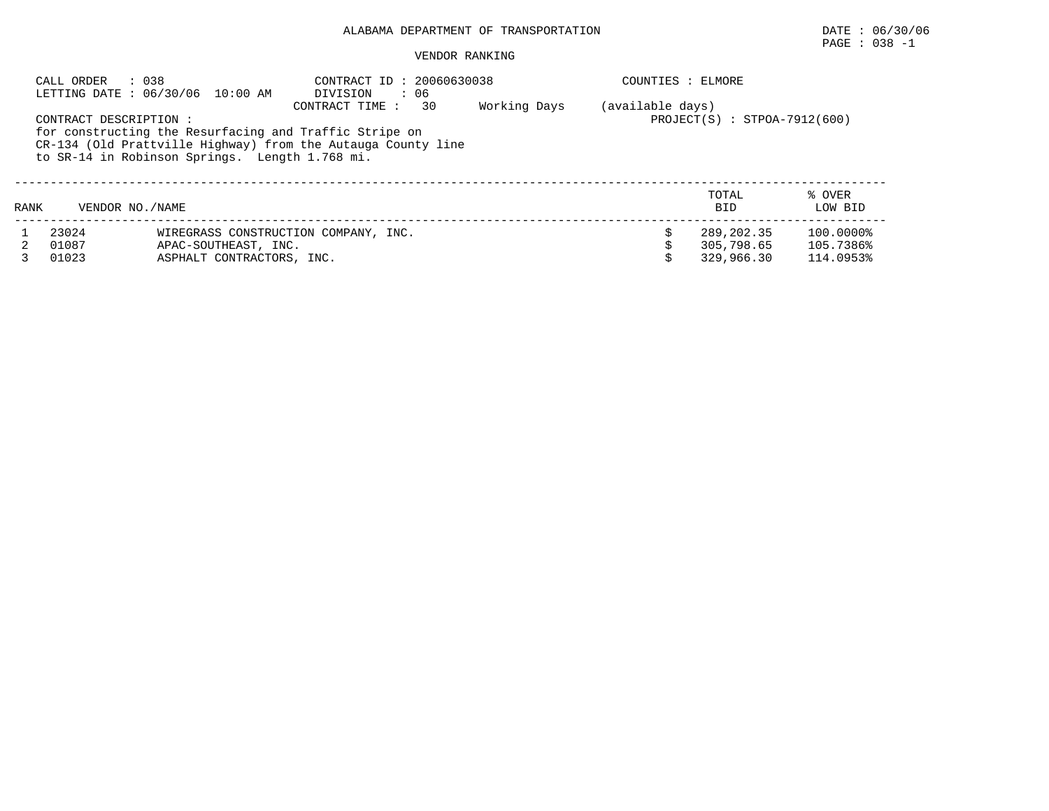# $\texttt{PAGE}$  : 038 -1

| : 038<br>CALL ORDER<br>LETTING DATE : 06/30/06 10:00 AM |                                                                                                                                                                                                                                                                                                   |                                                                                           | CONTRACT ID: 20060630038<br>DIVISION<br>: 06 |  | COUNTIES : ELMORE |                                        |                                     |  |  |
|---------------------------------------------------------|---------------------------------------------------------------------------------------------------------------------------------------------------------------------------------------------------------------------------------------------------------------------------------------------------|-------------------------------------------------------------------------------------------|----------------------------------------------|--|-------------------|----------------------------------------|-------------------------------------|--|--|
|                                                         | 30<br>Working Days<br>(available days)<br>CONTRACT TIME :<br>CONTRACT DESCRIPTION :<br>$PROJECT(S) : STPOA-7912(600)$<br>for constructing the Resurfacing and Traffic Stripe on<br>CR-134 (Old Prattville Highway) from the Autauga County line<br>to SR-14 in Robinson Springs. Length 1.768 mi. |                                                                                           |                                              |  |                   |                                        |                                     |  |  |
| RANK                                                    | VENDOR NO. / NAME                                                                                                                                                                                                                                                                                 |                                                                                           |                                              |  |                   | TOTAL<br><b>BID</b>                    | % OVER<br>LOW BID                   |  |  |
|                                                         | 23024<br>01087<br>01023                                                                                                                                                                                                                                                                           | WIREGRASS CONSTRUCTION COMPANY, INC.<br>APAC-SOUTHEAST, INC.<br>ASPHALT CONTRACTORS, INC. |                                              |  |                   | 289,202.35<br>305,798.65<br>329,966.30 | 100.0000%<br>105.7386%<br>114.0953% |  |  |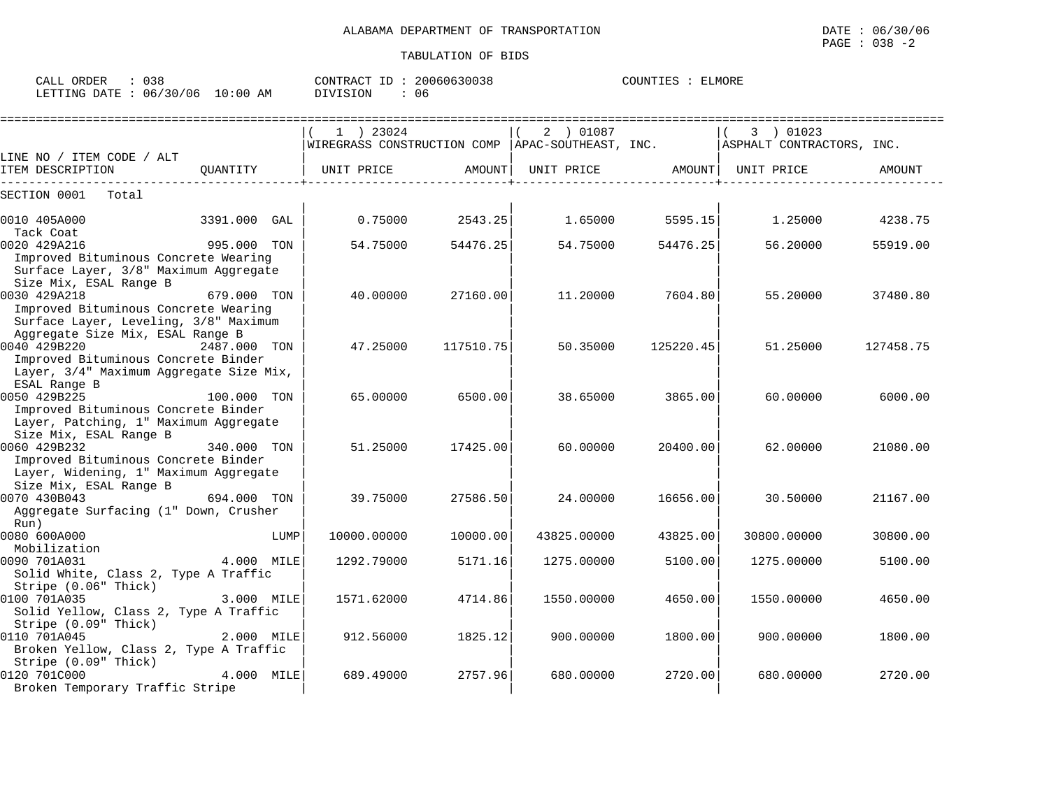| CALL ORDER                      | : 038 |          | CONTRACT ID: 20060630038 | COUNTIES : ELMORE |  |
|---------------------------------|-------|----------|--------------------------|-------------------|--|
| LETTING DATE: 06/30/06 10:00 AM |       | DIVISION | 06                       |                   |  |

|                                                                                                                                       |              |      |                       | ================= |                   |                   |                                                                                |           |
|---------------------------------------------------------------------------------------------------------------------------------------|--------------|------|-----------------------|-------------------|-------------------|-------------------|--------------------------------------------------------------------------------|-----------|
|                                                                                                                                       |              |      | 1 ) 23024             |                   | 2 ) 01087         |                   | 3 ) 01023                                                                      |           |
|                                                                                                                                       |              |      |                       |                   |                   |                   | WIREGRASS CONSTRUCTION COMP   APAC-SOUTHEAST, INC.   ASPHALT CONTRACTORS, INC. |           |
| LINE NO / ITEM CODE / ALT<br>ITEM DESCRIPTION                                                                                         |              |      | OUANTITY   UNIT PRICE | AMOUNT            | UNIT PRICE AMOUNT |                   | UNIT PRICE                                                                     | AMOUNT    |
| SECTION 0001<br>Total                                                                                                                 |              |      |                       |                   |                   |                   |                                                                                |           |
| 0010 405A000<br>Tack Coat                                                                                                             | 3391.000 GAL |      |                       | $0.75000$ 2543.25 |                   | $1.65000$ 5595.15 | 1.25000                                                                        | 4238.75   |
| 0020 429A216<br>Improved Bituminous Concrete Wearing<br>Surface Layer, 3/8" Maximum Aggregate<br>Size Mix, ESAL Range B               | 995.000 TON  |      | 54.75000              | 54476.25          | 54.75000          | 54476.25          | 56.20000                                                                       | 55919.00  |
| 0030 429A218<br>Improved Bituminous Concrete Wearing<br>Surface Layer, Leveling, 3/8" Maximum<br>Aggregate Size Mix, ESAL Range B     | 679.000 TON  |      | 40.00000              | 27160.00          |                   | 11.20000 7604.80  | 55.20000                                                                       | 37480.80  |
| 0040 429B220<br>Improved Bituminous Concrete Binder<br>Layer, 3/4" Maximum Aggregate Size Mix,<br>ESAL Range B                        | 2487.000 TON |      | 47.25000              | 117510.75         | 50.35000          | 125220.45         | 51.25000                                                                       | 127458.75 |
| 100.000 TON<br>0050 429B225<br>Improved Bituminous Concrete Binder<br>Layer, Patching, 1" Maximum Aggregate<br>Size Mix, ESAL Range B |              |      | 65.00000              | 6500.00           | 38.65000          | 3865.00           | 60.00000                                                                       | 6000.00   |
| 0060 429B232<br>Improved Bituminous Concrete Binder<br>Layer, Widening, 1" Maximum Aggregate<br>Size Mix, ESAL Range B                | 340.000 TON  |      | 51.25000              | 17425.00          | 60.00000          | 20400.00          | 62.00000                                                                       | 21080.00  |
| 0070 430B043<br>Aggregate Surfacing (1" Down, Crusher<br>Run)                                                                         | 694.000 TON  |      | 39.75000              | 27586.50          | 24.00000          | 16656.00          | 30.50000                                                                       | 21167.00  |
| 0080 600A000<br>Mobilization                                                                                                          |              | LUMP | 10000.00000           | 10000.00          | 43825.00000       | 43825.00          | 30800.00000                                                                    | 30800.00  |
| 0090 701A031<br>Solid White, Class 2, Type A Traffic<br>Stripe (0.06" Thick)                                                          | 4.000 MILE   |      | 1292.79000            | 5171.16           | 1275.00000        | 5100.00           | 1275.00000                                                                     | 5100.00   |
| 0100 701A035<br>Solid Yellow, Class 2, Type A Traffic<br>Stripe (0.09" Thick)                                                         | 3.000 MILE   |      | 1571.62000            | 4714.86           | 1550.00000        | 4650.00           | 1550.00000                                                                     | 4650.00   |
| 0110 701A045<br>Broken Yellow, Class 2, Type A Traffic<br>Stripe (0.09" Thick)                                                        | 2.000 MILE   |      | 912.56000             | 1825.12           | 900.00000         | 1800.00           | 900.00000                                                                      | 1800.00   |
| 0120 701C000<br>Broken Temporary Traffic Stripe                                                                                       | $4.000$ MILE |      | 689.49000             | 2757.96           | 680,00000         | 2720.00           | 680,00000                                                                      | 2720.00   |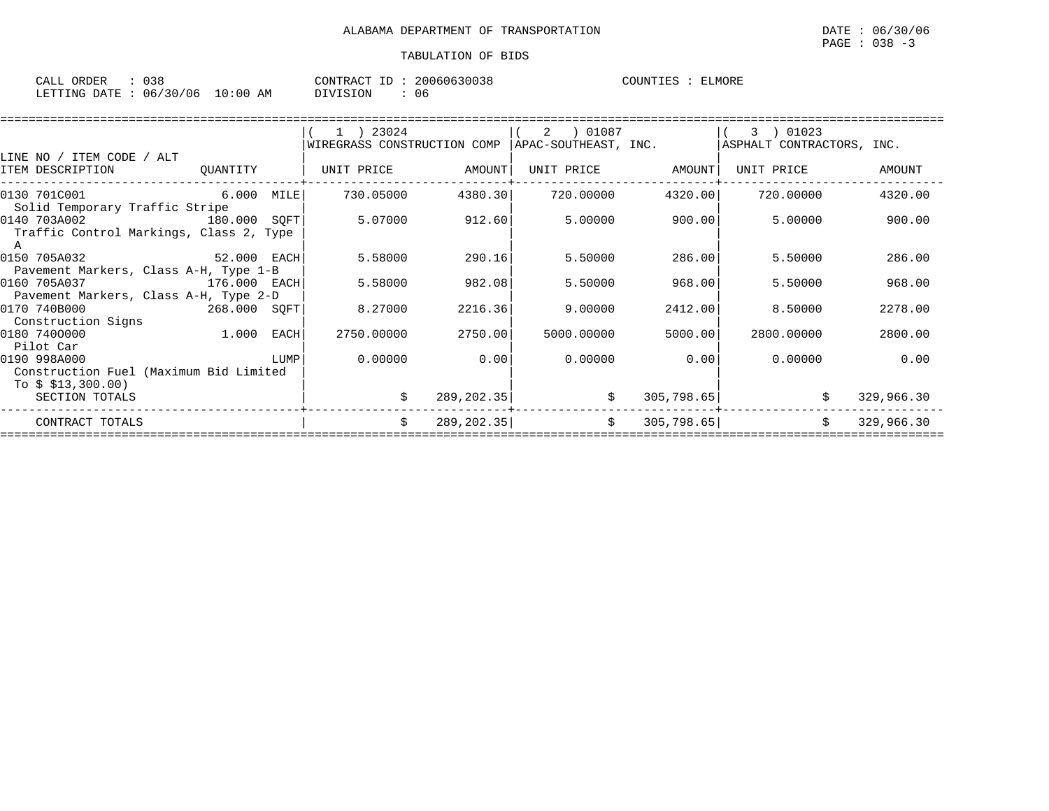| CALL ORDER                       | 038 | CONTRACT ID | 20060630038 | COUNTIES | ELMORE |
|----------------------------------|-----|-------------|-------------|----------|--------|
| LETTING DATE : 06/30/06 10:00 AM |     | DIVISION    | 06          |          |        |

|                                                                              |              |      | ( 1 ) 23024<br>WIREGRASS CONSTRUCTION COMP |             | 01087 (<br>2<br>APAC-SOUTHEAST, INC. |             | 3 ) 01023<br>ASPHALT CONTRACTORS, INC. |            |
|------------------------------------------------------------------------------|--------------|------|--------------------------------------------|-------------|--------------------------------------|-------------|----------------------------------------|------------|
| LINE NO / ITEM CODE / ALT<br>ITEM DESCRIPTION                                | QUANTITY     |      | UNIT PRICE                                 | AMOUNT      | UNIT PRICE                           | AMOUNT      | UNIT PRICE                             | AMOUNT     |
| 6.000 MILE<br>0130 701C001<br>Solid Temporary Traffic Stripe                 |              |      | 730.05000                                  | 4380.30     | 720.00000                            | 4320.00     | 720.00000                              | 4320.00    |
| 0140 703A002<br>180.000 SOFT<br>Traffic Control Markings, Class 2, Type<br>A |              |      | 5.07000                                    | 912.60      | 5.00000                              | 900.00      | 5.00000                                | 900.00     |
| 0150 705A032<br>Pavement Markers, Class A-H, Type 1-B                        | 52.000 EACH  |      | 5.58000                                    | 290.16      | 5.50000                              | 286.00      | 5.50000                                | 286.00     |
| 0160 705A037<br>Pavement Markers, Class A-H, Type 2-D                        | 176.000 EACH |      | 5.58000                                    | 982.08      | 5.50000                              | 968.00      | 5.50000                                | 968.00     |
| 0170 740B000<br>268.000 SQFT<br>Construction Signs                           |              |      | 8.27000                                    | 2216.36     | 9.00000                              | 2412.00     | 8.50000                                | 2278.00    |
| 0180 7400000<br>Pilot Car                                                    | 1.000 EACH   |      | 2750.00000                                 | 2750.00     | 5000.00000                           | 5000.00     | 2800,00000                             | 2800.00    |
| 0190 998A000<br>Construction Fuel (Maximum Bid Limited<br>To $$313,300.00)$  |              | LUMP | 0.00000                                    | 0.00        | 0.00000                              | 0.00        | 0.00000                                | 0.00       |
| SECTION TOTALS                                                               |              |      |                                            | 289, 202.35 | \$                                   | 305, 798.65 |                                        | 329,966.30 |
| CONTRACT TOTALS                                                              |              |      | \$                                         | 289, 202.35 | \$                                   | 305,798.65  | Ŝ.                                     | 329,966.30 |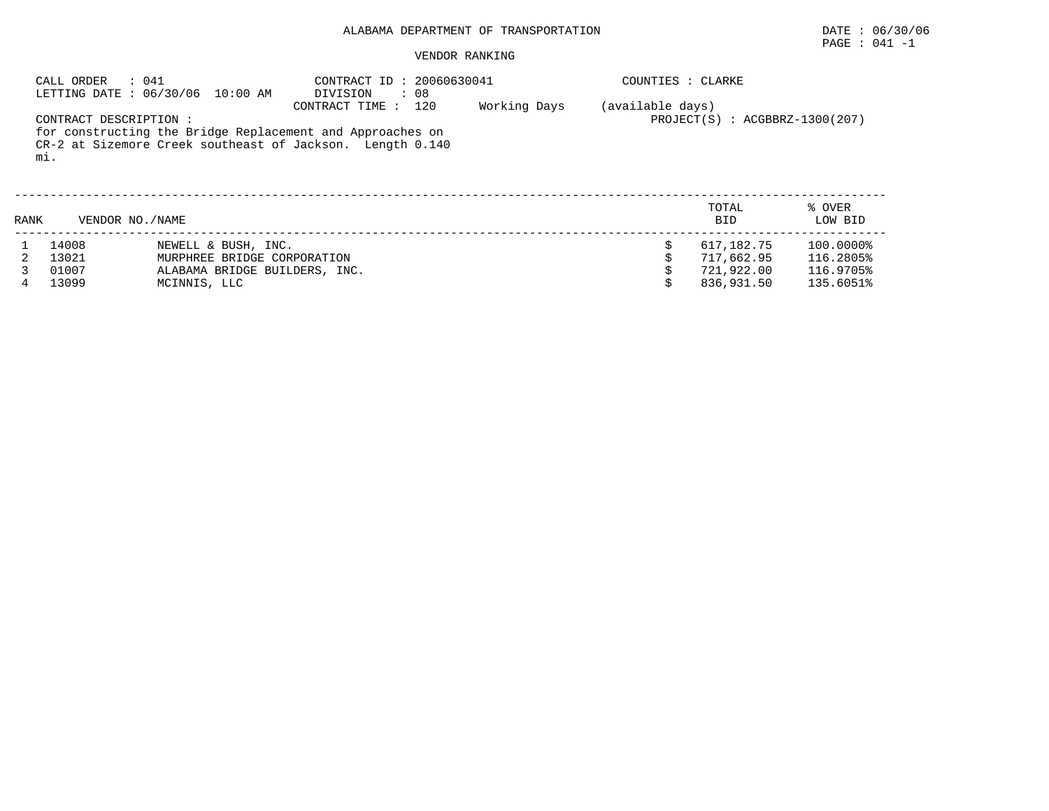# PAGE : 041 -1

# VENDOR RANKING

|      | : 041<br>CALL ORDER           | LETTING DATE : 06/30/06 10:00 AM | CONTRACT ID: 20060630041<br>DIVISION<br>: 08                                                                                                    |              | COUNTIES : CLARKE |                                    |                   |
|------|-------------------------------|----------------------------------|-------------------------------------------------------------------------------------------------------------------------------------------------|--------------|-------------------|------------------------------------|-------------------|
|      | CONTRACT DESCRIPTION :<br>mi. |                                  | CONTRACT TIME:<br>120<br>for constructing the Bridge Replacement and Approaches on<br>CR-2 at Sizemore Creek southeast of Jackson. Length 0.140 | Working Days | (available days)  | $PROJECT(S)$ : $ACGBBRZ-1300(207)$ |                   |
| RANK | VENDOR NO. / NAME             |                                  |                                                                                                                                                 |              |                   | TOTAL<br><b>BID</b>                | % OVER<br>LOW BID |
|      | 14008                         | NEWELL & BUSH, INC.              |                                                                                                                                                 |              |                   | 617,182.75                         | 100.0000%         |
|      | 13021                         | MURPHREE BRIDGE CORPORATION      |                                                                                                                                                 |              |                   | 717,662.95                         | 116.2805%         |
|      | 01007                         | ALABAMA BRIDGE BUILDERS, INC.    |                                                                                                                                                 |              |                   | 721,922.00                         | 116.9705%         |

4 13099 MCINNIS, LLC \$ 836,931.50 135.6051%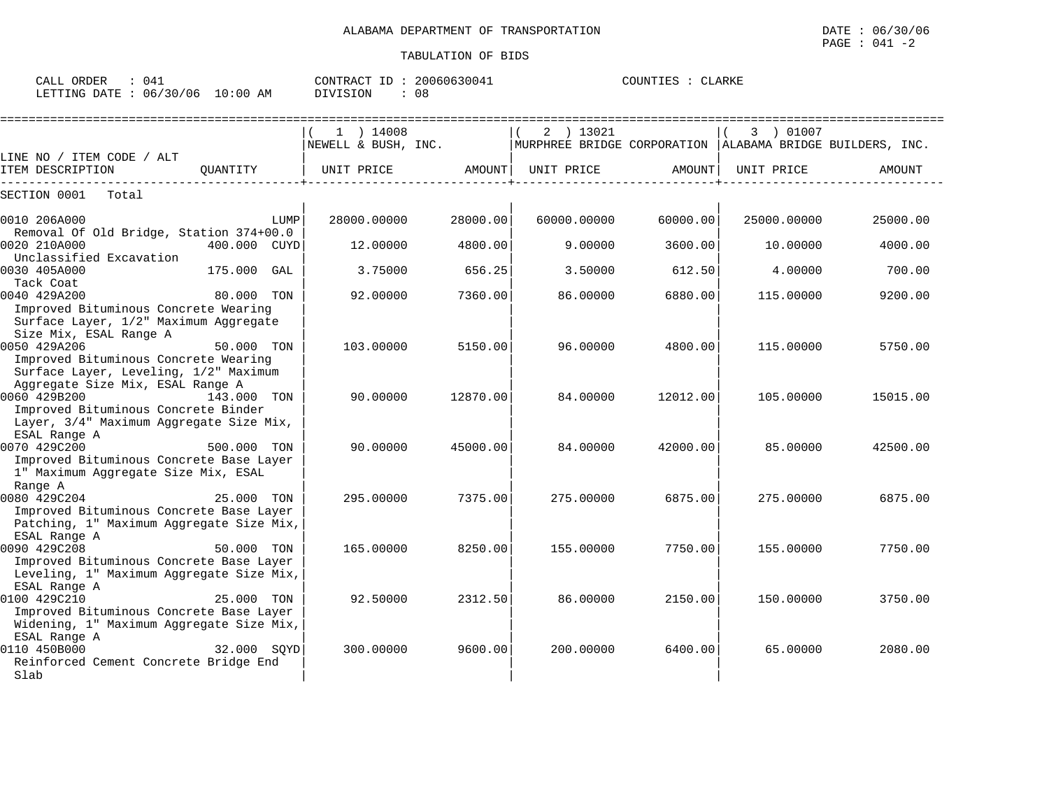| CALL<br>ORDER   |          |             | CONTRACT | TD | 20060630041 | COUNTIES | LARKI |
|-----------------|----------|-------------|----------|----|-------------|----------|-------|
| LETTING<br>DATE | 06/30/06 | 10:00<br>AΜ | DIVISION |    | 08          |          |       |

|                                                                                     |              |      | $1$ ) 14008         |          | 2 ) 13021   |           |                                                             |            | 3 ) 01007   |          |
|-------------------------------------------------------------------------------------|--------------|------|---------------------|----------|-------------|-----------|-------------------------------------------------------------|------------|-------------|----------|
|                                                                                     |              |      | NEWELL & BUSH, INC. |          |             |           | MURPHREE BRIDGE CORPORATION   ALABAMA BRIDGE BUILDERS, INC. |            |             |          |
| LINE NO / ITEM CODE / ALT                                                           |              |      |                     |          |             |           |                                                             |            |             |          |
| ITEM DESCRIPTION                                                                    | OUANTITY     |      | UNIT PRICE          | AMOUNT   | UNIT PRICE  |           | AMOUNT                                                      | UNIT PRICE |             | AMOUNT   |
| SECTION 0001<br>Total                                                               |              |      |                     |          |             |           |                                                             |            |             |          |
|                                                                                     |              |      |                     |          |             |           |                                                             |            |             |          |
| 0010 206A000                                                                        |              | LUMP | 28000.00000         | 28000.00 | 60000.00000 |           | 60000.00                                                    |            | 25000.00000 | 25000.00 |
| Removal Of Old Bridge, Station 374+00.0<br>0020 210A000                             |              |      |                     |          |             |           |                                                             |            |             |          |
| Unclassified Excavation                                                             | 400.000 CUYD |      | 12,00000            | 4800.00  |             | 9.00000   | 3600.00                                                     |            | 10,00000    | 4000.00  |
| 0030 405A000                                                                        | 175.000      | GAL  | 3.75000             | 656.25   |             | 3.50000   | 612.50                                                      |            | 4.00000     | 700.00   |
| Tack Coat                                                                           |              |      |                     |          |             |           |                                                             |            |             |          |
| 0040 429A200                                                                        | 80.000 TON   |      | 92.00000            | 7360.00  |             | 86.00000  | 6880.00                                                     |            | 115,00000   | 9200.00  |
| Improved Bituminous Concrete Wearing                                                |              |      |                     |          |             |           |                                                             |            |             |          |
| Surface Layer, 1/2" Maximum Aggregate                                               |              |      |                     |          |             |           |                                                             |            |             |          |
| Size Mix, ESAL Range A                                                              |              |      |                     |          |             |           |                                                             |            |             |          |
| 0050 429A206                                                                        | 50.000 TON   |      | 103,00000           | 5150.00  |             | 96.00000  | 4800.00                                                     |            | 115.00000   | 5750.00  |
| Improved Bituminous Concrete Wearing                                                |              |      |                     |          |             |           |                                                             |            |             |          |
| Surface Layer, Leveling, 1/2" Maximum                                               |              |      |                     |          |             |           |                                                             |            |             |          |
| Aggregate Size Mix, ESAL Range A<br>0060 429B200                                    | 143.000 TON  |      | 90.00000            | 12870.00 |             | 84.00000  | 12012.00                                                    |            | 105.00000   | 15015.00 |
| Improved Bituminous Concrete Binder                                                 |              |      |                     |          |             |           |                                                             |            |             |          |
| Layer, 3/4" Maximum Aggregate Size Mix,                                             |              |      |                     |          |             |           |                                                             |            |             |          |
| ESAL Range A                                                                        |              |      |                     |          |             |           |                                                             |            |             |          |
| 0070 429C200                                                                        | 500.000 TON  |      | 90.00000            | 45000.00 |             | 84.00000  | 42000.00                                                    |            | 85.00000    | 42500.00 |
| Improved Bituminous Concrete Base Layer                                             |              |      |                     |          |             |           |                                                             |            |             |          |
| 1" Maximum Aggregate Size Mix, ESAL                                                 |              |      |                     |          |             |           |                                                             |            |             |          |
| Range A                                                                             |              |      |                     |          |             |           |                                                             |            |             |          |
| 0080 429C204                                                                        | 25.000 TON   |      | 295.00000           | 7375.00  |             | 275.00000 | 6875.00                                                     |            | 275.00000   | 6875.00  |
| Improved Bituminous Concrete Base Layer<br>Patching, 1" Maximum Aggregate Size Mix, |              |      |                     |          |             |           |                                                             |            |             |          |
| ESAL Range A                                                                        |              |      |                     |          |             |           |                                                             |            |             |          |
| 0090 429C208                                                                        | 50.000 TON   |      | 165.00000           | 8250.00  |             | 155.00000 | 7750.00                                                     |            | 155.00000   | 7750.00  |
| Improved Bituminous Concrete Base Layer                                             |              |      |                     |          |             |           |                                                             |            |             |          |
| Leveling, 1" Maximum Aggregate Size Mix,                                            |              |      |                     |          |             |           |                                                             |            |             |          |
| ESAL Range A                                                                        |              |      |                     |          |             |           |                                                             |            |             |          |
| 0100 429C210                                                                        | 25.000 TON   |      | 92.50000            | 2312.50  |             | 86.00000  | 2150.00                                                     |            | 150.00000   | 3750.00  |
| Improved Bituminous Concrete Base Layer                                             |              |      |                     |          |             |           |                                                             |            |             |          |
| Widening, 1" Maximum Aggregate Size Mix,                                            |              |      |                     |          |             |           |                                                             |            |             |          |
| ESAL Range A<br>0110 450B000                                                        | 32.000 SOYD  |      | 300.00000           | 9600.00  |             | 200.00000 | 6400.00                                                     |            | 65.00000    | 2080.00  |
| Reinforced Cement Concrete Bridge End                                               |              |      |                     |          |             |           |                                                             |            |             |          |
| Slab                                                                                |              |      |                     |          |             |           |                                                             |            |             |          |
|                                                                                     |              |      |                     |          |             |           |                                                             |            |             |          |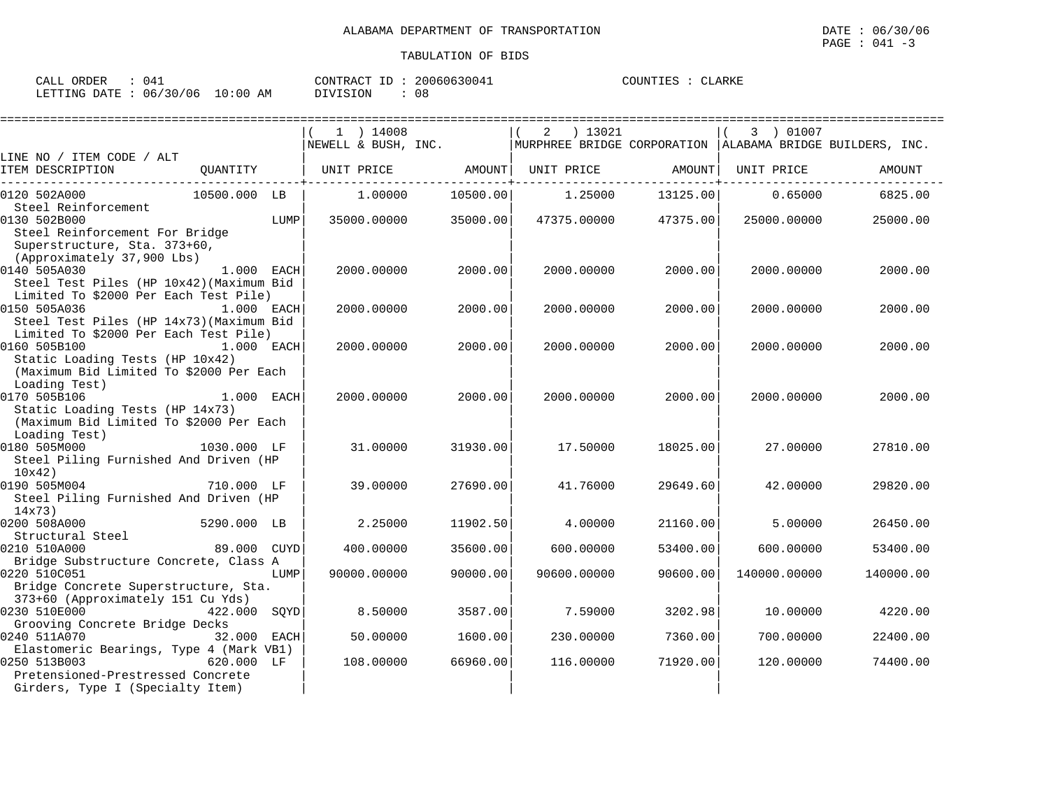| CALL ORDER                      | : 041 |          | CONTRACT ID: 20060630041 | COUNTIES : CLARKE |  |
|---------------------------------|-------|----------|--------------------------|-------------------|--|
| LETTING DATE: 06/30/06 10:00 AM |       | DIVISION | -08                      |                   |  |

|                                                                                                              |              |      | 1 ) 14008           |          | ) 13021<br>2                                                |          | 3 ) 01007    |           |
|--------------------------------------------------------------------------------------------------------------|--------------|------|---------------------|----------|-------------------------------------------------------------|----------|--------------|-----------|
|                                                                                                              |              |      | NEWELL & BUSH, INC. |          | MURPHREE BRIDGE CORPORATION   ALABAMA BRIDGE BUILDERS, INC. |          |              |           |
| LINE NO / ITEM CODE / ALT                                                                                    |              |      |                     |          |                                                             |          |              |           |
| ITEM DESCRIPTION                                                                                             | OUANTITY     |      | UNIT PRICE          | AMOUNT   | UNIT PRICE                                                  | AMOUNT   | UNIT PRICE   | AMOUNT    |
| 0120 502A000                                                                                                 | 10500.000 LB |      | 1,00000             | 10500.00 | 1.25000                                                     | 13125.00 | 0.65000      | 6825.00   |
| Steel Reinforcement                                                                                          |              |      |                     |          |                                                             |          |              |           |
| 0130 502B000<br>Steel Reinforcement For Bridge<br>Superstructure, Sta. 373+60,<br>(Approximately 37,900 Lbs) |              | LUMP | 35000.00000         | 35000.00 | 47375.00000                                                 | 47375.00 | 25000.00000  | 25000.00  |
| 0140 505A030<br>Steel Test Piles (HP 10x42) (Maximum Bid<br>Limited To \$2000 Per Each Test Pile)            | $1.000$ EACH |      | 2000.00000          | 2000.00  | 2000.00000                                                  | 2000.00  | 2000.00000   | 2000.00   |
| 0150 505A036<br>Steel Test Piles (HP 14x73) (Maximum Bid<br>Limited To \$2000 Per Each Test Pile)            | 1.000 EACH   |      | 2000.00000          | 2000.00  | 2000.00000                                                  | 2000.00  | 2000.00000   | 2000.00   |
| 0160 505B100<br>Static Loading Tests (HP 10x42)<br>(Maximum Bid Limited To \$2000 Per Each<br>Loading Test)  | 1.000 EACH   |      | 2000.00000          | 2000.00  | 2000.00000                                                  | 2000.00  | 2000.00000   | 2000.00   |
| 0170 505B106<br>Static Loading Tests (HP 14x73)<br>(Maximum Bid Limited To \$2000 Per Each<br>Loading Test)  | $1.000$ EACH |      | 2000.00000          | 2000.00  | 2000.00000                                                  | 2000.00  | 2000.00000   | 2000.00   |
| 0180 505M000<br>Steel Piling Furnished And Driven (HP<br>10x42)                                              | 1030.000 LF  |      | 31,00000            | 31930.00 | 17.50000                                                    | 18025.00 | 27.00000     | 27810.00  |
| 0190 505M004<br>Steel Piling Furnished And Driven (HP<br>14x73)                                              | 710.000 LF   |      | 39.00000            | 27690.00 | 41.76000                                                    | 29649.60 | 42.00000     | 29820.00  |
| 0200 508A000<br>Structural Steel                                                                             | 5290.000 LB  |      | 2.25000             | 11902.50 | 4.00000                                                     | 21160.00 | 5,00000      | 26450.00  |
| 0210 510A000<br>Bridge Substructure Concrete, Class A                                                        | 89.000 CUYD  |      | 400.00000           | 35600.00 | 600.00000                                                   | 53400.00 | 600.00000    | 53400.00  |
| 0220 510C051<br>Bridge Concrete Superstructure, Sta.<br>373+60 (Approximately 151 Cu Yds)                    |              | LUMP | 90000.00000         | 90000.00 | 90600.00000                                                 | 90600.00 | 140000.00000 | 140000.00 |
| 0230 510E000<br>Grooving Concrete Bridge Decks                                                               | 422.000 SQYD |      | 8.50000             | 3587.00  | 7.59000                                                     | 3202.98  | 10.00000     | 4220.00   |
| 0240 511A070<br>Elastomeric Bearings, Type 4 (Mark VB1)                                                      | 32.000 EACH  |      | 50.00000            | 1600.00  | 230.00000                                                   | 7360.00  | 700.00000    | 22400.00  |
| 0250 513B003<br>Pretensioned-Prestressed Concrete<br>Girders, Type I (Specialty Item)                        | 620.000 LF   |      | 108,00000           | 66960.00 | 116,00000                                                   | 71920.00 | 120.00000    | 74400.00  |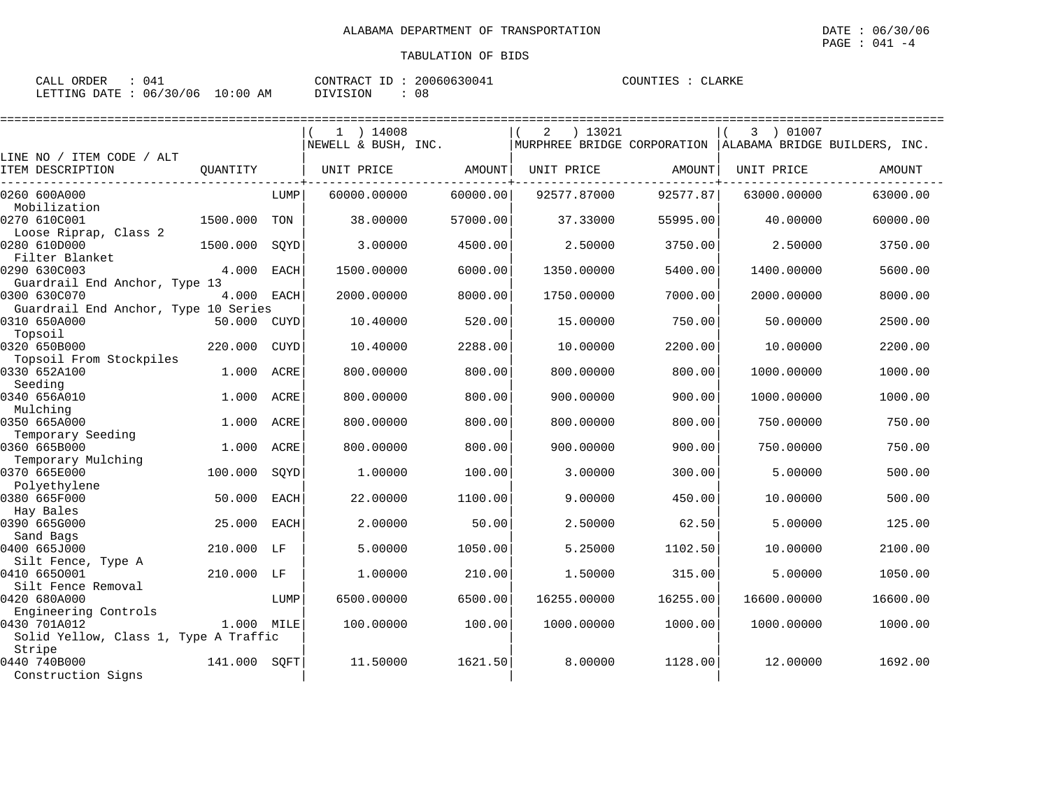| CALL ORDER : 041                |  | CONTRACT ID: 20060630041 |    | COUNTIES : CLARKE |  |
|---------------------------------|--|--------------------------|----|-------------------|--|
| LETTING DATE: 06/30/06 10:00 AM |  | DIVISION                 | 08 |                   |  |

|                                       |            |             | $1$ ) 14008         |          | ) 13021<br>2                                                |          | 3 ) 01007   |          |
|---------------------------------------|------------|-------------|---------------------|----------|-------------------------------------------------------------|----------|-------------|----------|
|                                       |            |             | NEWELL & BUSH, INC. |          | MURPHREE BRIDGE CORPORATION   ALABAMA BRIDGE BUILDERS, INC. |          |             |          |
| LINE NO / ITEM CODE / ALT             |            |             |                     |          |                                                             |          |             |          |
| ITEM DESCRIPTION                      | OUANTITY   |             | UNIT PRICE          | AMOUNT   | UNIT PRICE                                                  | AMOUNT   | UNIT PRICE  | AMOUNT   |
| 0260 600A000                          |            | LUMP        | 60000.00000         | 60000.00 | 92577.87000                                                 | 92577.87 | 63000.00000 | 63000.00 |
| Mobilization                          |            |             |                     |          |                                                             |          |             |          |
| 0270 610C001                          | 1500.000   | TON         | 38,00000            | 57000.00 | 37.33000                                                    | 55995.00 | 40.00000    | 60000.00 |
| Loose Riprap, Class 2                 |            |             |                     |          |                                                             |          |             |          |
| 0280 610D000                          | 1500.000   | SOYD        | 3.00000             | 4500.00  | 2.50000                                                     | 3750.00  | 2.50000     | 3750.00  |
| Filter Blanket<br>0290 630C003        | 4.000      | EACH        | 1500.00000          | 6000.00  | 1350.00000                                                  | 5400.00  | 1400.00000  | 5600.00  |
| Guardrail End Anchor, Type 13         |            |             |                     |          |                                                             |          |             |          |
| 0300 630C070                          | 4.000      | EACH        | 2000.00000          | 8000.00  | 1750.00000                                                  | 7000.00  | 2000.00000  | 8000.00  |
| Guardrail End Anchor, Type 10 Series  |            |             |                     |          |                                                             |          |             |          |
| 0310 650A000                          | 50.000     | CUYD        | 10.40000            | 520.00   | 15.00000                                                    | 750.00   | 50.00000    | 2500.00  |
| Topsoil                               |            |             |                     |          |                                                             |          |             |          |
| 0320 650B000                          | 220.000    | <b>CUYD</b> | 10.40000            | 2288.00  | 10.00000                                                    | 2200.00  | 10.00000    | 2200.00  |
| Topsoil From Stockpiles               |            |             |                     |          |                                                             |          |             |          |
| 0330 652A100                          | 1.000      | ACRE        | 800.00000           | 800.00   | 800.00000                                                   | 800.00   | 1000.00000  | 1000.00  |
| Seeding                               |            |             |                     |          |                                                             |          |             |          |
| 0340 656A010                          | 1.000      | ACRE        | 800.00000           | 800.00   | 900.00000                                                   | 900.00   | 1000.00000  | 1000.00  |
| Mulching                              |            |             |                     |          |                                                             |          |             |          |
| 0350 665A000                          | 1.000      | ACRE        | 800,00000           | 800.00   | 800.00000                                                   | 800.00   | 750.00000   | 750.00   |
| Temporary Seeding                     |            |             |                     |          |                                                             |          |             |          |
| 0360 665B000                          | 1.000      | ACRE        | 800.00000           | 800.00   | 900.00000                                                   | 900.00   | 750.00000   | 750.00   |
| Temporary Mulching<br>0370 665E000    |            |             |                     |          |                                                             |          |             |          |
| Polyethylene                          | 100.000    | SOYD        | 1,00000             | 100.00   | 3.00000                                                     | 300.00   | 5.00000     | 500.00   |
| 0380 665F000                          | 50.000     | <b>EACH</b> | 22.00000            | 1100.00  | 9.00000                                                     | 450.00   | 10,00000    | 500.00   |
| Hay Bales                             |            |             |                     |          |                                                             |          |             |          |
| 0390 665G000                          | 25.000     | EACH        | 2.00000             | 50.00    | 2.50000                                                     | 62.50    | 5.00000     | 125.00   |
| Sand Bags                             |            |             |                     |          |                                                             |          |             |          |
| 0400 665J000                          | 210.000    | LF          | 5.00000             | 1050.00  | 5.25000                                                     | 1102.50  | 10,00000    | 2100.00  |
| Silt Fence, Type A                    |            |             |                     |          |                                                             |          |             |          |
| 0410 6650001                          | 210.000    | LF          | 1,00000             | 210.00   | 1.50000                                                     | 315.00   | 5.00000     | 1050.00  |
| Silt Fence Removal                    |            |             |                     |          |                                                             |          |             |          |
| 0420 680A000                          |            | LUMP        | 6500.00000          | 6500.00  | 16255.00000                                                 | 16255.00 | 16600.00000 | 16600.00 |
| Engineering Controls                  |            |             |                     |          |                                                             |          |             |          |
| 0430 701A012                          | 1.000 MILE |             | 100.00000           | 100.00   | 1000.00000                                                  | 1000.00  | 1000.00000  | 1000.00  |
| Solid Yellow, Class 1, Type A Traffic |            |             |                     |          |                                                             |          |             |          |
| Stripe                                |            |             |                     |          |                                                             |          |             |          |
| 0440 740B000                          | 141.000    | SOFT        | 11.50000            | 1621.50  | 8,00000                                                     | 1128.00  | 12.00000    | 1692.00  |
| Construction Signs                    |            |             |                     |          |                                                             |          |             |          |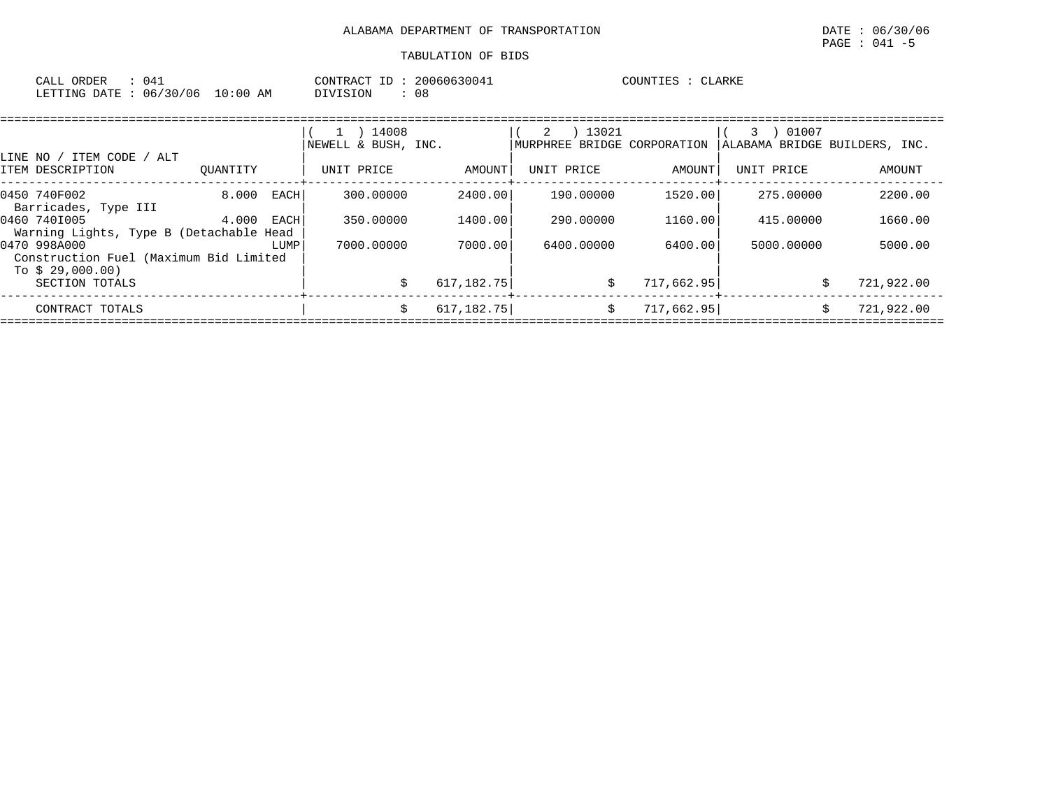| CALL ORDER                       | 041 | CONTRACT ID: | 20060630041 | COUNTIES : CLARKE |  |
|----------------------------------|-----|--------------|-------------|-------------------|--|
| LETTING DATE : 06/30/06 10:00 AM |     | DIVISION     | 08          |                   |  |

|                                                         |          |      | 14008<br>$\perp$<br>NEWELL & BUSH, INC. |             | 13021<br>2<br>MURPHREE BRIDGE CORPORATION |            | 01007<br>3<br>ALABAMA BRIDGE BUILDERS, INC. |                  |
|---------------------------------------------------------|----------|------|-----------------------------------------|-------------|-------------------------------------------|------------|---------------------------------------------|------------------|
| LINE NO / ITEM CODE<br>/ ALT<br>ITEM DESCRIPTION        | OUANTITY |      | UNIT PRICE                              | AMOUNT      | UNIT PRICE                                | AMOUNT     | UNIT PRICE                                  | AMOUNT           |
| 0450 740F002<br>Barricades, Type III                    | 8.000    | EACH | 300.00000                               | 2400.001    | 190.00000                                 | 1520.00    | 275,00000                                   | 2200.00          |
| 0460 7401005<br>Warning Lights, Type B (Detachable Head | 4.000    | EACH | 350.00000                               | 1400.00     | 290.00000                                 | 1160.00    | 415.00000                                   | 1660.00          |
| 0470 998A000<br>Construction Fuel (Maximum Bid Limited  |          | LUMP | 7000.00000                              | 7000.00     | 6400.00000                                | 6400.00    | 5000.00000                                  | 5000.00          |
| To $$29,000.00)$<br>SECTION TOTALS                      |          |      |                                         | 617, 182.75 | \$                                        | 717,662.95 |                                             | 721,922.00       |
| CONTRACT TOTALS                                         |          |      | \$                                      | 617, 182.75 | \$                                        | 717,662.95 |                                             | 721,922.00<br>Ŝ. |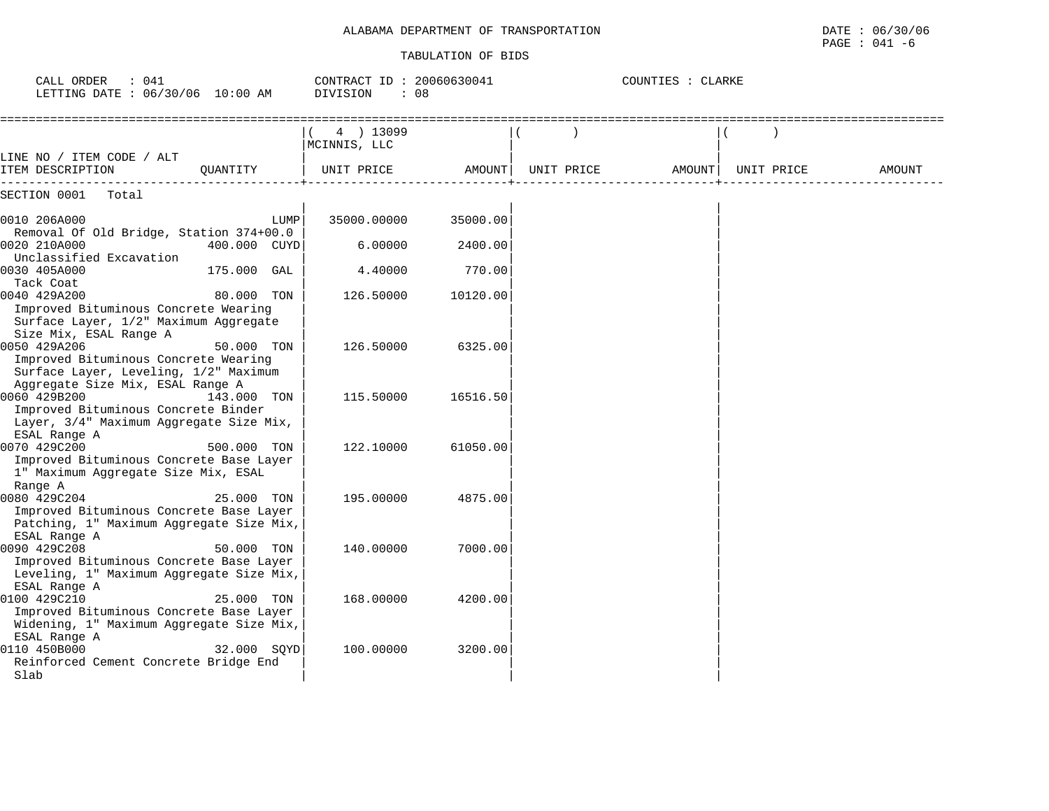| CALL ORDER<br>: 041<br>LETTING DATE : 06/30/06 10:00 AM                                                                           |              | CONTRACT ID: 20060630041<br><b>DIVISION</b> | : 08     |            | COUNTIES : CLARKE |            |        |
|-----------------------------------------------------------------------------------------------------------------------------------|--------------|---------------------------------------------|----------|------------|-------------------|------------|--------|
|                                                                                                                                   |              | 4 ) 13099<br>MCINNIS, LLC                   |          |            |                   |            |        |
| LINE NO / ITEM CODE / ALT<br>ITEM DESCRIPTION                                                                                     | OUANTITY     | UNIT PRICE                                  | AMOUNT   | UNIT PRICE | AMOUNT            | UNIT PRICE | AMOUNT |
| SECTION 0001<br>Total                                                                                                             |              |                                             |          |            |                   |            |        |
| 0010 206A000<br>Removal Of Old Bridge, Station 374+00.0                                                                           | LUMP         | 35000.00000                                 | 35000.00 |            |                   |            |        |
| 0020 210A000<br>Unclassified Excavation                                                                                           | 400.000 CUYD | 6,00000                                     | 2400.00  |            |                   |            |        |
| 0030 405A000<br>Tack Coat                                                                                                         | 175.000 GAL  | 4.40000                                     | 770.00   |            |                   |            |        |
| 0040 429A200<br>Improved Bituminous Concrete Wearing<br>Surface Layer, 1/2" Maximum Aggregate<br>Size Mix, ESAL Range A           | 80.000 TON   | 126.50000                                   | 10120.00 |            |                   |            |        |
| 0050 429A206<br>Improved Bituminous Concrete Wearing<br>Surface Layer, Leveling, 1/2" Maximum<br>Aggregate Size Mix, ESAL Range A | 50.000 TON   | 126.50000                                   | 6325.00  |            |                   |            |        |
| 0060 429B200<br>Improved Bituminous Concrete Binder<br>Layer, 3/4" Maximum Aggregate Size Mix,<br>ESAL Range A                    | 143.000 TON  | 115.50000                                   | 16516.50 |            |                   |            |        |
| 0070 429C200<br>Improved Bituminous Concrete Base Layer<br>1" Maximum Aggregate Size Mix, ESAL<br>Range A                         | 500.000 TON  | 122.10000                                   | 61050.00 |            |                   |            |        |
| 0080 429C204<br>Improved Bituminous Concrete Base Layer<br>Patching, 1" Maximum Aggregate Size Mix,<br>ESAL Range A               | 25.000 TON   | 195.00000                                   | 4875.00  |            |                   |            |        |
| 0090 429C208<br>Improved Bituminous Concrete Base Layer<br>Leveling, 1" Maximum Aggregate Size Mix,<br>ESAL Range A               | 50.000 TON   | 140.00000                                   | 7000.00  |            |                   |            |        |
| 0100 429C210<br>Improved Bituminous Concrete Base Layer<br>Widening, 1" Maximum Aggregate Size Mix,<br>ESAL Range A               | 25.000 TON   | 168.00000                                   | 4200.00  |            |                   |            |        |
| 0110 450B000<br>Reinforced Cement Concrete Bridge End<br>Slab                                                                     | 32.000 SOYD  | 100.00000                                   | 3200.00  |            |                   |            |        |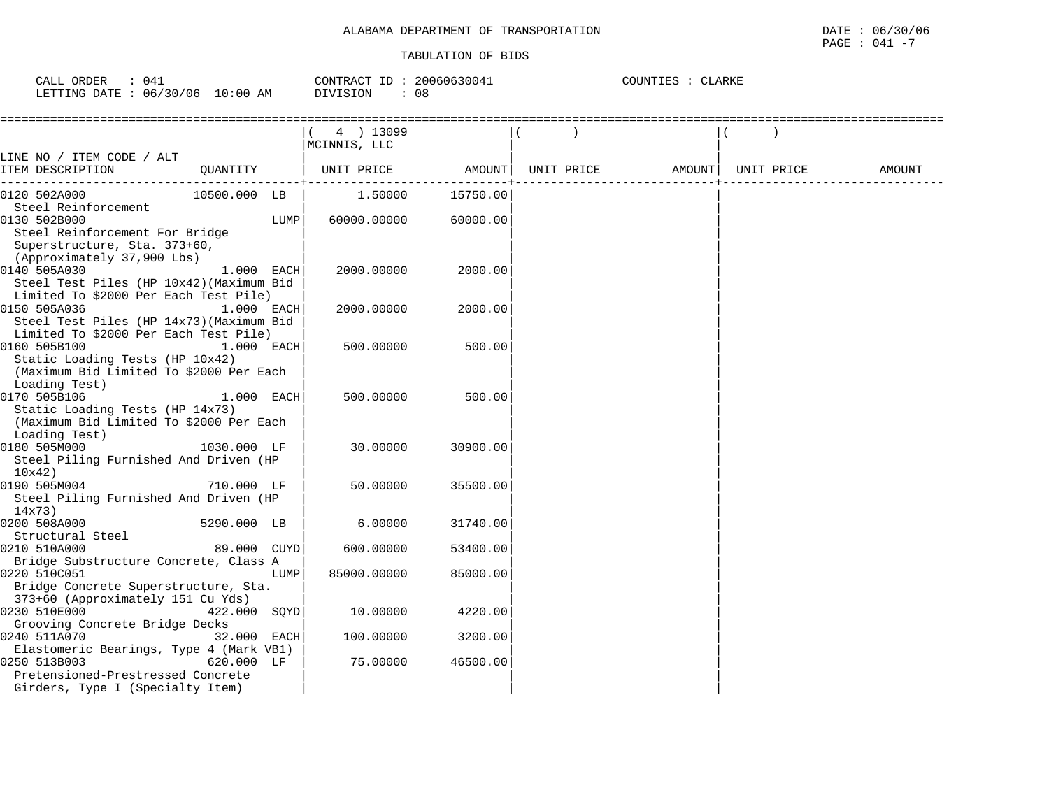| ORDER<br>CALL (                 | 041 | CONTRACT<br>ID  | 20060630041 | COUNTIES | CLARKE |  |
|---------------------------------|-----|-----------------|-------------|----------|--------|--|
| LETTING DATE: 06/30/06 10:00 AM |     | <b>DIVISION</b> | u a         |          |        |  |

|                                                                                                                                                |              | 4 ) 13099<br>MCINNIS, LLC |          |            |                    |        |
|------------------------------------------------------------------------------------------------------------------------------------------------|--------------|---------------------------|----------|------------|--------------------|--------|
| LINE NO / ITEM CODE / ALT                                                                                                                      |              |                           |          |            |                    |        |
| ITEM DESCRIPTION<br>QUANTITY                                                                                                                   |              | UNIT PRICE                | AMOUNT   | UNIT PRICE | AMOUNT  UNIT PRICE | AMOUNT |
| 10500.000 LB<br>0120 502A000                                                                                                                   |              | 1.50000                   | 15750.00 |            |                    |        |
| Steel Reinforcement<br>0130 502B000<br>Steel Reinforcement For Bridge<br>Superstructure, Sta. 373+60,                                          | LUMP         | 60000.00000               | 60000.00 |            |                    |        |
| (Approximately 37,900 Lbs)<br>0140 505A030<br>Steel Test Piles (HP 10x42) (Maximum Bid<br>Limited To \$2000 Per Each Test Pile)                | 1.000 EACH   | 2000.00000                | 2000.00  |            |                    |        |
| 1.000 EACH<br>0150 505A036<br>Steel Test Piles (HP 14x73) (Maximum Bid<br>Limited To \$2000 Per Each Test Pile)                                |              | 2000.00000                | 2000.00  |            |                    |        |
| 0160 505B100<br>Static Loading Tests (HP 10x42)<br>(Maximum Bid Limited To \$2000 Per Each<br>Loading Test)                                    | $1.000$ EACH | 500.00000                 | 500.00   |            |                    |        |
| 0170 505B106<br>Static Loading Tests (HP 14x73)<br>(Maximum Bid Limited To \$2000 Per Each<br>Loading Test)                                    | 1.000 EACH   | 500.00000                 | 500.00   |            |                    |        |
| 0180 505M000<br>1030.000 LF<br>Steel Piling Furnished And Driven (HP<br>10x42)                                                                 |              | 30,00000                  | 30900.00 |            |                    |        |
| 0190 505M004<br>710.000 LF<br>Steel Piling Furnished And Driven (HP<br>14x73)                                                                  |              | 50.00000                  | 35500.00 |            |                    |        |
| 0200 508A000<br>5290.000 LB<br>Structural Steel                                                                                                |              | 6.00000                   | 31740.00 |            |                    |        |
| 0210 510A000<br>Bridge Substructure Concrete, Class A                                                                                          | 89.000 CUYD  | 600.00000                 | 53400.00 |            |                    |        |
| 0220 510C051<br>Bridge Concrete Superstructure, Sta.<br>373+60 (Approximately 151 Cu Yds)                                                      | LUMP         | 85000.00000               | 85000.00 |            |                    |        |
| 422.000 SQYD<br>0230 510E000<br>Grooving Concrete Bridge Decks                                                                                 |              | 10.00000                  | 4220.00  |            |                    |        |
| 0240 511A070                                                                                                                                   | 32.000 EACH  | 100.00000                 | 3200.00  |            |                    |        |
| Elastomeric Bearings, Type 4 (Mark VB1)<br>0250 513B003<br>620.000 LF<br>Pretensioned-Prestressed Concrete<br>Girders, Type I (Specialty Item) |              | 75.00000                  | 46500.00 |            |                    |        |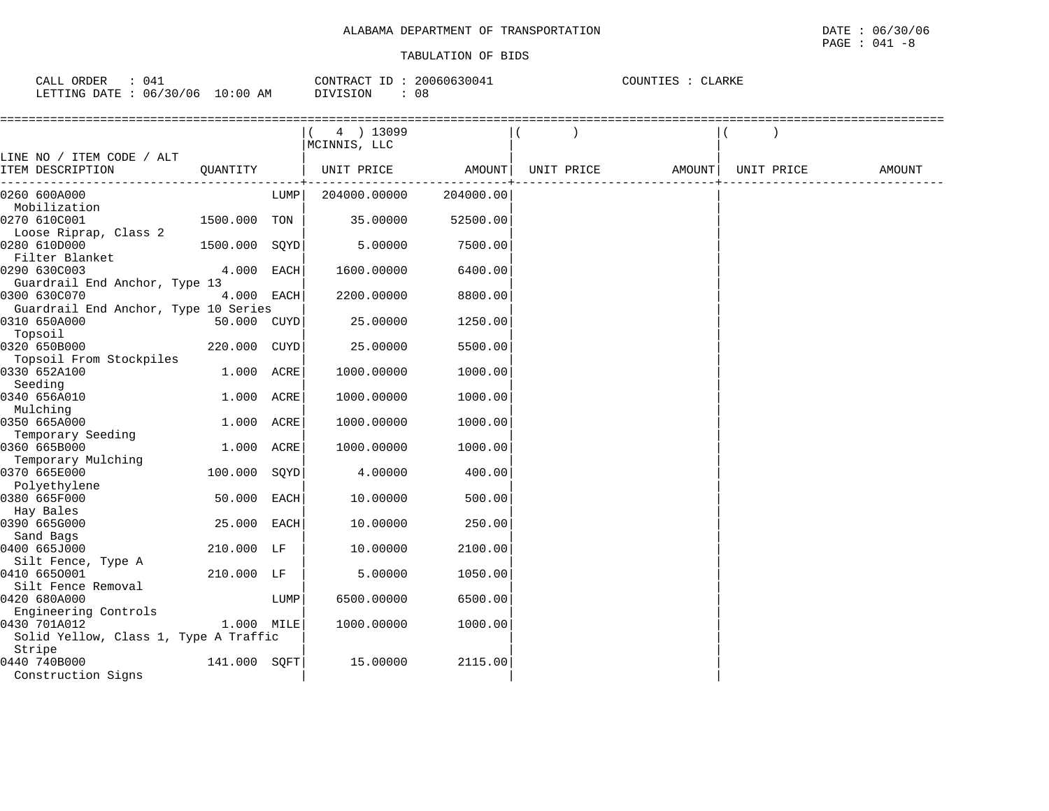| ORDER<br>941<br>CALL     |             | 20060630041<br>CONTRACT<br>TD. | . $\cap$ TNTT $\Gamma \cap \Gamma$<br><b>_ARKE</b><br>上出出 |
|--------------------------|-------------|--------------------------------|-----------------------------------------------------------|
| 06/30/06<br>LETTING DATE | 10:00<br>AΜ | <b>NIVISION</b><br>v c         |                                                           |

|                                       |               |             | 4 ) 13099<br>MCINNIS, LLC |           |            |        |            |        |
|---------------------------------------|---------------|-------------|---------------------------|-----------|------------|--------|------------|--------|
| LINE NO / ITEM CODE / ALT             |               |             |                           |           |            |        |            |        |
| ITEM DESCRIPTION                      | QUANTITY      |             | UNIT PRICE                | AMOUNT    | UNIT PRICE | AMOUNT | UNIT PRICE | AMOUNT |
| 0260 600A000                          |               | LUMP        | 204000.00000              | 204000.00 |            |        |            |        |
| Mobilization                          |               |             |                           |           |            |        |            |        |
| 0270 610C001                          | 1500.000 TON  |             | 35.00000                  | 52500.00  |            |        |            |        |
| Loose Riprap, Class 2                 |               |             |                           |           |            |        |            |        |
| 0280 610D000                          | 1500.000 SQYD |             | 5.00000                   | 7500.00   |            |        |            |        |
| Filter Blanket<br>0290 630C003        | 4.000         | EACH        | 1600.00000                | 6400.00   |            |        |            |        |
| Guardrail End Anchor, Type 13         |               |             |                           |           |            |        |            |        |
| 0300 630C070                          | 4.000 EACH    |             | 2200.00000                | 8800.00   |            |        |            |        |
| Guardrail End Anchor, Type 10 Series  |               |             |                           |           |            |        |            |        |
| 0310 650A000                          | 50.000 CUYD   |             | 25.00000                  | 1250.00   |            |        |            |        |
| Topsoil                               |               |             |                           |           |            |        |            |        |
| 0320 650B000                          | 220.000 CUYD  |             | 25.00000                  | 5500.00   |            |        |            |        |
| Topsoil From Stockpiles               |               |             |                           |           |            |        |            |        |
| 0330 652A100                          | 1.000 ACRE    |             | 1000.00000                | 1000.00   |            |        |            |        |
| Seeding                               |               |             |                           |           |            |        |            |        |
| 0340 656A010                          | 1.000 ACRE    |             | 1000.00000                | 1000.00   |            |        |            |        |
| Mulching                              |               |             |                           |           |            |        |            |        |
| 0350 665A000                          | 1.000 ACRE    |             | 1000.00000                | 1000.00   |            |        |            |        |
| Temporary Seeding<br>0360 665B000     | 1.000         | ACRE        | 1000.00000                | 1000.00   |            |        |            |        |
| Temporary Mulching                    |               |             |                           |           |            |        |            |        |
| 0370 665E000                          | 100.000       | SQYD        | 4.00000                   | 400.00    |            |        |            |        |
| Polyethylene                          |               |             |                           |           |            |        |            |        |
| 0380 665F000                          | 50.000        | <b>EACH</b> | 10.00000                  | 500.00    |            |        |            |        |
| Hay Bales                             |               |             |                           |           |            |        |            |        |
| 0390 665G000                          | 25.000        | EACH        | 10.00000                  | 250.00    |            |        |            |        |
| Sand Bags                             |               |             |                           |           |            |        |            |        |
| 0400 665J000                          | 210.000 LF    |             | 10.00000                  | 2100.00   |            |        |            |        |
| Silt Fence, Type A                    |               |             |                           |           |            |        |            |        |
| 0410 6650001                          | 210.000 LF    |             | 5.00000                   | 1050.00   |            |        |            |        |
| Silt Fence Removal<br>0420 680A000    |               | LUMP        | 6500.00000                | 6500.00   |            |        |            |        |
| Engineering Controls                  |               |             |                           |           |            |        |            |        |
| 0430 701A012                          | 1.000 MILE    |             | 1000.00000                | 1000.00   |            |        |            |        |
| Solid Yellow, Class 1, Type A Traffic |               |             |                           |           |            |        |            |        |
| Stripe                                |               |             |                           |           |            |        |            |        |
| 0440 740B000                          | 141.000 SOFT  |             | 15.00000                  | 2115.00   |            |        |            |        |
| Construction Signs                    |               |             |                           |           |            |        |            |        |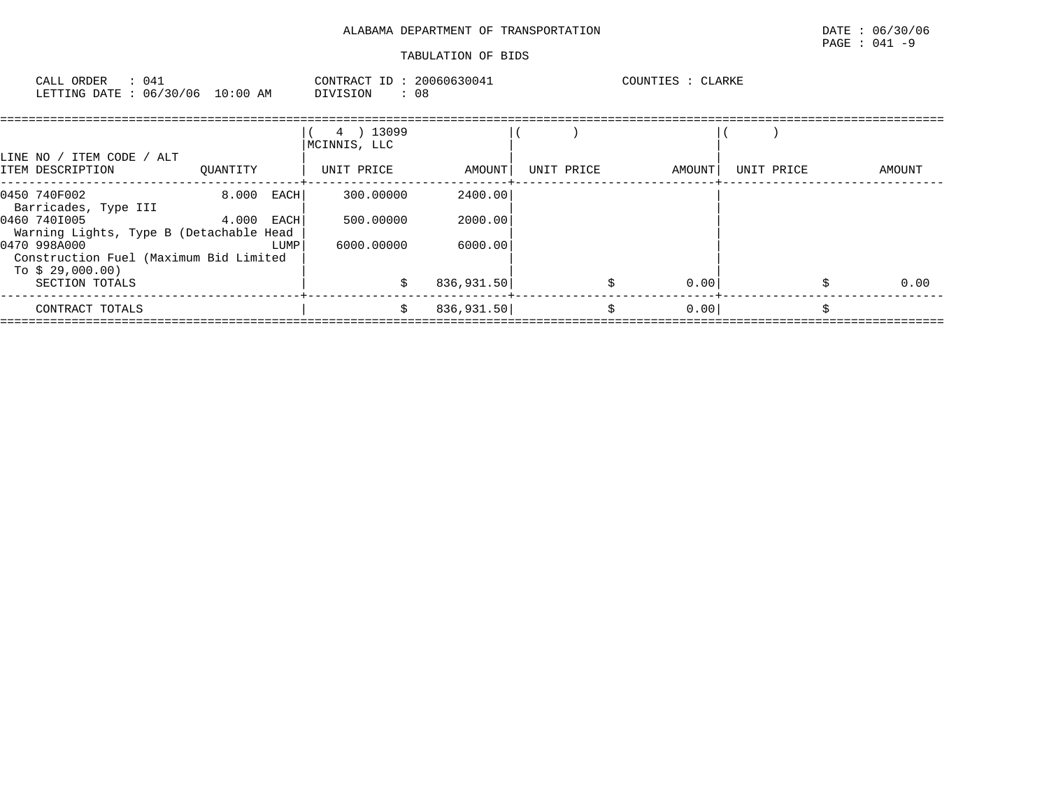| CALL ORDER : 041                |  |  |          |  | CONTRACT ID: 20060630041 | COUNTIES : CLARKE |  |
|---------------------------------|--|--|----------|--|--------------------------|-------------------|--|
| LETTING DATE: 06/30/06 10:00 AM |  |  | DIVISION |  | . 08                     |                   |  |

| LINE NO / ITEM CODE / ALT<br>ITEM DESCRIPTION                              | OUANTITY      | 4 ) 13099<br>MCINNIS, LLC<br>UNIT PRICE | AMOUNT     | UNIT PRICE | AMOUNT | UNIT PRICE | AMOUNT |
|----------------------------------------------------------------------------|---------------|-----------------------------------------|------------|------------|--------|------------|--------|
|                                                                            |               |                                         |            |            |        |            |        |
| 0450 740F002<br>Barricades, Type III                                       | 8.000<br>EACH | 300,00000                               | 2400.00    |            |        |            |        |
| 0460 7401005<br>Warning Lights, Type B (Detachable Head                    | 4.000<br>EACH | 500,00000                               | 2000.00    |            |        |            |        |
| 0470 998A000<br>Construction Fuel (Maximum Bid Limited<br>To $$29,000.00)$ | LUMP          | 6000.00000                              | 6000.00    |            |        |            |        |
| SECTION TOTALS                                                             |               |                                         | 836,931.50 |            | 0.00   |            | 0.00   |
| CONTRACT TOTALS                                                            |               | s                                       | 836,931.50 | Ŝ          | 0.00   |            |        |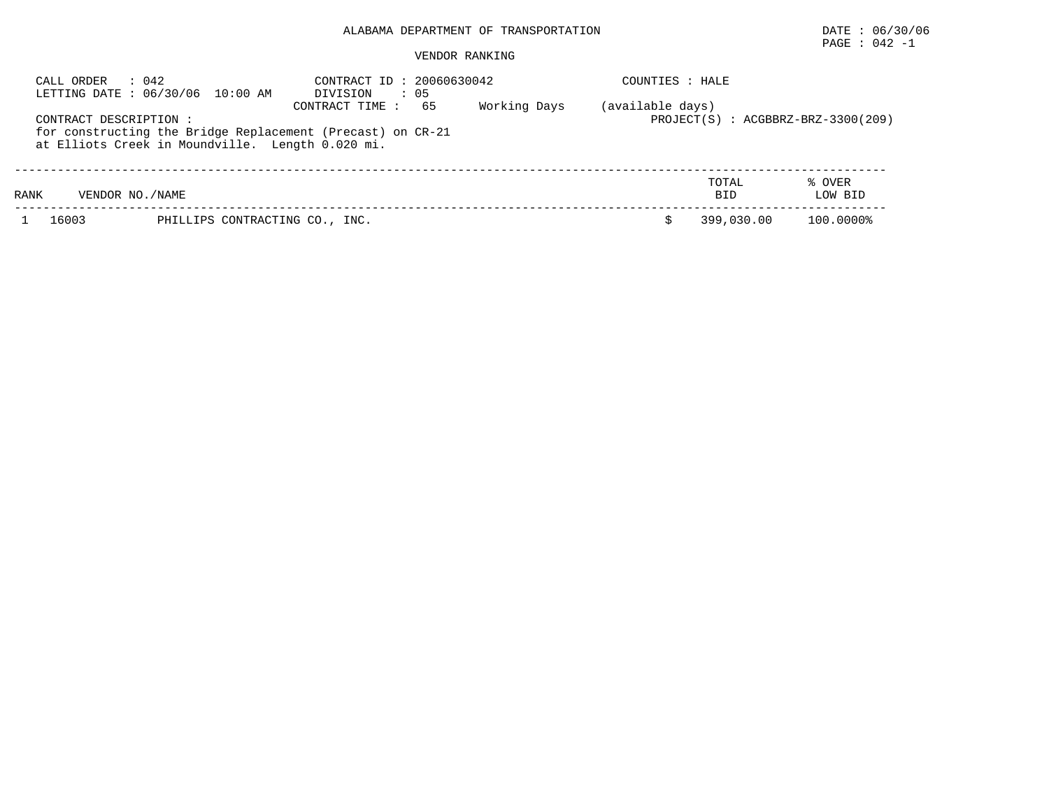# PAGE : 042 -1

| CALL ORDER                | : 042<br>LETTING DATE : 06/30/06 10:00 AM        | CONTRACT ID: 20060630042<br>: 05<br>DIVISION                                       |              | COUNTIES : HALE  |                     |                                        |
|---------------------------|--------------------------------------------------|------------------------------------------------------------------------------------|--------------|------------------|---------------------|----------------------------------------|
| CONTRACT DESCRIPTION :    | at Elliots Creek in Moundville. Length 0.020 mi. | 65<br>CONTRACT TIME:<br>for constructing the Bridge Replacement (Precast) on CR-21 | Working Days | (available days) |                     | $PROJECT(S)$ : $ACGBBRZ-BRZ-3300(209)$ |
| VENDOR NO. / NAME<br>RANK |                                                  |                                                                                    |              |                  | TOTAL<br><b>BID</b> | % OVER<br>LOW BID                      |
| 16003                     | PHILLIPS CONTRACTING CO., INC.                   |                                                                                    |              |                  | 399,030.00          | 100.0000%                              |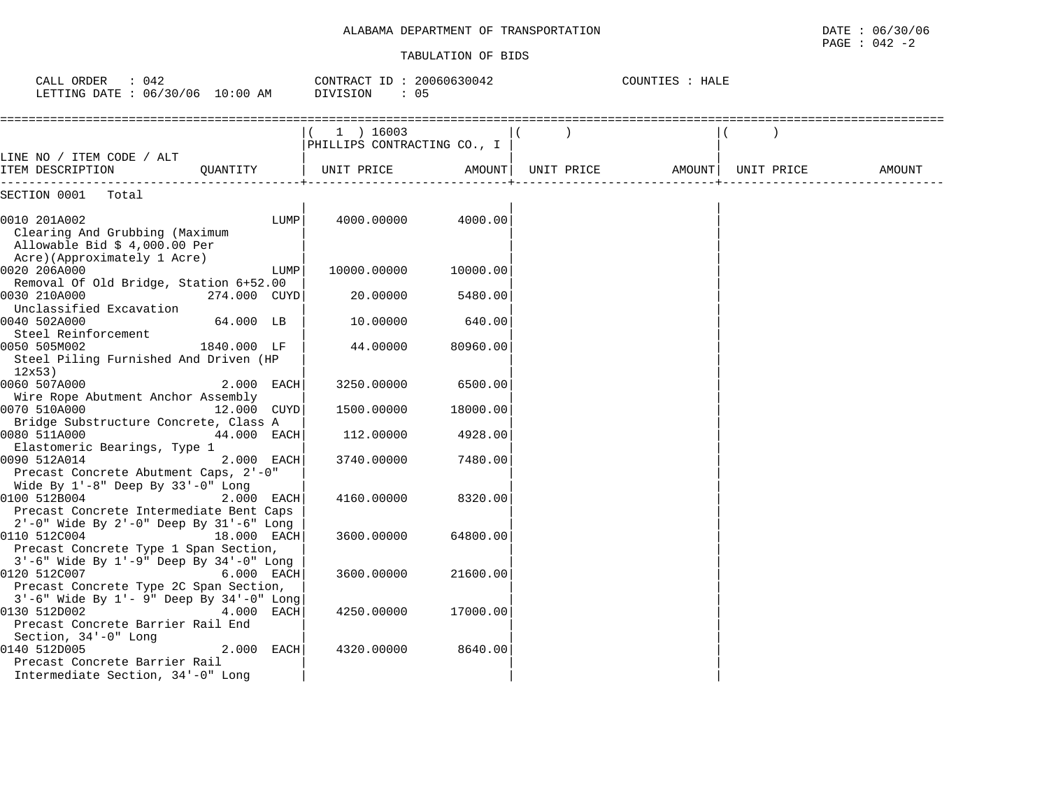# ALABAMA DEPARTMENT OF TRANSPORTATION **Example 2018** DATE : 06/30/06

#### TABULATION OF BIDS

PAGE : 042 -2

| CALL ORDER : 042<br>LETTING DATE : 06/30/06 10:00 AM                                                           | CONTRACT ID: 20060630042<br>DIVISION<br>: 05 |                                          | COUNTIES : HALE |            |        |            |        |
|----------------------------------------------------------------------------------------------------------------|----------------------------------------------|------------------------------------------|-----------------|------------|--------|------------|--------|
|                                                                                                                |                                              | 1 ) 16003<br>PHILLIPS CONTRACTING CO., I |                 |            |        |            |        |
| LINE NO / ITEM CODE / ALT<br>ITEM DESCRIPTION<br>--------------                                                | OUANTITY                                     | UNIT PRICE                               | AMOUNT          | UNIT PRICE | AMOUNT | UNIT PRICE | AMOUNT |
| SECTION 0001 Total                                                                                             |                                              |                                          |                 |            |        |            |        |
| 0010 201A002<br>Clearing And Grubbing (Maximum<br>Allowable Bid $$4,000.00$ Per<br>Acre)(Approximately 1 Acre) | LUMP                                         | 4000.00000                               | 4000.00         |            |        |            |        |
| 0020 206A000                                                                                                   | LUMP                                         | 10000.00000                              | 10000.00        |            |        |            |        |
| Removal Of Old Bridge, Station 6+52.00                                                                         |                                              |                                          |                 |            |        |            |        |
| 0030 210A000<br>Unclassified Excavation                                                                        | 274.000 CUYD                                 | 20,00000                                 | 5480.00         |            |        |            |        |
| 0040 502A000<br>Steel Reinforcement                                                                            | 64.000 LB                                    | 10.00000                                 | 640.00          |            |        |            |        |
| 0050 505M002<br>Steel Piling Furnished And Driven (HP<br>12x53                                                 | 1840.000 LF                                  | 44.00000                                 | 80960.00        |            |        |            |        |
| 0060 507A000                                                                                                   | 2.000 EACH                                   | 3250.00000                               | 6500.00         |            |        |            |        |
| Wire Rope Abutment Anchor Assembly                                                                             |                                              |                                          |                 |            |        |            |        |
| 0070 510A000                                                                                                   | 12.000 CUYD                                  | 1500.00000                               | 18000.00        |            |        |            |        |
| Bridge Substructure Concrete, Class A                                                                          |                                              |                                          |                 |            |        |            |        |
| 0080 511A000                                                                                                   | 44.000 EACH                                  | 112,00000                                | 4928.00         |            |        |            |        |
| Elastomeric Bearings, Type 1                                                                                   |                                              |                                          |                 |            |        |            |        |
| 0090 512A014                                                                                                   | 2.000 EACH                                   | 3740.00000                               | 7480.00         |            |        |            |        |
| Precast Concrete Abutment Caps, 2'-0"<br>Wide By $1'-8$ " Deep By $33'-0$ " Long                               |                                              |                                          |                 |            |        |            |        |
| 0100 512B004                                                                                                   | 2.000 EACH                                   | 4160.00000                               | 8320.00         |            |        |            |        |
| Precast Concrete Intermediate Bent Caps                                                                        |                                              |                                          |                 |            |        |            |        |
| 2'-0" Wide By 2'-0" Deep By 31'-6" Long                                                                        |                                              |                                          |                 |            |        |            |        |
| 0110 512C004                                                                                                   | 18.000 EACH                                  | 3600.00000                               | 64800.00        |            |        |            |        |
| Precast Concrete Type 1 Span Section,                                                                          |                                              |                                          |                 |            |        |            |        |
| 3'-6" Wide By 1'-9" Deep By 34'-0" Long                                                                        |                                              |                                          |                 |            |        |            |        |
| 0120 512C007                                                                                                   | 6.000 EACH                                   | 3600.00000                               | 21600.00        |            |        |            |        |
| Precast Concrete Type 2C Span Section,                                                                         |                                              |                                          |                 |            |        |            |        |
| $3'-6$ " Wide By $1'-9$ " Deep By $34'-0$ " Long                                                               |                                              |                                          |                 |            |        |            |        |
| 0130 512D002                                                                                                   | 4.000 EACH                                   | 4250.00000                               | 17000.00        |            |        |            |        |
| Precast Concrete Barrier Rail End                                                                              |                                              |                                          |                 |            |        |            |        |
| Section, 34'-0" Long                                                                                           |                                              |                                          |                 |            |        |            |        |
| 0140 512D005                                                                                                   | 2.000 EACH                                   | 4320.00000                               | 8640.00         |            |        |            |        |
| Precast Concrete Barrier Rail<br>Intermediate Section, 34'-0" Long                                             |                                              |                                          |                 |            |        |            |        |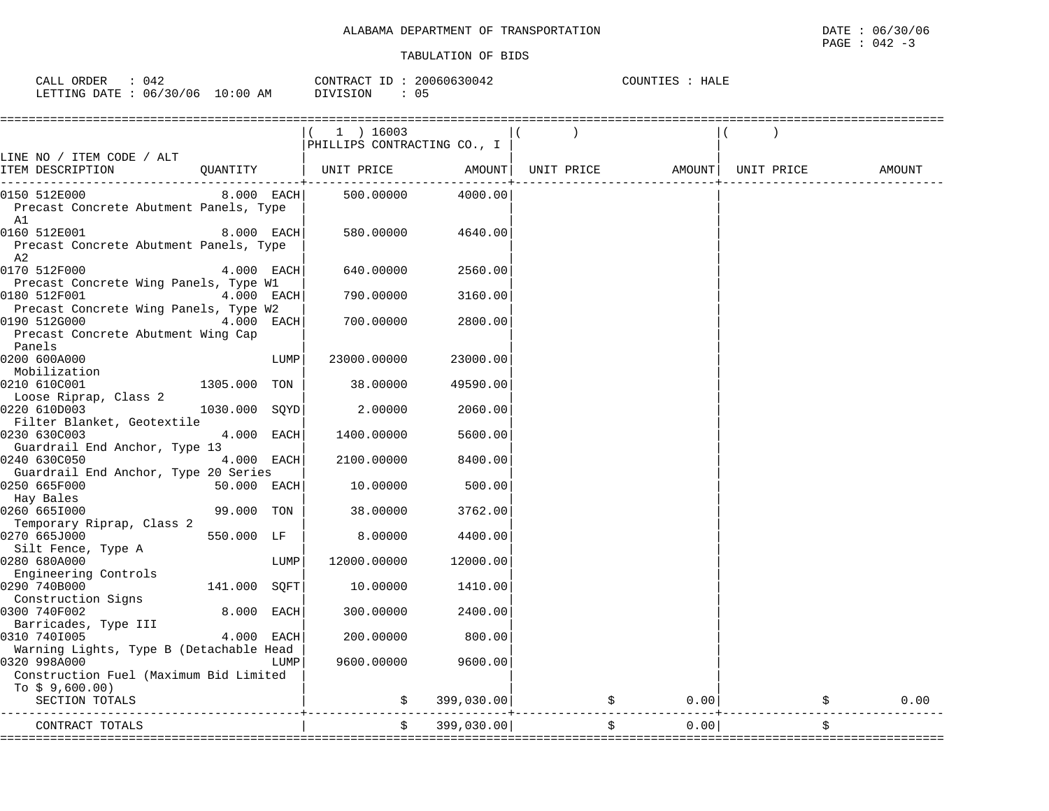| CALL ORDER                      | 042 | CONTRACT ID: 20060630042 |    | COUNTIES :<br>HALE |
|---------------------------------|-----|--------------------------|----|--------------------|
| LETTING DATE: 06/30/06 10:00 AM |     | DIVISION                 | 05 |                    |

|                                                       |               |              | $1$ ) 16003                 |                    |                   |       |            |        |
|-------------------------------------------------------|---------------|--------------|-----------------------------|--------------------|-------------------|-------|------------|--------|
|                                                       |               |              | PHILLIPS CONTRACTING CO., I |                    |                   |       |            |        |
| LINE NO / ITEM CODE / ALT                             |               |              |                             |                    |                   |       |            |        |
| ITEM DESCRIPTION                                      | QUANTITY      |              | UNIT PRICE                  | AMOUNT             | UNIT PRICE AMOUNT |       | UNIT PRICE | AMOUNT |
| 0150 512E000                                          |               | $8.000$ EACH | 500.00000                   | -------<br>4000.00 |                   |       |            |        |
| Precast Concrete Abutment Panels, Type                |               |              |                             |                    |                   |       |            |        |
| A1                                                    |               |              |                             |                    |                   |       |            |        |
| 0160 512E001                                          |               | 8.000 EACH   | 580.00000                   | 4640.00            |                   |       |            |        |
| Precast Concrete Abutment Panels, Type                |               |              |                             |                    |                   |       |            |        |
| A2                                                    |               |              |                             |                    |                   |       |            |        |
| 0170 512F000                                          |               | 4.000 EACH   | 640.00000                   | 2560.00            |                   |       |            |        |
| Precast Concrete Wing Panels, Type W1<br>0180 512F001 |               | 4.000 EACH   | 790.00000                   | 3160.00            |                   |       |            |        |
| Precast Concrete Wing Panels, Type W2                 |               |              |                             |                    |                   |       |            |        |
| 0190 512G000                                          |               | 4.000 EACH   | 700.00000                   | 2800.00            |                   |       |            |        |
| Precast Concrete Abutment Wing Cap                    |               |              |                             |                    |                   |       |            |        |
| Panels                                                |               |              |                             |                    |                   |       |            |        |
| 0200 600A000                                          |               | LUMP         | 23000.00000                 | 23000.00           |                   |       |            |        |
| Mobilization                                          |               |              |                             |                    |                   |       |            |        |
| 0210 610C001                                          | 1305.000 TON  |              | 38.00000                    | 49590.00           |                   |       |            |        |
| Loose Riprap, Class 2                                 |               |              |                             |                    |                   |       |            |        |
| 0220 610D003                                          | 1030.000 SOYD |              | 2.00000                     | 2060.00            |                   |       |            |        |
| Filter Blanket, Geotextile                            |               |              |                             |                    |                   |       |            |        |
| 0230 630C003                                          |               | 4.000 EACH   | 1400.00000                  | 5600.00            |                   |       |            |        |
| Guardrail End Anchor, Type 13                         |               |              |                             |                    |                   |       |            |        |
| 0240 630C050                                          |               | 4.000 EACH   | 2100.00000                  | 8400.00            |                   |       |            |        |
| Guardrail End Anchor, Type 20 Series                  |               |              |                             |                    |                   |       |            |        |
| 0250 665F000                                          | 50.000 EACH   |              | 10.00000                    | 500.00             |                   |       |            |        |
| Hay Bales                                             | 99.000 TON    |              |                             |                    |                   |       |            |        |
| 0260 6651000<br>Temporary Riprap, Class 2             |               |              | 38.00000                    | 3762.00            |                   |       |            |        |
| 0270 665J000                                          | 550.000 LF    |              | 8.00000                     | 4400.00            |                   |       |            |        |
| Silt Fence, Type A                                    |               |              |                             |                    |                   |       |            |        |
| 0280 680A000                                          |               | LUMP         | 12000.00000                 | 12000.00           |                   |       |            |        |
| Engineering Controls                                  |               |              |                             |                    |                   |       |            |        |
| 0290 740B000                                          | 141.000 SOFT  |              | 10.00000                    | 1410.00            |                   |       |            |        |
| Construction Signs                                    |               |              |                             |                    |                   |       |            |        |
| 0300 740F002                                          | 8.000 EACH    |              | 300.00000                   | 2400.00            |                   |       |            |        |
| Barricades, Type III                                  |               |              |                             |                    |                   |       |            |        |
| 0310 7401005                                          |               | 4.000 EACH   | 200.00000                   | 800.00             |                   |       |            |        |
| Warning Lights, Type B (Detachable Head               |               |              |                             |                    |                   |       |            |        |
| 0320 998A000                                          |               | LUMP         | 9600.00000                  | 9600.00            |                   |       |            |        |
| Construction Fuel (Maximum Bid Limited                |               |              |                             |                    |                   |       |            |        |
| To $$9,600.00)$                                       |               |              |                             |                    |                   | 0.001 |            |        |
| SECTION TOTALS                                        |               |              | Ŝ.                          | 399,030.00         |                   |       |            | 0.00   |
| CONTRACT TOTALS                                       |               |              | \$                          | 399,030.00         | \$                | 0.00  |            | \$     |
|                                                       |               |              |                             |                    |                   |       |            |        |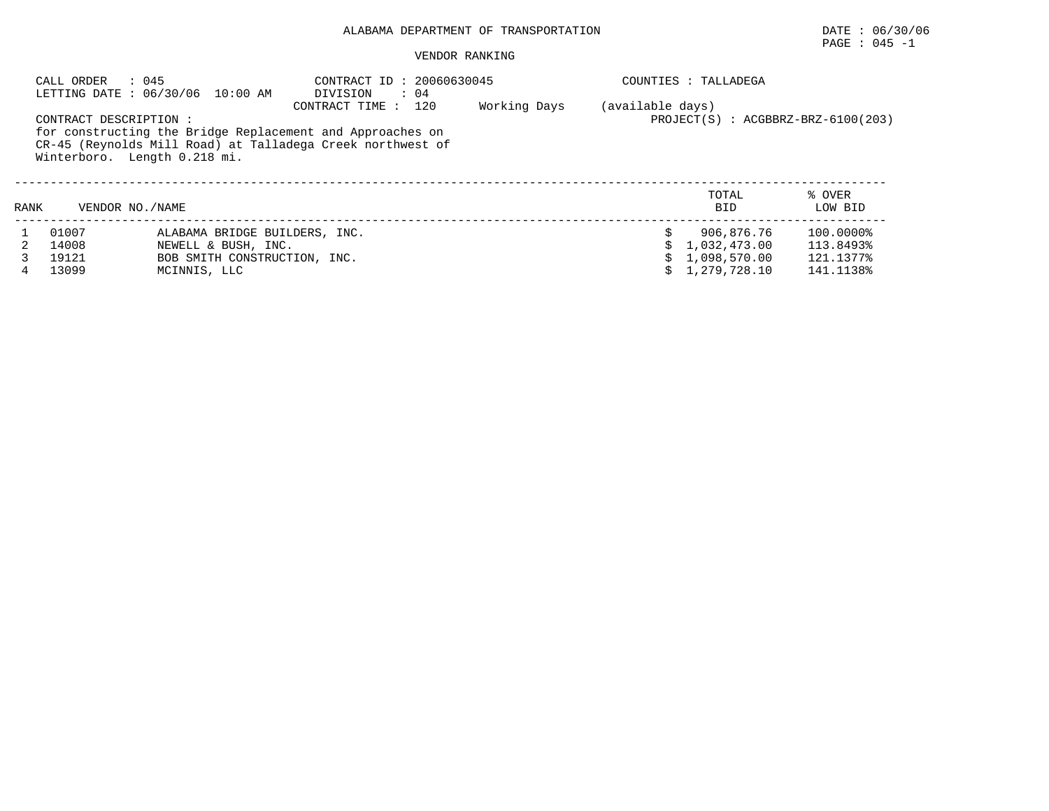# PAGE : 045 -1

| CALL ORDER<br>: 045<br>LETTING DATE : 06/30/06 10:00 AM |                                                        |                               | CONTRACT ID: 20060630045<br>DIVISION<br>$\therefore$ 04                                                                                          |              |                  | COUNTIES : TALLADEGA                   |                   |  |  |
|---------------------------------------------------------|--------------------------------------------------------|-------------------------------|--------------------------------------------------------------------------------------------------------------------------------------------------|--------------|------------------|----------------------------------------|-------------------|--|--|
|                                                         | CONTRACT DESCRIPTION :<br>Winterboro. Length 0.218 mi. |                               | 120<br>CONTRACT TIME:<br>for constructing the Bridge Replacement and Approaches on<br>CR-45 (Reynolds Mill Road) at Talladega Creek northwest of | Working Days | (available days) | $PROJECT(S)$ : $ACGBBRZ-BRZ-6100(203)$ |                   |  |  |
| RANK                                                    | VENDOR NO. / NAME                                      |                               |                                                                                                                                                  |              |                  | TOTAL<br><b>BID</b>                    | % OVER<br>LOW BID |  |  |
|                                                         | 01007                                                  | ALABAMA BRIDGE BUILDERS, INC. |                                                                                                                                                  |              |                  | 906,876.76                             | 100.0000%         |  |  |
|                                                         | 14008                                                  | NEWELL & BUSH, INC.           |                                                                                                                                                  |              |                  | 1,032,473.00                           | 113.8493%         |  |  |
|                                                         | 19121                                                  | BOB SMITH CONSTRUCTION, INC.  |                                                                                                                                                  |              |                  | 1,098,570.00                           | 121.1377%         |  |  |
|                                                         | 13099                                                  | MCINNIS, LLC                  |                                                                                                                                                  |              |                  | 1,279,728.10                           | 141.1138%         |  |  |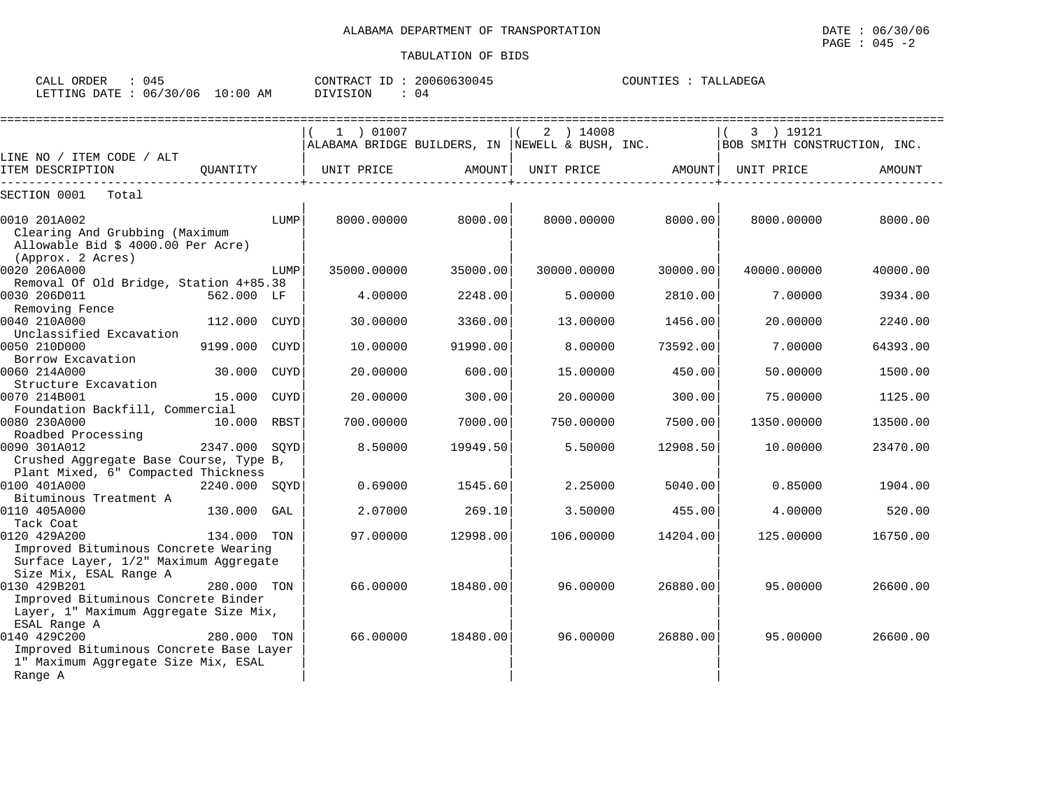| ORDER<br>CALL<br>U4:         |            | CONTRACT ID: | 20060630045     | COUNTIES<br>TALLADEGA<br>$\sim$ |
|------------------------------|------------|--------------|-----------------|---------------------------------|
| : 06/30/06<br>LETTING DATE : | $10:00$ AM | DIVISION     | $\bigcap$<br>U4 |                                 |

|                                                                                |               |      | 1 ) 01007                                           |          | 2 ) 14008   |          | 3 ) 19121                    |          |
|--------------------------------------------------------------------------------|---------------|------|-----------------------------------------------------|----------|-------------|----------|------------------------------|----------|
|                                                                                |               |      | ALABAMA BRIDGE BUILDERS, IN $ $ NEWELL & BUSH, INC. |          |             |          | BOB SMITH CONSTRUCTION, INC. |          |
| LINE NO / ITEM CODE / ALT                                                      |               |      |                                                     |          |             |          |                              |          |
| ITEM DESCRIPTION                                                               | OUANTITY      |      | UNIT PRICE                                          | AMOUNT   | UNIT PRICE  | AMOUNT   | UNIT PRICE                   | AMOUNT   |
| SECTION 0001<br>Total                                                          |               |      |                                                     |          |             |          |                              |          |
|                                                                                |               |      |                                                     |          |             |          |                              |          |
| 0010 201A002<br>Clearing And Grubbing (Maximum                                 |               | LUMP | 8000.00000                                          | 8000.00  | 8000.00000  | 8000.00  | 8000.00000                   | 8000.00  |
| Allowable Bid \$ 4000.00 Per Acre)                                             |               |      |                                                     |          |             |          |                              |          |
| (Approx. 2 Acres)                                                              |               |      |                                                     |          |             |          |                              |          |
| 0020 206A000                                                                   |               | LUMP | 35000.00000                                         | 35000.00 | 30000.00000 | 30000.00 | 40000.00000                  | 40000.00 |
| Removal Of Old Bridge, Station 4+85.38                                         |               |      |                                                     |          |             |          |                              |          |
| 0030 206D011                                                                   | 562.000 LF    |      | 4.00000                                             | 2248.00  | 5.00000     | 2810.00  | 7.00000                      | 3934.00  |
| Removing Fence                                                                 |               |      |                                                     |          |             |          |                              |          |
| 0040 210A000                                                                   | 112.000 CUYD  |      | 30.00000                                            | 3360.00  | 13.00000    | 1456.00  | 20.00000                     | 2240.00  |
| Unclassified Excavation                                                        |               |      |                                                     |          |             |          |                              |          |
| 0050 210D000                                                                   | 9199.000      | CUYD | 10.00000                                            | 91990.00 | 8,00000     | 73592.00 | 7.00000                      | 64393.00 |
| Borrow Excavation                                                              |               |      |                                                     |          |             |          |                              |          |
| 0060 214A000                                                                   | 30.000        | CUYD | 20.00000                                            | 600.00   | 15.00000    | 450.00   | 50.00000                     | 1500.00  |
| Structure Excavation                                                           |               |      |                                                     |          |             |          |                              |          |
| 0070 214B001                                                                   | 15.000 CUYD   |      | 20.00000                                            | 300.00   | 20,00000    | 300.00   | 75.00000                     | 1125.00  |
| Foundation Backfill, Commercial                                                |               |      |                                                     |          |             |          |                              |          |
| 0080 230A000<br>Roadbed Processing                                             | 10.000 RBST   |      | 700.00000                                           | 7000.00  | 750.00000   | 7500.00  | 1350.00000                   | 13500.00 |
| 0090 301A012                                                                   | 2347.000      | SOYD | 8.50000                                             | 19949.50 | 5.50000     | 12908.50 | 10.00000                     | 23470.00 |
| Crushed Aggregate Base Course, Type B,                                         |               |      |                                                     |          |             |          |                              |          |
| Plant Mixed, 6" Compacted Thickness                                            |               |      |                                                     |          |             |          |                              |          |
| 0100 401A000                                                                   | 2240.000 SQYD |      | 0.69000                                             | 1545.60  | 2.25000     | 5040.00  | 0.85000                      | 1904.00  |
| Bituminous Treatment A                                                         |               |      |                                                     |          |             |          |                              |          |
| 0110 405A000                                                                   | 130.000       | GAL  | 2.07000                                             | 269.10   | 3.50000     | 455.00   | 4.00000                      | 520.00   |
| Tack Coat                                                                      |               |      |                                                     |          |             |          |                              |          |
| 0120 429A200                                                                   | 134.000       | TON  | 97.00000                                            | 12998.00 | 106.00000   | 14204.00 | 125.00000                    | 16750.00 |
| Improved Bituminous Concrete Wearing                                           |               |      |                                                     |          |             |          |                              |          |
| Surface Layer, 1/2" Maximum Aggregate                                          |               |      |                                                     |          |             |          |                              |          |
| Size Mix, ESAL Range A                                                         |               |      |                                                     |          |             |          |                              |          |
| 0130 429B201                                                                   | 280.000 TON   |      | 66.00000                                            | 18480.00 | 96.00000    | 26880.00 | 95.00000                     | 26600.00 |
| Improved Bituminous Concrete Binder                                            |               |      |                                                     |          |             |          |                              |          |
| Layer, 1" Maximum Aggregate Size Mix,                                          |               |      |                                                     |          |             |          |                              |          |
| ESAL Range A                                                                   |               |      |                                                     |          |             |          |                              |          |
| 0140 429C200                                                                   | 280.000 TON   |      | 66.00000                                            | 18480.00 | 96.00000    | 26880.00 | 95.00000                     | 26600.00 |
| Improved Bituminous Concrete Base Layer<br>1" Maximum Aggregate Size Mix, ESAL |               |      |                                                     |          |             |          |                              |          |
| Range A                                                                        |               |      |                                                     |          |             |          |                              |          |
|                                                                                |               |      |                                                     |          |             |          |                              |          |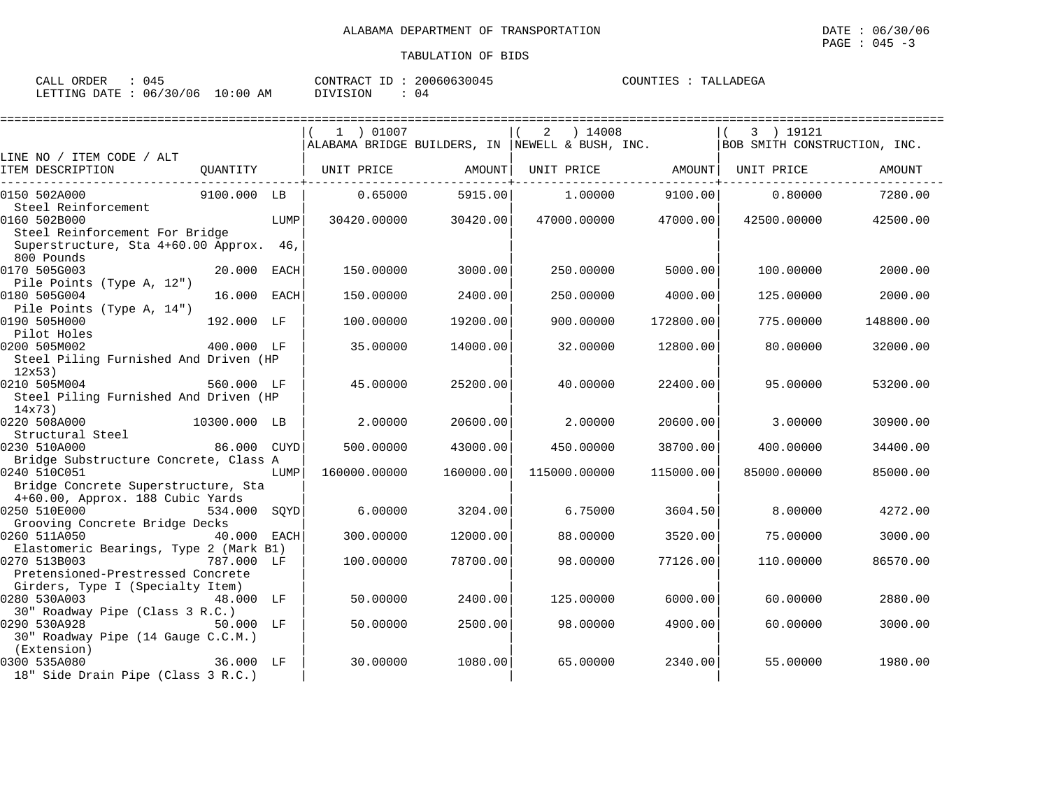| 045<br>CALL ORDER               |                 | CONTRACT ID: 20060630045 | COUNTIES :<br>TALLADEGA |
|---------------------------------|-----------------|--------------------------|-------------------------|
| LETTING DATE: 06/30/06 10:00 AM | <b>DIVISION</b> | 04                       |                         |

|                                                                                                     | 1 ) 01007    |           | ) 14008<br>2                                    |           | 3 ) 19121                    |           |
|-----------------------------------------------------------------------------------------------------|--------------|-----------|-------------------------------------------------|-----------|------------------------------|-----------|
| LINE NO / ITEM CODE / ALT                                                                           |              |           | ALABAMA BRIDGE BUILDERS, IN NEWELL & BUSH, INC. |           | BOB SMITH CONSTRUCTION, INC. |           |
| ITEM DESCRIPTION<br>OUANTITY                                                                        | UNIT PRICE   | AMOUNT    | UNIT PRICE                                      | AMOUNT    | UNIT PRICE                   | AMOUNT    |
| 0150 502A000<br>9100.000 LB<br>Steel Reinforcement                                                  | 0.65000      | 5915.00   | 1,00000                                         | 9100.00   | 0.80000                      | 7280.00   |
| 0160 502B000<br>LUMP<br>Steel Reinforcement For Bridge                                              | 30420.00000  | 30420.00  | 47000.00000                                     | 47000.00  | 42500.00000                  | 42500.00  |
| Superstructure, Sta 4+60.00 Approx. 46,<br>800 Pounds                                               |              |           |                                                 |           |                              |           |
| 0170 505G003<br>20.000<br>EACH<br>Pile Points (Type A, 12")                                         | 150.00000    | 3000.00   | 250.00000                                       | 5000.00   | 100.00000                    | 2000.00   |
| 16.000<br>0180 505G004<br>EACH<br>Pile Points (Type A, 14")                                         | 150.00000    | 2400.00   | 250.00000                                       | 4000.00   | 125.00000                    | 2000.00   |
| 0190 505H000<br>192.000 LF<br>Pilot Holes                                                           | 100.00000    | 19200.00  | 900.00000                                       | 172800.00 | 775.00000                    | 148800.00 |
| 0200 505M002<br>400.000 LF<br>Steel Piling Furnished And Driven (HP                                 | 35.00000     | 14000.00  | 32.00000                                        | 12800.00  | 80,00000                     | 32000.00  |
| 12x53)<br>0210 505M004<br>560.000 LF                                                                | 45.00000     | 25200.00  | 40.00000                                        | 22400.00  | 95.00000                     | 53200.00  |
| Steel Piling Furnished And Driven (HP<br>14x73)                                                     |              |           |                                                 |           |                              |           |
| 0220 508A000<br>10300.000 LB<br>Structural Steel                                                    | 2.00000      | 20600.00  | 2.00000                                         | 20600.00  | 3,00000                      | 30900.00  |
| 0230 510A000<br>86.000 CUYD<br>Bridge Substructure Concrete, Class A                                | 500.00000    | 43000.00  | 450.00000                                       | 38700.00  | 400.00000                    | 34400.00  |
| 0240 510C051<br>LUMP<br>Bridge Concrete Superstructure, Sta                                         | 160000.00000 | 160000.00 | 115000.00000                                    | 115000.00 | 85000.00000                  | 85000.00  |
| 4+60.00, Approx. 188 Cubic Yards<br>0250 510E000<br>534.000 SQYD                                    | 6.00000      | 3204.00   | 6.75000                                         | 3604.50   | 8.00000                      | 4272.00   |
| Grooving Concrete Bridge Decks<br>40.000<br>0260 511A050<br>EACH                                    | 300.00000    | 12000.00  | 88.00000                                        | 3520.00   | 75.00000                     | 3000.00   |
| Elastomeric Bearings, Type 2 (Mark B1)                                                              |              |           |                                                 |           |                              |           |
| 0270 513B003<br>787.000 LF<br>Pretensioned-Prestressed Concrete<br>Girders, Type I (Specialty Item) | 100.00000    | 78700.00  | 98.00000                                        | 77126.00  | 110.00000                    | 86570.00  |
| 0280 530A003<br>48.000 LF<br>30" Roadway Pipe (Class 3 R.C.)                                        | 50.00000     | 2400.00   | 125.00000                                       | 6000.00   | 60.00000                     | 2880.00   |
| 0290 530A928<br>50.000 LF<br>30" Roadway Pipe (14 Gauge C.C.M.)                                     | 50.00000     | 2500.00   | 98.00000                                        | 4900.00   | 60.00000                     | 3000.00   |
| (Extension)<br>0300 535A080<br>36.000 LF<br>18" Side Drain Pipe (Class 3 R.C.)                      | 30.00000     | 1080.00   | 65.00000                                        | 2340.00   | 55.00000                     | 1980.00   |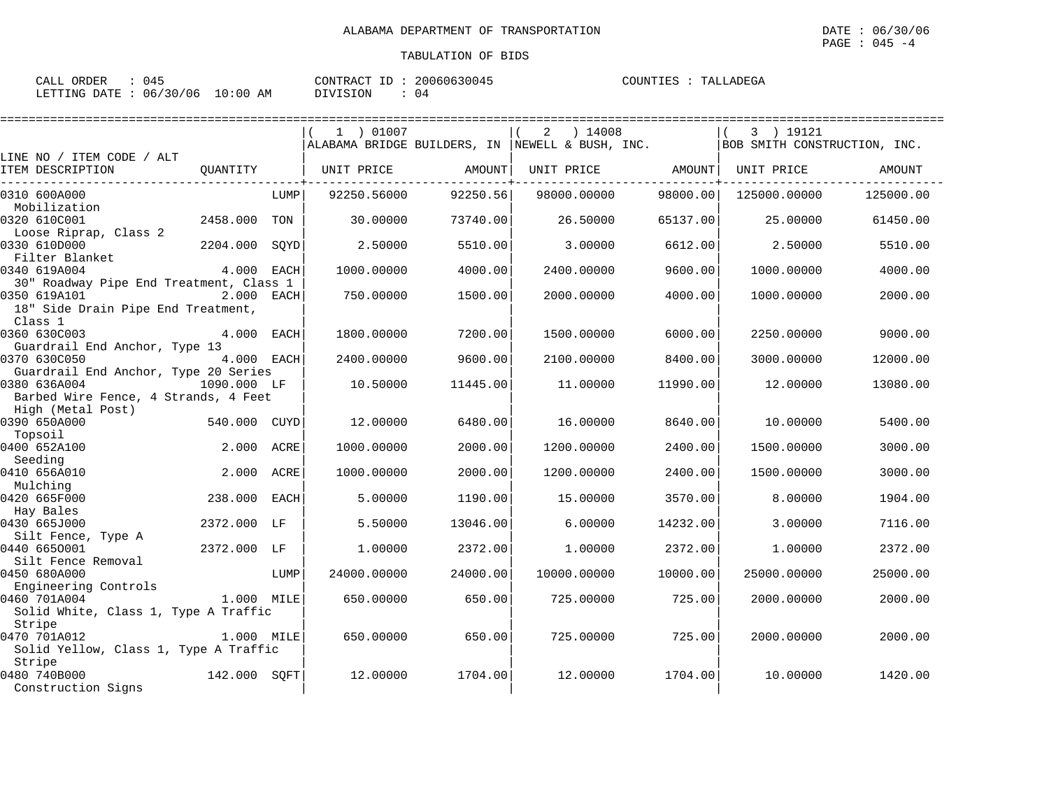| ORDER<br>CALL<br>'14. |                           | CONTRACT<br>ID  | 20060630045 | COUNTIES<br>TALLADEGA |
|-----------------------|---------------------------|-----------------|-------------|-----------------------|
| LETTING DATE:         | : 06/30/06<br>10:00<br>AΜ | <b>DIVISION</b> |             |                       |

|                                                                                              |               |      | 1 ) 01007   |          | 2<br>) 14008                                     |          | 3 ) 19121                    |           |
|----------------------------------------------------------------------------------------------|---------------|------|-------------|----------|--------------------------------------------------|----------|------------------------------|-----------|
|                                                                                              |               |      |             |          | ALABAMA BRIDGE BUILDERS, IN  NEWELL & BUSH, INC. |          | BOB SMITH CONSTRUCTION, INC. |           |
| LINE NO / ITEM CODE / ALT<br>ITEM DESCRIPTION                                                | OUANTITY      |      | UNIT PRICE  | AMOUNT   | UNIT PRICE                                       | AMOUNT   | UNIT PRICE                   | AMOUNT    |
| 0310 600A000<br>Mobilization                                                                 |               | LUMP | 92250.56000 | 92250.56 | 98000.00000                                      | 98000.00 | 125000.00000                 | 125000.00 |
| 0320 610C001<br>Loose Riprap, Class 2                                                        | 2458.000 TON  |      | 30,00000    | 73740.00 | 26.50000                                         | 65137.00 | 25.00000                     | 61450.00  |
| 0330 610D000<br>Filter Blanket                                                               | 2204.000 SOYD |      | 2.50000     | 5510.00  | 3.00000                                          | 6612.00  | 2.50000                      | 5510.00   |
| 0340 619A004<br>30" Roadway Pipe End Treatment, Class 1                                      | 4.000 EACH    |      | 1000.00000  | 4000.00  | 2400.00000                                       | 9600.00  | 1000.00000                   | 4000.00   |
| 0350 619A101<br>18" Side Drain Pipe End Treatment,                                           | 2.000 EACH    |      | 750.00000   | 1500.00  | 2000.00000                                       | 4000.00  | 1000.00000                   | 2000.00   |
| Class 1<br>0360 630C003                                                                      | 4.000 EACH    |      | 1800.00000  | 7200.00  | 1500.00000                                       | 6000.00  | 2250.00000                   | 9000.00   |
| Guardrail End Anchor, Type 13<br>0370 630C050                                                | 4.000 EACH    |      | 2400.00000  | 9600.00  | 2100.00000                                       | 8400.00  | 3000.00000                   | 12000.00  |
| Guardrail End Anchor, Type 20 Series<br>0380 636A004<br>Barbed Wire Fence, 4 Strands, 4 Feet | 1090.000 LF   |      | 10.50000    | 11445.00 | 11,00000                                         | 11990.00 | 12,00000                     | 13080.00  |
| High (Metal Post)                                                                            |               |      |             |          |                                                  |          |                              |           |
| 0390 650A000                                                                                 | 540.000 CUYD  |      | 12,00000    | 6480.00  | 16,00000                                         | 8640.00  | 10,00000                     | 5400.00   |
| Topsoil<br>0400 652A100                                                                      | 2.000 ACRE    |      | 1000.00000  | 2000.00  | 1200.00000                                       | 2400.00  | 1500.00000                   | 3000.00   |
| Seeding<br>0410 656A010                                                                      | 2.000 ACRE    |      | 1000.00000  | 2000.00  | 1200.00000                                       | 2400.00  | 1500.00000                   | 3000.00   |
| Mulching<br>0420 665F000<br>Hay Bales                                                        | 238.000 EACH  |      | 5.00000     | 1190.00  | 15,00000                                         | 3570.00  | 8,00000                      | 1904.00   |
| 0430 665J000<br>Silt Fence, Type A                                                           | 2372.000 LF   |      | 5.50000     | 13046.00 | 6.00000                                          | 14232.00 | 3.00000                      | 7116.00   |
| 0440 6650001<br>Silt Fence Removal                                                           | 2372.000 LF   |      | 1,00000     | 2372.00  | 1,00000                                          | 2372.00  | 1,00000                      | 2372.00   |
| 0450 680A000<br>Engineering Controls                                                         |               | LUMP | 24000.00000 | 24000.00 | 10000.00000                                      | 10000.00 | 25000.00000                  | 25000.00  |
| 0460 701A004<br>Solid White, Class 1, Type A Traffic                                         | $1.000$ MILE  |      | 650.00000   | 650.00   | 725.00000                                        | 725.00   | 2000.00000                   | 2000.00   |
| Stripe<br>0470 701A012<br>Solid Yellow, Class 1, Type A Traffic                              | 1.000 MILE    |      | 650.00000   | 650.00   | 725.00000                                        | 725.00   | 2000.00000                   | 2000.00   |
| Stripe<br>0480 740B000<br>Construction Signs                                                 | 142.000 SQFT  |      | 12,00000    | 1704.00  | 12,00000                                         | 1704.00  | 10,00000                     | 1420.00   |
|                                                                                              |               |      |             |          |                                                  |          |                              |           |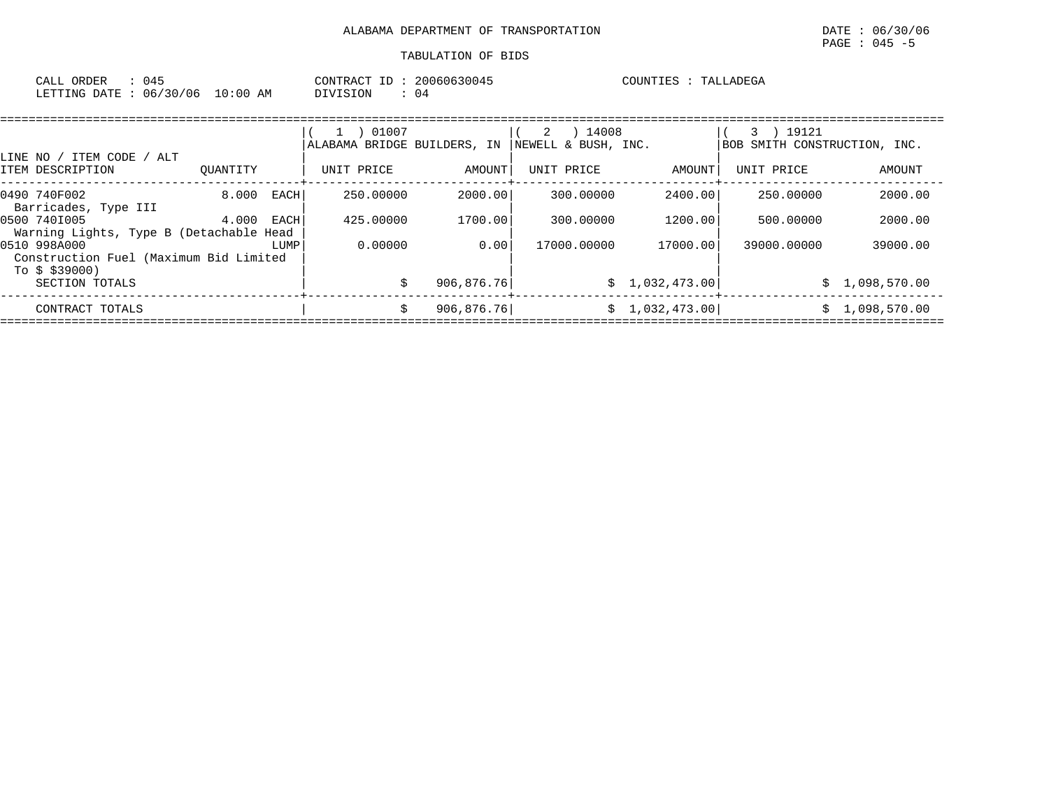| CALL ORDER<br>045               |          | CONTRACT ID: 20060630045 | COUNTIES : TALLADEGA |  |
|---------------------------------|----------|--------------------------|----------------------|--|
| LETTING DATE: 06/30/06 10:00 AM | DIVISION | 04                       |                      |  |

|                                                                          |          |      | 01007<br>ALABAMA BRIDGE BUILDERS, IN |            | 14008<br>2<br>NEWELL & BUSH, INC. |                | 19121<br>BOB SMITH CONSTRUCTION, INC. |                |
|--------------------------------------------------------------------------|----------|------|--------------------------------------|------------|-----------------------------------|----------------|---------------------------------------|----------------|
| LINE NO / ITEM CODE / ALT<br>ITEM DESCRIPTION                            | OUANTITY |      | UNIT PRICE                           | AMOUNT     | UNIT PRICE                        | AMOUNT         | UNIT PRICE                            | AMOUNT         |
| 0490 740F002<br>Barricades, Type III                                     | 8.000    | EACH | 250.00000                            | 2000.00    | 300,00000                         | 2400.00        | 250.00000                             | 2000.00        |
| 0500 7401005<br>Warning Lights, Type B (Detachable Head                  | 4.000    | EACH | 425.00000                            | 1700.00    | 300,00000                         | 1200.00        | 500.00000                             | 2000.00        |
| 0510 998A000<br>Construction Fuel (Maximum Bid Limited<br>To \$ \$39000) |          | LUMP | 0.00000                              | 0.00       | 17000.00000                       | 17000.00       | 39000,00000                           | 39000.00       |
| SECTION TOTALS                                                           |          |      |                                      | 906,876.76 |                                   | \$1,032,473.00 |                                       | \$1,098,570.00 |
| CONTRACT TOTALS                                                          |          |      | Ŝ.                                   | 906,876.76 |                                   | \$1,032,473.00 | S.                                    | 1,098,570.00   |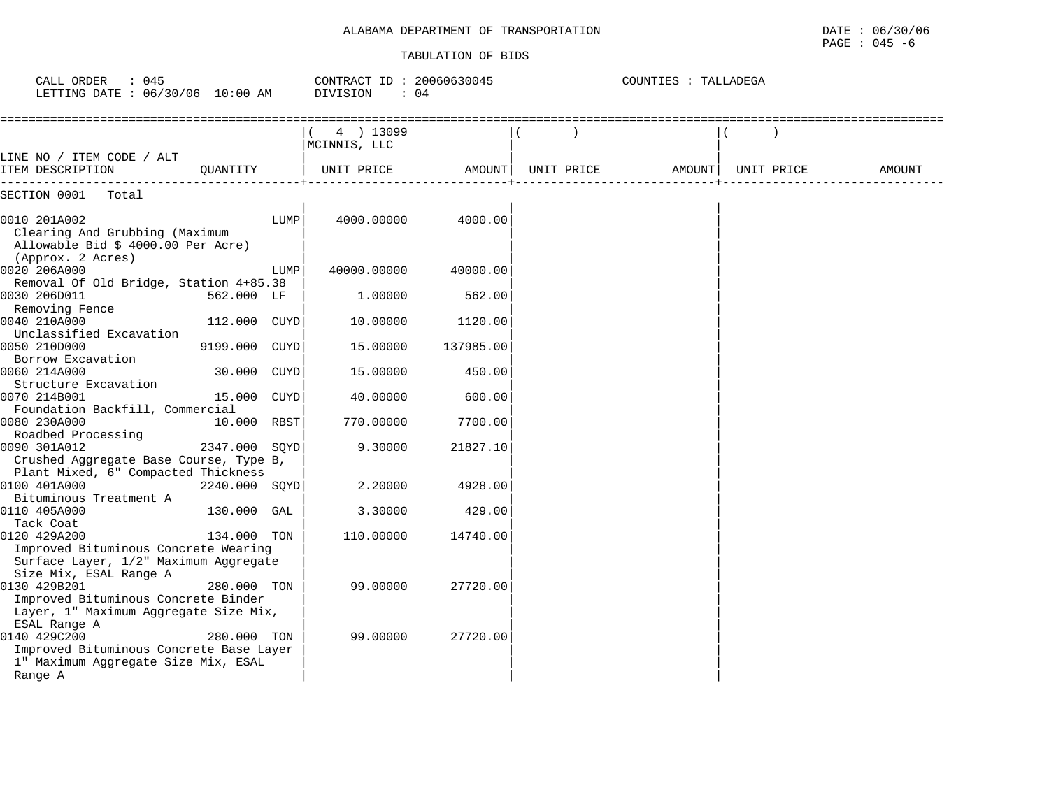| CALL ORDER<br>: 045<br>LETTING DATE : 06/30/06 10:00 AM                                                                   |               |      | CONTRACT ID: 20060630045<br>DIVISION<br>$\therefore$ 04 |           |            | COUNTIES : TALLADEGA |            |        |
|---------------------------------------------------------------------------------------------------------------------------|---------------|------|---------------------------------------------------------|-----------|------------|----------------------|------------|--------|
|                                                                                                                           |               |      | 4 ) 13099<br>MCINNIS, LLC                               |           |            |                      |            |        |
| LINE NO / ITEM CODE / ALT<br>ITEM DESCRIPTION                                                                             | OUANTITY      |      | UNIT PRICE                                              | AMOUNT    | UNIT PRICE | AMOUNT               | UNIT PRICE | AMOUNT |
| SECTION 0001<br>Total                                                                                                     |               |      |                                                         |           |            |                      |            |        |
| 0010 201A002<br>Clearing And Grubbing (Maximum<br>Allowable Bid \$ 4000.00 Per Acre)<br>(Approx. 2 Acres)                 |               | LUMP | 4000.00000                                              | 4000.00   |            |                      |            |        |
| 0020 206A000                                                                                                              |               | LUMP | 40000.00000                                             | 40000.00  |            |                      |            |        |
| Removal Of Old Bridge, Station 4+85.38                                                                                    |               |      |                                                         |           |            |                      |            |        |
| 0030 206D011<br>Removing Fence                                                                                            | 562.000 LF    |      | 1,00000                                                 | 562.00    |            |                      |            |        |
| 0040 210A000<br>Unclassified Excavation                                                                                   | 112.000 CUYD  |      | 10.00000                                                | 1120.00   |            |                      |            |        |
| 0050 210D000<br>Borrow Excavation                                                                                         | 9199.000 CUYD |      | 15.00000                                                | 137985.00 |            |                      |            |        |
| 0060 214A000<br>Structure Excavation                                                                                      | 30.000 CUYD   |      | 15.00000                                                | 450.00    |            |                      |            |        |
| 0070 214B001<br>Foundation Backfill, Commercial                                                                           | 15.000        | CUYD | 40.00000                                                | 600.00    |            |                      |            |        |
| 0080 230A000<br>Roadbed Processing                                                                                        | 10.000 RBST   |      | 770.00000                                               | 7700.00   |            |                      |            |        |
| 0090 301A012<br>Crushed Aggregate Base Course, Type B,                                                                    | 2347.000 SOYD |      | 9.30000                                                 | 21827.10  |            |                      |            |        |
| Plant Mixed, 6" Compacted Thickness                                                                                       |               |      |                                                         |           |            |                      |            |        |
| 0100 401A000                                                                                                              | 2240.000 SOYD |      | 2.20000                                                 | 4928.00   |            |                      |            |        |
| Bituminous Treatment A                                                                                                    |               |      |                                                         |           |            |                      |            |        |
| 0110 405A000                                                                                                              | 130.000 GAL   |      | 3.30000                                                 | 429.00    |            |                      |            |        |
| Tack Coat<br>0120 429A200                                                                                                 | 134.000 TON   |      | 110.00000                                               | 14740.00  |            |                      |            |        |
| Improved Bituminous Concrete Wearing<br>Surface Layer, 1/2" Maximum Aggregate<br>Size Mix, ESAL Range A                   |               |      |                                                         |           |            |                      |            |        |
| 0130 429B201<br>Improved Bituminous Concrete Binder<br>Layer, 1" Maximum Aggregate Size Mix,                              | 280.000 TON   |      | 99,00000                                                | 27720.00  |            |                      |            |        |
| ESAL Range A<br>0140 429C200<br>Improved Bituminous Concrete Base Layer<br>1" Maximum Aggregate Size Mix, ESAL<br>Range A | 280.000 TON   |      | 99.00000                                                | 27720.00  |            |                      |            |        |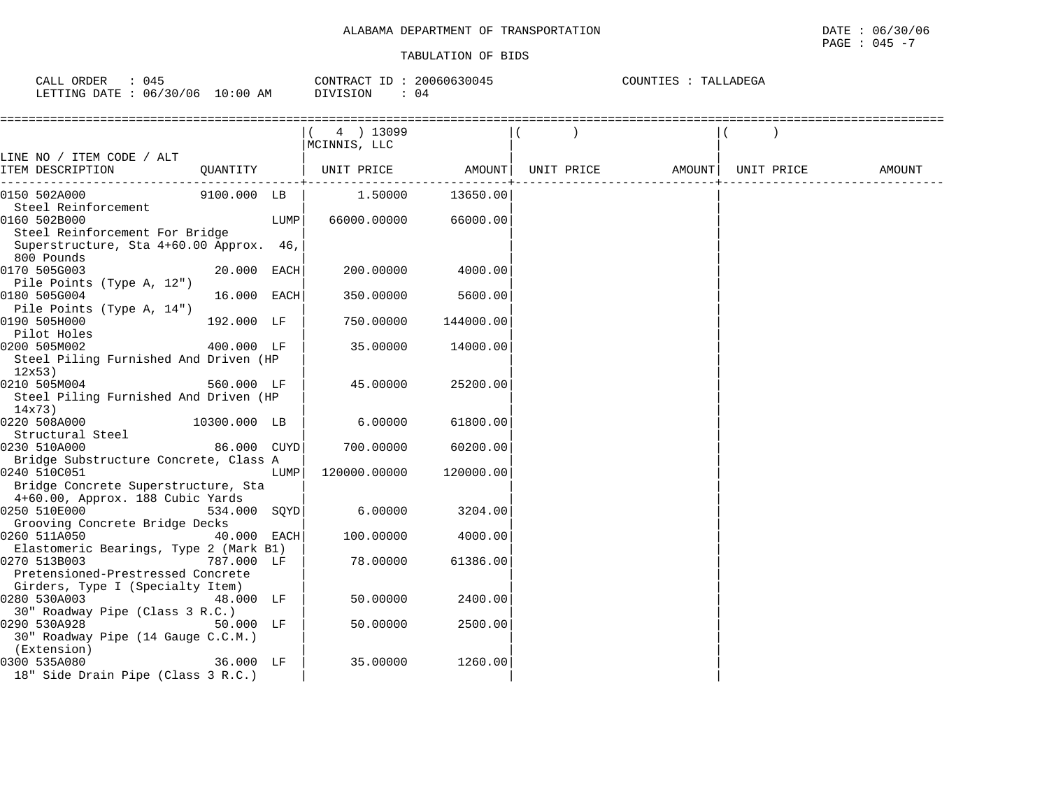| CALL ORDER                      | 045 |          | CONTRACT ID: 20060630045 | COUNTIES : TALLADEGA |  |
|---------------------------------|-----|----------|--------------------------|----------------------|--|
| LETTING DATE: 06/30/06 10:00 AM |     | DIVISION | -04                      |                      |  |

|                                                                                                                |              |      | $(4)$ 13099<br>MCINNIS, LLC |           |            |                    |        |
|----------------------------------------------------------------------------------------------------------------|--------------|------|-----------------------------|-----------|------------|--------------------|--------|
| LINE NO / ITEM CODE / ALT<br>ITEM DESCRIPTION                                                                  | QUANTITY     |      | UNIT PRICE AMOUNT           |           | UNIT PRICE | AMOUNT  UNIT PRICE | AMOUNT |
| 0150 502A000                                                                                                   | 9100.000 LB  |      | 1.50000                     | 13650.00  |            |                    |        |
| Steel Reinforcement<br>0160 502B000<br>Steel Reinforcement For Bridge                                          |              | LUMP | 66000.00000                 | 66000.00  |            |                    |        |
| Superstructure, Sta 4+60.00 Approx. 46,                                                                        |              |      |                             |           |            |                    |        |
| 800 Pounds<br>0170 505G003                                                                                     | 20.000 EACH  |      | 200.00000                   | 4000.00   |            |                    |        |
| Pile Points (Type A, 12")<br>0180 505G004<br>Pile Points (Type A, 14")                                         | 16.000 EACH  |      | 350.00000                   | 5600.00   |            |                    |        |
| 0190 505H000<br>Pilot Holes                                                                                    | 192.000 LF   |      | 750.00000                   | 144000.00 |            |                    |        |
| 0200 505M002<br>Steel Piling Furnished And Driven (HP<br>12x53)                                                | 400.000 LF   |      | 35.00000                    | 14000.00  |            |                    |        |
| 0210 505M004<br>Steel Piling Furnished And Driven (HP<br>14x73)                                                | 560.000 LF   |      | 45.00000                    | 25200.00  |            |                    |        |
| 0220 508A000 and the state of the state of the state of the state of the state of the state of the state of th | 10300.000 LB |      | 6.00000                     | 61800.00  |            |                    |        |
| Structural Steel<br>0230 510A000                                                                               | 86.000 CUYD  |      | 700.00000                   | 60200.00  |            |                    |        |
| Bridge Substructure Concrete, Class A<br>0240 510C051<br>Bridge Concrete Superstructure, Sta                   |              | LUMP | 120000.00000                | 120000.00 |            |                    |        |
| 4+60.00, Approx. 188 Cubic Yards<br>0250 510E000                                                               | 534.000 SQYD |      | 6.00000                     | 3204.00   |            |                    |        |
| Grooving Concrete Bridge Decks<br>0260 511A050                                                                 | 40.000 EACH  |      | 100.00000                   | 4000.00   |            |                    |        |
| Elastomeric Bearings, Type 2 (Mark B1)                                                                         |              |      |                             |           |            |                    |        |
| 0270 513B003<br>Pretensioned-Prestressed Concrete<br>Girders, Type I (Specialty Item)                          | 787.000 LF   |      | 78.00000                    | 61386.00  |            |                    |        |
| 0280 530A003<br>48.000 LF<br>30" Roadway Pipe (Class 3 R.C.)                                                   |              |      | 50.00000                    | 2400.00   |            |                    |        |
| 0290 530A928<br>30" Roadway Pipe (14 Gauge C.C.M.)<br>(Extension)                                              | 50.000 LF    |      | 50.00000                    | 2500.00   |            |                    |        |
| 0300 535A080<br>18" Side Drain Pipe (Class 3 R.C.)                                                             | 36.000 LF    |      | 35.00000                    | 1260.00   |            |                    |        |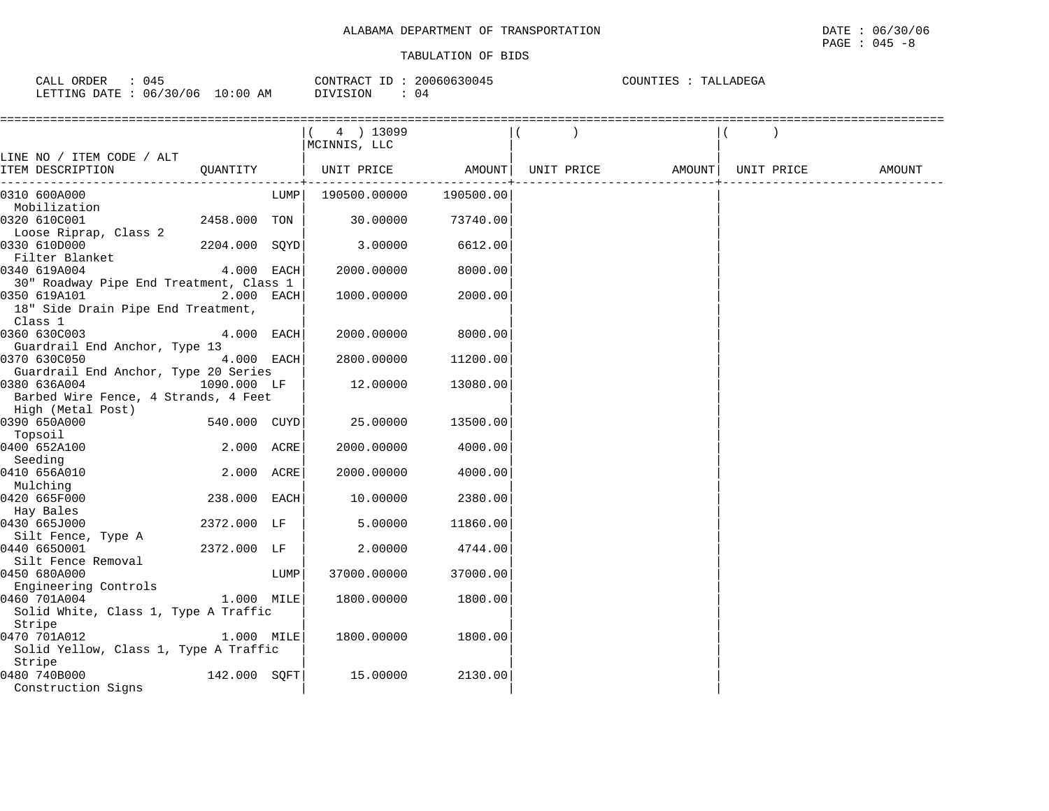| 045<br>CALL ORDER               |          | CONTRACT ID: 20060630045 | COUNTIES : TALLADEGA |
|---------------------------------|----------|--------------------------|----------------------|
| LETTING DATE: 06/30/06 10:00 AM | DIVISION | 04                       |                      |

|                                         |               |      | $(4)$ 13099         |           |                                |  |        |
|-----------------------------------------|---------------|------|---------------------|-----------|--------------------------------|--|--------|
|                                         |               |      | MCINNIS, LLC        |           |                                |  |        |
| LINE NO / ITEM CODE / ALT               |               |      |                     |           |                                |  |        |
| ITEM DESCRIPTION                        | QUANTITY      |      | UNIT PRICE AMOUNT   |           | UNIT PRICE AMOUNT   UNIT PRICE |  | AMOUNT |
| 0310 600A000                            |               |      | LUMP   190500.00000 | 190500.00 |                                |  |        |
| Mobilization                            |               |      |                     |           |                                |  |        |
| 0320 610C001                            | 2458.000 TON  |      | 30.00000            | 73740.00  |                                |  |        |
| Loose Riprap, Class 2                   |               |      |                     |           |                                |  |        |
| 0330 610D000                            | 2204.000 SOYD |      | 3.00000             | 6612.00   |                                |  |        |
| Filter Blanket                          |               |      |                     |           |                                |  |        |
| 0340 619A004                            | 4.000 EACH    |      | 2000.00000          | 8000.00   |                                |  |        |
| 30" Roadway Pipe End Treatment, Class 1 |               |      |                     |           |                                |  |        |
| 0350 619A101                            | 2.000 EACH    |      | 1000.00000          | 2000.00   |                                |  |        |
| 18" Side Drain Pipe End Treatment,      |               |      |                     |           |                                |  |        |
| Class 1                                 |               |      |                     |           |                                |  |        |
| 0360 630C003                            | 4.000 EACH    |      | 2000.00000          | 8000.00   |                                |  |        |
| Guardrail End Anchor, Type 13           |               |      |                     |           |                                |  |        |
| 0370 630C050                            | 4.000 EACH    |      | 2800.00000          | 11200.00  |                                |  |        |
| Guardrail End Anchor, Type 20 Series    |               |      |                     |           |                                |  |        |
| 0380 636A004                            | 1090.000 LF   |      | 12.00000            | 13080.00  |                                |  |        |
| Barbed Wire Fence, 4 Strands, 4 Feet    |               |      |                     |           |                                |  |        |
| High (Metal Post)                       | 540.000 CUYD  |      |                     |           |                                |  |        |
| 0390 650A000                            |               |      | 25.00000            | 13500.00  |                                |  |        |
| Topsoil<br>0400 652A100                 | 2.000 ACRE    |      | 2000.00000          | 4000.00   |                                |  |        |
| Seeding                                 |               |      |                     |           |                                |  |        |
| 0410 656A010                            | 2.000 ACRE    |      | 2000.00000          | 4000.00   |                                |  |        |
| Mulching                                |               |      |                     |           |                                |  |        |
| 0420 665F000                            | 238.000 EACH  |      | 10.00000            | 2380.00   |                                |  |        |
| Hay Bales                               |               |      |                     |           |                                |  |        |
| 0430 665J000                            | 2372.000 LF   |      | 5.00000             | 11860.00  |                                |  |        |
| Silt Fence, Type A                      |               |      |                     |           |                                |  |        |
| 0440 6650001                            | 2372.000 LF   |      | 2,00000             | 4744.00   |                                |  |        |
| Silt Fence Removal                      |               |      |                     |           |                                |  |        |
| 0450 680A000                            |               | LUMP | 37000.00000         | 37000.00  |                                |  |        |
| Engineering Controls                    |               |      |                     |           |                                |  |        |
| 0460 701A004                            | 1.000 MILE    |      | 1800.00000          | 1800.00   |                                |  |        |
| Solid White, Class 1, Type A Traffic    |               |      |                     |           |                                |  |        |
| Stripe                                  |               |      |                     |           |                                |  |        |
| 0470 701A012                            | $1.000$ MILE  |      | 1800.00000          | 1800.00   |                                |  |        |
| Solid Yellow, Class 1, Type A Traffic   |               |      |                     |           |                                |  |        |
| Stripe                                  |               |      |                     |           |                                |  |        |
| 0480 740B000                            | 142.000 SOFT  |      | 15.00000            | 2130.00   |                                |  |        |
| Construction Signs                      |               |      |                     |           |                                |  |        |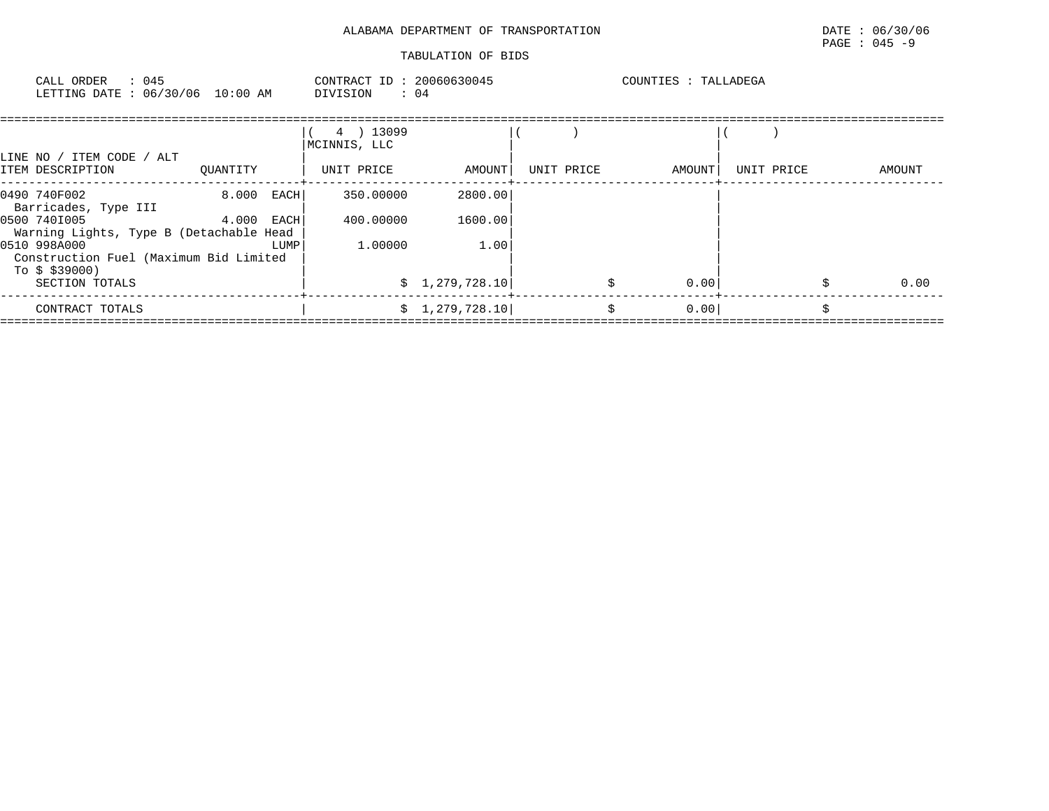| CALL ORDER : 045<br>LETTING DATE: 06/30/06 10:00 AM DIVISION : 04        |              |      | CONTRACT ID: 20060630045  |                 |            | COUNTIES : TALLADEGA |            |   |        |
|--------------------------------------------------------------------------|--------------|------|---------------------------|-----------------|------------|----------------------|------------|---|--------|
| LINE NO / ITEM CODE / ALT                                                |              |      | 4 ) 13099<br>MCINNIS, LLC |                 |            |                      |            |   |        |
| ITEM DESCRIPTION                                                         | QUANTITY     |      | UNIT PRICE                | AMOUNT          | UNIT PRICE | AMOUNT               | UNIT PRICE |   | AMOUNT |
| 0490 740F002<br>Barricades, Type III                                     | 8.000 EACH   |      | 350.00000                 | 2800.00         |            |                      |            |   |        |
| 0500 740I005<br>Warning Lights, Type B (Detachable Head                  | $4.000$ EACH |      | 400.00000                 | 1600.00         |            |                      |            |   |        |
| 0510 998A000<br>Construction Fuel (Maximum Bid Limited<br>To \$ \$39000) |              | LUMP | 1,00000                   | 1.00            |            |                      |            |   |        |
| SECTION TOTALS                                                           |              |      |                           | \$1,279,728.10] |            | 0.00                 |            |   | 0.00   |
| CONTRACT TOTALS                                                          |              |      |                           | \$1,279,728.10  | \$         | 0.00                 |            | Ś |        |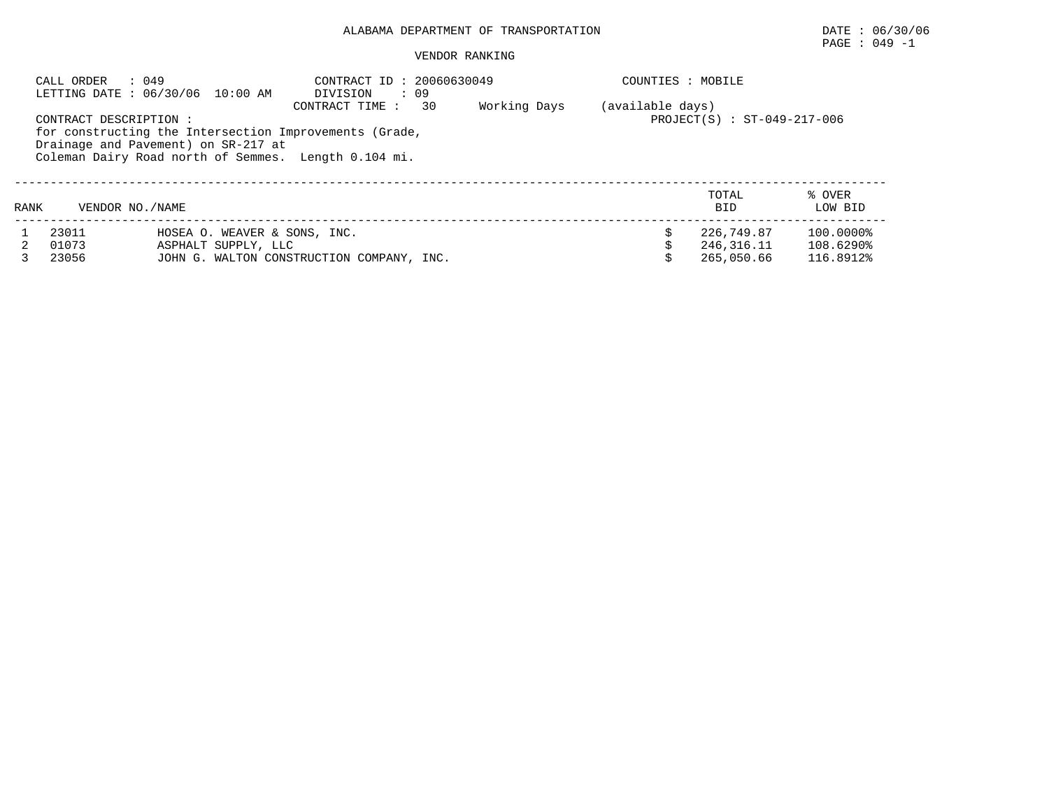# PAGE : 049 -1

|      | : 049<br>CALL ORDER     | LETTING DATE: 06/30/06 10:00 AM                                                                                                                       | CONTRACT ID: 20060630049<br>DIVISION<br>$\cdot$ 09 |    |              | COUNTIES : MOBILE |                                        |                                     |
|------|-------------------------|-------------------------------------------------------------------------------------------------------------------------------------------------------|----------------------------------------------------|----|--------------|-------------------|----------------------------------------|-------------------------------------|
|      | CONTRACT DESCRIPTION :  | for constructing the Intersection Improvements (Grade,<br>Drainage and Pavement) on SR-217 at<br>Coleman Dairy Road north of Semmes. Length 0.104 mi. | CONTRACT TIME :                                    | 30 | Working Days | (available days)  | $PROJECT(S) : ST-049-217-006$          |                                     |
| RANK | VENDOR NO. / NAME       |                                                                                                                                                       |                                                    |    |              |                   | TOTAL<br><b>BID</b>                    | % OVER<br>LOW BID                   |
|      | 23011<br>01073<br>23056 | HOSEA O. WEAVER & SONS, INC.<br>ASPHALT SUPPLY, LLC<br>JOHN G. WALTON CONSTRUCTION COMPANY, INC.                                                      |                                                    |    |              |                   | 226,749.87<br>246,316.11<br>265,050.66 | 100.0000%<br>108.6290%<br>116.8912% |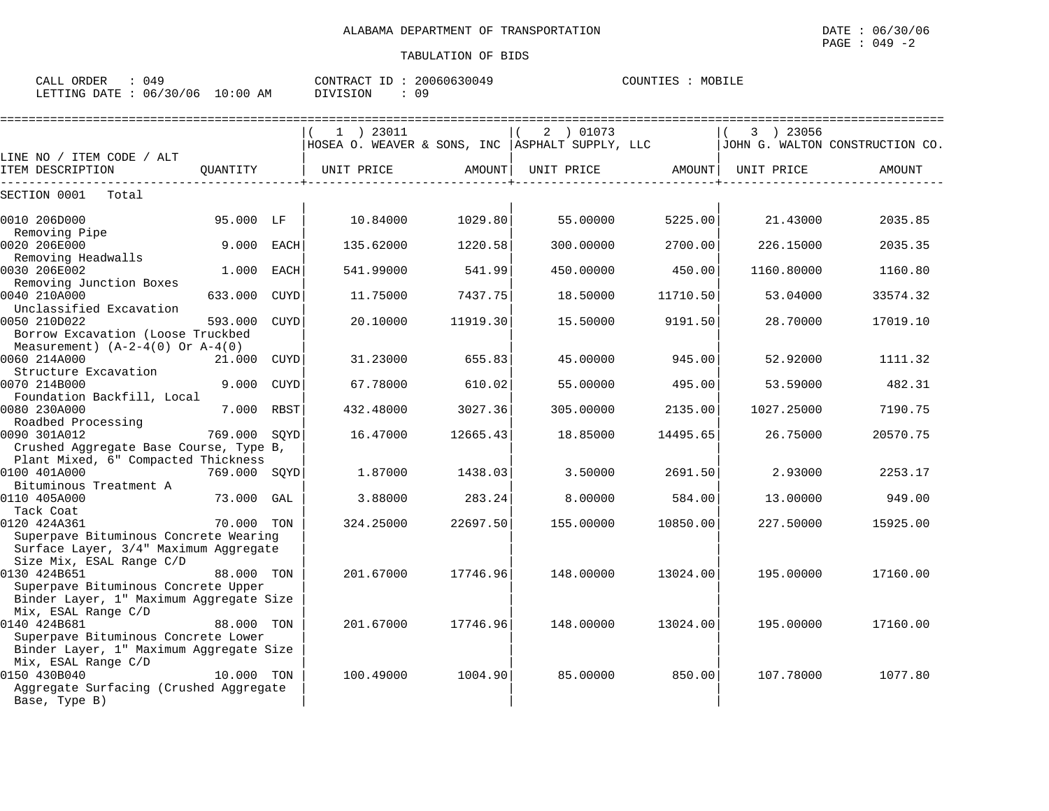| CALL<br>ORDER | ∩ <i>∧</i> ∩<br>` ئاس |             | CONTRACT ID | 20060630049 | COUNTIES | MOBILE |
|---------------|-----------------------|-------------|-------------|-------------|----------|--------|
| LETTING DATE  | 06/30/06              | 10:00<br>AM | DIVISION    | nα<br>ັບ    |          |        |

|                                                                                                                            |              |             | $1$ ) 23011                                       |          | 2 ) 01073         |          | 3 ) 23056  |                                 |
|----------------------------------------------------------------------------------------------------------------------------|--------------|-------------|---------------------------------------------------|----------|-------------------|----------|------------|---------------------------------|
| LINE NO / ITEM CODE / ALT                                                                                                  |              |             | HOSEA O. WEAVER & SONS, INC   ASPHALT SUPPLY, LLC |          |                   |          |            | JOHN G. WALTON CONSTRUCTION CO. |
| ITEM DESCRIPTION                                                                                                           | OUANTITY     |             | UNIT PRICE                                        | AMOUNT   | UNIT PRICE AMOUNT |          | UNIT PRICE | AMOUNT                          |
| SECTION 0001<br>Total                                                                                                      |              |             |                                                   |          |                   |          |            |                                 |
| 0010 206D000<br>Removing Pipe                                                                                              | 95.000 LF    |             | 10.84000                                          | 1029.80  | 55.00000          | 5225.00  | 21.43000   | 2035.85                         |
| 0020 206E000<br>Removing Headwalls                                                                                         | 9.000        | EACH        | 135.62000                                         | 1220.58  | 300.00000         | 2700.00  | 226.15000  | 2035.35                         |
| 0030 206E002<br>Removing Junction Boxes                                                                                    | 1.000        | EACH        | 541.99000                                         | 541.99   | 450.00000         | 450.00   | 1160.80000 | 1160.80                         |
| 0040 210A000<br>Unclassified Excavation                                                                                    | 633.000      | <b>CUYD</b> | 11.75000                                          | 7437.75  | 18.50000          | 11710.50 | 53.04000   | 33574.32                        |
| 0050 210D022<br>Borrow Excavation (Loose Truckbed<br>Measurement) $(A-2-4(0)$ Or $A-4(0)$                                  | 593.000      | CUYD        | 20.10000                                          | 11919.30 | 15.50000          | 9191.50  | 28.70000   | 17019.10                        |
| 0060 214A000<br>Structure Excavation                                                                                       | 21.000       | CUYD        | 31.23000                                          | 655.83   | 45.00000          | 945.00   | 52.92000   | 1111.32                         |
| 0070 214B000<br>Foundation Backfill, Local                                                                                 | 9.000        | <b>CUYD</b> | 67.78000                                          | 610.02   | 55.00000          | 495.00   | 53.59000   | 482.31                          |
| 0080 230A000<br>Roadbed Processing                                                                                         | 7.000 RBST   |             | 432.48000                                         | 3027.36  | 305,00000         | 2135.00  | 1027.25000 | 7190.75                         |
| 0090 301A012<br>Crushed Aggregate Base Course, Type B,<br>Plant Mixed, 6" Compacted Thickness                              | 769.000      | SOYD        | 16.47000                                          | 12665.43 | 18.85000          | 14495.65 | 26.75000   | 20570.75                        |
| 0100 401A000<br>Bituminous Treatment A                                                                                     | 769.000 SOYD |             | 1.87000                                           | 1438.03  | 3.50000           | 2691.50  | 2.93000    | 2253.17                         |
| 0110 405A000<br>Tack Coat                                                                                                  | 73.000       | GAL         | 3.88000                                           | 283.24   | 8.00000           | 584.00   | 13.00000   | 949.00                          |
| 0120 424A361<br>Superpave Bituminous Concrete Wearing<br>Surface Layer, 3/4" Maximum Aggregate<br>Size Mix, ESAL Range C/D | 70.000 TON   |             | 324.25000                                         | 22697.50 | 155.00000         | 10850.00 | 227.50000  | 15925.00                        |
| 0130 424B651<br>Superpave Bituminous Concrete Upper<br>Binder Layer, 1" Maximum Aggregate Size<br>Mix, ESAL Range C/D      | 88.000 TON   |             | 201.67000                                         | 17746.96 | 148.00000         | 13024.00 | 195.00000  | 17160.00                        |
| 0140 424B681<br>Superpave Bituminous Concrete Lower<br>Binder Layer, 1" Maximum Aggregate Size<br>Mix, ESAL Range C/D      | 88.000 TON   |             | 201.67000                                         | 17746.96 | 148.00000         | 13024.00 | 195.00000  | 17160.00                        |
| 0150 430B040<br>Aggregate Surfacing (Crushed Aggregate<br>Base, Type B)                                                    | 10.000 TON   |             | 100.49000                                         | 1004.90  | 85,00000          | 850.00   | 107.78000  | 1077.80                         |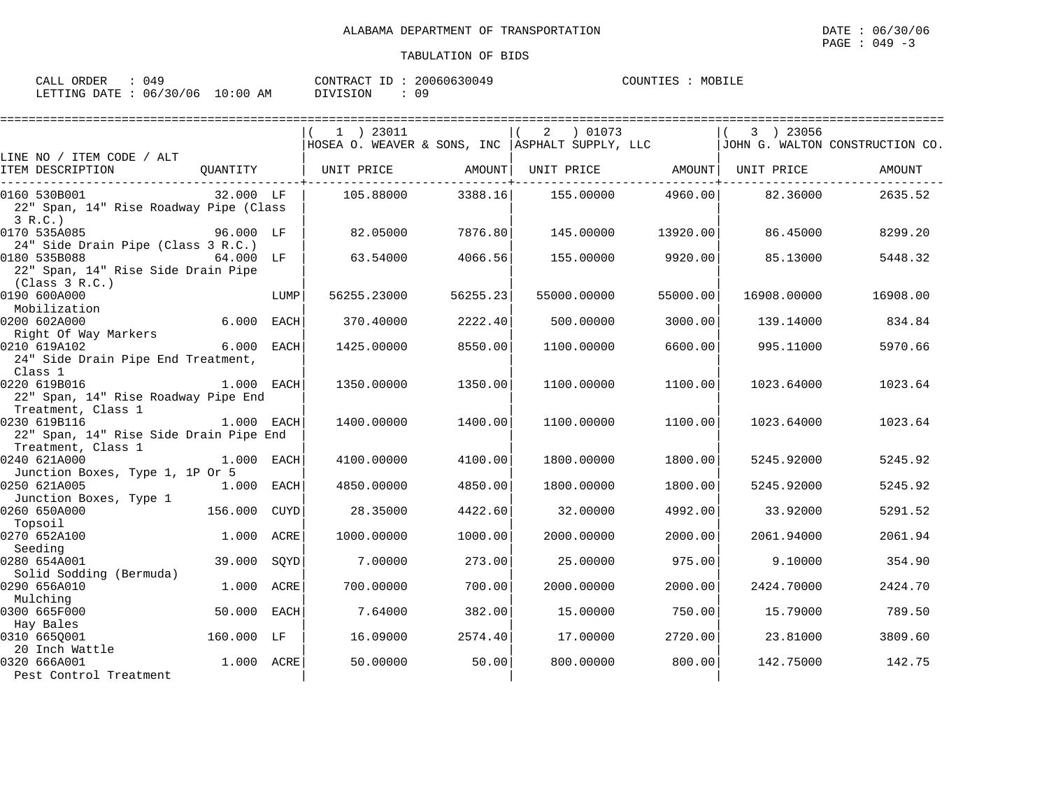| ORDER<br>CALL (                  | በ4ዓ | CONTRACT ID: 2 | 20060630049 | COUNTIES | MOBILE |
|----------------------------------|-----|----------------|-------------|----------|--------|
| LETTING DATE : 06/30/06 10:00 AM |     | DIVISION       | 0 º         |          |        |

|                                                                              |              |             | 1 ) 23011                                         |          | 2 01073           |          | 3 ) 23056   |                                 |
|------------------------------------------------------------------------------|--------------|-------------|---------------------------------------------------|----------|-------------------|----------|-------------|---------------------------------|
|                                                                              |              |             | HOSEA O. WEAVER & SONS, INC   ASPHALT SUPPLY, LLC |          |                   |          |             | JOHN G. WALTON CONSTRUCTION CO. |
| LINE NO / ITEM CODE / ALT<br>ITEM DESCRIPTION                                | OUANTITY     |             | UNIT PRICE                                        | AMOUNT   | UNIT PRICE AMOUNT |          | UNIT PRICE  | AMOUNT                          |
|                                                                              |              |             |                                                   |          |                   |          |             |                                 |
| 0160 530B001<br>22" Span, 14" Rise Roadway Pipe (Class<br>3 R.C.             | 32.000 LF    |             | 105.88000                                         | 3388.16  | 155.00000         | 4960.00  | 82.36000    | 2635.52                         |
| 0170 535A085<br>24" Side Drain Pipe (Class 3 R.C.)                           | 96.000 LF    |             | 82.05000                                          | 7876.80  | 145.00000         | 13920.00 | 86.45000    | 8299.20                         |
| 0180 535B088<br>22" Span, 14" Rise Side Drain Pipe<br>(Class 3 R.C.)         | 64.000 LF    |             | 63.54000                                          | 4066.56  | 155.00000         | 9920.00  | 85.13000    | 5448.32                         |
| 0190 600A000<br>Mobilization                                                 |              | LUMP        | 56255.23000                                       | 56255.23 | 55000.00000       | 55000.00 | 16908.00000 | 16908.00                        |
| 0200 602A000<br>Right Of Way Markers                                         | 6.000 EACH   |             | 370.40000                                         | 2222.40  | 500.00000         | 3000.00  | 139.14000   | 834.84                          |
| 0210 619A102<br>24" Side Drain Pipe End Treatment,<br>Class 1                | 6.000 EACH   |             | 1425.00000                                        | 8550.00  | 1100.00000        | 6600.00  | 995.11000   | 5970.66                         |
| 0220 619B016<br>22" Span, 14" Rise Roadway Pipe End<br>Treatment, Class 1    | 1.000 EACH   |             | 1350.00000                                        | 1350.00  | 1100.00000        | 1100.00  | 1023.64000  | 1023.64                         |
| 0230 619B116<br>22" Span, 14" Rise Side Drain Pipe End<br>Treatment, Class 1 | 1.000 EACH   |             | 1400.00000                                        | 1400.00  | 1100.00000        | 1100.00  | 1023.64000  | 1023.64                         |
| 0240 621A000<br>Junction Boxes, Type 1, 1P Or 5                              | 1.000 EACH   |             | 4100.00000                                        | 4100.00  | 1800.00000        | 1800.00  | 5245.92000  | 5245.92                         |
| 0250 621A005<br>Junction Boxes, Type 1                                       | $1.000$ EACH |             | 4850.00000                                        | 4850.00  | 1800.00000        | 1800.00  | 5245.92000  | 5245.92                         |
| 0260 650A000<br>Topsoil                                                      | 156.000      | CUYD        | 28.35000                                          | 4422.60  | 32,00000          | 4992.00  | 33.92000    | 5291.52                         |
| 0270 652A100<br>Seeding                                                      | 1.000        | ACRE        | 1000.00000                                        | 1000.00  | 2000.00000        | 2000.00  | 2061.94000  | 2061.94                         |
| 0280 654A001<br>Solid Sodding (Bermuda)                                      | 39.000 SQYD  |             | 7.00000                                           | 273.00   | 25.00000          | 975.00   | 9.10000     | 354.90                          |
| 0290 656A010<br>Mulching                                                     | 1.000 ACRE   |             | 700.00000                                         | 700.00   | 2000.00000        | 2000.00  | 2424.70000  | 2424.70                         |
| 0300 665F000<br>Hay Bales                                                    | 50.000       | <b>EACH</b> | 7.64000                                           | 382.00   | 15,00000          | 750.00   | 15.79000    | 789.50                          |
| 0310 665Q001<br>20 Inch Wattle                                               | 160.000 LF   |             | 16.09000                                          | 2574.40  | 17.00000          | 2720.00  | 23.81000    | 3809.60                         |
| 0320 666A001<br>Pest Control Treatment                                       | 1.000 ACRE   |             | 50.00000                                          | 50.00    | 800,00000         | 800.00   | 142.75000   | 142.75                          |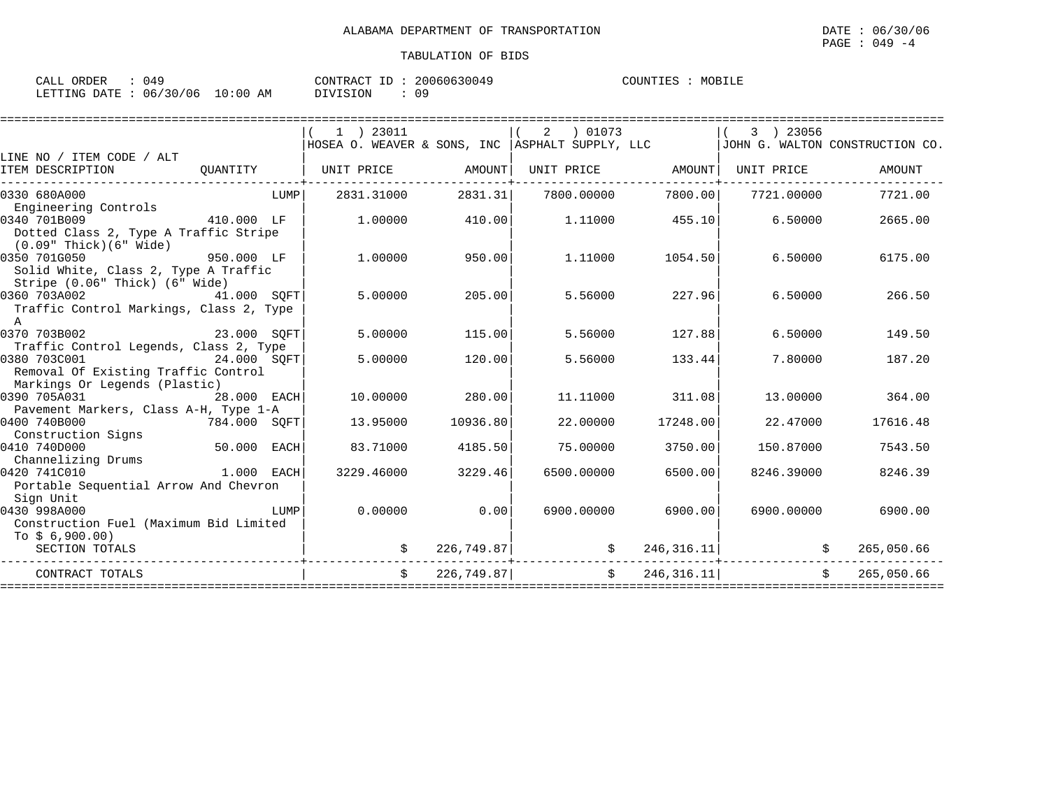| CALL ORDER                       | 049 |          | CONTRACT ID: 20060630049 | COUNTIES | MOBILE |
|----------------------------------|-----|----------|--------------------------|----------|--------|
| LETTING DATE : 06/30/06 10:00 AM |     | DIVISION |                          |          |        |

|                                                                                                                                                                                                      |                                                                                                                                                                                                                                     | $(1)$ 23011<br>HOSEA O. WEAVER & SONS, INC   ASPHALT SUPPLY, LLC |            | $(2)$ 01073 |                   |                    | 3 ) 23056                | JOHN G. WALTON CONSTRUCTION CO. |
|------------------------------------------------------------------------------------------------------------------------------------------------------------------------------------------------------|-------------------------------------------------------------------------------------------------------------------------------------------------------------------------------------------------------------------------------------|------------------------------------------------------------------|------------|-------------|-------------------|--------------------|--------------------------|---------------------------------|
| LINE NO / ITEM CODE / ALT<br>ITEM DESCRIPTION<br>------------------------                                                                                                                            |                                                                                                                                                                                                                                     | QUANTITY   UNIT PRICE AMOUNT                                     |            |             |                   | UNIT PRICE AMOUNT  | UNIT PRICE               | AMOUNT                          |
| 0330 680A000<br>Engineering Controls                                                                                                                                                                 | <b>EXECUTE:</b> THE EXECUTIVE RESPONSE TO A REPORT OF THE EXECUTIVE RESPONSE TO A REPORT OF THE EXECUTIVE RESPONSE TO A REPORT OF THE EXECUTIVE RESPONSE TO A REPORT OF THE EXECUTIVE REPORT OF THE EXECUTIVE REPORT OF THE EXECUTI | 2831.31000                                                       | 2831.31    |             | 7800.00000        |                    | 7800.00 7721.00000       | 7721.00                         |
| 410.000 LF<br>0340 701B009<br>Dotted Class 2, Type A Traffic Stripe<br>$(0.09"$ Thick $)(6"$ Wide $)$                                                                                                |                                                                                                                                                                                                                                     | 1,00000                                                          | 410.00     |             | 1,11000           | 455.10             | 6.50000                  | 2665.00                         |
| 0350 701G050<br>950.000 LF<br>Solid White, Class 2, Type A Traffic<br>Stripe (0.06" Thick) (6" Wide)                                                                                                 |                                                                                                                                                                                                                                     | 1,00000                                                          | 950.00     |             | 1,11000           | 1054.50            | 6.50000                  | 6175.00                         |
| 41.000 SOFT<br>0360 703A002<br>Traffic Control Markings, Class 2, Type<br>$\mathbb{A}$                                                                                                               |                                                                                                                                                                                                                                     | 5,00000                                                          | 205.00     |             | 5.56000           | 227.96             | 6.50000                  | 266.50                          |
| 0370 703B002<br>23.000 SQFT                                                                                                                                                                          |                                                                                                                                                                                                                                     | 5,00000                                                          | 115.00     |             | 5.56000           | 127.88             | 6.50000                  | 149.50                          |
| Traffic Control Legends, Class 2, Type<br>0380 703C001<br>24.000 SOFT<br>Removal Of Existing Traffic Control<br>Markings Or Legends (Plastic)                                                        |                                                                                                                                                                                                                                     | 5.00000                                                          | 120.00     |             | 5.56000           | 133.44             | 7.80000                  | 187.20                          |
| 0390 705A031<br>28.000 EACH<br>Pavement Markers, Class A-H, Type 1-A                                                                                                                                 |                                                                                                                                                                                                                                     | 10,00000                                                         | 280.00     |             | 11.11000          | 311.08             | 13.00000                 | 364.00                          |
| 0400 740B000<br>784.000 SQFT<br>Construction Signs                                                                                                                                                   |                                                                                                                                                                                                                                     | 13.95000                                                         | 10936.80   |             | 22,00000          | 17248.00           | 22.47000                 | 17616.48                        |
| 50.000 EACH<br>0410 740D000<br>Channelizing Drums                                                                                                                                                    |                                                                                                                                                                                                                                     | 83.71000                                                         | 4185.50    |             | 75,00000          | 3750.00            | 150.87000                | 7543.50                         |
| 1.000 EACH<br>0420 741C010<br>Portable Sequential Arrow And Chevron<br>Sign Unit                                                                                                                     |                                                                                                                                                                                                                                     | 3229.46000                                                       | 3229.46    | 6500.00000  |                   | 6500.00            | 8246.39000               | 8246.39                         |
| 0430 998A000<br><b>EXECUTE IN THE EXECUTIVE IN THE EXECUTIVE IN THE EXECUTIVE IN THE EXECUTIVE IN THE EXECUTIVE IN THE EXECUTIVE</b><br>Construction Fuel (Maximum Bid Limited<br>$T_0$ \$ 6,900.00) |                                                                                                                                                                                                                                     | 0.00000                                                          | 0.00       |             |                   | 6900.00000 6900.00 | 6900.00000               | 6900.00                         |
| SECTION TOTALS                                                                                                                                                                                       |                                                                                                                                                                                                                                     | \$                                                               | 226,749.87 |             | ----------------- |                    | $\frac{1}{2}$ 246,316.11 | 265,050.66<br>\$                |
| CONTRACT TOTALS                                                                                                                                                                                      |                                                                                                                                                                                                                                     | $\ddot{s}$                                                       | 226,749.87 |             |                   | $\sin 246, 316.11$ | $\mathbf{\dot{S}}$       | 265,050.66                      |
|                                                                                                                                                                                                      |                                                                                                                                                                                                                                     |                                                                  |            |             |                   |                    |                          |                                 |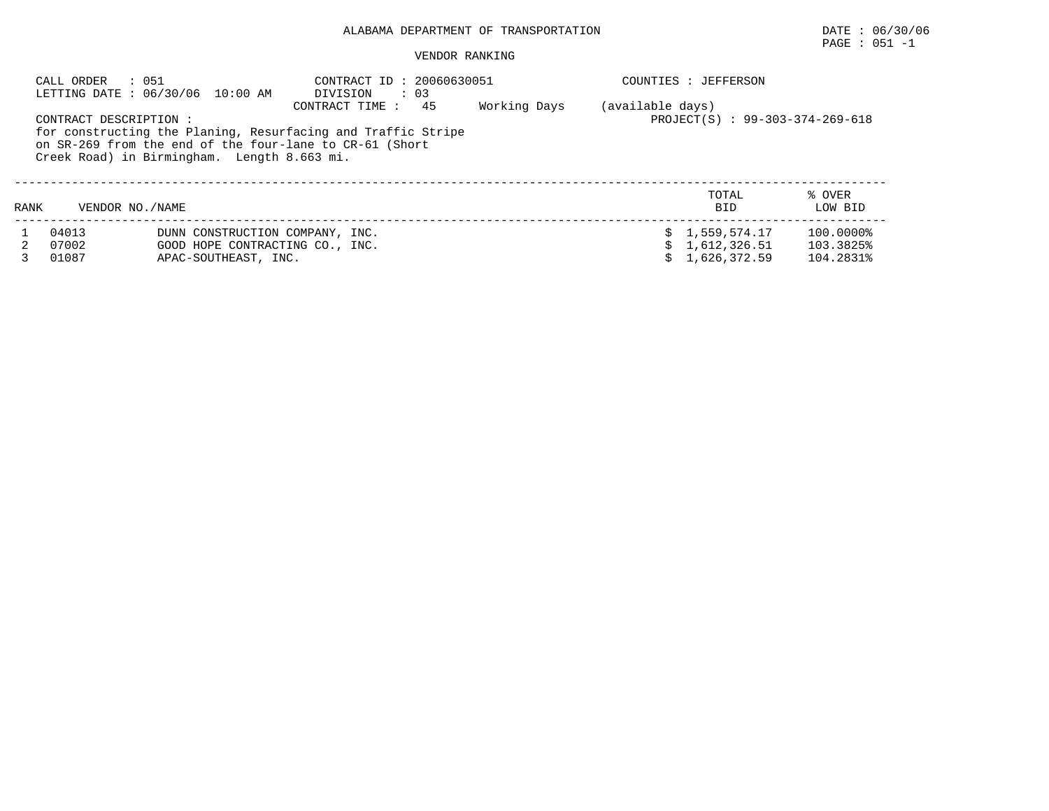|      | CALL ORDER<br>: 051     | LETTING DATE : 06/30/06 10:00 AM                                                                                                                                       | CONTRACT ID: 20060630051<br>DIVISION<br>$\therefore$ 03 |    |              |                  | COUNTIES : JEFFERSON                           |                                     |
|------|-------------------------|------------------------------------------------------------------------------------------------------------------------------------------------------------------------|---------------------------------------------------------|----|--------------|------------------|------------------------------------------------|-------------------------------------|
|      | CONTRACT DESCRIPTION :  | for constructing the Planing, Resurfacing and Traffic Stripe<br>on SR-269 from the end of the four-lane to CR-61 (Short<br>Creek Road) in Birmingham. Length 8.663 mi. | CONTRACT TIME :                                         | 45 | Working Days | (available days) | PROJECT(S) : 99-303-374-269-618                |                                     |
| RANK | VENDOR NO. / NAME       |                                                                                                                                                                        |                                                         |    |              |                  | TOTAL<br><b>BID</b>                            | % OVER<br>LOW BID                   |
|      | 04013<br>07002<br>01087 | DUNN CONSTRUCTION COMPANY, INC.<br>GOOD HOPE CONTRACTING CO., INC.<br>APAC-SOUTHEAST, INC.                                                                             |                                                         |    |              |                  | \$1,559,574.17<br>1,612,326.51<br>1,626,372.59 | 100.0000%<br>103.3825%<br>104.2831% |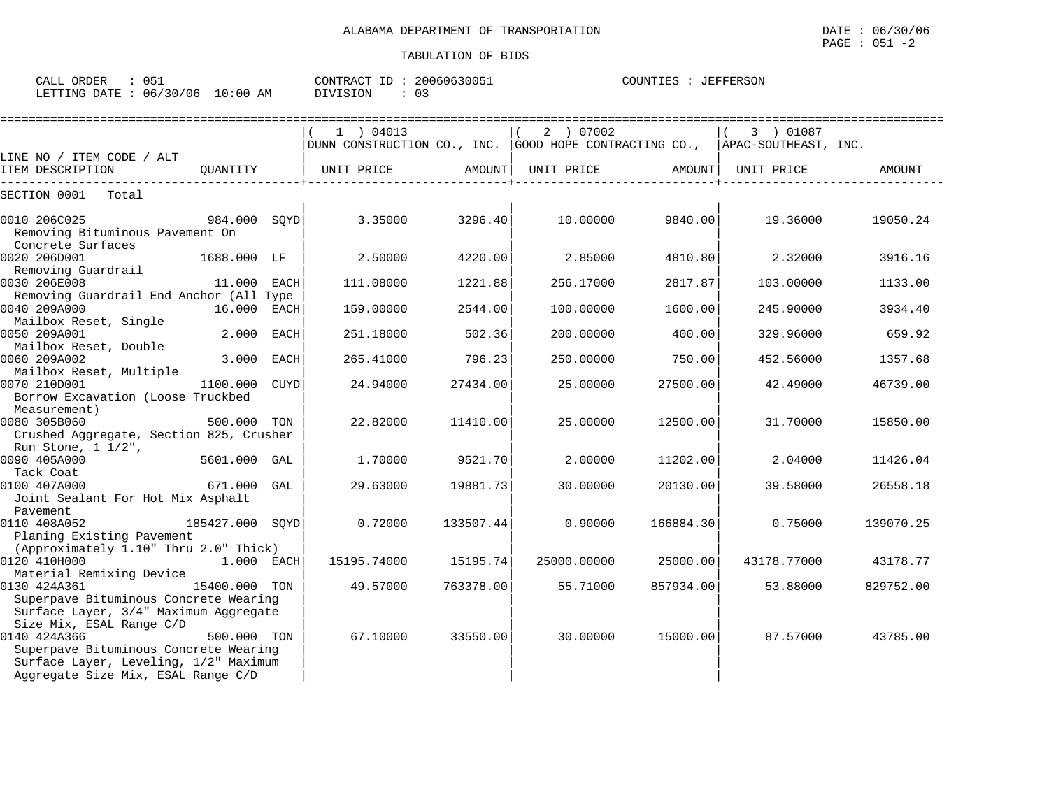LETTING DATE : 06/30/06 10:00 AM DIVISION : 03

|                                                                                                                                             |                 |             | $1$ ) 04013                                            |           | 2 ) 07002                                  |           | 3 ) 01087            |           |
|---------------------------------------------------------------------------------------------------------------------------------------------|-----------------|-------------|--------------------------------------------------------|-----------|--------------------------------------------|-----------|----------------------|-----------|
|                                                                                                                                             |                 |             | DUNN CONSTRUCTION CO., INC. GOOD HOPE CONTRACTING CO., |           |                                            |           | APAC-SOUTHEAST, INC. |           |
| LINE NO / ITEM CODE / ALT<br>ITEM DESCRIPTION                                                                                               | QUANTITY        |             | UNIT PRICE                                             | AMOUNT    | UNIT PRICE<br>---------------------------- | AMOUNT    | UNIT PRICE           | AMOUNT    |
| Total<br>SECTION 0001                                                                                                                       |                 |             |                                                        |           |                                            |           |                      |           |
| 0010 206C025<br>984.000 SQYD<br>Removing Bituminous Pavement On<br>Concrete Surfaces                                                        |                 |             | 3.35000                                                | 3296.40   | 10.00000                                   | 9840.00   | 19.36000             | 19050.24  |
| 0020 206D001<br>Removing Guardrail                                                                                                          | 1688.000 LF     |             | 2.50000                                                | 4220.00   | 2.85000                                    | 4810.80   | 2.32000              | 3916.16   |
| 0030 206E008<br>Removing Guardrail End Anchor (All Type                                                                                     | 11.000 EACH     |             | 111.08000                                              | 1221.88   | 256.17000                                  | 2817.87   | 103.00000            | 1133.00   |
| 0040 209A000<br>Mailbox Reset, Single                                                                                                       | 16.000 EACH     |             | 159.00000                                              | 2544.00   | 100.00000                                  | 1600.00   | 245.90000            | 3934.40   |
| 0050 209A001<br>Mailbox Reset, Double                                                                                                       | 2.000           | <b>EACH</b> | 251.18000                                              | 502.36    | 200.00000                                  | 400.00    | 329.96000            | 659.92    |
| 0060 209A002<br>Mailbox Reset, Multiple                                                                                                     | 3.000           | EACH        | 265.41000                                              | 796.23    | 250.00000                                  | 750.00    | 452.56000            | 1357.68   |
| 0070 210D001<br>Borrow Excavation (Loose Truckbed<br>Measurement)                                                                           | 1100.000        | CUYD        | 24.94000                                               | 27434.00  | 25.00000                                   | 27500.00  | 42.49000             | 46739.00  |
| 0080 305B060<br>Crushed Aggregate, Section 825, Crusher<br>Run Stone, $1 \frac{1}{2}$ ,                                                     | 500.000 TON     |             | 22.82000                                               | 11410.00  | 25,00000                                   | 12500.00  | 31,70000             | 15850.00  |
| 0090 405A000<br>Tack Coat                                                                                                                   | 5601.000 GAL    |             | 1,70000                                                | 9521.70   | 2,00000                                    | 11202.00  | 2.04000              | 11426.04  |
| 0100 407A000<br>Joint Sealant For Hot Mix Asphalt<br>Pavement                                                                               | 671.000 GAL     |             | 29.63000                                               | 19881.73  | 30.00000                                   | 20130.00  | 39.58000             | 26558.18  |
| 0110 408A052<br>Planing Existing Pavement<br>(Approximately 1.10" Thru 2.0" Thick)                                                          | 185427.000 SQYD |             | 0.72000                                                | 133507.44 | 0.90000                                    | 166884.30 | 0.75000              | 139070.25 |
| 0120 410H000<br>Material Remixing Device                                                                                                    | 1.000 EACH      |             | 15195.74000                                            | 15195.74  | 25000.00000                                | 25000.00  | 43178.77000          | 43178.77  |
| 0130 424A361<br>15400.000 TON<br>Superpave Bituminous Concrete Wearing<br>Surface Layer, 3/4" Maximum Aggregate<br>Size Mix, ESAL Range C/D |                 |             | 49.57000                                               | 763378.00 | 55.71000                                   | 857934.00 | 53.88000             | 829752.00 |
| 0140 424A366<br>Superpave Bituminous Concrete Wearing<br>Surface Layer, Leveling, 1/2" Maximum<br>Aggregate Size Mix, ESAL Range C/D        | 500.000 TON     |             | 67.10000                                               | 33550.00  | 30,00000                                   | 15000.00  | 87.57000             | 43785.00  |

CALL ORDER : 051 CONTRACT ID : 20060630051 COUNTIES : JEFFERSON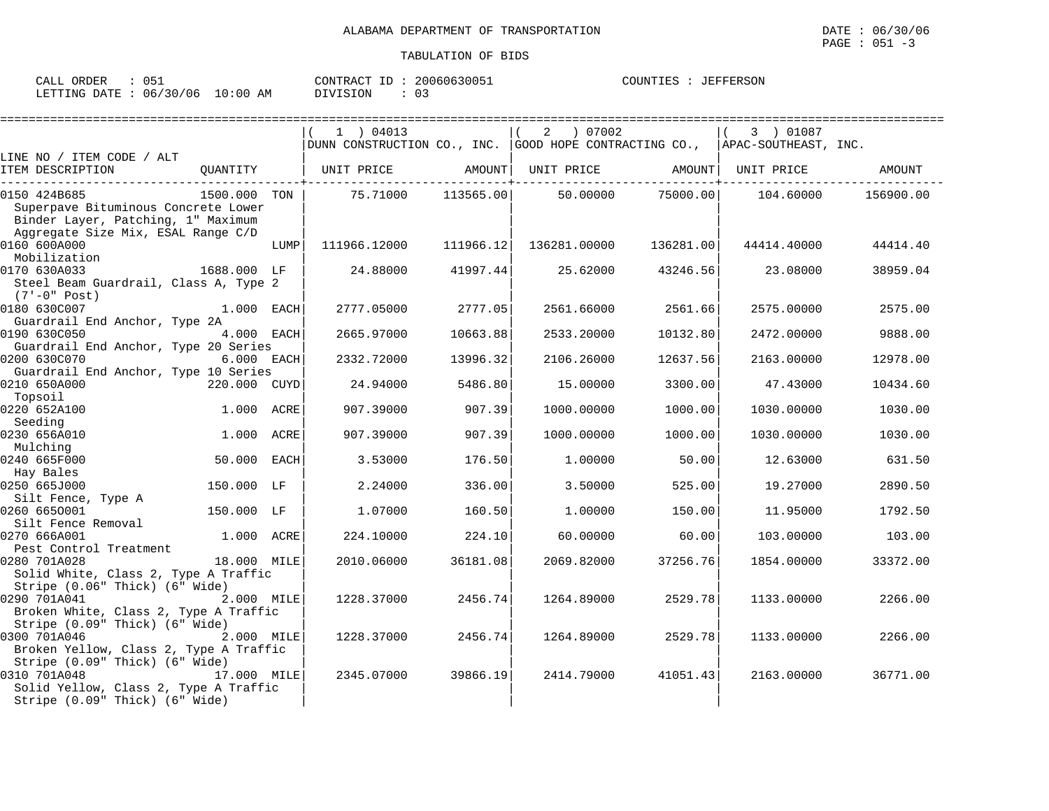| ORDER<br>CALL | 051      |            | 20060630051<br>CONTRACT ID | JEFFERSON<br>COUNTIES |
|---------------|----------|------------|----------------------------|-----------------------|
| LETTING DATE  | 06/30/06 | $10:00$ AM | DIVISION                   |                       |

|                                                                                                                                 |              |      | $1$ ) 04013                                            |           | $\overline{a}$<br>07002 |           | 3 ) 01087            |           |
|---------------------------------------------------------------------------------------------------------------------------------|--------------|------|--------------------------------------------------------|-----------|-------------------------|-----------|----------------------|-----------|
|                                                                                                                                 |              |      | DUNN CONSTRUCTION CO., INC. GOOD HOPE CONTRACTING CO., |           |                         |           | APAC-SOUTHEAST, INC. |           |
| LINE NO / ITEM CODE / ALT<br>ITEM DESCRIPTION                                                                                   | QUANTITY     |      | UNIT PRICE                                             | AMOUNT    | UNIT PRICE              | AMOUNT    | UNIT PRICE           | AMOUNT    |
| 0150 424B685<br>Superpave Bituminous Concrete Lower<br>Binder Layer, Patching, 1" Maximum<br>Aggregate Size Mix, ESAL Range C/D | 1500.000 TON |      | 75.71000                                               | 113565.00 | 50.00000                | 75000.00  | 104.60000            | 156900.00 |
| 0160 600A000<br>Mobilization                                                                                                    |              | LUMP | 111966.12000                                           | 111966.12 | 136281.00000            | 136281.00 | 44414.40000          | 44414.40  |
| 0170 630A033<br>Steel Beam Guardrail, Class A, Type 2<br>$(7'-0" Post)$                                                         | 1688.000 LF  |      | 24.88000                                               | 41997.44  | 25.62000                | 43246.56  | 23.08000             | 38959.04  |
| 0180 630C007<br>Guardrail End Anchor, Type 2A                                                                                   | $1.000$ EACH |      | 2777.05000                                             | 2777.05   | 2561.66000              | 2561.66   | 2575.00000           | 2575.00   |
| 0190 630C050<br>Guardrail End Anchor, Type 20 Series                                                                            | 4.000 EACH   |      | 2665.97000                                             | 10663.88  | 2533.20000              | 10132.80  | 2472.00000           | 9888.00   |
| 0200 630C070<br>Guardrail End Anchor, Type 10 Series                                                                            | 6.000 EACH   |      | 2332.72000                                             | 13996.32  | 2106.26000              | 12637.56  | 2163.00000           | 12978.00  |
| 0210 650A000<br>Topsoil                                                                                                         | 220.000 CUYD |      | 24.94000                                               | 5486.80   | 15,00000                | 3300.00   | 47.43000             | 10434.60  |
| 0220 652A100<br>Seeding                                                                                                         | 1.000 ACRE   |      | 907.39000                                              | 907.39    | 1000.00000              | 1000.00   | 1030.00000           | 1030.00   |
| 0230 656A010<br>Mulching                                                                                                        | 1.000 ACRE   |      | 907.39000                                              | 907.39    | 1000.00000              | 1000.00   | 1030.00000           | 1030.00   |
| 0240 665F000<br>Hay Bales                                                                                                       | 50.000 EACH  |      | 3.53000                                                | 176.50    | 1,00000                 | 50.00     | 12.63000             | 631.50    |
| 0250 665J000<br>Silt Fence, Type A                                                                                              | 150.000 LF   |      | 2.24000                                                | 336.00    | 3.50000                 | 525.00    | 19.27000             | 2890.50   |
| 0260 6650001<br>Silt Fence Removal                                                                                              | 150.000 LF   |      | 1.07000                                                | 160.50    | 1,00000                 | 150.00    | 11,95000             | 1792.50   |
| 0270 666A001<br>Pest Control Treatment                                                                                          | 1.000 ACRE   |      | 224.10000                                              | 224.10    | 60.00000                | 60.00     | 103.00000            | 103.00    |
| 0280 701A028<br>Solid White, Class 2, Type A Traffic<br>Stripe (0.06" Thick) (6" Wide)                                          | 18.000 MILE  |      | 2010.06000                                             | 36181.08  | 2069.82000              | 37256.76  | 1854.00000           | 33372.00  |
| 0290 701A041<br>Broken White, Class 2, Type A Traffic<br>Stripe (0.09" Thick) (6" Wide)                                         | 2.000 MILE   |      | 1228.37000                                             | 2456.74   | 1264.89000              | 2529.78   | 1133.00000           | 2266.00   |
| 0300 701A046<br>Broken Yellow, Class 2, Type A Traffic<br>Stripe (0.09" Thick) (6" Wide)                                        | 2.000 MILE   |      | 1228.37000                                             | 2456.74   | 1264.89000              | 2529.78   | 1133.00000           | 2266.00   |
| 0310 701A048<br>Solid Yellow, Class 2, Type A Traffic<br>Stripe (0.09" Thick) (6" Wide)                                         | 17.000 MILE  |      | 2345.07000                                             | 39866.19  | 2414.79000              | 41051.43  | 2163.00000           | 36771.00  |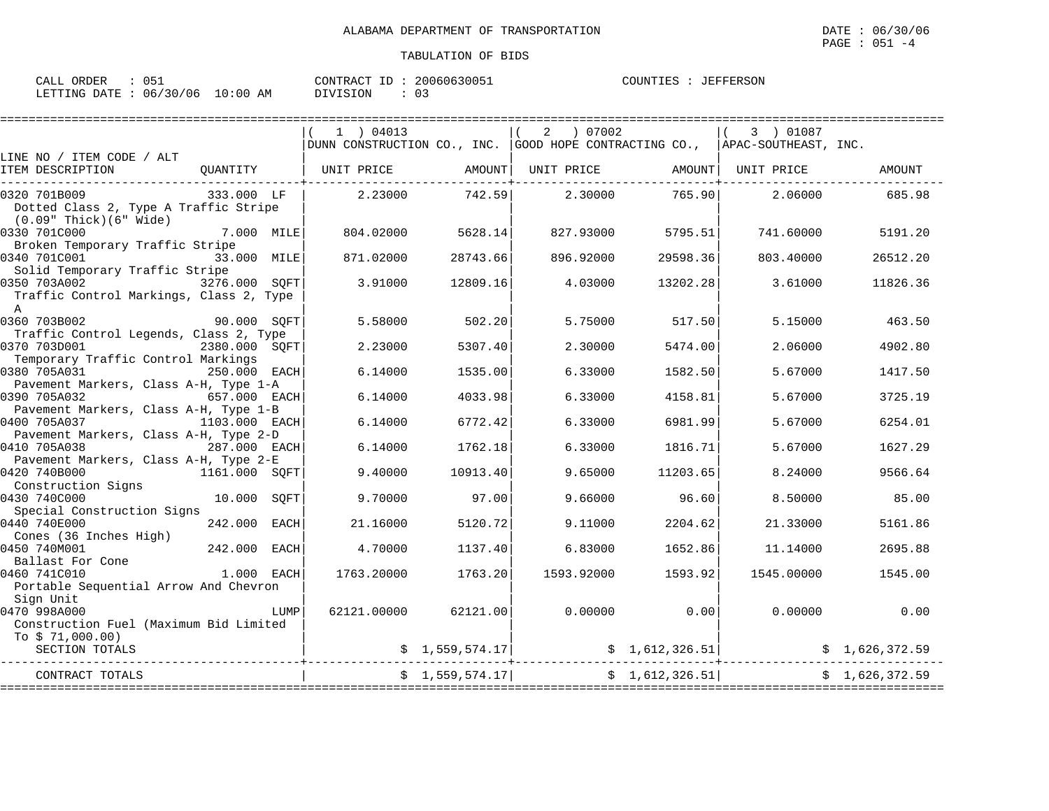| CALL ORDER<br>: 051              |          | CONTRACT ID: 20060630051 | COUNTIES : JEFFERSON |
|----------------------------------|----------|--------------------------|----------------------|
| LETTING DATE : 06/30/06 10:00 AM | DIVISION | $\cdot$ 03               |                      |

|                                                                                         |               |      | $1$ ) 04013 |                 | 2 07002           |                 | 3 ) 01087                                                                       |                |
|-----------------------------------------------------------------------------------------|---------------|------|-------------|-----------------|-------------------|-----------------|---------------------------------------------------------------------------------|----------------|
|                                                                                         |               |      |             |                 |                   |                 | DUNN CONSTRUCTION CO., INC. GOOD HOPE CONTRACTING CO., $ $ APAC-SOUTHEAST, INC. |                |
| LINE NO / ITEM CODE / ALT<br>ITEM DESCRIPTION                                           | OUANTITY      |      | UNIT PRICE  | AMOUNT          | UNIT PRICE        |                 | AMOUNT  UNIT PRICE                                                              | AMOUNT         |
| 0320 701B009<br>Dotted Class 2, Type A Traffic Stripe<br>$(0.09"$ Thick $)(6"$ Wide $)$ | 333.000 LF    |      | 2.23000     | 742.59          | 2.30000           | 765.90          | 2.06000                                                                         | 685.98         |
| 0330 701C000<br>Broken Temporary Traffic Stripe                                         | 7.000 MILE    |      | 804.02000   | 5628.14         | 827.93000         | 5795.51         | 741.60000                                                                       | 5191.20        |
| 0340 701C001<br>Solid Temporary Traffic Stripe                                          | 33.000 MILE   |      | 871.02000   | 28743.66        | 896.92000         | 29598.36        | 803.40000                                                                       | 26512.20       |
| 0350 703A002 3276.000 SOFT<br>Traffic Control Markings, Class 2, Type<br>$\mathbb{A}$   |               |      | 3.91000     | 12809.16        | 4.03000           | 13202.28        | 3.61000                                                                         | 11826.36       |
| 0360 703B002<br>Traffic Control Legends, Class 2, Type                                  | 90.000 SOFT   |      | 5.58000     | 502.20          | 5.75000           | 517.50          | 5.15000                                                                         | 463.50         |
| 0370 703D001<br>Temporary Traffic Control Markings                                      | 2380.000 SOFT |      | 2.23000     | 5307.40         | 2.30000           | 5474.00         | 2.06000                                                                         | 4902.80        |
| 0380 705A031<br>Pavement Markers, Class A-H, Type 1-A                                   | 250.000 EACH  |      | 6.14000     | 1535.00         | 6.33000           | 1582.50         | 5.67000                                                                         | 1417.50        |
| 0390 705A032<br>Pavement Markers, Class A-H, Type 1-B                                   | 657.000 EACH  |      | 6.14000     | 4033.98         | 6.33000           | 4158.81         | 5.67000                                                                         | 3725.19        |
| 0400 705A037<br>Pavement Markers, Class A-H, Type 2-D                                   | 1103.000 EACH |      | 6.14000     | 6772.42         | 6.33000           | 6981.99         | 5.67000                                                                         | 6254.01        |
| 0410 705A038                                                                            | 287.000 EACH  |      | 6.14000     | 1762.18         | 6.33000           | 1816.71         | 5.67000                                                                         | 1627.29        |
| Pavement Markers, Class A-H, Type 2-E<br>0420 740B000<br>Construction Signs             | 1161.000 SOFT |      | 9.40000     | 10913.40        | 9.65000           | 11203.65        | 8.24000                                                                         | 9566.64        |
| 0430 740C000<br>Special Construction Signs                                              | 10.000 SOFT   |      | 9.70000     | 97.00           | 9.66000           | 96.60           | 8.50000                                                                         | 85.00          |
| 0440 740E000<br>Cones (36 Inches High)                                                  | 242.000 EACH  |      | 21,16000    | 5120.72         | 9.11000           | 2204.62         | 21.33000                                                                        | 5161.86        |
| 0450 740M001<br>Ballast For Cone                                                        | 242.000 EACH  |      | 4.70000     | 1137.40         | 6.83000           | 1652.86         | 11.14000                                                                        | 2695.88        |
| 0460 741C010<br>Portable Sequential Arrow And Chevron<br>Sign Unit                      | 1.000 EACH    |      | 1763.20000  | 1763.20         | 1593.92000        | 1593.92         | 1545.00000                                                                      | 1545.00        |
| 0470 998A000<br>Construction Fuel (Maximum Bid Limited<br>To \$71,000.00)               |               | LUMP | 62121.00000 | 62121.00        | 0.00000           | 0.00            | 0.00000                                                                         | 0.00           |
| SECTION TOTALS                                                                          |               |      |             | \$1,559,574.17  |                   | \$1,612,326.51] |                                                                                 | \$1,626,372.59 |
| CONTRACT TOTALS                                                                         |               |      |             | \$1,559,574.17] | ================= | \$1,612,326.51  | =======================                                                         | \$1,626,372.59 |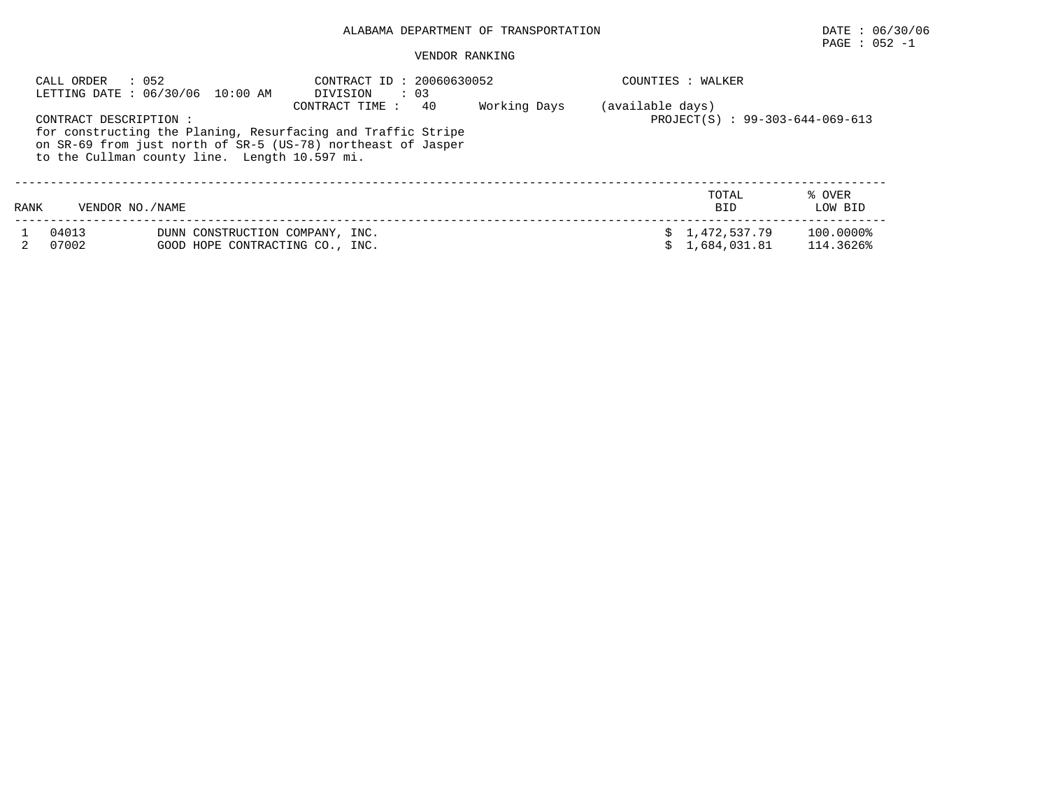# $\texttt{PAGE}$  : 052 -1

|      | CALL ORDER<br>: 052    | LETTING DATE : 06/30/06 10:00 AM                                   | CONTRACT ID: 20060630052<br>DIVISION<br>$\therefore$ 03                                                                                              |              | COUNTIES : WALKER                                   |                        |
|------|------------------------|--------------------------------------------------------------------|------------------------------------------------------------------------------------------------------------------------------------------------------|--------------|-----------------------------------------------------|------------------------|
|      | CONTRACT DESCRIPTION : | to the Cullman county line. Length 10.597 mi.                      | 40<br>CONTRACT TIME:<br>for constructing the Planing, Resurfacing and Traffic Stripe<br>on SR-69 from just north of SR-5 (US-78) northeast of Jasper | Working Days | (available days)<br>PROJECT(S) : 99-303-644-069-613 |                        |
| RANK | VENDOR NO. / NAME      |                                                                    |                                                                                                                                                      |              | TOTAL<br><b>BID</b>                                 | % OVER<br>LOW BID      |
|      | 04013<br>07002         | DUNN CONSTRUCTION COMPANY, INC.<br>GOOD HOPE CONTRACTING CO., INC. |                                                                                                                                                      |              | 1,472,537.79<br>s<br>1,684,031.81                   | 100.0000%<br>114.3626% |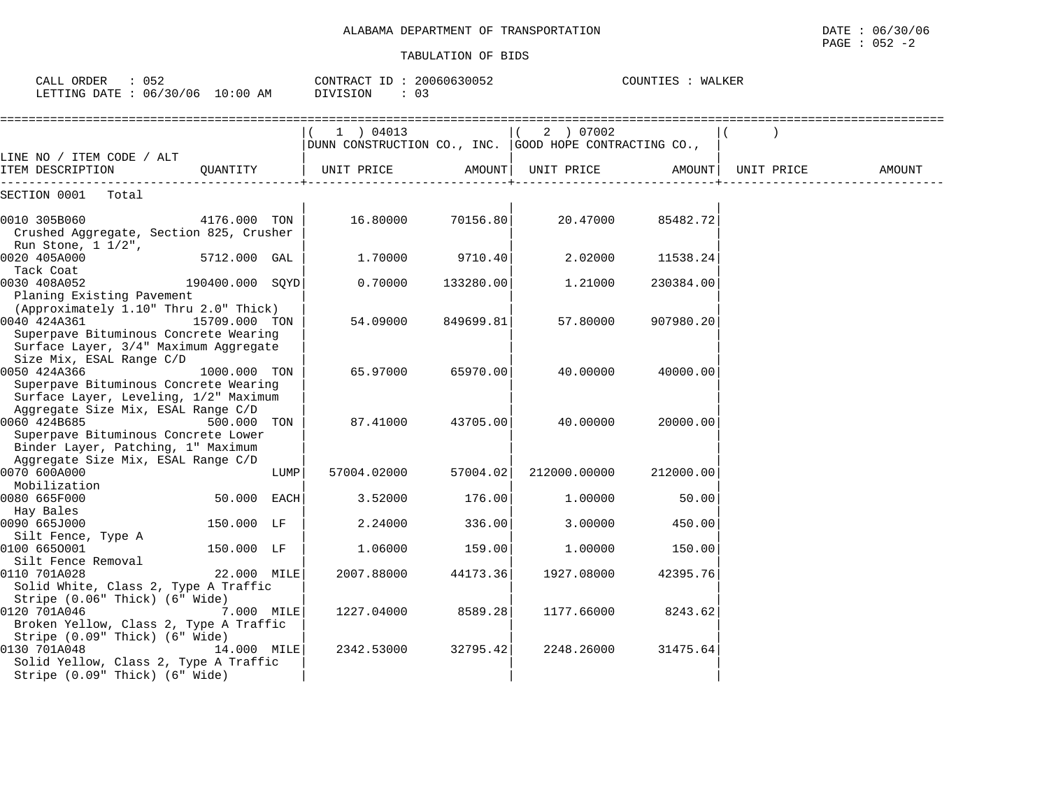| TRANSPORTATION<br>OF<br>ALABAMA DEPARTMENT | DATE | 06/<br>30/06 |
|--------------------------------------------|------|--------------|
|                                            | PAGE | 052          |

| CALL ORDER : 052<br>LETTING DATE : 06/30/06 10:00 AM                                                                            |                 |      | CONTRACT ID: 20060630052<br>DIVISION<br>$\therefore$ 03                   |           |                    | COUNTIES : WALKER |            |        |
|---------------------------------------------------------------------------------------------------------------------------------|-----------------|------|---------------------------------------------------------------------------|-----------|--------------------|-------------------|------------|--------|
|                                                                                                                                 |                 |      | 1   04013<br>$ DUNN$ CONSTRUCTION CO., INC. $ GOOD$ HOPE CONTRACTING CO., |           | 2 ) 07002          |                   |            |        |
| LINE NO / ITEM CODE / ALT<br>ITEM DESCRIPTION                                                                                   | OUANTITY        |      | UNIT PRICE                                                                |           | AMOUNT  UNIT PRICE | AMOUNT            | UNIT PRICE | AMOUNT |
| SECTION 0001 Total                                                                                                              |                 |      |                                                                           |           |                    |                   |            |        |
| 0010 305B060<br>Crushed Aggregate, Section 825, Crusher<br>Run Stone, $1 \frac{1}{2}$ ,                                         | 4176.000 TON    |      | 16.80000                                                                  | 70156.80  | 20.47000           | 85482.72          |            |        |
| 0020 405A000<br>Tack Coat                                                                                                       | 5712.000 GAL    |      | 1,70000                                                                   | 9710.40   | 2.02000            | 11538.24          |            |        |
| 0030 408A052<br>Planing Existing Pavement<br>(Approximately 1.10" Thru 2.0" Thick)                                              | 190400.000 SOYD |      | 0.70000                                                                   | 133280.00 | 1,21000            | 230384.00         |            |        |
| 0040 424A361<br>Superpave Bituminous Concrete Wearing<br>Surface Layer, 3/4" Maximum Aggregate<br>Size Mix, ESAL Range C/D      | 15709.000 TON   |      | 54.09000                                                                  | 849699.81 | 57.80000           | 907980.20         |            |        |
| 0050 424A366<br>Superpave Bituminous Concrete Wearing<br>Surface Layer, Leveling, 1/2" Maximum                                  | 1000.000 TON    |      | 65.97000                                                                  | 65970.00  | 40.00000           | 40000.00          |            |        |
| Aggregate Size Mix, ESAL Range C/D<br>0060 424B685<br>Superpave Bituminous Concrete Lower<br>Binder Layer, Patching, 1" Maximum | 500.000 TON     |      | 87.41000                                                                  | 43705.00  | 40.00000           | 20000.00          |            |        |
| Aggregate Size Mix, ESAL Range C/D<br>0070 600A000<br>Mobilization                                                              |                 | LUMP | 57004.02000                                                               | 57004.02  | 212000.00000       | 212000.00         |            |        |
| 0080 665F000<br>Hay Bales                                                                                                       | 50.000 EACH     |      | 3.52000                                                                   | 176.00    | 1,00000            | 50.00             |            |        |
| 0090 665J000<br>Silt Fence, Type A                                                                                              | 150.000 LF      |      | 2.24000                                                                   | 336.00    | 3.00000            | 450.00            |            |        |
| 0100 6650001<br>Silt Fence Removal                                                                                              | 150.000 LF      |      | 1.06000                                                                   | 159.00    | 1.00000            | 150.00            |            |        |
| 0110 701A028<br>Solid White, Class 2, Type A Traffic<br>Stripe (0.06" Thick) (6" Wide)                                          | 22.000 MILE     |      | 2007.88000                                                                | 44173.36  | 1927.08000         | 42395.76          |            |        |
| 0120 701A046<br>Broken Yellow, Class 2, Type A Traffic<br>Stripe (0.09" Thick) (6" Wide)                                        | 7.000 MILE      |      | 1227.04000                                                                | 8589.28   | 1177.66000         | 8243.62           |            |        |
| 0130 701A048<br>Solid Yellow, Class 2, Type A Traffic<br>Stripe (0.09" Thick) (6" Wide)                                         | 14.000 MILE     |      | 2342.53000                                                                | 32795.42  | 2248.26000         | 31475.64          |            |        |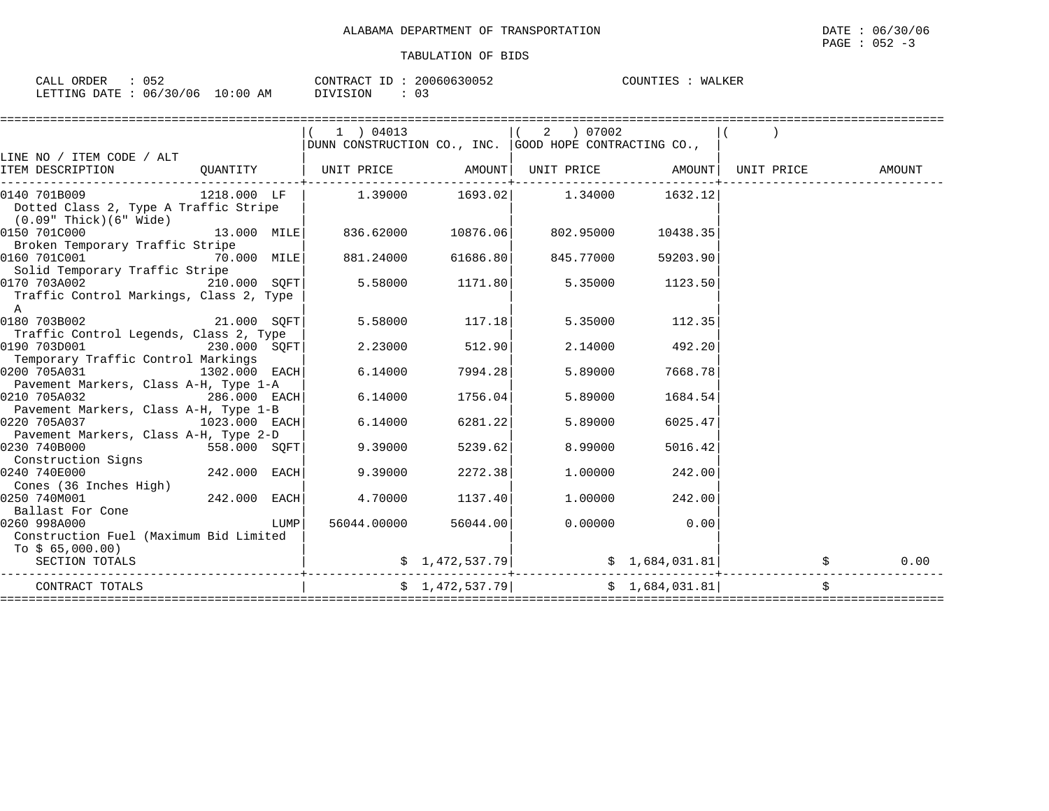| ORDER<br>CALL<br>U 5 Z   |            | CONTRACT ID:   | 20060630052 | WALKER<br>COUNTIES |
|--------------------------|------------|----------------|-------------|--------------------|
| 06/30/06<br>LETTING DATE | $10:00$ AM | 03<br>DIVISION |             |                    |

|                                                                                                                                                               |               |      | 1 ) 04013                                                                                      |                   | (2) 07002                                   |                |        |  |
|---------------------------------------------------------------------------------------------------------------------------------------------------------------|---------------|------|------------------------------------------------------------------------------------------------|-------------------|---------------------------------------------|----------------|--------|--|
|                                                                                                                                                               |               |      | DUNN CONSTRUCTION CO., INC. $ $ GOOD HOPE CONTRACTING CO.,                                     |                   |                                             |                |        |  |
| LINE NO / ITEM CODE / ALT                                                                                                                                     |               |      |                                                                                                |                   |                                             |                |        |  |
| ITEM DESCRIPTION                                                                                                                                              |               |      | $\begin{array}{c c c c c} \text{QUANTITY} & \text{UNIT} & \text{ENT} & \text{PRE} \end{array}$ |                   |                                             |                | AMOUNT |  |
| $\begin{array}{cccccccc} \texttt{0140} & \texttt{701B009} & & & & 1218.000 & \texttt{LF} & & & 1.39000 & & & 1693.02 & & & 1.34000 & & & 1632.12 \end{array}$ |               |      |                                                                                                |                   |                                             |                |        |  |
| Dotted Class 2, Type A Traffic Stripe<br>$(0.09"$ Thick $)(6"$ Wide                                                                                           |               |      |                                                                                                |                   |                                             |                |        |  |
| $[0150 701C000$ $13.000 10876.000$ $10876.06$ $802.95000$                                                                                                     |               |      |                                                                                                |                   |                                             | 10438.35       |        |  |
| Broken Temporary Traffic Stripe                                                                                                                               |               |      |                                                                                                |                   |                                             |                |        |  |
| 0160 701C001 70.000 MILE                                                                                                                                      |               |      | 881.24000                                                                                      |                   | 61686.80 845.77000                          | 59203.90       |        |  |
| Solid Temporary Traffic Stripe                                                                                                                                |               |      |                                                                                                |                   |                                             |                |        |  |
| 0170 703A002 210.000 SQFT                                                                                                                                     |               |      |                                                                                                | $5.58000$ 1171.80 | 5.35000                                     | 1123.50        |        |  |
| Traffic Control Markings, Class 2, Type<br>$\mathbf{A}$                                                                                                       |               |      |                                                                                                |                   |                                             |                |        |  |
| 0180 703B002 21.000 SQFT                                                                                                                                      |               |      |                                                                                                | $5.58000$ 117.18  |                                             | 5.35000 112.35 |        |  |
| Traffic Control Legends, Class 2, Type                                                                                                                        |               |      |                                                                                                |                   |                                             |                |        |  |
| $0190 703D001$ 230.000 SQFT                                                                                                                                   |               |      |                                                                                                | 2.23000 512.90    | 2.14000                                     | 492.20         |        |  |
| Temporary Traffic Control Markings                                                                                                                            |               |      |                                                                                                |                   |                                             |                |        |  |
| 0200 705A031                                                                                                                                                  | 1302.000 EACH |      | 6.14000                                                                                        | 7994.28           | 5.89000                                     | 7668.78        |        |  |
| Pavement Markers, Class A-H, Type 1-A                                                                                                                         |               |      |                                                                                                |                   |                                             |                |        |  |
| 0210 705A032 286.000 EACH                                                                                                                                     |               |      | 6.14000                                                                                        | 1756.04           | 5.89000                                     | 1684.54        |        |  |
| Pavement Markers, Class A-H, Type 1-B                                                                                                                         |               |      |                                                                                                |                   |                                             |                |        |  |
| 0220 705A037                                                                                                                                                  | 1023.000 EACH |      | 6.14000                                                                                        | 6281.22           | 5.89000                                     | 6025.47        |        |  |
| Pavement Markers, Class A-H, Type 2-D                                                                                                                         |               |      |                                                                                                |                   |                                             |                |        |  |
| 0230 740B000                                                                                                                                                  | 558.000 SOFT  |      | 9.39000                                                                                        | 5239.62           | 8,99000                                     | 5016.42        |        |  |
| Construction Signs                                                                                                                                            |               |      |                                                                                                |                   |                                             |                |        |  |
| 0240 740E000                                                                                                                                                  | 242.000 EACH  |      | 9.39000                                                                                        | 2272.38           | 1.00000                                     | 242.00         |        |  |
| Cones (36 Inches High)                                                                                                                                        |               |      |                                                                                                |                   |                                             |                |        |  |
| 0250 740M001                                                                                                                                                  | 242.000 EACH  |      | 4.70000                                                                                        | 1137.40           | 1.00000                                     | 242.00         |        |  |
| Ballast For Cone                                                                                                                                              |               |      |                                                                                                |                   |                                             |                |        |  |
| 0260 998A000                                                                                                                                                  |               | LUMP | 56044.00000                                                                                    | 56044.00          | 0.00000                                     | 0.00           |        |  |
| Construction Fuel (Maximum Bid Limited                                                                                                                        |               |      |                                                                                                |                   |                                             |                |        |  |
| To $$65,000.00)$                                                                                                                                              |               |      |                                                                                                |                   |                                             |                |        |  |
| SECTION TOTALS                                                                                                                                                |               |      |                                                                                                |                   |                                             |                | 0.00   |  |
| CONTRACT TOTALS                                                                                                                                               |               |      |                                                                                                |                   | $\sharp$ 1,472,537.79 $\sharp$ 1,684,031.81 |                |        |  |
|                                                                                                                                                               |               |      |                                                                                                |                   |                                             |                |        |  |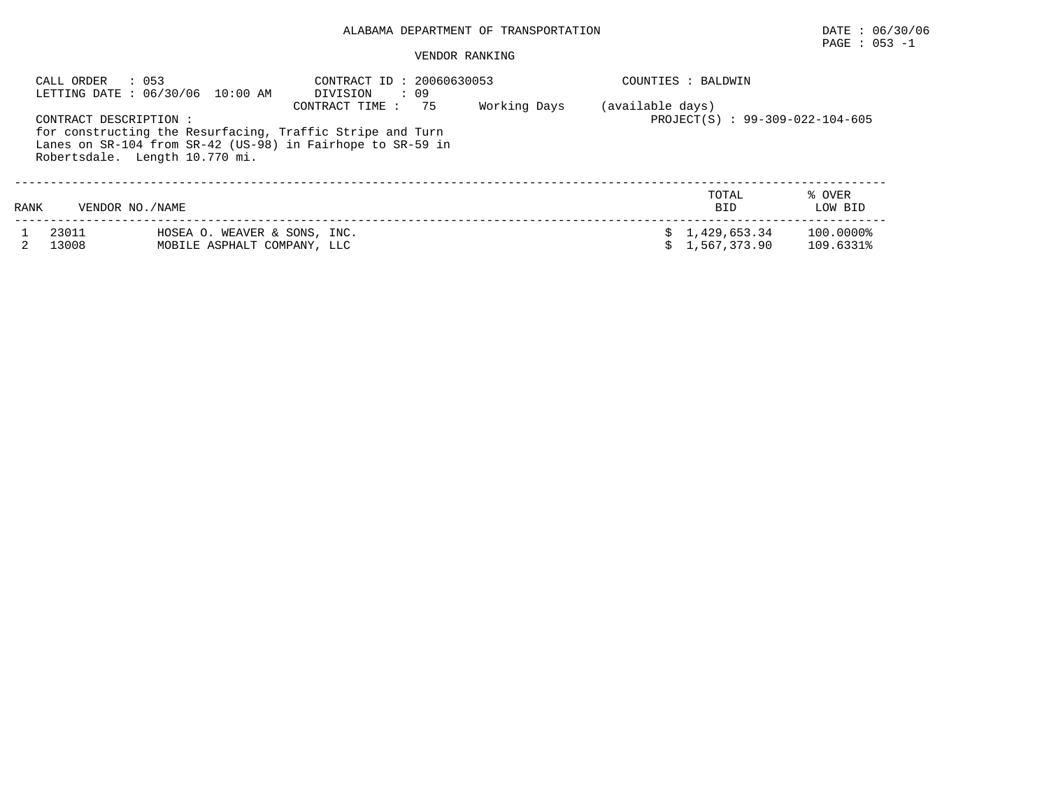# PAGE : 053 -1

| CALL ORDER            | : 053<br>LETTING DATE: 06/30/06 10:00 AM                    | CONTRACT ID: 20060630053<br>: 09<br>DIVISION                                                                                                    |              |                  | COUNTIES : BALDWIN              |                        |
|-----------------------|-------------------------------------------------------------|-------------------------------------------------------------------------------------------------------------------------------------------------|--------------|------------------|---------------------------------|------------------------|
| CONTRACT DESCRIPTION: | Robertsdale. Length 10.770 mi.                              | 75<br>CONTRACT TIME:<br>for constructing the Resurfacing, Traffic Stripe and Turn<br>Lanes on SR-104 from SR-42 (US-98) in Fairhope to SR-59 in | Working Days | (available days) | PROJECT(S) : 99-309-022-104-605 |                        |
| RANK                  | VENDOR NO. / NAME                                           |                                                                                                                                                 |              |                  | TOTAL<br><b>BID</b>             | % OVER<br>LOW BID      |
| 23011<br>13008        | HOSEA O. WEAVER & SONS, INC.<br>MOBILE ASPHALT COMPANY, LLC |                                                                                                                                                 |              |                  | \$1,429,653.34<br>1,567,373.90  | 100.0000%<br>109.6331% |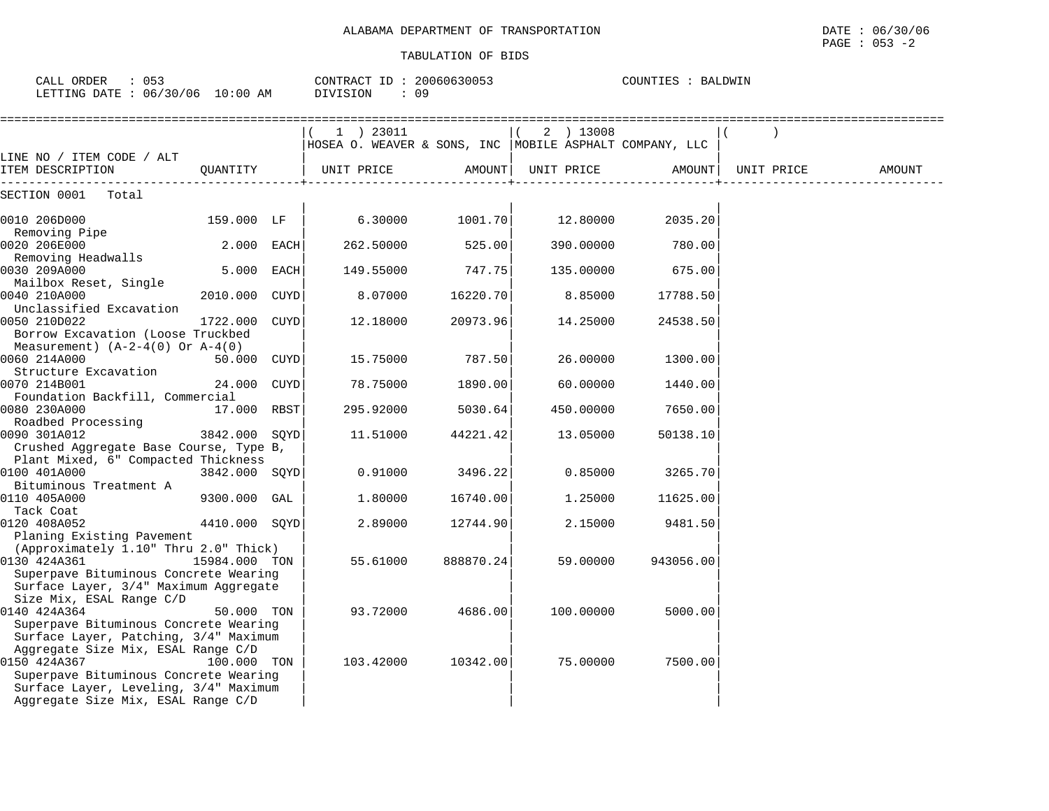| CALL ORDER : 053<br>LETTING DATE : 06/30/06 10:00 AM | CONTRACT ID: 20060630053<br>DIVISION : 09 | COUNTIES : BALDWIN                                                       |  |
|------------------------------------------------------|-------------------------------------------|--------------------------------------------------------------------------|--|
| LINE NO / ITEM CODE / ALT                            | 1) 23011                                  | $(2)$ 13008<br> HOSEA O. WEAVER & SONS, INC  MOBILE ASPHALT COMPANY, LLC |  |

| ITEM DESCRIPTION                       | OUANTITY      |      | UNIT PRICE | AMOUNT    | UNIT PRICE | AMOUNT    | UNIT PRICE | AMOUNT |
|----------------------------------------|---------------|------|------------|-----------|------------|-----------|------------|--------|
| SECTION 0001<br>Total                  |               |      |            |           |            |           |            |        |
| 0010 206D000                           | 159.000 LF    |      | 6.30000    | 1001.70   | 12.80000   | 2035.20   |            |        |
| Removing Pipe                          |               |      |            |           |            |           |            |        |
| 0020 206E000                           | 2.000 EACH    |      | 262.50000  | 525.00    | 390.00000  | 780.00    |            |        |
| Removing Headwalls                     |               |      |            |           |            |           |            |        |
| 0030 209A000                           | 5.000 EACH    |      | 149.55000  | 747.75    | 135.00000  | 675.00    |            |        |
| Mailbox Reset, Single                  |               |      |            |           |            |           |            |        |
| 0040 210A000                           | 2010.000 CUYD |      | 8.07000    | 16220.70  | 8.85000    | 17788.50  |            |        |
| Unclassified Excavation                |               |      |            |           |            |           |            |        |
| 0050 210D022                           | 1722.000      | CUYD | 12.18000   | 20973.96  | 14.25000   | 24538.50  |            |        |
| Borrow Excavation (Loose Truckbed      |               |      |            |           |            |           |            |        |
| Measurement) $(A-2-4(0)$ Or $A-4(0)$   |               |      |            |           |            |           |            |        |
| 0060 214A000                           | 50.000 CUYD   |      | 15.75000   | 787.50    | 26.00000   | 1300.00   |            |        |
| Structure Excavation                   |               |      |            |           |            |           |            |        |
| 0070 214B001                           | 24.000        | CUYD | 78.75000   | 1890.00   | 60.00000   | 1440.00   |            |        |
| Foundation Backfill, Commercial        |               |      |            |           |            |           |            |        |
| 0080 230A000                           | 17.000 RBST   |      | 295.92000  | 5030.64   | 450.00000  | 7650.00   |            |        |
| Roadbed Processing                     |               |      |            |           |            |           |            |        |
| 0090 301A012                           | 3842.000 SOYD |      | 11.51000   | 44221.42  | 13.05000   | 50138.10  |            |        |
| Crushed Aggregate Base Course, Type B, |               |      |            |           |            |           |            |        |
| Plant Mixed, 6" Compacted Thickness    |               |      |            |           |            |           |            |        |
| 0100 401A000                           | 3842.000 SQYD |      | 0.91000    | 3496.22   | 0.85000    | 3265.70   |            |        |
| Bituminous Treatment A                 |               |      |            |           |            |           |            |        |
| 0110 405A000                           | 9300.000 GAL  |      | 1,80000    | 16740.00  | 1.25000    | 11625.00  |            |        |
| Tack Coat                              |               |      |            |           |            |           |            |        |
| 0120 408A052                           | 4410.000 SOYD |      | 2.89000    | 12744.90  | 2.15000    | 9481.50   |            |        |
| Planing Existing Pavement              |               |      |            |           |            |           |            |        |
| (Approximately 1.10" Thru 2.0" Thick)  |               |      |            |           |            |           |            |        |
| 0130 424A361                           | 15984.000 TON |      | 55.61000   | 888870.24 | 59.00000   | 943056.00 |            |        |
| Superpave Bituminous Concrete Wearing  |               |      |            |           |            |           |            |        |
| Surface Layer, 3/4" Maximum Aggregate  |               |      |            |           |            |           |            |        |
| Size Mix, ESAL Range C/D               |               |      |            |           |            |           |            |        |
| 0140 424A364                           | 50.000 TON    |      | 93.72000   | 4686.00   | 100.00000  | 5000.00   |            |        |
| Superpave Bituminous Concrete Wearing  |               |      |            |           |            |           |            |        |
| Surface Layer, Patching, 3/4" Maximum  |               |      |            |           |            |           |            |        |
| Aggregate Size Mix, ESAL Range C/D     |               |      |            |           |            |           |            |        |
| 0150 424A367                           | 100.000 TON   |      | 103.42000  | 10342.00  | 75.00000   | 7500.00   |            |        |
| Superpave Bituminous Concrete Wearing  |               |      |            |           |            |           |            |        |
| Surface Layer, Leveling, 3/4" Maximum  |               |      |            |           |            |           |            |        |
| Aggregate Size Mix, ESAL Range C/D     |               |      |            |           |            |           |            |        |
|                                        |               |      |            |           |            |           |            |        |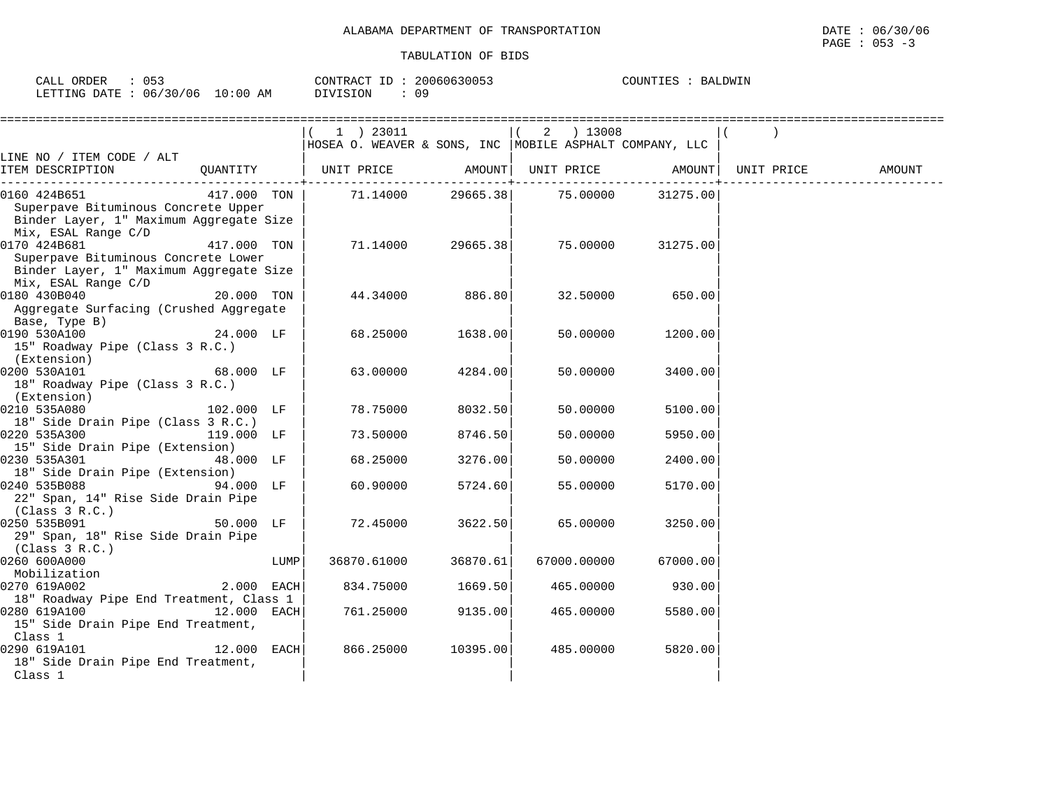| $\sim$ $\sim$ $\sim$<br>ORDER<br>-'ALI |                 | CONTRACT<br>--<br>-- | 30053<br>200606 | COUNTIES<br>ALDWIN<br>BA I |
|----------------------------------------|-----------------|----------------------|-----------------|----------------------------|
| 06/30/<br>/06<br>LETTING<br>חים מח     | :00<br>AΜ<br>Τſ | DIVISION             | 09              |                            |

|                                                                                                                                      |              | 1 ) 23011<br>HOSEA O. WEAVER & SONS, INC MOBILE ASPHALT COMPANY, LLC     |                   | $(2)$ 13008                            |                   |            |        |
|--------------------------------------------------------------------------------------------------------------------------------------|--------------|--------------------------------------------------------------------------|-------------------|----------------------------------------|-------------------|------------|--------|
| LINE NO / ITEM CODE / ALT                                                                                                            |              |                                                                          |                   |                                        |                   |            |        |
| QUANTITY<br>ITEM DESCRIPTION                                                                                                         |              | UNIT PRICE                 AMOUNT    UNIT PRICE                   AMOUNT |                   |                                        |                   | UNIT PRICE | AMOUNT |
| 0160 424B651<br>417.000 TON<br>Superpave Bituminous Concrete Upper<br>Binder Layer, 1" Maximum Aggregate Size<br>Mix, ESAL Range C/D |              |                                                                          |                   | 71.14000  29665.38  75.00000  31275.00 |                   |            |        |
| 0170 424B681<br>Superpave Bituminous Concrete Lower<br>Binder Layer, 1" Maximum Aggregate Size<br>Mix, ESAL Range C/D                | 417.000 TON  |                                                                          | 71.14000 29665.38 |                                        | 75.00000 31275.00 |            |        |
| 0180 430B040<br>Aggregate Surfacing (Crushed Aggregate<br>Base, Type B)                                                              | 20.000 TON   | 44.34000                                                                 | 886.80            | 32.50000                               | 650.00            |            |        |
| $24.000$ LF<br>0190 530A100<br>15" Roadway Pipe (Class 3 R.C.)<br>(Extension)                                                        |              | 68.25000                                                                 | 1638.00           | 50.00000                               | 1200.00           |            |        |
| 0200 530A101<br>18" Roadway Pipe (Class 3 R.C.)<br>(Extension)                                                                       | 68.000 LF    | 63.00000                                                                 | 4284.00           | 50.00000                               | 3400.00           |            |        |
| 102.000 LF<br>0210 535A080<br>18" Side Drain Pipe (Class 3 R.C.)                                                                     |              | 78.75000                                                                 | 8032.50           | 50.00000                               | 5100.00           |            |        |
| 0220 535A300<br>119.000 LF<br>15" Side Drain Pipe (Extension)                                                                        |              | 73.50000                                                                 | 8746.50           | 50.00000                               | 5950.00           |            |        |
| 0230 535A301<br>18" Side Drain Pipe (Extension)                                                                                      | 48.000 LF    | 68.25000                                                                 | 3276.00           | 50.00000                               | 2400.00           |            |        |
| 0240 535B088<br>22" Span, 14" Rise Side Drain Pipe<br>(Class $3 R.C.$ )                                                              | 94.000 LF    | 60.90000                                                                 | 5724.60           | 55.00000                               | 5170.00           |            |        |
| 0250 535B091<br>29" Span, 18" Rise Side Drain Pipe<br>(Class $3 R.C.$ )                                                              | 50.000 LF    | 72.45000                                                                 | 3622.50           | 65.00000                               | 3250.00           |            |        |
| 0260 600A000<br>Mobilization                                                                                                         | LUMP         | 36870.61000                                                              | 36870.61          | 67000.00000                            | 67000.00          |            |        |
| 0270 619A002<br>18" Roadway Pipe End Treatment, Class 1                                                                              | $2.000$ EACH | 834.75000                                                                | 1669.50           | 465.00000                              | 930.00            |            |        |
| 0280 619A100<br>15" Side Drain Pipe End Treatment,<br>Class 1                                                                        | 12.000 EACH  | 761.25000                                                                | 9135.00           | 465.00000                              | 5580.00           |            |        |
| $12.000$ EACH<br>0290 619A101<br>18" Side Drain Pipe End Treatment,<br>Class 1                                                       |              | 866.25000                                                                | 10395.00          | 485.00000                              | 5820.00           |            |        |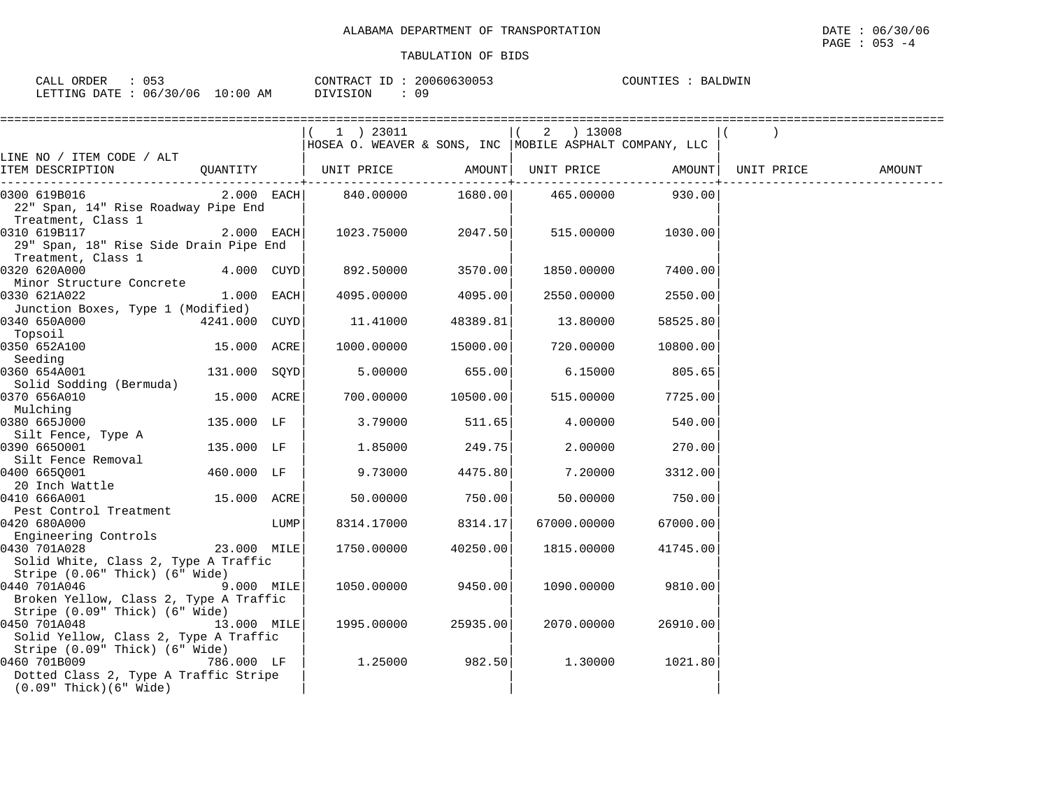| ∩г ว<br>ORDER<br>$\sim$ $\sim$ $\sim$ $\sim$<br>CALL<br>.<br>. J J |             | 20060630053<br>CONTRACT<br>$ -$ | COUNTIES<br>BALDWIN<br>BAI |
|--------------------------------------------------------------------|-------------|---------------------------------|----------------------------|
| 06/30/06<br>LETTING<br>DATE.                                       | 10:00<br>AM | 09<br>OIVISION                  |                            |

|                                                                                                                  | 1 ) 23011                                                                                                                                                                                                                                                                      |                                                                                                                                                                                                                          |                                    |                                                                                                                                                                                                                     |                                                                                                                                                                                                                                                                                                                                                                                                                                |                                                                                               |
|------------------------------------------------------------------------------------------------------------------|--------------------------------------------------------------------------------------------------------------------------------------------------------------------------------------------------------------------------------------------------------------------------------|--------------------------------------------------------------------------------------------------------------------------------------------------------------------------------------------------------------------------|------------------------------------|---------------------------------------------------------------------------------------------------------------------------------------------------------------------------------------------------------------------|--------------------------------------------------------------------------------------------------------------------------------------------------------------------------------------------------------------------------------------------------------------------------------------------------------------------------------------------------------------------------------------------------------------------------------|-----------------------------------------------------------------------------------------------|
|                                                                                                                  |                                                                                                                                                                                                                                                                                |                                                                                                                                                                                                                          |                                    |                                                                                                                                                                                                                     |                                                                                                                                                                                                                                                                                                                                                                                                                                |                                                                                               |
|                                                                                                                  |                                                                                                                                                                                                                                                                                |                                                                                                                                                                                                                          |                                    |                                                                                                                                                                                                                     |                                                                                                                                                                                                                                                                                                                                                                                                                                |                                                                                               |
|                                                                                                                  |                                                                                                                                                                                                                                                                                |                                                                                                                                                                                                                          |                                    |                                                                                                                                                                                                                     |                                                                                                                                                                                                                                                                                                                                                                                                                                | AMOUNT                                                                                        |
|                                                                                                                  |                                                                                                                                                                                                                                                                                |                                                                                                                                                                                                                          |                                    |                                                                                                                                                                                                                     |                                                                                                                                                                                                                                                                                                                                                                                                                                |                                                                                               |
|                                                                                                                  |                                                                                                                                                                                                                                                                                |                                                                                                                                                                                                                          |                                    |                                                                                                                                                                                                                     |                                                                                                                                                                                                                                                                                                                                                                                                                                |                                                                                               |
|                                                                                                                  |                                                                                                                                                                                                                                                                                |                                                                                                                                                                                                                          |                                    |                                                                                                                                                                                                                     |                                                                                                                                                                                                                                                                                                                                                                                                                                |                                                                                               |
|                                                                                                                  |                                                                                                                                                                                                                                                                                |                                                                                                                                                                                                                          |                                    |                                                                                                                                                                                                                     |                                                                                                                                                                                                                                                                                                                                                                                                                                |                                                                                               |
|                                                                                                                  |                                                                                                                                                                                                                                                                                |                                                                                                                                                                                                                          |                                    |                                                                                                                                                                                                                     |                                                                                                                                                                                                                                                                                                                                                                                                                                |                                                                                               |
|                                                                                                                  |                                                                                                                                                                                                                                                                                |                                                                                                                                                                                                                          |                                    |                                                                                                                                                                                                                     |                                                                                                                                                                                                                                                                                                                                                                                                                                |                                                                                               |
|                                                                                                                  |                                                                                                                                                                                                                                                                                |                                                                                                                                                                                                                          |                                    |                                                                                                                                                                                                                     |                                                                                                                                                                                                                                                                                                                                                                                                                                |                                                                                               |
|                                                                                                                  | 4095.00000                                                                                                                                                                                                                                                                     |                                                                                                                                                                                                                          |                                    | 2550.00                                                                                                                                                                                                             |                                                                                                                                                                                                                                                                                                                                                                                                                                |                                                                                               |
|                                                                                                                  |                                                                                                                                                                                                                                                                                |                                                                                                                                                                                                                          |                                    |                                                                                                                                                                                                                     |                                                                                                                                                                                                                                                                                                                                                                                                                                |                                                                                               |
|                                                                                                                  | 11.41000                                                                                                                                                                                                                                                                       |                                                                                                                                                                                                                          |                                    | 58525.80                                                                                                                                                                                                            |                                                                                                                                                                                                                                                                                                                                                                                                                                |                                                                                               |
|                                                                                                                  |                                                                                                                                                                                                                                                                                |                                                                                                                                                                                                                          |                                    |                                                                                                                                                                                                                     |                                                                                                                                                                                                                                                                                                                                                                                                                                |                                                                                               |
|                                                                                                                  | 1000.00000                                                                                                                                                                                                                                                                     |                                                                                                                                                                                                                          |                                    | 10800.00                                                                                                                                                                                                            |                                                                                                                                                                                                                                                                                                                                                                                                                                |                                                                                               |
|                                                                                                                  |                                                                                                                                                                                                                                                                                |                                                                                                                                                                                                                          |                                    |                                                                                                                                                                                                                     |                                                                                                                                                                                                                                                                                                                                                                                                                                |                                                                                               |
|                                                                                                                  |                                                                                                                                                                                                                                                                                |                                                                                                                                                                                                                          |                                    |                                                                                                                                                                                                                     |                                                                                                                                                                                                                                                                                                                                                                                                                                |                                                                                               |
|                                                                                                                  |                                                                                                                                                                                                                                                                                |                                                                                                                                                                                                                          |                                    |                                                                                                                                                                                                                     |                                                                                                                                                                                                                                                                                                                                                                                                                                |                                                                                               |
|                                                                                                                  |                                                                                                                                                                                                                                                                                |                                                                                                                                                                                                                          |                                    |                                                                                                                                                                                                                     |                                                                                                                                                                                                                                                                                                                                                                                                                                |                                                                                               |
|                                                                                                                  |                                                                                                                                                                                                                                                                                |                                                                                                                                                                                                                          |                                    |                                                                                                                                                                                                                     |                                                                                                                                                                                                                                                                                                                                                                                                                                |                                                                                               |
|                                                                                                                  |                                                                                                                                                                                                                                                                                |                                                                                                                                                                                                                          |                                    |                                                                                                                                                                                                                     |                                                                                                                                                                                                                                                                                                                                                                                                                                |                                                                                               |
|                                                                                                                  |                                                                                                                                                                                                                                                                                |                                                                                                                                                                                                                          |                                    |                                                                                                                                                                                                                     |                                                                                                                                                                                                                                                                                                                                                                                                                                |                                                                                               |
|                                                                                                                  |                                                                                                                                                                                                                                                                                |                                                                                                                                                                                                                          |                                    |                                                                                                                                                                                                                     |                                                                                                                                                                                                                                                                                                                                                                                                                                |                                                                                               |
|                                                                                                                  |                                                                                                                                                                                                                                                                                |                                                                                                                                                                                                                          |                                    |                                                                                                                                                                                                                     |                                                                                                                                                                                                                                                                                                                                                                                                                                |                                                                                               |
|                                                                                                                  |                                                                                                                                                                                                                                                                                |                                                                                                                                                                                                                          |                                    |                                                                                                                                                                                                                     |                                                                                                                                                                                                                                                                                                                                                                                                                                |                                                                                               |
|                                                                                                                  | 50.00000                                                                                                                                                                                                                                                                       |                                                                                                                                                                                                                          |                                    | 750.00                                                                                                                                                                                                              |                                                                                                                                                                                                                                                                                                                                                                                                                                |                                                                                               |
|                                                                                                                  |                                                                                                                                                                                                                                                                                |                                                                                                                                                                                                                          |                                    |                                                                                                                                                                                                                     |                                                                                                                                                                                                                                                                                                                                                                                                                                |                                                                                               |
|                                                                                                                  | 8314.17000                                                                                                                                                                                                                                                                     |                                                                                                                                                                                                                          |                                    | 67000.00                                                                                                                                                                                                            |                                                                                                                                                                                                                                                                                                                                                                                                                                |                                                                                               |
|                                                                                                                  |                                                                                                                                                                                                                                                                                |                                                                                                                                                                                                                          |                                    |                                                                                                                                                                                                                     |                                                                                                                                                                                                                                                                                                                                                                                                                                |                                                                                               |
|                                                                                                                  |                                                                                                                                                                                                                                                                                |                                                                                                                                                                                                                          |                                    |                                                                                                                                                                                                                     |                                                                                                                                                                                                                                                                                                                                                                                                                                |                                                                                               |
|                                                                                                                  |                                                                                                                                                                                                                                                                                |                                                                                                                                                                                                                          |                                    |                                                                                                                                                                                                                     |                                                                                                                                                                                                                                                                                                                                                                                                                                |                                                                                               |
|                                                                                                                  |                                                                                                                                                                                                                                                                                |                                                                                                                                                                                                                          |                                    |                                                                                                                                                                                                                     |                                                                                                                                                                                                                                                                                                                                                                                                                                |                                                                                               |
|                                                                                                                  |                                                                                                                                                                                                                                                                                |                                                                                                                                                                                                                          |                                    |                                                                                                                                                                                                                     |                                                                                                                                                                                                                                                                                                                                                                                                                                |                                                                                               |
|                                                                                                                  |                                                                                                                                                                                                                                                                                |                                                                                                                                                                                                                          |                                    |                                                                                                                                                                                                                     |                                                                                                                                                                                                                                                                                                                                                                                                                                |                                                                                               |
|                                                                                                                  |                                                                                                                                                                                                                                                                                |                                                                                                                                                                                                                          |                                    |                                                                                                                                                                                                                     |                                                                                                                                                                                                                                                                                                                                                                                                                                |                                                                                               |
|                                                                                                                  |                                                                                                                                                                                                                                                                                |                                                                                                                                                                                                                          |                                    |                                                                                                                                                                                                                     |                                                                                                                                                                                                                                                                                                                                                                                                                                |                                                                                               |
|                                                                                                                  |                                                                                                                                                                                                                                                                                |                                                                                                                                                                                                                          |                                    |                                                                                                                                                                                                                     |                                                                                                                                                                                                                                                                                                                                                                                                                                |                                                                                               |
|                                                                                                                  | 1.25000                                                                                                                                                                                                                                                                        |                                                                                                                                                                                                                          |                                    | 1021.80                                                                                                                                                                                                             |                                                                                                                                                                                                                                                                                                                                                                                                                                |                                                                                               |
|                                                                                                                  |                                                                                                                                                                                                                                                                                |                                                                                                                                                                                                                          |                                    |                                                                                                                                                                                                                     |                                                                                                                                                                                                                                                                                                                                                                                                                                |                                                                                               |
|                                                                                                                  |                                                                                                                                                                                                                                                                                |                                                                                                                                                                                                                          |                                    |                                                                                                                                                                                                                     |                                                                                                                                                                                                                                                                                                                                                                                                                                |                                                                                               |
| 22" Span, 14" Rise Roadway Pipe End<br>Junction Boxes, Type 1 (Modified)<br>Solid White, Class 2, Type A Traffic | 29" Span, 18" Rise Side Drain Pipe End<br>4.000 CUYD<br>1.000 EACH<br>131.000 SOYD<br>135.000 LF<br>135.000 LF<br>460.000 LF<br>LUMP<br>Broken Yellow, Class 2, Type A Traffic<br>Solid Yellow, Class 2, Type A Traffic<br>786.000 LF<br>Dotted Class 2, Type A Traffic Stripe | $2.000$ EACH<br>892.50000<br>4241.000 CUYD<br>15.000 ACRE<br>5.00000<br>15.000 ACRE<br>700.00000<br>3.79000<br>1.85000<br>9.73000<br>15.000 ACRE<br>23.000 MILE<br>1750.00000<br>9.000 MILE<br>1050.00000<br>13.000 MILE | 2.000 EACH 840.00000<br>1995.00000 | ------------+-----------<br>1023.75000 2047.50<br>3570.00<br>4095.00<br>48389.81<br>15000.00<br>655.00<br>10500.00<br>511.65<br>249.75<br>4475.80<br>750.00<br>8314.17<br>40250.00<br>9450.00<br>25935.00<br>982.50 | $(2)$ 13008<br>HOSEA O. WEAVER & SONS, INC MOBILE ASPHALT COMPANY, LLC<br>1680.00   465.00000   930.00<br>515.00000<br>1030.00<br>1850.00000<br>7400.00<br>2550.00000<br>13.80000<br>720.00000<br>6.15000<br>805.65<br>515.00000<br>7725.00<br>4.00000<br>540.00<br>2.00000<br>270.00<br>7.20000<br>3312.00<br>50.00000<br>67000.00000<br>1815.00000<br>41745.00<br>1090.00000<br>9810.00<br>2070.00000<br>26910.00<br>1.30000 | QUANTITY   UNIT PRICE     AMOUNT   UNIT PRICE     AMOUNT  <br>UNIT PRICE<br>----------------+ |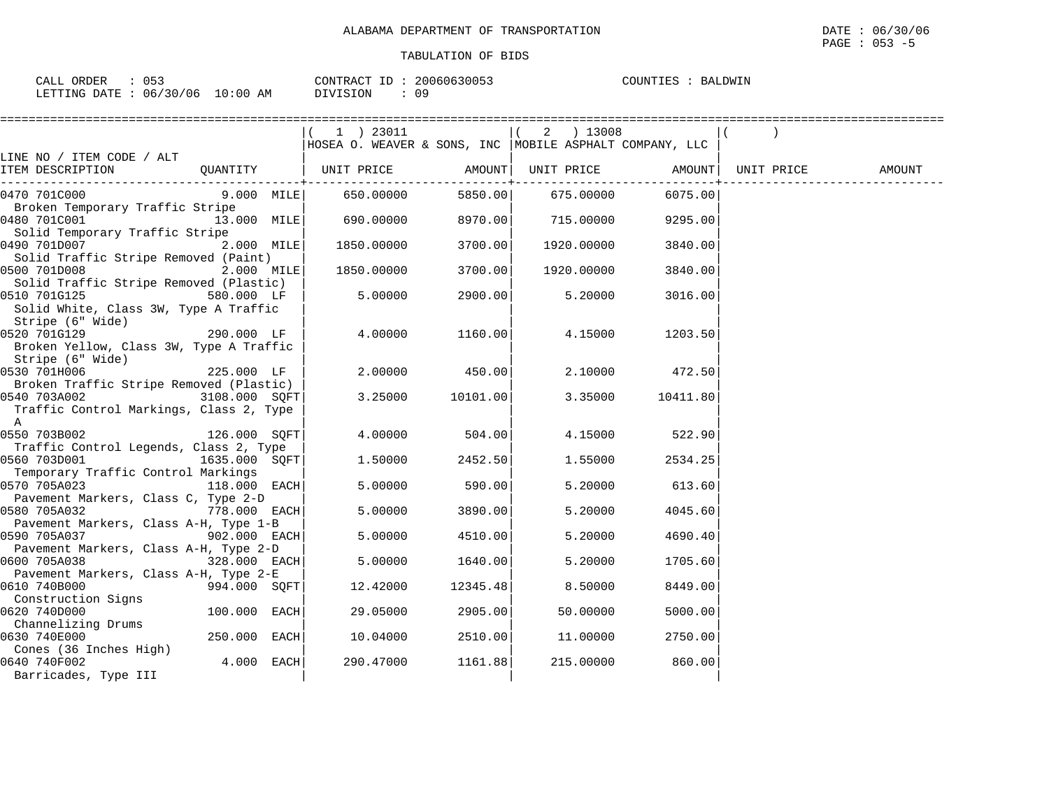PAGE : 053 -5

| 053<br>CALL ORDER               |          | CONTRACT ID: 20060630053 | COUNTIES :<br>BALDWIN |
|---------------------------------|----------|--------------------------|-----------------------|
| LETTING DATE: 06/30/06 10:00 AM | DIVISION | 09                       |                       |

|                                                                                                                   |                |                                                                          | =================== |                           | ================ |        |
|-------------------------------------------------------------------------------------------------------------------|----------------|--------------------------------------------------------------------------|---------------------|---------------------------|------------------|--------|
|                                                                                                                   |                | $1$ ) 23011<br> HOSEA O. WEAVER & SONS, INC  MOBILE ASPHALT COMPANY, LLC |                     | $(2)$ 13008               |                  |        |
| LINE NO / ITEM CODE / ALT<br>ITEM DESCRIPTION                                                                     |                | QUANTITY   UNIT PRICE       AMOUNT  UNIT PRICE       AMOUNT  UNIT PRICE  |                     |                           |                  | AMOUNT |
| 0470 701C000                                                                                                      |                | $9.000$ MILE 650.00000                                                   |                     | 5850.00 675.00000 6075.00 |                  |        |
| Broken Temporary Traffic Stripe<br>0480 701C001                                                                   | 13.000 MILE    | 690.00000                                                                | 8970.00             | 715.00000                 | 9295.00          |        |
| Solid Temporary Traffic Stripe<br>0490 701D007<br>Solid Traffic Stripe Removed (Paint)                            | 2.000 MILE     | 1850.00000                                                               | 3700.00             | 1920.00000                | 3840.00          |        |
| 0500 701D008<br>Solid Traffic Stripe Removed (Plastic)                                                            | $2.000$ MILE   | 1850.00000                                                               | 3700.00             | 1920.00000                | 3840.00          |        |
| 0510 701G125<br>$580.000$ LF<br>Solid White, Class 3W, Type A Traffic<br>Stripe (6" Wide)                         |                | 5.00000                                                                  | 2900.00             | 5.20000                   | 3016.00          |        |
| 0520 701G129<br>$290.000$ LF<br>Broken Yellow, Class 3W, Type A Traffic<br>Stripe (6" Wide)                       |                | 4.00000                                                                  | 1160.00             | 4.15000                   | 1203.50          |        |
| 0530 701H006                                                                                                      | 225.000 LF     | 2.00000                                                                  | 450.00              | 2.10000                   | 472.50           |        |
| Broken Traffic Stripe Removed (Plastic)<br>0540 703A002<br>Traffic Control Markings, Class 2, Type<br>$\mathbb A$ | 3108.000 SOFT  | 3.25000                                                                  | 10101.00            | 3.35000                   | 10411.80         |        |
| 0550 703B002<br>126.000 SOFT<br>Traffic Control Legends, Class 2, Type                                            |                | 4.00000                                                                  | 504.00              | 4.15000                   | 522.90           |        |
| 0560 703D001<br>Temporary Traffic Control Markings                                                                | 1635.000 SOFT  | 1.50000                                                                  | 2452.50             | 1.55000                   | 2534.25          |        |
| 0570 705A023<br>Pavement Markers, Class C, Type 2-D                                                               | $118.000$ EACH | 5.00000                                                                  | 590.00              | 5.20000                   | 613.60           |        |
| $778.000$ EACH<br>0580 705A032<br>Pavement Markers, Class A-H, Type 1-B                                           |                | 5.00000                                                                  | 3890.00             | 5.20000                   | 4045.60          |        |
| 0590 705A037                                                                                                      | $902.000$ EACH | 5.00000                                                                  | 4510.00             | 5.20000                   | 4690.40          |        |
| Pavement Markers, Class A-H, Type 2-D<br>0600 705A038                                                             | 328.000 EACH   | 5.00000                                                                  | 1640.00             | 5.20000                   | 1705.60          |        |
| Pavement Markers, Class A-H, Type 2-E<br>0610 740B000<br>994.000 SOFT                                             |                | 12.42000                                                                 | 12345.48            | 8.50000                   | 8449.00          |        |
| Construction Signs<br>0620 740D000<br>Channelizing Drums                                                          | $100.000$ EACH | 29.05000                                                                 | 2905.00             | 50.00000                  | 5000.00          |        |
| 0630 740E000<br>Cones (36 Inches High)                                                                            | 250.000 EACH   | 10.04000                                                                 | 2510.00             | 11.00000                  | 2750.00          |        |
| 0640 740F002<br>Barricades, Type III                                                                              | $4.000$ EACH   | 290.47000                                                                | 1161.88             | 215.00000                 | 860.00           |        |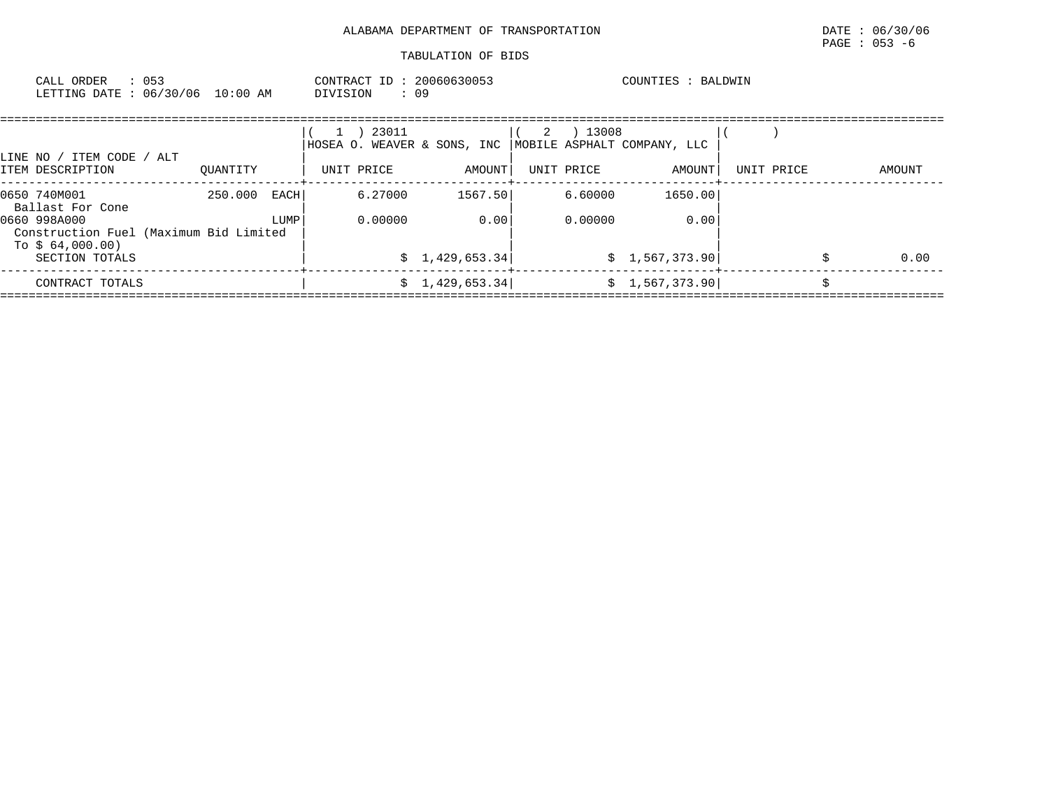| CALL ORDER<br>LETTING DATE: 06/30/06 10:00 AM                                | : 053 |          |                | CONTRACT ID: 20060630053<br>DIVISION<br>: 09 |                 |     |                    | COUNTIES : BALDWIN          |            |    |        |
|------------------------------------------------------------------------------|-------|----------|----------------|----------------------------------------------|-----------------|-----|--------------------|-----------------------------|------------|----|--------|
| LINE NO / ITEM CODE / ALT                                                    |       |          |                | 1 ) 23011<br>HOSEA O. WEAVER & SONS, INC     |                 | (2) | ) 13008            | MOBILE ASPHALT COMPANY, LLC |            |    |        |
| ITEM DESCRIPTION                                                             |       | OUANTITY |                | UNIT PRICE                                   | AMOUNT          |     | UNIT PRICE         | AMOUNT                      | UNIT PRICE |    | AMOUNT |
| 0650 740M001<br>Ballast For Cone<br>0660 998A000                             |       | 250.000  | EACH  <br>LUMP | 6.27000<br>0.00000                           | 1567.50<br>0.00 |     | 6.60000<br>0.00000 | 1650.00<br>0.00             |            |    |        |
| Construction Fuel (Maximum Bid Limited<br>To $$64,000.00)$<br>SECTION TOTALS |       |          |                |                                              | \$1,429,653.34  |     |                    | \$1,567,373.90              |            | Ŝ. | 0.00   |
| CONTRACT TOTALS                                                              |       |          |                |                                              | \$1,429,653.34] |     |                    | \$1,567,373.90              |            |    |        |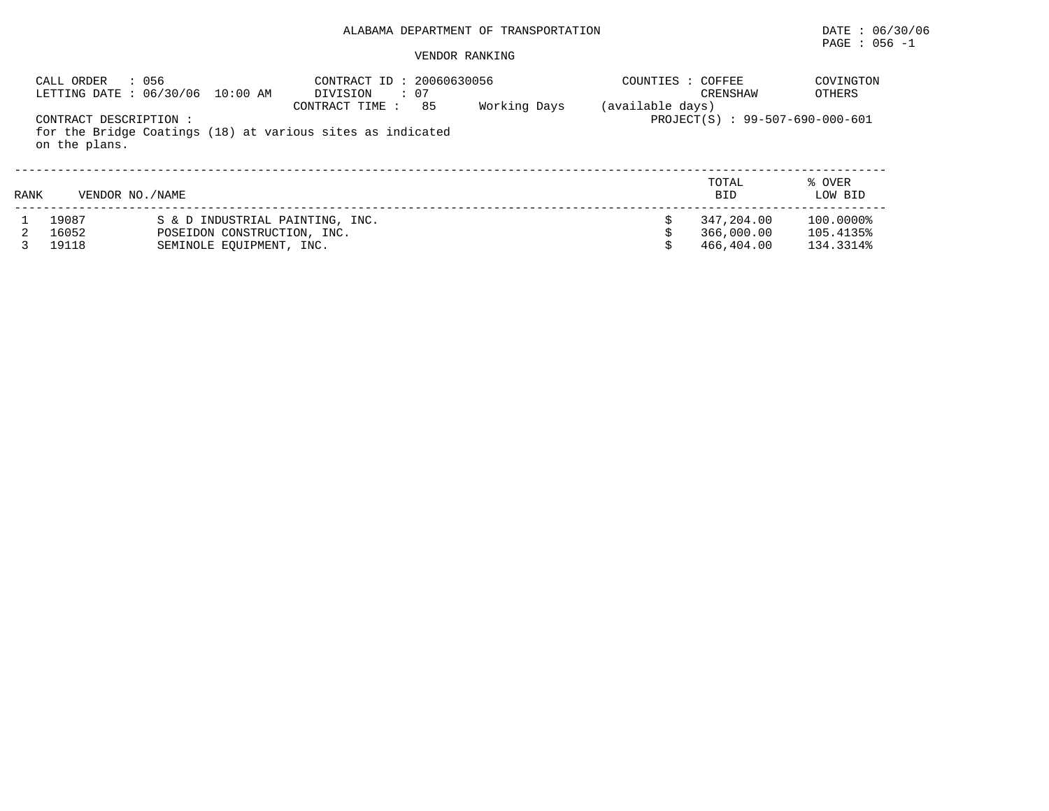|      | : 056<br>CALL ORDER                    | LETTING DATE : 06/30/06 10:00 AM                                                           | CONTRACT ID: 20060630056<br>: 07<br>DIVISION<br>85<br>CONTRACT TIME: | Working Days | COUNTIES : COFFEE<br>(available days) | CRENSHAW                               | COVINGTON<br>OTHERS                 |
|------|----------------------------------------|--------------------------------------------------------------------------------------------|----------------------------------------------------------------------|--------------|---------------------------------------|----------------------------------------|-------------------------------------|
|      | CONTRACT DESCRIPTION:<br>on the plans. |                                                                                            | for the Bridge Coatings (18) at various sites as indicated           |              |                                       | PROJECT(S) : 99-507-690-000-601        |                                     |
| RANK | VENDOR NO. / NAME                      |                                                                                            |                                                                      |              |                                       | TOTAL<br><b>BID</b>                    | % OVER<br>LOW BID                   |
|      | 19087<br>16052<br>19118                | S & D INDUSTRIAL PAINTING, INC.<br>POSEIDON CONSTRUCTION, INC.<br>SEMINOLE EOUIPMENT, INC. |                                                                      |              |                                       | 347,204.00<br>366,000.00<br>466,404.00 | 100.0000%<br>105.4135%<br>134.3314% |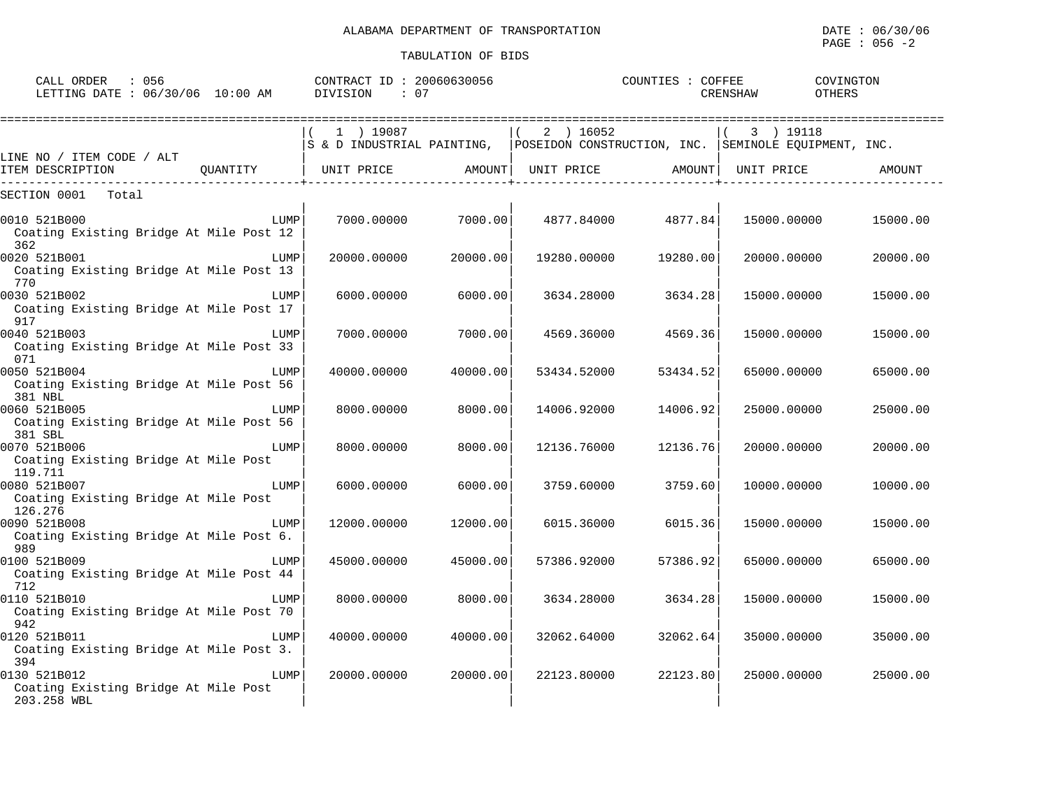PAGE : 056 -2

| CALL ORDER : 056<br>LETTING DATE : 06/30/06 10:00 AM                |          | CONTRACT ID: 20060630056<br>DIVISION<br>: 07 |                    |                   | COUNTIES : COFFEE  | COVINGTON<br><b>OTHERS</b><br>CRENSHAW                                                                     |          |
|---------------------------------------------------------------------|----------|----------------------------------------------|--------------------|-------------------|--------------------|------------------------------------------------------------------------------------------------------------|----------|
| LINE NO / ITEM CODE / ALT                                           |          | 1 ) 19087                                    |                    | $(2)$ 16052       |                    | 3 ) 19118<br>$\sqrt{2}$<br>S & D INDUSTRIAL PAINTING, POSEIDON CONSTRUCTION, INC. SEMINOLE EQUIPMENT, INC. |          |
| ITEM DESCRIPTION                                                    | OUANTITY | UNIT PRICE                                   |                    | AMOUNT UNIT PRICE | AMOUNT  UNIT PRICE |                                                                                                            | AMOUNT   |
| SECTION 0001<br>Total                                               |          |                                              |                    |                   |                    |                                                                                                            |          |
| 0010 521B000<br>Coating Existing Bridge At Mile Post 12<br>362      | LUMP     |                                              | 7000.00000 7000.00 |                   | 4877.84000 4877.84 | 15000.00000                                                                                                | 15000.00 |
| 0020 521B001<br>Coating Existing Bridge At Mile Post 13<br>770      | LUMP     | 20000.00000                                  | 20000.00           | 19280.00000       | 19280.00           | 20000.00000                                                                                                | 20000.00 |
| 0030 521B002<br>Coating Existing Bridge At Mile Post 17<br>917      | LUMP     | 6000.00000                                   | 6000.00            | 3634.28000        | 3634.28            | 15000.00000                                                                                                | 15000.00 |
| 0040 521B003<br>Coating Existing Bridge At Mile Post 33<br>071      | LUMP     | 7000.00000                                   | 7000.00            | 4569.36000        | 4569.36            | 15000.00000                                                                                                | 15000.00 |
| 0050 521B004<br>Coating Existing Bridge At Mile Post 56<br>381 NBL  | LUMP     | 40000.00000                                  | 40000.00           | 53434.52000       | 53434.52           | 65000.00000                                                                                                | 65000.00 |
| 0060 521B005<br>Coating Existing Bridge At Mile Post 56<br>381 SBL  | LUMP     | 8000.00000                                   | 8000.00            | 14006.92000       | 14006.92           | 25000.00000                                                                                                | 25000.00 |
| 0070 521B006<br>Coating Existing Bridge At Mile Post<br>119.711     | LUMP     | 8000.00000                                   | 8000.00            | 12136.76000       | 12136.76           | 20000.00000                                                                                                | 20000.00 |
| 0080 521B007<br>Coating Existing Bridge At Mile Post<br>126.276     | LUMP     | 6000.00000                                   | 6000.00            | 3759.60000        | 3759.60            | 10000.00000                                                                                                | 10000.00 |
| 0090 521B008<br>Coating Existing Bridge At Mile Post 6.<br>989      | LUMP     | 12000.00000                                  | 12000.00           | 6015.36000        | 6015.36            | 15000.00000                                                                                                | 15000.00 |
| 0100 521B009<br>Coating Existing Bridge At Mile Post 44<br>712      | LUMP     | 45000.00000                                  | 45000.00           | 57386.92000       | 57386.92           | 65000.00000                                                                                                | 65000.00 |
| 0110 521B010<br>Coating Existing Bridge At Mile Post 70<br>942      | LUMP     | 8000,00000                                   | 8000.00            | 3634.28000        | 3634.28            | 15000.00000                                                                                                | 15000.00 |
| 0120 521B011<br>Coating Existing Bridge At Mile Post 3.<br>394      | LUMP     | 40000.00000                                  | 40000.00           | 32062.64000       | 32062.64           | 35000.00000                                                                                                | 35000.00 |
| 0130 521B012<br>Coating Existing Bridge At Mile Post<br>203.258 WBL | LUMP     | 20000.00000                                  | 20000.00           | 22123.80000       | 22123.80           | 25000.00000                                                                                                | 25000.00 |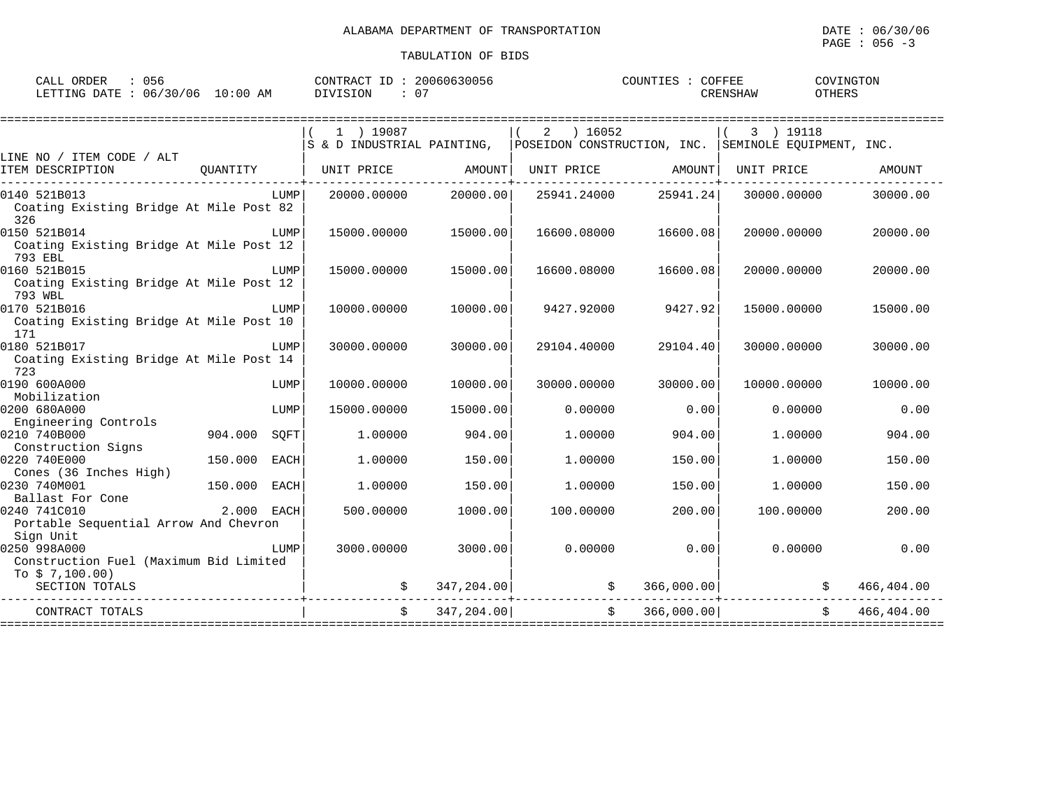$\texttt{PAGE}$  : 056 -3

| ORDER<br>CALL<br>DATE<br><b>ETTING</b> | 056<br>06/30/06 | $10:00$ AM | TRACT<br>∩∩Νπ<br><b>DIVISION</b> | 20060630056<br>- 07 | $\bigcap$ $\bigcap$ TINTET | COFFEE<br><b>RENSHAW</b> | COVINGTON<br>OTHERS |
|----------------------------------------|-----------------|------------|----------------------------------|---------------------|----------------------------|--------------------------|---------------------|
|                                        |                 |            |                                  |                     |                            |                          |                     |

|                                                                           |                 | $1$ ) 19087<br>S & D INDUSTRIAL PAINTING, |             | 2 ) 16052   |                   | 3 ) 19118<br>POSEIDON CONSTRUCTION, INC. SEMINOLE EOUIPMENT, INC. |            |
|---------------------------------------------------------------------------|-----------------|-------------------------------------------|-------------|-------------|-------------------|-------------------------------------------------------------------|------------|
| LINE NO / ITEM CODE / ALT<br>ITEM DESCRIPTION                             | QUANTITY        | UNIT PRICE                                | AMOUNT      |             | UNIT PRICE AMOUNT | UNIT PRICE                                                        | AMOUNT     |
| 0140 521B013<br>Coating Existing Bridge At Mile Post 82<br>326            | LUMP            | 20000.00000                               | 20000.00    | 25941.24000 | 25941.24          | 30000.00000                                                       | 30000.00   |
| 0150 521B014<br>Coating Existing Bridge At Mile Post 12<br>793 EBL        | LUMP            | 15000.00000                               | 15000.00    | 16600.08000 | 16600.08          | 20000.00000                                                       | 20000.00   |
| 0160 521B015<br>Coating Existing Bridge At Mile Post 12<br>793 WBL        | LUMP            | 15000.00000                               | 15000.00    | 16600.08000 | 16600.08          | 20000.00000                                                       | 20000.00   |
| 0170 521B016<br>Coating Existing Bridge At Mile Post 10<br>171            | LUMP            | 10000.00000                               | 10000.00    | 9427.92000  | 9427.92           | 15000.00000                                                       | 15000.00   |
| 0180 521B017<br>Coating Existing Bridge At Mile Post 14<br>723            | LUMP            | 30000.00000                               | 30000.00    | 29104.40000 | 29104.40          | 30000.00000                                                       | 30000.00   |
| 0190 600A000<br>Mobilization                                              | LUMP            | 10000.00000                               | 10000.00    | 30000.00000 | 30000.00          | 10000.00000                                                       | 10000.00   |
| 0200 680A000<br>Engineering Controls                                      | LUMP            | 15000.00000                               | 15000.00    | 0.00000     | 0.00              | 0.00000                                                           | 0.00       |
| 0210 740B000<br>Construction Signs                                        | 904.000<br>SQFT | 1,00000                                   | 904.00      | 1,00000     | 904.00            | 1.00000                                                           | 904.00     |
| 0220 740E000<br>Cones (36 Inches High)                                    | 150.000 EACH    | 1,00000                                   | 150.00      | 1,00000     | 150.00            | 1,00000                                                           | 150.00     |
| 0230 740M001<br>Ballast For Cone                                          | 150.000 EACH    | 1,00000                                   | 150.00      | 1,00000     | 150.00            | 1.00000                                                           | 150.00     |
| 0240 741C010<br>Portable Sequential Arrow And Chevron<br>Sign Unit        | 2.000 EACH      | 500.00000                                 | 1000.00     | 100.00000   | 200.00            | 100.00000                                                         | 200.00     |
| 0250 998A000<br>Construction Fuel (Maximum Bid Limited<br>To $$7,100.00)$ | LUMP            | 3000.00000                                | 3000.00     | 0.00000     | 0.00              | 0.00000                                                           | 0.00       |
| SECTION TOTALS                                                            |                 |                                           | 347, 204.00 | \$          | 366,000.00        |                                                                   | 466,404.00 |
| CONTRACT TOTALS                                                           |                 |                                           | 347,204,00  |             | 366,000.00        |                                                                   | 466,404.00 |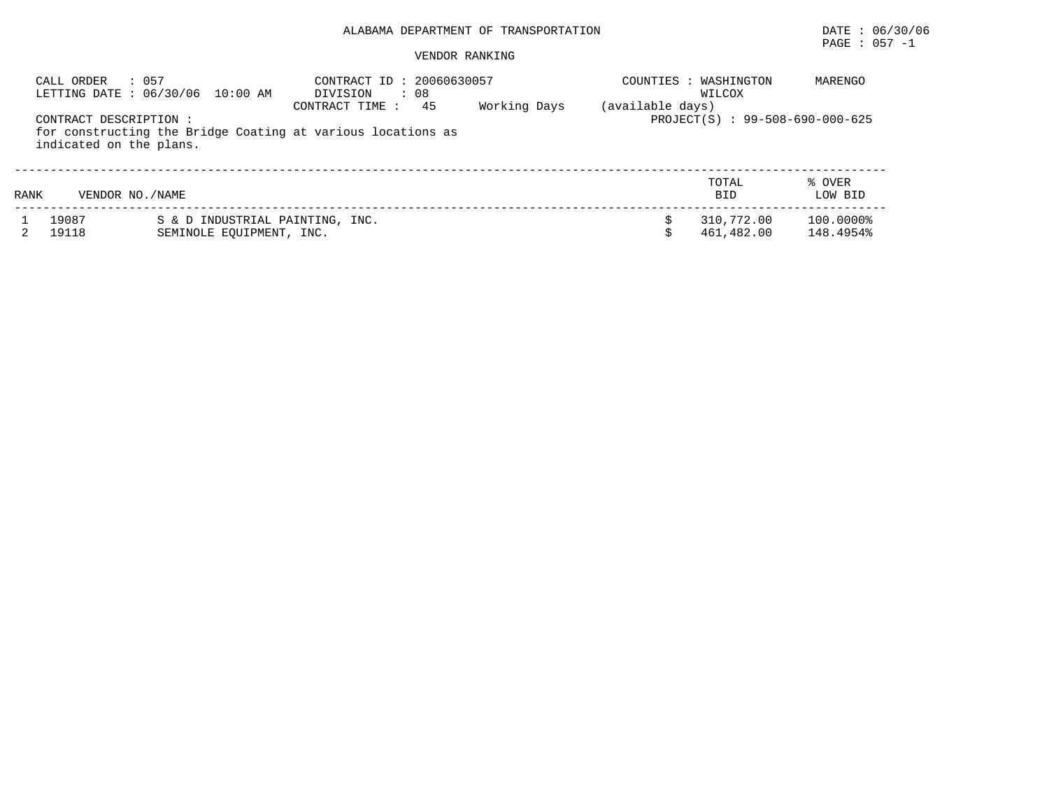| : 057<br>CALL ORDER<br>CONTRACT DESCRIPTION : | LETTING DATE : 06/30/06 10:00 AM                            | CONTRACT ID: 20060630057<br>: 08<br>DIVISION<br>45<br>CONTRACT TIME: | Working Days | (available days) | COUNTIES : WASHINGTON<br>WILCOX<br>PROJECT(S) : 99-508-690-000-625 | MARENGO                |
|-----------------------------------------------|-------------------------------------------------------------|----------------------------------------------------------------------|--------------|------------------|--------------------------------------------------------------------|------------------------|
| indicated on the plans.                       |                                                             | for constructing the Bridge Coating at various locations as          |              |                  |                                                                    |                        |
| VENDOR NO./NAME<br>RANK                       |                                                             |                                                                      |              |                  | TOTAL<br><b>BID</b>                                                | % OVER<br>LOW BID      |
| 19087<br>19118                                | S & D INDUSTRIAL PAINTING, INC.<br>SEMINOLE EOUIPMENT, INC. |                                                                      |              |                  | 310,772.00<br>461,482.00                                           | 100.0000%<br>148.4954% |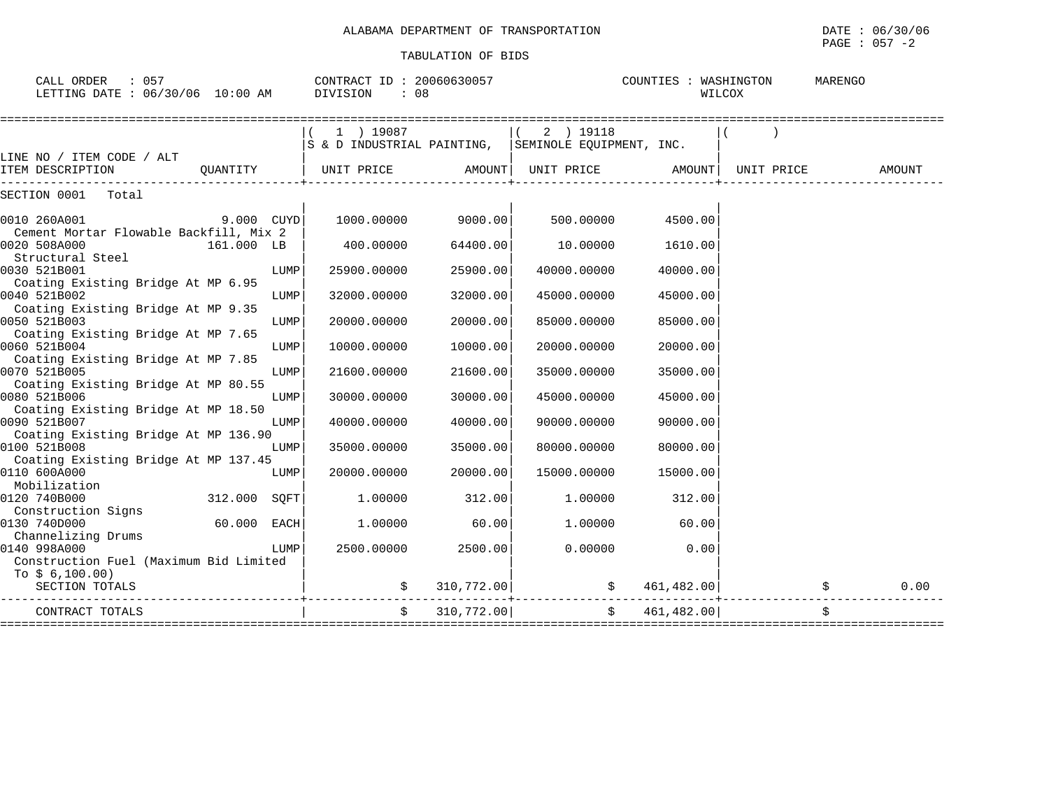| CALL ORDER : 057<br>LETTING DATE : 06/30/06 10:00 AM DIVISION : 08 |                |      | CONTRACT ID: 20060630057                                   |               |             | COUNTIES : WASHINGTON | WILCOX | MARENGO |        |
|--------------------------------------------------------------------|----------------|------|------------------------------------------------------------|---------------|-------------|-----------------------|--------|---------|--------|
|                                                                    |                |      | 1 ) 19087                                                  |               | $(2)$ 19118 |                       |        |         |        |
|                                                                    |                |      | $ S$ & D INDUSTRIAL PAINTING, $ S$ EMINOLE EQUIPMENT, INC. |               |             |                       |        |         |        |
| LINE NO / ITEM CODE / ALT                                          |                |      |                                                            |               |             |                       |        |         |        |
|                                                                    |                |      |                                                            |               |             |                       |        |         | AMOUNT |
| SECTION 0001 Total                                                 |                |      |                                                            |               |             |                       |        |         |        |
| 0010 260A001                                                       | $9.000$ $CUYD$ |      | 1000.00000 9000.00                                         |               | 500.00000   | 4500.00               |        |         |        |
| Cement Mortar Flowable Backfill, Mix 2<br>0020 508A000             | 161.000 LB     |      | 400.00000                                                  | 64400.00      | 10.00000    | 1610.00               |        |         |        |
| Structural Steel<br>0030 521B001                                   |                | LUMP | 25900.00000                                                | 25900.00      | 40000.00000 | 40000.00              |        |         |        |
| Coating Existing Bridge At MP 6.95                                 |                |      |                                                            |               |             |                       |        |         |        |
| 0040 521B002                                                       |                | LUMP | 32000.00000                                                | 32000.00      | 45000.00000 | 45000.00              |        |         |        |
| Coating Existing Bridge At MP 9.35                                 |                |      |                                                            |               |             |                       |        |         |        |
| 0050 521B003                                                       |                | LUMP | 20000.00000                                                | 20000.00      | 85000.00000 | 85000.00              |        |         |        |
| Coating Existing Bridge At MP 7.65<br>0060 521B004                 |                | LUMP | 10000.00000                                                | 10000.00      | 20000.00000 | 20000.00              |        |         |        |
| Coating Existing Bridge At MP 7.85                                 |                |      |                                                            |               |             |                       |        |         |        |
| 0070 521B005                                                       |                | LUMP | 21600.00000                                                | 21600.00      | 35000.00000 | 35000.00              |        |         |        |
| Coating Existing Bridge At MP 80.55                                |                |      |                                                            |               |             |                       |        |         |        |
| 0080 521B006                                                       |                | LUMP | 30000.00000                                                | 30000.00      | 45000.00000 | 45000.00              |        |         |        |
| Coating Existing Bridge At MP 18.50<br>0090 521B007                |                |      |                                                            |               |             |                       |        |         |        |
| Coating Existing Bridge At MP 136.90                               |                | LUMP | 40000.00000                                                | 40000.00      | 90000.00000 | 90000.00              |        |         |        |
| 0100 521B008                                                       |                | LUMP | 35000.00000                                                | 35000.00      | 80000.00000 | 80000.00              |        |         |        |
| Coating Existing Bridge At MP 137.45                               |                |      |                                                            |               |             |                       |        |         |        |
| 0110 600A000                                                       |                | LUMP | 20000.00000                                                | 20000.00      | 15000.00000 | 15000.00              |        |         |        |
| Mobilization                                                       |                |      |                                                            |               |             |                       |        |         |        |
| 0120 740B000                                                       | 312.000 SQFT   |      | 1.00000                                                    | 312.00        | 1.00000     | 312.00                |        |         |        |
| Construction Signs                                                 |                |      |                                                            |               |             |                       |        |         |        |
| 0130 740D000<br>Channelizing Drums                                 | $60.000$ EACH  |      | 1.00000                                                    | 60.00         | 1.00000     | 60.00                 |        |         |        |
| 0140 998A000                                                       |                | LUMP | 2500.00000                                                 | 2500.00       | 0.00000     | 0.00                  |        |         |        |
| Construction Fuel (Maximum Bid Limited                             |                |      |                                                            |               |             |                       |        |         |        |
| To $$6,100.00)$                                                    |                |      |                                                            |               |             |                       |        |         |        |
| SECTION TOTALS                                                     |                |      |                                                            |               |             |                       |        |         |        |
| CONTRACT TOTALS                                                    |                |      |                                                            | \$310,772.00] |             | \$461.482.00]         |        |         |        |
|                                                                    |                |      |                                                            |               |             |                       |        |         |        |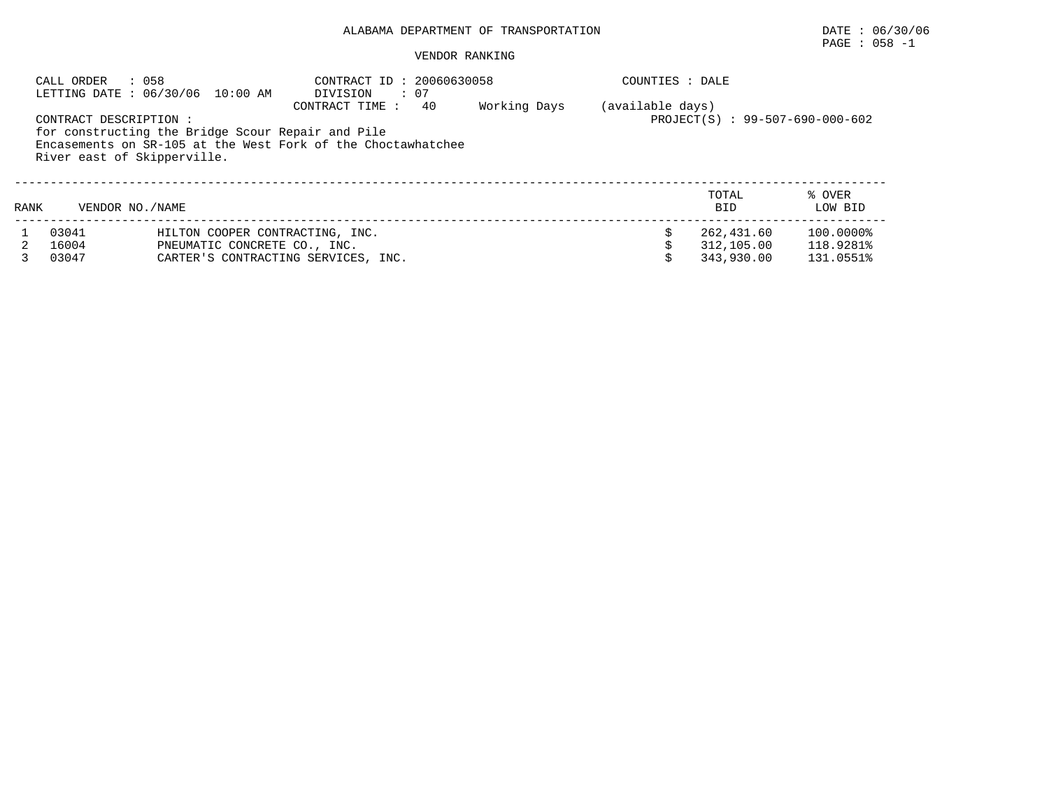# PAGE : 058 -1

|      | CALL ORDER<br>: 058                                   | LETTING DATE : 06/30/06 10:00 AM                                                                                  | CONTRACT ID: 20060630058<br>DIVISION<br>$\cdot$ 07 |    |              | COUNTIES : DALE  |                                        |                                     |
|------|-------------------------------------------------------|-------------------------------------------------------------------------------------------------------------------|----------------------------------------------------|----|--------------|------------------|----------------------------------------|-------------------------------------|
|      | CONTRACT DESCRIPTION :<br>River east of Skipperville. | for constructing the Bridge Scour Repair and Pile<br>Encasements on SR-105 at the West Fork of the Choctawhatchee | CONTRACT TIME:                                     | 40 | Working Days | (available days) | PROJECT(S) : 99-507-690-000-602        |                                     |
| RANK | VENDOR NO. / NAME                                     |                                                                                                                   |                                                    |    |              |                  | TOTAL<br><b>BID</b>                    | % OVER<br>LOW BID                   |
|      | 03041<br>16004<br>03047                               | HILTON COOPER CONTRACTING, INC.<br>PNEUMATIC CONCRETE CO., INC.<br>CARTER'S CONTRACTING SERVICES, INC.            |                                                    |    |              |                  | 262,431.60<br>312,105.00<br>343,930.00 | 100.0000%<br>118.9281%<br>131.0551% |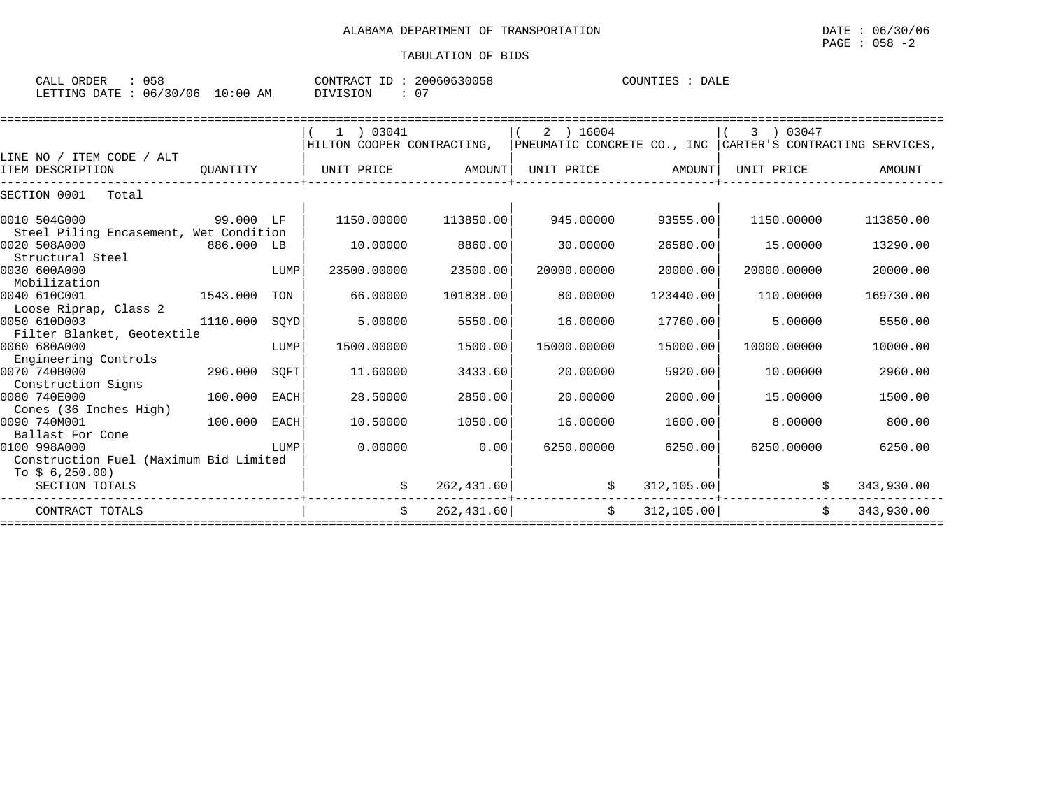| CALL ORDER                       | 058 | CONTRACT ID: 20060630058 |                | COUNTIES : DALE |  |  |
|----------------------------------|-----|--------------------------|----------------|-----------------|--|--|
| LETTING DATE : 06/30/06 10:00 AM |     | DIVISION                 | 0 <sub>7</sub> |                 |  |  |

|          |                                                                                     | $1$ ) 03041                                                                                                                                                                   |                                                                                  | 2 ) 16004                                                                                     |                                                                                                                                   | 03047       |                                                                                                                                                                                                                                                                                                                                                             |
|----------|-------------------------------------------------------------------------------------|-------------------------------------------------------------------------------------------------------------------------------------------------------------------------------|----------------------------------------------------------------------------------|-----------------------------------------------------------------------------------------------|-----------------------------------------------------------------------------------------------------------------------------------|-------------|-------------------------------------------------------------------------------------------------------------------------------------------------------------------------------------------------------------------------------------------------------------------------------------------------------------------------------------------------------------|
|          |                                                                                     |                                                                                                                                                                               |                                                                                  |                                                                                               |                                                                                                                                   |             |                                                                                                                                                                                                                                                                                                                                                             |
|          |                                                                                     |                                                                                                                                                                               |                                                                                  |                                                                                               |                                                                                                                                   |             |                                                                                                                                                                                                                                                                                                                                                             |
| QUANTITY |                                                                                     |                                                                                                                                                                               |                                                                                  |                                                                                               |                                                                                                                                   | UNIT PRICE  | AMOUNT                                                                                                                                                                                                                                                                                                                                                      |
|          |                                                                                     |                                                                                                                                                                               |                                                                                  |                                                                                               |                                                                                                                                   |             |                                                                                                                                                                                                                                                                                                                                                             |
|          |                                                                                     | 1150.00000                                                                                                                                                                    | 113850.00                                                                        | 945.00000                                                                                     |                                                                                                                                   | 1150.00000  | 113850.00                                                                                                                                                                                                                                                                                                                                                   |
|          |                                                                                     |                                                                                                                                                                               |                                                                                  |                                                                                               |                                                                                                                                   |             |                                                                                                                                                                                                                                                                                                                                                             |
|          |                                                                                     | 10.00000                                                                                                                                                                      | 8860.00                                                                          | 30.00000                                                                                      |                                                                                                                                   | 15.00000    | 13290.00                                                                                                                                                                                                                                                                                                                                                    |
|          |                                                                                     |                                                                                                                                                                               |                                                                                  |                                                                                               |                                                                                                                                   |             |                                                                                                                                                                                                                                                                                                                                                             |
|          | LUMP                                                                                | 23500.00000                                                                                                                                                                   | 23500.00                                                                         | 20000.00000                                                                                   |                                                                                                                                   | 20000.00000 | 20000.00                                                                                                                                                                                                                                                                                                                                                    |
|          |                                                                                     |                                                                                                                                                                               |                                                                                  |                                                                                               |                                                                                                                                   |             |                                                                                                                                                                                                                                                                                                                                                             |
|          | TON                                                                                 |                                                                                                                                                                               |                                                                                  |                                                                                               |                                                                                                                                   |             | 169730.00                                                                                                                                                                                                                                                                                                                                                   |
|          |                                                                                     |                                                                                                                                                                               |                                                                                  |                                                                                               |                                                                                                                                   |             |                                                                                                                                                                                                                                                                                                                                                             |
|          |                                                                                     |                                                                                                                                                                               |                                                                                  |                                                                                               |                                                                                                                                   |             | 5550.00                                                                                                                                                                                                                                                                                                                                                     |
|          |                                                                                     |                                                                                                                                                                               |                                                                                  |                                                                                               |                                                                                                                                   |             |                                                                                                                                                                                                                                                                                                                                                             |
|          |                                                                                     |                                                                                                                                                                               |                                                                                  |                                                                                               |                                                                                                                                   |             | 10000.00                                                                                                                                                                                                                                                                                                                                                    |
|          |                                                                                     |                                                                                                                                                                               |                                                                                  |                                                                                               |                                                                                                                                   |             |                                                                                                                                                                                                                                                                                                                                                             |
|          |                                                                                     |                                                                                                                                                                               |                                                                                  |                                                                                               |                                                                                                                                   |             | 2960.00                                                                                                                                                                                                                                                                                                                                                     |
|          |                                                                                     |                                                                                                                                                                               |                                                                                  |                                                                                               |                                                                                                                                   |             |                                                                                                                                                                                                                                                                                                                                                             |
|          |                                                                                     |                                                                                                                                                                               |                                                                                  |                                                                                               |                                                                                                                                   |             | 1500.00                                                                                                                                                                                                                                                                                                                                                     |
|          |                                                                                     |                                                                                                                                                                               |                                                                                  |                                                                                               |                                                                                                                                   |             | 800.00                                                                                                                                                                                                                                                                                                                                                      |
|          |                                                                                     |                                                                                                                                                                               |                                                                                  |                                                                                               |                                                                                                                                   |             |                                                                                                                                                                                                                                                                                                                                                             |
|          |                                                                                     |                                                                                                                                                                               |                                                                                  |                                                                                               |                                                                                                                                   |             | 6250.00                                                                                                                                                                                                                                                                                                                                                     |
|          |                                                                                     |                                                                                                                                                                               |                                                                                  |                                                                                               |                                                                                                                                   |             |                                                                                                                                                                                                                                                                                                                                                             |
|          |                                                                                     |                                                                                                                                                                               |                                                                                  |                                                                                               |                                                                                                                                   |             |                                                                                                                                                                                                                                                                                                                                                             |
|          |                                                                                     |                                                                                                                                                                               |                                                                                  |                                                                                               |                                                                                                                                   |             | 343,930.00                                                                                                                                                                                                                                                                                                                                                  |
|          |                                                                                     |                                                                                                                                                                               |                                                                                  |                                                                                               |                                                                                                                                   |             |                                                                                                                                                                                                                                                                                                                                                             |
|          |                                                                                     | $\mathcal{S}$                                                                                                                                                                 |                                                                                  | \$                                                                                            |                                                                                                                                   | Ŝ.          | 343,930.00                                                                                                                                                                                                                                                                                                                                                  |
|          | 1543.000<br>1110.000<br>Filter Blanket, Geotextile<br>296.000<br>100.000<br>100.000 | <b>1200 STAR 199.000 LF</b><br>Steel Piling Encasement, Wet Condition<br>886.000 LB<br>SQYD<br>LUMP<br>SOFT<br>EACH<br>EACH<br>LUMP<br>Construction Fuel (Maximum Bid Limited | 66.00000<br>5.00000<br>1500.00000<br>11,60000<br>28.50000<br>10.50000<br>0.00000 | UNIT PRICE AMOUNT<br>101838.00<br>5550.00<br>1500.00<br>3433.60<br>2850.00<br>1050.00<br>0.00 | 80.00000<br>16.00000<br>15000.00000<br>20.00000<br>20.00000<br>16.00000<br>6250.00000<br>262, 431.60<br>$\ddot{s}$<br>262, 431.60 |             | HILTON COOPER CONTRACTING, PNEUMATIC CONCRETE CO., INC CARTER'S CONTRACTING SERVICES,<br>UNIT PRICE AMOUNT<br>93555.00<br>26580.00<br>20000.00<br>123440.00<br>110.00000<br>17760.00<br>5,00000<br>15000.00<br>10000.00000<br>5920.00<br>10,00000<br>2000.00<br>15.00000<br>1600.00<br>8,00000<br>6250.00<br>6250.00000<br>312, 105.00<br>\$<br>312, 105.00 |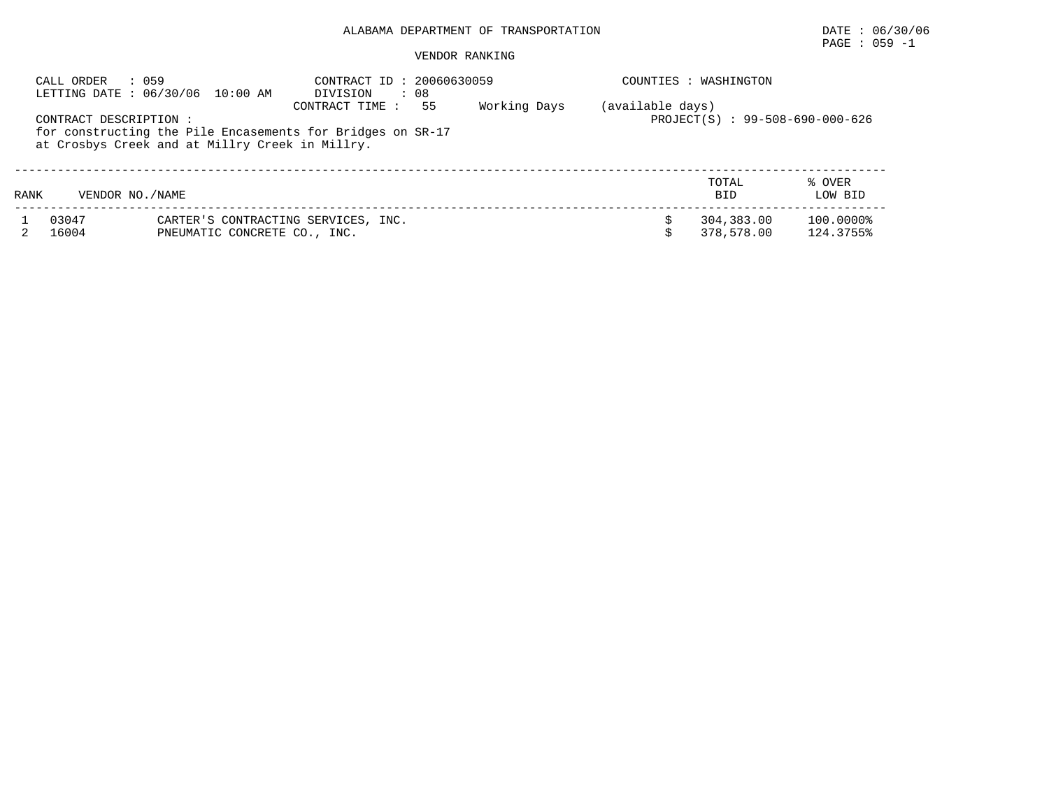## PAGE : 059 -1

| CALL ORDER<br>: 059<br>LETTING DATE: 06/30/06 10:00 AM |                        |                                                                                                               | CONTRACT ID: 20060630059<br>DIVISION<br>: 08        |  | COUNTIES : WASHINGTON |                          |                        |  |  |
|--------------------------------------------------------|------------------------|---------------------------------------------------------------------------------------------------------------|-----------------------------------------------------|--|-----------------------|--------------------------|------------------------|--|--|
|                                                        | CONTRACT DESCRIPTION : | for constructing the Pile Encasements for Bridges on SR-17<br>at Crosbys Creek and at Millry Creek in Millry. | (available days)<br>PROJECT(S) : 99-508-690-000-626 |  |                       |                          |                        |  |  |
| RANK                                                   | VENDOR NO. / NAME      |                                                                                                               |                                                     |  |                       | TOTAL<br><b>BID</b>      | % OVER<br>LOW BID      |  |  |
|                                                        | 03047<br>16004         | CARTER'S CONTRACTING SERVICES, INC.<br>PNEUMATIC CONCRETE CO., INC.                                           |                                                     |  |                       | 304,383.00<br>378,578.00 | 100.0000%<br>124.3755% |  |  |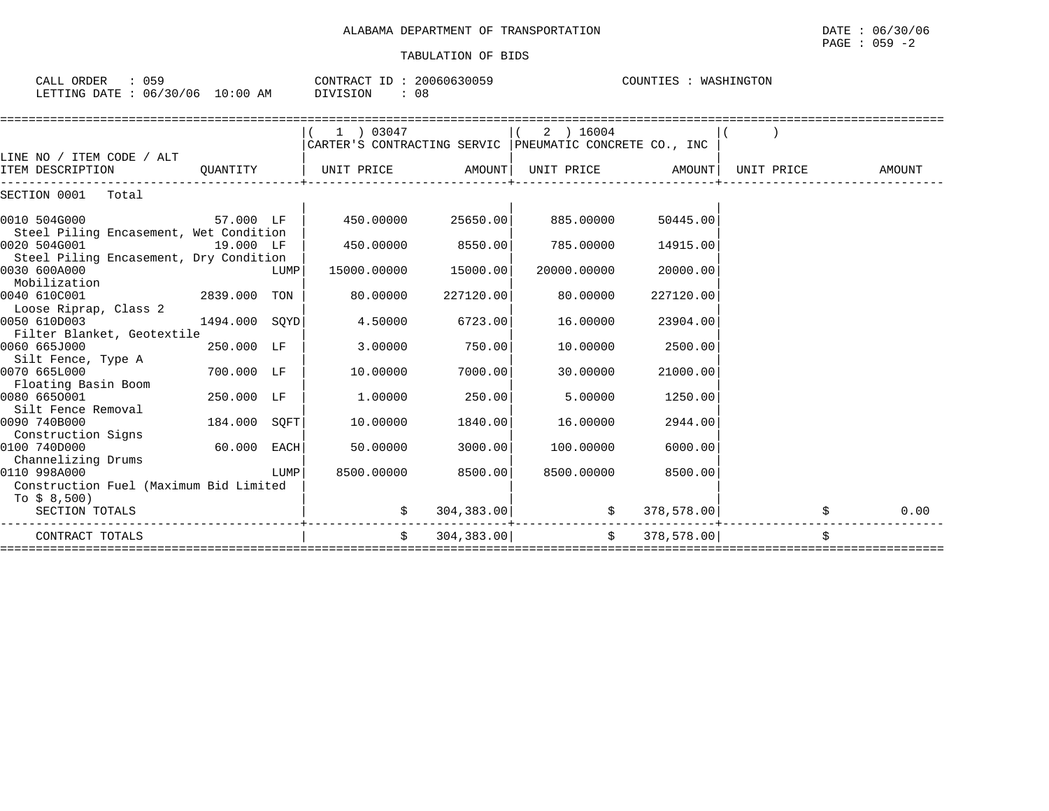## PAGE : 059 -2

| CALL ORDER : 059<br>LETTING DATE : 06/30/06 10:00 AM DIVISION : 08 |               |      | CONTRACT ID: 20060630059                                           |           |             | COUNTIES : WASHINGTON |  |      |
|--------------------------------------------------------------------|---------------|------|--------------------------------------------------------------------|-----------|-------------|-----------------------|--|------|
|                                                                    |               |      | 1 03047                                                            |           | 2 ) 16004   |                       |  |      |
|                                                                    |               |      | CARTER'S CONTRACTING SERVIC PNEUMATIC CONCRETE CO., INC            |           |             |                       |  |      |
| LINE NO / ITEM CODE / ALT                                          |               |      |                                                                    |           |             |                       |  |      |
| ITEM DESCRIPTION                                                   |               |      | QUANTITY $ $ UNIT PRICE AMOUNT UNIT PRICE AMOUNT UNIT PRICE AMOUNT |           |             |                       |  |      |
| SECTION 0001 Total                                                 |               |      |                                                                    |           |             |                       |  |      |
| <b>57.000 LF</b><br>0010 504G000                                   |               |      | 450.00000 25650.00                                                 |           | 885.00000   | 50445.00              |  |      |
| Steel Piling Encasement, Wet Condition                             |               |      |                                                                    |           |             |                       |  |      |
| 0020 504G001<br>19.000 LF                                          |               |      | 450.00000 8550.00                                                  |           | 785.00000   | 14915.00              |  |      |
| Steel Piling Encasement, Dry Condition                             |               |      |                                                                    |           |             |                       |  |      |
| 0030 600A000                                                       |               | LUMP | 15000.00000                                                        | 15000.00  | 20000.00000 | 20000.00              |  |      |
| Mobilization                                                       |               |      |                                                                    |           |             |                       |  |      |
| 0040 610C001                                                       | 2839.000 TON  |      | 80.00000                                                           | 227120.00 | 80.00000    | 227120.00             |  |      |
| Loose Riprap, Class 2<br>0050 610D003                              | 1494.000 SOYD |      |                                                                    | 6723.00   | 16,00000    |                       |  |      |
| Filter Blanket, Geotextile                                         |               |      | 4.50000                                                            |           |             | 23904.00              |  |      |
| 0060 665J000                                                       | 250.000 LF    |      | 3.00000                                                            | 750.00    | 10.00000    | 2500.00               |  |      |
| Silt Fence, Type A                                                 |               |      |                                                                    |           |             |                       |  |      |
| 0070 665L000                                                       | 700.000 LF    |      | 10.00000                                                           | 7000.00   | 30,00000    | 21000.00              |  |      |
| Floating Basin Boom                                                |               |      |                                                                    |           |             |                       |  |      |
| 0080 6650001                                                       | 250.000 LF    |      | 1,00000                                                            | 250.00    | 5.00000     | 1250.00               |  |      |
| Silt Fence Removal                                                 |               |      |                                                                    |           |             |                       |  |      |
| 0090 740B000                                                       | 184.000 SOFT  |      | 10.00000                                                           | 1840.00   | 16.00000    | 2944.00               |  |      |
| Construction Signs                                                 |               |      |                                                                    |           |             |                       |  |      |
| 0100 740D000                                                       | $60.000$ EACH |      | 50.00000                                                           | 3000.00   | 100.00000   | 6000.00               |  |      |
| Channelizing Drums                                                 |               |      |                                                                    |           |             |                       |  |      |
| 0110 998A000                                                       |               | LUMP | 8500.00000                                                         | 8500.00   | 8500.00000  | 8500.00               |  |      |
| Construction Fuel (Maximum Bid Limited                             |               |      |                                                                    |           |             |                       |  |      |
| To \$ 8,500)                                                       |               |      |                                                                    |           |             |                       |  |      |
| SECTION TOTALS                                                     |               |      |                                                                    |           |             |                       |  | 0.00 |
| CONTRACT TOTALS                                                    |               |      | $\zeta$ 304,383.00 $\zeta$ 378,578.00 $\zeta$                      |           |             |                       |  |      |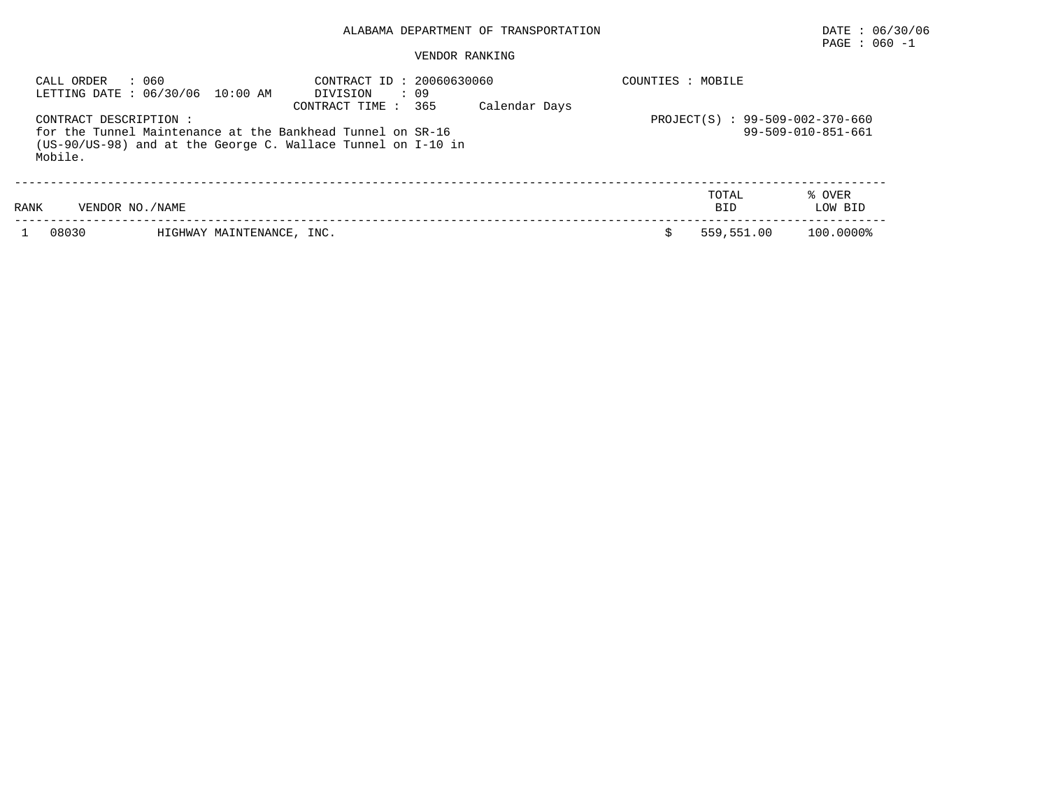## PAGE : 060 -1

| : 060<br>CALL ORDER<br>LETTING DATE : 06/30/06 10:00 AM                                                                                                        | CONTRACT ID: 20060630060<br>: 09<br>DIVISION<br>Calendar Days<br>365<br>CONTRACT TIME : | COUNTIES : MOBILE                        |
|----------------------------------------------------------------------------------------------------------------------------------------------------------------|-----------------------------------------------------------------------------------------|------------------------------------------|
| CONTRACT DESCRIPTION:<br>for the Tunnel Maintenance at the Bankhead Tunnel on SR-16<br>(US-90/US-98) and at the George C. Wallace Tunnel on I-10 in<br>Mobile. | PROJECT(S) : 99-509-002-370-660<br>99-509-010-851-661                                   |                                          |
| RANK<br>VENDOR NO. / NAME                                                                                                                                      |                                                                                         | TOTAL<br>% OVER<br>LOW BID<br><b>BID</b> |
| 08030<br>HIGHWAY MAINTENANCE, INC.                                                                                                                             |                                                                                         | 100.0000%<br>559,551.00                  |